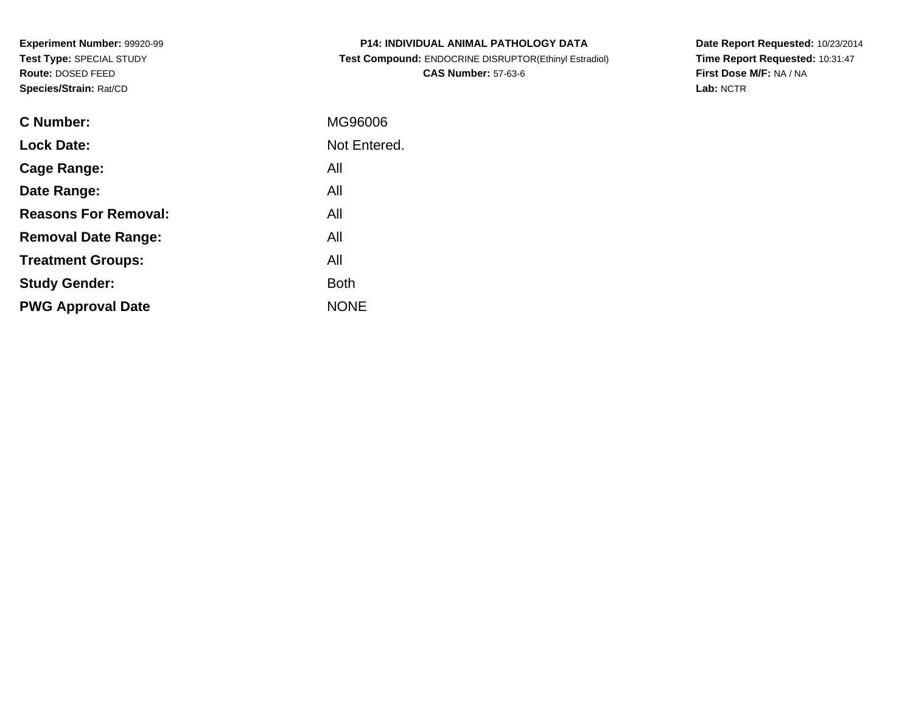**Experiment Number:** 99920-99**Test Type:** SPECIAL STUDY**Route:** DOSED FEED**Species/Strain:** Rat/CD

| <b>P14: INDIVIDUAL ANIMAL PATHOLOGY DATA</b>          |
|-------------------------------------------------------|
| Test Compound: ENDOCRINE DISRUPTOR(Ethinyl Estradiol) |
| <b>CAS Number: 57-63-6</b>                            |

**Date Report Requested:** 10/23/2014 **Time Report Requested:** 10:31:47**First Dose M/F:** NA / NA**Lab:** NCTR

| C Number:                   | MG96006      |
|-----------------------------|--------------|
| <b>Lock Date:</b>           | Not Entered. |
| Cage Range:                 | All          |
| Date Range:                 | All          |
| <b>Reasons For Removal:</b> | All          |
| <b>Removal Date Range:</b>  | All          |
| <b>Treatment Groups:</b>    | All          |
| <b>Study Gender:</b>        | <b>Both</b>  |
| <b>PWG Approval Date</b>    | <b>NONE</b>  |
|                             |              |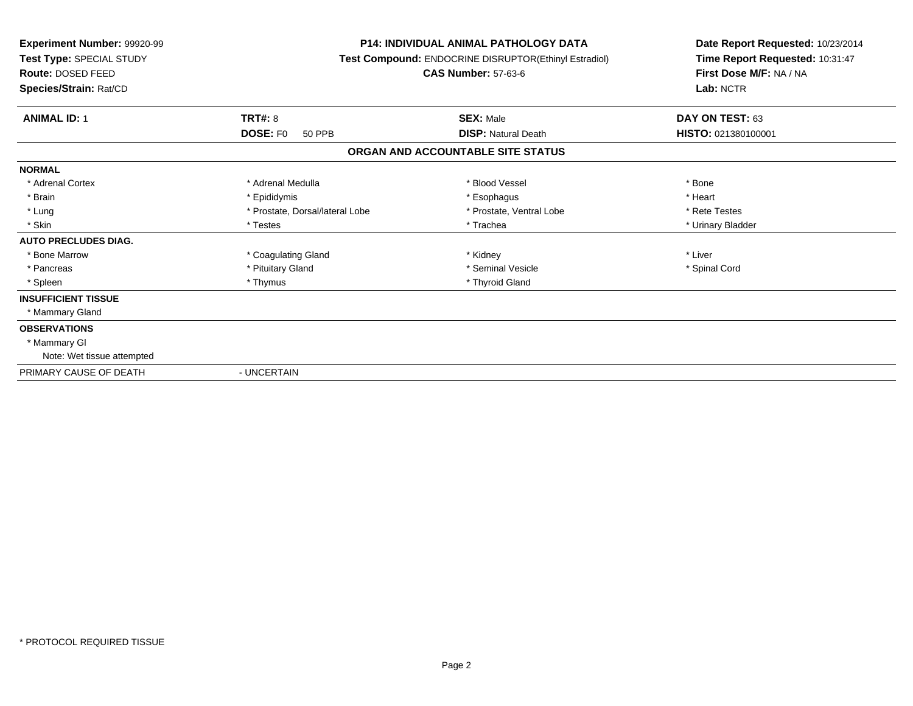| Experiment Number: 99920-99<br>Test Type: SPECIAL STUDY<br><b>Route: DOSED FEED</b><br>Species/Strain: Rat/CD |                                  | <b>P14: INDIVIDUAL ANIMAL PATHOLOGY DATA</b><br>Test Compound: ENDOCRINE DISRUPTOR(Ethinyl Estradiol)<br><b>CAS Number: 57-63-6</b> | Date Report Requested: 10/23/2014<br>Time Report Requested: 10:31:47<br>First Dose M/F: NA / NA<br>Lab: NCTR |
|---------------------------------------------------------------------------------------------------------------|----------------------------------|-------------------------------------------------------------------------------------------------------------------------------------|--------------------------------------------------------------------------------------------------------------|
| <b>ANIMAL ID: 1</b>                                                                                           | TRT#: 8                          | <b>SEX: Male</b>                                                                                                                    | DAY ON TEST: 63                                                                                              |
|                                                                                                               | <b>DOSE: FO</b><br><b>50 PPB</b> | <b>DISP: Natural Death</b>                                                                                                          | HISTO: 021380100001                                                                                          |
|                                                                                                               |                                  | ORGAN AND ACCOUNTABLE SITE STATUS                                                                                                   |                                                                                                              |
| <b>NORMAL</b>                                                                                                 |                                  |                                                                                                                                     |                                                                                                              |
| * Adrenal Cortex                                                                                              | * Adrenal Medulla                | * Blood Vessel                                                                                                                      | * Bone                                                                                                       |
| * Brain                                                                                                       | * Epididymis                     | * Esophagus                                                                                                                         | * Heart                                                                                                      |
| * Lung                                                                                                        | * Prostate, Dorsal/lateral Lobe  | * Prostate, Ventral Lobe                                                                                                            | * Rete Testes                                                                                                |
| * Skin                                                                                                        | * Testes                         | * Trachea                                                                                                                           | * Urinary Bladder                                                                                            |
| <b>AUTO PRECLUDES DIAG.</b>                                                                                   |                                  |                                                                                                                                     |                                                                                                              |
| * Bone Marrow                                                                                                 | * Coagulating Gland              | * Kidney                                                                                                                            | * Liver                                                                                                      |
| * Pancreas                                                                                                    | * Pituitary Gland                | * Seminal Vesicle                                                                                                                   | * Spinal Cord                                                                                                |
| * Spleen                                                                                                      | * Thymus                         | * Thyroid Gland                                                                                                                     |                                                                                                              |
| <b>INSUFFICIENT TISSUE</b>                                                                                    |                                  |                                                                                                                                     |                                                                                                              |
| * Mammary Gland                                                                                               |                                  |                                                                                                                                     |                                                                                                              |
| <b>OBSERVATIONS</b>                                                                                           |                                  |                                                                                                                                     |                                                                                                              |
| * Mammary GI                                                                                                  |                                  |                                                                                                                                     |                                                                                                              |
| Note: Wet tissue attempted                                                                                    |                                  |                                                                                                                                     |                                                                                                              |
| PRIMARY CAUSE OF DEATH                                                                                        | - UNCERTAIN                      |                                                                                                                                     |                                                                                                              |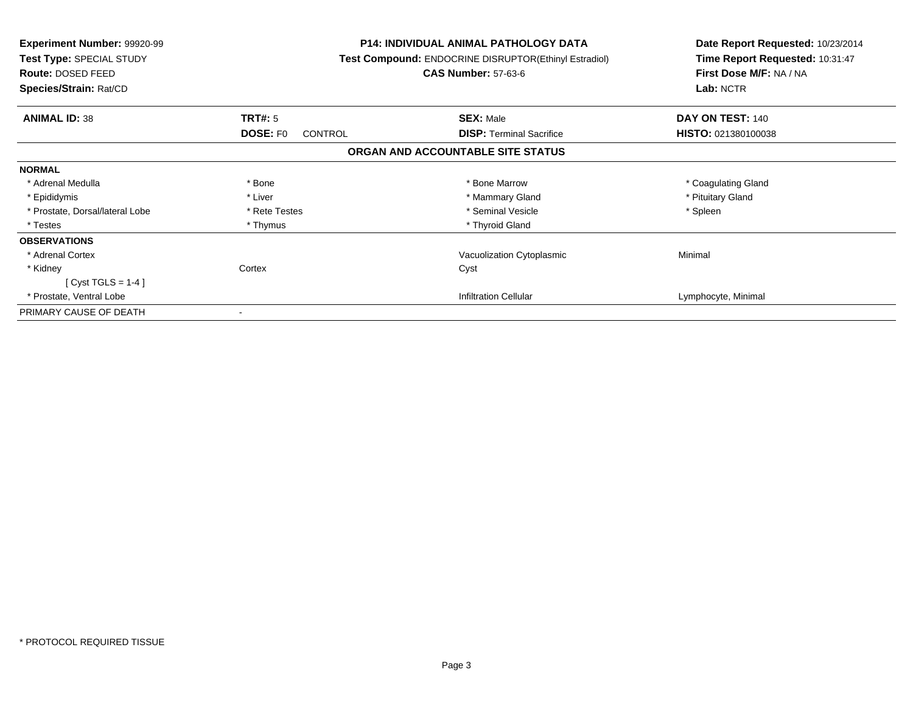| <b>Experiment Number: 99920-99</b><br>Test Type: SPECIAL STUDY<br>Route: DOSED FEED<br>Species/Strain: Rat/CD |                                   | <b>P14: INDIVIDUAL ANIMAL PATHOLOGY DATA</b><br>Test Compound: ENDOCRINE DISRUPTOR(Ethinyl Estradiol)<br><b>CAS Number: 57-63-6</b> | Date Report Requested: 10/23/2014<br>Time Report Requested: 10:31:47<br>First Dose M/F: NA / NA<br>Lab: NCTR |
|---------------------------------------------------------------------------------------------------------------|-----------------------------------|-------------------------------------------------------------------------------------------------------------------------------------|--------------------------------------------------------------------------------------------------------------|
| <b>ANIMAL ID: 38</b>                                                                                          | TRT#: 5                           | <b>SEX: Male</b>                                                                                                                    | DAY ON TEST: 140                                                                                             |
|                                                                                                               | <b>DOSE: FO</b><br><b>CONTROL</b> | <b>DISP:</b> Terminal Sacrifice                                                                                                     | HISTO: 021380100038                                                                                          |
|                                                                                                               |                                   | ORGAN AND ACCOUNTABLE SITE STATUS                                                                                                   |                                                                                                              |
| <b>NORMAL</b>                                                                                                 |                                   |                                                                                                                                     |                                                                                                              |
| * Adrenal Medulla                                                                                             | * Bone                            | * Bone Marrow                                                                                                                       | * Coagulating Gland                                                                                          |
| * Epididymis                                                                                                  | * Liver                           | * Mammary Gland                                                                                                                     | * Pituitary Gland                                                                                            |
| * Prostate, Dorsal/lateral Lobe                                                                               | * Rete Testes                     | * Seminal Vesicle                                                                                                                   | * Spleen                                                                                                     |
| * Testes                                                                                                      | * Thymus                          | * Thyroid Gland                                                                                                                     |                                                                                                              |
| <b>OBSERVATIONS</b>                                                                                           |                                   |                                                                                                                                     |                                                                                                              |
| * Adrenal Cortex                                                                                              |                                   | Vacuolization Cytoplasmic                                                                                                           | Minimal                                                                                                      |
| * Kidney                                                                                                      | Cortex                            | Cyst                                                                                                                                |                                                                                                              |
| [ Cyst TGLS = $1-4$ ]                                                                                         |                                   |                                                                                                                                     |                                                                                                              |
| * Prostate, Ventral Lobe                                                                                      |                                   | <b>Infiltration Cellular</b>                                                                                                        | Lymphocyte, Minimal                                                                                          |
| PRIMARY CAUSE OF DEATH                                                                                        |                                   |                                                                                                                                     |                                                                                                              |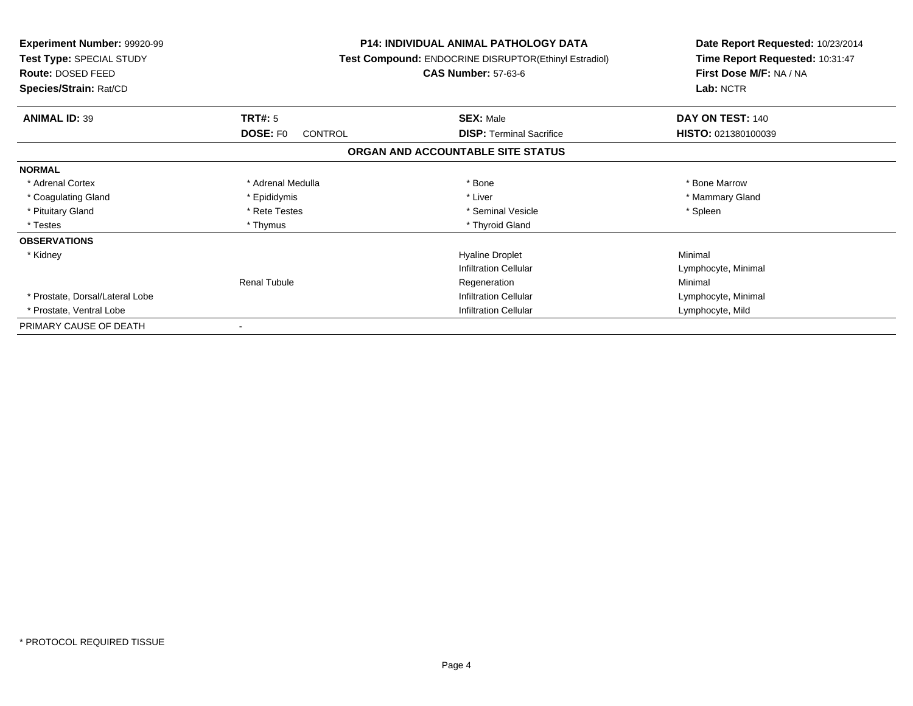| <b>Experiment Number: 99920-99</b><br><b>Test Type: SPECIAL STUDY</b><br><b>Route: DOSED FEED</b><br>Species/Strain: Rat/CD |                                       | <b>P14: INDIVIDUAL ANIMAL PATHOLOGY DATA</b><br>Test Compound: ENDOCRINE DISRUPTOR(Ethinyl Estradiol)<br><b>CAS Number: 57-63-6</b> | Date Report Requested: 10/23/2014<br>Time Report Requested: 10:31:47<br>First Dose M/F: NA / NA<br>Lab: NCTR |
|-----------------------------------------------------------------------------------------------------------------------------|---------------------------------------|-------------------------------------------------------------------------------------------------------------------------------------|--------------------------------------------------------------------------------------------------------------|
|                                                                                                                             |                                       |                                                                                                                                     |                                                                                                              |
| <b>ANIMAL ID: 39</b>                                                                                                        | TRT#: 5<br><b>DOSE: FO</b><br>CONTROL | <b>SEX: Male</b><br><b>DISP:</b> Terminal Sacrifice                                                                                 | DAY ON TEST: 140<br>HISTO: 021380100039                                                                      |
|                                                                                                                             |                                       | ORGAN AND ACCOUNTABLE SITE STATUS                                                                                                   |                                                                                                              |
| <b>NORMAL</b>                                                                                                               |                                       |                                                                                                                                     |                                                                                                              |
| * Adrenal Cortex                                                                                                            | * Adrenal Medulla                     | * Bone                                                                                                                              | * Bone Marrow                                                                                                |
| * Coagulating Gland                                                                                                         | * Epididymis                          | * Liver                                                                                                                             | * Mammary Gland                                                                                              |
| * Pituitary Gland                                                                                                           | * Rete Testes                         | * Seminal Vesicle                                                                                                                   | * Spleen                                                                                                     |
| * Testes                                                                                                                    | * Thymus                              | * Thyroid Gland                                                                                                                     |                                                                                                              |
| <b>OBSERVATIONS</b>                                                                                                         |                                       |                                                                                                                                     |                                                                                                              |
| * Kidney                                                                                                                    |                                       | <b>Hyaline Droplet</b>                                                                                                              | Minimal                                                                                                      |
|                                                                                                                             |                                       | <b>Infiltration Cellular</b>                                                                                                        | Lymphocyte, Minimal                                                                                          |
|                                                                                                                             | <b>Renal Tubule</b>                   | Regeneration                                                                                                                        | Minimal                                                                                                      |
| * Prostate, Dorsal/Lateral Lobe                                                                                             |                                       | <b>Infiltration Cellular</b>                                                                                                        | Lymphocyte, Minimal                                                                                          |
| * Prostate, Ventral Lobe                                                                                                    |                                       | <b>Infiltration Cellular</b>                                                                                                        | Lymphocyte, Mild                                                                                             |
| PRIMARY CAUSE OF DEATH                                                                                                      |                                       |                                                                                                                                     |                                                                                                              |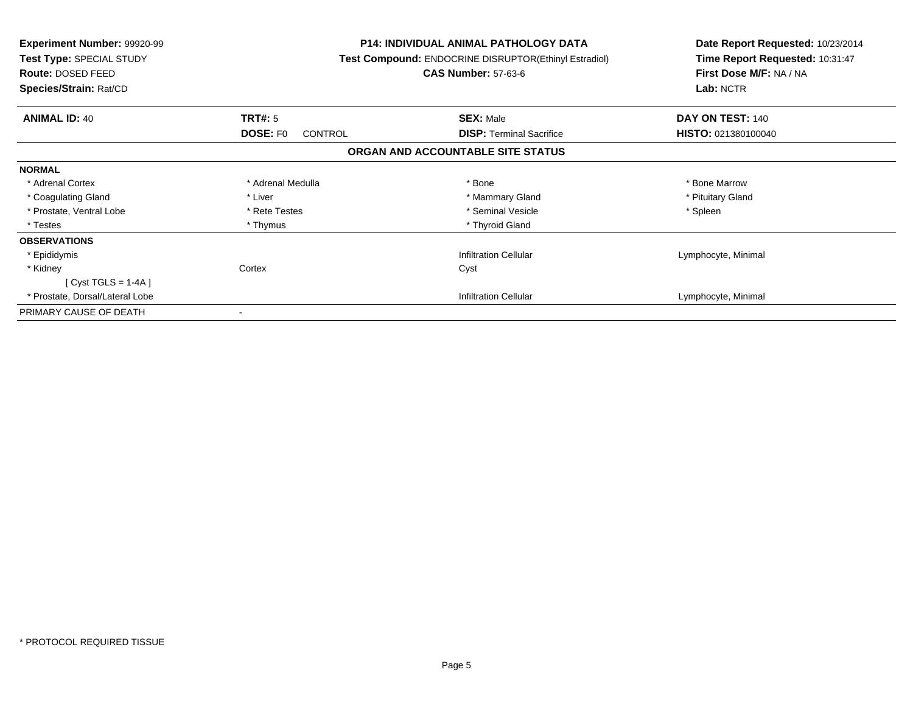| <b>Experiment Number: 99920-99</b><br>Test Type: SPECIAL STUDY<br>Route: DOSED FEED<br>Species/Strain: Rat/CD |                            | <b>P14: INDIVIDUAL ANIMAL PATHOLOGY DATA</b><br><b>Test Compound: ENDOCRINE DISRUPTOR(Ethinyl Estradiol)</b><br><b>CAS Number: 57-63-6</b> | Date Report Requested: 10/23/2014<br>Time Report Requested: 10:31:47<br>First Dose M/F: NA / NA<br>Lab: NCTR |
|---------------------------------------------------------------------------------------------------------------|----------------------------|--------------------------------------------------------------------------------------------------------------------------------------------|--------------------------------------------------------------------------------------------------------------|
| <b>ANIMAL ID: 40</b>                                                                                          | TRT#: 5                    | <b>SEX: Male</b>                                                                                                                           | DAY ON TEST: 140                                                                                             |
|                                                                                                               | <b>DOSE: FO</b><br>CONTROL | <b>DISP:</b> Terminal Sacrifice                                                                                                            | HISTO: 021380100040                                                                                          |
|                                                                                                               |                            | ORGAN AND ACCOUNTABLE SITE STATUS                                                                                                          |                                                                                                              |
| <b>NORMAL</b>                                                                                                 |                            |                                                                                                                                            |                                                                                                              |
| * Adrenal Cortex                                                                                              | * Adrenal Medulla          | * Bone                                                                                                                                     | * Bone Marrow                                                                                                |
| * Coagulating Gland                                                                                           | * Liver                    | * Mammary Gland                                                                                                                            | * Pituitary Gland                                                                                            |
| * Prostate, Ventral Lobe                                                                                      | * Rete Testes              | * Seminal Vesicle                                                                                                                          | * Spleen                                                                                                     |
| * Testes                                                                                                      | * Thymus                   | * Thyroid Gland                                                                                                                            |                                                                                                              |
| <b>OBSERVATIONS</b>                                                                                           |                            |                                                                                                                                            |                                                                                                              |
| * Epididymis                                                                                                  |                            | <b>Infiltration Cellular</b>                                                                                                               | Lymphocyte, Minimal                                                                                          |
| * Kidney                                                                                                      | Cortex                     | Cyst                                                                                                                                       |                                                                                                              |
| $[Cyst TGLS = 1-4A]$                                                                                          |                            |                                                                                                                                            |                                                                                                              |
| * Prostate, Dorsal/Lateral Lobe                                                                               |                            | <b>Infiltration Cellular</b>                                                                                                               | Lymphocyte, Minimal                                                                                          |
| PRIMARY CAUSE OF DEATH                                                                                        |                            |                                                                                                                                            |                                                                                                              |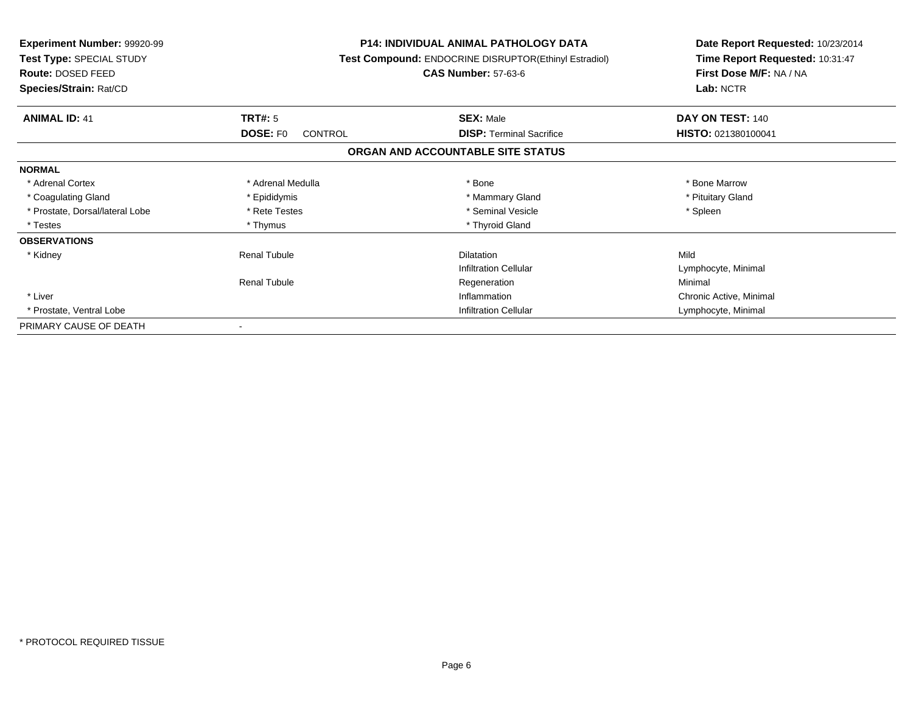| <b>Experiment Number: 99920-99</b><br>Test Type: SPECIAL STUDY<br>Route: DOSED FEED<br>Species/Strain: Rat/CD |                                        | <b>P14: INDIVIDUAL ANIMAL PATHOLOGY DATA</b><br>Test Compound: ENDOCRINE DISRUPTOR(Ethinyl Estradiol)<br><b>CAS Number: 57-63-6</b> | Date Report Requested: 10/23/2014<br>Time Report Requested: 10:31:47<br>First Dose M/F: NA / NA<br>Lab: NCTR |
|---------------------------------------------------------------------------------------------------------------|----------------------------------------|-------------------------------------------------------------------------------------------------------------------------------------|--------------------------------------------------------------------------------------------------------------|
| <b>ANIMAL ID: 41</b>                                                                                          | <b>TRT#: 5</b>                         | <b>SEX: Male</b>                                                                                                                    | DAY ON TEST: 140                                                                                             |
|                                                                                                               | DOSE: F <sub>0</sub><br><b>CONTROL</b> | <b>DISP:</b> Terminal Sacrifice                                                                                                     | HISTO: 021380100041                                                                                          |
|                                                                                                               |                                        | ORGAN AND ACCOUNTABLE SITE STATUS                                                                                                   |                                                                                                              |
| <b>NORMAL</b>                                                                                                 |                                        |                                                                                                                                     |                                                                                                              |
| * Adrenal Cortex                                                                                              | * Adrenal Medulla                      | * Bone                                                                                                                              | * Bone Marrow                                                                                                |
| * Coagulating Gland                                                                                           | * Epididymis                           | * Mammary Gland                                                                                                                     | * Pituitary Gland                                                                                            |
| * Prostate, Dorsal/lateral Lobe                                                                               | * Rete Testes                          | * Seminal Vesicle                                                                                                                   | * Spleen                                                                                                     |
| * Testes                                                                                                      | * Thymus                               | * Thyroid Gland                                                                                                                     |                                                                                                              |
| <b>OBSERVATIONS</b>                                                                                           |                                        |                                                                                                                                     |                                                                                                              |
| * Kidney                                                                                                      | <b>Renal Tubule</b>                    | <b>Dilatation</b>                                                                                                                   | Mild                                                                                                         |
|                                                                                                               |                                        | Infiltration Cellular                                                                                                               | Lymphocyte, Minimal                                                                                          |
|                                                                                                               | <b>Renal Tubule</b>                    | Regeneration                                                                                                                        | Minimal                                                                                                      |
| * Liver                                                                                                       |                                        | Inflammation                                                                                                                        | Chronic Active, Minimal                                                                                      |
| * Prostate, Ventral Lobe                                                                                      |                                        | <b>Infiltration Cellular</b>                                                                                                        | Lymphocyte, Minimal                                                                                          |
| PRIMARY CAUSE OF DEATH                                                                                        |                                        |                                                                                                                                     |                                                                                                              |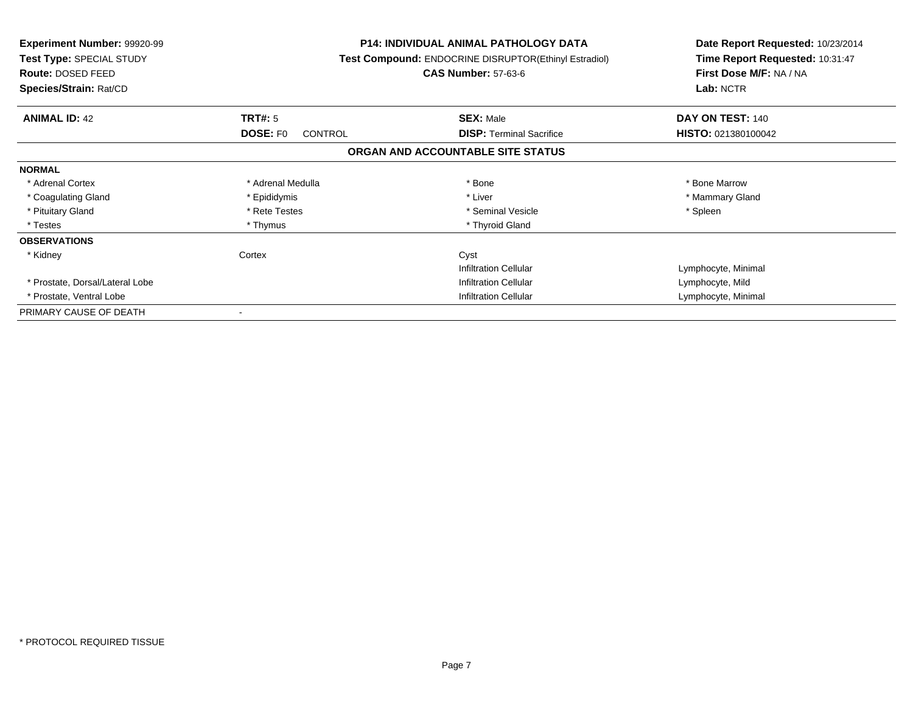| <b>Experiment Number: 99920-99</b><br><b>Test Type: SPECIAL STUDY</b><br>Route: DOSED FEED<br>Species/Strain: Rat/CD |                                   | <b>P14: INDIVIDUAL ANIMAL PATHOLOGY DATA</b><br><b>Test Compound: ENDOCRINE DISRUPTOR(Ethinyl Estradiol)</b><br><b>CAS Number: 57-63-6</b> | Date Report Requested: 10/23/2014<br>Time Report Requested: 10:31:47<br>First Dose M/F: NA / NA<br>Lab: NCTR |
|----------------------------------------------------------------------------------------------------------------------|-----------------------------------|--------------------------------------------------------------------------------------------------------------------------------------------|--------------------------------------------------------------------------------------------------------------|
| <b>ANIMAL ID: 42</b>                                                                                                 | TRT#: 5                           | <b>SEX: Male</b>                                                                                                                           | DAY ON TEST: 140                                                                                             |
|                                                                                                                      | <b>DOSE: FO</b><br><b>CONTROL</b> | <b>DISP:</b> Terminal Sacrifice                                                                                                            | HISTO: 021380100042                                                                                          |
|                                                                                                                      |                                   | ORGAN AND ACCOUNTABLE SITE STATUS                                                                                                          |                                                                                                              |
| <b>NORMAL</b>                                                                                                        |                                   |                                                                                                                                            |                                                                                                              |
| * Adrenal Cortex                                                                                                     | * Adrenal Medulla                 | * Bone                                                                                                                                     | * Bone Marrow                                                                                                |
| * Coagulating Gland                                                                                                  | * Epididymis                      | * Liver                                                                                                                                    | * Mammary Gland                                                                                              |
| * Pituitary Gland                                                                                                    | * Rete Testes                     | * Seminal Vesicle                                                                                                                          | * Spleen                                                                                                     |
| * Testes                                                                                                             | * Thymus                          | * Thyroid Gland                                                                                                                            |                                                                                                              |
| <b>OBSERVATIONS</b>                                                                                                  |                                   |                                                                                                                                            |                                                                                                              |
| * Kidney                                                                                                             | Cortex                            | Cyst                                                                                                                                       |                                                                                                              |
|                                                                                                                      |                                   | <b>Infiltration Cellular</b>                                                                                                               | Lymphocyte, Minimal                                                                                          |
| * Prostate, Dorsal/Lateral Lobe                                                                                      |                                   | Infiltration Cellular                                                                                                                      | Lymphocyte, Mild                                                                                             |
| * Prostate, Ventral Lobe                                                                                             |                                   | <b>Infiltration Cellular</b>                                                                                                               | Lymphocyte, Minimal                                                                                          |
| PRIMARY CAUSE OF DEATH                                                                                               |                                   |                                                                                                                                            |                                                                                                              |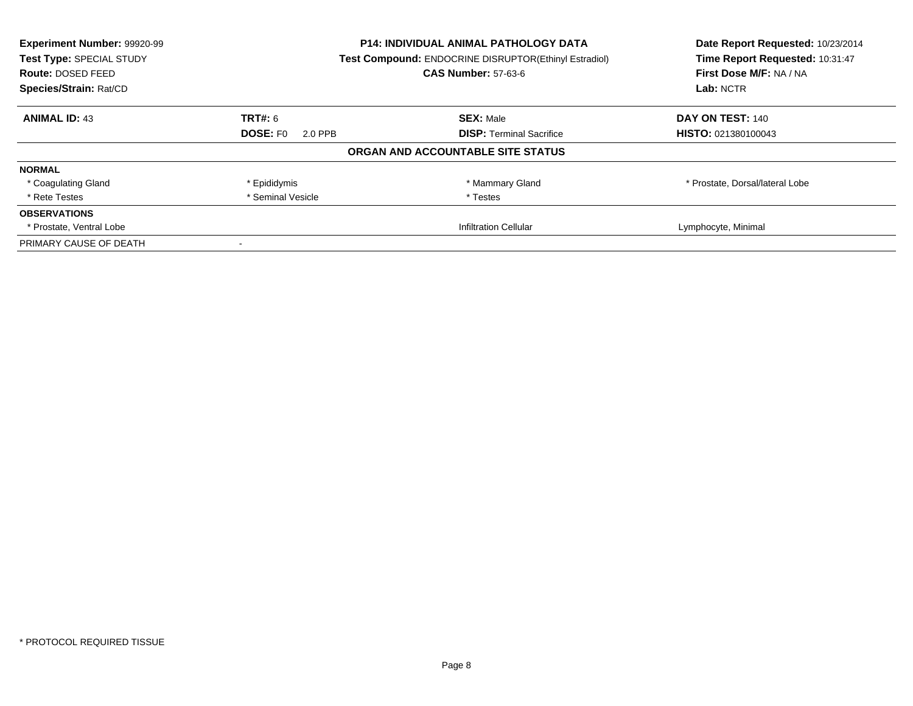| Experiment Number: 99920-99 | <b>P14: INDIVIDUAL ANIMAL PATHOLOGY DATA</b> |                                                       | Date Report Requested: 10/23/2014 |  |
|-----------------------------|----------------------------------------------|-------------------------------------------------------|-----------------------------------|--|
| Test Type: SPECIAL STUDY    |                                              | Test Compound: ENDOCRINE DISRUPTOR(Ethinyl Estradiol) | Time Report Requested: 10:31:47   |  |
| Route: DOSED FEED           | <b>CAS Number: 57-63-6</b>                   | First Dose M/F: NA / NA                               |                                   |  |
| Species/Strain: Rat/CD      |                                              |                                                       | Lab: NCTR                         |  |
| <b>ANIMAL ID: 43</b>        | TRT#: 6                                      | <b>SEX: Male</b>                                      | DAY ON TEST: 140                  |  |
|                             | <b>DOSE: FO</b><br>2.0 PPB                   | <b>DISP:</b> Terminal Sacrifice                       | HISTO: 021380100043               |  |
|                             |                                              | ORGAN AND ACCOUNTABLE SITE STATUS                     |                                   |  |
| <b>NORMAL</b>               |                                              |                                                       |                                   |  |
| * Coagulating Gland         | * Epididymis                                 | * Mammary Gland                                       | * Prostate, Dorsal/lateral Lobe   |  |
| * Rete Testes               | * Seminal Vesicle                            | * Testes                                              |                                   |  |
| <b>OBSERVATIONS</b>         |                                              |                                                       |                                   |  |
| * Prostate, Ventral Lobe    |                                              | <b>Infiltration Cellular</b>                          | Lymphocyte, Minimal               |  |
| PRIMARY CAUSE OF DEATH      |                                              |                                                       |                                   |  |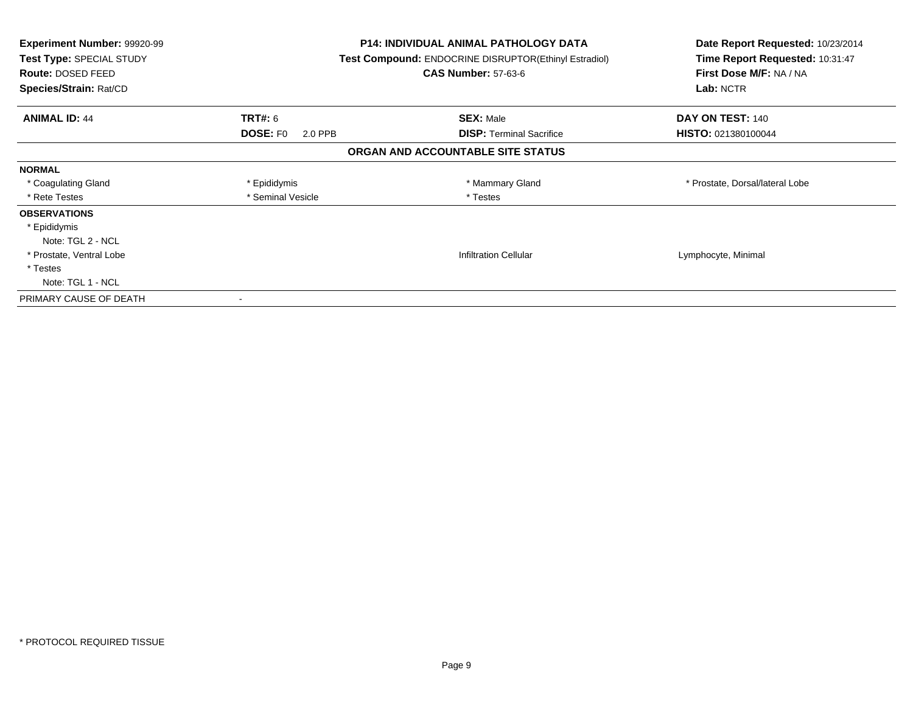| Experiment Number: 99920-99<br>Test Type: SPECIAL STUDY<br>Route: DOSED FEED<br>Species/Strain: Rat/CD |                            | <b>P14: INDIVIDUAL ANIMAL PATHOLOGY DATA</b><br>Test Compound: ENDOCRINE DISRUPTOR(Ethinyl Estradiol)<br><b>CAS Number: 57-63-6</b> | Date Report Requested: 10/23/2014<br>Time Report Requested: 10:31:47<br>First Dose M/F: NA / NA<br>Lab: NCTR |
|--------------------------------------------------------------------------------------------------------|----------------------------|-------------------------------------------------------------------------------------------------------------------------------------|--------------------------------------------------------------------------------------------------------------|
| <b>ANIMAL ID: 44</b>                                                                                   | <b>TRT#: 6</b>             | <b>SEX: Male</b>                                                                                                                    | DAY ON TEST: 140                                                                                             |
|                                                                                                        | <b>DOSE: FO</b><br>2.0 PPB | <b>DISP:</b> Terminal Sacrifice                                                                                                     | HISTO: 021380100044                                                                                          |
|                                                                                                        |                            | ORGAN AND ACCOUNTABLE SITE STATUS                                                                                                   |                                                                                                              |
| <b>NORMAL</b>                                                                                          |                            |                                                                                                                                     |                                                                                                              |
| * Coagulating Gland                                                                                    | * Epididymis               | * Mammary Gland                                                                                                                     | * Prostate, Dorsal/lateral Lobe                                                                              |
| * Rete Testes                                                                                          | * Seminal Vesicle          | * Testes                                                                                                                            |                                                                                                              |
| <b>OBSERVATIONS</b>                                                                                    |                            |                                                                                                                                     |                                                                                                              |
| * Epididymis                                                                                           |                            |                                                                                                                                     |                                                                                                              |
| Note: TGL 2 - NCL                                                                                      |                            |                                                                                                                                     |                                                                                                              |
| * Prostate, Ventral Lobe                                                                               |                            | <b>Infiltration Cellular</b>                                                                                                        | Lymphocyte, Minimal                                                                                          |
| * Testes                                                                                               |                            |                                                                                                                                     |                                                                                                              |
| Note: TGL 1 - NCL                                                                                      |                            |                                                                                                                                     |                                                                                                              |
| PRIMARY CAUSE OF DEATH                                                                                 |                            |                                                                                                                                     |                                                                                                              |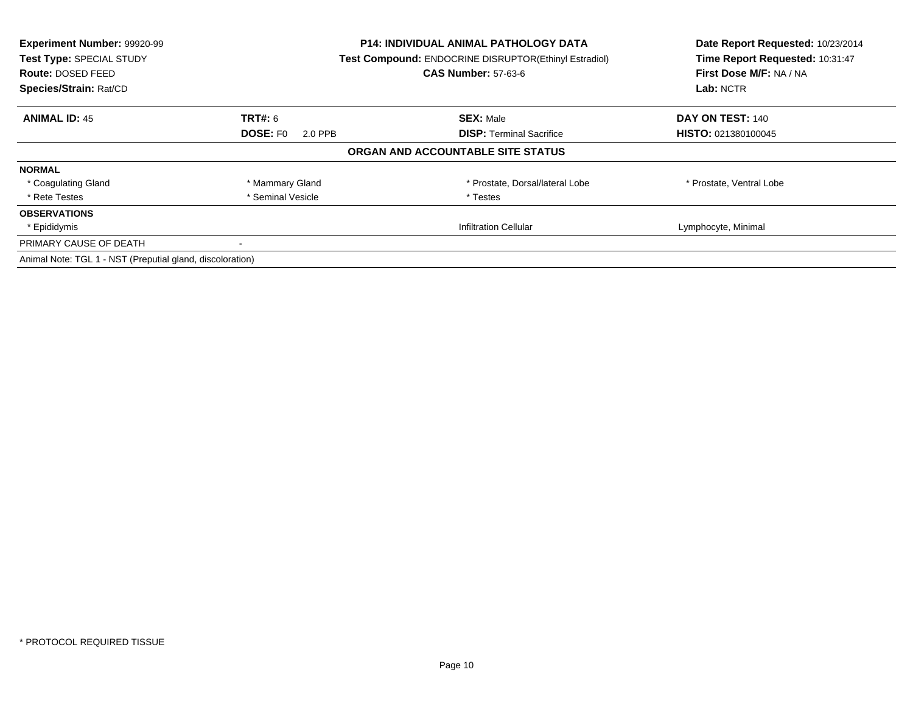| Experiment Number: 99920-99<br>Test Type: SPECIAL STUDY<br><b>Route: DOSED FEED</b><br>Species/Strain: Rat/CD | P14: INDIVIDUAL ANIMAL PATHOLOGY DATA<br>Test Compound: ENDOCRINE DISRUPTOR(Ethinyl Estradiol)<br><b>CAS Number: 57-63-6</b> |                                   | Date Report Requested: 10/23/2014<br>Time Report Requested: 10:31:47<br>First Dose M/F: NA / NA<br>Lab: NCTR |
|---------------------------------------------------------------------------------------------------------------|------------------------------------------------------------------------------------------------------------------------------|-----------------------------------|--------------------------------------------------------------------------------------------------------------|
| <b>ANIMAL ID: 45</b>                                                                                          | TRT#: 6                                                                                                                      | <b>SEX: Male</b>                  | DAY ON TEST: 140                                                                                             |
|                                                                                                               | <b>DOSE: FO</b><br>2.0 PPB                                                                                                   | <b>DISP:</b> Terminal Sacrifice   | HISTO: 021380100045                                                                                          |
|                                                                                                               |                                                                                                                              | ORGAN AND ACCOUNTABLE SITE STATUS |                                                                                                              |
| <b>NORMAL</b>                                                                                                 |                                                                                                                              |                                   |                                                                                                              |
| * Coagulating Gland                                                                                           | * Mammary Gland                                                                                                              | * Prostate, Dorsal/lateral Lobe   | * Prostate, Ventral Lobe                                                                                     |
| * Rete Testes                                                                                                 | * Seminal Vesicle                                                                                                            | * Testes                          |                                                                                                              |
| <b>OBSERVATIONS</b>                                                                                           |                                                                                                                              |                                   |                                                                                                              |
| * Epididymis                                                                                                  |                                                                                                                              | <b>Infiltration Cellular</b>      | Lymphocyte, Minimal                                                                                          |
| PRIMARY CAUSE OF DEATH                                                                                        |                                                                                                                              |                                   |                                                                                                              |
| Animal Note: TGL 1 - NST (Preputial gland, discoloration)                                                     |                                                                                                                              |                                   |                                                                                                              |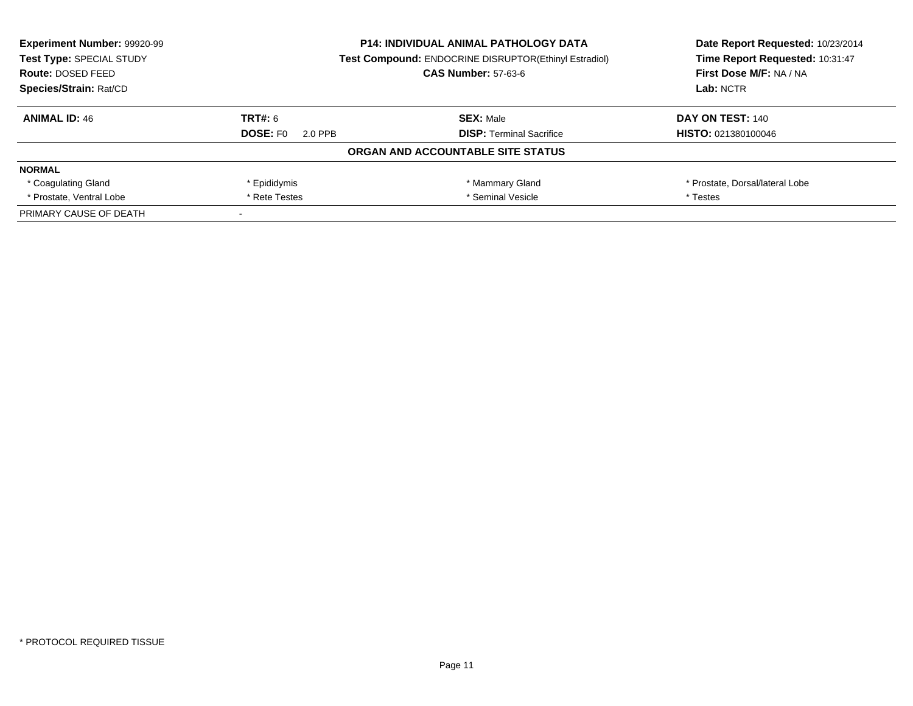| <b>Experiment Number: 99920-99</b> | <b>P14: INDIVIDUAL ANIMAL PATHOLOGY DATA</b><br><b>Test Compound: ENDOCRINE DISRUPTOR(Ethinyl Estradiol)</b> |                                   | Date Report Requested: 10/23/2014 |
|------------------------------------|--------------------------------------------------------------------------------------------------------------|-----------------------------------|-----------------------------------|
| Test Type: SPECIAL STUDY           |                                                                                                              |                                   | Time Report Requested: 10:31:47   |
| <b>Route: DOSED FEED</b>           |                                                                                                              | <b>CAS Number: 57-63-6</b>        | First Dose M/F: NA / NA           |
| Species/Strain: Rat/CD             |                                                                                                              |                                   | Lab: NCTR                         |
| <b>ANIMAL ID: 46</b>               | TRT#: 6                                                                                                      | <b>SEX: Male</b>                  | <b>DAY ON TEST: 140</b>           |
|                                    | <b>DOSE: FO</b><br>2.0 PPB                                                                                   | <b>DISP: Terminal Sacrifice</b>   | <b>HISTO: 021380100046</b>        |
|                                    |                                                                                                              | ORGAN AND ACCOUNTABLE SITE STATUS |                                   |
| <b>NORMAL</b>                      |                                                                                                              |                                   |                                   |
| * Coagulating Gland                | * Epididymis                                                                                                 | * Mammary Gland                   | * Prostate, Dorsal/lateral Lobe   |
| * Prostate, Ventral Lobe           | * Seminal Vesicle<br>* Rete Testes                                                                           |                                   | * Testes                          |
| PRIMARY CAUSE OF DEATH             |                                                                                                              |                                   |                                   |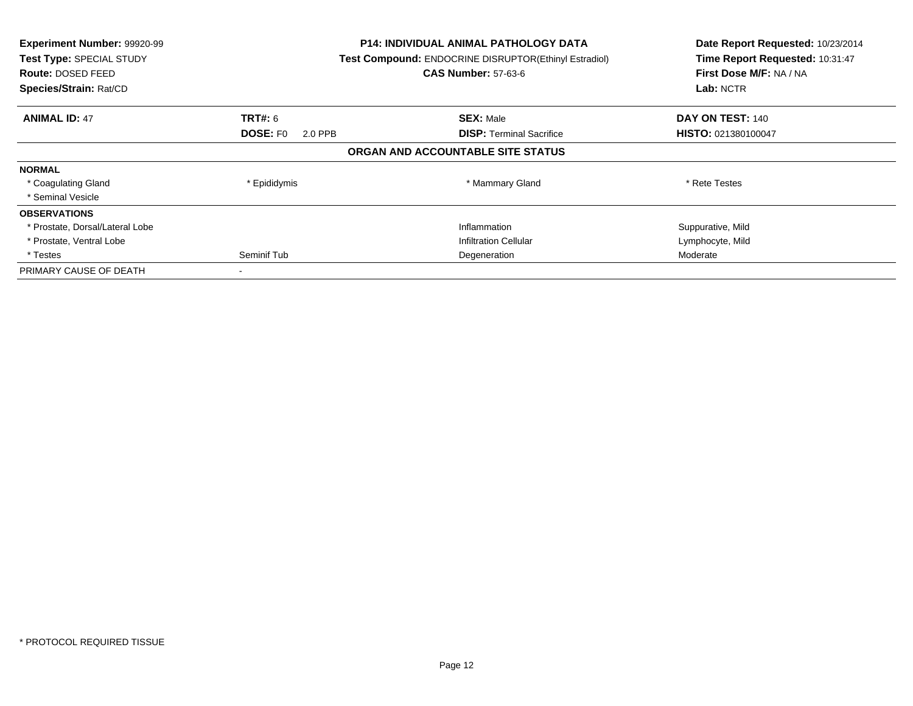| Experiment Number: 99920-99<br>Test Type: SPECIAL STUDY<br>Route: DOSED FEED<br>Species/Strain: Rat/CD |                            | <b>P14: INDIVIDUAL ANIMAL PATHOLOGY DATA</b><br>Test Compound: ENDOCRINE DISRUPTOR(Ethinyl Estradiol)<br><b>CAS Number: 57-63-6</b> | Date Report Requested: 10/23/2014<br>Time Report Requested: 10:31:47<br>First Dose M/F: NA / NA<br>Lab: NCTR |
|--------------------------------------------------------------------------------------------------------|----------------------------|-------------------------------------------------------------------------------------------------------------------------------------|--------------------------------------------------------------------------------------------------------------|
| <b>ANIMAL ID: 47</b>                                                                                   | <b>TRT#:</b> 6             | <b>SEX: Male</b>                                                                                                                    | DAY ON TEST: 140                                                                                             |
|                                                                                                        | <b>DOSE: FO</b><br>2.0 PPB | <b>DISP: Terminal Sacrifice</b>                                                                                                     | <b>HISTO: 021380100047</b>                                                                                   |
|                                                                                                        |                            | ORGAN AND ACCOUNTABLE SITE STATUS                                                                                                   |                                                                                                              |
| <b>NORMAL</b>                                                                                          |                            |                                                                                                                                     |                                                                                                              |
| * Coagulating Gland                                                                                    | * Epididymis               | * Mammary Gland                                                                                                                     | * Rete Testes                                                                                                |
| * Seminal Vesicle                                                                                      |                            |                                                                                                                                     |                                                                                                              |
| <b>OBSERVATIONS</b>                                                                                    |                            |                                                                                                                                     |                                                                                                              |
| * Prostate, Dorsal/Lateral Lobe                                                                        |                            | Inflammation                                                                                                                        | Suppurative, Mild                                                                                            |
| * Prostate, Ventral Lobe                                                                               |                            | <b>Infiltration Cellular</b>                                                                                                        | Lymphocyte, Mild                                                                                             |
| * Testes                                                                                               | Seminif Tub                | Degeneration                                                                                                                        | Moderate                                                                                                     |
| PRIMARY CAUSE OF DEATH                                                                                 |                            |                                                                                                                                     |                                                                                                              |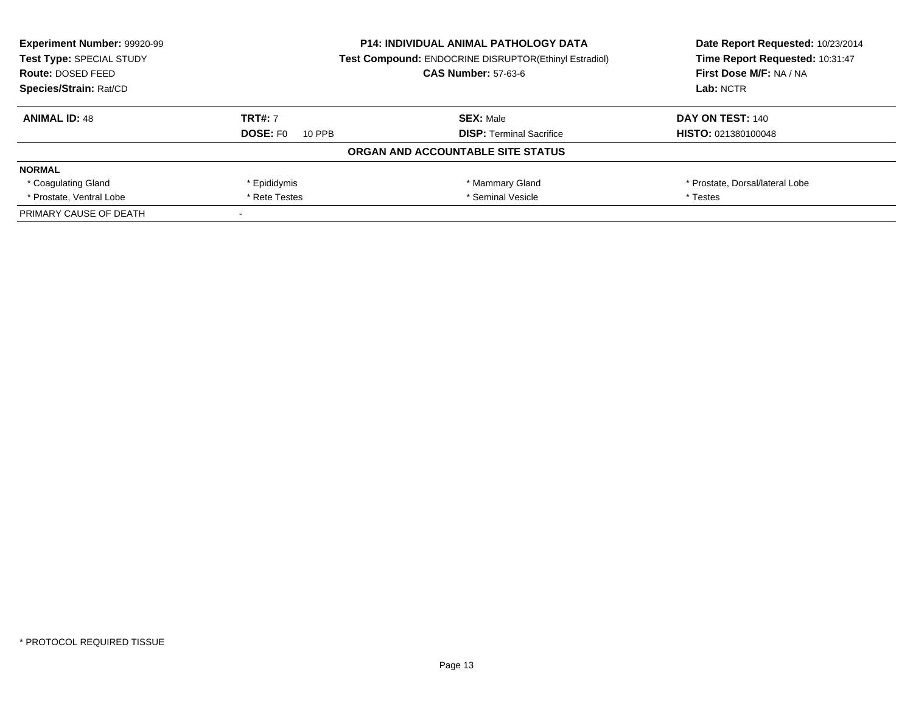| <b>Experiment Number: 99920-99</b><br>Test Type: SPECIAL STUDY<br><b>Route: DOSED FEED</b> |                                    | <b>P14: INDIVIDUAL ANIMAL PATHOLOGY DATA</b><br><b>Test Compound: ENDOCRINE DISRUPTOR(Ethinyl Estradiol)</b><br><b>CAS Number: 57-63-6</b> | Date Report Requested: 10/23/2014<br>Time Report Requested: 10:31:47<br>First Dose M/F: NA / NA |
|--------------------------------------------------------------------------------------------|------------------------------------|--------------------------------------------------------------------------------------------------------------------------------------------|-------------------------------------------------------------------------------------------------|
| Species/Strain: Rat/CD                                                                     |                                    |                                                                                                                                            | Lab: NCTR                                                                                       |
| <b>ANIMAL ID: 48</b>                                                                       | <b>TRT#: 7</b>                     | <b>SEX: Male</b>                                                                                                                           | DAY ON TEST: 140                                                                                |
|                                                                                            | <b>DOSE: FO</b><br>10 PPB          | <b>DISP:</b> Terminal Sacrifice                                                                                                            | <b>HISTO: 021380100048</b>                                                                      |
|                                                                                            |                                    | ORGAN AND ACCOUNTABLE SITE STATUS                                                                                                          |                                                                                                 |
| <b>NORMAL</b>                                                                              |                                    |                                                                                                                                            |                                                                                                 |
| * Coagulating Gland                                                                        | * Epididymis                       | * Mammary Gland                                                                                                                            | * Prostate, Dorsal/lateral Lobe                                                                 |
| * Prostate, Ventral Lobe                                                                   | * Seminal Vesicle<br>* Rete Testes |                                                                                                                                            | * Testes                                                                                        |
| PRIMARY CAUSE OF DEATH                                                                     |                                    |                                                                                                                                            |                                                                                                 |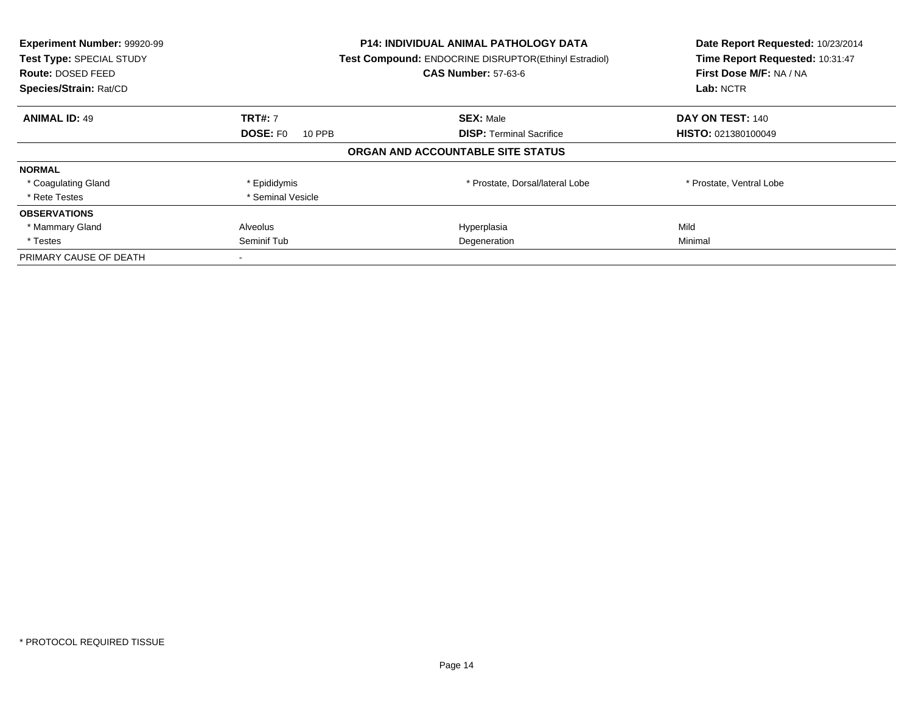| Experiment Number: 99920-99<br>Test Type: SPECIAL STUDY<br><b>Route: DOSED FEED</b><br>Species/Strain: Rat/CD |                           | <b>P14: INDIVIDUAL ANIMAL PATHOLOGY DATA</b><br>Test Compound: ENDOCRINE DISRUPTOR(Ethinyl Estradiol)<br><b>CAS Number: 57-63-6</b> | Date Report Requested: 10/23/2014<br>Time Report Requested: 10:31:47<br>First Dose M/F: NA / NA<br>Lab: NCTR |
|---------------------------------------------------------------------------------------------------------------|---------------------------|-------------------------------------------------------------------------------------------------------------------------------------|--------------------------------------------------------------------------------------------------------------|
| <b>ANIMAL ID: 49</b>                                                                                          | <b>TRT#: 7</b>            | <b>SEX: Male</b>                                                                                                                    | DAY ON TEST: 140                                                                                             |
|                                                                                                               | <b>DOSE: FO</b><br>10 PPB | <b>DISP:</b> Terminal Sacrifice                                                                                                     | <b>HISTO: 021380100049</b>                                                                                   |
|                                                                                                               |                           | ORGAN AND ACCOUNTABLE SITE STATUS                                                                                                   |                                                                                                              |
| <b>NORMAL</b>                                                                                                 |                           |                                                                                                                                     |                                                                                                              |
| * Coagulating Gland                                                                                           | * Epididymis              | * Prostate, Dorsal/lateral Lobe                                                                                                     | * Prostate, Ventral Lobe                                                                                     |
| * Rete Testes                                                                                                 | * Seminal Vesicle         |                                                                                                                                     |                                                                                                              |
| <b>OBSERVATIONS</b>                                                                                           |                           |                                                                                                                                     |                                                                                                              |
| * Mammary Gland                                                                                               | Alveolus                  | Hyperplasia                                                                                                                         | Mild                                                                                                         |
| * Testes                                                                                                      | Seminif Tub               | Degeneration                                                                                                                        | Minimal                                                                                                      |
| PRIMARY CAUSE OF DEATH                                                                                        |                           |                                                                                                                                     |                                                                                                              |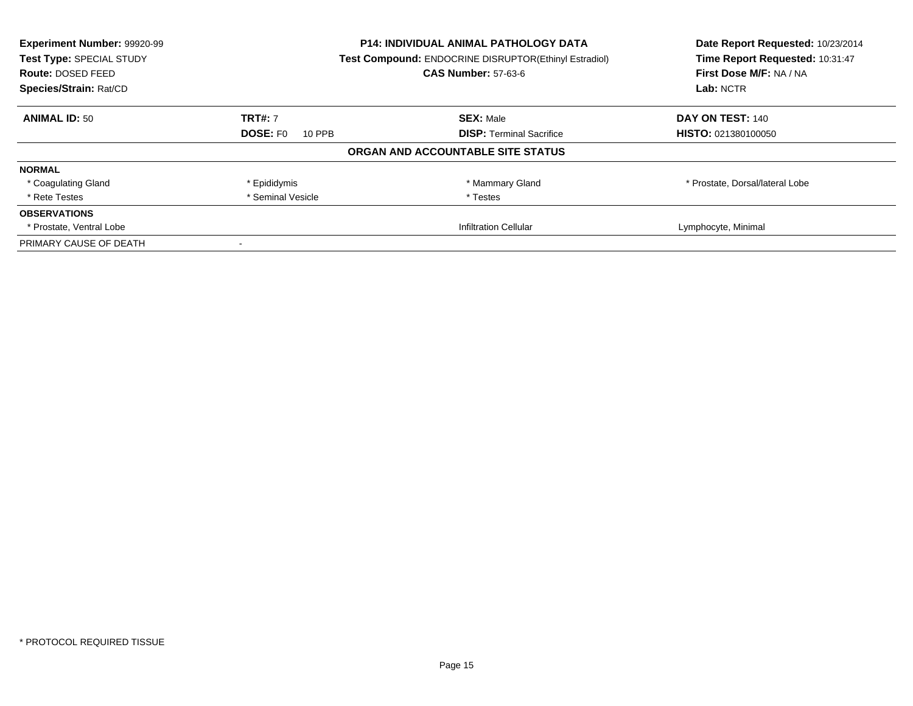| Experiment Number: 99920-99<br>Test Type: SPECIAL STUDY | <b>P14: INDIVIDUAL ANIMAL PATHOLOGY DATA</b><br>Test Compound: ENDOCRINE DISRUPTOR(Ethinyl Estradiol)<br><b>CAS Number: 57-63-6</b><br><b>Route: DOSED FEED</b> |                                   | Date Report Requested: 10/23/2014<br>Time Report Requested: 10:31:47 |
|---------------------------------------------------------|-----------------------------------------------------------------------------------------------------------------------------------------------------------------|-----------------------------------|----------------------------------------------------------------------|
| Species/Strain: Rat/CD                                  |                                                                                                                                                                 |                                   | First Dose M/F: NA / NA<br>Lab: NCTR                                 |
|                                                         |                                                                                                                                                                 |                                   |                                                                      |
| <b>ANIMAL ID: 50</b>                                    | <b>TRT#: 7</b>                                                                                                                                                  | <b>SEX: Male</b>                  | DAY ON TEST: 140                                                     |
|                                                         | <b>DOSE: FO</b><br>10 PPB                                                                                                                                       | <b>DISP:</b> Terminal Sacrifice   | HISTO: 021380100050                                                  |
|                                                         |                                                                                                                                                                 | ORGAN AND ACCOUNTABLE SITE STATUS |                                                                      |
| <b>NORMAL</b>                                           |                                                                                                                                                                 |                                   |                                                                      |
| * Coagulating Gland                                     | * Epididymis                                                                                                                                                    | * Mammary Gland                   | * Prostate, Dorsal/lateral Lobe                                      |
| * Rete Testes                                           | * Seminal Vesicle                                                                                                                                               | * Testes                          |                                                                      |
| <b>OBSERVATIONS</b>                                     |                                                                                                                                                                 |                                   |                                                                      |
| * Prostate, Ventral Lobe                                |                                                                                                                                                                 | <b>Infiltration Cellular</b>      | Lymphocyte, Minimal                                                  |
| PRIMARY CAUSE OF DEATH                                  |                                                                                                                                                                 |                                   |                                                                      |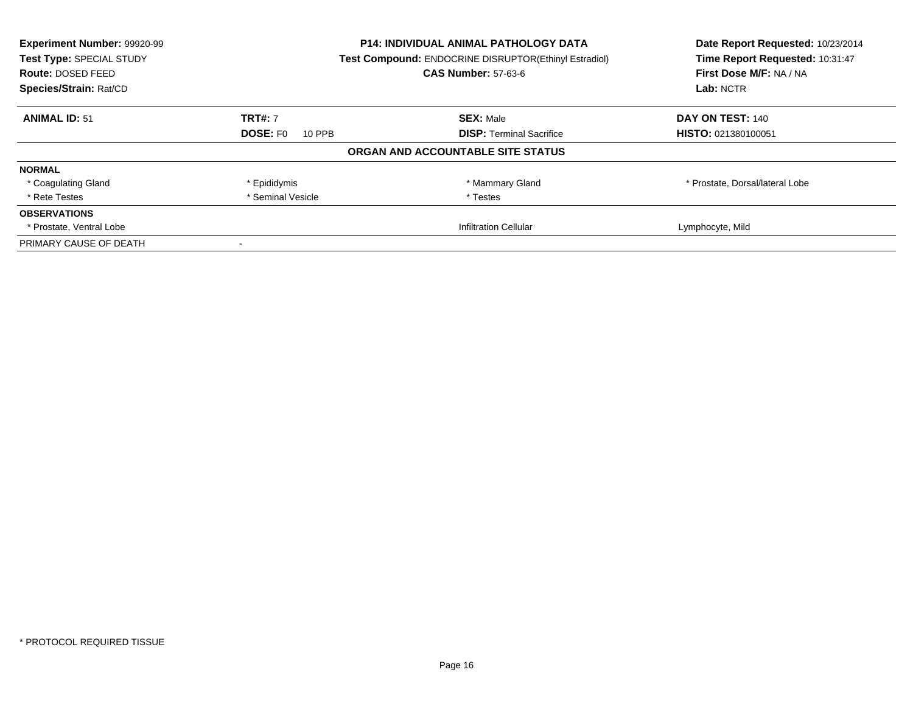| Experiment Number: 99920-99<br>Test Type: SPECIAL STUDY | <b>P14: INDIVIDUAL ANIMAL PATHOLOGY DATA</b><br>Test Compound: ENDOCRINE DISRUPTOR(Ethinyl Estradiol) |                                   | Date Report Requested: 10/23/2014<br>Time Report Requested: 10:31:47 |
|---------------------------------------------------------|-------------------------------------------------------------------------------------------------------|-----------------------------------|----------------------------------------------------------------------|
| <b>Route: DOSED FEED</b>                                |                                                                                                       | <b>CAS Number: 57-63-6</b>        | First Dose M/F: NA / NA                                              |
| Species/Strain: Rat/CD                                  |                                                                                                       |                                   | Lab: NCTR                                                            |
| <b>ANIMAL ID: 51</b>                                    | <b>TRT#: 7</b>                                                                                        | <b>SEX: Male</b>                  | DAY ON TEST: 140                                                     |
|                                                         | <b>DOSE: FO</b><br>10 PPB                                                                             | <b>DISP:</b> Terminal Sacrifice   | HISTO: 021380100051                                                  |
|                                                         |                                                                                                       | ORGAN AND ACCOUNTABLE SITE STATUS |                                                                      |
| <b>NORMAL</b>                                           |                                                                                                       |                                   |                                                                      |
| * Coagulating Gland                                     | * Epididymis                                                                                          | * Mammary Gland                   | * Prostate, Dorsal/lateral Lobe                                      |
| * Rete Testes                                           | * Seminal Vesicle                                                                                     | * Testes                          |                                                                      |
| <b>OBSERVATIONS</b>                                     |                                                                                                       |                                   |                                                                      |
| * Prostate, Ventral Lobe                                |                                                                                                       | <b>Infiltration Cellular</b>      | Lymphocyte, Mild                                                     |
| PRIMARY CAUSE OF DEATH                                  |                                                                                                       |                                   |                                                                      |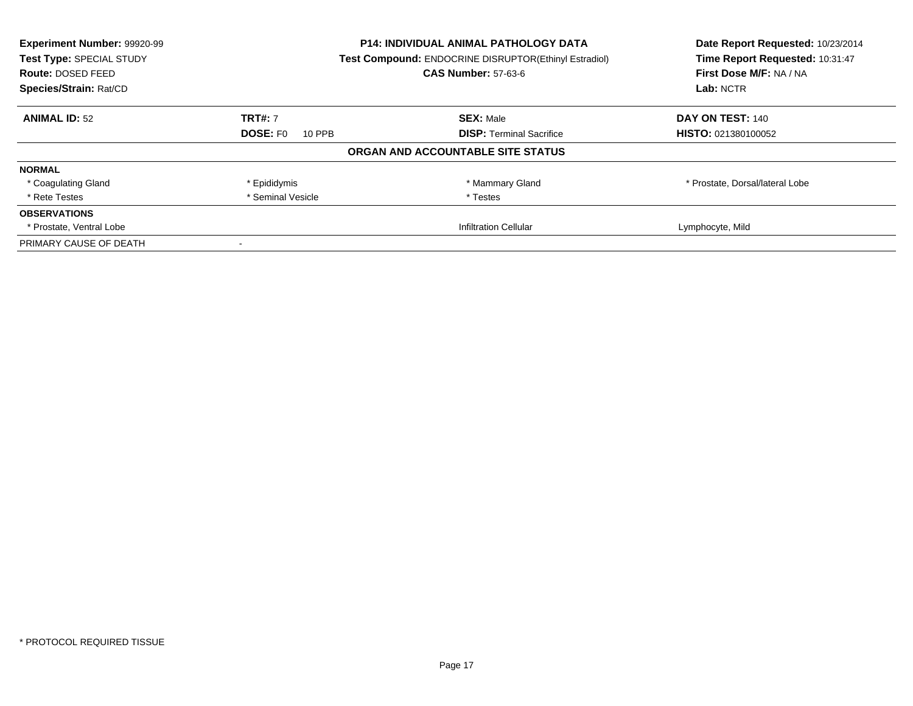| Experiment Number: 99920-99<br>Test Type: SPECIAL STUDY<br>Route: DOSED FEED |                           | <b>P14: INDIVIDUAL ANIMAL PATHOLOGY DATA</b><br>Test Compound: ENDOCRINE DISRUPTOR(Ethinyl Estradiol)<br><b>CAS Number: 57-63-6</b> |                                 |
|------------------------------------------------------------------------------|---------------------------|-------------------------------------------------------------------------------------------------------------------------------------|---------------------------------|
| Species/Strain: Rat/CD                                                       |                           |                                                                                                                                     | Lab: NCTR                       |
| <b>ANIMAL ID: 52</b>                                                         | <b>TRT#: 7</b>            | <b>SEX: Male</b>                                                                                                                    | DAY ON TEST: 140                |
|                                                                              | <b>DOSE: FO</b><br>10 PPB | <b>DISP:</b> Terminal Sacrifice                                                                                                     | <b>HISTO: 021380100052</b>      |
|                                                                              |                           | ORGAN AND ACCOUNTABLE SITE STATUS                                                                                                   |                                 |
| <b>NORMAL</b>                                                                |                           |                                                                                                                                     |                                 |
| * Coagulating Gland                                                          | * Epididymis              | * Mammary Gland                                                                                                                     | * Prostate, Dorsal/lateral Lobe |
| * Rete Testes                                                                | * Seminal Vesicle         | * Testes                                                                                                                            |                                 |
| <b>OBSERVATIONS</b>                                                          |                           |                                                                                                                                     |                                 |
| * Prostate, Ventral Lobe                                                     |                           | <b>Infiltration Cellular</b>                                                                                                        | Lymphocyte, Mild                |
| PRIMARY CAUSE OF DEATH                                                       |                           |                                                                                                                                     |                                 |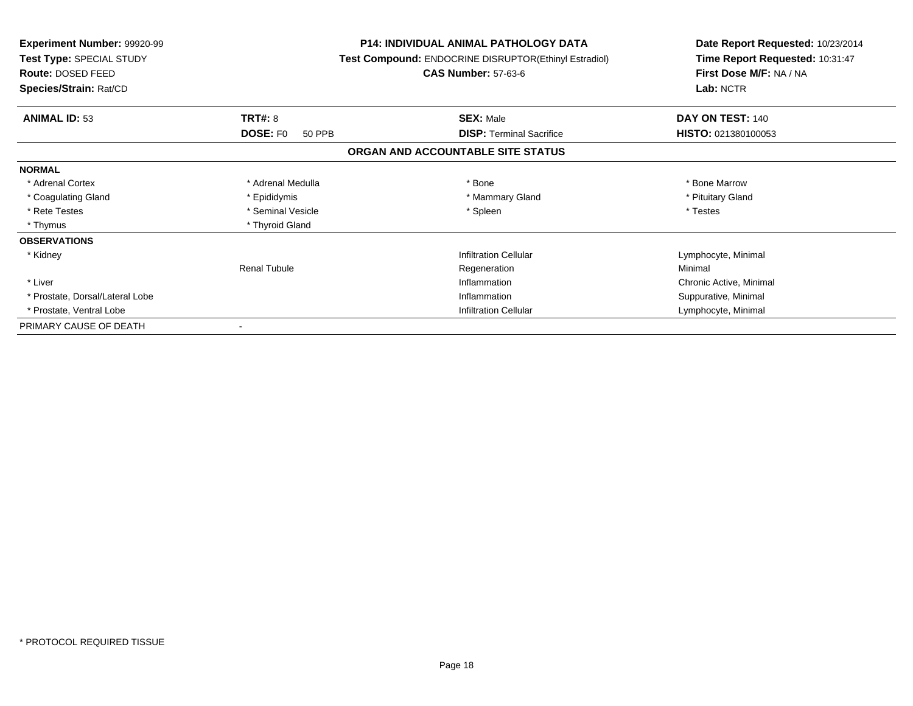| <b>Experiment Number: 99920-99</b><br><b>Test Type: SPECIAL STUDY</b><br>Route: DOSED FEED |                     | <b>P14: INDIVIDUAL ANIMAL PATHOLOGY DATA</b><br>Test Compound: ENDOCRINE DISRUPTOR(Ethinyl Estradiol)<br><b>CAS Number: 57-63-6</b> | Date Report Requested: 10/23/2014<br>Time Report Requested: 10:31:47<br>First Dose M/F: NA / NA<br>Lab: NCTR |
|--------------------------------------------------------------------------------------------|---------------------|-------------------------------------------------------------------------------------------------------------------------------------|--------------------------------------------------------------------------------------------------------------|
| Species/Strain: Rat/CD                                                                     |                     |                                                                                                                                     |                                                                                                              |
| <b>ANIMAL ID: 53</b>                                                                       | <b>TRT#: 8</b>      | <b>SEX: Male</b>                                                                                                                    | DAY ON TEST: 140                                                                                             |
|                                                                                            | DOSE: FO<br>50 PPB  | <b>DISP:</b> Terminal Sacrifice                                                                                                     | <b>HISTO: 021380100053</b>                                                                                   |
|                                                                                            |                     | ORGAN AND ACCOUNTABLE SITE STATUS                                                                                                   |                                                                                                              |
| <b>NORMAL</b>                                                                              |                     |                                                                                                                                     |                                                                                                              |
| * Adrenal Cortex                                                                           | * Adrenal Medulla   | * Bone                                                                                                                              | * Bone Marrow                                                                                                |
| * Coagulating Gland                                                                        | * Epididymis        | * Mammary Gland                                                                                                                     | * Pituitary Gland                                                                                            |
| * Rete Testes                                                                              | * Seminal Vesicle   | * Spleen                                                                                                                            | * Testes                                                                                                     |
| * Thymus                                                                                   | * Thyroid Gland     |                                                                                                                                     |                                                                                                              |
| <b>OBSERVATIONS</b>                                                                        |                     |                                                                                                                                     |                                                                                                              |
| * Kidney                                                                                   |                     | <b>Infiltration Cellular</b>                                                                                                        | Lymphocyte, Minimal                                                                                          |
|                                                                                            | <b>Renal Tubule</b> | Regeneration                                                                                                                        | Minimal                                                                                                      |
| * Liver                                                                                    |                     | Inflammation                                                                                                                        | Chronic Active, Minimal                                                                                      |
| * Prostate, Dorsal/Lateral Lobe                                                            |                     | Inflammation                                                                                                                        | Suppurative, Minimal                                                                                         |
| * Prostate, Ventral Lobe                                                                   |                     | <b>Infiltration Cellular</b>                                                                                                        | Lymphocyte, Minimal                                                                                          |
| PRIMARY CAUSE OF DEATH                                                                     |                     |                                                                                                                                     |                                                                                                              |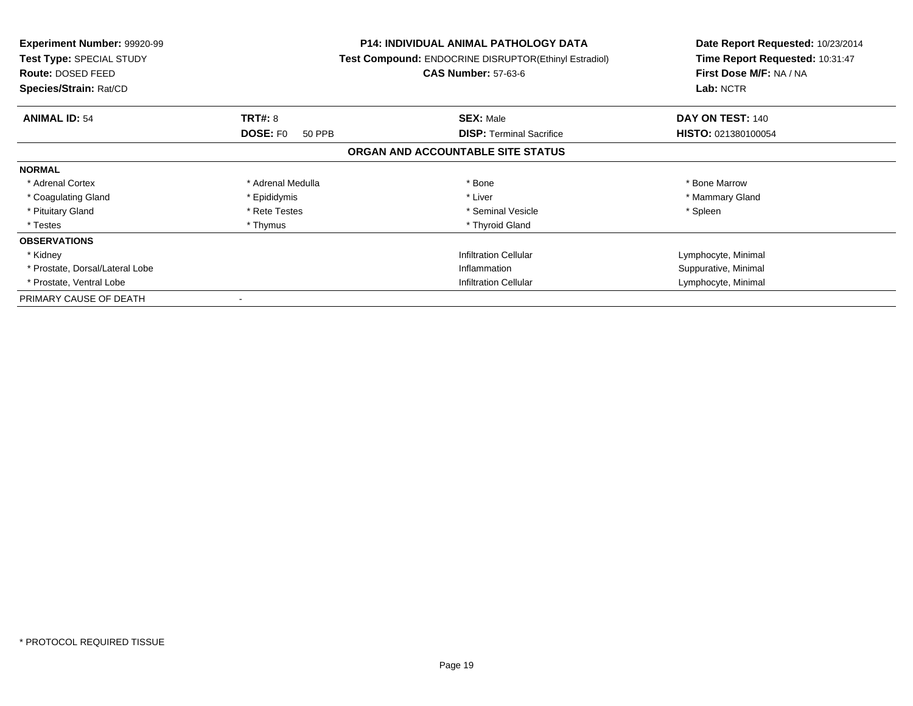| <b>Experiment Number: 99920-99</b><br>Test Type: SPECIAL STUDY<br>Route: DOSED FEED<br>Species/Strain: Rat/CD |                           | <b>P14: INDIVIDUAL ANIMAL PATHOLOGY DATA</b><br>Test Compound: ENDOCRINE DISRUPTOR(Ethinyl Estradiol)<br><b>CAS Number: 57-63-6</b> | Date Report Requested: 10/23/2014<br>Time Report Requested: 10:31:47<br>First Dose M/F: NA / NA<br>Lab: NCTR |
|---------------------------------------------------------------------------------------------------------------|---------------------------|-------------------------------------------------------------------------------------------------------------------------------------|--------------------------------------------------------------------------------------------------------------|
| <b>ANIMAL ID: 54</b>                                                                                          | <b>TRT#: 8</b>            | <b>SEX: Male</b>                                                                                                                    | DAY ON TEST: 140                                                                                             |
|                                                                                                               | <b>DOSE: FO</b><br>50 PPB | <b>DISP:</b> Terminal Sacrifice                                                                                                     | <b>HISTO: 021380100054</b>                                                                                   |
|                                                                                                               |                           | ORGAN AND ACCOUNTABLE SITE STATUS                                                                                                   |                                                                                                              |
| <b>NORMAL</b>                                                                                                 |                           |                                                                                                                                     |                                                                                                              |
| * Adrenal Cortex                                                                                              | * Adrenal Medulla         | * Bone                                                                                                                              | * Bone Marrow                                                                                                |
| * Coagulating Gland                                                                                           | * Epididymis              | * Liver                                                                                                                             | * Mammary Gland                                                                                              |
| * Pituitary Gland                                                                                             | * Rete Testes             | * Seminal Vesicle                                                                                                                   | * Spleen                                                                                                     |
| * Testes                                                                                                      | * Thymus                  | * Thyroid Gland                                                                                                                     |                                                                                                              |
| <b>OBSERVATIONS</b>                                                                                           |                           |                                                                                                                                     |                                                                                                              |
| * Kidney                                                                                                      |                           | <b>Infiltration Cellular</b>                                                                                                        | Lymphocyte, Minimal                                                                                          |
| * Prostate, Dorsal/Lateral Lobe                                                                               |                           | Inflammation                                                                                                                        | Suppurative, Minimal                                                                                         |
| * Prostate, Ventral Lobe                                                                                      |                           | <b>Infiltration Cellular</b>                                                                                                        | Lymphocyte, Minimal                                                                                          |
| PRIMARY CAUSE OF DEATH                                                                                        |                           |                                                                                                                                     |                                                                                                              |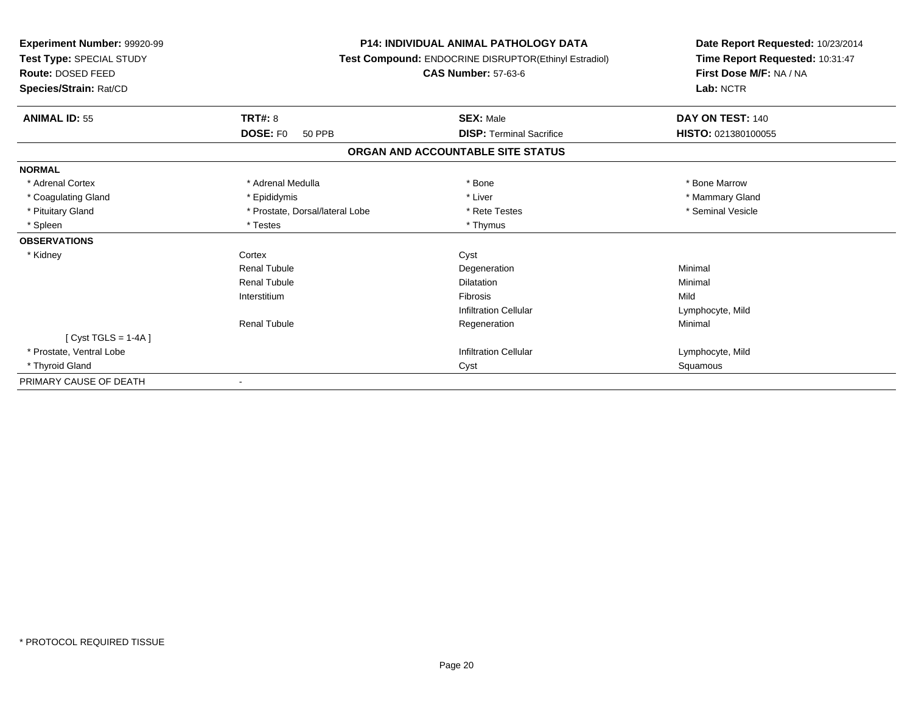| Experiment Number: 99920-99<br>Test Type: SPECIAL STUDY<br>Route: DOSED FEED<br>Species/Strain: Rat/CD |                                  | <b>P14: INDIVIDUAL ANIMAL PATHOLOGY DATA</b><br>Test Compound: ENDOCRINE DISRUPTOR(Ethinyl Estradiol)<br><b>CAS Number: 57-63-6</b> | Date Report Requested: 10/23/2014<br>Time Report Requested: 10:31:47<br>First Dose M/F: NA / NA<br>Lab: NCTR |
|--------------------------------------------------------------------------------------------------------|----------------------------------|-------------------------------------------------------------------------------------------------------------------------------------|--------------------------------------------------------------------------------------------------------------|
| <b>ANIMAL ID: 55</b>                                                                                   | <b>TRT#: 8</b>                   | <b>SEX: Male</b>                                                                                                                    | DAY ON TEST: 140                                                                                             |
|                                                                                                        | <b>DOSE: FO</b><br><b>50 PPB</b> | <b>DISP: Terminal Sacrifice</b>                                                                                                     | HISTO: 021380100055                                                                                          |
|                                                                                                        |                                  | ORGAN AND ACCOUNTABLE SITE STATUS                                                                                                   |                                                                                                              |
| <b>NORMAL</b>                                                                                          |                                  |                                                                                                                                     |                                                                                                              |
| * Adrenal Cortex                                                                                       | * Adrenal Medulla                | * Bone                                                                                                                              | * Bone Marrow                                                                                                |
| * Coagulating Gland                                                                                    | * Epididymis                     | * Liver                                                                                                                             | * Mammary Gland                                                                                              |
| * Pituitary Gland                                                                                      | * Prostate, Dorsal/lateral Lobe  | * Rete Testes                                                                                                                       | * Seminal Vesicle                                                                                            |
| * Spleen                                                                                               | * Testes                         | * Thymus                                                                                                                            |                                                                                                              |
| <b>OBSERVATIONS</b>                                                                                    |                                  |                                                                                                                                     |                                                                                                              |
| * Kidney                                                                                               | Cortex                           | Cyst                                                                                                                                |                                                                                                              |
|                                                                                                        | <b>Renal Tubule</b>              | Degeneration                                                                                                                        | Minimal                                                                                                      |
|                                                                                                        | <b>Renal Tubule</b>              | <b>Dilatation</b>                                                                                                                   | Minimal                                                                                                      |
|                                                                                                        | Interstitium                     | <b>Fibrosis</b>                                                                                                                     | Mild                                                                                                         |
|                                                                                                        |                                  | <b>Infiltration Cellular</b>                                                                                                        | Lymphocyte, Mild                                                                                             |
|                                                                                                        | <b>Renal Tubule</b>              | Regeneration                                                                                                                        | Minimal                                                                                                      |
| [Cyst TGLS = $1-4A$ ]                                                                                  |                                  |                                                                                                                                     |                                                                                                              |
| * Prostate. Ventral Lobe                                                                               |                                  | <b>Infiltration Cellular</b>                                                                                                        | Lymphocyte, Mild                                                                                             |
| * Thyroid Gland                                                                                        |                                  | Cyst                                                                                                                                | Squamous                                                                                                     |
| PRIMARY CAUSE OF DEATH                                                                                 | $\blacksquare$                   |                                                                                                                                     |                                                                                                              |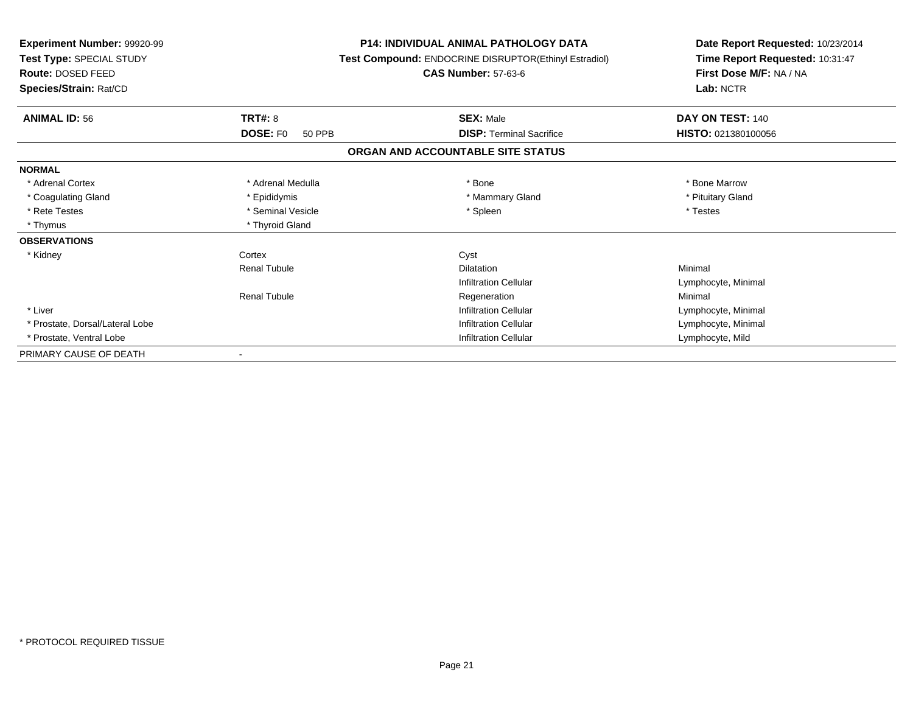| Experiment Number: 99920-99<br>Test Type: SPECIAL STUDY<br>Route: DOSED FEED<br>Species/Strain: Rat/CD |                                  | <b>P14: INDIVIDUAL ANIMAL PATHOLOGY DATA</b><br>Test Compound: ENDOCRINE DISRUPTOR(Ethinyl Estradiol)<br><b>CAS Number: 57-63-6</b> | Date Report Requested: 10/23/2014<br>Time Report Requested: 10:31:47<br>First Dose M/F: NA / NA<br>Lab: NCTR |  |
|--------------------------------------------------------------------------------------------------------|----------------------------------|-------------------------------------------------------------------------------------------------------------------------------------|--------------------------------------------------------------------------------------------------------------|--|
| <b>ANIMAL ID: 56</b>                                                                                   | <b>TRT#: 8</b>                   | <b>SEX: Male</b>                                                                                                                    | DAY ON TEST: 140                                                                                             |  |
|                                                                                                        | <b>DOSE: FO</b><br><b>50 PPB</b> | <b>DISP: Terminal Sacrifice</b>                                                                                                     | HISTO: 021380100056                                                                                          |  |
|                                                                                                        |                                  | ORGAN AND ACCOUNTABLE SITE STATUS                                                                                                   |                                                                                                              |  |
| <b>NORMAL</b>                                                                                          |                                  |                                                                                                                                     |                                                                                                              |  |
| * Adrenal Cortex                                                                                       | * Adrenal Medulla                | * Bone                                                                                                                              | * Bone Marrow                                                                                                |  |
| * Coagulating Gland                                                                                    | * Epididymis                     | * Mammary Gland                                                                                                                     | * Pituitary Gland                                                                                            |  |
| * Rete Testes                                                                                          | * Seminal Vesicle                | * Spleen                                                                                                                            | * Testes                                                                                                     |  |
| * Thymus                                                                                               | * Thyroid Gland                  |                                                                                                                                     |                                                                                                              |  |
| <b>OBSERVATIONS</b>                                                                                    |                                  |                                                                                                                                     |                                                                                                              |  |
| * Kidney                                                                                               | Cortex                           | Cyst                                                                                                                                |                                                                                                              |  |
|                                                                                                        | <b>Renal Tubule</b>              | <b>Dilatation</b>                                                                                                                   | Minimal                                                                                                      |  |
|                                                                                                        |                                  | <b>Infiltration Cellular</b>                                                                                                        | Lymphocyte, Minimal                                                                                          |  |
|                                                                                                        | <b>Renal Tubule</b>              | Regeneration                                                                                                                        | Minimal                                                                                                      |  |
| * Liver                                                                                                |                                  | <b>Infiltration Cellular</b>                                                                                                        | Lymphocyte, Minimal                                                                                          |  |
| * Prostate, Dorsal/Lateral Lobe                                                                        |                                  | <b>Infiltration Cellular</b>                                                                                                        | Lymphocyte, Minimal                                                                                          |  |
| * Prostate, Ventral Lobe                                                                               |                                  | <b>Infiltration Cellular</b>                                                                                                        | Lymphocyte, Mild                                                                                             |  |
| PRIMARY CAUSE OF DEATH                                                                                 |                                  |                                                                                                                                     |                                                                                                              |  |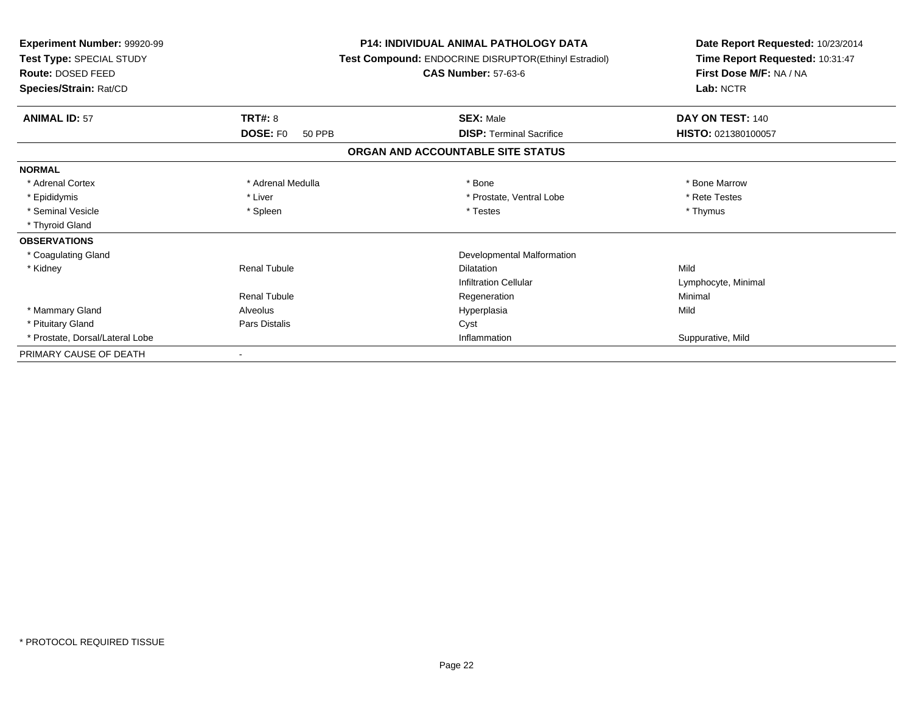| <b>Experiment Number: 99920-99</b><br>Test Type: SPECIAL STUDY<br>Route: DOSED FEED<br>Species/Strain: Rat/CD |                           | <b>P14: INDIVIDUAL ANIMAL PATHOLOGY DATA</b><br>Test Compound: ENDOCRINE DISRUPTOR(Ethinyl Estradiol)<br><b>CAS Number: 57-63-6</b> | Date Report Requested: 10/23/2014<br>Time Report Requested: 10:31:47<br>First Dose M/F: NA / NA<br>Lab: NCTR |
|---------------------------------------------------------------------------------------------------------------|---------------------------|-------------------------------------------------------------------------------------------------------------------------------------|--------------------------------------------------------------------------------------------------------------|
| <b>ANIMAL ID: 57</b>                                                                                          | TRT#: 8                   | <b>SEX: Male</b>                                                                                                                    | DAY ON TEST: 140                                                                                             |
|                                                                                                               | <b>DOSE: FO</b><br>50 PPB | <b>DISP: Terminal Sacrifice</b>                                                                                                     | HISTO: 021380100057                                                                                          |
|                                                                                                               |                           | ORGAN AND ACCOUNTABLE SITE STATUS                                                                                                   |                                                                                                              |
| <b>NORMAL</b>                                                                                                 |                           |                                                                                                                                     |                                                                                                              |
| * Adrenal Cortex                                                                                              | * Adrenal Medulla         | * Bone                                                                                                                              | * Bone Marrow                                                                                                |
| * Epididymis                                                                                                  | * Liver                   | * Prostate, Ventral Lobe                                                                                                            | * Rete Testes                                                                                                |
| * Seminal Vesicle                                                                                             | * Spleen                  | * Testes                                                                                                                            | * Thymus                                                                                                     |
| * Thyroid Gland                                                                                               |                           |                                                                                                                                     |                                                                                                              |
| <b>OBSERVATIONS</b>                                                                                           |                           |                                                                                                                                     |                                                                                                              |
| * Coagulating Gland                                                                                           |                           | Developmental Malformation                                                                                                          |                                                                                                              |
| * Kidney                                                                                                      | <b>Renal Tubule</b>       | <b>Dilatation</b>                                                                                                                   | Mild                                                                                                         |
|                                                                                                               |                           | <b>Infiltration Cellular</b>                                                                                                        | Lymphocyte, Minimal                                                                                          |
|                                                                                                               | <b>Renal Tubule</b>       | Regeneration                                                                                                                        | Minimal                                                                                                      |
| * Mammary Gland                                                                                               | Alveolus                  | Hyperplasia                                                                                                                         | Mild                                                                                                         |
| * Pituitary Gland                                                                                             | <b>Pars Distalis</b>      | Cyst                                                                                                                                |                                                                                                              |
| * Prostate, Dorsal/Lateral Lobe                                                                               |                           | Inflammation                                                                                                                        | Suppurative, Mild                                                                                            |
| PRIMARY CAUSE OF DEATH                                                                                        |                           |                                                                                                                                     |                                                                                                              |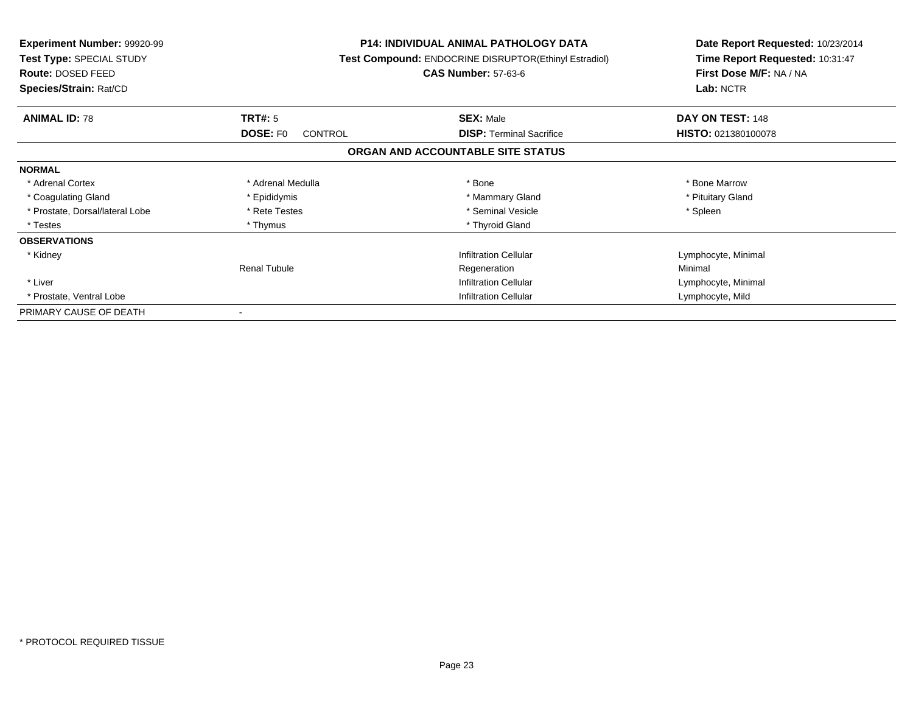| <b>Experiment Number: 99920-99</b><br>Test Type: SPECIAL STUDY<br>Route: DOSED FEED<br>Species/Strain: Rat/CD |                                   | <b>P14: INDIVIDUAL ANIMAL PATHOLOGY DATA</b><br>Test Compound: ENDOCRINE DISRUPTOR(Ethinyl Estradiol)<br><b>CAS Number: 57-63-6</b> | Date Report Requested: 10/23/2014<br>Time Report Requested: 10:31:47<br>First Dose M/F: NA / NA<br>Lab: NCTR |
|---------------------------------------------------------------------------------------------------------------|-----------------------------------|-------------------------------------------------------------------------------------------------------------------------------------|--------------------------------------------------------------------------------------------------------------|
| <b>ANIMAL ID: 78</b>                                                                                          | TRT#: 5                           | <b>SEX: Male</b>                                                                                                                    | DAY ON TEST: 148                                                                                             |
|                                                                                                               | <b>DOSE: FO</b><br><b>CONTROL</b> | <b>DISP:</b> Terminal Sacrifice                                                                                                     | <b>HISTO: 021380100078</b>                                                                                   |
|                                                                                                               |                                   | ORGAN AND ACCOUNTABLE SITE STATUS                                                                                                   |                                                                                                              |
| <b>NORMAL</b>                                                                                                 |                                   |                                                                                                                                     |                                                                                                              |
| * Adrenal Cortex                                                                                              | * Adrenal Medulla                 | * Bone                                                                                                                              | * Bone Marrow                                                                                                |
| * Coagulating Gland                                                                                           | * Epididymis                      | * Mammary Gland                                                                                                                     | * Pituitary Gland                                                                                            |
| * Prostate, Dorsal/lateral Lobe                                                                               | * Rete Testes                     | * Seminal Vesicle                                                                                                                   | * Spleen                                                                                                     |
| * Testes                                                                                                      | * Thymus                          | * Thyroid Gland                                                                                                                     |                                                                                                              |
| <b>OBSERVATIONS</b>                                                                                           |                                   |                                                                                                                                     |                                                                                                              |
| * Kidney                                                                                                      |                                   | <b>Infiltration Cellular</b>                                                                                                        | Lymphocyte, Minimal                                                                                          |
|                                                                                                               | <b>Renal Tubule</b>               | Regeneration                                                                                                                        | Minimal                                                                                                      |
| * Liver                                                                                                       |                                   | <b>Infiltration Cellular</b>                                                                                                        | Lymphocyte, Minimal                                                                                          |
| * Prostate, Ventral Lobe                                                                                      |                                   | <b>Infiltration Cellular</b>                                                                                                        | Lymphocyte, Mild                                                                                             |
| PRIMARY CAUSE OF DEATH                                                                                        |                                   |                                                                                                                                     |                                                                                                              |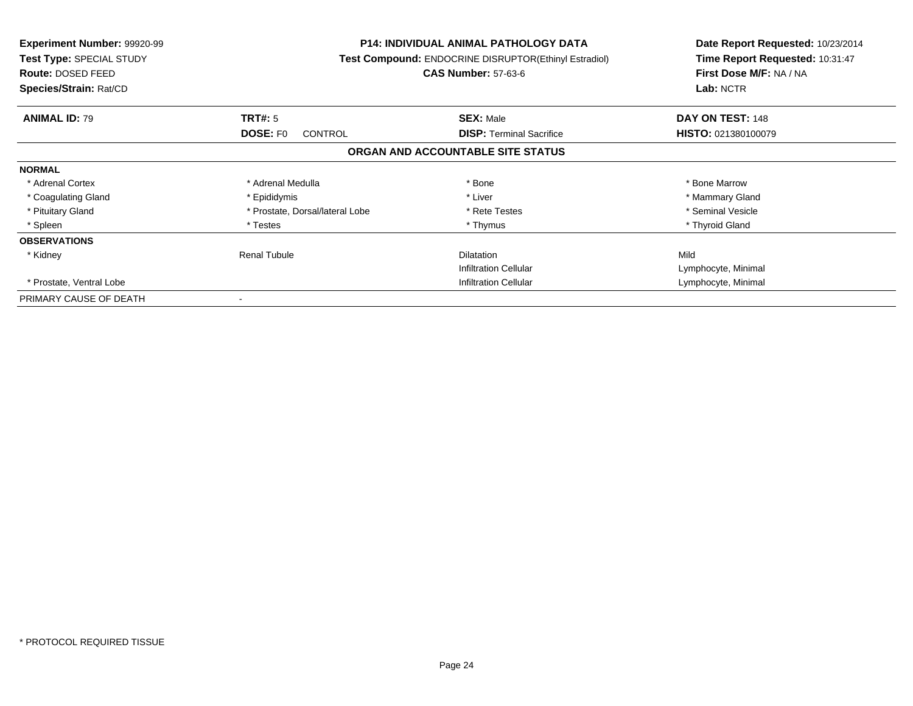| <b>Experiment Number: 99920-99</b><br>Test Type: SPECIAL STUDY<br><b>Route: DOSED FEED</b><br>Species/Strain: Rat/CD |                                 | <b>P14: INDIVIDUAL ANIMAL PATHOLOGY DATA</b><br>Test Compound: ENDOCRINE DISRUPTOR(Ethinyl Estradiol)<br><b>CAS Number: 57-63-6</b> |                     |
|----------------------------------------------------------------------------------------------------------------------|---------------------------------|-------------------------------------------------------------------------------------------------------------------------------------|---------------------|
| <b>ANIMAL ID: 79</b>                                                                                                 | TRT#: 5                         | <b>SEX: Male</b>                                                                                                                    | DAY ON TEST: 148    |
|                                                                                                                      | <b>DOSE: FO</b><br>CONTROL      | <b>DISP:</b> Terminal Sacrifice                                                                                                     | HISTO: 021380100079 |
|                                                                                                                      |                                 | ORGAN AND ACCOUNTABLE SITE STATUS                                                                                                   |                     |
| <b>NORMAL</b>                                                                                                        |                                 |                                                                                                                                     |                     |
| * Adrenal Cortex                                                                                                     | * Adrenal Medulla               | * Bone                                                                                                                              | * Bone Marrow       |
| * Coagulating Gland                                                                                                  | * Epididymis                    | * Liver                                                                                                                             | * Mammary Gland     |
| * Pituitary Gland                                                                                                    | * Prostate, Dorsal/lateral Lobe | * Rete Testes                                                                                                                       | * Seminal Vesicle   |
| * Spleen                                                                                                             | * Testes                        | * Thymus                                                                                                                            | * Thyroid Gland     |
| <b>OBSERVATIONS</b>                                                                                                  |                                 |                                                                                                                                     |                     |
| * Kidney                                                                                                             | <b>Renal Tubule</b>             | <b>Dilatation</b>                                                                                                                   | Mild                |
|                                                                                                                      |                                 | <b>Infiltration Cellular</b>                                                                                                        | Lymphocyte, Minimal |
| * Prostate, Ventral Lobe                                                                                             |                                 | Infiltration Cellular                                                                                                               | Lymphocyte, Minimal |
| PRIMARY CAUSE OF DEATH                                                                                               |                                 |                                                                                                                                     |                     |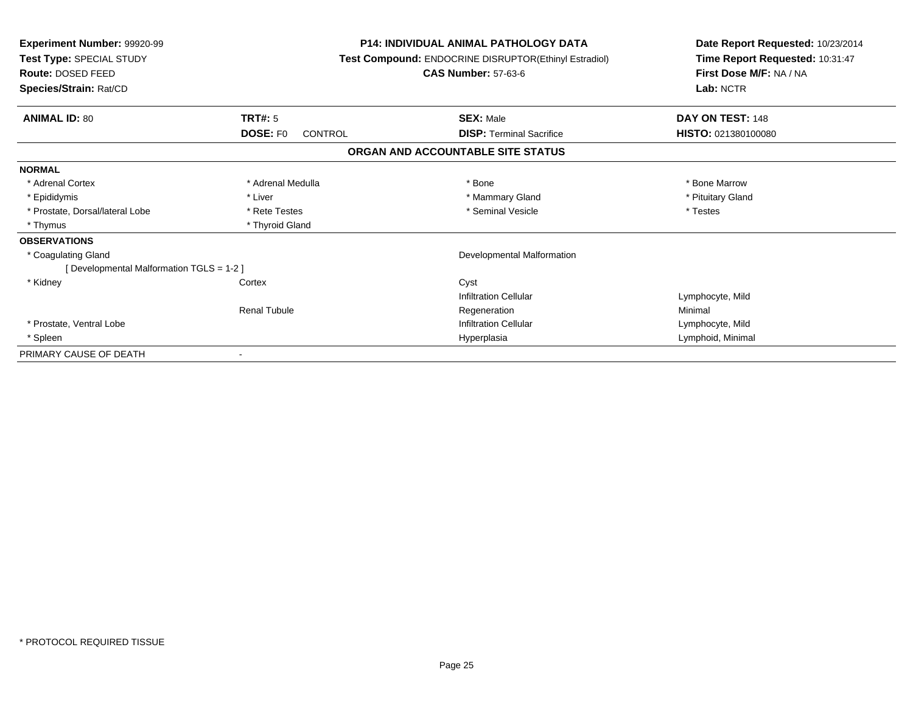| <b>Experiment Number: 99920-99</b><br>Test Type: SPECIAL STUDY<br>Route: DOSED FEED<br>Species/Strain: Rat/CD |                                   | <b>P14: INDIVIDUAL ANIMAL PATHOLOGY DATA</b><br>Test Compound: ENDOCRINE DISRUPTOR(Ethinyl Estradiol)<br><b>CAS Number: 57-63-6</b> | Date Report Requested: 10/23/2014<br>Time Report Requested: 10:31:47<br>First Dose M/F: NA / NA<br>Lab: NCTR |
|---------------------------------------------------------------------------------------------------------------|-----------------------------------|-------------------------------------------------------------------------------------------------------------------------------------|--------------------------------------------------------------------------------------------------------------|
| <b>ANIMAL ID: 80</b>                                                                                          | TRT#: 5                           | <b>SEX: Male</b>                                                                                                                    | DAY ON TEST: 148                                                                                             |
|                                                                                                               | <b>DOSE: FO</b><br><b>CONTROL</b> | <b>DISP: Terminal Sacrifice</b>                                                                                                     | HISTO: 021380100080                                                                                          |
|                                                                                                               |                                   | ORGAN AND ACCOUNTABLE SITE STATUS                                                                                                   |                                                                                                              |
| <b>NORMAL</b>                                                                                                 |                                   |                                                                                                                                     |                                                                                                              |
| * Adrenal Cortex                                                                                              | * Adrenal Medulla                 | * Bone                                                                                                                              | * Bone Marrow                                                                                                |
| * Epididymis                                                                                                  | * Liver                           | * Mammary Gland                                                                                                                     | * Pituitary Gland                                                                                            |
| * Prostate, Dorsal/lateral Lobe                                                                               | * Rete Testes                     | * Seminal Vesicle                                                                                                                   | * Testes                                                                                                     |
| * Thymus                                                                                                      | * Thyroid Gland                   |                                                                                                                                     |                                                                                                              |
| <b>OBSERVATIONS</b>                                                                                           |                                   |                                                                                                                                     |                                                                                                              |
| * Coagulating Gland                                                                                           |                                   | Developmental Malformation                                                                                                          |                                                                                                              |
| [ Developmental Malformation TGLS = 1-2 ]                                                                     |                                   |                                                                                                                                     |                                                                                                              |
| * Kidney                                                                                                      | Cortex                            | Cyst                                                                                                                                |                                                                                                              |
|                                                                                                               |                                   | <b>Infiltration Cellular</b>                                                                                                        | Lymphocyte, Mild                                                                                             |
|                                                                                                               | <b>Renal Tubule</b>               | Regeneration                                                                                                                        | Minimal                                                                                                      |
| * Prostate, Ventral Lobe                                                                                      |                                   | <b>Infiltration Cellular</b>                                                                                                        | Lymphocyte, Mild                                                                                             |
| * Spleen                                                                                                      |                                   | Hyperplasia                                                                                                                         | Lymphoid, Minimal                                                                                            |
| PRIMARY CAUSE OF DEATH                                                                                        |                                   |                                                                                                                                     |                                                                                                              |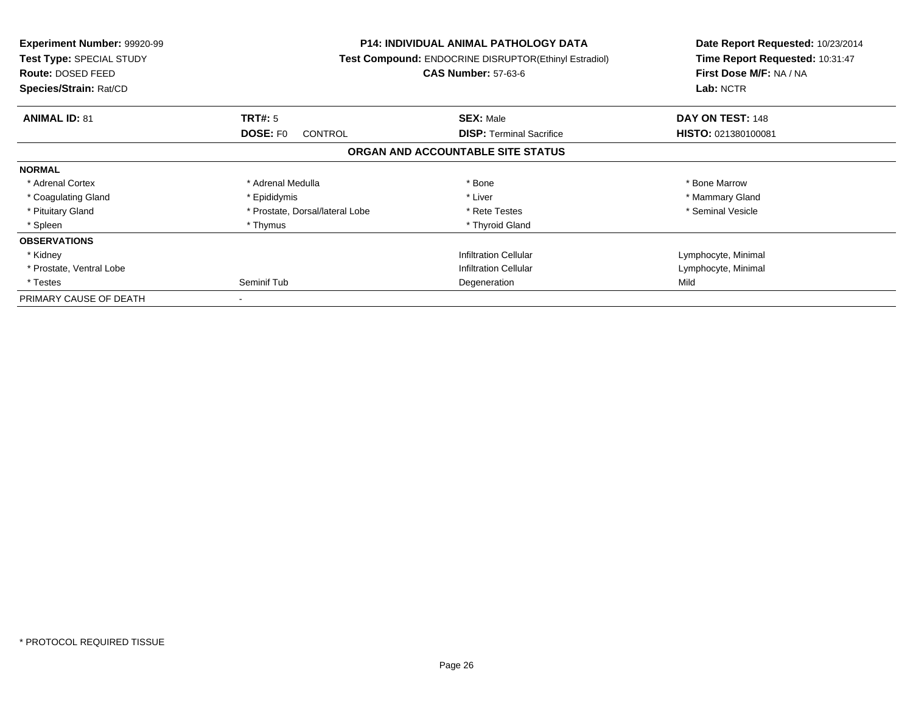| <b>Experiment Number: 99920-99</b><br>Test Type: SPECIAL STUDY<br>Route: DOSED FEED<br>Species/Strain: Rat/CD |                                   | <b>P14: INDIVIDUAL ANIMAL PATHOLOGY DATA</b><br>Test Compound: ENDOCRINE DISRUPTOR(Ethinyl Estradiol)<br><b>CAS Number: 57-63-6</b> | Date Report Requested: 10/23/2014<br>Time Report Requested: 10:31:47<br>First Dose M/F: NA / NA<br>Lab: NCTR |
|---------------------------------------------------------------------------------------------------------------|-----------------------------------|-------------------------------------------------------------------------------------------------------------------------------------|--------------------------------------------------------------------------------------------------------------|
| <b>ANIMAL ID: 81</b>                                                                                          | <b>TRT#: 5</b>                    | <b>SEX: Male</b>                                                                                                                    | DAY ON TEST: 148                                                                                             |
|                                                                                                               | <b>DOSE: FO</b><br><b>CONTROL</b> | <b>DISP:</b> Terminal Sacrifice                                                                                                     | HISTO: 021380100081                                                                                          |
|                                                                                                               |                                   | ORGAN AND ACCOUNTABLE SITE STATUS                                                                                                   |                                                                                                              |
| <b>NORMAL</b>                                                                                                 |                                   |                                                                                                                                     |                                                                                                              |
| * Adrenal Cortex                                                                                              | * Adrenal Medulla                 | * Bone                                                                                                                              | * Bone Marrow                                                                                                |
| * Coagulating Gland                                                                                           | * Epididymis                      | * Liver                                                                                                                             | * Mammary Gland                                                                                              |
| * Pituitary Gland                                                                                             | * Prostate, Dorsal/lateral Lobe   | * Rete Testes                                                                                                                       | * Seminal Vesicle                                                                                            |
| * Spleen                                                                                                      | * Thymus                          | * Thyroid Gland                                                                                                                     |                                                                                                              |
| <b>OBSERVATIONS</b>                                                                                           |                                   |                                                                                                                                     |                                                                                                              |
| * Kidney                                                                                                      |                                   | <b>Infiltration Cellular</b>                                                                                                        | Lymphocyte, Minimal                                                                                          |
| * Prostate, Ventral Lobe                                                                                      |                                   | <b>Infiltration Cellular</b>                                                                                                        | Lymphocyte, Minimal                                                                                          |
| * Testes                                                                                                      | Seminif Tub                       | Degeneration                                                                                                                        | Mild                                                                                                         |
| PRIMARY CAUSE OF DEATH                                                                                        |                                   |                                                                                                                                     |                                                                                                              |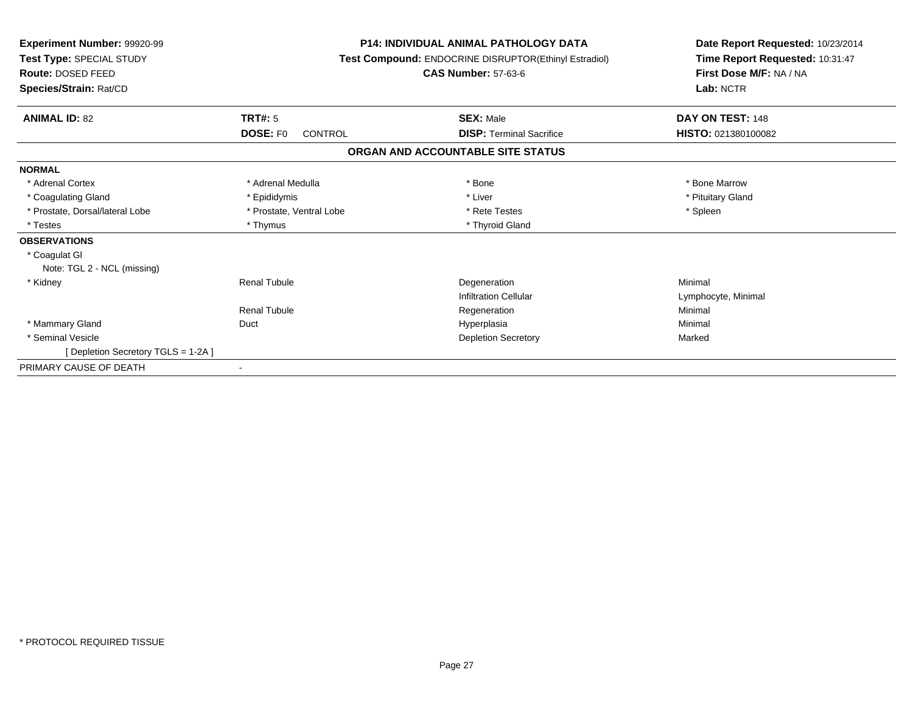| Experiment Number: 99920-99<br>Test Type: SPECIAL STUDY<br>Route: DOSED FEED<br>Species/Strain: Rat/CD | <b>P14: INDIVIDUAL ANIMAL PATHOLOGY DATA</b><br>Test Compound: ENDOCRINE DISRUPTOR(Ethinyl Estradiol)<br><b>CAS Number: 57-63-6</b> |                                   | Date Report Requested: 10/23/2014<br>Time Report Requested: 10:31:47<br>First Dose M/F: NA / NA<br>Lab: NCTR |
|--------------------------------------------------------------------------------------------------------|-------------------------------------------------------------------------------------------------------------------------------------|-----------------------------------|--------------------------------------------------------------------------------------------------------------|
| <b>ANIMAL ID: 82</b>                                                                                   | <b>TRT#: 5</b>                                                                                                                      | <b>SEX: Male</b>                  | DAY ON TEST: 148                                                                                             |
|                                                                                                        | <b>DOSE: FO</b><br><b>CONTROL</b>                                                                                                   | <b>DISP: Terminal Sacrifice</b>   | HISTO: 021380100082                                                                                          |
|                                                                                                        |                                                                                                                                     | ORGAN AND ACCOUNTABLE SITE STATUS |                                                                                                              |
| <b>NORMAL</b>                                                                                          |                                                                                                                                     |                                   |                                                                                                              |
| * Adrenal Cortex                                                                                       | * Adrenal Medulla                                                                                                                   | * Bone                            | * Bone Marrow                                                                                                |
| * Coagulating Gland                                                                                    | * Epididymis                                                                                                                        | * Liver                           | * Pituitary Gland                                                                                            |
| * Prostate, Dorsal/lateral Lobe                                                                        | * Prostate, Ventral Lobe                                                                                                            | * Rete Testes                     | * Spleen                                                                                                     |
| * Testes                                                                                               | * Thymus                                                                                                                            | * Thyroid Gland                   |                                                                                                              |
| <b>OBSERVATIONS</b>                                                                                    |                                                                                                                                     |                                   |                                                                                                              |
| * Coagulat GI<br>Note: TGL 2 - NCL (missing)                                                           |                                                                                                                                     |                                   |                                                                                                              |
| * Kidney                                                                                               | <b>Renal Tubule</b>                                                                                                                 | Degeneration                      | Minimal                                                                                                      |
|                                                                                                        |                                                                                                                                     | <b>Infiltration Cellular</b>      | Lymphocyte, Minimal                                                                                          |
|                                                                                                        | <b>Renal Tubule</b>                                                                                                                 | Regeneration                      | Minimal                                                                                                      |
| * Mammary Gland                                                                                        | Duct                                                                                                                                | Hyperplasia                       | Minimal                                                                                                      |
| * Seminal Vesicle                                                                                      |                                                                                                                                     | <b>Depletion Secretory</b>        | Marked                                                                                                       |
| [ Depletion Secretory TGLS = 1-2A ]                                                                    |                                                                                                                                     |                                   |                                                                                                              |
| PRIMARY CAUSE OF DEATH                                                                                 |                                                                                                                                     |                                   |                                                                                                              |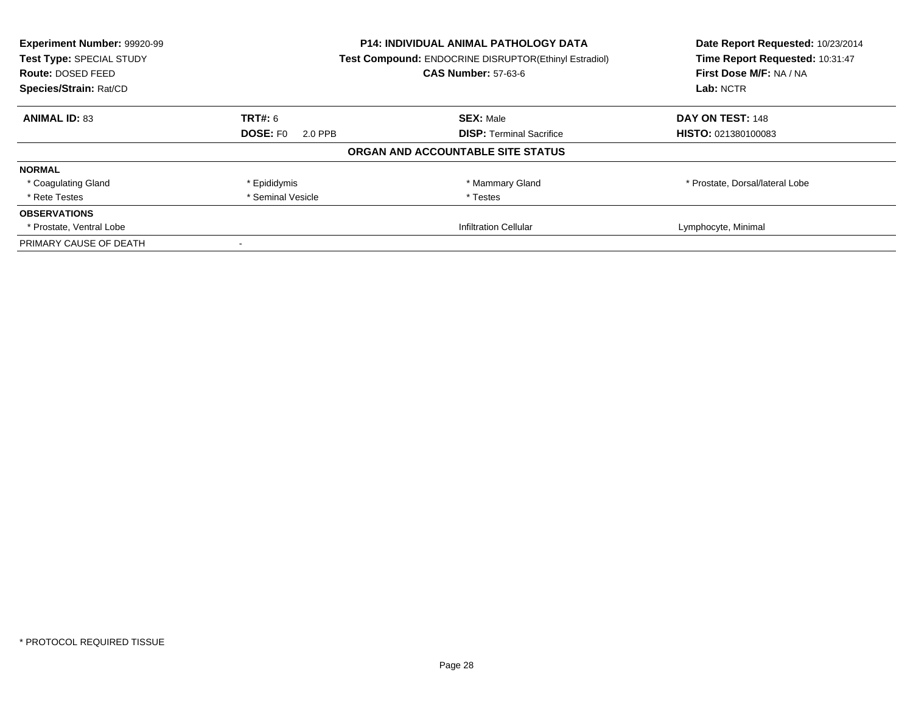| Experiment Number: 99920-99 | <b>P14: INDIVIDUAL ANIMAL PATHOLOGY DATA</b> |                                                       | Date Report Requested: 10/23/2014 |
|-----------------------------|----------------------------------------------|-------------------------------------------------------|-----------------------------------|
| Test Type: SPECIAL STUDY    |                                              | Test Compound: ENDOCRINE DISRUPTOR(Ethinyl Estradiol) | Time Report Requested: 10:31:47   |
| <b>Route: DOSED FEED</b>    |                                              | <b>CAS Number: 57-63-6</b>                            | First Dose M/F: NA / NA           |
| Species/Strain: Rat/CD      |                                              |                                                       |                                   |
| <b>ANIMAL ID: 83</b>        | TRT#: 6                                      | <b>SEX: Male</b>                                      | DAY ON TEST: 148                  |
|                             | <b>DOSE: FO</b><br>2.0 PPB                   | <b>DISP:</b> Terminal Sacrifice                       | HISTO: 021380100083               |
|                             |                                              | ORGAN AND ACCOUNTABLE SITE STATUS                     |                                   |
| <b>NORMAL</b>               |                                              |                                                       |                                   |
| * Coagulating Gland         | * Epididymis                                 | * Mammary Gland                                       | * Prostate, Dorsal/lateral Lobe   |
| * Rete Testes               | * Seminal Vesicle                            | * Testes                                              |                                   |
| <b>OBSERVATIONS</b>         |                                              |                                                       |                                   |
| * Prostate, Ventral Lobe    |                                              | <b>Infiltration Cellular</b>                          | Lymphocyte, Minimal               |
| PRIMARY CAUSE OF DEATH      |                                              |                                                       |                                   |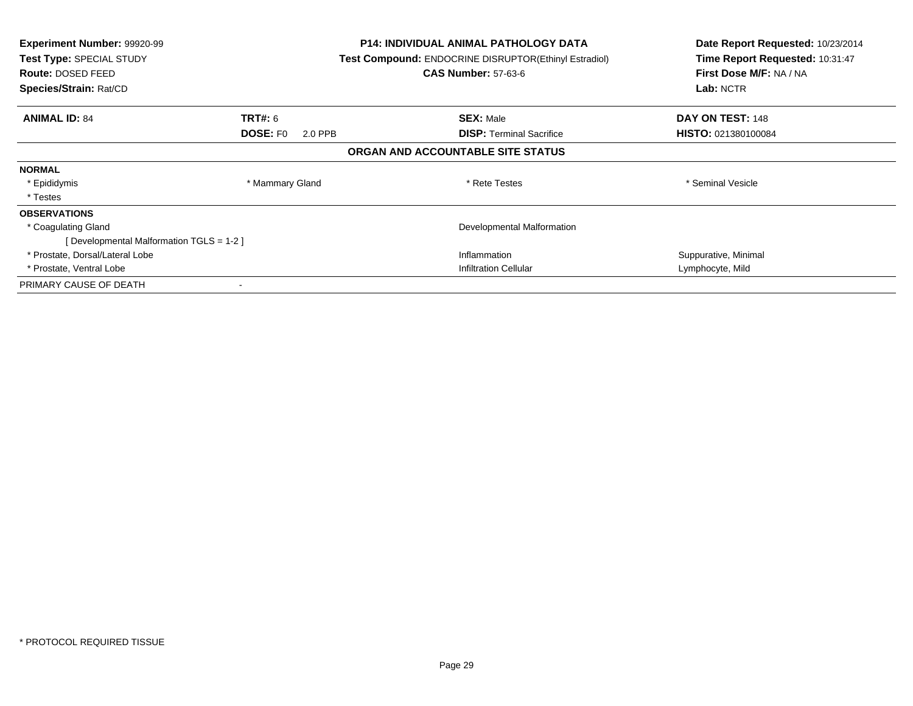| <b>Experiment Number: 99920-99</b><br>Test Type: SPECIAL STUDY<br><b>Route: DOSED FEED</b><br>Species/Strain: Rat/CD |                            | <b>P14: INDIVIDUAL ANIMAL PATHOLOGY DATA</b><br><b>Test Compound: ENDOCRINE DISRUPTOR(Ethinyl Estradiol)</b><br><b>CAS Number: 57-63-6</b> | Date Report Requested: 10/23/2014<br>Time Report Requested: 10:31:47<br>First Dose M/F: NA / NA<br>Lab: NCTR |
|----------------------------------------------------------------------------------------------------------------------|----------------------------|--------------------------------------------------------------------------------------------------------------------------------------------|--------------------------------------------------------------------------------------------------------------|
| <b>ANIMAL ID: 84</b>                                                                                                 | <b>TRT#: 6</b>             | <b>SEX: Male</b>                                                                                                                           | DAY ON TEST: 148                                                                                             |
|                                                                                                                      | <b>DOSE: FO</b><br>2.0 PPB | <b>DISP:</b> Terminal Sacrifice                                                                                                            | <b>HISTO: 021380100084</b>                                                                                   |
|                                                                                                                      |                            | ORGAN AND ACCOUNTABLE SITE STATUS                                                                                                          |                                                                                                              |
| <b>NORMAL</b>                                                                                                        |                            |                                                                                                                                            |                                                                                                              |
| * Epididymis                                                                                                         | * Mammary Gland            | * Rete Testes                                                                                                                              | * Seminal Vesicle                                                                                            |
| * Testes                                                                                                             |                            |                                                                                                                                            |                                                                                                              |
| <b>OBSERVATIONS</b>                                                                                                  |                            |                                                                                                                                            |                                                                                                              |
| * Coagulating Gland                                                                                                  |                            | Developmental Malformation                                                                                                                 |                                                                                                              |
| [Developmental Malformation TGLS = 1-2 ]                                                                             |                            |                                                                                                                                            |                                                                                                              |
| * Prostate, Dorsal/Lateral Lobe                                                                                      |                            | Inflammation                                                                                                                               | Suppurative, Minimal                                                                                         |
| * Prostate, Ventral Lobe                                                                                             |                            | <b>Infiltration Cellular</b>                                                                                                               | Lymphocyte, Mild                                                                                             |
| PRIMARY CAUSE OF DEATH                                                                                               |                            |                                                                                                                                            |                                                                                                              |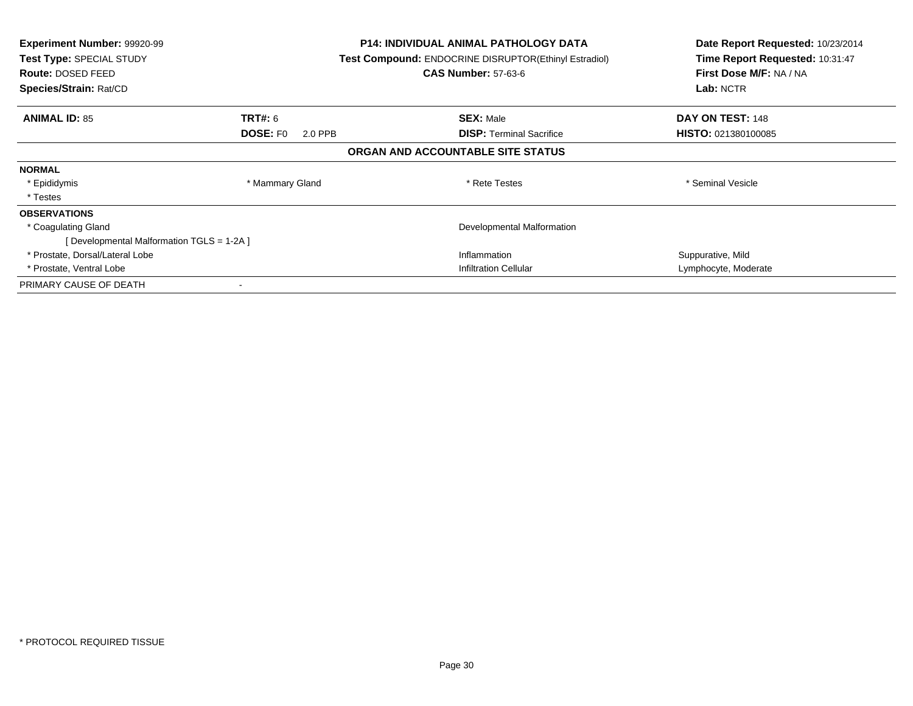| <b>Experiment Number: 99920-99</b><br>Test Type: SPECIAL STUDY<br>Route: DOSED FEED<br>Species/Strain: Rat/CD |                            | P14: INDIVIDUAL ANIMAL PATHOLOGY DATA<br><b>Test Compound: ENDOCRINE DISRUPTOR(Ethinyl Estradiol)</b><br><b>CAS Number: 57-63-6</b> | Date Report Requested: 10/23/2014<br>Time Report Requested: 10:31:47<br>First Dose M/F: NA / NA<br>Lab: NCTR |
|---------------------------------------------------------------------------------------------------------------|----------------------------|-------------------------------------------------------------------------------------------------------------------------------------|--------------------------------------------------------------------------------------------------------------|
| <b>ANIMAL ID: 85</b>                                                                                          | <b>TRT#:</b> 6             | <b>SEX: Male</b>                                                                                                                    | DAY ON TEST: 148                                                                                             |
|                                                                                                               | <b>DOSE: FO</b><br>2.0 PPB | <b>DISP:</b> Terminal Sacrifice                                                                                                     | <b>HISTO: 021380100085</b>                                                                                   |
|                                                                                                               |                            | ORGAN AND ACCOUNTABLE SITE STATUS                                                                                                   |                                                                                                              |
| <b>NORMAL</b>                                                                                                 |                            |                                                                                                                                     |                                                                                                              |
| * Epididymis                                                                                                  | * Mammary Gland            | * Rete Testes                                                                                                                       | * Seminal Vesicle                                                                                            |
| * Testes                                                                                                      |                            |                                                                                                                                     |                                                                                                              |
| <b>OBSERVATIONS</b>                                                                                           |                            |                                                                                                                                     |                                                                                                              |
| * Coagulating Gland                                                                                           |                            | Developmental Malformation                                                                                                          |                                                                                                              |
| [Developmental Malformation TGLS = 1-2A]                                                                      |                            |                                                                                                                                     |                                                                                                              |
| * Prostate, Dorsal/Lateral Lobe                                                                               |                            | Inflammation                                                                                                                        | Suppurative, Mild                                                                                            |
| * Prostate, Ventral Lobe                                                                                      |                            | Infiltration Cellular                                                                                                               | Lymphocyte, Moderate                                                                                         |
| PRIMARY CAUSE OF DEATH                                                                                        |                            |                                                                                                                                     |                                                                                                              |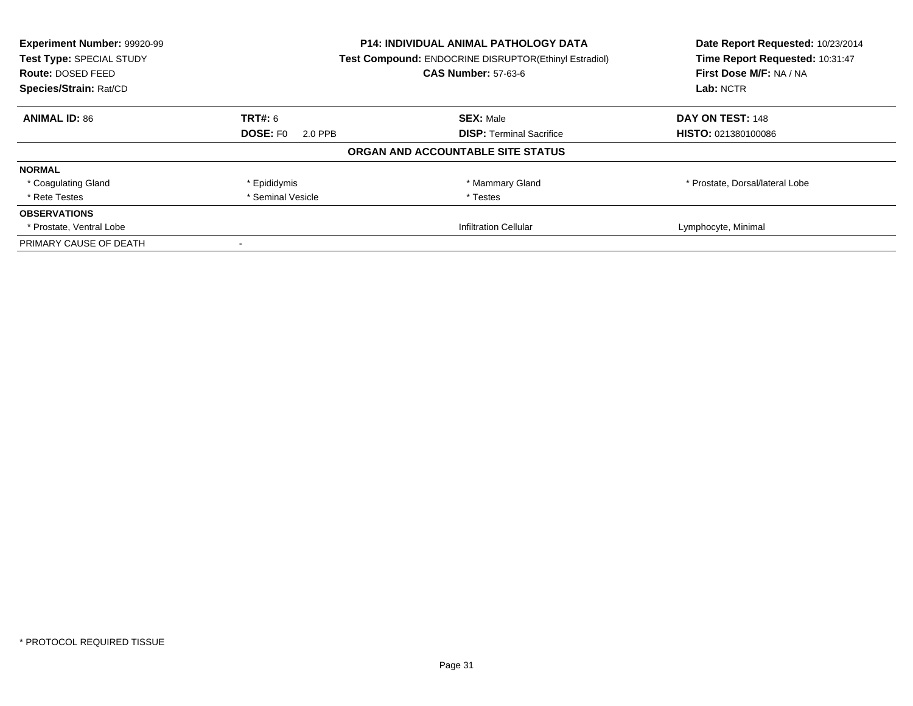| Experiment Number: 99920-99 | <b>P14: INDIVIDUAL ANIMAL PATHOLOGY DATA</b> |                                                       | Date Report Requested: 10/23/2014 |
|-----------------------------|----------------------------------------------|-------------------------------------------------------|-----------------------------------|
| Test Type: SPECIAL STUDY    |                                              | Test Compound: ENDOCRINE DISRUPTOR(Ethinyl Estradiol) |                                   |
| <b>Route: DOSED FEED</b>    |                                              | <b>CAS Number: 57-63-6</b>                            | First Dose M/F: NA / NA           |
| Species/Strain: Rat/CD      |                                              |                                                       |                                   |
| <b>ANIMAL ID: 86</b>        | TRT#: 6                                      | <b>SEX: Male</b>                                      | DAY ON TEST: 148                  |
|                             | <b>DOSE: FO</b><br>2.0 PPB                   | <b>DISP:</b> Terminal Sacrifice                       | HISTO: 021380100086               |
|                             |                                              | ORGAN AND ACCOUNTABLE SITE STATUS                     |                                   |
| <b>NORMAL</b>               |                                              |                                                       |                                   |
| * Coagulating Gland         | * Epididymis                                 | * Mammary Gland                                       | * Prostate, Dorsal/lateral Lobe   |
| * Rete Testes               | * Seminal Vesicle                            | * Testes                                              |                                   |
| <b>OBSERVATIONS</b>         |                                              |                                                       |                                   |
| * Prostate, Ventral Lobe    |                                              | <b>Infiltration Cellular</b>                          | Lymphocyte, Minimal               |
| PRIMARY CAUSE OF DEATH      |                                              |                                                       |                                   |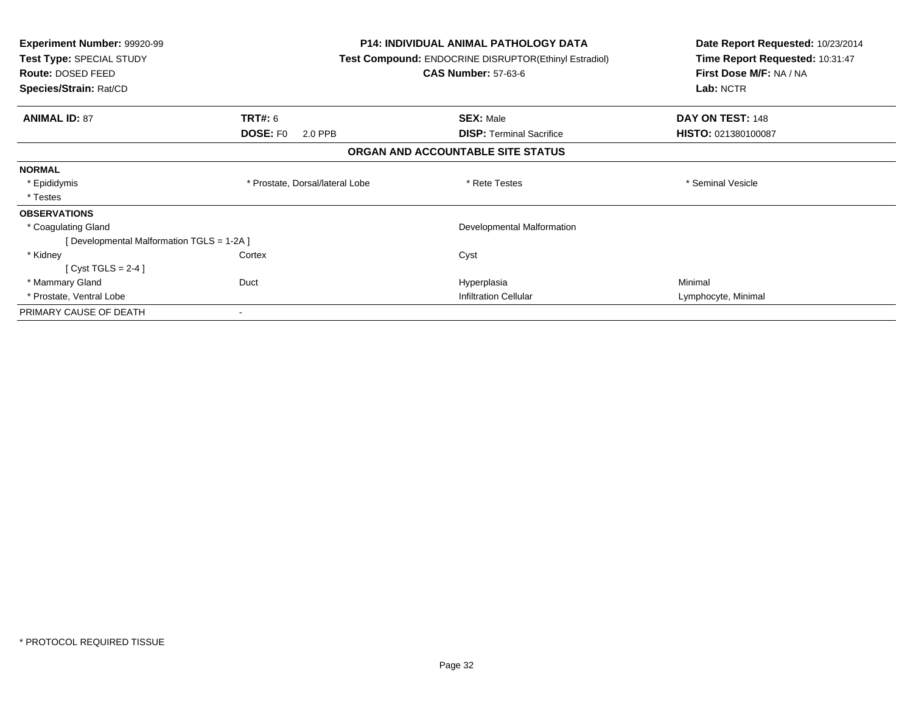| Experiment Number: 99920-99<br>Test Type: SPECIAL STUDY<br>Route: DOSED FEED<br>Species/Strain: Rat/CD |                                 | <b>P14: INDIVIDUAL ANIMAL PATHOLOGY DATA</b><br><b>Test Compound: ENDOCRINE DISRUPTOR(Ethinyl Estradiol)</b><br><b>CAS Number: 57-63-6</b> | Date Report Requested: 10/23/2014<br>Time Report Requested: 10:31:47<br>First Dose M/F: NA / NA<br>Lab: NCTR |
|--------------------------------------------------------------------------------------------------------|---------------------------------|--------------------------------------------------------------------------------------------------------------------------------------------|--------------------------------------------------------------------------------------------------------------|
| <b>ANIMAL ID: 87</b>                                                                                   | <b>TRT#: 6</b>                  | <b>SEX: Male</b>                                                                                                                           | DAY ON TEST: 148                                                                                             |
|                                                                                                        | <b>DOSE: FO</b><br>2.0 PPB      | <b>DISP:</b> Terminal Sacrifice                                                                                                            | HISTO: 021380100087                                                                                          |
|                                                                                                        |                                 | ORGAN AND ACCOUNTABLE SITE STATUS                                                                                                          |                                                                                                              |
| <b>NORMAL</b>                                                                                          |                                 |                                                                                                                                            |                                                                                                              |
| * Epididymis                                                                                           | * Prostate, Dorsal/lateral Lobe | * Rete Testes                                                                                                                              | * Seminal Vesicle                                                                                            |
| * Testes                                                                                               |                                 |                                                                                                                                            |                                                                                                              |
| <b>OBSERVATIONS</b>                                                                                    |                                 |                                                                                                                                            |                                                                                                              |
| * Coagulating Gland                                                                                    |                                 | Developmental Malformation                                                                                                                 |                                                                                                              |
| [Developmental Malformation TGLS = 1-2A]                                                               |                                 |                                                                                                                                            |                                                                                                              |
| * Kidney                                                                                               | Cortex                          | Cyst                                                                                                                                       |                                                                                                              |
| [Cyst TGLS = $2-4$ ]                                                                                   |                                 |                                                                                                                                            |                                                                                                              |
| * Mammary Gland                                                                                        | Duct                            | Hyperplasia                                                                                                                                | Minimal                                                                                                      |
| * Prostate, Ventral Lobe                                                                               |                                 | <b>Infiltration Cellular</b>                                                                                                               | Lymphocyte, Minimal                                                                                          |
| PRIMARY CAUSE OF DEATH                                                                                 |                                 |                                                                                                                                            |                                                                                                              |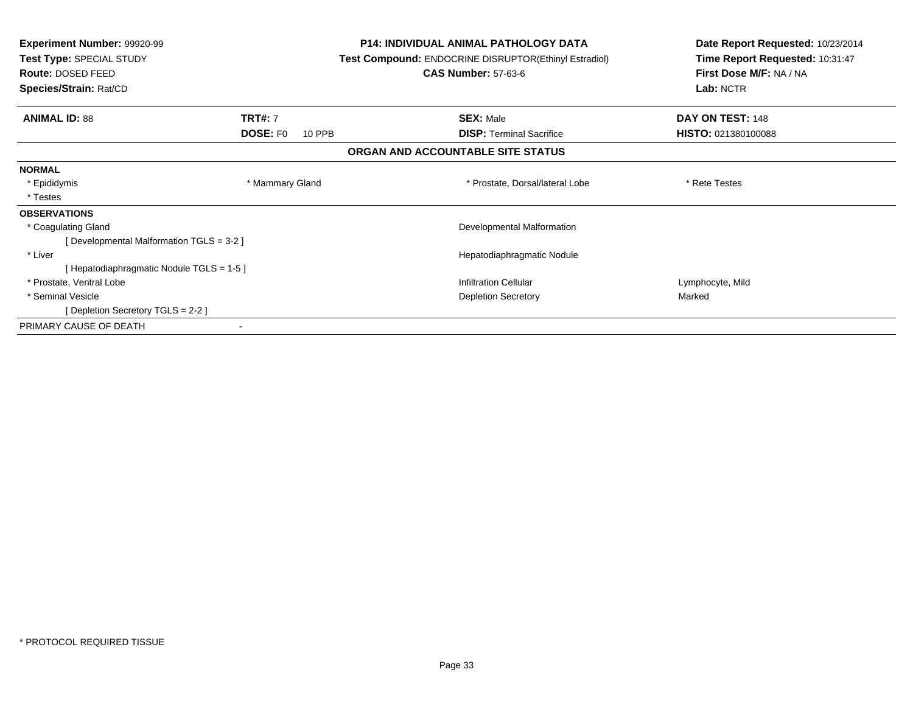| <b>Experiment Number: 99920-99</b><br>Test Type: SPECIAL STUDY<br>Route: DOSED FEED<br>Species/Strain: Rat/CD | <b>P14: INDIVIDUAL ANIMAL PATHOLOGY DATA</b><br>Test Compound: ENDOCRINE DISRUPTOR(Ethinyl Estradiol)<br><b>CAS Number: 57-63-6</b> |                                   | Date Report Requested: 10/23/2014<br>Time Report Requested: 10:31:47<br>First Dose M/F: NA / NA<br>Lab: NCTR |
|---------------------------------------------------------------------------------------------------------------|-------------------------------------------------------------------------------------------------------------------------------------|-----------------------------------|--------------------------------------------------------------------------------------------------------------|
|                                                                                                               |                                                                                                                                     |                                   |                                                                                                              |
| <b>ANIMAL ID: 88</b>                                                                                          | <b>TRT#: 7</b>                                                                                                                      | <b>SEX: Male</b>                  | DAY ON TEST: 148                                                                                             |
|                                                                                                               | <b>DOSE: FO</b><br>10 PPB                                                                                                           | <b>DISP:</b> Terminal Sacrifice   | HISTO: 021380100088                                                                                          |
|                                                                                                               |                                                                                                                                     | ORGAN AND ACCOUNTABLE SITE STATUS |                                                                                                              |
| <b>NORMAL</b>                                                                                                 |                                                                                                                                     |                                   |                                                                                                              |
| * Epididymis                                                                                                  | * Mammary Gland                                                                                                                     | * Prostate, Dorsal/lateral Lobe   | * Rete Testes                                                                                                |
| * Testes                                                                                                      |                                                                                                                                     |                                   |                                                                                                              |
| <b>OBSERVATIONS</b>                                                                                           |                                                                                                                                     |                                   |                                                                                                              |
| * Coagulating Gland                                                                                           |                                                                                                                                     | Developmental Malformation        |                                                                                                              |
| [Developmental Malformation TGLS = 3-2 ]                                                                      |                                                                                                                                     |                                   |                                                                                                              |
| * Liver                                                                                                       |                                                                                                                                     | Hepatodiaphragmatic Nodule        |                                                                                                              |
| [Hepatodiaphragmatic Nodule TGLS = 1-5]                                                                       |                                                                                                                                     |                                   |                                                                                                              |
| * Prostate, Ventral Lobe                                                                                      |                                                                                                                                     | <b>Infiltration Cellular</b>      | Lymphocyte, Mild                                                                                             |
| * Seminal Vesicle                                                                                             |                                                                                                                                     | <b>Depletion Secretory</b>        | Marked                                                                                                       |
| [Depletion Secretory TGLS = 2-2 ]                                                                             |                                                                                                                                     |                                   |                                                                                                              |
| PRIMARY CAUSE OF DEATH                                                                                        |                                                                                                                                     |                                   |                                                                                                              |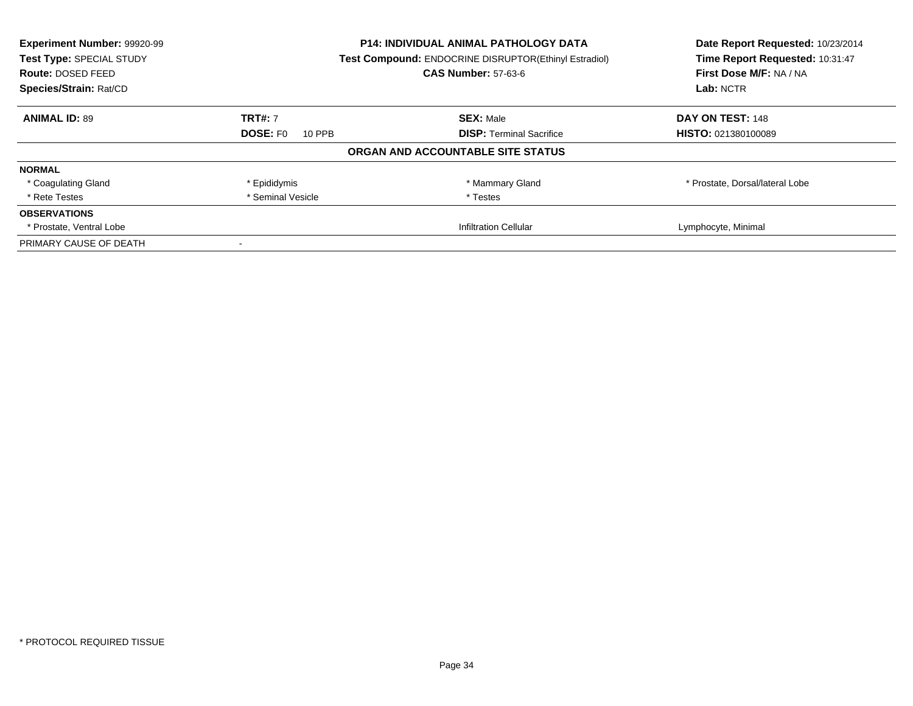| Experiment Number: 99920-99<br>Test Type: SPECIAL STUDY | <b>P14: INDIVIDUAL ANIMAL PATHOLOGY DATA</b><br>Test Compound: ENDOCRINE DISRUPTOR(Ethinyl Estradiol) |                                   | Date Report Requested: 10/23/2014<br>Time Report Requested: 10:31:47 |
|---------------------------------------------------------|-------------------------------------------------------------------------------------------------------|-----------------------------------|----------------------------------------------------------------------|
| <b>Route: DOSED FEED</b>                                |                                                                                                       | <b>CAS Number: 57-63-6</b>        | First Dose M/F: NA / NA                                              |
| Species/Strain: Rat/CD                                  |                                                                                                       |                                   | Lab: NCTR                                                            |
| <b>ANIMAL ID: 89</b>                                    | <b>TRT#: 7</b>                                                                                        | <b>SEX: Male</b>                  | DAY ON TEST: 148                                                     |
|                                                         | <b>DOSE: FO</b><br>10 PPB                                                                             | <b>DISP:</b> Terminal Sacrifice   | HISTO: 021380100089                                                  |
|                                                         |                                                                                                       | ORGAN AND ACCOUNTABLE SITE STATUS |                                                                      |
| <b>NORMAL</b>                                           |                                                                                                       |                                   |                                                                      |
| * Coagulating Gland                                     | * Epididymis                                                                                          | * Mammary Gland                   | * Prostate, Dorsal/lateral Lobe                                      |
| * Rete Testes                                           | * Seminal Vesicle                                                                                     | * Testes                          |                                                                      |
| <b>OBSERVATIONS</b>                                     |                                                                                                       |                                   |                                                                      |
| * Prostate, Ventral Lobe                                |                                                                                                       | <b>Infiltration Cellular</b>      | Lymphocyte, Minimal                                                  |
| PRIMARY CAUSE OF DEATH                                  |                                                                                                       |                                   |                                                                      |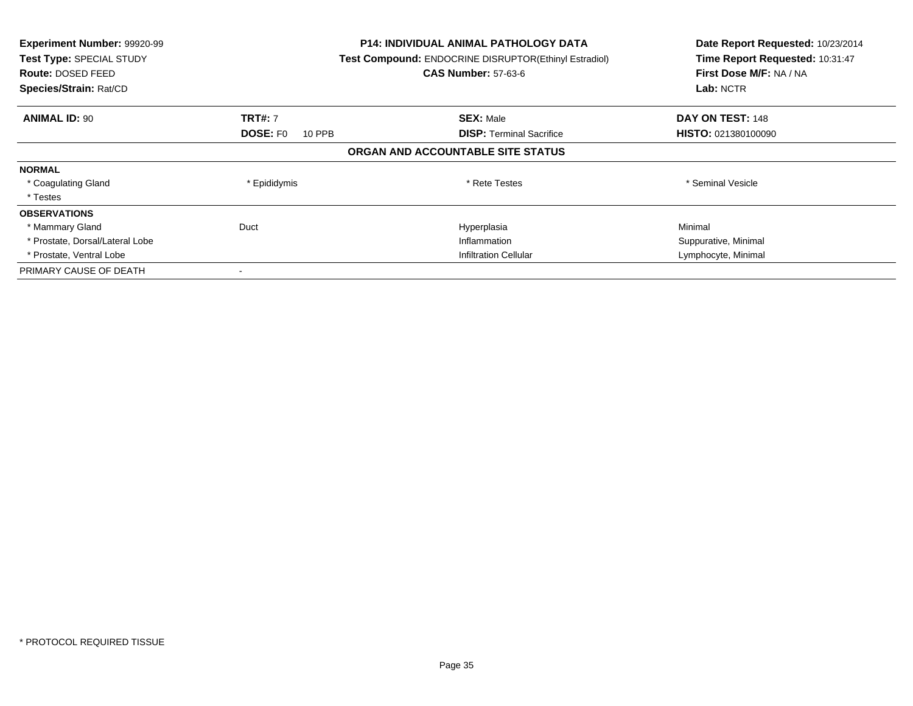| Experiment Number: 99920-99<br>Test Type: SPECIAL STUDY<br><b>Route: DOSED FEED</b><br>Species/Strain: Rat/CD |                           | <b>P14: INDIVIDUAL ANIMAL PATHOLOGY DATA</b><br>Test Compound: ENDOCRINE DISRUPTOR(Ethinyl Estradiol)<br><b>CAS Number: 57-63-6</b> | Date Report Requested: 10/23/2014<br>Time Report Requested: 10:31:47<br>First Dose M/F: NA / NA<br>Lab: NCTR |
|---------------------------------------------------------------------------------------------------------------|---------------------------|-------------------------------------------------------------------------------------------------------------------------------------|--------------------------------------------------------------------------------------------------------------|
| <b>ANIMAL ID: 90</b>                                                                                          | <b>TRT#: 7</b>            | <b>SEX: Male</b>                                                                                                                    | DAY ON TEST: 148                                                                                             |
|                                                                                                               | <b>DOSE: FO</b><br>10 PPB | <b>DISP: Terminal Sacrifice</b>                                                                                                     | <b>HISTO: 021380100090</b>                                                                                   |
|                                                                                                               |                           | ORGAN AND ACCOUNTABLE SITE STATUS                                                                                                   |                                                                                                              |
| <b>NORMAL</b>                                                                                                 |                           |                                                                                                                                     |                                                                                                              |
| * Coagulating Gland                                                                                           | * Epididymis              | * Rete Testes                                                                                                                       | * Seminal Vesicle                                                                                            |
| * Testes                                                                                                      |                           |                                                                                                                                     |                                                                                                              |
| <b>OBSERVATIONS</b>                                                                                           |                           |                                                                                                                                     |                                                                                                              |
| * Mammary Gland                                                                                               | Duct                      | Hyperplasia                                                                                                                         | Minimal                                                                                                      |
| * Prostate, Dorsal/Lateral Lobe                                                                               |                           | Inflammation                                                                                                                        | Suppurative, Minimal                                                                                         |
| * Prostate, Ventral Lobe                                                                                      |                           | <b>Infiltration Cellular</b>                                                                                                        | Lymphocyte, Minimal                                                                                          |
| PRIMARY CAUSE OF DEATH                                                                                        |                           |                                                                                                                                     |                                                                                                              |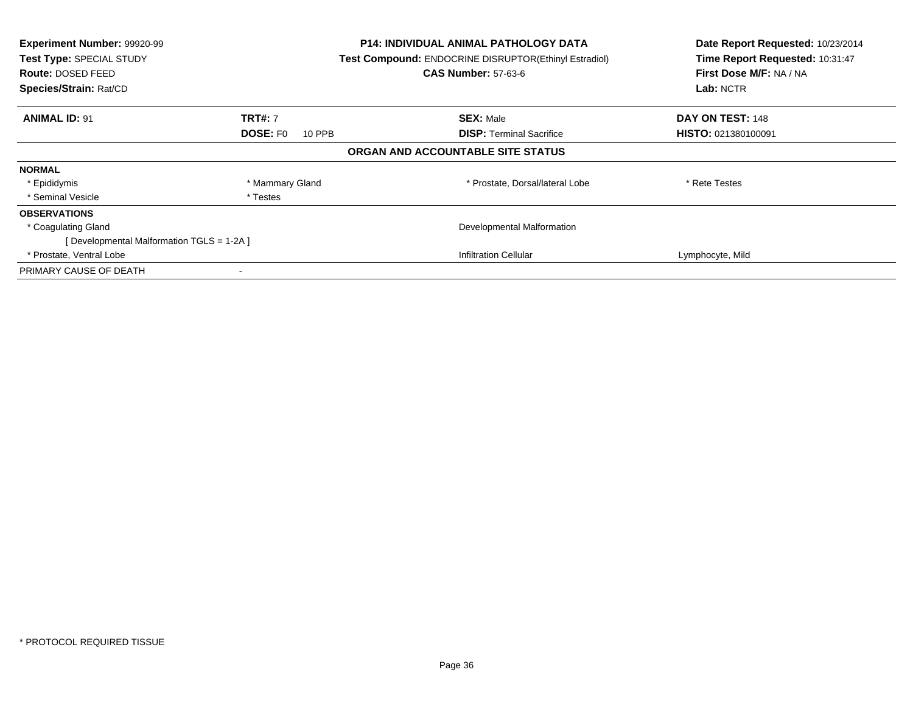| Experiment Number: 99920-99<br>Test Type: SPECIAL STUDY<br><b>Route: DOSED FEED</b><br>Species/Strain: Rat/CD |                           | <b>P14: INDIVIDUAL ANIMAL PATHOLOGY DATA</b><br>Test Compound: ENDOCRINE DISRUPTOR(Ethinyl Estradiol)<br><b>CAS Number: 57-63-6</b> | Date Report Requested: 10/23/2014<br>Time Report Requested: 10:31:47<br>First Dose M/F: NA / NA<br>Lab: NCTR |
|---------------------------------------------------------------------------------------------------------------|---------------------------|-------------------------------------------------------------------------------------------------------------------------------------|--------------------------------------------------------------------------------------------------------------|
| <b>ANIMAL ID: 91</b>                                                                                          | <b>TRT#: 7</b>            | <b>SEX: Male</b>                                                                                                                    | DAY ON TEST: 148                                                                                             |
|                                                                                                               | <b>DOSE: FO</b><br>10 PPB | <b>DISP:</b> Terminal Sacrifice                                                                                                     | HISTO: 021380100091                                                                                          |
|                                                                                                               |                           | ORGAN AND ACCOUNTABLE SITE STATUS                                                                                                   |                                                                                                              |
| <b>NORMAL</b>                                                                                                 |                           |                                                                                                                                     |                                                                                                              |
| * Epididymis                                                                                                  | * Mammary Gland           | * Prostate, Dorsal/lateral Lobe                                                                                                     | * Rete Testes                                                                                                |
| * Seminal Vesicle                                                                                             | * Testes                  |                                                                                                                                     |                                                                                                              |
| <b>OBSERVATIONS</b>                                                                                           |                           |                                                                                                                                     |                                                                                                              |
| * Coagulating Gland                                                                                           |                           | Developmental Malformation                                                                                                          |                                                                                                              |
| [Developmental Malformation TGLS = 1-2A ]                                                                     |                           |                                                                                                                                     |                                                                                                              |
| * Prostate, Ventral Lobe                                                                                      |                           | <b>Infiltration Cellular</b>                                                                                                        | Lymphocyte, Mild                                                                                             |
| PRIMARY CAUSE OF DEATH                                                                                        |                           |                                                                                                                                     |                                                                                                              |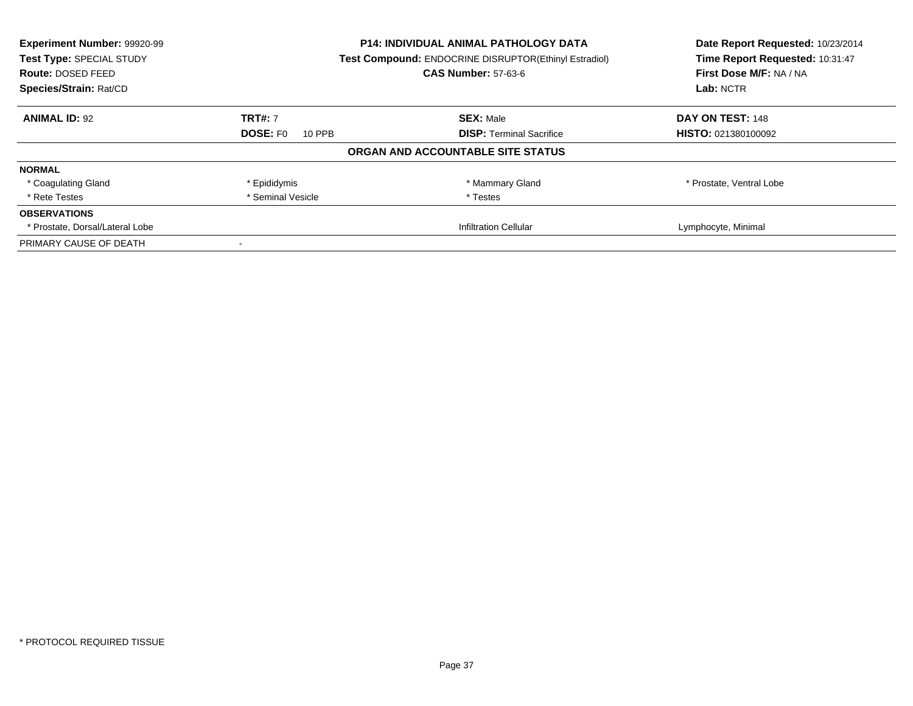| Experiment Number: 99920-99<br>Test Type: SPECIAL STUDY<br>Route: DOSED FEED | P14: INDIVIDUAL ANIMAL PATHOLOGY DATA<br>Test Compound: ENDOCRINE DISRUPTOR(Ethinyl Estradiol)<br><b>CAS Number: 57-63-6</b> |                                   | Date Report Requested: 10/23/2014<br>Time Report Requested: 10:31:47<br>First Dose M/F: NA / NA |
|------------------------------------------------------------------------------|------------------------------------------------------------------------------------------------------------------------------|-----------------------------------|-------------------------------------------------------------------------------------------------|
| Species/Strain: Rat/CD                                                       |                                                                                                                              |                                   | Lab: NCTR                                                                                       |
| <b>ANIMAL ID: 92</b>                                                         | <b>TRT#: 7</b>                                                                                                               | <b>SEX: Male</b>                  | DAY ON TEST: 148                                                                                |
|                                                                              | <b>DOSE: FO</b><br>10 PPB                                                                                                    | <b>DISP:</b> Terminal Sacrifice   | <b>HISTO: 021380100092</b>                                                                      |
|                                                                              |                                                                                                                              | ORGAN AND ACCOUNTABLE SITE STATUS |                                                                                                 |
| <b>NORMAL</b>                                                                |                                                                                                                              |                                   |                                                                                                 |
| * Coagulating Gland                                                          | * Epididymis                                                                                                                 | * Mammary Gland                   | * Prostate, Ventral Lobe                                                                        |
| * Rete Testes                                                                | * Seminal Vesicle                                                                                                            | * Testes                          |                                                                                                 |
| <b>OBSERVATIONS</b>                                                          |                                                                                                                              |                                   |                                                                                                 |
| * Prostate, Dorsal/Lateral Lobe                                              |                                                                                                                              | <b>Infiltration Cellular</b>      | Lymphocyte, Minimal                                                                             |
| PRIMARY CAUSE OF DEATH                                                       |                                                                                                                              |                                   |                                                                                                 |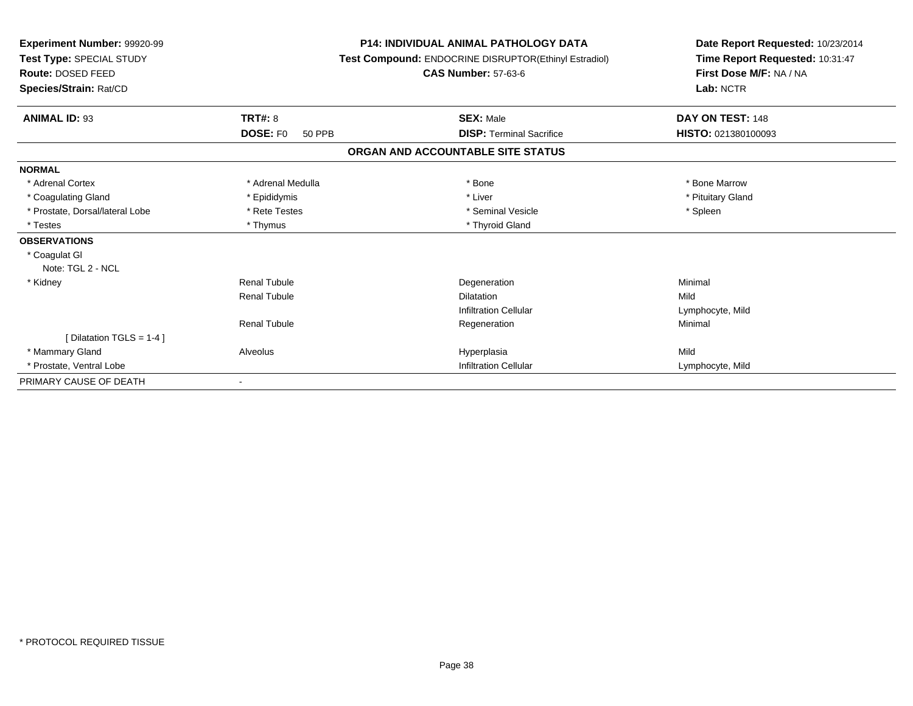| Experiment Number: 99920-99<br>Test Type: SPECIAL STUDY<br><b>Route: DOSED FEED</b><br>Species/Strain: Rat/CD |                                  | <b>P14: INDIVIDUAL ANIMAL PATHOLOGY DATA</b><br>Test Compound: ENDOCRINE DISRUPTOR(Ethinyl Estradiol)<br><b>CAS Number: 57-63-6</b> | Date Report Requested: 10/23/2014<br>Time Report Requested: 10:31:47<br>First Dose M/F: NA / NA<br>Lab: NCTR |  |
|---------------------------------------------------------------------------------------------------------------|----------------------------------|-------------------------------------------------------------------------------------------------------------------------------------|--------------------------------------------------------------------------------------------------------------|--|
| <b>ANIMAL ID: 93</b>                                                                                          | TRT#: 8                          | <b>SEX: Male</b>                                                                                                                    | DAY ON TEST: 148                                                                                             |  |
|                                                                                                               | <b>DOSE: FO</b><br><b>50 PPB</b> | <b>DISP: Terminal Sacrifice</b>                                                                                                     | HISTO: 021380100093                                                                                          |  |
|                                                                                                               |                                  | ORGAN AND ACCOUNTABLE SITE STATUS                                                                                                   |                                                                                                              |  |
| <b>NORMAL</b>                                                                                                 |                                  |                                                                                                                                     |                                                                                                              |  |
| * Adrenal Cortex                                                                                              | * Adrenal Medulla                | * Bone                                                                                                                              | * Bone Marrow                                                                                                |  |
| * Coagulating Gland                                                                                           | * Epididymis                     | * Liver                                                                                                                             | * Pituitary Gland                                                                                            |  |
| * Prostate, Dorsal/lateral Lobe                                                                               | * Rete Testes                    | * Seminal Vesicle                                                                                                                   | * Spleen                                                                                                     |  |
| * Testes                                                                                                      | * Thymus                         | * Thyroid Gland                                                                                                                     |                                                                                                              |  |
| <b>OBSERVATIONS</b>                                                                                           |                                  |                                                                                                                                     |                                                                                                              |  |
| * Coagulat GI<br>Note: TGL 2 - NCL                                                                            |                                  |                                                                                                                                     |                                                                                                              |  |
| * Kidney                                                                                                      | <b>Renal Tubule</b>              | Degeneration                                                                                                                        | Minimal                                                                                                      |  |
|                                                                                                               | <b>Renal Tubule</b>              | <b>Dilatation</b>                                                                                                                   | Mild                                                                                                         |  |
|                                                                                                               |                                  | <b>Infiltration Cellular</b>                                                                                                        | Lymphocyte, Mild                                                                                             |  |
|                                                                                                               | <b>Renal Tubule</b>              | Regeneration                                                                                                                        | Minimal                                                                                                      |  |
| [ Dilatation TGLS = 1-4 ]                                                                                     |                                  |                                                                                                                                     |                                                                                                              |  |
| * Mammary Gland                                                                                               | Alveolus                         | Hyperplasia                                                                                                                         | Mild                                                                                                         |  |
| * Prostate, Ventral Lobe                                                                                      |                                  | <b>Infiltration Cellular</b>                                                                                                        | Lymphocyte, Mild                                                                                             |  |
| PRIMARY CAUSE OF DEATH                                                                                        |                                  |                                                                                                                                     |                                                                                                              |  |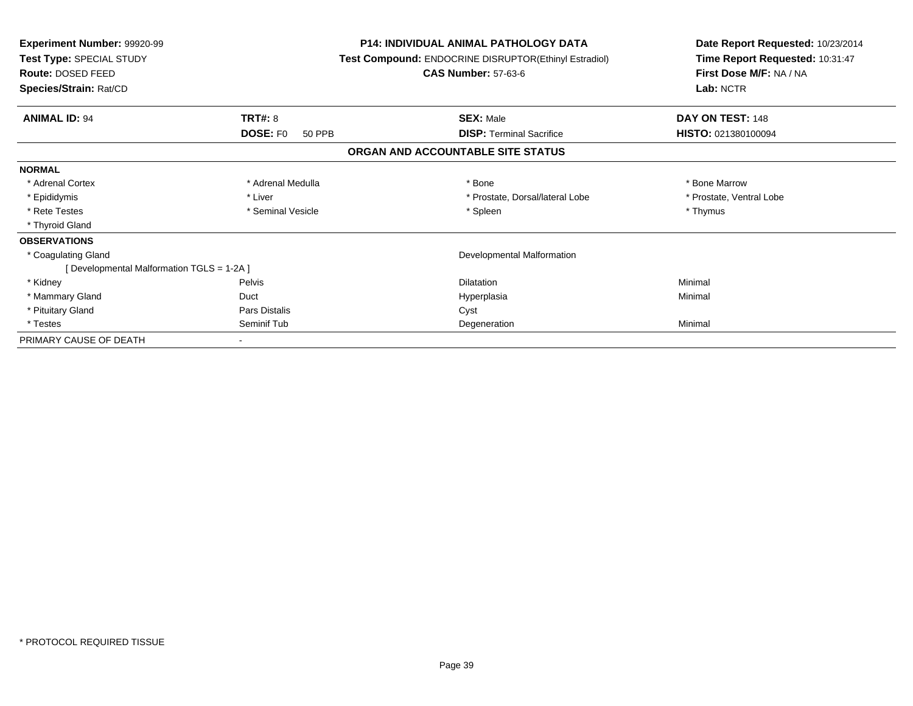| Experiment Number: 99920-99<br><b>Test Type: SPECIAL STUDY</b><br>Route: DOSED FEED<br>Species/Strain: Rat/CD |                           | <b>P14: INDIVIDUAL ANIMAL PATHOLOGY DATA</b><br>Test Compound: ENDOCRINE DISRUPTOR(Ethinyl Estradiol)<br><b>CAS Number: 57-63-6</b> | Date Report Requested: 10/23/2014<br>Time Report Requested: 10:31:47<br>First Dose M/F: NA / NA<br>Lab: NCTR |
|---------------------------------------------------------------------------------------------------------------|---------------------------|-------------------------------------------------------------------------------------------------------------------------------------|--------------------------------------------------------------------------------------------------------------|
| <b>ANIMAL ID: 94</b>                                                                                          | TRT#: 8                   | <b>SEX: Male</b>                                                                                                                    | DAY ON TEST: 148                                                                                             |
|                                                                                                               | <b>DOSE: FO</b><br>50 PPB | <b>DISP:</b> Terminal Sacrifice                                                                                                     | <b>HISTO: 021380100094</b>                                                                                   |
|                                                                                                               |                           | ORGAN AND ACCOUNTABLE SITE STATUS                                                                                                   |                                                                                                              |
| <b>NORMAL</b>                                                                                                 |                           |                                                                                                                                     |                                                                                                              |
| * Adrenal Cortex                                                                                              | * Adrenal Medulla         | * Bone                                                                                                                              | * Bone Marrow                                                                                                |
| * Epididymis                                                                                                  | * Liver                   | * Prostate, Dorsal/lateral Lobe                                                                                                     | * Prostate, Ventral Lobe                                                                                     |
| * Rete Testes                                                                                                 | * Seminal Vesicle         | * Spleen                                                                                                                            | * Thymus                                                                                                     |
| * Thyroid Gland                                                                                               |                           |                                                                                                                                     |                                                                                                              |
| <b>OBSERVATIONS</b>                                                                                           |                           |                                                                                                                                     |                                                                                                              |
| * Coagulating Gland                                                                                           |                           | Developmental Malformation                                                                                                          |                                                                                                              |
| [Developmental Malformation TGLS = 1-2A]                                                                      |                           |                                                                                                                                     |                                                                                                              |
| * Kidney                                                                                                      | <b>Pelvis</b>             | <b>Dilatation</b>                                                                                                                   | Minimal                                                                                                      |
| * Mammary Gland                                                                                               | Duct                      | Hyperplasia                                                                                                                         | Minimal                                                                                                      |
| * Pituitary Gland                                                                                             | Pars Distalis             | Cyst                                                                                                                                |                                                                                                              |
| * Testes                                                                                                      | Seminif Tub               | Degeneration                                                                                                                        | Minimal                                                                                                      |
| PRIMARY CAUSE OF DEATH                                                                                        |                           |                                                                                                                                     |                                                                                                              |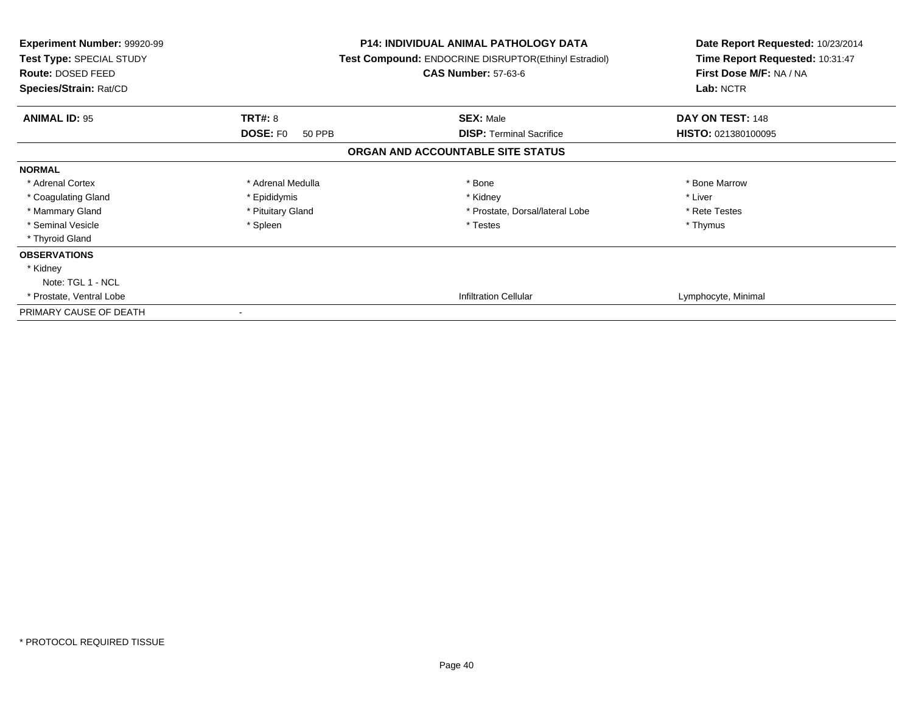| <b>Experiment Number: 99920-99</b><br>Test Type: SPECIAL STUDY<br>Route: DOSED FEED<br>Species/Strain: Rat/CD |                           | <b>P14: INDIVIDUAL ANIMAL PATHOLOGY DATA</b><br><b>Test Compound: ENDOCRINE DISRUPTOR(Ethinyl Estradiol)</b><br><b>CAS Number: 57-63-6</b> | Date Report Requested: 10/23/2014<br>Time Report Requested: 10:31:47<br>First Dose M/F: NA / NA<br>Lab: NCTR |
|---------------------------------------------------------------------------------------------------------------|---------------------------|--------------------------------------------------------------------------------------------------------------------------------------------|--------------------------------------------------------------------------------------------------------------|
| <b>ANIMAL ID: 95</b>                                                                                          | TRT#: 8                   | <b>SEX: Male</b>                                                                                                                           | DAY ON TEST: 148                                                                                             |
|                                                                                                               | <b>DOSE: FO</b><br>50 PPB | <b>DISP: Terminal Sacrifice</b>                                                                                                            | HISTO: 021380100095                                                                                          |
|                                                                                                               |                           | ORGAN AND ACCOUNTABLE SITE STATUS                                                                                                          |                                                                                                              |
| <b>NORMAL</b>                                                                                                 |                           |                                                                                                                                            |                                                                                                              |
| * Adrenal Cortex                                                                                              | * Adrenal Medulla         | * Bone                                                                                                                                     | * Bone Marrow                                                                                                |
| * Coagulating Gland                                                                                           | * Epididymis              | * Kidney                                                                                                                                   | * Liver                                                                                                      |
| * Mammary Gland                                                                                               | * Pituitary Gland         | * Prostate, Dorsal/lateral Lobe                                                                                                            | * Rete Testes                                                                                                |
| * Seminal Vesicle                                                                                             | * Spleen                  | * Testes                                                                                                                                   | * Thymus                                                                                                     |
| * Thyroid Gland                                                                                               |                           |                                                                                                                                            |                                                                                                              |
| <b>OBSERVATIONS</b>                                                                                           |                           |                                                                                                                                            |                                                                                                              |
| * Kidney                                                                                                      |                           |                                                                                                                                            |                                                                                                              |
| Note: TGL 1 - NCL                                                                                             |                           |                                                                                                                                            |                                                                                                              |
| * Prostate, Ventral Lobe                                                                                      |                           | <b>Infiltration Cellular</b>                                                                                                               | Lymphocyte, Minimal                                                                                          |
| PRIMARY CAUSE OF DEATH                                                                                        | $\overline{\phantom{a}}$  |                                                                                                                                            |                                                                                                              |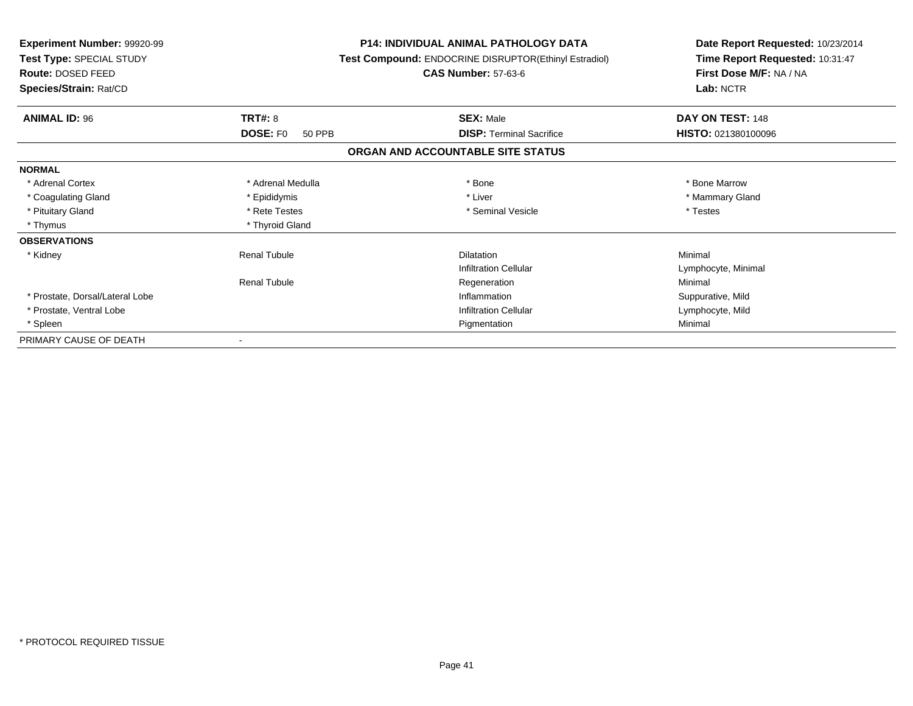| Experiment Number: 99920-99<br>Test Type: SPECIAL STUDY<br>Route: DOSED FEED<br>Species/Strain: Rat/CD |                           | <b>P14: INDIVIDUAL ANIMAL PATHOLOGY DATA</b><br>Test Compound: ENDOCRINE DISRUPTOR(Ethinyl Estradiol)<br><b>CAS Number: 57-63-6</b> | Date Report Requested: 10/23/2014<br>Time Report Requested: 10:31:47<br>First Dose M/F: NA / NA<br>Lab: NCTR |
|--------------------------------------------------------------------------------------------------------|---------------------------|-------------------------------------------------------------------------------------------------------------------------------------|--------------------------------------------------------------------------------------------------------------|
| <b>ANIMAL ID: 96</b>                                                                                   | <b>TRT#: 8</b>            | <b>SEX: Male</b>                                                                                                                    | DAY ON TEST: 148                                                                                             |
|                                                                                                        | <b>DOSE: FO</b><br>50 PPB | <b>DISP: Terminal Sacrifice</b>                                                                                                     | HISTO: 021380100096                                                                                          |
|                                                                                                        |                           | ORGAN AND ACCOUNTABLE SITE STATUS                                                                                                   |                                                                                                              |
| <b>NORMAL</b>                                                                                          |                           |                                                                                                                                     |                                                                                                              |
| * Adrenal Cortex                                                                                       | * Adrenal Medulla         | * Bone                                                                                                                              | * Bone Marrow                                                                                                |
| * Coagulating Gland                                                                                    | * Epididymis              | * Liver                                                                                                                             | * Mammary Gland                                                                                              |
| * Pituitary Gland                                                                                      | * Rete Testes             | * Seminal Vesicle                                                                                                                   | * Testes                                                                                                     |
| * Thymus                                                                                               | * Thyroid Gland           |                                                                                                                                     |                                                                                                              |
| <b>OBSERVATIONS</b>                                                                                    |                           |                                                                                                                                     |                                                                                                              |
| * Kidney                                                                                               | <b>Renal Tubule</b>       | <b>Dilatation</b>                                                                                                                   | Minimal                                                                                                      |
|                                                                                                        |                           | <b>Infiltration Cellular</b>                                                                                                        | Lymphocyte, Minimal                                                                                          |
|                                                                                                        | <b>Renal Tubule</b>       | Regeneration                                                                                                                        | Minimal                                                                                                      |
| * Prostate, Dorsal/Lateral Lobe                                                                        |                           | Inflammation                                                                                                                        | Suppurative, Mild                                                                                            |
| * Prostate, Ventral Lobe                                                                               |                           | <b>Infiltration Cellular</b>                                                                                                        | Lymphocyte, Mild                                                                                             |
| * Spleen                                                                                               |                           | Pigmentation                                                                                                                        | Minimal                                                                                                      |
| PRIMARY CAUSE OF DEATH                                                                                 |                           |                                                                                                                                     |                                                                                                              |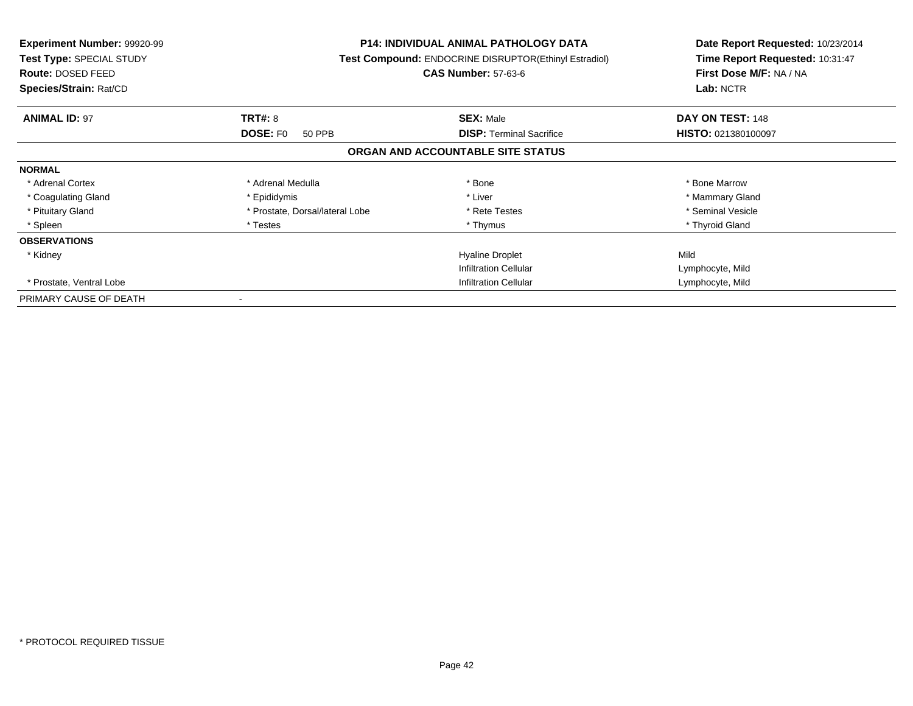| <b>Experiment Number: 99920-99</b><br>Test Type: SPECIAL STUDY<br><b>Route: DOSED FEED</b><br>Species/Strain: Rat/CD |                                 | <b>P14: INDIVIDUAL ANIMAL PATHOLOGY DATA</b><br>Test Compound: ENDOCRINE DISRUPTOR(Ethinyl Estradiol)<br><b>CAS Number: 57-63-6</b> | Date Report Requested: 10/23/2014<br>Time Report Requested: 10:31:47<br>First Dose M/F: NA / NA<br>Lab: NCTR |
|----------------------------------------------------------------------------------------------------------------------|---------------------------------|-------------------------------------------------------------------------------------------------------------------------------------|--------------------------------------------------------------------------------------------------------------|
| <b>ANIMAL ID: 97</b>                                                                                                 | <b>TRT#: 8</b>                  | <b>SEX: Male</b>                                                                                                                    | DAY ON TEST: 148                                                                                             |
|                                                                                                                      | <b>DOSE: FO</b><br>50 PPB       | <b>DISP:</b> Terminal Sacrifice                                                                                                     | HISTO: 021380100097                                                                                          |
|                                                                                                                      |                                 | ORGAN AND ACCOUNTABLE SITE STATUS                                                                                                   |                                                                                                              |
| <b>NORMAL</b>                                                                                                        |                                 |                                                                                                                                     |                                                                                                              |
| * Adrenal Cortex                                                                                                     | * Adrenal Medulla               | * Bone                                                                                                                              | * Bone Marrow                                                                                                |
| * Coagulating Gland                                                                                                  | * Epididymis                    | * Liver                                                                                                                             | * Mammary Gland                                                                                              |
| * Pituitary Gland                                                                                                    | * Prostate, Dorsal/lateral Lobe | * Rete Testes                                                                                                                       | * Seminal Vesicle                                                                                            |
| * Spleen                                                                                                             | * Testes                        | * Thymus                                                                                                                            | * Thyroid Gland                                                                                              |
| <b>OBSERVATIONS</b>                                                                                                  |                                 |                                                                                                                                     |                                                                                                              |
| * Kidney                                                                                                             |                                 | <b>Hyaline Droplet</b>                                                                                                              | Mild                                                                                                         |
|                                                                                                                      |                                 | <b>Infiltration Cellular</b>                                                                                                        | Lymphocyte, Mild                                                                                             |
| * Prostate, Ventral Lobe                                                                                             |                                 | <b>Infiltration Cellular</b>                                                                                                        | Lymphocyte, Mild                                                                                             |
| PRIMARY CAUSE OF DEATH                                                                                               |                                 |                                                                                                                                     |                                                                                                              |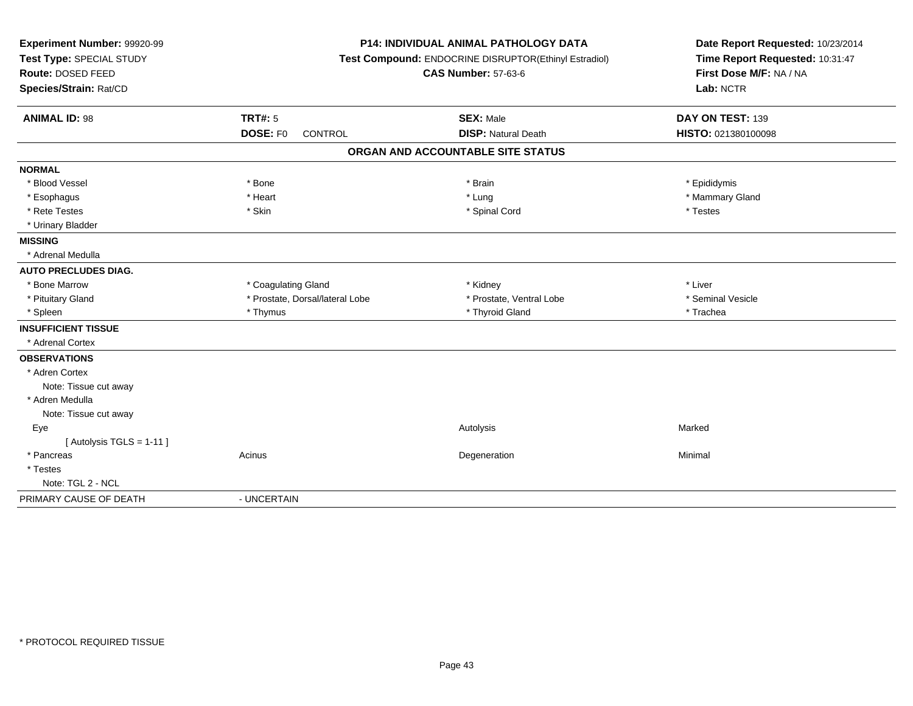| Experiment Number: 99920-99 | <b>P14: INDIVIDUAL ANIMAL PATHOLOGY DATA</b><br>Test Compound: ENDOCRINE DISRUPTOR(Ethinyl Estradiol) |                                   | Date Report Requested: 10/23/2014 |
|-----------------------------|-------------------------------------------------------------------------------------------------------|-----------------------------------|-----------------------------------|
| Test Type: SPECIAL STUDY    |                                                                                                       |                                   | Time Report Requested: 10:31:47   |
| Route: DOSED FEED           |                                                                                                       | <b>CAS Number: 57-63-6</b>        | First Dose M/F: NA / NA           |
| Species/Strain: Rat/CD      |                                                                                                       |                                   | Lab: NCTR                         |
| <b>ANIMAL ID: 98</b>        | <b>TRT#: 5</b>                                                                                        | <b>SEX: Male</b>                  | DAY ON TEST: 139                  |
|                             | DOSE: F0<br><b>CONTROL</b>                                                                            | <b>DISP: Natural Death</b>        | HISTO: 021380100098               |
|                             |                                                                                                       | ORGAN AND ACCOUNTABLE SITE STATUS |                                   |
| <b>NORMAL</b>               |                                                                                                       |                                   |                                   |
| * Blood Vessel              | * Bone                                                                                                | * Brain                           | * Epididymis                      |
| * Esophagus                 | * Heart                                                                                               | * Lung                            | * Mammary Gland                   |
| * Rete Testes               | * Skin                                                                                                | * Spinal Cord                     | * Testes                          |
| * Urinary Bladder           |                                                                                                       |                                   |                                   |
| <b>MISSING</b>              |                                                                                                       |                                   |                                   |
| * Adrenal Medulla           |                                                                                                       |                                   |                                   |
| <b>AUTO PRECLUDES DIAG.</b> |                                                                                                       |                                   |                                   |
| * Bone Marrow               | * Coagulating Gland                                                                                   | * Kidney                          | * Liver                           |
| * Pituitary Gland           | * Prostate, Dorsal/lateral Lobe                                                                       | * Prostate, Ventral Lobe          | * Seminal Vesicle                 |
| * Spleen                    | * Thymus                                                                                              | * Thyroid Gland                   | * Trachea                         |
| <b>INSUFFICIENT TISSUE</b>  |                                                                                                       |                                   |                                   |
| * Adrenal Cortex            |                                                                                                       |                                   |                                   |
| <b>OBSERVATIONS</b>         |                                                                                                       |                                   |                                   |
| * Adren Cortex              |                                                                                                       |                                   |                                   |
| Note: Tissue cut away       |                                                                                                       |                                   |                                   |
| * Adren Medulla             |                                                                                                       |                                   |                                   |
| Note: Tissue cut away       |                                                                                                       |                                   |                                   |
| Eye                         |                                                                                                       | Autolysis                         | Marked                            |
| [Autolysis TGLS = 1-11]     |                                                                                                       |                                   |                                   |
| * Pancreas                  | Acinus                                                                                                | Degeneration                      | Minimal                           |
| * Testes                    |                                                                                                       |                                   |                                   |
| Note: TGL 2 - NCL           |                                                                                                       |                                   |                                   |
| PRIMARY CAUSE OF DEATH      | - UNCERTAIN                                                                                           |                                   |                                   |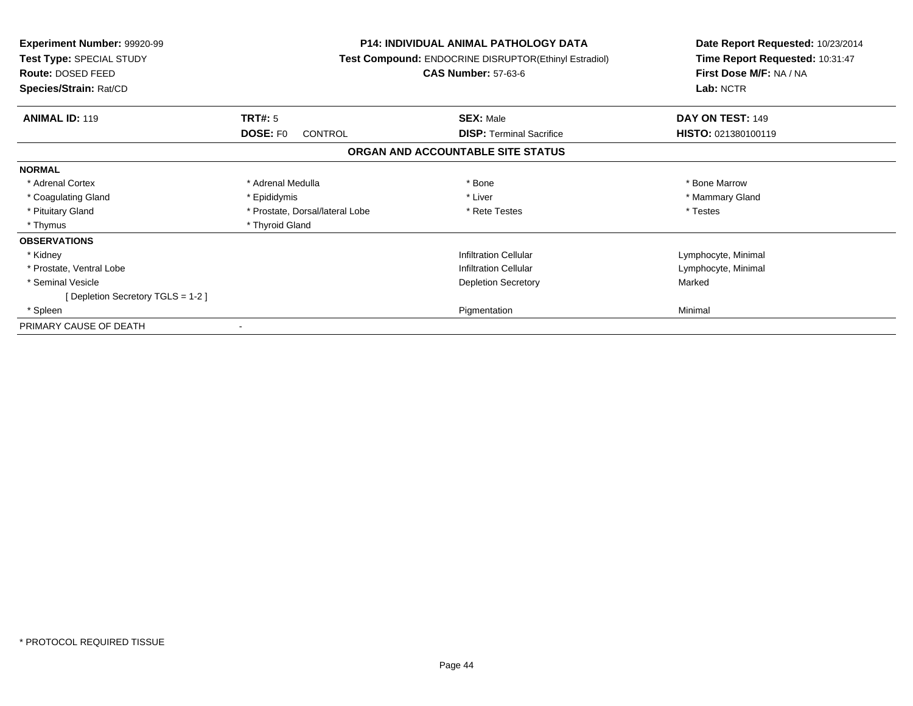| <b>Experiment Number: 99920-99</b><br><b>Test Type: SPECIAL STUDY</b><br><b>Route: DOSED FEED</b><br>Species/Strain: Rat/CD | <b>P14: INDIVIDUAL ANIMAL PATHOLOGY DATA</b><br><b>Test Compound: ENDOCRINE DISRUPTOR(Ethinyl Estradiol)</b><br><b>CAS Number: 57-63-6</b> |                                                                      | Date Report Requested: 10/23/2014<br>Time Report Requested: 10:31:47<br>First Dose M/F: NA / NA<br>Lab: NCTR |
|-----------------------------------------------------------------------------------------------------------------------------|--------------------------------------------------------------------------------------------------------------------------------------------|----------------------------------------------------------------------|--------------------------------------------------------------------------------------------------------------|
| <b>ANIMAL ID: 119</b>                                                                                                       | <b>TRT#: 5</b>                                                                                                                             | <b>SEX: Male</b>                                                     | DAY ON TEST: 149                                                                                             |
|                                                                                                                             | <b>DOSE: FO</b><br><b>CONTROL</b>                                                                                                          | <b>DISP:</b> Terminal Sacrifice<br>ORGAN AND ACCOUNTABLE SITE STATUS | HISTO: 021380100119                                                                                          |
|                                                                                                                             |                                                                                                                                            |                                                                      |                                                                                                              |
| <b>NORMAL</b>                                                                                                               |                                                                                                                                            |                                                                      |                                                                                                              |
| * Adrenal Cortex                                                                                                            | * Adrenal Medulla                                                                                                                          | * Bone                                                               | * Bone Marrow                                                                                                |
| * Coagulating Gland                                                                                                         | * Epididymis                                                                                                                               | * Liver                                                              | * Mammary Gland                                                                                              |
| * Pituitary Gland                                                                                                           | * Prostate, Dorsal/lateral Lobe                                                                                                            | * Rete Testes                                                        | * Testes                                                                                                     |
| * Thymus                                                                                                                    | * Thyroid Gland                                                                                                                            |                                                                      |                                                                                                              |
| <b>OBSERVATIONS</b>                                                                                                         |                                                                                                                                            |                                                                      |                                                                                                              |
| * Kidney                                                                                                                    |                                                                                                                                            | <b>Infiltration Cellular</b>                                         | Lymphocyte, Minimal                                                                                          |
| * Prostate, Ventral Lobe                                                                                                    |                                                                                                                                            | <b>Infiltration Cellular</b>                                         | Lymphocyte, Minimal                                                                                          |
| * Seminal Vesicle                                                                                                           |                                                                                                                                            | <b>Depletion Secretory</b>                                           | Marked                                                                                                       |
| [Depletion Secretory TGLS = 1-2]                                                                                            |                                                                                                                                            |                                                                      |                                                                                                              |
| * Spleen                                                                                                                    |                                                                                                                                            | Pigmentation                                                         | Minimal                                                                                                      |
| PRIMARY CAUSE OF DEATH                                                                                                      |                                                                                                                                            |                                                                      |                                                                                                              |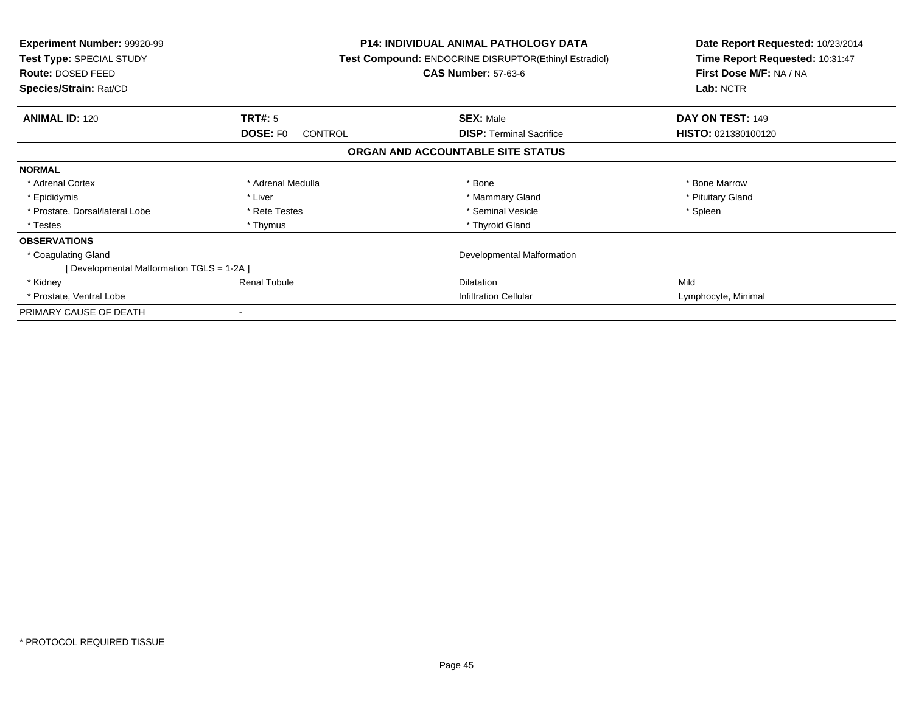| <b>Experiment Number: 99920-99</b><br>Test Type: SPECIAL STUDY<br>Route: DOSED FEED<br>Species/Strain: Rat/CD |                            | P14: INDIVIDUAL ANIMAL PATHOLOGY DATA<br>Test Compound: ENDOCRINE DISRUPTOR(Ethinyl Estradiol)<br><b>CAS Number: 57-63-6</b> | Date Report Requested: 10/23/2014<br>Time Report Requested: 10:31:47<br>First Dose M/F: NA / NA<br>Lab: NCTR |
|---------------------------------------------------------------------------------------------------------------|----------------------------|------------------------------------------------------------------------------------------------------------------------------|--------------------------------------------------------------------------------------------------------------|
| <b>ANIMAL ID: 120</b>                                                                                         | TRT#: 5                    | <b>SEX: Male</b>                                                                                                             | DAY ON TEST: 149                                                                                             |
|                                                                                                               | DOSE: FO<br><b>CONTROL</b> | <b>DISP:</b> Terminal Sacrifice                                                                                              | <b>HISTO: 021380100120</b>                                                                                   |
|                                                                                                               |                            | ORGAN AND ACCOUNTABLE SITE STATUS                                                                                            |                                                                                                              |
| <b>NORMAL</b>                                                                                                 |                            |                                                                                                                              |                                                                                                              |
| * Adrenal Cortex                                                                                              | * Adrenal Medulla          | * Bone                                                                                                                       | * Bone Marrow                                                                                                |
| * Epididymis                                                                                                  | * Liver                    | * Mammary Gland                                                                                                              | * Pituitary Gland                                                                                            |
| * Prostate, Dorsal/lateral Lobe                                                                               | * Rete Testes              | * Seminal Vesicle                                                                                                            | * Spleen                                                                                                     |
| * Testes                                                                                                      | * Thymus                   | * Thyroid Gland                                                                                                              |                                                                                                              |
| <b>OBSERVATIONS</b>                                                                                           |                            |                                                                                                                              |                                                                                                              |
| * Coagulating Gland                                                                                           |                            | Developmental Malformation                                                                                                   |                                                                                                              |
| [ Developmental Malformation TGLS = 1-2A ]                                                                    |                            |                                                                                                                              |                                                                                                              |
| * Kidney                                                                                                      | <b>Renal Tubule</b>        | <b>Dilatation</b>                                                                                                            | Mild                                                                                                         |
| * Prostate, Ventral Lobe                                                                                      |                            | <b>Infiltration Cellular</b>                                                                                                 | Lymphocyte, Minimal                                                                                          |
| PRIMARY CAUSE OF DEATH                                                                                        |                            |                                                                                                                              |                                                                                                              |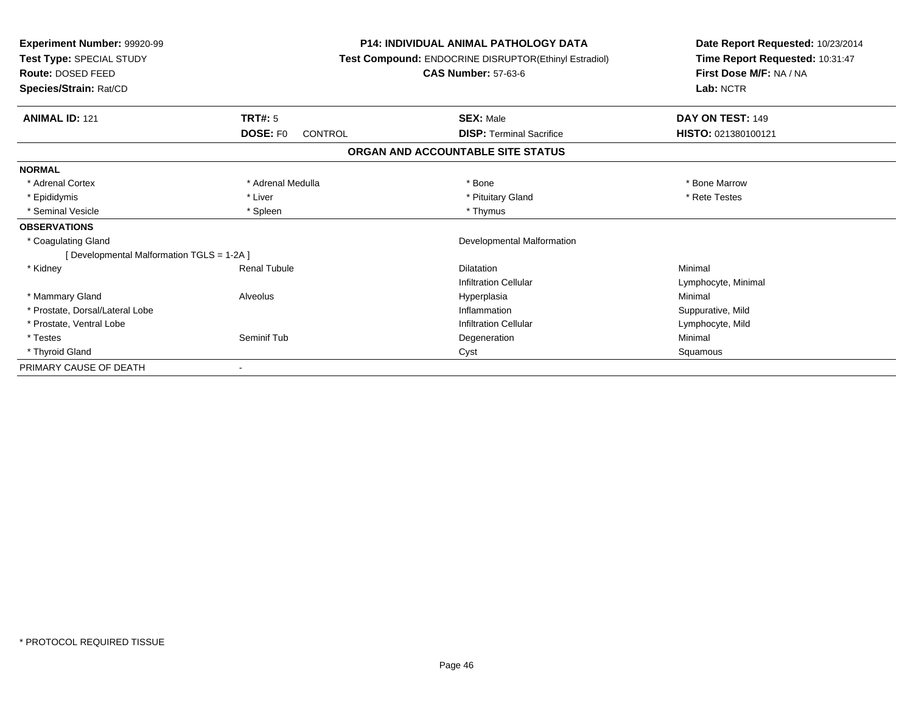| <b>Experiment Number: 99920-99</b><br>Test Type: SPECIAL STUDY<br><b>Route: DOSED FEED</b><br>Species/Strain: Rat/CD |                                       | <b>P14: INDIVIDUAL ANIMAL PATHOLOGY DATA</b><br>Test Compound: ENDOCRINE DISRUPTOR(Ethinyl Estradiol)<br><b>CAS Number: 57-63-6</b> | Date Report Requested: 10/23/2014<br>Time Report Requested: 10:31:47<br>First Dose M/F: NA / NA<br>Lab: NCTR |  |
|----------------------------------------------------------------------------------------------------------------------|---------------------------------------|-------------------------------------------------------------------------------------------------------------------------------------|--------------------------------------------------------------------------------------------------------------|--|
| <b>ANIMAL ID: 121</b>                                                                                                |                                       | <b>SEX: Male</b>                                                                                                                    | DAY ON TEST: 149                                                                                             |  |
|                                                                                                                      | TRT#: 5<br><b>DOSE: FO</b><br>CONTROL | <b>DISP: Terminal Sacrifice</b>                                                                                                     | HISTO: 021380100121                                                                                          |  |
|                                                                                                                      |                                       | ORGAN AND ACCOUNTABLE SITE STATUS                                                                                                   |                                                                                                              |  |
| <b>NORMAL</b>                                                                                                        |                                       |                                                                                                                                     |                                                                                                              |  |
| * Adrenal Cortex                                                                                                     | * Adrenal Medulla                     | * Bone                                                                                                                              | * Bone Marrow                                                                                                |  |
| * Epididymis                                                                                                         | * Liver                               | * Pituitary Gland                                                                                                                   | * Rete Testes                                                                                                |  |
| * Seminal Vesicle                                                                                                    | * Spleen                              | * Thymus                                                                                                                            |                                                                                                              |  |
| <b>OBSERVATIONS</b>                                                                                                  |                                       |                                                                                                                                     |                                                                                                              |  |
| * Coagulating Gland                                                                                                  |                                       | Developmental Malformation                                                                                                          |                                                                                                              |  |
| [ Developmental Malformation TGLS = 1-2A ]                                                                           |                                       |                                                                                                                                     |                                                                                                              |  |
| * Kidney                                                                                                             | <b>Renal Tubule</b>                   | <b>Dilatation</b>                                                                                                                   | Minimal                                                                                                      |  |
|                                                                                                                      |                                       | <b>Infiltration Cellular</b>                                                                                                        | Lymphocyte, Minimal                                                                                          |  |
| * Mammary Gland                                                                                                      | Alveolus                              | Hyperplasia                                                                                                                         | Minimal                                                                                                      |  |
| * Prostate, Dorsal/Lateral Lobe                                                                                      |                                       | Inflammation                                                                                                                        | Suppurative, Mild                                                                                            |  |
| * Prostate, Ventral Lobe                                                                                             |                                       | <b>Infiltration Cellular</b>                                                                                                        | Lymphocyte, Mild                                                                                             |  |
| * Testes                                                                                                             | Seminif Tub                           | Degeneration                                                                                                                        | Minimal                                                                                                      |  |
| * Thyroid Gland                                                                                                      |                                       | Cyst                                                                                                                                | Squamous                                                                                                     |  |
| PRIMARY CAUSE OF DEATH                                                                                               |                                       |                                                                                                                                     |                                                                                                              |  |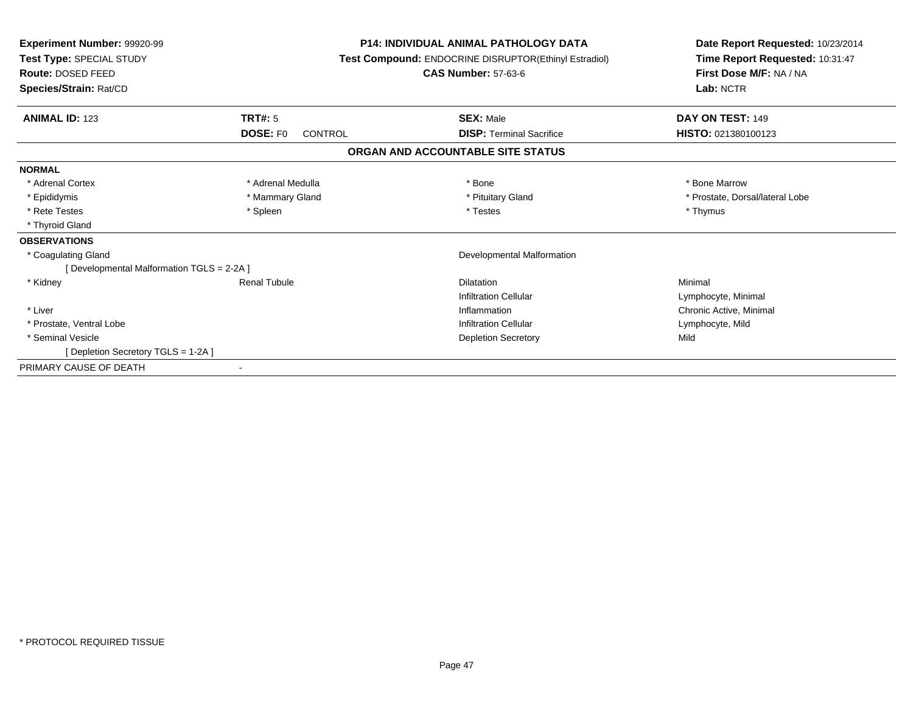| Experiment Number: 99920-99<br>Test Type: SPECIAL STUDY<br>Route: DOSED FEED<br>Species/Strain: Rat/CD | <b>P14: INDIVIDUAL ANIMAL PATHOLOGY DATA</b><br>Test Compound: ENDOCRINE DISRUPTOR(Ethinyl Estradiol)<br><b>CAS Number: 57-63-6</b> |                                   | Date Report Requested: 10/23/2014<br>Time Report Requested: 10:31:47<br>First Dose M/F: NA / NA<br>Lab: NCTR |
|--------------------------------------------------------------------------------------------------------|-------------------------------------------------------------------------------------------------------------------------------------|-----------------------------------|--------------------------------------------------------------------------------------------------------------|
| <b>ANIMAL ID: 123</b>                                                                                  | <b>TRT#: 5</b>                                                                                                                      | <b>SEX: Male</b>                  | DAY ON TEST: 149                                                                                             |
|                                                                                                        | DOSE: F0<br>CONTROL                                                                                                                 | <b>DISP: Terminal Sacrifice</b>   | HISTO: 021380100123                                                                                          |
|                                                                                                        |                                                                                                                                     | ORGAN AND ACCOUNTABLE SITE STATUS |                                                                                                              |
| <b>NORMAL</b>                                                                                          |                                                                                                                                     |                                   |                                                                                                              |
| * Adrenal Cortex                                                                                       | * Adrenal Medulla                                                                                                                   | * Bone                            | * Bone Marrow                                                                                                |
| * Epididymis                                                                                           | * Mammary Gland                                                                                                                     | * Pituitary Gland                 | * Prostate, Dorsal/lateral Lobe                                                                              |
| * Rete Testes                                                                                          | * Spleen                                                                                                                            | * Testes                          | * Thymus                                                                                                     |
| * Thyroid Gland                                                                                        |                                                                                                                                     |                                   |                                                                                                              |
| <b>OBSERVATIONS</b>                                                                                    |                                                                                                                                     |                                   |                                                                                                              |
| * Coagulating Gland                                                                                    |                                                                                                                                     | Developmental Malformation        |                                                                                                              |
| [ Developmental Malformation TGLS = 2-2A ]                                                             |                                                                                                                                     |                                   |                                                                                                              |
| * Kidney                                                                                               | <b>Renal Tubule</b>                                                                                                                 | Dilatation                        | Minimal                                                                                                      |
|                                                                                                        |                                                                                                                                     | <b>Infiltration Cellular</b>      | Lymphocyte, Minimal                                                                                          |
| * Liver                                                                                                |                                                                                                                                     | Inflammation                      | Chronic Active, Minimal                                                                                      |
| * Prostate, Ventral Lobe                                                                               |                                                                                                                                     | <b>Infiltration Cellular</b>      | Lymphocyte, Mild                                                                                             |
| * Seminal Vesicle                                                                                      |                                                                                                                                     | <b>Depletion Secretory</b>        | Mild                                                                                                         |
| [ Depletion Secretory TGLS = 1-2A ]                                                                    |                                                                                                                                     |                                   |                                                                                                              |
| PRIMARY CAUSE OF DEATH                                                                                 |                                                                                                                                     |                                   |                                                                                                              |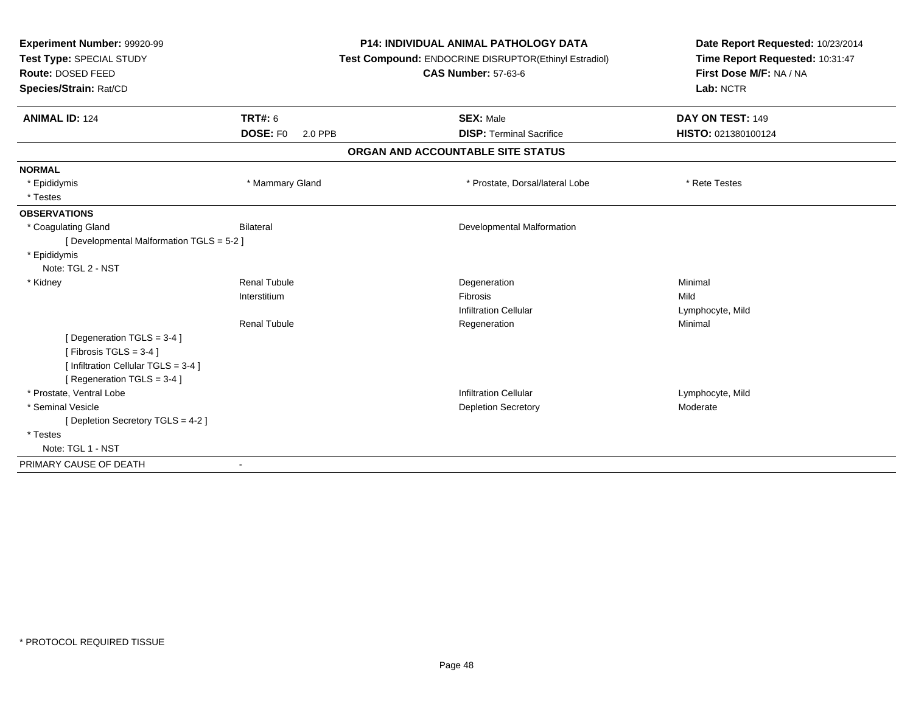| Experiment Number: 99920-99<br>Test Type: SPECIAL STUDY<br>Route: DOSED FEED |                     | <b>P14: INDIVIDUAL ANIMAL PATHOLOGY DATA</b>          | Date Report Requested: 10/23/2014<br>Time Report Requested: 10:31:47<br>First Dose M/F: NA / NA |
|------------------------------------------------------------------------------|---------------------|-------------------------------------------------------|-------------------------------------------------------------------------------------------------|
|                                                                              |                     | Test Compound: ENDOCRINE DISRUPTOR(Ethinyl Estradiol) |                                                                                                 |
|                                                                              |                     | <b>CAS Number: 57-63-6</b>                            |                                                                                                 |
| Species/Strain: Rat/CD                                                       |                     |                                                       | Lab: NCTR                                                                                       |
| <b>ANIMAL ID: 124</b>                                                        | <b>TRT#: 6</b>      | <b>SEX: Male</b>                                      | DAY ON TEST: 149                                                                                |
|                                                                              | DOSE: F0<br>2.0 PPB | <b>DISP: Terminal Sacrifice</b>                       | HISTO: 021380100124                                                                             |
|                                                                              |                     | ORGAN AND ACCOUNTABLE SITE STATUS                     |                                                                                                 |
| <b>NORMAL</b>                                                                |                     |                                                       |                                                                                                 |
| * Epididymis                                                                 | * Mammary Gland     | * Prostate, Dorsal/lateral Lobe                       | * Rete Testes                                                                                   |
| * Testes                                                                     |                     |                                                       |                                                                                                 |
| <b>OBSERVATIONS</b>                                                          |                     |                                                       |                                                                                                 |
| * Coagulating Gland                                                          | <b>Bilateral</b>    | Developmental Malformation                            |                                                                                                 |
| [ Developmental Malformation TGLS = 5-2 ]                                    |                     |                                                       |                                                                                                 |
| * Epididymis                                                                 |                     |                                                       |                                                                                                 |
| Note: TGL 2 - NST                                                            |                     |                                                       |                                                                                                 |
| * Kidney                                                                     | <b>Renal Tubule</b> | Degeneration                                          | Minimal                                                                                         |
|                                                                              | Interstitium        | Fibrosis                                              | Mild                                                                                            |
|                                                                              |                     | <b>Infiltration Cellular</b>                          | Lymphocyte, Mild                                                                                |
|                                                                              | <b>Renal Tubule</b> | Regeneration                                          | Minimal                                                                                         |
| [Degeneration TGLS = 3-4]                                                    |                     |                                                       |                                                                                                 |
| [Fibrosis TGLS = $3-4$ ]                                                     |                     |                                                       |                                                                                                 |
| [ Infiltration Cellular TGLS = 3-4 ]                                         |                     |                                                       |                                                                                                 |
| [ Regeneration TGLS = 3-4 ]                                                  |                     |                                                       |                                                                                                 |
| * Prostate, Ventral Lobe                                                     |                     | <b>Infiltration Cellular</b>                          | Lymphocyte, Mild                                                                                |
| * Seminal Vesicle                                                            |                     | <b>Depletion Secretory</b>                            | Moderate                                                                                        |
| [ Depletion Secretory TGLS = 4-2 ]                                           |                     |                                                       |                                                                                                 |
| * Testes                                                                     |                     |                                                       |                                                                                                 |
| Note: TGL 1 - NST                                                            |                     |                                                       |                                                                                                 |
| PRIMARY CAUSE OF DEATH                                                       |                     |                                                       |                                                                                                 |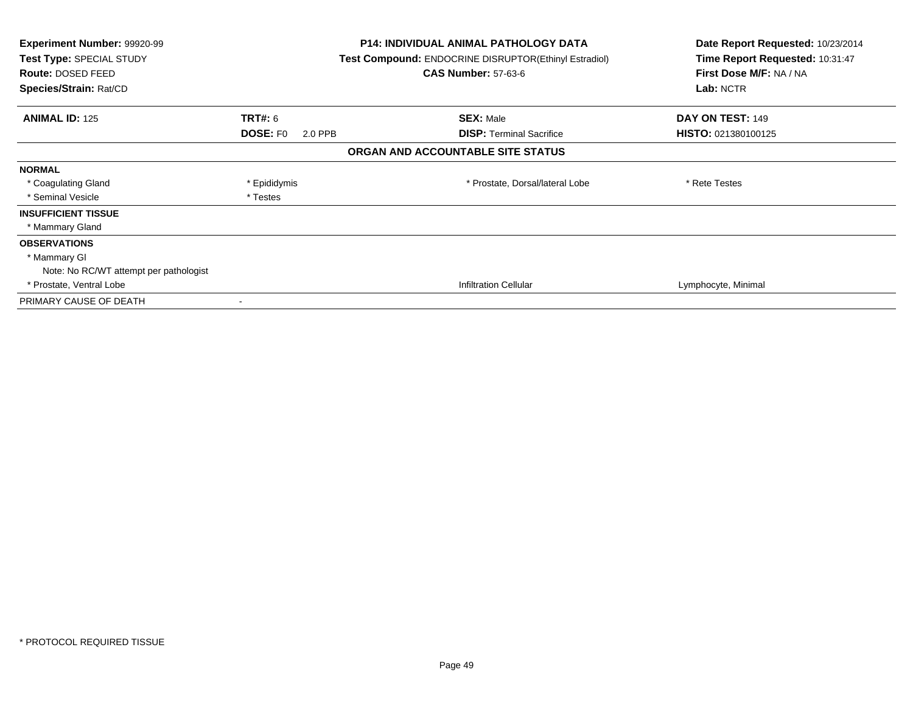| Experiment Number: 99920-99<br>Test Type: SPECIAL STUDY<br>Route: DOSED FEED<br>Species/Strain: Rat/CD |                            | <b>P14: INDIVIDUAL ANIMAL PATHOLOGY DATA</b><br><b>Test Compound: ENDOCRINE DISRUPTOR(Ethinyl Estradiol)</b><br><b>CAS Number: 57-63-6</b> | Date Report Requested: 10/23/2014<br>Time Report Requested: 10:31:47<br>First Dose M/F: NA / NA<br>Lab: NCTR |
|--------------------------------------------------------------------------------------------------------|----------------------------|--------------------------------------------------------------------------------------------------------------------------------------------|--------------------------------------------------------------------------------------------------------------|
| <b>ANIMAL ID: 125</b>                                                                                  | TRT#: 6                    | <b>SEX: Male</b>                                                                                                                           | DAY ON TEST: 149                                                                                             |
|                                                                                                        | <b>DOSE: FO</b><br>2.0 PPB | <b>DISP:</b> Terminal Sacrifice                                                                                                            | <b>HISTO: 021380100125</b>                                                                                   |
|                                                                                                        |                            | ORGAN AND ACCOUNTABLE SITE STATUS                                                                                                          |                                                                                                              |
| <b>NORMAL</b>                                                                                          |                            |                                                                                                                                            |                                                                                                              |
| * Coagulating Gland                                                                                    | * Epididymis               | * Prostate, Dorsal/lateral Lobe                                                                                                            | * Rete Testes                                                                                                |
| * Seminal Vesicle                                                                                      | * Testes                   |                                                                                                                                            |                                                                                                              |
| <b>INSUFFICIENT TISSUE</b>                                                                             |                            |                                                                                                                                            |                                                                                                              |
| * Mammary Gland                                                                                        |                            |                                                                                                                                            |                                                                                                              |
| <b>OBSERVATIONS</b>                                                                                    |                            |                                                                                                                                            |                                                                                                              |
| * Mammary GI                                                                                           |                            |                                                                                                                                            |                                                                                                              |
| Note: No RC/WT attempt per pathologist                                                                 |                            |                                                                                                                                            |                                                                                                              |
| * Prostate, Ventral Lobe                                                                               |                            | <b>Infiltration Cellular</b>                                                                                                               | Lymphocyte, Minimal                                                                                          |
| PRIMARY CAUSE OF DEATH                                                                                 |                            |                                                                                                                                            |                                                                                                              |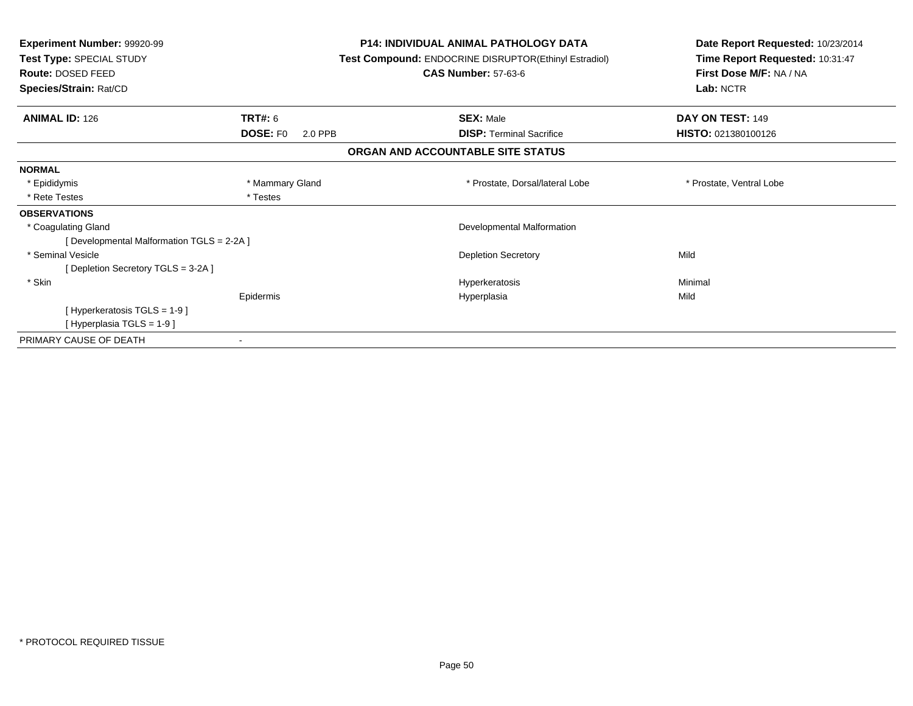| <b>Experiment Number: 99920-99</b><br>Test Type: SPECIAL STUDY<br>Route: DOSED FEED<br>Species/Strain: Rat/CD | <b>P14: INDIVIDUAL ANIMAL PATHOLOGY DATA</b><br><b>Test Compound: ENDOCRINE DISRUPTOR(Ethinyl Estradiol)</b><br><b>CAS Number: 57-63-6</b> |                                   | Date Report Requested: 10/23/2014<br>Time Report Requested: 10:31:47<br>First Dose M/F: NA / NA<br>Lab: NCTR |
|---------------------------------------------------------------------------------------------------------------|--------------------------------------------------------------------------------------------------------------------------------------------|-----------------------------------|--------------------------------------------------------------------------------------------------------------|
| <b>ANIMAL ID: 126</b>                                                                                         | <b>TRT#: 6</b>                                                                                                                             | <b>SEX: Male</b>                  | DAY ON TEST: 149                                                                                             |
|                                                                                                               | <b>DOSE: FO</b><br>2.0 PPB                                                                                                                 | <b>DISP:</b> Terminal Sacrifice   | HISTO: 021380100126                                                                                          |
|                                                                                                               |                                                                                                                                            | ORGAN AND ACCOUNTABLE SITE STATUS |                                                                                                              |
| <b>NORMAL</b>                                                                                                 |                                                                                                                                            |                                   |                                                                                                              |
| * Epididymis                                                                                                  | * Mammary Gland                                                                                                                            | * Prostate, Dorsal/lateral Lobe   | * Prostate, Ventral Lobe                                                                                     |
| * Rete Testes                                                                                                 | * Testes                                                                                                                                   |                                   |                                                                                                              |
| <b>OBSERVATIONS</b>                                                                                           |                                                                                                                                            |                                   |                                                                                                              |
| * Coagulating Gland                                                                                           |                                                                                                                                            | Developmental Malformation        |                                                                                                              |
| [Developmental Malformation TGLS = 2-2A]                                                                      |                                                                                                                                            |                                   |                                                                                                              |
| * Seminal Vesicle                                                                                             |                                                                                                                                            | <b>Depletion Secretory</b>        | Mild                                                                                                         |
| [Depletion Secretory TGLS = 3-2A]                                                                             |                                                                                                                                            |                                   |                                                                                                              |
| * Skin                                                                                                        |                                                                                                                                            | Hyperkeratosis                    | Minimal                                                                                                      |
|                                                                                                               | Epidermis                                                                                                                                  | Hyperplasia                       | Mild                                                                                                         |
| [Hyperkeratosis TGLS = 1-9]                                                                                   |                                                                                                                                            |                                   |                                                                                                              |
| [Hyperplasia TGLS = 1-9]                                                                                      |                                                                                                                                            |                                   |                                                                                                              |
| PRIMARY CAUSE OF DEATH                                                                                        |                                                                                                                                            |                                   |                                                                                                              |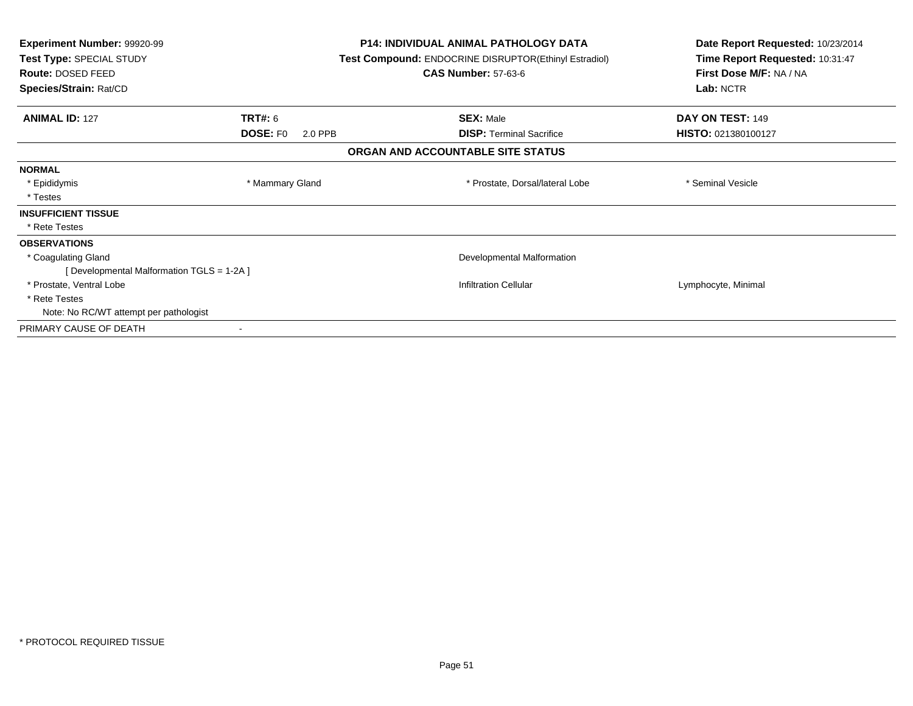| Experiment Number: 99920-99<br>Test Type: SPECIAL STUDY<br><b>Route: DOSED FEED</b><br>Species/Strain: Rat/CD |                            | <b>P14: INDIVIDUAL ANIMAL PATHOLOGY DATA</b><br>Test Compound: ENDOCRINE DISRUPTOR(Ethinyl Estradiol)<br><b>CAS Number: 57-63-6</b> | Date Report Requested: 10/23/2014<br>Time Report Requested: 10:31:47<br>First Dose M/F: NA / NA<br>Lab: NCTR |
|---------------------------------------------------------------------------------------------------------------|----------------------------|-------------------------------------------------------------------------------------------------------------------------------------|--------------------------------------------------------------------------------------------------------------|
|                                                                                                               |                            |                                                                                                                                     |                                                                                                              |
| <b>ANIMAL ID: 127</b>                                                                                         | <b>TRT#: 6</b>             | <b>SEX: Male</b>                                                                                                                    | DAY ON TEST: 149                                                                                             |
|                                                                                                               | <b>DOSE: FO</b><br>2.0 PPB | <b>DISP:</b> Terminal Sacrifice                                                                                                     | HISTO: 021380100127                                                                                          |
|                                                                                                               |                            | ORGAN AND ACCOUNTABLE SITE STATUS                                                                                                   |                                                                                                              |
| <b>NORMAL</b>                                                                                                 |                            |                                                                                                                                     |                                                                                                              |
| * Epididymis                                                                                                  | * Mammary Gland            | * Prostate, Dorsal/lateral Lobe                                                                                                     | * Seminal Vesicle                                                                                            |
| * Testes                                                                                                      |                            |                                                                                                                                     |                                                                                                              |
| <b>INSUFFICIENT TISSUE</b>                                                                                    |                            |                                                                                                                                     |                                                                                                              |
| * Rete Testes                                                                                                 |                            |                                                                                                                                     |                                                                                                              |
| <b>OBSERVATIONS</b>                                                                                           |                            |                                                                                                                                     |                                                                                                              |
| * Coagulating Gland                                                                                           |                            | Developmental Malformation                                                                                                          |                                                                                                              |
| [ Developmental Malformation TGLS = 1-2A ]                                                                    |                            |                                                                                                                                     |                                                                                                              |
| * Prostate, Ventral Lobe                                                                                      |                            | <b>Infiltration Cellular</b>                                                                                                        | Lymphocyte, Minimal                                                                                          |
| * Rete Testes                                                                                                 |                            |                                                                                                                                     |                                                                                                              |
| Note: No RC/WT attempt per pathologist                                                                        |                            |                                                                                                                                     |                                                                                                              |
| PRIMARY CAUSE OF DEATH                                                                                        |                            |                                                                                                                                     |                                                                                                              |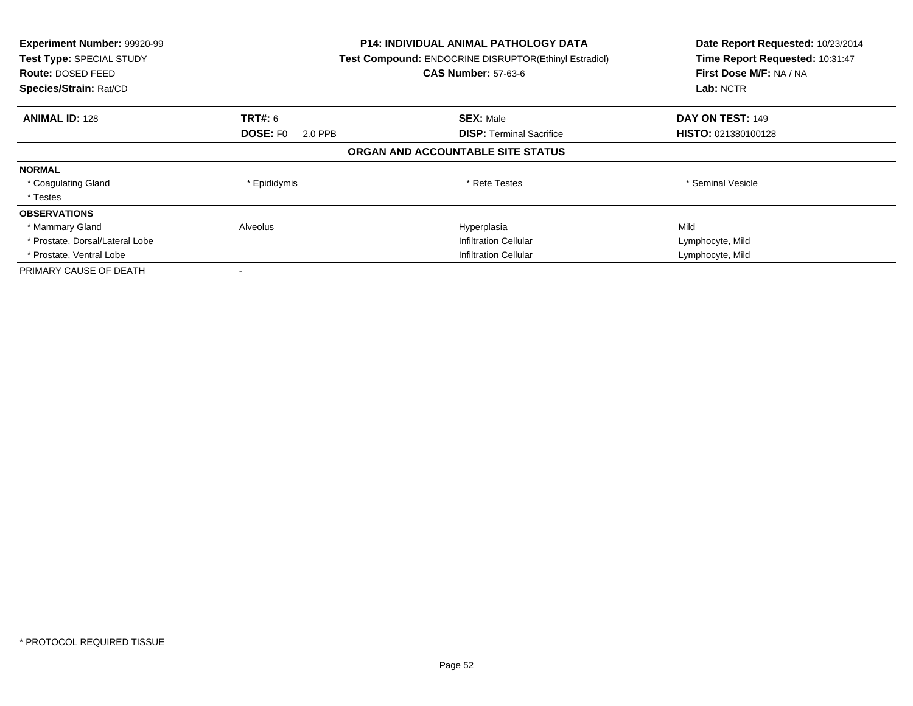| Experiment Number: 99920-99<br><b>Test Type: SPECIAL STUDY</b><br>Route: DOSED FEED<br>Species/Strain: Rat/CD |                            | <b>P14: INDIVIDUAL ANIMAL PATHOLOGY DATA</b><br>Test Compound: ENDOCRINE DISRUPTOR(Ethinyl Estradiol)<br><b>CAS Number: 57-63-6</b> | Date Report Requested: 10/23/2014<br>Time Report Requested: 10:31:47<br>First Dose M/F: NA / NA<br>Lab: NCTR |
|---------------------------------------------------------------------------------------------------------------|----------------------------|-------------------------------------------------------------------------------------------------------------------------------------|--------------------------------------------------------------------------------------------------------------|
| <b>ANIMAL ID: 128</b>                                                                                         | <b>TRT#:</b> 6             | <b>SEX: Male</b>                                                                                                                    | DAY ON TEST: 149                                                                                             |
|                                                                                                               | <b>DOSE: FO</b><br>2.0 PPB | <b>DISP:</b> Terminal Sacrifice                                                                                                     | HISTO: 021380100128                                                                                          |
|                                                                                                               |                            | ORGAN AND ACCOUNTABLE SITE STATUS                                                                                                   |                                                                                                              |
| <b>NORMAL</b>                                                                                                 |                            |                                                                                                                                     |                                                                                                              |
| * Coagulating Gland                                                                                           | * Epididymis               | * Rete Testes                                                                                                                       | * Seminal Vesicle                                                                                            |
| * Testes                                                                                                      |                            |                                                                                                                                     |                                                                                                              |
| <b>OBSERVATIONS</b>                                                                                           |                            |                                                                                                                                     |                                                                                                              |
| * Mammary Gland                                                                                               | Alveolus                   | Hyperplasia                                                                                                                         | Mild                                                                                                         |
| * Prostate, Dorsal/Lateral Lobe                                                                               |                            | <b>Infiltration Cellular</b>                                                                                                        | Lymphocyte, Mild                                                                                             |
| * Prostate, Ventral Lobe                                                                                      |                            | <b>Infiltration Cellular</b>                                                                                                        | Lymphocyte, Mild                                                                                             |
| PRIMARY CAUSE OF DEATH                                                                                        |                            |                                                                                                                                     |                                                                                                              |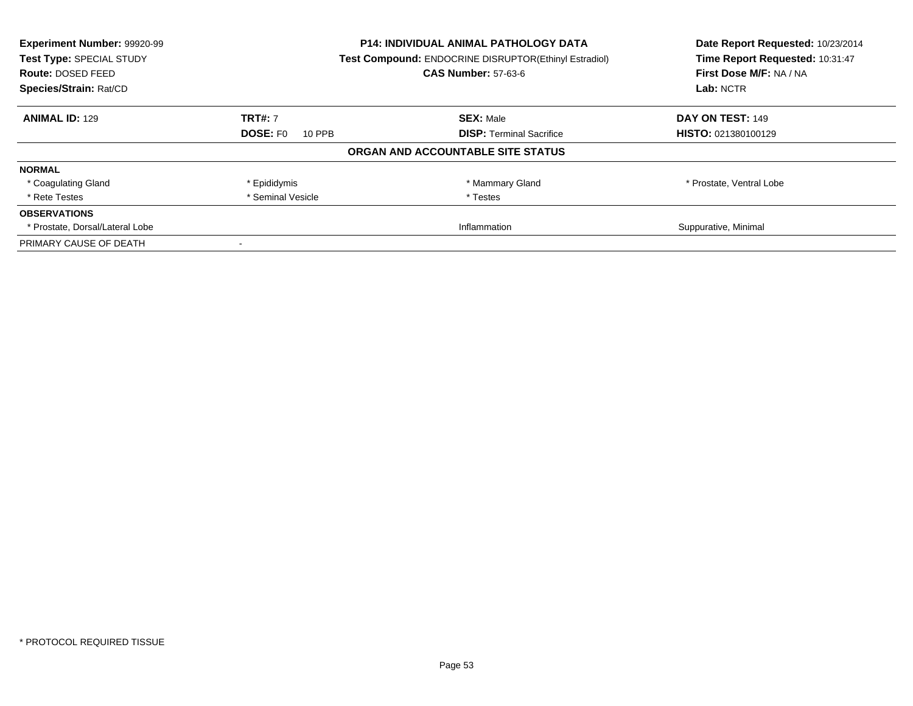| Experiment Number: 99920-99<br>Test Type: SPECIAL STUDY<br><b>Route: DOSED FEED</b> |                           | P14: INDIVIDUAL ANIMAL PATHOLOGY DATA<br>Test Compound: ENDOCRINE DISRUPTOR(Ethinyl Estradiol)<br><b>CAS Number: 57-63-6</b> | Date Report Requested: 10/23/2014<br>Time Report Requested: 10:31:47<br>First Dose M/F: NA / NA |
|-------------------------------------------------------------------------------------|---------------------------|------------------------------------------------------------------------------------------------------------------------------|-------------------------------------------------------------------------------------------------|
| Species/Strain: Rat/CD                                                              |                           |                                                                                                                              | Lab: NCTR                                                                                       |
| <b>ANIMAL ID: 129</b>                                                               | <b>TRT#: 7</b>            | <b>SEX: Male</b>                                                                                                             | DAY ON TEST: 149                                                                                |
|                                                                                     | <b>DOSE: FO</b><br>10 PPB | <b>DISP:</b> Terminal Sacrifice                                                                                              | <b>HISTO: 021380100129</b>                                                                      |
|                                                                                     |                           | ORGAN AND ACCOUNTABLE SITE STATUS                                                                                            |                                                                                                 |
| <b>NORMAL</b>                                                                       |                           |                                                                                                                              |                                                                                                 |
| * Coagulating Gland                                                                 | * Epididymis              | * Mammary Gland                                                                                                              | * Prostate, Ventral Lobe                                                                        |
| * Rete Testes                                                                       | * Seminal Vesicle         | * Testes                                                                                                                     |                                                                                                 |
| <b>OBSERVATIONS</b>                                                                 |                           |                                                                                                                              |                                                                                                 |
| * Prostate, Dorsal/Lateral Lobe                                                     |                           | Inflammation                                                                                                                 | Suppurative, Minimal                                                                            |
| PRIMARY CAUSE OF DEATH                                                              |                           |                                                                                                                              |                                                                                                 |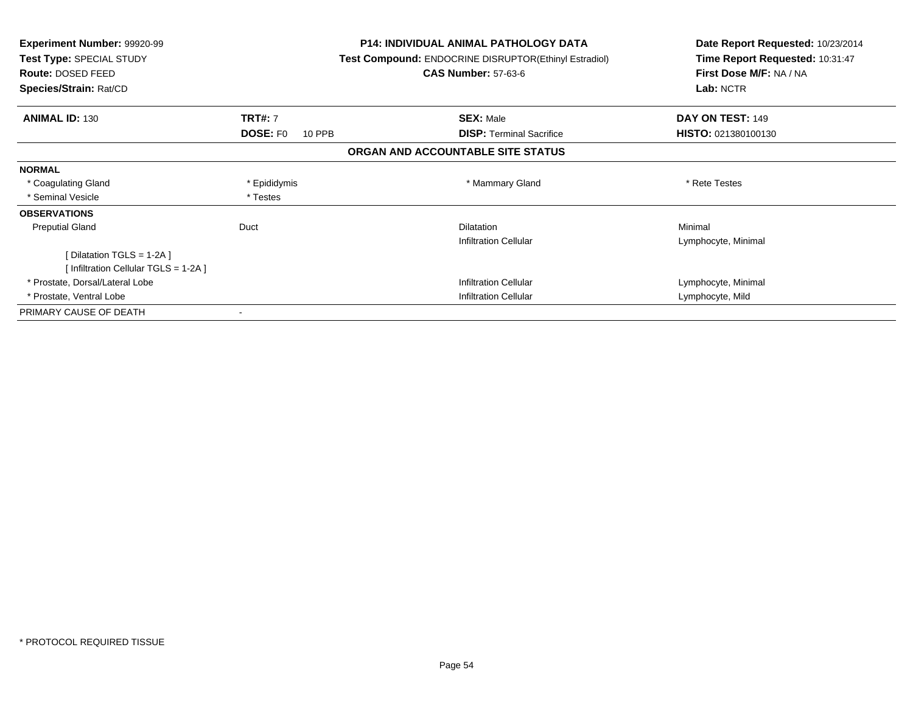| <b>Experiment Number: 99920-99</b><br>Test Type: SPECIAL STUDY<br><b>Route: DOSED FEED</b> |                           | <b>P14: INDIVIDUAL ANIMAL PATHOLOGY DATA</b><br><b>Test Compound: ENDOCRINE DISRUPTOR(Ethinyl Estradiol)</b><br><b>CAS Number: 57-63-6</b> | Date Report Requested: 10/23/2014<br>Time Report Requested: 10:31:47<br>First Dose M/F: NA / NA |
|--------------------------------------------------------------------------------------------|---------------------------|--------------------------------------------------------------------------------------------------------------------------------------------|-------------------------------------------------------------------------------------------------|
| Species/Strain: Rat/CD                                                                     |                           |                                                                                                                                            | Lab: NCTR                                                                                       |
| <b>ANIMAL ID: 130</b>                                                                      | <b>TRT#: 7</b>            | <b>SEX: Male</b>                                                                                                                           | DAY ON TEST: 149                                                                                |
|                                                                                            | <b>DOSE: FO</b><br>10 PPB | <b>DISP:</b> Terminal Sacrifice                                                                                                            | <b>HISTO: 021380100130</b>                                                                      |
|                                                                                            |                           | ORGAN AND ACCOUNTABLE SITE STATUS                                                                                                          |                                                                                                 |
| <b>NORMAL</b>                                                                              |                           |                                                                                                                                            |                                                                                                 |
| * Coagulating Gland                                                                        | * Epididymis              | * Mammary Gland                                                                                                                            | * Rete Testes                                                                                   |
| * Seminal Vesicle                                                                          | * Testes                  |                                                                                                                                            |                                                                                                 |
| <b>OBSERVATIONS</b>                                                                        |                           |                                                                                                                                            |                                                                                                 |
| <b>Preputial Gland</b>                                                                     | Duct                      | <b>Dilatation</b>                                                                                                                          | Minimal                                                                                         |
|                                                                                            |                           | <b>Infiltration Cellular</b>                                                                                                               | Lymphocyte, Minimal                                                                             |
| [ Dilatation TGLS = $1-2A$ ]                                                               |                           |                                                                                                                                            |                                                                                                 |
| [Infiltration Cellular TGLS = 1-2A]                                                        |                           |                                                                                                                                            |                                                                                                 |
| * Prostate, Dorsal/Lateral Lobe                                                            |                           | <b>Infiltration Cellular</b>                                                                                                               | Lymphocyte, Minimal                                                                             |
| * Prostate, Ventral Lobe                                                                   |                           | <b>Infiltration Cellular</b>                                                                                                               | Lymphocyte, Mild                                                                                |
| PRIMARY CAUSE OF DEATH                                                                     |                           |                                                                                                                                            |                                                                                                 |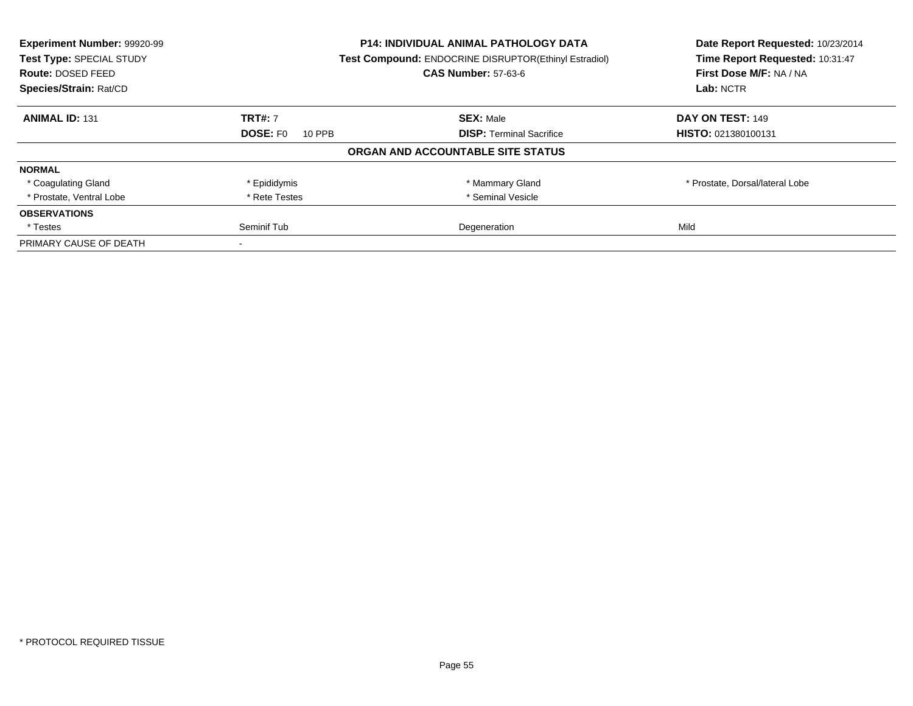| Experiment Number: 99920-99 | <b>P14: INDIVIDUAL ANIMAL PATHOLOGY DATA</b><br><b>Test Compound: ENDOCRINE DISRUPTOR(Ethinyl Estradiol)</b> |                                   | Date Report Requested: 10/23/2014 |
|-----------------------------|--------------------------------------------------------------------------------------------------------------|-----------------------------------|-----------------------------------|
| Test Type: SPECIAL STUDY    |                                                                                                              |                                   | Time Report Requested: 10:31:47   |
| Route: DOSED FEED           |                                                                                                              | <b>CAS Number: 57-63-6</b>        | First Dose M/F: NA / NA           |
| Species/Strain: Rat/CD      |                                                                                                              |                                   | Lab: NCTR                         |
| <b>ANIMAL ID: 131</b>       | <b>TRT#: 7</b>                                                                                               | <b>SEX: Male</b>                  | DAY ON TEST: 149                  |
|                             | <b>DOSE: FO</b><br>10 PPB                                                                                    | <b>DISP: Terminal Sacrifice</b>   | HISTO: 021380100131               |
|                             |                                                                                                              | ORGAN AND ACCOUNTABLE SITE STATUS |                                   |
| <b>NORMAL</b>               |                                                                                                              |                                   |                                   |
| * Coagulating Gland         | * Epididymis                                                                                                 | * Mammary Gland                   | * Prostate, Dorsal/lateral Lobe   |
| * Prostate, Ventral Lobe    | * Rete Testes                                                                                                | * Seminal Vesicle                 |                                   |
| <b>OBSERVATIONS</b>         |                                                                                                              |                                   |                                   |
| * Testes                    | Seminif Tub                                                                                                  | Degeneration                      | Mild                              |
| PRIMARY CAUSE OF DEATH      |                                                                                                              |                                   |                                   |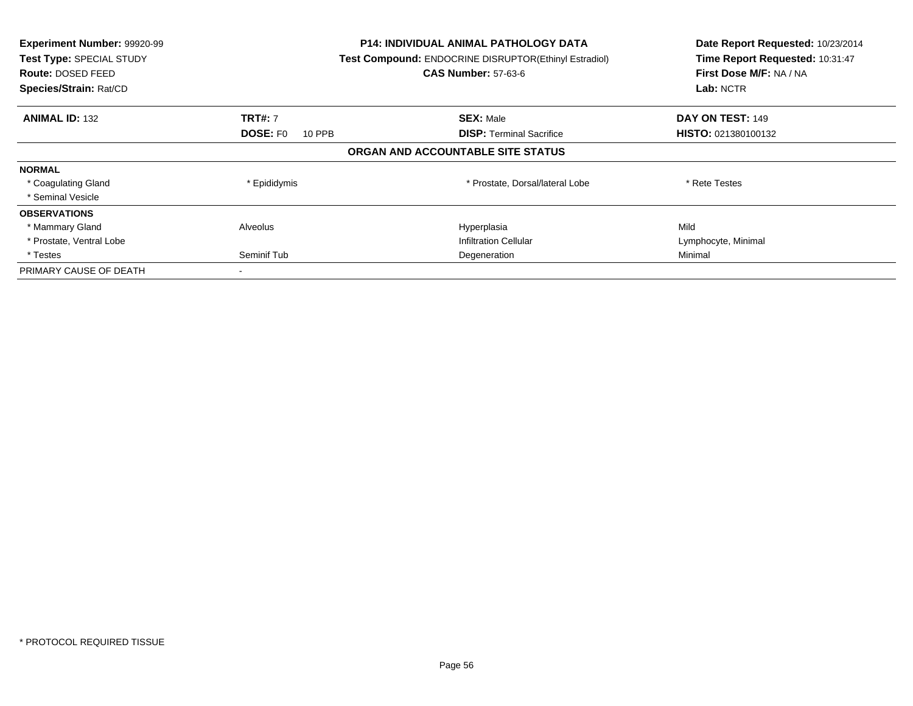| Experiment Number: 99920-99<br>Test Type: SPECIAL STUDY<br><b>Route: DOSED FEED</b><br>Species/Strain: Rat/CD |                           | <b>P14: INDIVIDUAL ANIMAL PATHOLOGY DATA</b><br>Test Compound: ENDOCRINE DISRUPTOR(Ethinyl Estradiol)<br><b>CAS Number: 57-63-6</b> | Date Report Requested: 10/23/2014<br>Time Report Requested: 10:31:47<br>First Dose M/F: NA / NA<br>Lab: NCTR |
|---------------------------------------------------------------------------------------------------------------|---------------------------|-------------------------------------------------------------------------------------------------------------------------------------|--------------------------------------------------------------------------------------------------------------|
| <b>ANIMAL ID: 132</b>                                                                                         | <b>TRT#: 7</b>            | <b>SEX: Male</b>                                                                                                                    | DAY ON TEST: 149                                                                                             |
|                                                                                                               | <b>DOSE: FO</b><br>10 PPB | <b>DISP:</b> Terminal Sacrifice                                                                                                     | <b>HISTO: 021380100132</b>                                                                                   |
|                                                                                                               |                           | ORGAN AND ACCOUNTABLE SITE STATUS                                                                                                   |                                                                                                              |
| <b>NORMAL</b>                                                                                                 |                           |                                                                                                                                     |                                                                                                              |
| * Coagulating Gland                                                                                           | * Epididymis              | * Prostate, Dorsal/lateral Lobe                                                                                                     | * Rete Testes                                                                                                |
| * Seminal Vesicle                                                                                             |                           |                                                                                                                                     |                                                                                                              |
| <b>OBSERVATIONS</b>                                                                                           |                           |                                                                                                                                     |                                                                                                              |
| * Mammary Gland                                                                                               | Alveolus                  | Hyperplasia                                                                                                                         | Mild                                                                                                         |
| * Prostate, Ventral Lobe                                                                                      |                           | <b>Infiltration Cellular</b>                                                                                                        | Lymphocyte, Minimal                                                                                          |
| * Testes                                                                                                      | Seminif Tub               | Degeneration                                                                                                                        | Minimal                                                                                                      |
| PRIMARY CAUSE OF DEATH                                                                                        |                           |                                                                                                                                     |                                                                                                              |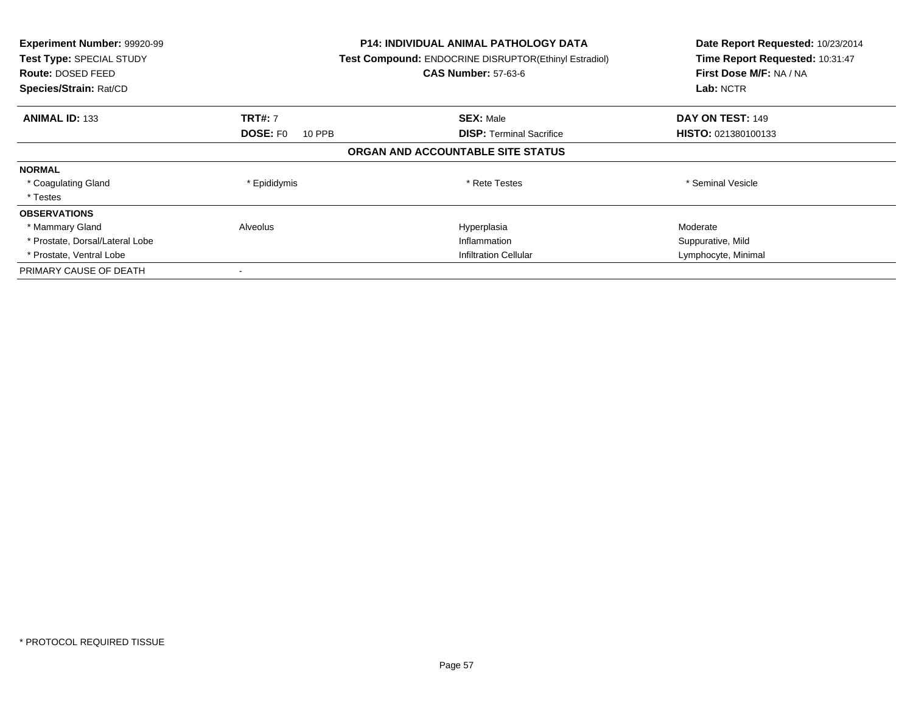| Experiment Number: 99920-99<br>Test Type: SPECIAL STUDY<br><b>Route: DOSED FEED</b><br>Species/Strain: Rat/CD |                           | <b>P14: INDIVIDUAL ANIMAL PATHOLOGY DATA</b><br>Test Compound: ENDOCRINE DISRUPTOR(Ethinyl Estradiol)<br><b>CAS Number: 57-63-6</b> | Date Report Requested: 10/23/2014<br>Time Report Requested: 10:31:47<br>First Dose M/F: NA / NA<br>Lab: NCTR |
|---------------------------------------------------------------------------------------------------------------|---------------------------|-------------------------------------------------------------------------------------------------------------------------------------|--------------------------------------------------------------------------------------------------------------|
| <b>ANIMAL ID: 133</b>                                                                                         | <b>TRT#: 7</b>            | <b>SEX: Male</b>                                                                                                                    | DAY ON TEST: 149                                                                                             |
|                                                                                                               | <b>DOSE: FO</b><br>10 PPB | <b>DISP: Terminal Sacrifice</b>                                                                                                     | <b>HISTO: 021380100133</b>                                                                                   |
|                                                                                                               |                           | ORGAN AND ACCOUNTABLE SITE STATUS                                                                                                   |                                                                                                              |
| <b>NORMAL</b>                                                                                                 |                           |                                                                                                                                     |                                                                                                              |
| * Coagulating Gland                                                                                           | * Epididymis              | * Rete Testes                                                                                                                       | * Seminal Vesicle                                                                                            |
| * Testes                                                                                                      |                           |                                                                                                                                     |                                                                                                              |
| <b>OBSERVATIONS</b>                                                                                           |                           |                                                                                                                                     |                                                                                                              |
| * Mammary Gland                                                                                               | Alveolus                  | Hyperplasia                                                                                                                         | Moderate                                                                                                     |
| * Prostate, Dorsal/Lateral Lobe                                                                               |                           | Inflammation                                                                                                                        | Suppurative, Mild                                                                                            |
| * Prostate, Ventral Lobe                                                                                      |                           | <b>Infiltration Cellular</b>                                                                                                        | Lymphocyte, Minimal                                                                                          |
| PRIMARY CAUSE OF DEATH                                                                                        |                           |                                                                                                                                     |                                                                                                              |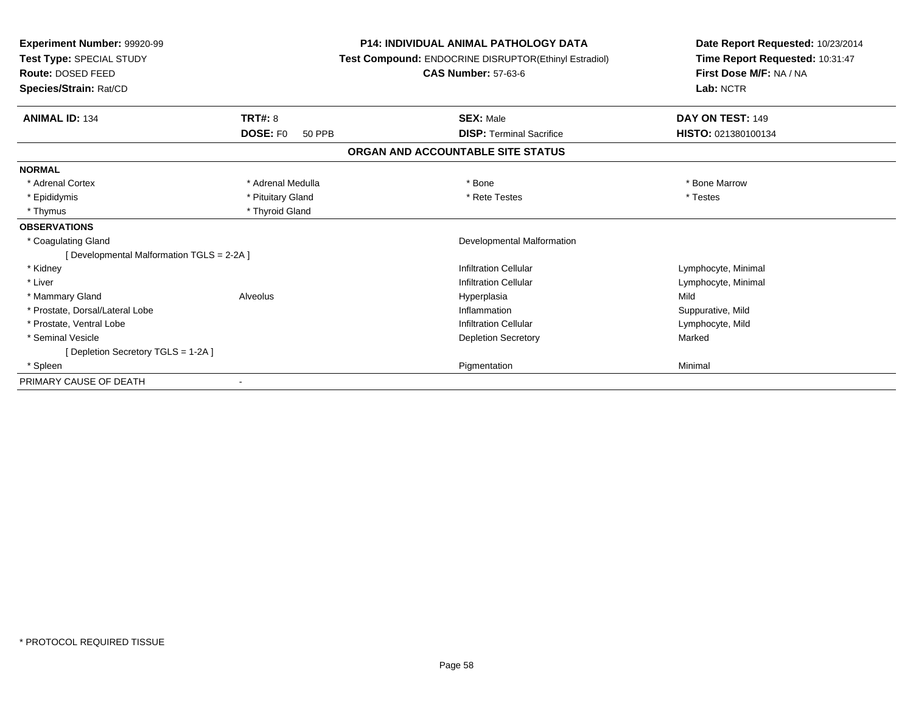| Experiment Number: 99920-99<br>Test Type: SPECIAL STUDY<br>Route: DOSED FEED |                                  | <b>P14: INDIVIDUAL ANIMAL PATHOLOGY DATA</b><br>Test Compound: ENDOCRINE DISRUPTOR(Ethinyl Estradiol)<br><b>CAS Number: 57-63-6</b> | Date Report Requested: 10/23/2014<br>Time Report Requested: 10:31:47<br>First Dose M/F: NA / NA |  |
|------------------------------------------------------------------------------|----------------------------------|-------------------------------------------------------------------------------------------------------------------------------------|-------------------------------------------------------------------------------------------------|--|
| Species/Strain: Rat/CD                                                       |                                  |                                                                                                                                     | Lab: NCTR                                                                                       |  |
| <b>ANIMAL ID: 134</b>                                                        | <b>TRT#: 8</b>                   | <b>SEX: Male</b>                                                                                                                    | DAY ON TEST: 149                                                                                |  |
|                                                                              | <b>DOSE: FO</b><br><b>50 PPB</b> | <b>DISP: Terminal Sacrifice</b>                                                                                                     | HISTO: 021380100134                                                                             |  |
|                                                                              |                                  | ORGAN AND ACCOUNTABLE SITE STATUS                                                                                                   |                                                                                                 |  |
| <b>NORMAL</b>                                                                |                                  |                                                                                                                                     |                                                                                                 |  |
| * Adrenal Cortex                                                             | * Adrenal Medulla                | * Bone                                                                                                                              | * Bone Marrow                                                                                   |  |
| * Epididymis                                                                 | * Pituitary Gland                | * Rete Testes                                                                                                                       | * Testes                                                                                        |  |
| * Thymus                                                                     | * Thyroid Gland                  |                                                                                                                                     |                                                                                                 |  |
| <b>OBSERVATIONS</b>                                                          |                                  |                                                                                                                                     |                                                                                                 |  |
| * Coagulating Gland                                                          |                                  | Developmental Malformation                                                                                                          |                                                                                                 |  |
| [Developmental Malformation TGLS = 2-2A]                                     |                                  |                                                                                                                                     |                                                                                                 |  |
| * Kidney                                                                     |                                  | <b>Infiltration Cellular</b>                                                                                                        | Lymphocyte, Minimal                                                                             |  |
| * Liver                                                                      |                                  | <b>Infiltration Cellular</b>                                                                                                        | Lymphocyte, Minimal                                                                             |  |
| * Mammary Gland                                                              | Alveolus                         | Hyperplasia                                                                                                                         | Mild                                                                                            |  |
| * Prostate, Dorsal/Lateral Lobe                                              |                                  | Inflammation                                                                                                                        | Suppurative, Mild                                                                               |  |
| * Prostate, Ventral Lobe                                                     |                                  | <b>Infiltration Cellular</b>                                                                                                        | Lymphocyte, Mild                                                                                |  |
| * Seminal Vesicle                                                            |                                  | <b>Depletion Secretory</b>                                                                                                          | Marked                                                                                          |  |
| [Depletion Secretory TGLS = 1-2A]                                            |                                  |                                                                                                                                     |                                                                                                 |  |
| * Spleen                                                                     |                                  | Pigmentation                                                                                                                        | Minimal                                                                                         |  |
| PRIMARY CAUSE OF DEATH                                                       |                                  |                                                                                                                                     |                                                                                                 |  |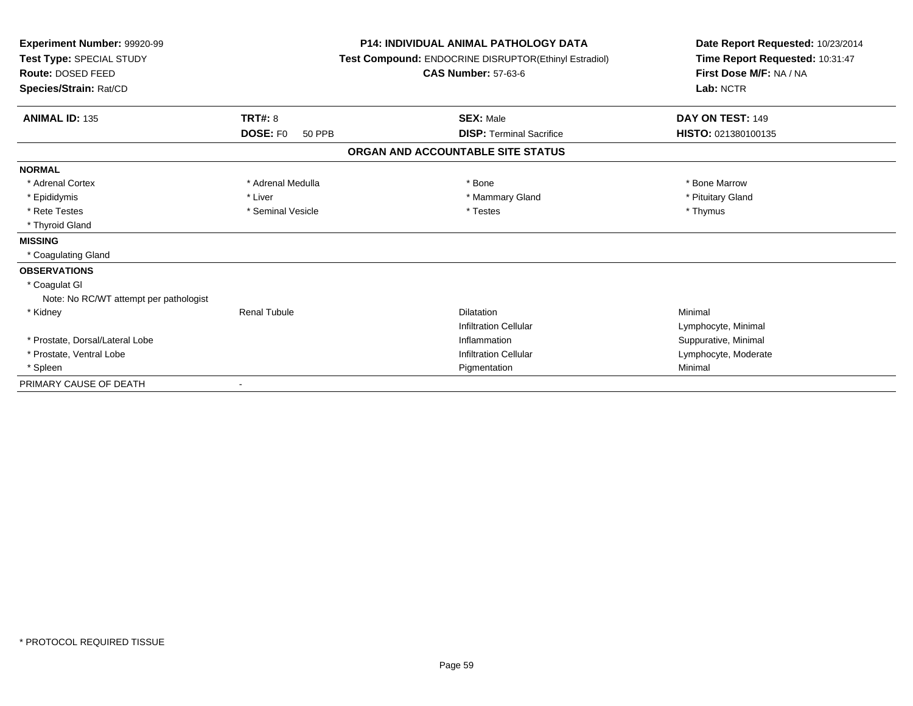| Experiment Number: 99920-99<br>Test Type: SPECIAL STUDY<br>Route: DOSED FEED<br>Species/Strain: Rat/CD |                           | <b>P14: INDIVIDUAL ANIMAL PATHOLOGY DATA</b><br>Test Compound: ENDOCRINE DISRUPTOR(Ethinyl Estradiol)<br><b>CAS Number: 57-63-6</b> | Date Report Requested: 10/23/2014<br>Time Report Requested: 10:31:47<br>First Dose M/F: NA / NA<br>Lab: NCTR |  |
|--------------------------------------------------------------------------------------------------------|---------------------------|-------------------------------------------------------------------------------------------------------------------------------------|--------------------------------------------------------------------------------------------------------------|--|
| <b>ANIMAL ID: 135</b>                                                                                  | TRT#: 8                   | <b>SEX: Male</b>                                                                                                                    | DAY ON TEST: 149                                                                                             |  |
|                                                                                                        | <b>DOSE: FO</b><br>50 PPB | <b>DISP: Terminal Sacrifice</b>                                                                                                     | HISTO: 021380100135                                                                                          |  |
|                                                                                                        |                           | ORGAN AND ACCOUNTABLE SITE STATUS                                                                                                   |                                                                                                              |  |
| <b>NORMAL</b>                                                                                          |                           |                                                                                                                                     |                                                                                                              |  |
| * Adrenal Cortex                                                                                       | * Adrenal Medulla         | * Bone                                                                                                                              | * Bone Marrow                                                                                                |  |
| * Epididymis                                                                                           | * Liver                   | * Mammary Gland                                                                                                                     | * Pituitary Gland                                                                                            |  |
| * Rete Testes                                                                                          | * Seminal Vesicle         | * Testes                                                                                                                            | * Thymus                                                                                                     |  |
| * Thyroid Gland                                                                                        |                           |                                                                                                                                     |                                                                                                              |  |
| <b>MISSING</b>                                                                                         |                           |                                                                                                                                     |                                                                                                              |  |
| * Coagulating Gland                                                                                    |                           |                                                                                                                                     |                                                                                                              |  |
| <b>OBSERVATIONS</b>                                                                                    |                           |                                                                                                                                     |                                                                                                              |  |
| * Coagulat GI                                                                                          |                           |                                                                                                                                     |                                                                                                              |  |
| Note: No RC/WT attempt per pathologist                                                                 |                           |                                                                                                                                     |                                                                                                              |  |
| * Kidney                                                                                               | <b>Renal Tubule</b>       | Dilatation                                                                                                                          | Minimal                                                                                                      |  |
|                                                                                                        |                           | <b>Infiltration Cellular</b>                                                                                                        | Lymphocyte, Minimal                                                                                          |  |
| * Prostate, Dorsal/Lateral Lobe                                                                        |                           | Inflammation                                                                                                                        | Suppurative, Minimal                                                                                         |  |
| * Prostate, Ventral Lobe                                                                               |                           | <b>Infiltration Cellular</b>                                                                                                        | Lymphocyte, Moderate                                                                                         |  |
| * Spleen                                                                                               |                           | Pigmentation                                                                                                                        | Minimal                                                                                                      |  |
| PRIMARY CAUSE OF DEATH                                                                                 |                           |                                                                                                                                     |                                                                                                              |  |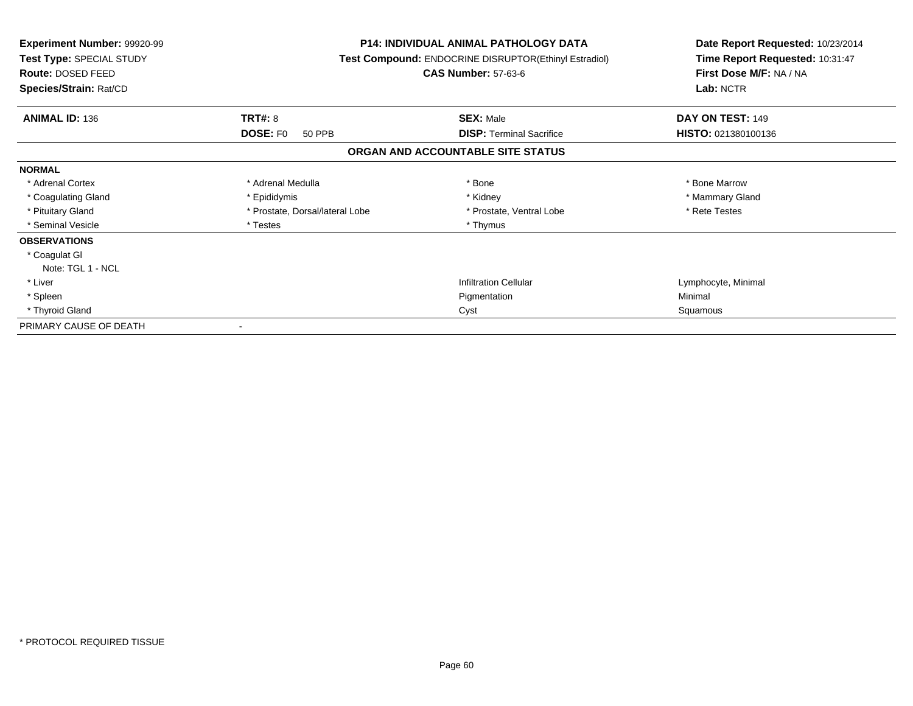| <b>Experiment Number: 99920-99</b><br>Test Type: SPECIAL STUDY<br>Route: DOSED FEED<br>Species/Strain: Rat/CD |                                  | <b>P14: INDIVIDUAL ANIMAL PATHOLOGY DATA</b><br>Test Compound: ENDOCRINE DISRUPTOR(Ethinyl Estradiol)<br><b>CAS Number: 57-63-6</b> | Date Report Requested: 10/23/2014<br>Time Report Requested: 10:31:47<br>First Dose M/F: NA / NA<br>Lab: NCTR |  |
|---------------------------------------------------------------------------------------------------------------|----------------------------------|-------------------------------------------------------------------------------------------------------------------------------------|--------------------------------------------------------------------------------------------------------------|--|
|                                                                                                               |                                  |                                                                                                                                     |                                                                                                              |  |
| <b>ANIMAL ID: 136</b>                                                                                         | <b>TRT#: 8</b>                   | <b>SEX: Male</b>                                                                                                                    | DAY ON TEST: 149                                                                                             |  |
|                                                                                                               | <b>DOSE: FO</b><br><b>50 PPB</b> | <b>DISP:</b> Terminal Sacrifice                                                                                                     | HISTO: 021380100136                                                                                          |  |
|                                                                                                               |                                  | ORGAN AND ACCOUNTABLE SITE STATUS                                                                                                   |                                                                                                              |  |
| <b>NORMAL</b>                                                                                                 |                                  |                                                                                                                                     |                                                                                                              |  |
| * Adrenal Cortex                                                                                              | * Adrenal Medulla                | * Bone                                                                                                                              | * Bone Marrow                                                                                                |  |
| * Coagulating Gland                                                                                           | * Epididymis                     | * Kidney                                                                                                                            | * Mammary Gland                                                                                              |  |
| * Pituitary Gland                                                                                             | * Prostate, Dorsal/lateral Lobe  | * Prostate, Ventral Lobe                                                                                                            | * Rete Testes                                                                                                |  |
| * Seminal Vesicle                                                                                             | * Testes                         | * Thymus                                                                                                                            |                                                                                                              |  |
| <b>OBSERVATIONS</b>                                                                                           |                                  |                                                                                                                                     |                                                                                                              |  |
| * Coagulat GI                                                                                                 |                                  |                                                                                                                                     |                                                                                                              |  |
| Note: TGL 1 - NCL                                                                                             |                                  |                                                                                                                                     |                                                                                                              |  |
| * Liver                                                                                                       |                                  | <b>Infiltration Cellular</b>                                                                                                        | Lymphocyte, Minimal                                                                                          |  |
| * Spleen                                                                                                      |                                  | Pigmentation                                                                                                                        | Minimal                                                                                                      |  |
| * Thyroid Gland                                                                                               |                                  | Cyst                                                                                                                                | Squamous                                                                                                     |  |
| PRIMARY CAUSE OF DEATH                                                                                        |                                  |                                                                                                                                     |                                                                                                              |  |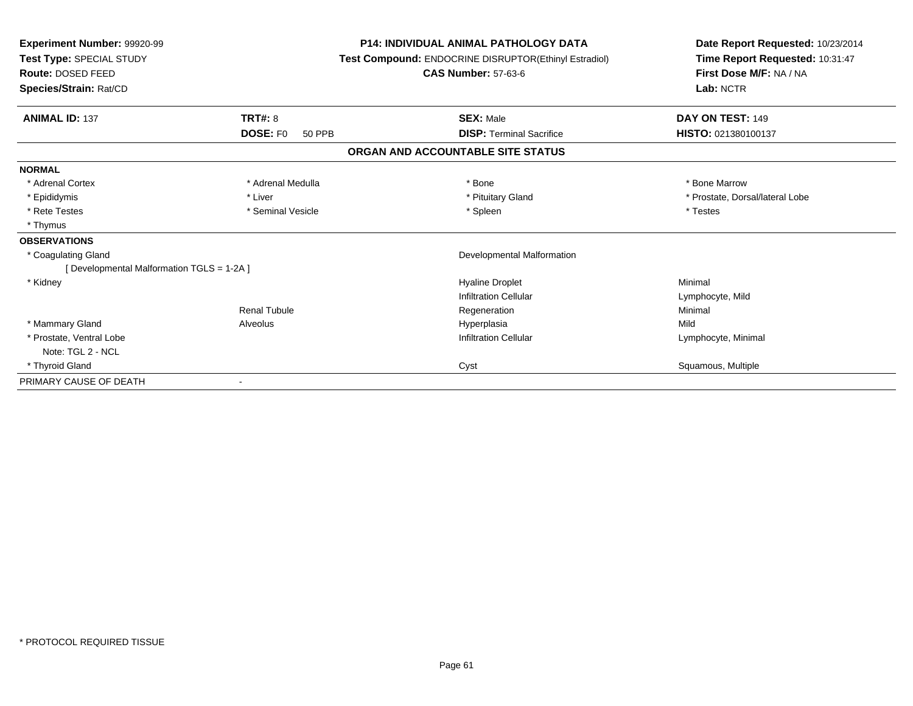| Experiment Number: 99920-99<br>Test Type: SPECIAL STUDY |                                  | <b>P14: INDIVIDUAL ANIMAL PATHOLOGY DATA</b><br>Test Compound: ENDOCRINE DISRUPTOR(Ethinyl Estradiol) | Date Report Requested: 10/23/2014<br>Time Report Requested: 10:31:47 |
|---------------------------------------------------------|----------------------------------|-------------------------------------------------------------------------------------------------------|----------------------------------------------------------------------|
| Route: DOSED FEED                                       |                                  | <b>CAS Number: 57-63-6</b>                                                                            | First Dose M/F: NA / NA                                              |
| Species/Strain: Rat/CD                                  |                                  |                                                                                                       | Lab: NCTR                                                            |
| <b>ANIMAL ID: 137</b>                                   | <b>TRT#: 8</b>                   | <b>SEX: Male</b>                                                                                      | DAY ON TEST: 149                                                     |
|                                                         | <b>DOSE: FO</b><br><b>50 PPB</b> | <b>DISP: Terminal Sacrifice</b>                                                                       | HISTO: 021380100137                                                  |
|                                                         |                                  | ORGAN AND ACCOUNTABLE SITE STATUS                                                                     |                                                                      |
| <b>NORMAL</b>                                           |                                  |                                                                                                       |                                                                      |
| * Adrenal Cortex                                        | * Adrenal Medulla                | * Bone                                                                                                | * Bone Marrow                                                        |
| * Epididymis                                            | * Liver                          | * Pituitary Gland                                                                                     | * Prostate, Dorsal/lateral Lobe                                      |
| * Rete Testes                                           | * Seminal Vesicle                | * Spleen                                                                                              | * Testes                                                             |
| * Thymus                                                |                                  |                                                                                                       |                                                                      |
| <b>OBSERVATIONS</b>                                     |                                  |                                                                                                       |                                                                      |
| * Coagulating Gland                                     |                                  | Developmental Malformation                                                                            |                                                                      |
| [ Developmental Malformation TGLS = 1-2A ]              |                                  |                                                                                                       |                                                                      |
| * Kidney                                                |                                  | <b>Hyaline Droplet</b>                                                                                | Minimal                                                              |
|                                                         |                                  | Infiltration Cellular                                                                                 | Lymphocyte, Mild                                                     |
|                                                         | <b>Renal Tubule</b>              | Regeneration                                                                                          | Minimal                                                              |
| * Mammary Gland                                         | Alveolus                         | Hyperplasia                                                                                           | Mild                                                                 |
| * Prostate, Ventral Lobe                                |                                  | <b>Infiltration Cellular</b>                                                                          | Lymphocyte, Minimal                                                  |
| Note: TGL 2 - NCL                                       |                                  |                                                                                                       |                                                                      |
| * Thyroid Gland                                         |                                  | Cyst                                                                                                  | Squamous, Multiple                                                   |
| PRIMARY CAUSE OF DEATH                                  |                                  |                                                                                                       |                                                                      |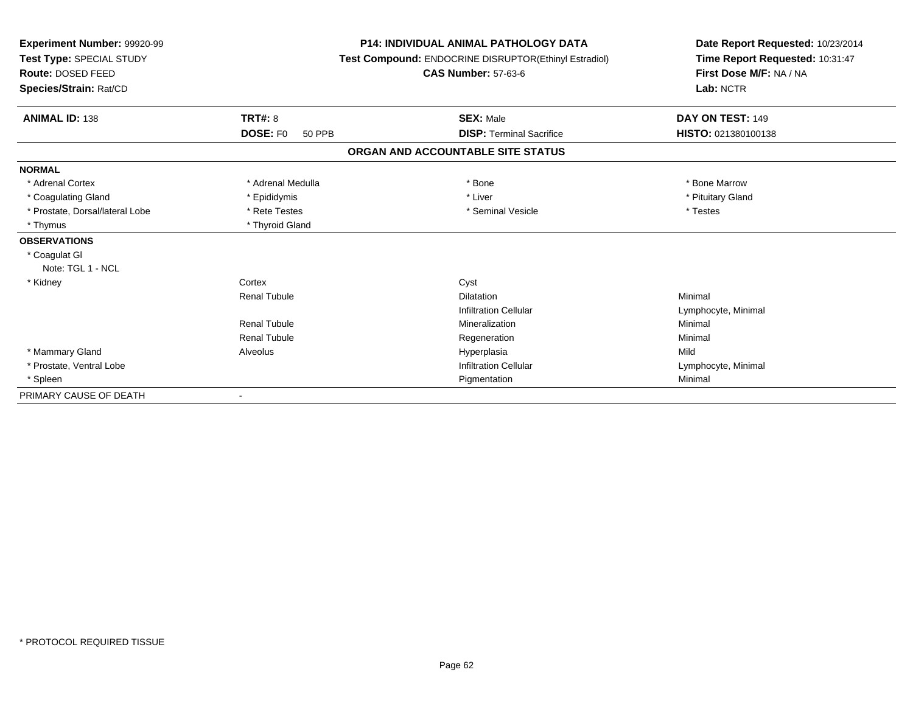| Experiment Number: 99920-99<br>Test Type: SPECIAL STUDY<br>Route: DOSED FEED |                           | <b>P14: INDIVIDUAL ANIMAL PATHOLOGY DATA</b><br>Test Compound: ENDOCRINE DISRUPTOR(Ethinyl Estradiol)<br><b>CAS Number: 57-63-6</b> | Date Report Requested: 10/23/2014<br>Time Report Requested: 10:31:47<br>First Dose M/F: NA / NA<br>Lab: NCTR |  |
|------------------------------------------------------------------------------|---------------------------|-------------------------------------------------------------------------------------------------------------------------------------|--------------------------------------------------------------------------------------------------------------|--|
| Species/Strain: Rat/CD                                                       |                           |                                                                                                                                     |                                                                                                              |  |
| <b>ANIMAL ID: 138</b>                                                        | <b>TRT#: 8</b>            | <b>SEX: Male</b>                                                                                                                    | DAY ON TEST: 149                                                                                             |  |
|                                                                              | DOSE: F0<br><b>50 PPB</b> | <b>DISP: Terminal Sacrifice</b>                                                                                                     | HISTO: 021380100138                                                                                          |  |
|                                                                              |                           | ORGAN AND ACCOUNTABLE SITE STATUS                                                                                                   |                                                                                                              |  |
| <b>NORMAL</b>                                                                |                           |                                                                                                                                     |                                                                                                              |  |
| * Adrenal Cortex                                                             | * Adrenal Medulla         | * Bone                                                                                                                              | * Bone Marrow                                                                                                |  |
| * Coagulating Gland                                                          | * Epididymis              | * Liver                                                                                                                             | * Pituitary Gland                                                                                            |  |
| * Prostate, Dorsal/lateral Lobe                                              | * Rete Testes             | * Seminal Vesicle                                                                                                                   | * Testes                                                                                                     |  |
| * Thymus                                                                     | * Thyroid Gland           |                                                                                                                                     |                                                                                                              |  |
| <b>OBSERVATIONS</b>                                                          |                           |                                                                                                                                     |                                                                                                              |  |
| * Coagulat GI                                                                |                           |                                                                                                                                     |                                                                                                              |  |
| Note: TGL 1 - NCL                                                            |                           |                                                                                                                                     |                                                                                                              |  |
| * Kidney                                                                     | Cortex                    | Cyst                                                                                                                                |                                                                                                              |  |
|                                                                              | <b>Renal Tubule</b>       | <b>Dilatation</b>                                                                                                                   | Minimal                                                                                                      |  |
|                                                                              |                           | <b>Infiltration Cellular</b>                                                                                                        | Lymphocyte, Minimal                                                                                          |  |
|                                                                              | <b>Renal Tubule</b>       | Mineralization                                                                                                                      | Minimal                                                                                                      |  |
|                                                                              | <b>Renal Tubule</b>       | Regeneration                                                                                                                        | Minimal                                                                                                      |  |
| * Mammary Gland                                                              | Alveolus                  | Hyperplasia                                                                                                                         | Mild                                                                                                         |  |
| * Prostate, Ventral Lobe                                                     |                           | <b>Infiltration Cellular</b>                                                                                                        | Lymphocyte, Minimal                                                                                          |  |
| * Spleen                                                                     |                           | Pigmentation                                                                                                                        | Minimal                                                                                                      |  |
| PRIMARY CAUSE OF DEATH                                                       |                           |                                                                                                                                     |                                                                                                              |  |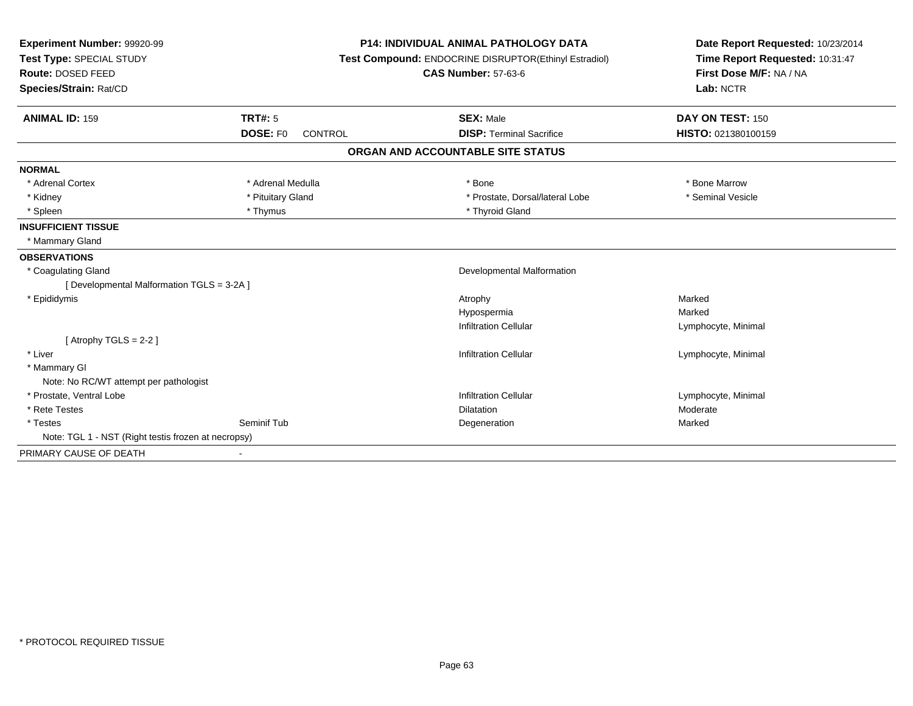| Experiment Number: 99920-99<br>Test Type: SPECIAL STUDY |                     | <b>P14: INDIVIDUAL ANIMAL PATHOLOGY DATA</b><br>Test Compound: ENDOCRINE DISRUPTOR(Ethinyl Estradiol) | Date Report Requested: 10/23/2014<br>Time Report Requested: 10:31:47 |
|---------------------------------------------------------|---------------------|-------------------------------------------------------------------------------------------------------|----------------------------------------------------------------------|
| Route: DOSED FEED                                       |                     | <b>CAS Number: 57-63-6</b>                                                                            | First Dose M/F: NA / NA                                              |
| Species/Strain: Rat/CD                                  |                     |                                                                                                       | Lab: NCTR                                                            |
| <b>ANIMAL ID: 159</b>                                   | TRT#: 5             | <b>SEX: Male</b>                                                                                      | DAY ON TEST: 150                                                     |
|                                                         | DOSE: F0<br>CONTROL | <b>DISP: Terminal Sacrifice</b>                                                                       | HISTO: 021380100159                                                  |
|                                                         |                     | ORGAN AND ACCOUNTABLE SITE STATUS                                                                     |                                                                      |
| <b>NORMAL</b>                                           |                     |                                                                                                       |                                                                      |
| * Adrenal Cortex                                        | * Adrenal Medulla   | * Bone                                                                                                | * Bone Marrow                                                        |
| * Kidney                                                | * Pituitary Gland   | * Prostate, Dorsal/lateral Lobe                                                                       | * Seminal Vesicle                                                    |
| * Spleen                                                | * Thymus            | * Thyroid Gland                                                                                       |                                                                      |
| <b>INSUFFICIENT TISSUE</b>                              |                     |                                                                                                       |                                                                      |
| * Mammary Gland                                         |                     |                                                                                                       |                                                                      |
| <b>OBSERVATIONS</b>                                     |                     |                                                                                                       |                                                                      |
| * Coagulating Gland                                     |                     | Developmental Malformation                                                                            |                                                                      |
| [ Developmental Malformation TGLS = 3-2A ]              |                     |                                                                                                       |                                                                      |
| * Epididymis                                            |                     | Atrophy                                                                                               | Marked                                                               |
|                                                         |                     | Hypospermia                                                                                           | Marked                                                               |
|                                                         |                     | <b>Infiltration Cellular</b>                                                                          | Lymphocyte, Minimal                                                  |
| [Atrophy TGLS = $2-2$ ]                                 |                     |                                                                                                       |                                                                      |
| * Liver                                                 |                     | <b>Infiltration Cellular</b>                                                                          | Lymphocyte, Minimal                                                  |
| * Mammary GI                                            |                     |                                                                                                       |                                                                      |
| Note: No RC/WT attempt per pathologist                  |                     |                                                                                                       |                                                                      |
| * Prostate, Ventral Lobe                                |                     | <b>Infiltration Cellular</b>                                                                          | Lymphocyte, Minimal                                                  |
| * Rete Testes                                           |                     | <b>Dilatation</b>                                                                                     | Moderate                                                             |
| * Testes                                                | Seminif Tub         | Degeneration                                                                                          | Marked                                                               |
| Note: TGL 1 - NST (Right testis frozen at necropsy)     |                     |                                                                                                       |                                                                      |
| PRIMARY CAUSE OF DEATH                                  |                     |                                                                                                       |                                                                      |
|                                                         |                     |                                                                                                       |                                                                      |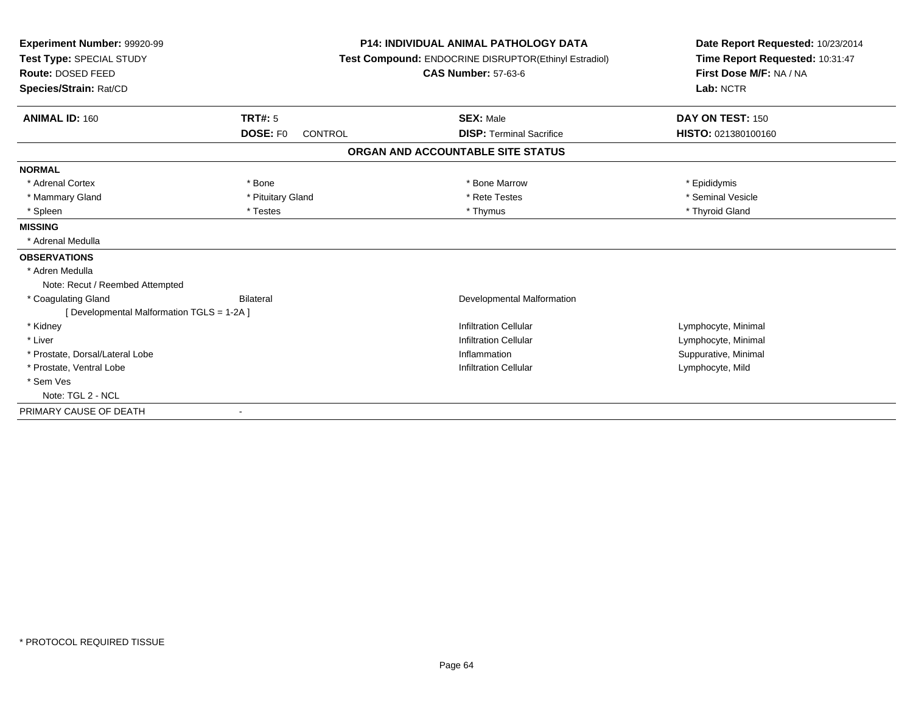| Experiment Number: 99920-99<br>Test Type: SPECIAL STUDY<br>Route: DOSED FEED<br>Species/Strain: Rat/CD |                            | <b>P14: INDIVIDUAL ANIMAL PATHOLOGY DATA</b><br>Test Compound: ENDOCRINE DISRUPTOR(Ethinyl Estradiol)<br><b>CAS Number: 57-63-6</b> | Date Report Requested: 10/23/2014<br>Time Report Requested: 10:31:47<br>First Dose M/F: NA / NA<br>Lab: NCTR |  |
|--------------------------------------------------------------------------------------------------------|----------------------------|-------------------------------------------------------------------------------------------------------------------------------------|--------------------------------------------------------------------------------------------------------------|--|
| <b>ANIMAL ID: 160</b>                                                                                  | <b>TRT#: 5</b>             | <b>SEX: Male</b>                                                                                                                    | DAY ON TEST: 150                                                                                             |  |
|                                                                                                        | DOSE: F0<br><b>CONTROL</b> | <b>DISP: Terminal Sacrifice</b>                                                                                                     | HISTO: 021380100160                                                                                          |  |
|                                                                                                        |                            | ORGAN AND ACCOUNTABLE SITE STATUS                                                                                                   |                                                                                                              |  |
| <b>NORMAL</b>                                                                                          |                            |                                                                                                                                     |                                                                                                              |  |
| * Adrenal Cortex                                                                                       | * Bone                     | * Bone Marrow                                                                                                                       | * Epididymis                                                                                                 |  |
| * Mammary Gland                                                                                        | * Pituitary Gland          | * Rete Testes                                                                                                                       | * Seminal Vesicle                                                                                            |  |
| * Spleen                                                                                               | * Testes                   | * Thymus                                                                                                                            | * Thyroid Gland                                                                                              |  |
| <b>MISSING</b>                                                                                         |                            |                                                                                                                                     |                                                                                                              |  |
| * Adrenal Medulla                                                                                      |                            |                                                                                                                                     |                                                                                                              |  |
| <b>OBSERVATIONS</b>                                                                                    |                            |                                                                                                                                     |                                                                                                              |  |
| * Adren Medulla                                                                                        |                            |                                                                                                                                     |                                                                                                              |  |
| Note: Recut / Reembed Attempted                                                                        |                            |                                                                                                                                     |                                                                                                              |  |
| * Coagulating Gland                                                                                    | Bilateral                  | <b>Developmental Malformation</b>                                                                                                   |                                                                                                              |  |
| [ Developmental Malformation TGLS = 1-2A ]                                                             |                            |                                                                                                                                     |                                                                                                              |  |
| * Kidney                                                                                               |                            | <b>Infiltration Cellular</b>                                                                                                        | Lymphocyte, Minimal                                                                                          |  |
| * Liver                                                                                                |                            | <b>Infiltration Cellular</b>                                                                                                        | Lymphocyte, Minimal                                                                                          |  |
| * Prostate, Dorsal/Lateral Lobe                                                                        |                            | Inflammation                                                                                                                        | Suppurative, Minimal                                                                                         |  |
| * Prostate, Ventral Lobe                                                                               |                            | <b>Infiltration Cellular</b>                                                                                                        | Lymphocyte, Mild                                                                                             |  |
| * Sem Ves                                                                                              |                            |                                                                                                                                     |                                                                                                              |  |
| Note: TGL 2 - NCL                                                                                      |                            |                                                                                                                                     |                                                                                                              |  |
| PRIMARY CAUSE OF DEATH                                                                                 |                            |                                                                                                                                     |                                                                                                              |  |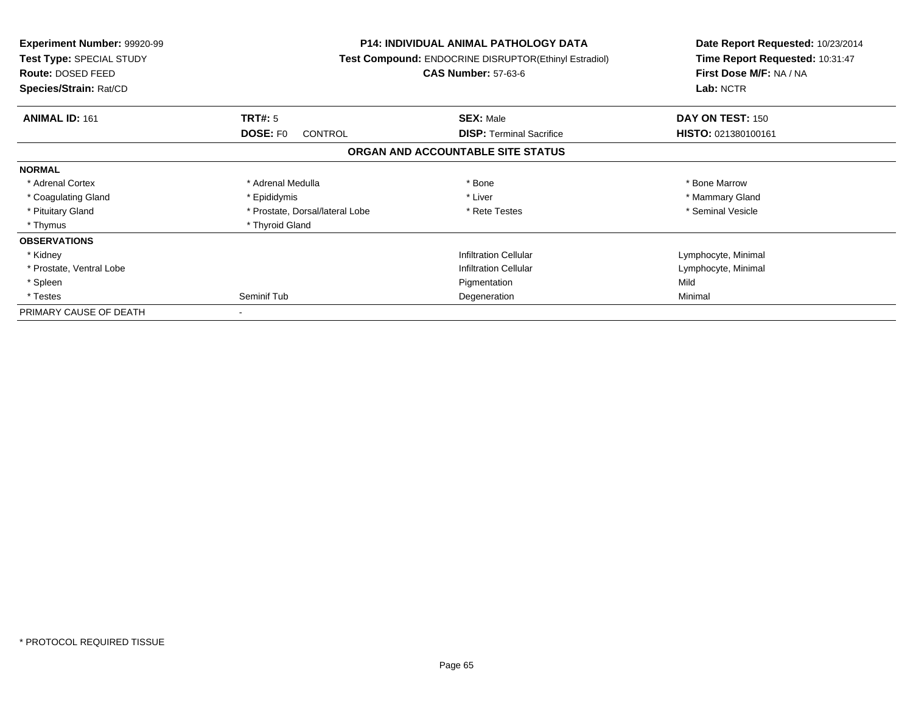| <b>Experiment Number: 99920-99</b><br>Test Type: SPECIAL STUDY<br>Route: DOSED FEED<br>Species/Strain: Rat/CD | <b>P14: INDIVIDUAL ANIMAL PATHOLOGY DATA</b><br>Test Compound: ENDOCRINE DISRUPTOR(Ethinyl Estradiol)<br><b>CAS Number: 57-63-6</b> |                                   | Date Report Requested: 10/23/2014<br>Time Report Requested: 10:31:47<br>First Dose M/F: NA / NA<br>Lab: NCTR |
|---------------------------------------------------------------------------------------------------------------|-------------------------------------------------------------------------------------------------------------------------------------|-----------------------------------|--------------------------------------------------------------------------------------------------------------|
| <b>ANIMAL ID: 161</b>                                                                                         | TRT#: 5                                                                                                                             | <b>SEX: Male</b>                  | DAY ON TEST: 150                                                                                             |
|                                                                                                               | <b>DOSE: FO</b><br>CONTROL                                                                                                          | <b>DISP:</b> Terminal Sacrifice   | HISTO: 021380100161                                                                                          |
|                                                                                                               |                                                                                                                                     | ORGAN AND ACCOUNTABLE SITE STATUS |                                                                                                              |
| <b>NORMAL</b>                                                                                                 |                                                                                                                                     |                                   |                                                                                                              |
| * Adrenal Cortex                                                                                              | * Adrenal Medulla                                                                                                                   | * Bone                            | * Bone Marrow                                                                                                |
| * Coagulating Gland                                                                                           | * Epididymis                                                                                                                        | * Liver                           | * Mammary Gland                                                                                              |
| * Pituitary Gland                                                                                             | * Prostate, Dorsal/lateral Lobe                                                                                                     | * Rete Testes                     | * Seminal Vesicle                                                                                            |
| * Thymus                                                                                                      | * Thyroid Gland                                                                                                                     |                                   |                                                                                                              |
| <b>OBSERVATIONS</b>                                                                                           |                                                                                                                                     |                                   |                                                                                                              |
| * Kidney                                                                                                      |                                                                                                                                     | <b>Infiltration Cellular</b>      | Lymphocyte, Minimal                                                                                          |
| * Prostate, Ventral Lobe                                                                                      |                                                                                                                                     | <b>Infiltration Cellular</b>      | Lymphocyte, Minimal                                                                                          |
| * Spleen                                                                                                      |                                                                                                                                     | Pigmentation                      | Mild                                                                                                         |
| * Testes                                                                                                      | Seminif Tub                                                                                                                         | Degeneration                      | Minimal                                                                                                      |
| PRIMARY CAUSE OF DEATH                                                                                        |                                                                                                                                     |                                   |                                                                                                              |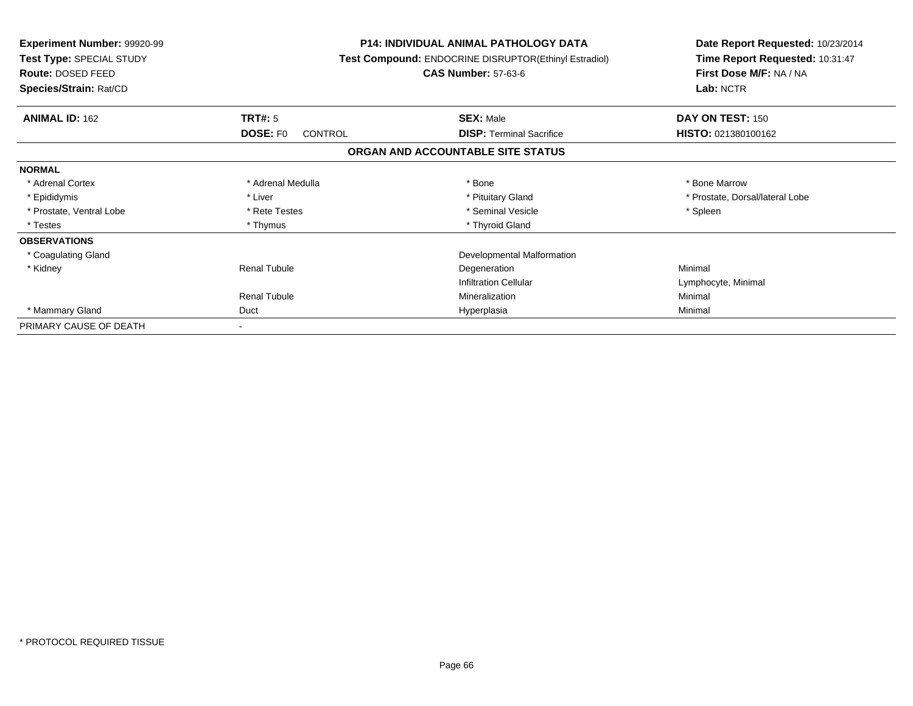| <b>Experiment Number: 99920-99</b><br><b>Test Type: SPECIAL STUDY</b><br><b>Route: DOSED FEED</b> |                                   | <b>P14: INDIVIDUAL ANIMAL PATHOLOGY DATA</b><br>Test Compound: ENDOCRINE DISRUPTOR(Ethinyl Estradiol)<br><b>CAS Number: 57-63-6</b> | Date Report Requested: 10/23/2014<br>Time Report Requested: 10:31:47<br>First Dose M/F: NA / NA<br>Lab: NCTR |  |
|---------------------------------------------------------------------------------------------------|-----------------------------------|-------------------------------------------------------------------------------------------------------------------------------------|--------------------------------------------------------------------------------------------------------------|--|
| Species/Strain: Rat/CD                                                                            |                                   |                                                                                                                                     |                                                                                                              |  |
| <b>ANIMAL ID: 162</b>                                                                             | <b>TRT#: 5</b>                    | <b>SEX: Male</b>                                                                                                                    | DAY ON TEST: 150                                                                                             |  |
|                                                                                                   | <b>DOSE: FO</b><br><b>CONTROL</b> | <b>DISP:</b> Terminal Sacrifice                                                                                                     | HISTO: 021380100162                                                                                          |  |
|                                                                                                   |                                   | ORGAN AND ACCOUNTABLE SITE STATUS                                                                                                   |                                                                                                              |  |
| <b>NORMAL</b>                                                                                     |                                   |                                                                                                                                     |                                                                                                              |  |
| * Adrenal Cortex                                                                                  | * Adrenal Medulla                 | * Bone                                                                                                                              | * Bone Marrow                                                                                                |  |
| * Epididymis                                                                                      | * Liver                           | * Pituitary Gland                                                                                                                   | * Prostate, Dorsal/lateral Lobe                                                                              |  |
| * Prostate, Ventral Lobe                                                                          | * Rete Testes                     | * Seminal Vesicle                                                                                                                   | * Spleen                                                                                                     |  |
| * Testes                                                                                          | * Thymus                          | * Thyroid Gland                                                                                                                     |                                                                                                              |  |
| <b>OBSERVATIONS</b>                                                                               |                                   |                                                                                                                                     |                                                                                                              |  |
| * Coagulating Gland                                                                               |                                   | Developmental Malformation                                                                                                          |                                                                                                              |  |
| * Kidney                                                                                          | <b>Renal Tubule</b>               | Degeneration                                                                                                                        | Minimal                                                                                                      |  |
|                                                                                                   |                                   | <b>Infiltration Cellular</b>                                                                                                        | Lymphocyte, Minimal                                                                                          |  |
|                                                                                                   | <b>Renal Tubule</b>               | Mineralization                                                                                                                      | Minimal                                                                                                      |  |
| * Mammary Gland                                                                                   | Duct                              | Hyperplasia                                                                                                                         | Minimal                                                                                                      |  |
| PRIMARY CAUSE OF DEATH                                                                            |                                   |                                                                                                                                     |                                                                                                              |  |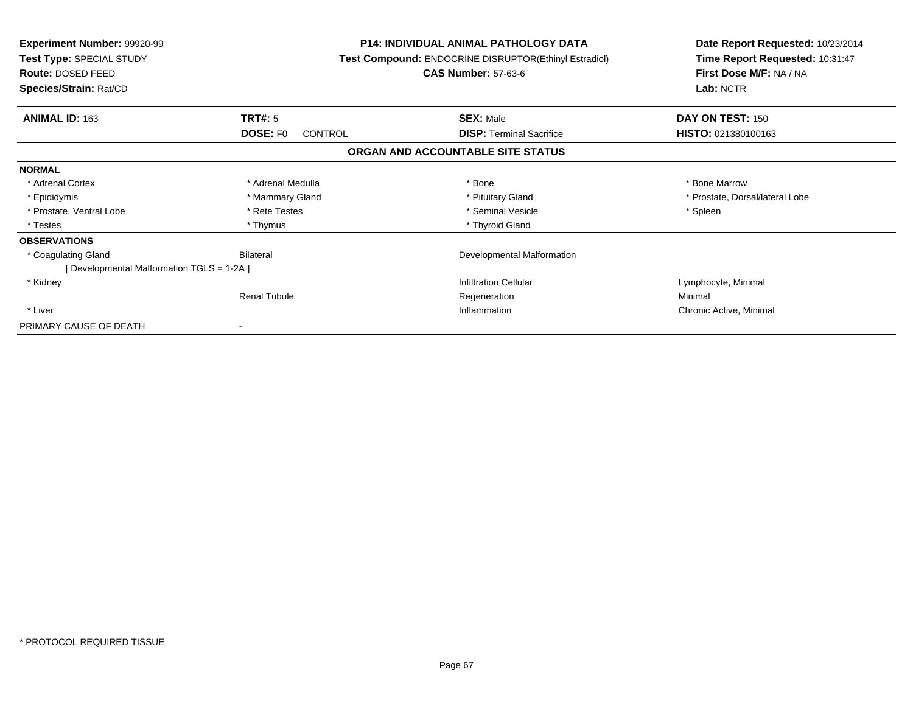| <b>Experiment Number: 99920-99</b><br>Test Type: SPECIAL STUDY<br>Route: DOSED FEED |                            | <b>P14: INDIVIDUAL ANIMAL PATHOLOGY DATA</b><br>Test Compound: ENDOCRINE DISRUPTOR(Ethinyl Estradiol)<br><b>CAS Number: 57-63-6</b> | Date Report Requested: 10/23/2014<br>Time Report Requested: 10:31:47<br>First Dose M/F: NA / NA |  |
|-------------------------------------------------------------------------------------|----------------------------|-------------------------------------------------------------------------------------------------------------------------------------|-------------------------------------------------------------------------------------------------|--|
| Species/Strain: Rat/CD                                                              |                            |                                                                                                                                     | Lab: NCTR                                                                                       |  |
| <b>ANIMAL ID: 163</b>                                                               | <b>TRT#: 5</b>             | <b>SEX: Male</b>                                                                                                                    | DAY ON TEST: 150                                                                                |  |
|                                                                                     | <b>DOSE: FO</b><br>CONTROL | <b>DISP:</b> Terminal Sacrifice                                                                                                     | <b>HISTO: 021380100163</b>                                                                      |  |
|                                                                                     |                            | ORGAN AND ACCOUNTABLE SITE STATUS                                                                                                   |                                                                                                 |  |
| <b>NORMAL</b>                                                                       |                            |                                                                                                                                     |                                                                                                 |  |
| * Adrenal Cortex                                                                    | * Adrenal Medulla          | * Bone                                                                                                                              | * Bone Marrow                                                                                   |  |
| * Epididymis                                                                        | * Mammary Gland            | * Pituitary Gland                                                                                                                   | * Prostate, Dorsal/lateral Lobe                                                                 |  |
| * Prostate, Ventral Lobe                                                            | * Rete Testes              | * Seminal Vesicle                                                                                                                   | * Spleen                                                                                        |  |
| * Testes                                                                            | * Thymus                   | * Thyroid Gland                                                                                                                     |                                                                                                 |  |
| <b>OBSERVATIONS</b>                                                                 |                            |                                                                                                                                     |                                                                                                 |  |
| * Coagulating Gland                                                                 | Bilateral                  | Developmental Malformation                                                                                                          |                                                                                                 |  |
| [Developmental Malformation TGLS = 1-2A ]                                           |                            |                                                                                                                                     |                                                                                                 |  |
| * Kidney                                                                            |                            | <b>Infiltration Cellular</b>                                                                                                        | Lymphocyte, Minimal                                                                             |  |
|                                                                                     | <b>Renal Tubule</b>        | Regeneration                                                                                                                        | Minimal                                                                                         |  |
| * Liver                                                                             |                            | Inflammation                                                                                                                        | Chronic Active, Minimal                                                                         |  |
| PRIMARY CAUSE OF DEATH                                                              |                            |                                                                                                                                     |                                                                                                 |  |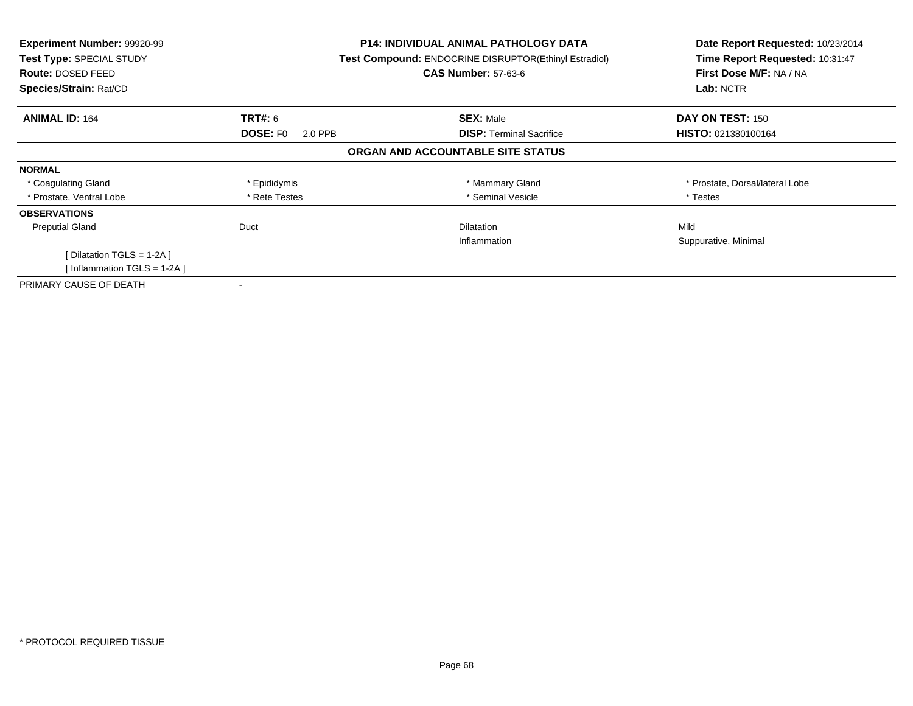| <b>Experiment Number: 99920-99</b><br>Test Type: SPECIAL STUDY<br><b>Route: DOSED FEED</b><br>Species/Strain: Rat/CD |                                              | <b>P14: INDIVIDUAL ANIMAL PATHOLOGY DATA</b><br>Test Compound: ENDOCRINE DISRUPTOR(Ethinyl Estradiol)<br><b>CAS Number: 57-63-6</b> | Date Report Requested: 10/23/2014<br>Time Report Requested: 10:31:47<br>First Dose M/F: NA / NA<br>Lab: NCTR |  |
|----------------------------------------------------------------------------------------------------------------------|----------------------------------------------|-------------------------------------------------------------------------------------------------------------------------------------|--------------------------------------------------------------------------------------------------------------|--|
|                                                                                                                      |                                              |                                                                                                                                     |                                                                                                              |  |
| <b>ANIMAL ID: 164</b>                                                                                                | <b>TRT#: 6</b><br><b>DOSE: FO</b><br>2.0 PPB | <b>SEX: Male</b><br><b>DISP:</b> Terminal Sacrifice                                                                                 | DAY ON TEST: 150<br><b>HISTO: 021380100164</b>                                                               |  |
|                                                                                                                      |                                              | ORGAN AND ACCOUNTABLE SITE STATUS                                                                                                   |                                                                                                              |  |
| <b>NORMAL</b>                                                                                                        |                                              |                                                                                                                                     |                                                                                                              |  |
| * Coagulating Gland                                                                                                  | * Epididymis                                 | * Mammary Gland                                                                                                                     | * Prostate, Dorsal/lateral Lobe                                                                              |  |
| * Prostate, Ventral Lobe                                                                                             | * Rete Testes                                | * Seminal Vesicle                                                                                                                   | * Testes                                                                                                     |  |
| <b>OBSERVATIONS</b>                                                                                                  |                                              |                                                                                                                                     |                                                                                                              |  |
| <b>Preputial Gland</b>                                                                                               | Duct                                         | <b>Dilatation</b>                                                                                                                   | Mild                                                                                                         |  |
|                                                                                                                      |                                              | Inflammation                                                                                                                        | Suppurative, Minimal                                                                                         |  |
| [ Dilatation TGLS = $1-2A$ ]                                                                                         |                                              |                                                                                                                                     |                                                                                                              |  |
| [Inflammation TGLS = 1-2A]                                                                                           |                                              |                                                                                                                                     |                                                                                                              |  |
| PRIMARY CAUSE OF DEATH                                                                                               |                                              |                                                                                                                                     |                                                                                                              |  |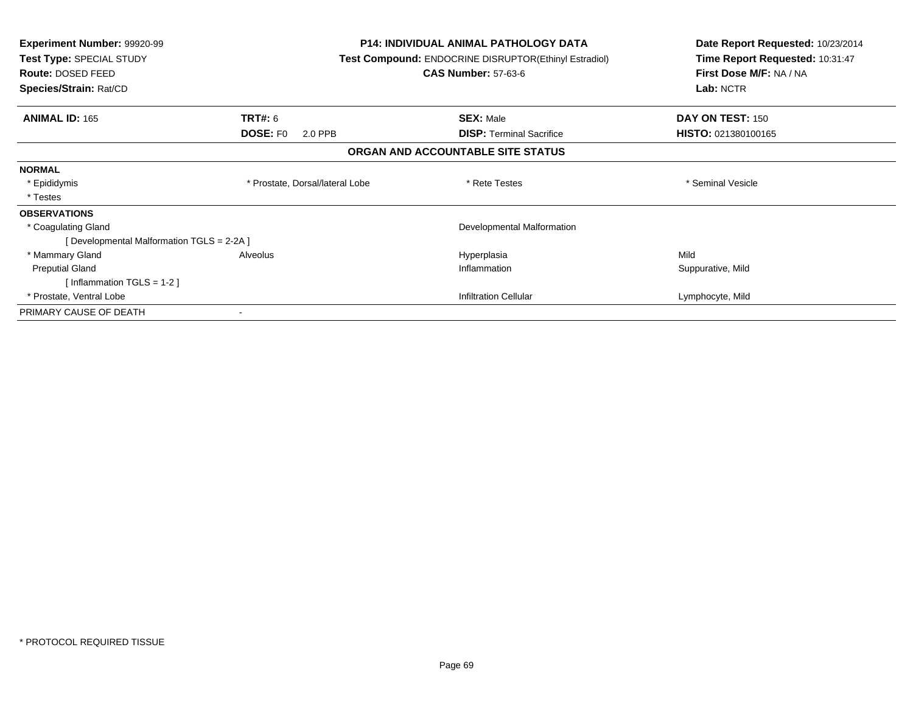| <b>Experiment Number: 99920-99</b><br>Test Type: SPECIAL STUDY<br>Route: DOSED FEED<br>Species/Strain: Rat/CD |                                 | <b>P14: INDIVIDUAL ANIMAL PATHOLOGY DATA</b><br><b>Test Compound: ENDOCRINE DISRUPTOR(Ethinyl Estradiol)</b><br><b>CAS Number: 57-63-6</b> | Date Report Requested: 10/23/2014<br>Time Report Requested: 10:31:47<br>First Dose M/F: NA / NA<br>Lab: NCTR |
|---------------------------------------------------------------------------------------------------------------|---------------------------------|--------------------------------------------------------------------------------------------------------------------------------------------|--------------------------------------------------------------------------------------------------------------|
| <b>ANIMAL ID: 165</b>                                                                                         | TRT#: 6                         | <b>SEX: Male</b>                                                                                                                           | DAY ON TEST: 150                                                                                             |
|                                                                                                               | <b>DOSE: FO</b><br>2.0 PPB      | <b>DISP:</b> Terminal Sacrifice                                                                                                            | HISTO: 021380100165                                                                                          |
|                                                                                                               |                                 | ORGAN AND ACCOUNTABLE SITE STATUS                                                                                                          |                                                                                                              |
| <b>NORMAL</b>                                                                                                 |                                 |                                                                                                                                            |                                                                                                              |
| * Epididymis                                                                                                  | * Prostate, Dorsal/lateral Lobe | * Rete Testes                                                                                                                              | * Seminal Vesicle                                                                                            |
| * Testes                                                                                                      |                                 |                                                                                                                                            |                                                                                                              |
| <b>OBSERVATIONS</b>                                                                                           |                                 |                                                                                                                                            |                                                                                                              |
| * Coagulating Gland                                                                                           |                                 | Developmental Malformation                                                                                                                 |                                                                                                              |
| [Developmental Malformation TGLS = 2-2A]                                                                      |                                 |                                                                                                                                            |                                                                                                              |
| * Mammary Gland                                                                                               | Alveolus                        | Hyperplasia                                                                                                                                | Mild                                                                                                         |
| <b>Preputial Gland</b>                                                                                        |                                 | Inflammation                                                                                                                               | Suppurative, Mild                                                                                            |
| [Inflammation TGLS = $1-2$ ]                                                                                  |                                 |                                                                                                                                            |                                                                                                              |
| * Prostate, Ventral Lobe                                                                                      |                                 | <b>Infiltration Cellular</b>                                                                                                               | Lymphocyte, Mild                                                                                             |
| PRIMARY CAUSE OF DEATH                                                                                        |                                 |                                                                                                                                            |                                                                                                              |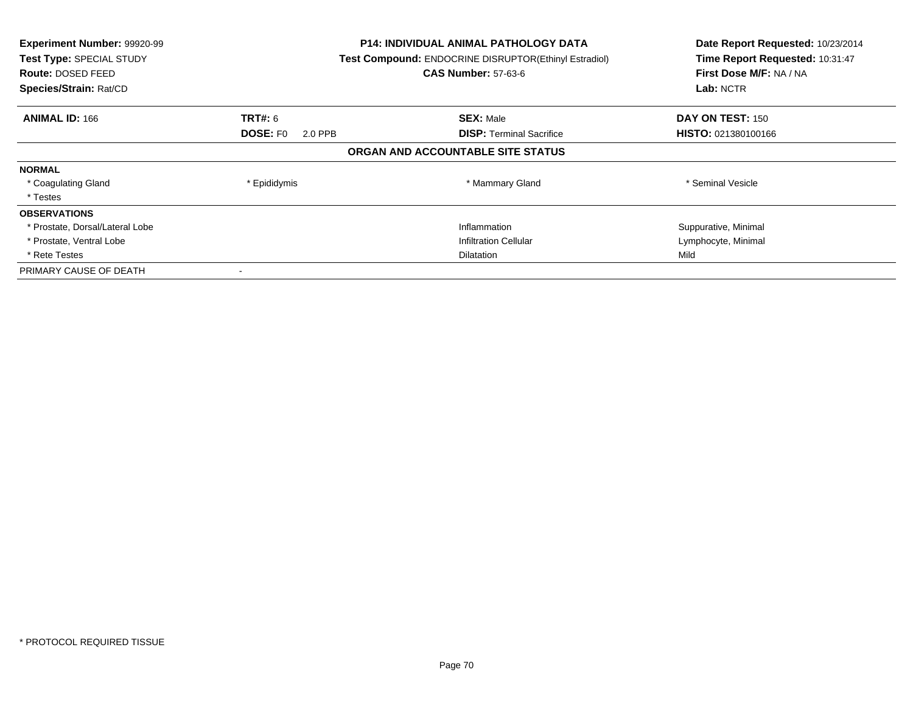| Experiment Number: 99920-99<br><b>Test Type: SPECIAL STUDY</b><br>Route: DOSED FEED<br>Species/Strain: Rat/CD |                            | <b>P14: INDIVIDUAL ANIMAL PATHOLOGY DATA</b><br>Test Compound: ENDOCRINE DISRUPTOR(Ethinyl Estradiol)<br><b>CAS Number: 57-63-6</b> | Date Report Requested: 10/23/2014<br>Time Report Requested: 10:31:47<br>First Dose M/F: NA / NA<br>Lab: NCTR |
|---------------------------------------------------------------------------------------------------------------|----------------------------|-------------------------------------------------------------------------------------------------------------------------------------|--------------------------------------------------------------------------------------------------------------|
| <b>ANIMAL ID: 166</b>                                                                                         | <b>TRT#:</b> 6             | <b>SEX: Male</b>                                                                                                                    | DAY ON TEST: 150                                                                                             |
|                                                                                                               | <b>DOSE: FO</b><br>2.0 PPB | <b>DISP:</b> Terminal Sacrifice                                                                                                     | HISTO: 021380100166                                                                                          |
|                                                                                                               |                            | ORGAN AND ACCOUNTABLE SITE STATUS                                                                                                   |                                                                                                              |
| <b>NORMAL</b>                                                                                                 |                            |                                                                                                                                     |                                                                                                              |
| * Coagulating Gland                                                                                           | * Epididymis               | * Mammary Gland                                                                                                                     | * Seminal Vesicle                                                                                            |
| * Testes                                                                                                      |                            |                                                                                                                                     |                                                                                                              |
| <b>OBSERVATIONS</b>                                                                                           |                            |                                                                                                                                     |                                                                                                              |
| * Prostate, Dorsal/Lateral Lobe                                                                               |                            | Inflammation                                                                                                                        | Suppurative, Minimal                                                                                         |
| * Prostate, Ventral Lobe                                                                                      |                            | <b>Infiltration Cellular</b>                                                                                                        | Lymphocyte, Minimal                                                                                          |
| * Rete Testes                                                                                                 | <b>Dilatation</b>          |                                                                                                                                     | Mild                                                                                                         |
| PRIMARY CAUSE OF DEATH                                                                                        |                            |                                                                                                                                     |                                                                                                              |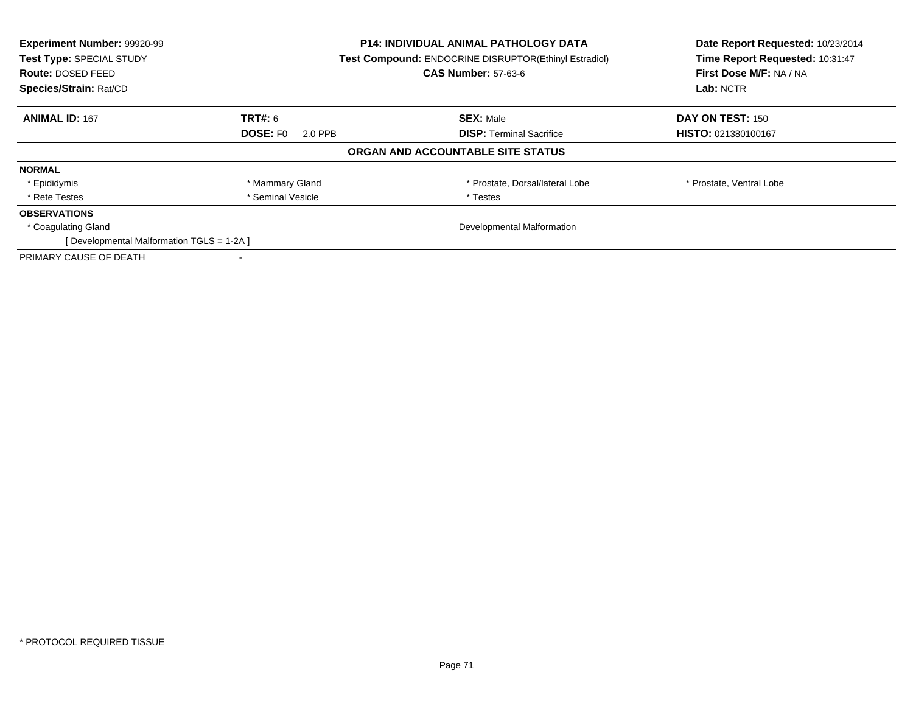| Experiment Number: 99920-99<br>Test Type: SPECIAL STUDY<br><b>Route: DOSED FEED</b><br>Species/Strain: Rat/CD |                            | P14: INDIVIDUAL ANIMAL PATHOLOGY DATA<br><b>Test Compound: ENDOCRINE DISRUPTOR(Ethinyl Estradiol)</b><br><b>CAS Number: 57-63-6</b> | Date Report Requested: 10/23/2014<br>Time Report Requested: 10:31:47<br>First Dose M/F: NA / NA<br>Lab: NCTR |
|---------------------------------------------------------------------------------------------------------------|----------------------------|-------------------------------------------------------------------------------------------------------------------------------------|--------------------------------------------------------------------------------------------------------------|
| <b>ANIMAL ID: 167</b>                                                                                         | <b>TRT#:</b> 6             | <b>SEX: Male</b>                                                                                                                    | DAY ON TEST: 150                                                                                             |
|                                                                                                               | <b>DOSE: FO</b><br>2.0 PPB | <b>DISP:</b> Terminal Sacrifice                                                                                                     | <b>HISTO: 021380100167</b>                                                                                   |
|                                                                                                               |                            | ORGAN AND ACCOUNTABLE SITE STATUS                                                                                                   |                                                                                                              |
| <b>NORMAL</b>                                                                                                 |                            |                                                                                                                                     |                                                                                                              |
| * Epididymis                                                                                                  | * Mammary Gland            | * Prostate, Dorsal/lateral Lobe                                                                                                     | * Prostate, Ventral Lobe                                                                                     |
| * Rete Testes                                                                                                 | * Seminal Vesicle          | * Testes                                                                                                                            |                                                                                                              |
| <b>OBSERVATIONS</b>                                                                                           |                            |                                                                                                                                     |                                                                                                              |
| * Coagulating Gland                                                                                           |                            | Developmental Malformation                                                                                                          |                                                                                                              |
| [ Developmental Malformation TGLS = 1-2A ]                                                                    |                            |                                                                                                                                     |                                                                                                              |
| PRIMARY CAUSE OF DEATH                                                                                        |                            |                                                                                                                                     |                                                                                                              |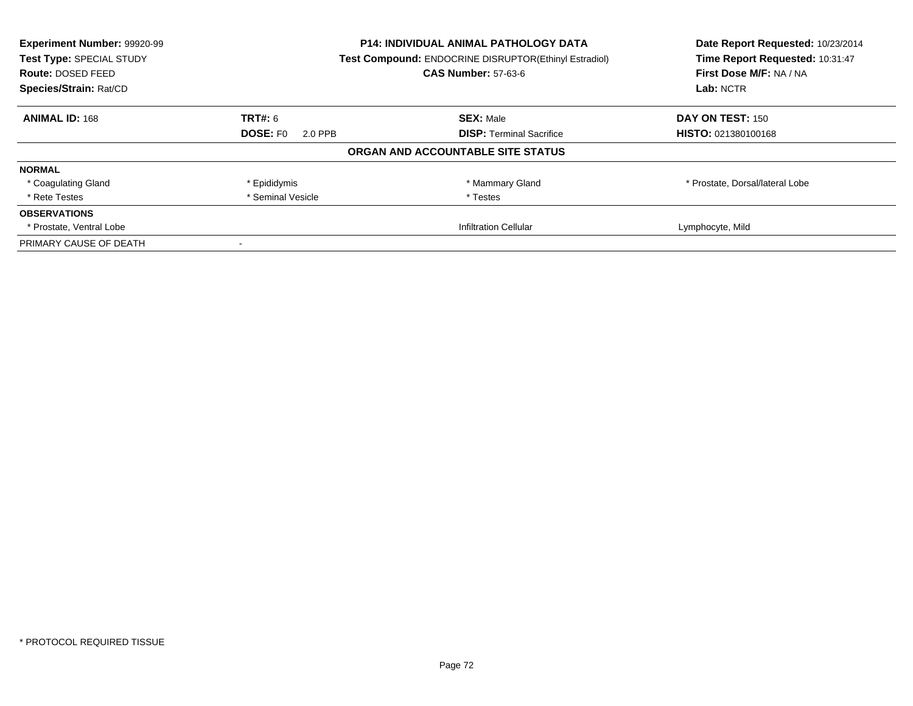| Experiment Number: 99920-99 | <b>P14: INDIVIDUAL ANIMAL PATHOLOGY DATA</b> |                                                       | Date Report Requested: 10/23/2014 |
|-----------------------------|----------------------------------------------|-------------------------------------------------------|-----------------------------------|
| Test Type: SPECIAL STUDY    |                                              | Test Compound: ENDOCRINE DISRUPTOR(Ethinyl Estradiol) |                                   |
| <b>Route: DOSED FEED</b>    |                                              | <b>CAS Number: 57-63-6</b>                            | First Dose M/F: NA / NA           |
| Species/Strain: Rat/CD      |                                              |                                                       | Lab: NCTR                         |
| <b>ANIMAL ID: 168</b>       | <b>TRT#: 6</b>                               | <b>SEX: Male</b>                                      | DAY ON TEST: 150                  |
|                             | <b>DOSE: FO</b><br>2.0 PPB                   | <b>DISP:</b> Terminal Sacrifice                       | HISTO: 021380100168               |
|                             |                                              | ORGAN AND ACCOUNTABLE SITE STATUS                     |                                   |
| <b>NORMAL</b>               |                                              |                                                       |                                   |
| * Coagulating Gland         | * Epididymis                                 | * Mammary Gland                                       | * Prostate, Dorsal/lateral Lobe   |
| * Rete Testes               | * Seminal Vesicle                            | * Testes                                              |                                   |
| <b>OBSERVATIONS</b>         |                                              |                                                       |                                   |
| * Prostate, Ventral Lobe    |                                              | <b>Infiltration Cellular</b>                          | Lymphocyte, Mild                  |
| PRIMARY CAUSE OF DEATH      |                                              |                                                       |                                   |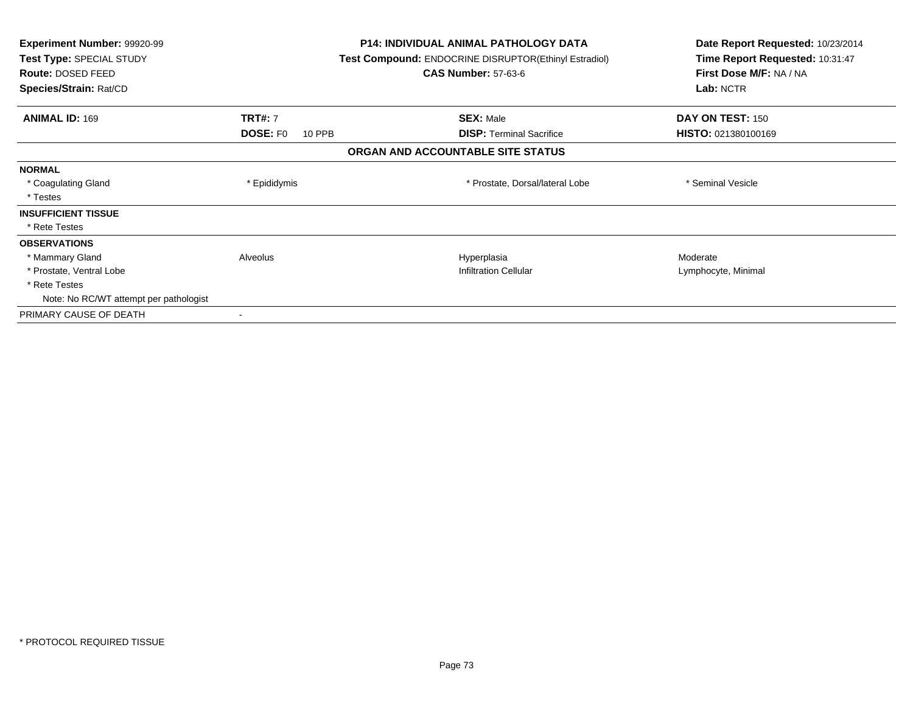| <b>Experiment Number: 99920-99</b><br>Test Type: SPECIAL STUDY<br>Route: DOSED FEED<br>Species/Strain: Rat/CD |                           | <b>P14: INDIVIDUAL ANIMAL PATHOLOGY DATA</b><br>Test Compound: ENDOCRINE DISRUPTOR(Ethinyl Estradiol)<br><b>CAS Number: 57-63-6</b> |                                 | Date Report Requested: 10/23/2014<br>Time Report Requested: 10:31:47<br>First Dose M/F: NA / NA<br>Lab: NCTR |
|---------------------------------------------------------------------------------------------------------------|---------------------------|-------------------------------------------------------------------------------------------------------------------------------------|---------------------------------|--------------------------------------------------------------------------------------------------------------|
| <b>ANIMAL ID: 169</b>                                                                                         | <b>TRT#: 7</b>            |                                                                                                                                     | <b>SEX: Male</b>                | DAY ON TEST: 150                                                                                             |
|                                                                                                               | <b>DOSE: FO</b><br>10 PPB |                                                                                                                                     | <b>DISP:</b> Terminal Sacrifice | HISTO: 021380100169                                                                                          |
|                                                                                                               |                           | ORGAN AND ACCOUNTABLE SITE STATUS                                                                                                   |                                 |                                                                                                              |
| <b>NORMAL</b>                                                                                                 |                           |                                                                                                                                     |                                 |                                                                                                              |
| * Coagulating Gland                                                                                           | * Epididymis              |                                                                                                                                     | * Prostate, Dorsal/lateral Lobe | * Seminal Vesicle                                                                                            |
| * Testes                                                                                                      |                           |                                                                                                                                     |                                 |                                                                                                              |
| <b>INSUFFICIENT TISSUE</b>                                                                                    |                           |                                                                                                                                     |                                 |                                                                                                              |
| * Rete Testes                                                                                                 |                           |                                                                                                                                     |                                 |                                                                                                              |
| <b>OBSERVATIONS</b>                                                                                           |                           |                                                                                                                                     |                                 |                                                                                                              |
| * Mammary Gland                                                                                               | Alveolus                  |                                                                                                                                     | Hyperplasia                     | Moderate                                                                                                     |
| * Prostate, Ventral Lobe                                                                                      |                           |                                                                                                                                     | <b>Infiltration Cellular</b>    | Lymphocyte, Minimal                                                                                          |
| * Rete Testes                                                                                                 |                           |                                                                                                                                     |                                 |                                                                                                              |
| Note: No RC/WT attempt per pathologist                                                                        |                           |                                                                                                                                     |                                 |                                                                                                              |
| PRIMARY CAUSE OF DEATH                                                                                        |                           |                                                                                                                                     |                                 |                                                                                                              |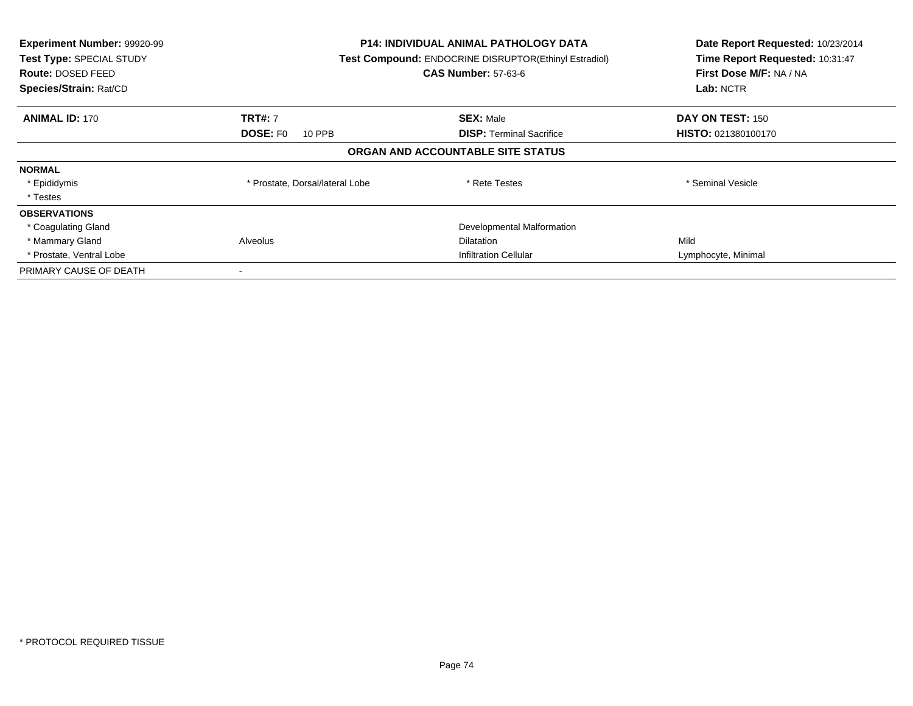| Experiment Number: 99920-99<br>Test Type: SPECIAL STUDY<br>Route: DOSED FEED<br>Species/Strain: Rat/CD | <b>P14: INDIVIDUAL ANIMAL PATHOLOGY DATA</b><br>Test Compound: ENDOCRINE DISRUPTOR(Ethinyl Estradiol)<br><b>CAS Number: 57-63-6</b> |                                   | Date Report Requested: 10/23/2014<br>Time Report Requested: 10:31:47<br>First Dose M/F: NA / NA<br>Lab: NCTR |
|--------------------------------------------------------------------------------------------------------|-------------------------------------------------------------------------------------------------------------------------------------|-----------------------------------|--------------------------------------------------------------------------------------------------------------|
| <b>ANIMAL ID: 170</b>                                                                                  | <b>TRT#: 7</b>                                                                                                                      | <b>SEX: Male</b>                  | DAY ON TEST: 150                                                                                             |
|                                                                                                        | <b>DOSE: FO</b><br>10 PPB                                                                                                           | <b>DISP:</b> Terminal Sacrifice   | HISTO: 021380100170                                                                                          |
|                                                                                                        |                                                                                                                                     | ORGAN AND ACCOUNTABLE SITE STATUS |                                                                                                              |
| <b>NORMAL</b>                                                                                          |                                                                                                                                     |                                   |                                                                                                              |
| * Epididymis                                                                                           | * Prostate, Dorsal/lateral Lobe                                                                                                     | * Rete Testes                     | * Seminal Vesicle                                                                                            |
| * Testes                                                                                               |                                                                                                                                     |                                   |                                                                                                              |
| <b>OBSERVATIONS</b>                                                                                    |                                                                                                                                     |                                   |                                                                                                              |
| * Coagulating Gland                                                                                    |                                                                                                                                     | Developmental Malformation        |                                                                                                              |
| * Mammary Gland                                                                                        | Alveolus                                                                                                                            | <b>Dilatation</b>                 | Mild                                                                                                         |
| * Prostate, Ventral Lobe                                                                               |                                                                                                                                     | <b>Infiltration Cellular</b>      | Lymphocyte, Minimal                                                                                          |
| PRIMARY CAUSE OF DEATH                                                                                 |                                                                                                                                     |                                   |                                                                                                              |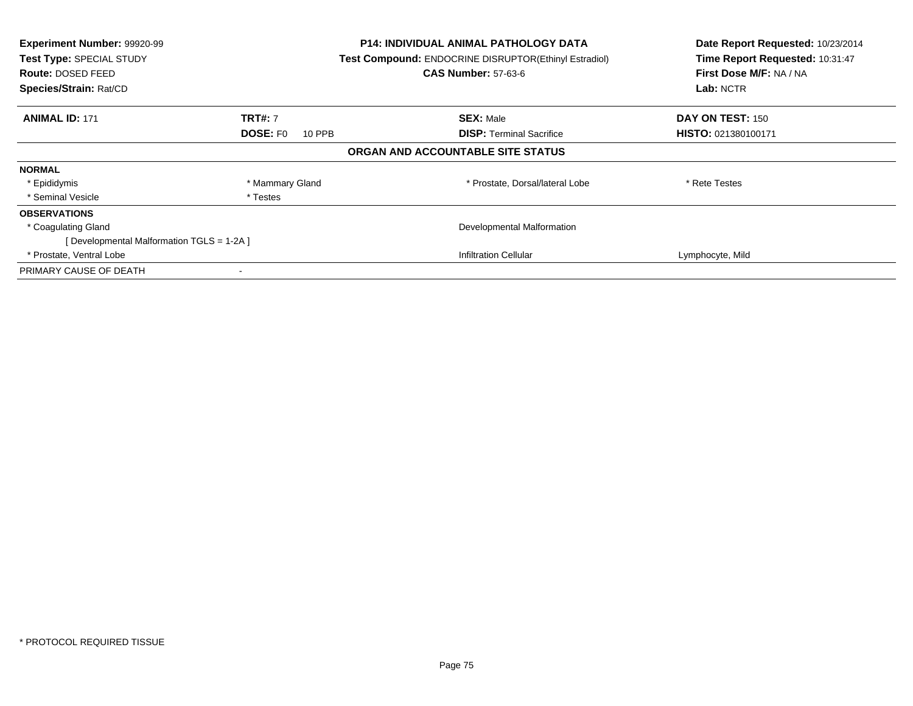| Experiment Number: 99920-99<br>Test Type: SPECIAL STUDY<br>Route: DOSED FEED<br>Species/Strain: Rat/CD |                           | <b>P14: INDIVIDUAL ANIMAL PATHOLOGY DATA</b><br>Test Compound: ENDOCRINE DISRUPTOR(Ethinyl Estradiol)<br><b>CAS Number: 57-63-6</b> | Date Report Requested: 10/23/2014<br>Time Report Requested: 10:31:47<br>First Dose M/F: NA / NA<br>Lab: NCTR |
|--------------------------------------------------------------------------------------------------------|---------------------------|-------------------------------------------------------------------------------------------------------------------------------------|--------------------------------------------------------------------------------------------------------------|
| <b>ANIMAL ID: 171</b>                                                                                  | <b>TRT#: 7</b>            | <b>SEX: Male</b>                                                                                                                    | DAY ON TEST: 150                                                                                             |
|                                                                                                        | <b>DOSE: FO</b><br>10 PPB | <b>DISP:</b> Terminal Sacrifice                                                                                                     | HISTO: 021380100171                                                                                          |
|                                                                                                        |                           | ORGAN AND ACCOUNTABLE SITE STATUS                                                                                                   |                                                                                                              |
| <b>NORMAL</b>                                                                                          |                           |                                                                                                                                     |                                                                                                              |
| * Epididymis                                                                                           | * Mammary Gland           | * Prostate, Dorsal/lateral Lobe                                                                                                     | * Rete Testes                                                                                                |
| * Seminal Vesicle                                                                                      | * Testes                  |                                                                                                                                     |                                                                                                              |
| <b>OBSERVATIONS</b>                                                                                    |                           |                                                                                                                                     |                                                                                                              |
| * Coagulating Gland                                                                                    |                           | Developmental Malformation                                                                                                          |                                                                                                              |
| [Developmental Malformation TGLS = 1-2A ]                                                              |                           |                                                                                                                                     |                                                                                                              |
| * Prostate, Ventral Lobe                                                                               |                           | <b>Infiltration Cellular</b>                                                                                                        | Lymphocyte, Mild                                                                                             |
| PRIMARY CAUSE OF DEATH                                                                                 |                           |                                                                                                                                     |                                                                                                              |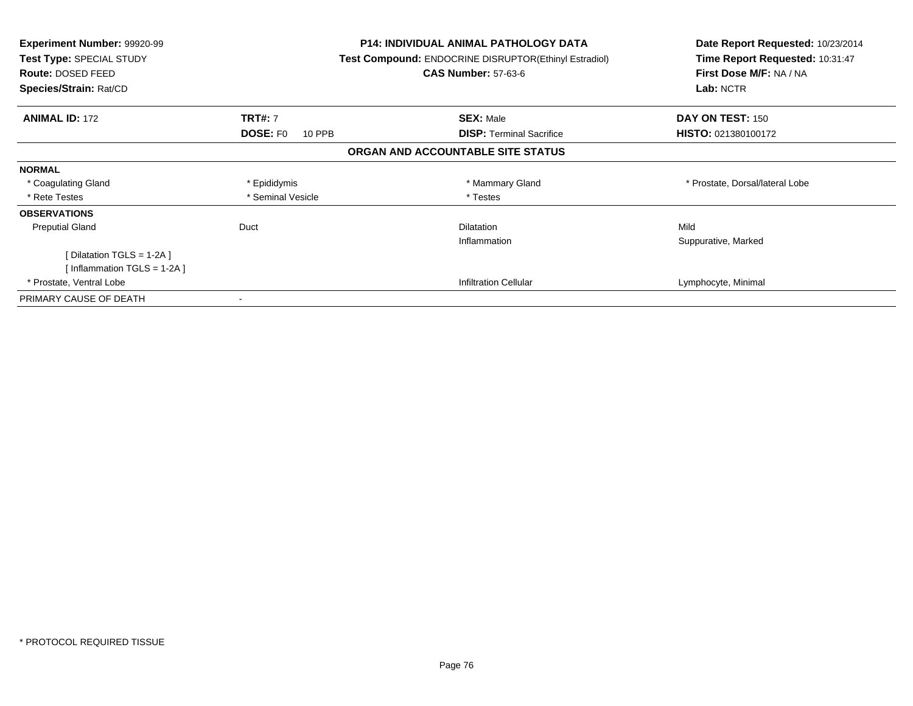| <b>Experiment Number: 99920-99</b><br>Test Type: SPECIAL STUDY<br>Route: DOSED FEED<br>Species/Strain: Rat/CD |                           | <b>P14: INDIVIDUAL ANIMAL PATHOLOGY DATA</b><br><b>Test Compound: ENDOCRINE DISRUPTOR(Ethinyl Estradiol)</b><br><b>CAS Number: 57-63-6</b> | Date Report Requested: 10/23/2014<br>Time Report Requested: 10:31:47<br>First Dose M/F: NA / NA<br>Lab: NCTR |
|---------------------------------------------------------------------------------------------------------------|---------------------------|--------------------------------------------------------------------------------------------------------------------------------------------|--------------------------------------------------------------------------------------------------------------|
| <b>ANIMAL ID: 172</b>                                                                                         | <b>TRT#: 7</b>            | <b>SEX: Male</b>                                                                                                                           | DAY ON TEST: 150                                                                                             |
|                                                                                                               | <b>DOSE: FO</b><br>10 PPB | <b>DISP:</b> Terminal Sacrifice                                                                                                            | <b>HISTO: 021380100172</b>                                                                                   |
|                                                                                                               |                           | ORGAN AND ACCOUNTABLE SITE STATUS                                                                                                          |                                                                                                              |
| <b>NORMAL</b>                                                                                                 |                           |                                                                                                                                            |                                                                                                              |
| * Coagulating Gland                                                                                           | * Epididymis              | * Mammary Gland                                                                                                                            | * Prostate, Dorsal/lateral Lobe                                                                              |
| * Rete Testes                                                                                                 | * Seminal Vesicle         | * Testes                                                                                                                                   |                                                                                                              |
| <b>OBSERVATIONS</b>                                                                                           |                           |                                                                                                                                            |                                                                                                              |
| <b>Preputial Gland</b>                                                                                        | Duct                      | <b>Dilatation</b><br>Inflammation                                                                                                          | Mild<br>Suppurative, Marked                                                                                  |
| [ Dilatation TGLS = 1-2A ]                                                                                    |                           |                                                                                                                                            |                                                                                                              |
| [Inflammation TGLS = 1-2A]                                                                                    |                           |                                                                                                                                            |                                                                                                              |
| * Prostate, Ventral Lobe                                                                                      |                           | <b>Infiltration Cellular</b>                                                                                                               | Lymphocyte, Minimal                                                                                          |
| PRIMARY CAUSE OF DEATH                                                                                        |                           |                                                                                                                                            |                                                                                                              |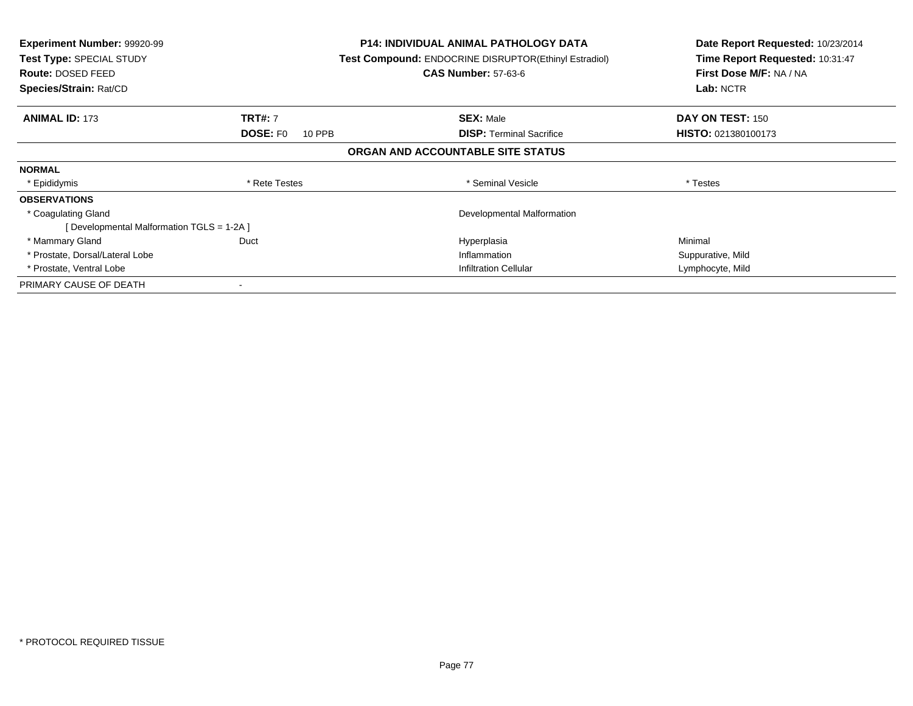| <b>Experiment Number: 99920-99</b><br>Test Type: SPECIAL STUDY<br><b>Route: DOSED FEED</b><br>Species/Strain: Rat/CD |                           | <b>P14: INDIVIDUAL ANIMAL PATHOLOGY DATA</b><br><b>Test Compound: ENDOCRINE DISRUPTOR(Ethinyl Estradiol)</b><br><b>CAS Number: 57-63-6</b> | Date Report Requested: 10/23/2014<br>Time Report Requested: 10:31:47<br>First Dose M/F: NA / NA<br>Lab: NCTR |
|----------------------------------------------------------------------------------------------------------------------|---------------------------|--------------------------------------------------------------------------------------------------------------------------------------------|--------------------------------------------------------------------------------------------------------------|
| <b>ANIMAL ID: 173</b>                                                                                                | <b>TRT#: 7</b>            | <b>SEX: Male</b>                                                                                                                           | DAY ON TEST: 150                                                                                             |
|                                                                                                                      | <b>DOSE: FO</b><br>10 PPB | <b>DISP:</b> Terminal Sacrifice                                                                                                            | <b>HISTO: 021380100173</b>                                                                                   |
|                                                                                                                      |                           | ORGAN AND ACCOUNTABLE SITE STATUS                                                                                                          |                                                                                                              |
| <b>NORMAL</b>                                                                                                        |                           |                                                                                                                                            |                                                                                                              |
| * Epididymis                                                                                                         | * Rete Testes             | * Seminal Vesicle                                                                                                                          | * Testes                                                                                                     |
| <b>OBSERVATIONS</b>                                                                                                  |                           |                                                                                                                                            |                                                                                                              |
| * Coagulating Gland                                                                                                  |                           | Developmental Malformation                                                                                                                 |                                                                                                              |
| [ Developmental Malformation TGLS = 1-2A ]                                                                           |                           |                                                                                                                                            |                                                                                                              |
| * Mammary Gland                                                                                                      | Duct                      | Hyperplasia                                                                                                                                | Minimal                                                                                                      |
| * Prostate, Dorsal/Lateral Lobe                                                                                      |                           | Inflammation                                                                                                                               | Suppurative, Mild                                                                                            |
| * Prostate, Ventral Lobe                                                                                             |                           | Infiltration Cellular                                                                                                                      | Lymphocyte, Mild                                                                                             |
| PRIMARY CAUSE OF DEATH                                                                                               |                           |                                                                                                                                            |                                                                                                              |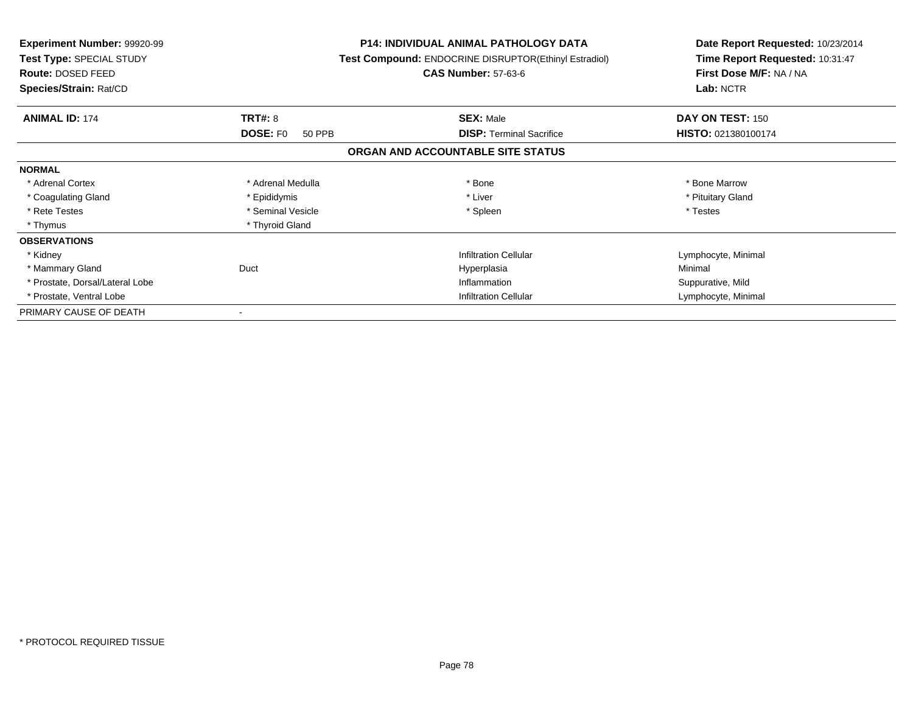| <b>Experiment Number: 99920-99</b><br>Test Type: SPECIAL STUDY<br>Route: DOSED FEED<br>Species/Strain: Rat/CD |                           | <b>P14: INDIVIDUAL ANIMAL PATHOLOGY DATA</b><br>Test Compound: ENDOCRINE DISRUPTOR(Ethinyl Estradiol)<br><b>CAS Number: 57-63-6</b> | Date Report Requested: 10/23/2014<br>Time Report Requested: 10:31:47<br>First Dose M/F: NA / NA<br>Lab: NCTR |
|---------------------------------------------------------------------------------------------------------------|---------------------------|-------------------------------------------------------------------------------------------------------------------------------------|--------------------------------------------------------------------------------------------------------------|
| <b>ANIMAL ID: 174</b>                                                                                         | TRT#: 8                   | <b>SEX: Male</b>                                                                                                                    | DAY ON TEST: 150                                                                                             |
|                                                                                                               | <b>DOSE: FO</b><br>50 PPB | <b>DISP: Terminal Sacrifice</b>                                                                                                     | HISTO: 021380100174                                                                                          |
|                                                                                                               |                           | ORGAN AND ACCOUNTABLE SITE STATUS                                                                                                   |                                                                                                              |
| <b>NORMAL</b>                                                                                                 |                           |                                                                                                                                     |                                                                                                              |
| * Adrenal Cortex                                                                                              | * Adrenal Medulla         | * Bone                                                                                                                              | * Bone Marrow                                                                                                |
| * Coagulating Gland                                                                                           | * Epididymis              | * Liver                                                                                                                             | * Pituitary Gland                                                                                            |
| * Rete Testes                                                                                                 | * Seminal Vesicle         | * Spleen                                                                                                                            | * Testes                                                                                                     |
| * Thymus                                                                                                      | * Thyroid Gland           |                                                                                                                                     |                                                                                                              |
| <b>OBSERVATIONS</b>                                                                                           |                           |                                                                                                                                     |                                                                                                              |
| * Kidney                                                                                                      |                           | <b>Infiltration Cellular</b>                                                                                                        | Lymphocyte, Minimal                                                                                          |
| * Mammary Gland                                                                                               | Duct                      | Hyperplasia                                                                                                                         | Minimal                                                                                                      |
| * Prostate, Dorsal/Lateral Lobe                                                                               |                           | Inflammation                                                                                                                        | Suppurative, Mild                                                                                            |
| * Prostate, Ventral Lobe                                                                                      |                           | <b>Infiltration Cellular</b>                                                                                                        | Lymphocyte, Minimal                                                                                          |
| PRIMARY CAUSE OF DEATH                                                                                        |                           |                                                                                                                                     |                                                                                                              |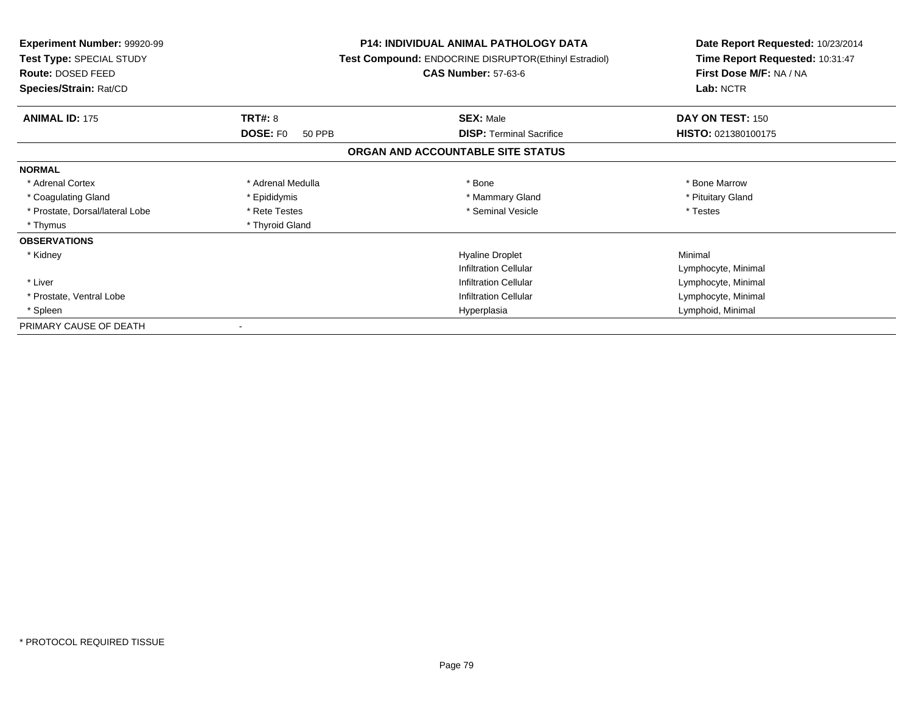| <b>Experiment Number: 99920-99</b><br>Test Type: SPECIAL STUDY<br>Route: DOSED FEED<br>Species/Strain: Rat/CD |                    | <b>P14: INDIVIDUAL ANIMAL PATHOLOGY DATA</b><br>Test Compound: ENDOCRINE DISRUPTOR(Ethinyl Estradiol)<br><b>CAS Number: 57-63-6</b> | Date Report Requested: 10/23/2014<br>Time Report Requested: 10:31:47<br>First Dose M/F: NA / NA<br>Lab: NCTR |
|---------------------------------------------------------------------------------------------------------------|--------------------|-------------------------------------------------------------------------------------------------------------------------------------|--------------------------------------------------------------------------------------------------------------|
|                                                                                                               |                    |                                                                                                                                     |                                                                                                              |
| <b>ANIMAL ID: 175</b>                                                                                         | <b>TRT#: 8</b>     | <b>SEX: Male</b>                                                                                                                    | DAY ON TEST: 150                                                                                             |
|                                                                                                               | DOSE: FO<br>50 PPB | <b>DISP: Terminal Sacrifice</b>                                                                                                     | HISTO: 021380100175                                                                                          |
|                                                                                                               |                    | ORGAN AND ACCOUNTABLE SITE STATUS                                                                                                   |                                                                                                              |
| <b>NORMAL</b>                                                                                                 |                    |                                                                                                                                     |                                                                                                              |
| * Adrenal Cortex                                                                                              | * Adrenal Medulla  | * Bone                                                                                                                              | * Bone Marrow                                                                                                |
| * Coagulating Gland                                                                                           | * Epididymis       | * Mammary Gland                                                                                                                     | * Pituitary Gland                                                                                            |
| * Prostate, Dorsal/lateral Lobe                                                                               | * Rete Testes      | * Seminal Vesicle                                                                                                                   | * Testes                                                                                                     |
| * Thymus                                                                                                      | * Thyroid Gland    |                                                                                                                                     |                                                                                                              |
| <b>OBSERVATIONS</b>                                                                                           |                    |                                                                                                                                     |                                                                                                              |
| * Kidney                                                                                                      |                    | <b>Hyaline Droplet</b>                                                                                                              | Minimal                                                                                                      |
|                                                                                                               |                    | Infiltration Cellular                                                                                                               | Lymphocyte, Minimal                                                                                          |
| * Liver                                                                                                       |                    | <b>Infiltration Cellular</b>                                                                                                        | Lymphocyte, Minimal                                                                                          |
| * Prostate, Ventral Lobe                                                                                      |                    | <b>Infiltration Cellular</b>                                                                                                        | Lymphocyte, Minimal                                                                                          |
| * Spleen                                                                                                      |                    | Hyperplasia                                                                                                                         | Lymphoid, Minimal                                                                                            |
| PRIMARY CAUSE OF DEATH                                                                                        |                    |                                                                                                                                     |                                                                                                              |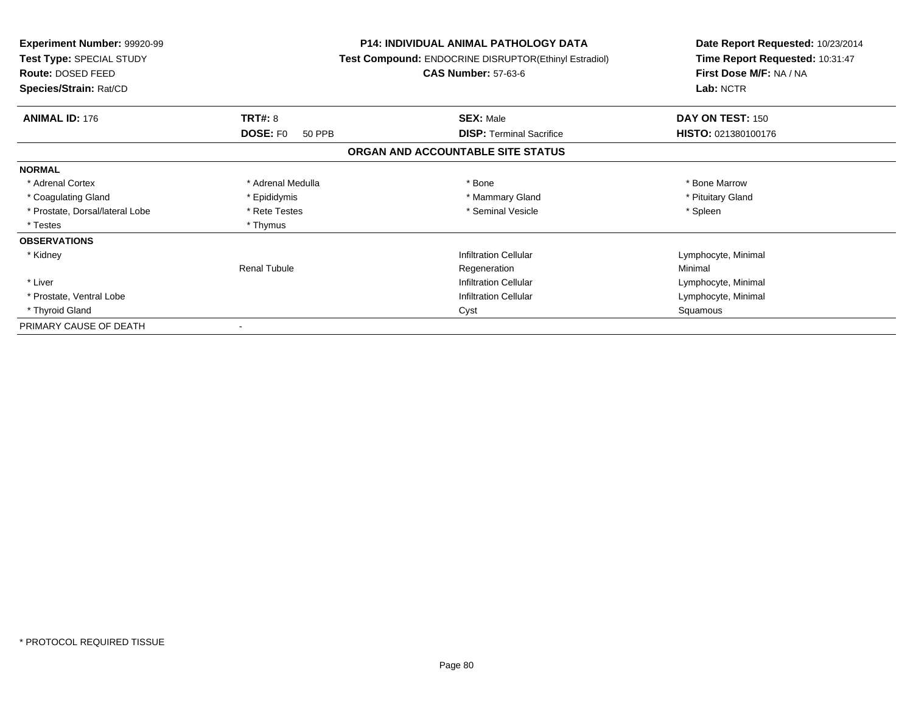| <b>Experiment Number: 99920-99</b><br>Test Type: SPECIAL STUDY<br>Route: DOSED FEED<br>Species/Strain: Rat/CD |                           | <b>P14: INDIVIDUAL ANIMAL PATHOLOGY DATA</b><br>Test Compound: ENDOCRINE DISRUPTOR(Ethinyl Estradiol)<br><b>CAS Number: 57-63-6</b> | Date Report Requested: 10/23/2014<br>Time Report Requested: 10:31:47<br>First Dose M/F: NA / NA<br>Lab: NCTR |
|---------------------------------------------------------------------------------------------------------------|---------------------------|-------------------------------------------------------------------------------------------------------------------------------------|--------------------------------------------------------------------------------------------------------------|
|                                                                                                               |                           |                                                                                                                                     |                                                                                                              |
| <b>ANIMAL ID: 176</b>                                                                                         | <b>TRT#: 8</b>            | <b>SEX: Male</b>                                                                                                                    | DAY ON TEST: 150                                                                                             |
|                                                                                                               | <b>DOSE: FO</b><br>50 PPB | <b>DISP:</b> Terminal Sacrifice                                                                                                     | HISTO: 021380100176                                                                                          |
|                                                                                                               |                           | ORGAN AND ACCOUNTABLE SITE STATUS                                                                                                   |                                                                                                              |
| <b>NORMAL</b>                                                                                                 |                           |                                                                                                                                     |                                                                                                              |
| * Adrenal Cortex                                                                                              | * Adrenal Medulla         | * Bone                                                                                                                              | * Bone Marrow                                                                                                |
| * Coagulating Gland                                                                                           | * Epididymis              | * Mammary Gland                                                                                                                     | * Pituitary Gland                                                                                            |
| * Prostate, Dorsal/lateral Lobe                                                                               | * Rete Testes             | * Seminal Vesicle                                                                                                                   | * Spleen                                                                                                     |
| * Testes                                                                                                      | * Thymus                  |                                                                                                                                     |                                                                                                              |
| <b>OBSERVATIONS</b>                                                                                           |                           |                                                                                                                                     |                                                                                                              |
| * Kidney                                                                                                      |                           | <b>Infiltration Cellular</b>                                                                                                        | Lymphocyte, Minimal                                                                                          |
|                                                                                                               | <b>Renal Tubule</b>       | Regeneration                                                                                                                        | Minimal                                                                                                      |
| * Liver                                                                                                       |                           | <b>Infiltration Cellular</b>                                                                                                        | Lymphocyte, Minimal                                                                                          |
| * Prostate, Ventral Lobe                                                                                      |                           | <b>Infiltration Cellular</b>                                                                                                        | Lymphocyte, Minimal                                                                                          |
| * Thyroid Gland                                                                                               |                           | Cyst                                                                                                                                | Squamous                                                                                                     |
| PRIMARY CAUSE OF DEATH                                                                                        |                           |                                                                                                                                     |                                                                                                              |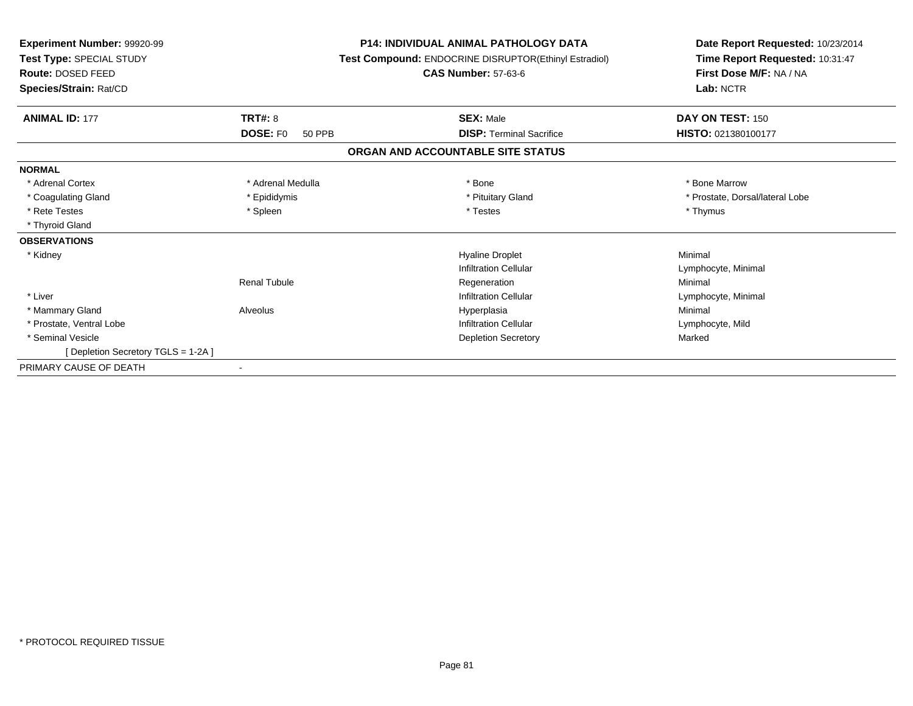| Experiment Number: 99920-99<br>Test Type: SPECIAL STUDY<br>Route: DOSED FEED<br>Species/Strain: Rat/CD |                           | <b>P14: INDIVIDUAL ANIMAL PATHOLOGY DATA</b><br>Test Compound: ENDOCRINE DISRUPTOR(Ethinyl Estradiol)<br><b>CAS Number: 57-63-6</b> | Date Report Requested: 10/23/2014<br>Time Report Requested: 10:31:47<br>First Dose M/F: NA / NA<br>Lab: NCTR |  |
|--------------------------------------------------------------------------------------------------------|---------------------------|-------------------------------------------------------------------------------------------------------------------------------------|--------------------------------------------------------------------------------------------------------------|--|
| <b>ANIMAL ID: 177</b>                                                                                  | <b>TRT#: 8</b>            | <b>SEX: Male</b>                                                                                                                    | DAY ON TEST: 150                                                                                             |  |
|                                                                                                        | <b>DOSE: FO</b><br>50 PPB | <b>DISP: Terminal Sacrifice</b>                                                                                                     | HISTO: 021380100177                                                                                          |  |
|                                                                                                        |                           | ORGAN AND ACCOUNTABLE SITE STATUS                                                                                                   |                                                                                                              |  |
| <b>NORMAL</b>                                                                                          |                           |                                                                                                                                     |                                                                                                              |  |
| * Adrenal Cortex                                                                                       | * Adrenal Medulla         | * Bone                                                                                                                              | * Bone Marrow                                                                                                |  |
| * Coagulating Gland                                                                                    | * Epididymis              | * Pituitary Gland                                                                                                                   | * Prostate, Dorsal/lateral Lobe                                                                              |  |
| * Rete Testes                                                                                          | * Spleen                  | * Testes                                                                                                                            | * Thymus                                                                                                     |  |
| * Thyroid Gland                                                                                        |                           |                                                                                                                                     |                                                                                                              |  |
| <b>OBSERVATIONS</b>                                                                                    |                           |                                                                                                                                     |                                                                                                              |  |
| * Kidney                                                                                               |                           | <b>Hyaline Droplet</b>                                                                                                              | Minimal                                                                                                      |  |
|                                                                                                        |                           | Infiltration Cellular                                                                                                               | Lymphocyte, Minimal                                                                                          |  |
|                                                                                                        | <b>Renal Tubule</b>       | Regeneration                                                                                                                        | Minimal                                                                                                      |  |
| * Liver                                                                                                |                           | Infiltration Cellular                                                                                                               | Lymphocyte, Minimal                                                                                          |  |
| * Mammary Gland                                                                                        | Alveolus                  | Hyperplasia                                                                                                                         | Minimal                                                                                                      |  |
| * Prostate, Ventral Lobe                                                                               |                           | <b>Infiltration Cellular</b>                                                                                                        | Lymphocyte, Mild                                                                                             |  |
| * Seminal Vesicle                                                                                      |                           | <b>Depletion Secretory</b>                                                                                                          | Marked                                                                                                       |  |
| [ Depletion Secretory TGLS = 1-2A ]                                                                    |                           |                                                                                                                                     |                                                                                                              |  |
| PRIMARY CAUSE OF DEATH                                                                                 | $\sim$                    |                                                                                                                                     |                                                                                                              |  |
|                                                                                                        |                           |                                                                                                                                     |                                                                                                              |  |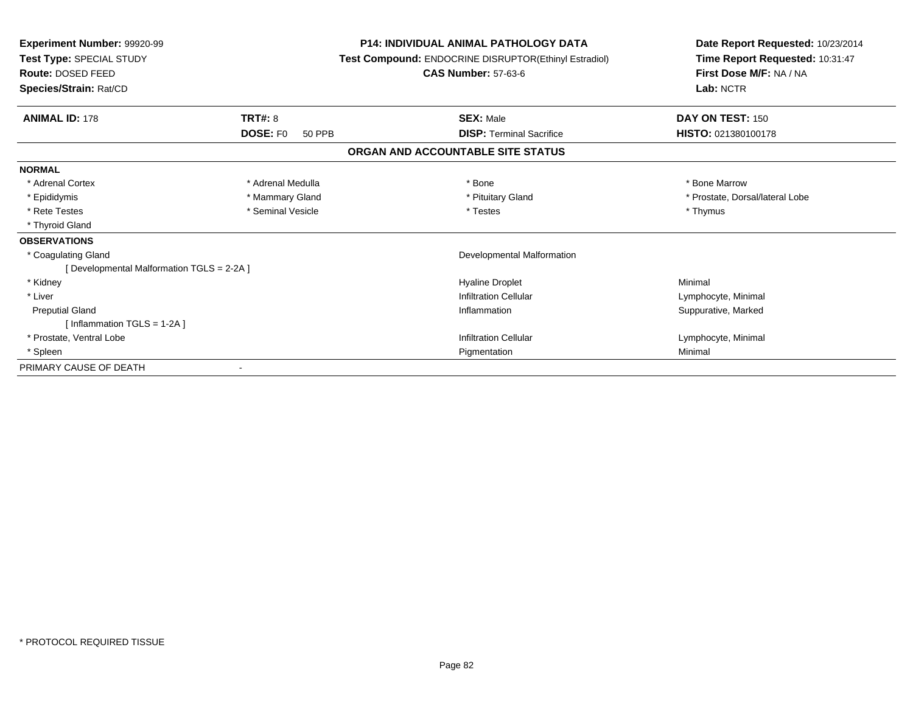| Experiment Number: 99920-99<br>Test Type: SPECIAL STUDY<br>Route: DOSED FEED<br>Species/Strain: Rat/CD |                                  | <b>P14: INDIVIDUAL ANIMAL PATHOLOGY DATA</b><br>Test Compound: ENDOCRINE DISRUPTOR(Ethinyl Estradiol)<br><b>CAS Number: 57-63-6</b> | Date Report Requested: 10/23/2014<br>Time Report Requested: 10:31:47<br>First Dose M/F: NA / NA<br>Lab: NCTR |  |
|--------------------------------------------------------------------------------------------------------|----------------------------------|-------------------------------------------------------------------------------------------------------------------------------------|--------------------------------------------------------------------------------------------------------------|--|
| <b>ANIMAL ID: 178</b>                                                                                  | <b>TRT#: 8</b>                   | <b>SEX: Male</b>                                                                                                                    | DAY ON TEST: 150                                                                                             |  |
|                                                                                                        | <b>DOSE: FO</b><br><b>50 PPB</b> | <b>DISP: Terminal Sacrifice</b>                                                                                                     | HISTO: 021380100178                                                                                          |  |
|                                                                                                        |                                  | ORGAN AND ACCOUNTABLE SITE STATUS                                                                                                   |                                                                                                              |  |
| <b>NORMAL</b>                                                                                          |                                  |                                                                                                                                     |                                                                                                              |  |
| * Adrenal Cortex                                                                                       | * Adrenal Medulla                | * Bone                                                                                                                              | * Bone Marrow                                                                                                |  |
| * Epididymis                                                                                           | * Mammary Gland                  | * Pituitary Gland                                                                                                                   | * Prostate, Dorsal/lateral Lobe                                                                              |  |
| * Rete Testes                                                                                          | * Seminal Vesicle                | * Testes                                                                                                                            | * Thymus                                                                                                     |  |
| * Thyroid Gland                                                                                        |                                  |                                                                                                                                     |                                                                                                              |  |
| <b>OBSERVATIONS</b>                                                                                    |                                  |                                                                                                                                     |                                                                                                              |  |
| * Coagulating Gland                                                                                    |                                  | <b>Developmental Malformation</b>                                                                                                   |                                                                                                              |  |
| [ Developmental Malformation TGLS = 2-2A ]                                                             |                                  |                                                                                                                                     |                                                                                                              |  |
| * Kidney                                                                                               |                                  | <b>Hyaline Droplet</b>                                                                                                              | Minimal                                                                                                      |  |
| * Liver                                                                                                |                                  | <b>Infiltration Cellular</b>                                                                                                        | Lymphocyte, Minimal                                                                                          |  |
| <b>Preputial Gland</b>                                                                                 |                                  | Inflammation                                                                                                                        | Suppurative, Marked                                                                                          |  |
| [Inflammation TGLS = $1-2A$ ]                                                                          |                                  |                                                                                                                                     |                                                                                                              |  |
| * Prostate, Ventral Lobe                                                                               |                                  | <b>Infiltration Cellular</b>                                                                                                        | Lymphocyte, Minimal                                                                                          |  |
| * Spleen                                                                                               |                                  | Pigmentation                                                                                                                        | Minimal                                                                                                      |  |
| PRIMARY CAUSE OF DEATH                                                                                 |                                  |                                                                                                                                     |                                                                                                              |  |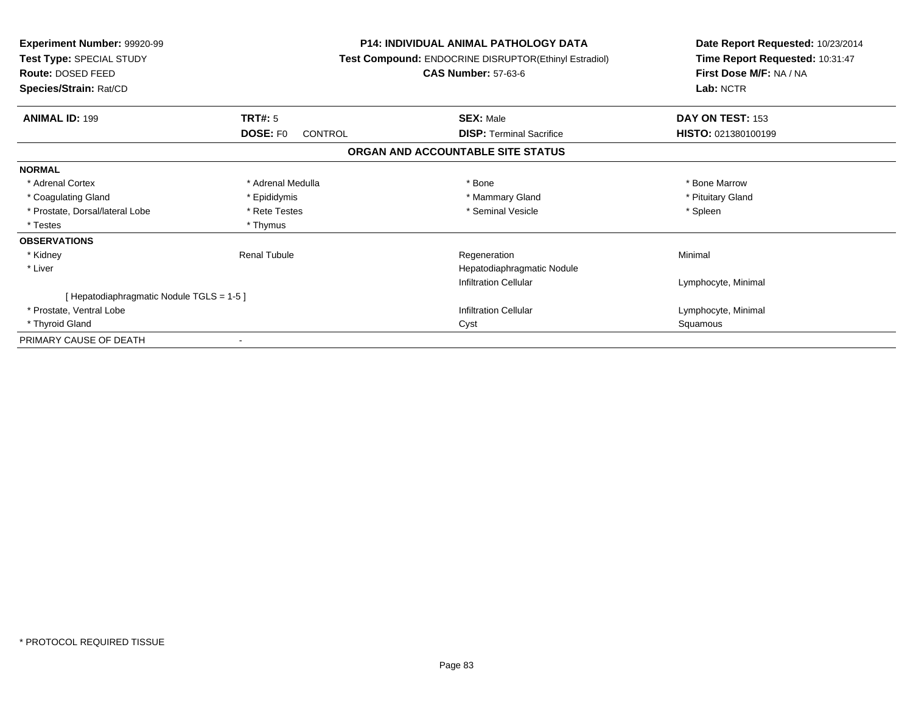| <b>Experiment Number: 99920-99</b><br>Test Type: SPECIAL STUDY<br>Route: DOSED FEED<br>Species/Strain: Rat/CD |                            | <b>P14: INDIVIDUAL ANIMAL PATHOLOGY DATA</b><br>Test Compound: ENDOCRINE DISRUPTOR(Ethinyl Estradiol)<br><b>CAS Number: 57-63-6</b> | Date Report Requested: 10/23/2014<br>Time Report Requested: 10:31:47<br>First Dose M/F: NA / NA<br>Lab: NCTR |
|---------------------------------------------------------------------------------------------------------------|----------------------------|-------------------------------------------------------------------------------------------------------------------------------------|--------------------------------------------------------------------------------------------------------------|
| <b>ANIMAL ID: 199</b>                                                                                         | <b>TRT#:</b> 5             | <b>SEX: Male</b>                                                                                                                    | DAY ON TEST: 153                                                                                             |
|                                                                                                               | <b>DOSE: FO</b><br>CONTROL | <b>DISP:</b> Terminal Sacrifice                                                                                                     | HISTO: 021380100199                                                                                          |
|                                                                                                               |                            | ORGAN AND ACCOUNTABLE SITE STATUS                                                                                                   |                                                                                                              |
| <b>NORMAL</b>                                                                                                 |                            |                                                                                                                                     |                                                                                                              |
| * Adrenal Cortex                                                                                              | * Adrenal Medulla          | * Bone                                                                                                                              | * Bone Marrow                                                                                                |
| * Coagulating Gland                                                                                           | * Epididymis               | * Mammary Gland                                                                                                                     | * Pituitary Gland                                                                                            |
| * Prostate, Dorsal/lateral Lobe                                                                               | * Rete Testes              | * Seminal Vesicle                                                                                                                   | * Spleen                                                                                                     |
| * Testes                                                                                                      | * Thymus                   |                                                                                                                                     |                                                                                                              |
| <b>OBSERVATIONS</b>                                                                                           |                            |                                                                                                                                     |                                                                                                              |
| * Kidney                                                                                                      | <b>Renal Tubule</b>        | Regeneration                                                                                                                        | Minimal                                                                                                      |
| * Liver                                                                                                       |                            | Hepatodiaphragmatic Nodule                                                                                                          |                                                                                                              |
|                                                                                                               |                            | <b>Infiltration Cellular</b>                                                                                                        | Lymphocyte, Minimal                                                                                          |
| [ Hepatodiaphragmatic Nodule TGLS = 1-5 ]                                                                     |                            |                                                                                                                                     |                                                                                                              |
| * Prostate, Ventral Lobe                                                                                      |                            | <b>Infiltration Cellular</b>                                                                                                        | Lymphocyte, Minimal                                                                                          |
| * Thyroid Gland                                                                                               |                            | Cyst                                                                                                                                | Squamous                                                                                                     |
| PRIMARY CAUSE OF DEATH                                                                                        |                            |                                                                                                                                     |                                                                                                              |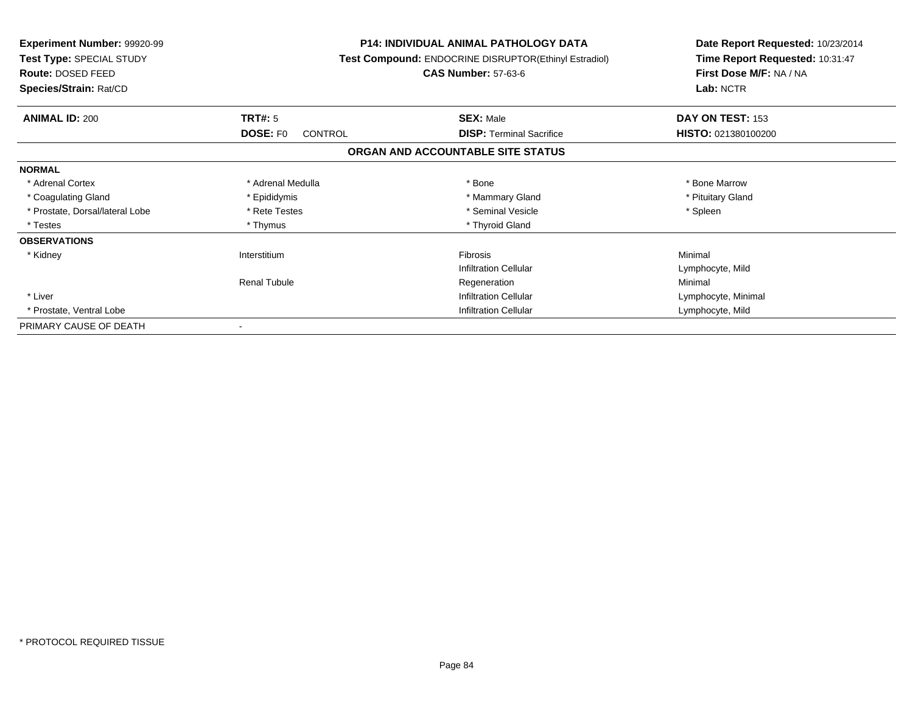| <b>Experiment Number: 99920-99</b><br>Test Type: SPECIAL STUDY<br><b>Route: DOSED FEED</b> | <b>P14: INDIVIDUAL ANIMAL PATHOLOGY DATA</b><br>Test Compound: ENDOCRINE DISRUPTOR(Ethinyl Estradiol)<br><b>CAS Number: 57-63-6</b> |                                   | Date Report Requested: 10/23/2014<br>Time Report Requested: 10:31:47<br>First Dose M/F: NA / NA |
|--------------------------------------------------------------------------------------------|-------------------------------------------------------------------------------------------------------------------------------------|-----------------------------------|-------------------------------------------------------------------------------------------------|
| Species/Strain: Rat/CD                                                                     |                                                                                                                                     |                                   | Lab: NCTR                                                                                       |
| <b>ANIMAL ID: 200</b>                                                                      | <b>TRT#: 5</b>                                                                                                                      | <b>SEX: Male</b>                  | DAY ON TEST: 153                                                                                |
|                                                                                            | <b>DOSE: FO</b><br><b>CONTROL</b>                                                                                                   | <b>DISP: Terminal Sacrifice</b>   | HISTO: 021380100200                                                                             |
|                                                                                            |                                                                                                                                     | ORGAN AND ACCOUNTABLE SITE STATUS |                                                                                                 |
| <b>NORMAL</b>                                                                              |                                                                                                                                     |                                   |                                                                                                 |
| * Adrenal Cortex                                                                           | * Adrenal Medulla                                                                                                                   | * Bone                            | * Bone Marrow                                                                                   |
| * Coagulating Gland                                                                        | * Epididymis                                                                                                                        | * Mammary Gland                   | * Pituitary Gland                                                                               |
| * Prostate, Dorsal/lateral Lobe                                                            | * Rete Testes                                                                                                                       | * Seminal Vesicle                 | * Spleen                                                                                        |
| * Testes                                                                                   | * Thymus                                                                                                                            | * Thyroid Gland                   |                                                                                                 |
| <b>OBSERVATIONS</b>                                                                        |                                                                                                                                     |                                   |                                                                                                 |
| * Kidney                                                                                   | Interstitium                                                                                                                        | Fibrosis                          | Minimal                                                                                         |
|                                                                                            |                                                                                                                                     | <b>Infiltration Cellular</b>      | Lymphocyte, Mild                                                                                |
|                                                                                            | <b>Renal Tubule</b>                                                                                                                 | Regeneration                      | Minimal                                                                                         |
| * Liver                                                                                    |                                                                                                                                     | <b>Infiltration Cellular</b>      | Lymphocyte, Minimal                                                                             |
| * Prostate, Ventral Lobe                                                                   |                                                                                                                                     | <b>Infiltration Cellular</b>      | Lymphocyte, Mild                                                                                |
| PRIMARY CAUSE OF DEATH                                                                     |                                                                                                                                     |                                   |                                                                                                 |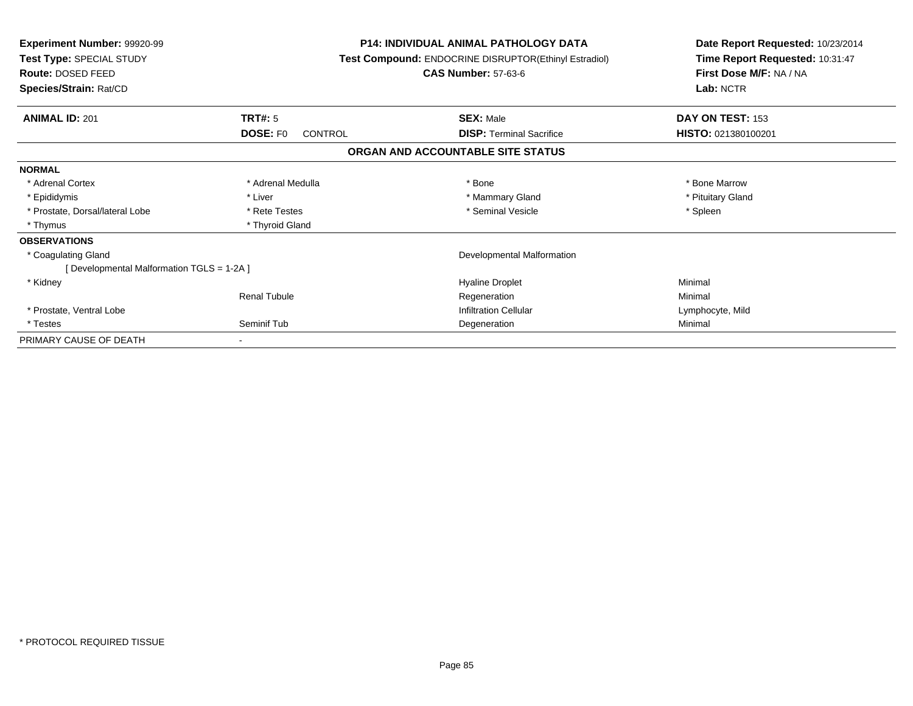| <b>Experiment Number: 99920-99</b><br>Test Type: SPECIAL STUDY<br>Route: DOSED FEED<br>Species/Strain: Rat/CD |                                   | <b>P14: INDIVIDUAL ANIMAL PATHOLOGY DATA</b><br>Test Compound: ENDOCRINE DISRUPTOR(Ethinyl Estradiol)<br><b>CAS Number: 57-63-6</b> | Date Report Requested: 10/23/2014<br>Time Report Requested: 10:31:47<br>First Dose M/F: NA / NA<br>Lab: NCTR |
|---------------------------------------------------------------------------------------------------------------|-----------------------------------|-------------------------------------------------------------------------------------------------------------------------------------|--------------------------------------------------------------------------------------------------------------|
| <b>ANIMAL ID: 201</b>                                                                                         | <b>TRT#: 5</b>                    | <b>SEX: Male</b>                                                                                                                    | DAY ON TEST: 153                                                                                             |
|                                                                                                               | <b>DOSE: FO</b><br><b>CONTROL</b> | <b>DISP:</b> Terminal Sacrifice                                                                                                     | HISTO: 021380100201                                                                                          |
|                                                                                                               |                                   | ORGAN AND ACCOUNTABLE SITE STATUS                                                                                                   |                                                                                                              |
| <b>NORMAL</b>                                                                                                 |                                   |                                                                                                                                     |                                                                                                              |
| * Adrenal Cortex                                                                                              | * Adrenal Medulla                 | * Bone                                                                                                                              | * Bone Marrow                                                                                                |
| * Epididymis                                                                                                  | * Liver                           | * Mammary Gland                                                                                                                     | * Pituitary Gland                                                                                            |
| * Prostate, Dorsal/lateral Lobe                                                                               | * Rete Testes                     | * Seminal Vesicle                                                                                                                   | * Spleen                                                                                                     |
| * Thymus                                                                                                      | * Thyroid Gland                   |                                                                                                                                     |                                                                                                              |
| <b>OBSERVATIONS</b>                                                                                           |                                   |                                                                                                                                     |                                                                                                              |
| * Coagulating Gland                                                                                           |                                   | Developmental Malformation                                                                                                          |                                                                                                              |
| [Developmental Malformation TGLS = 1-2A]                                                                      |                                   |                                                                                                                                     |                                                                                                              |
| * Kidney                                                                                                      |                                   | <b>Hyaline Droplet</b>                                                                                                              | Minimal                                                                                                      |
|                                                                                                               | <b>Renal Tubule</b>               | Regeneration                                                                                                                        | Minimal                                                                                                      |
| * Prostate, Ventral Lobe                                                                                      |                                   | <b>Infiltration Cellular</b>                                                                                                        | Lymphocyte, Mild                                                                                             |
| * Testes                                                                                                      | Seminif Tub                       | Degeneration                                                                                                                        | Minimal                                                                                                      |
| PRIMARY CAUSE OF DEATH                                                                                        |                                   |                                                                                                                                     |                                                                                                              |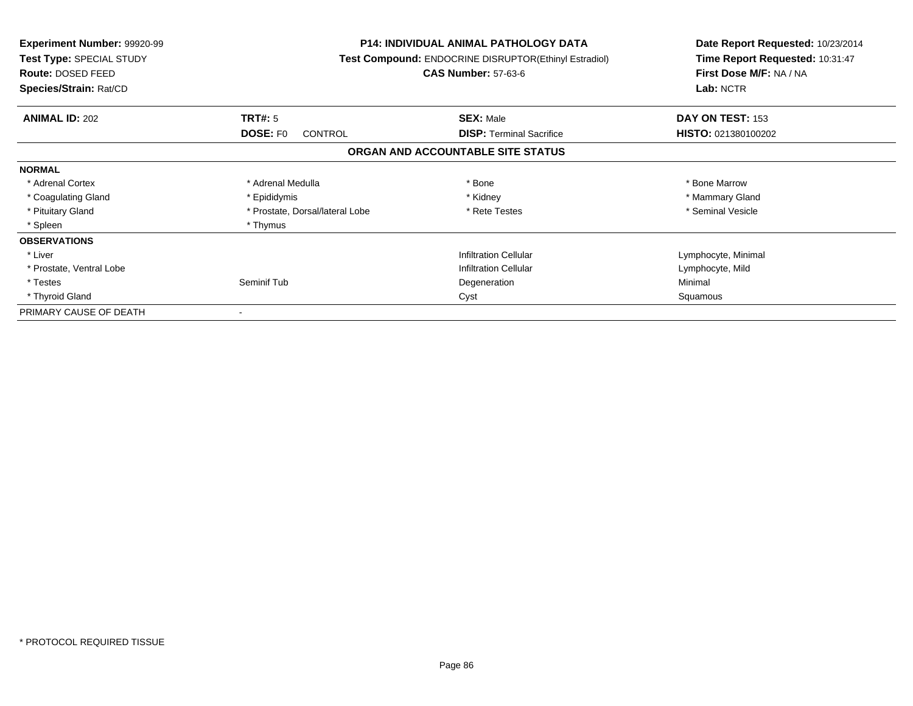| <b>Experiment Number: 99920-99</b><br>Test Type: SPECIAL STUDY<br>Route: DOSED FEED<br>Species/Strain: Rat/CD |                                   | <b>P14: INDIVIDUAL ANIMAL PATHOLOGY DATA</b><br><b>Test Compound: ENDOCRINE DISRUPTOR(Ethinyl Estradiol)</b><br><b>CAS Number: 57-63-6</b> |                     |
|---------------------------------------------------------------------------------------------------------------|-----------------------------------|--------------------------------------------------------------------------------------------------------------------------------------------|---------------------|
| <b>ANIMAL ID: 202</b>                                                                                         | TRT#: 5                           | <b>SEX: Male</b>                                                                                                                           | DAY ON TEST: 153    |
|                                                                                                               | <b>DOSE: FO</b><br><b>CONTROL</b> | <b>DISP:</b> Terminal Sacrifice                                                                                                            | HISTO: 021380100202 |
|                                                                                                               |                                   | ORGAN AND ACCOUNTABLE SITE STATUS                                                                                                          |                     |
| <b>NORMAL</b>                                                                                                 |                                   |                                                                                                                                            |                     |
| * Adrenal Cortex                                                                                              | * Adrenal Medulla                 | * Bone                                                                                                                                     | * Bone Marrow       |
| * Coagulating Gland                                                                                           | * Epididymis                      | * Kidney                                                                                                                                   | * Mammary Gland     |
| * Pituitary Gland                                                                                             | * Prostate, Dorsal/lateral Lobe   | * Rete Testes                                                                                                                              | * Seminal Vesicle   |
| * Spleen                                                                                                      | * Thymus                          |                                                                                                                                            |                     |
| <b>OBSERVATIONS</b>                                                                                           |                                   |                                                                                                                                            |                     |
| * Liver                                                                                                       |                                   | <b>Infiltration Cellular</b>                                                                                                               | Lymphocyte, Minimal |
| * Prostate, Ventral Lobe                                                                                      |                                   | <b>Infiltration Cellular</b>                                                                                                               | Lymphocyte, Mild    |
| * Testes                                                                                                      | Seminif Tub                       | Degeneration                                                                                                                               | Minimal             |
| * Thyroid Gland                                                                                               | Cyst                              |                                                                                                                                            | Squamous            |
| PRIMARY CAUSE OF DEATH                                                                                        |                                   |                                                                                                                                            |                     |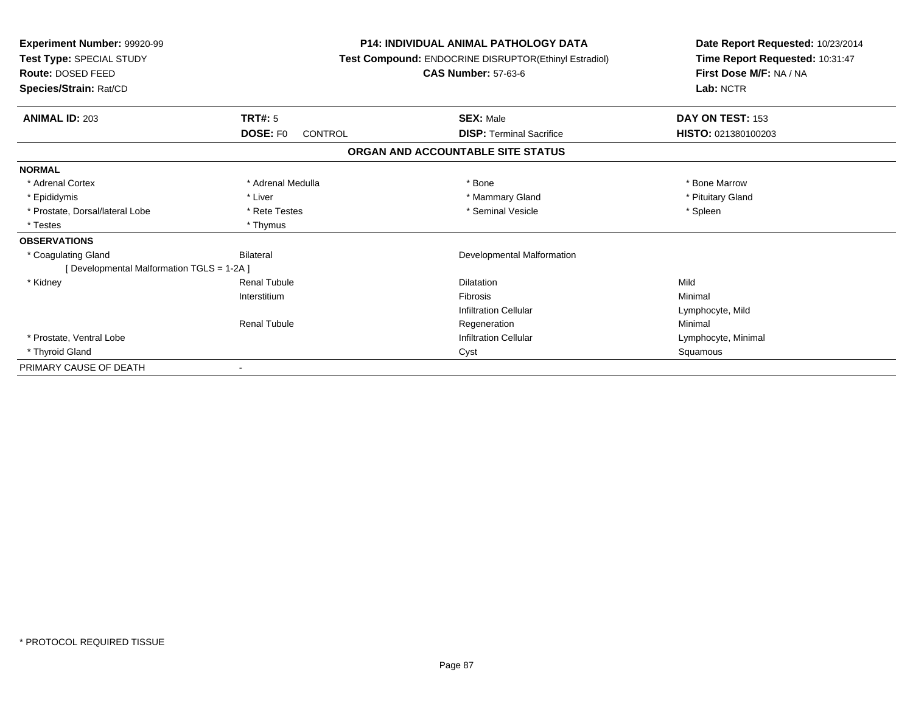| Experiment Number: 99920-99<br>Test Type: SPECIAL STUDY<br>Route: DOSED FEED<br>Species/Strain: Rat/CD |                                   | <b>P14: INDIVIDUAL ANIMAL PATHOLOGY DATA</b><br>Test Compound: ENDOCRINE DISRUPTOR(Ethinyl Estradiol)<br><b>CAS Number: 57-63-6</b> | Date Report Requested: 10/23/2014<br>Time Report Requested: 10:31:47<br>First Dose M/F: NA / NA<br>Lab: NCTR |  |
|--------------------------------------------------------------------------------------------------------|-----------------------------------|-------------------------------------------------------------------------------------------------------------------------------------|--------------------------------------------------------------------------------------------------------------|--|
|                                                                                                        |                                   |                                                                                                                                     |                                                                                                              |  |
| <b>ANIMAL ID: 203</b>                                                                                  | TRT#: 5                           | <b>SEX: Male</b>                                                                                                                    | DAY ON TEST: 153                                                                                             |  |
|                                                                                                        | <b>DOSE: FO</b><br><b>CONTROL</b> | <b>DISP: Terminal Sacrifice</b>                                                                                                     | HISTO: 021380100203                                                                                          |  |
|                                                                                                        |                                   | ORGAN AND ACCOUNTABLE SITE STATUS                                                                                                   |                                                                                                              |  |
| <b>NORMAL</b>                                                                                          |                                   |                                                                                                                                     |                                                                                                              |  |
| * Adrenal Cortex                                                                                       | * Adrenal Medulla                 | * Bone                                                                                                                              | * Bone Marrow                                                                                                |  |
| * Epididymis                                                                                           | * Liver                           | * Mammary Gland                                                                                                                     | * Pituitary Gland                                                                                            |  |
| * Prostate, Dorsal/lateral Lobe                                                                        | * Rete Testes                     | * Seminal Vesicle                                                                                                                   | * Spleen                                                                                                     |  |
| * Testes                                                                                               | * Thymus                          |                                                                                                                                     |                                                                                                              |  |
| <b>OBSERVATIONS</b>                                                                                    |                                   |                                                                                                                                     |                                                                                                              |  |
| * Coagulating Gland                                                                                    | <b>Bilateral</b>                  | Developmental Malformation                                                                                                          |                                                                                                              |  |
| [ Developmental Malformation TGLS = 1-2A ]                                                             |                                   |                                                                                                                                     |                                                                                                              |  |
| * Kidney                                                                                               | <b>Renal Tubule</b>               | <b>Dilatation</b>                                                                                                                   | Mild                                                                                                         |  |
|                                                                                                        | Interstitium                      | <b>Fibrosis</b>                                                                                                                     | Minimal                                                                                                      |  |
|                                                                                                        |                                   | <b>Infiltration Cellular</b>                                                                                                        | Lymphocyte, Mild                                                                                             |  |
|                                                                                                        | <b>Renal Tubule</b>               | Regeneration                                                                                                                        | Minimal                                                                                                      |  |
| * Prostate, Ventral Lobe                                                                               |                                   | <b>Infiltration Cellular</b>                                                                                                        | Lymphocyte, Minimal                                                                                          |  |
| * Thyroid Gland                                                                                        |                                   | Cyst                                                                                                                                | Squamous                                                                                                     |  |
| PRIMARY CAUSE OF DEATH                                                                                 |                                   |                                                                                                                                     |                                                                                                              |  |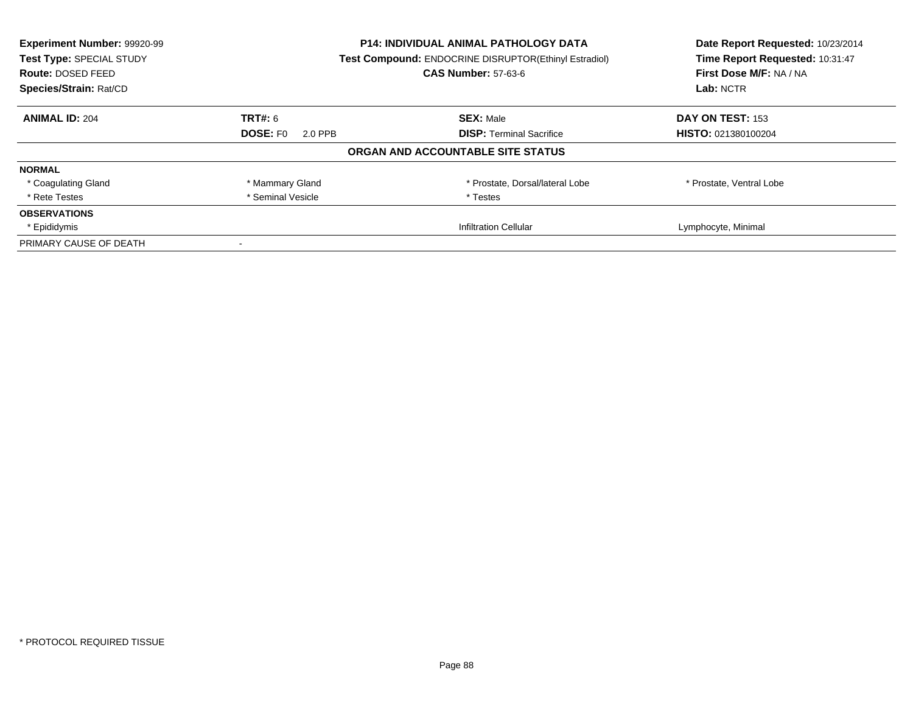| Experiment Number: 99920-99 | <b>P14: INDIVIDUAL ANIMAL PATHOLOGY DATA</b> |                                                       | Date Report Requested: 10/23/2014 |
|-----------------------------|----------------------------------------------|-------------------------------------------------------|-----------------------------------|
| Test Type: SPECIAL STUDY    |                                              | Test Compound: ENDOCRINE DISRUPTOR(Ethinyl Estradiol) | Time Report Requested: 10:31:47   |
| <b>Route: DOSED FEED</b>    |                                              | <b>CAS Number: 57-63-6</b>                            | First Dose M/F: NA / NA           |
| Species/Strain: Rat/CD      |                                              |                                                       | Lab: NCTR                         |
| <b>ANIMAL ID: 204</b>       | TRT#: 6                                      | <b>SEX: Male</b>                                      | DAY ON TEST: 153                  |
|                             | DOSE: F0<br>2.0 PPB                          | <b>DISP:</b> Terminal Sacrifice                       | HISTO: 021380100204               |
|                             |                                              | ORGAN AND ACCOUNTABLE SITE STATUS                     |                                   |
| <b>NORMAL</b>               |                                              |                                                       |                                   |
| * Coagulating Gland         | * Mammary Gland                              | * Prostate, Dorsal/lateral Lobe                       | * Prostate, Ventral Lobe          |
| * Rete Testes               | * Seminal Vesicle                            | * Testes                                              |                                   |
| <b>OBSERVATIONS</b>         |                                              |                                                       |                                   |
| * Epididymis                |                                              | <b>Infiltration Cellular</b>                          | Lymphocyte, Minimal               |
| PRIMARY CAUSE OF DEATH      |                                              |                                                       |                                   |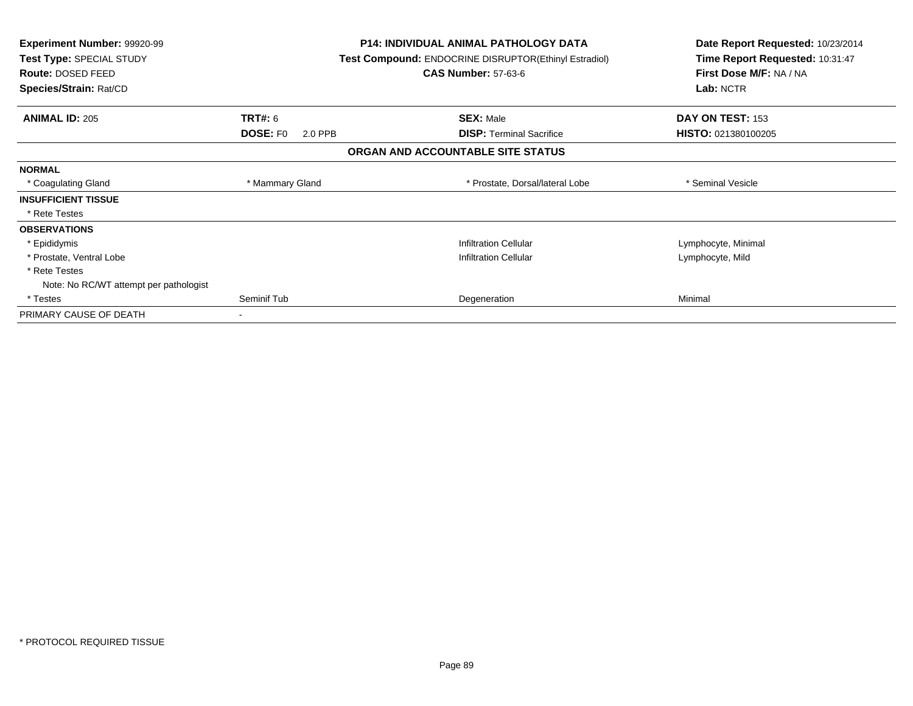| <b>Experiment Number: 99920-99</b><br>Test Type: SPECIAL STUDY<br><b>Route: DOSED FEED</b><br>Species/Strain: Rat/CD |                                 | <b>P14: INDIVIDUAL ANIMAL PATHOLOGY DATA</b><br><b>Test Compound: ENDOCRINE DISRUPTOR(Ethinyl Estradiol)</b><br><b>CAS Number: 57-63-6</b> |                                   | Date Report Requested: 10/23/2014<br>Time Report Requested: 10:31:47<br>First Dose M/F: NA / NA<br>Lab: NCTR |
|----------------------------------------------------------------------------------------------------------------------|---------------------------------|--------------------------------------------------------------------------------------------------------------------------------------------|-----------------------------------|--------------------------------------------------------------------------------------------------------------|
| <b>ANIMAL ID: 205</b>                                                                                                | <b>TRT#: 6</b>                  |                                                                                                                                            | <b>SEX: Male</b>                  | DAY ON TEST: 153                                                                                             |
|                                                                                                                      | DOSE: F <sub>0</sub><br>2.0 PPB |                                                                                                                                            | <b>DISP:</b> Terminal Sacrifice   | HISTO: 021380100205                                                                                          |
|                                                                                                                      |                                 |                                                                                                                                            | ORGAN AND ACCOUNTABLE SITE STATUS |                                                                                                              |
| <b>NORMAL</b>                                                                                                        |                                 |                                                                                                                                            |                                   |                                                                                                              |
| * Coagulating Gland                                                                                                  | * Mammary Gland                 |                                                                                                                                            | * Prostate, Dorsal/lateral Lobe   | * Seminal Vesicle                                                                                            |
| <b>INSUFFICIENT TISSUE</b>                                                                                           |                                 |                                                                                                                                            |                                   |                                                                                                              |
| * Rete Testes                                                                                                        |                                 |                                                                                                                                            |                                   |                                                                                                              |
| <b>OBSERVATIONS</b>                                                                                                  |                                 |                                                                                                                                            |                                   |                                                                                                              |
| * Epididymis                                                                                                         |                                 |                                                                                                                                            | <b>Infiltration Cellular</b>      | Lymphocyte, Minimal                                                                                          |
| * Prostate, Ventral Lobe                                                                                             |                                 |                                                                                                                                            | <b>Infiltration Cellular</b>      | Lymphocyte, Mild                                                                                             |
| * Rete Testes                                                                                                        |                                 |                                                                                                                                            |                                   |                                                                                                              |
| Note: No RC/WT attempt per pathologist                                                                               |                                 |                                                                                                                                            |                                   |                                                                                                              |
| * Testes                                                                                                             | Seminif Tub                     |                                                                                                                                            | Degeneration                      | Minimal                                                                                                      |
| PRIMARY CAUSE OF DEATH                                                                                               |                                 |                                                                                                                                            |                                   |                                                                                                              |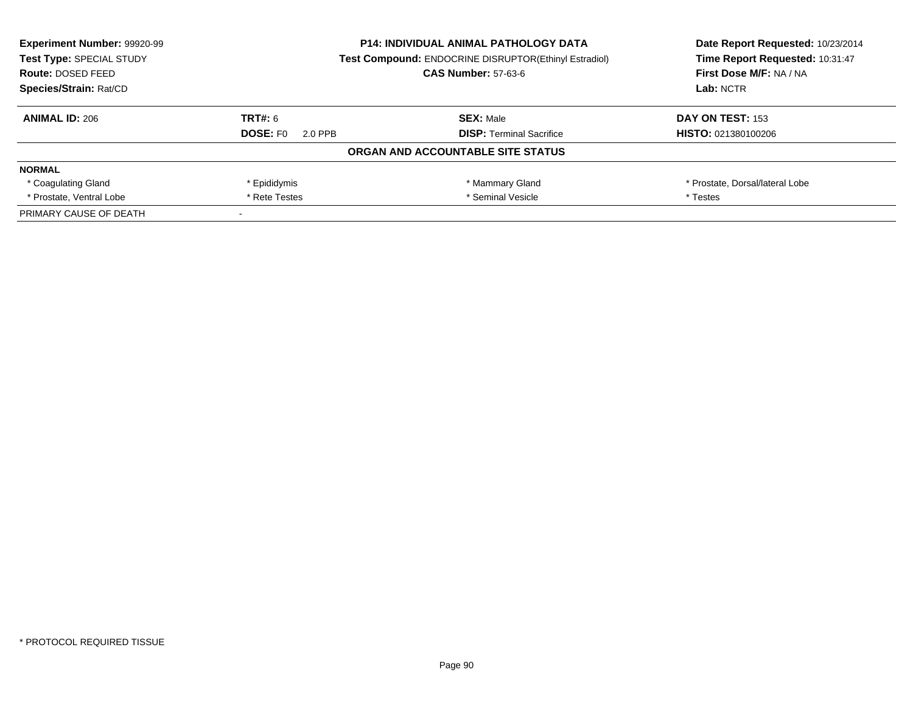| <b>Experiment Number: 99920-99</b><br>Test Type: SPECIAL STUDY | <b>P14: INDIVIDUAL ANIMAL PATHOLOGY DATA</b><br><b>Test Compound: ENDOCRINE DISRUPTOR(Ethinyl Estradiol)</b> |                                   | Date Report Requested: 10/23/2014<br>Time Report Requested: 10:31:47 |
|----------------------------------------------------------------|--------------------------------------------------------------------------------------------------------------|-----------------------------------|----------------------------------------------------------------------|
| <b>Route: DOSED FEED</b>                                       |                                                                                                              | <b>CAS Number: 57-63-6</b>        | First Dose M/F: NA / NA                                              |
| Species/Strain: Rat/CD                                         |                                                                                                              |                                   | Lab: NCTR                                                            |
| <b>ANIMAL ID: 206</b>                                          | TRT#: 6                                                                                                      | <b>SEX: Male</b>                  | DAY ON TEST: 153                                                     |
|                                                                | <b>DOSE: FO</b><br>2.0 PPB                                                                                   | <b>DISP:</b> Terminal Sacrifice   | <b>HISTO: 021380100206</b>                                           |
|                                                                |                                                                                                              | ORGAN AND ACCOUNTABLE SITE STATUS |                                                                      |
| <b>NORMAL</b>                                                  |                                                                                                              |                                   |                                                                      |
| * Coagulating Gland                                            | * Epididymis                                                                                                 | * Mammary Gland                   | * Prostate, Dorsal/lateral Lobe                                      |
| * Prostate, Ventral Lobe                                       | * Seminal Vesicle<br>* Rete Testes                                                                           |                                   | * Testes                                                             |
| PRIMARY CAUSE OF DEATH                                         |                                                                                                              |                                   |                                                                      |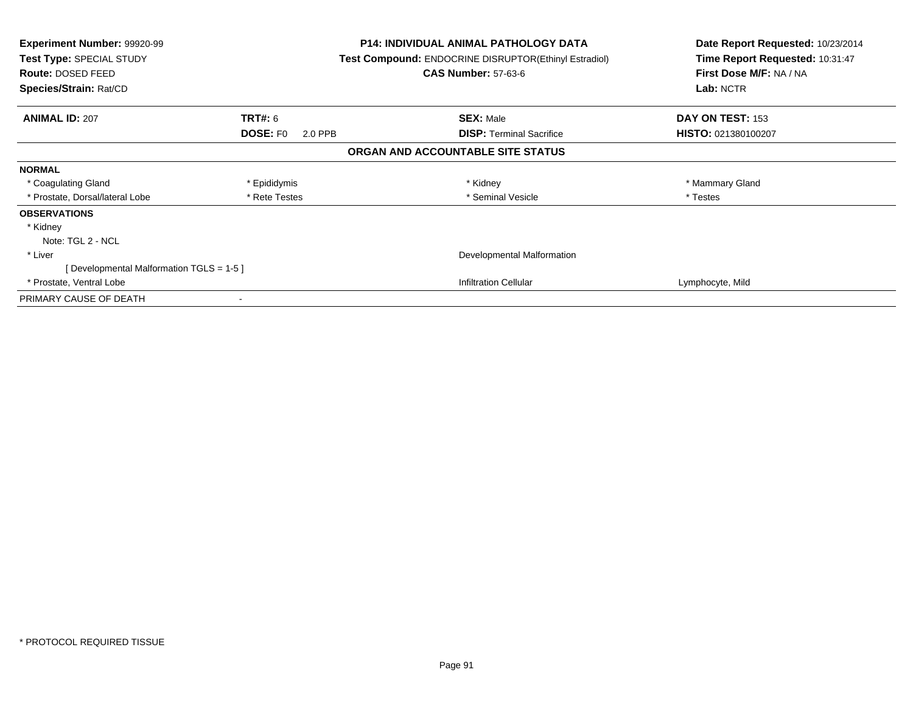| Experiment Number: 99920-99<br>Test Type: SPECIAL STUDY<br>Route: DOSED FEED<br>Species/Strain: Rat/CD |                            | <b>P14: INDIVIDUAL ANIMAL PATHOLOGY DATA</b><br><b>Test Compound: ENDOCRINE DISRUPTOR(Ethinyl Estradiol)</b><br><b>CAS Number: 57-63-6</b> | Date Report Requested: 10/23/2014<br>Time Report Requested: 10:31:47<br>First Dose M/F: NA / NA<br>Lab: NCTR |
|--------------------------------------------------------------------------------------------------------|----------------------------|--------------------------------------------------------------------------------------------------------------------------------------------|--------------------------------------------------------------------------------------------------------------|
| <b>ANIMAL ID: 207</b>                                                                                  | <b>TRT#:</b> 6             | <b>SEX: Male</b>                                                                                                                           | DAY ON TEST: 153                                                                                             |
|                                                                                                        | <b>DOSE: FO</b><br>2.0 PPB | <b>DISP:</b> Terminal Sacrifice                                                                                                            | <b>HISTO: 021380100207</b>                                                                                   |
|                                                                                                        |                            | ORGAN AND ACCOUNTABLE SITE STATUS                                                                                                          |                                                                                                              |
| <b>NORMAL</b>                                                                                          |                            |                                                                                                                                            |                                                                                                              |
| * Coagulating Gland                                                                                    | * Epididymis               | * Kidney                                                                                                                                   | * Mammary Gland                                                                                              |
| * Prostate, Dorsal/lateral Lobe                                                                        | * Rete Testes              | * Seminal Vesicle                                                                                                                          | * Testes                                                                                                     |
| <b>OBSERVATIONS</b>                                                                                    |                            |                                                                                                                                            |                                                                                                              |
| * Kidney                                                                                               |                            |                                                                                                                                            |                                                                                                              |
| Note: TGL 2 - NCL                                                                                      |                            |                                                                                                                                            |                                                                                                              |
| * Liver                                                                                                | Developmental Malformation |                                                                                                                                            |                                                                                                              |
| [Developmental Malformation TGLS = 1-5 ]                                                               |                            |                                                                                                                                            |                                                                                                              |
| * Prostate, Ventral Lobe                                                                               |                            | <b>Infiltration Cellular</b>                                                                                                               | Lymphocyte, Mild                                                                                             |
| PRIMARY CAUSE OF DEATH                                                                                 |                            |                                                                                                                                            |                                                                                                              |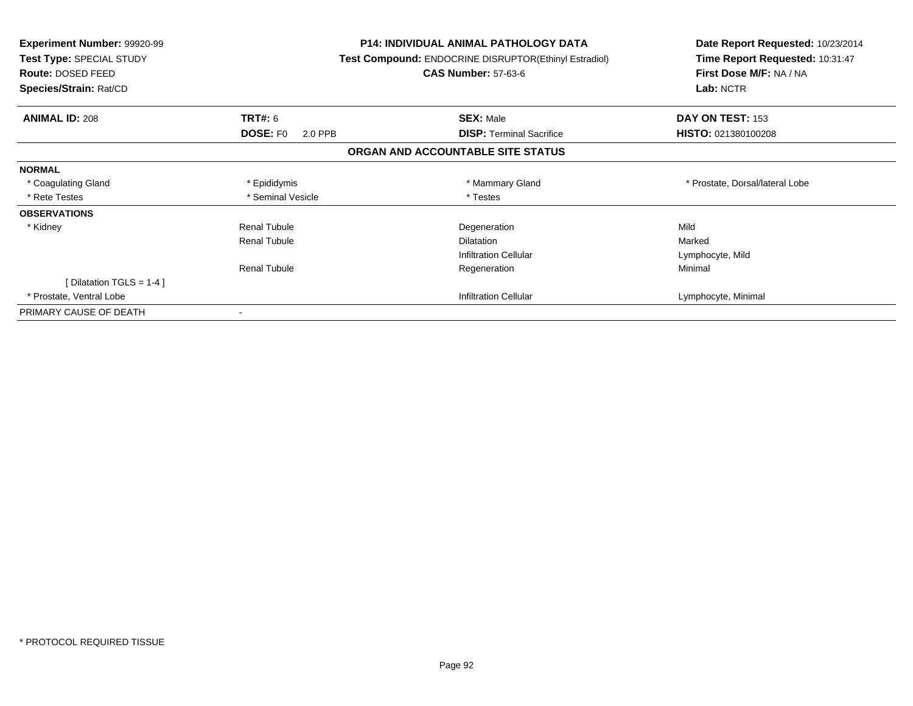| <b>Experiment Number: 99920-99</b><br>Test Type: SPECIAL STUDY<br><b>Route: DOSED FEED</b><br>Species/Strain: Rat/CD |                            | <b>P14: INDIVIDUAL ANIMAL PATHOLOGY DATA</b><br><b>Test Compound: ENDOCRINE DISRUPTOR(Ethinyl Estradiol)</b><br><b>CAS Number: 57-63-6</b> | Date Report Requested: 10/23/2014<br>Time Report Requested: 10:31:47<br>First Dose M/F: NA / NA<br>Lab: NCTR |
|----------------------------------------------------------------------------------------------------------------------|----------------------------|--------------------------------------------------------------------------------------------------------------------------------------------|--------------------------------------------------------------------------------------------------------------|
| <b>ANIMAL ID: 208</b>                                                                                                | TRT#: 6                    | <b>SEX: Male</b>                                                                                                                           | DAY ON TEST: 153                                                                                             |
|                                                                                                                      | <b>DOSE: FO</b><br>2.0 PPB | <b>DISP:</b> Terminal Sacrifice                                                                                                            | HISTO: 021380100208                                                                                          |
|                                                                                                                      |                            | ORGAN AND ACCOUNTABLE SITE STATUS                                                                                                          |                                                                                                              |
| <b>NORMAL</b>                                                                                                        |                            |                                                                                                                                            |                                                                                                              |
| * Coagulating Gland                                                                                                  | * Epididymis               | * Mammary Gland                                                                                                                            | * Prostate, Dorsal/lateral Lobe                                                                              |
| * Rete Testes                                                                                                        | * Seminal Vesicle          | * Testes                                                                                                                                   |                                                                                                              |
| <b>OBSERVATIONS</b>                                                                                                  |                            |                                                                                                                                            |                                                                                                              |
| * Kidney                                                                                                             | Renal Tubule               | Degeneration                                                                                                                               | Mild                                                                                                         |
|                                                                                                                      | <b>Renal Tubule</b>        | <b>Dilatation</b>                                                                                                                          | Marked                                                                                                       |
|                                                                                                                      |                            | <b>Infiltration Cellular</b>                                                                                                               | Lymphocyte, Mild                                                                                             |
|                                                                                                                      | <b>Renal Tubule</b>        | Regeneration                                                                                                                               | Minimal                                                                                                      |
| [Dilatation TGLS = 1-4 ]                                                                                             |                            |                                                                                                                                            |                                                                                                              |
| * Prostate, Ventral Lobe                                                                                             |                            | <b>Infiltration Cellular</b>                                                                                                               | Lymphocyte, Minimal                                                                                          |
| PRIMARY CAUSE OF DEATH                                                                                               |                            |                                                                                                                                            |                                                                                                              |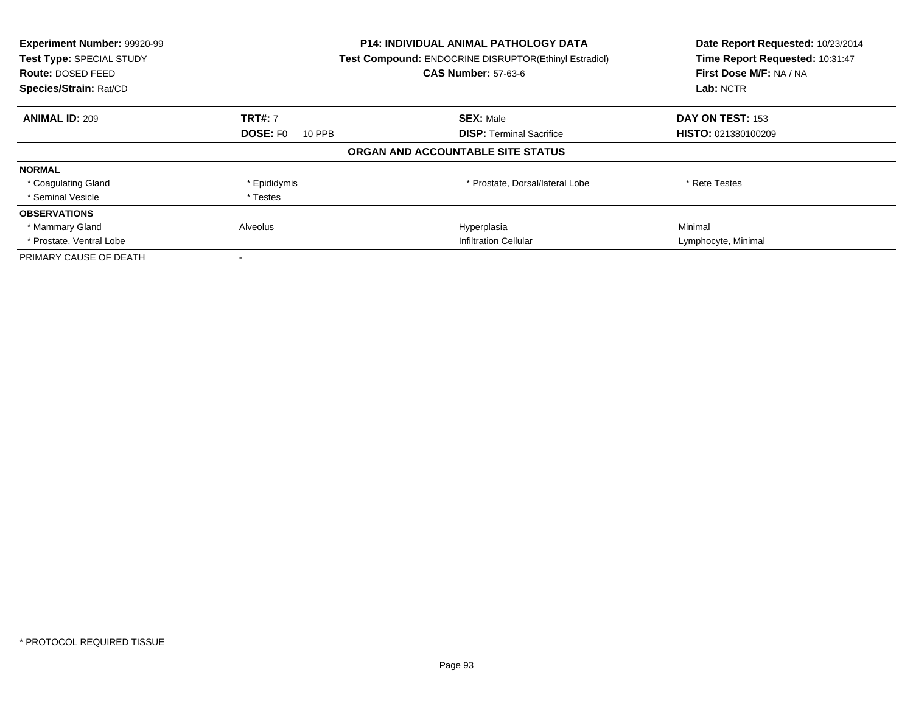| Experiment Number: 99920-99<br>Test Type: SPECIAL STUDY<br><b>Route: DOSED FEED</b><br>Species/Strain: Rat/CD |                           | <b>P14: INDIVIDUAL ANIMAL PATHOLOGY DATA</b><br><b>Test Compound: ENDOCRINE DISRUPTOR(Ethinyl Estradiol)</b><br><b>CAS Number: 57-63-6</b> | Date Report Requested: 10/23/2014<br>Time Report Requested: 10:31:47<br>First Dose M/F: NA / NA<br>Lab: NCTR |
|---------------------------------------------------------------------------------------------------------------|---------------------------|--------------------------------------------------------------------------------------------------------------------------------------------|--------------------------------------------------------------------------------------------------------------|
| <b>ANIMAL ID: 209</b>                                                                                         | <b>TRT#: 7</b>            | <b>SEX: Male</b>                                                                                                                           | DAY ON TEST: 153                                                                                             |
|                                                                                                               | <b>DOSE: FO</b><br>10 PPB | <b>DISP:</b> Terminal Sacrifice                                                                                                            | HISTO: 021380100209                                                                                          |
|                                                                                                               |                           | ORGAN AND ACCOUNTABLE SITE STATUS                                                                                                          |                                                                                                              |
| <b>NORMAL</b>                                                                                                 |                           |                                                                                                                                            |                                                                                                              |
| * Coagulating Gland                                                                                           | * Epididymis              | * Prostate, Dorsal/lateral Lobe                                                                                                            | * Rete Testes                                                                                                |
| * Seminal Vesicle                                                                                             | * Testes                  |                                                                                                                                            |                                                                                                              |
| <b>OBSERVATIONS</b>                                                                                           |                           |                                                                                                                                            |                                                                                                              |
| * Mammary Gland                                                                                               | Alveolus                  | Hyperplasia                                                                                                                                | Minimal                                                                                                      |
| * Prostate, Ventral Lobe                                                                                      |                           | <b>Infiltration Cellular</b>                                                                                                               | Lymphocyte, Minimal                                                                                          |
| PRIMARY CAUSE OF DEATH                                                                                        |                           |                                                                                                                                            |                                                                                                              |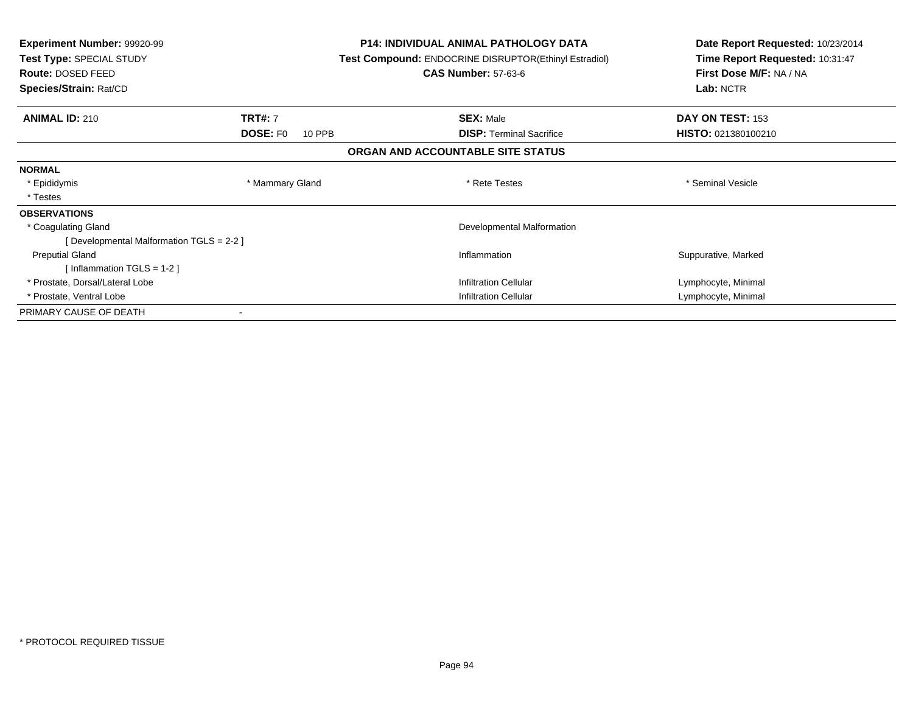| <b>Experiment Number: 99920-99</b><br>Test Type: SPECIAL STUDY<br>Route: DOSED FEED<br>Species/Strain: Rat/CD |                           | <b>P14: INDIVIDUAL ANIMAL PATHOLOGY DATA</b><br><b>Test Compound: ENDOCRINE DISRUPTOR(Ethinyl Estradiol)</b><br><b>CAS Number: 57-63-6</b> | Date Report Requested: 10/23/2014<br>Time Report Requested: 10:31:47<br>First Dose M/F: NA / NA<br>Lab: NCTR |
|---------------------------------------------------------------------------------------------------------------|---------------------------|--------------------------------------------------------------------------------------------------------------------------------------------|--------------------------------------------------------------------------------------------------------------|
|                                                                                                               |                           |                                                                                                                                            |                                                                                                              |
| <b>ANIMAL ID: 210</b>                                                                                         | <b>TRT#: 7</b>            | <b>SEX: Male</b>                                                                                                                           | DAY ON TEST: 153                                                                                             |
|                                                                                                               | <b>DOSE: FO</b><br>10 PPB | <b>DISP: Terminal Sacrifice</b>                                                                                                            | HISTO: 021380100210                                                                                          |
|                                                                                                               |                           | ORGAN AND ACCOUNTABLE SITE STATUS                                                                                                          |                                                                                                              |
| <b>NORMAL</b>                                                                                                 |                           |                                                                                                                                            |                                                                                                              |
| * Epididymis                                                                                                  | * Mammary Gland           | * Rete Testes                                                                                                                              | * Seminal Vesicle                                                                                            |
| * Testes                                                                                                      |                           |                                                                                                                                            |                                                                                                              |
| <b>OBSERVATIONS</b>                                                                                           |                           |                                                                                                                                            |                                                                                                              |
| * Coagulating Gland                                                                                           |                           | Developmental Malformation                                                                                                                 |                                                                                                              |
| [ Developmental Malformation TGLS = 2-2 ]                                                                     |                           |                                                                                                                                            |                                                                                                              |
| <b>Preputial Gland</b>                                                                                        |                           | Inflammation                                                                                                                               | Suppurative, Marked                                                                                          |
| [Inflammation TGLS = $1-2$ ]                                                                                  |                           |                                                                                                                                            |                                                                                                              |
| * Prostate, Dorsal/Lateral Lobe                                                                               |                           | <b>Infiltration Cellular</b>                                                                                                               | Lymphocyte, Minimal                                                                                          |
| * Prostate, Ventral Lobe                                                                                      |                           | <b>Infiltration Cellular</b>                                                                                                               | Lymphocyte, Minimal                                                                                          |
| PRIMARY CAUSE OF DEATH                                                                                        |                           |                                                                                                                                            |                                                                                                              |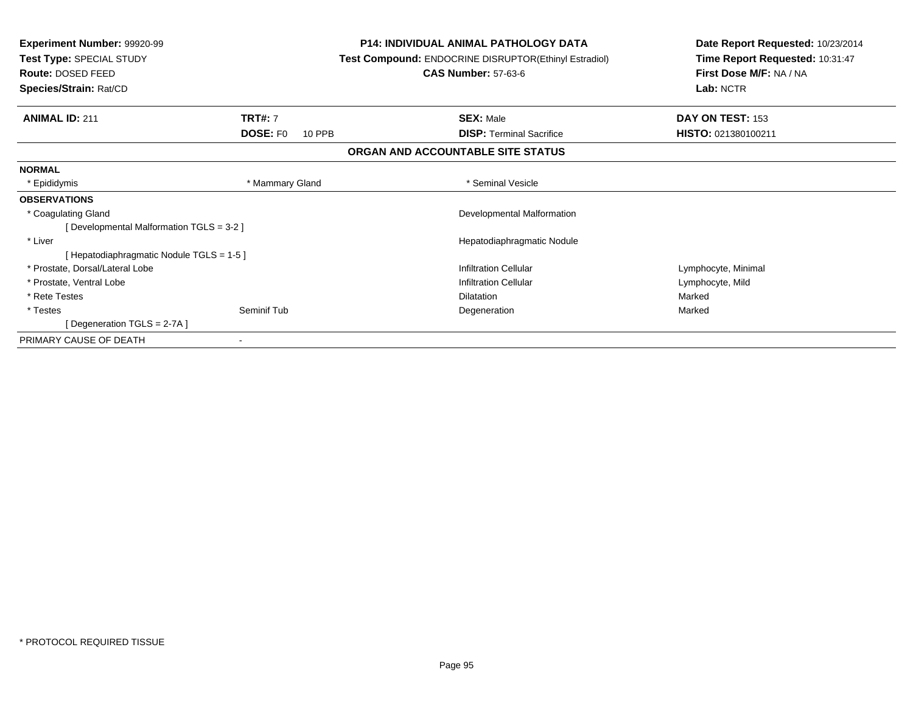| <b>Experiment Number: 99920-99</b><br>Test Type: SPECIAL STUDY<br><b>Route: DOSED FEED</b> |                           | <b>P14: INDIVIDUAL ANIMAL PATHOLOGY DATA</b><br><b>Test Compound: ENDOCRINE DISRUPTOR(Ethinyl Estradiol)</b><br><b>CAS Number: 57-63-6</b> | Date Report Requested: 10/23/2014<br>Time Report Requested: 10:31:47<br>First Dose M/F: NA / NA |
|--------------------------------------------------------------------------------------------|---------------------------|--------------------------------------------------------------------------------------------------------------------------------------------|-------------------------------------------------------------------------------------------------|
| Species/Strain: Rat/CD                                                                     |                           |                                                                                                                                            | Lab: NCTR                                                                                       |
| <b>ANIMAL ID: 211</b>                                                                      | <b>TRT#: 7</b>            | <b>SEX: Male</b>                                                                                                                           | DAY ON TEST: 153                                                                                |
|                                                                                            | <b>DOSE: FO</b><br>10 PPB | <b>DISP: Terminal Sacrifice</b>                                                                                                            | HISTO: 021380100211                                                                             |
|                                                                                            |                           | ORGAN AND ACCOUNTABLE SITE STATUS                                                                                                          |                                                                                                 |
| <b>NORMAL</b>                                                                              |                           |                                                                                                                                            |                                                                                                 |
| * Epididymis                                                                               | * Mammary Gland           | * Seminal Vesicle                                                                                                                          |                                                                                                 |
| <b>OBSERVATIONS</b>                                                                        |                           |                                                                                                                                            |                                                                                                 |
| * Coagulating Gland                                                                        |                           | Developmental Malformation                                                                                                                 |                                                                                                 |
| [ Developmental Malformation TGLS = 3-2 ]                                                  |                           |                                                                                                                                            |                                                                                                 |
| * Liver                                                                                    |                           | Hepatodiaphragmatic Nodule                                                                                                                 |                                                                                                 |
| [ Hepatodiaphragmatic Nodule TGLS = 1-5 ]                                                  |                           |                                                                                                                                            |                                                                                                 |
| * Prostate, Dorsal/Lateral Lobe                                                            |                           | <b>Infiltration Cellular</b>                                                                                                               | Lymphocyte, Minimal                                                                             |
| * Prostate, Ventral Lobe                                                                   |                           | <b>Infiltration Cellular</b>                                                                                                               | Lymphocyte, Mild                                                                                |
| * Rete Testes                                                                              |                           | <b>Dilatation</b>                                                                                                                          | Marked                                                                                          |
| * Testes                                                                                   | Seminif Tub               | Degeneration                                                                                                                               | Marked                                                                                          |
| [Degeneration TGLS = 2-7A]                                                                 |                           |                                                                                                                                            |                                                                                                 |
| PRIMARY CAUSE OF DEATH                                                                     |                           |                                                                                                                                            |                                                                                                 |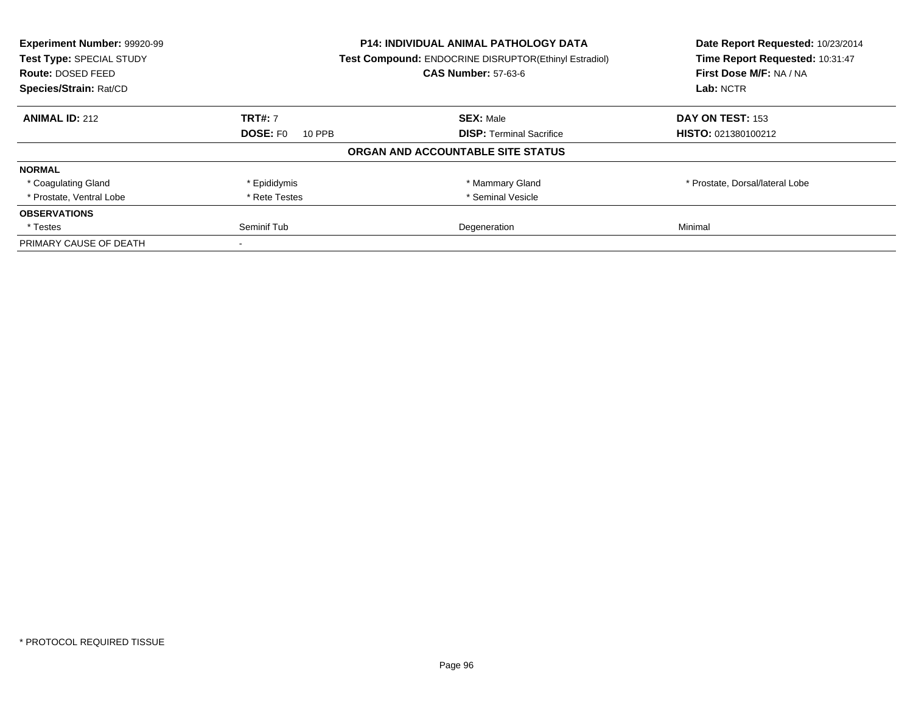| Experiment Number: 99920-99<br>Test Type: SPECIAL STUDY | <b>P14: INDIVIDUAL ANIMAL PATHOLOGY DATA</b><br>Test Compound: ENDOCRINE DISRUPTOR(Ethinyl Estradiol) |                                   | Date Report Requested: 10/23/2014<br>Time Report Requested: 10:31:47 |
|---------------------------------------------------------|-------------------------------------------------------------------------------------------------------|-----------------------------------|----------------------------------------------------------------------|
| Route: DOSED FEED                                       |                                                                                                       | <b>CAS Number: 57-63-6</b>        | First Dose M/F: NA / NA                                              |
| Species/Strain: Rat/CD                                  |                                                                                                       |                                   | Lab: NCTR                                                            |
| <b>ANIMAL ID: 212</b>                                   | <b>TRT#: 7</b>                                                                                        | <b>SEX: Male</b>                  | DAY ON TEST: 153                                                     |
|                                                         | <b>DOSE: FO</b><br>10 PPB                                                                             | <b>DISP:</b> Terminal Sacrifice   | HISTO: 021380100212                                                  |
|                                                         |                                                                                                       | ORGAN AND ACCOUNTABLE SITE STATUS |                                                                      |
| <b>NORMAL</b>                                           |                                                                                                       |                                   |                                                                      |
| * Coagulating Gland                                     | * Epididymis                                                                                          | * Mammary Gland                   | * Prostate, Dorsal/lateral Lobe                                      |
| * Prostate, Ventral Lobe                                | * Rete Testes                                                                                         | * Seminal Vesicle                 |                                                                      |
| <b>OBSERVATIONS</b>                                     |                                                                                                       |                                   |                                                                      |
| * Testes                                                | Seminif Tub                                                                                           | Degeneration                      | Minimal                                                              |
| PRIMARY CAUSE OF DEATH                                  |                                                                                                       |                                   |                                                                      |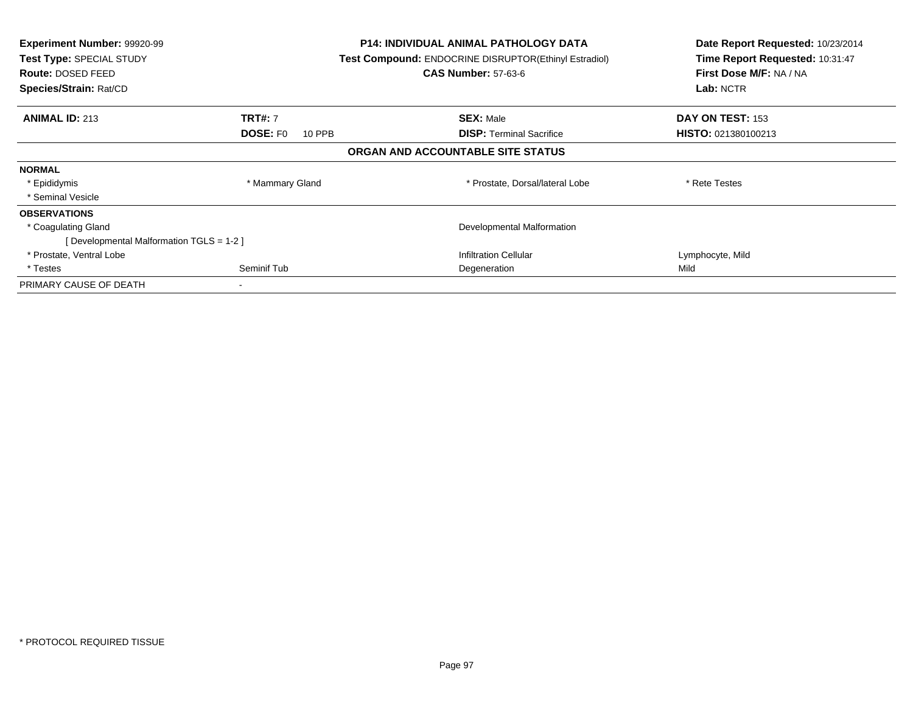| <b>Experiment Number: 99920-99</b><br>Test Type: SPECIAL STUDY<br><b>Route: DOSED FEED</b><br>Species/Strain: Rat/CD |                           | <b>P14: INDIVIDUAL ANIMAL PATHOLOGY DATA</b><br>Test Compound: ENDOCRINE DISRUPTOR(Ethinyl Estradiol)<br><b>CAS Number: 57-63-6</b> | Date Report Requested: 10/23/2014<br>Time Report Requested: 10:31:47<br>First Dose M/F: NA / NA<br>Lab: NCTR |
|----------------------------------------------------------------------------------------------------------------------|---------------------------|-------------------------------------------------------------------------------------------------------------------------------------|--------------------------------------------------------------------------------------------------------------|
| <b>ANIMAL ID: 213</b>                                                                                                | <b>TRT#: 7</b>            | <b>SEX: Male</b>                                                                                                                    | DAY ON TEST: 153                                                                                             |
|                                                                                                                      | <b>DOSE: FO</b><br>10 PPB | <b>DISP: Terminal Sacrifice</b>                                                                                                     | <b>HISTO: 021380100213</b>                                                                                   |
|                                                                                                                      |                           | ORGAN AND ACCOUNTABLE SITE STATUS                                                                                                   |                                                                                                              |
| <b>NORMAL</b>                                                                                                        |                           |                                                                                                                                     |                                                                                                              |
| * Epididymis                                                                                                         | * Mammary Gland           | * Prostate, Dorsal/lateral Lobe                                                                                                     | * Rete Testes                                                                                                |
| * Seminal Vesicle                                                                                                    |                           |                                                                                                                                     |                                                                                                              |
| <b>OBSERVATIONS</b>                                                                                                  |                           |                                                                                                                                     |                                                                                                              |
| * Coagulating Gland                                                                                                  |                           | Developmental Malformation                                                                                                          |                                                                                                              |
| [Developmental Malformation TGLS = 1-2 ]                                                                             |                           |                                                                                                                                     |                                                                                                              |
| * Prostate, Ventral Lobe                                                                                             |                           | <b>Infiltration Cellular</b>                                                                                                        | Lymphocyte, Mild                                                                                             |
| * Testes                                                                                                             | Seminif Tub               | Degeneration                                                                                                                        | Mild                                                                                                         |
| PRIMARY CAUSE OF DEATH                                                                                               |                           |                                                                                                                                     |                                                                                                              |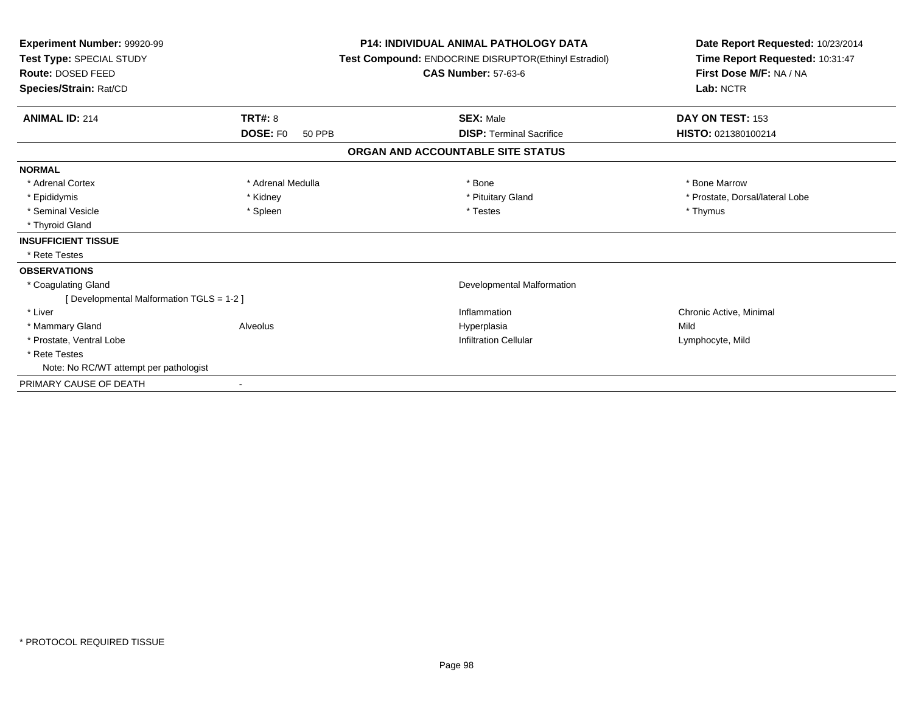| Experiment Number: 99920-99<br>Test Type: SPECIAL STUDY<br>Route: DOSED FEED<br>Species/Strain: Rat/CD |                           | <b>P14: INDIVIDUAL ANIMAL PATHOLOGY DATA</b><br>Test Compound: ENDOCRINE DISRUPTOR(Ethinyl Estradiol)<br><b>CAS Number: 57-63-6</b> | Date Report Requested: 10/23/2014<br>Time Report Requested: 10:31:47<br>First Dose M/F: NA / NA<br>Lab: NCTR |  |
|--------------------------------------------------------------------------------------------------------|---------------------------|-------------------------------------------------------------------------------------------------------------------------------------|--------------------------------------------------------------------------------------------------------------|--|
| <b>ANIMAL ID: 214</b>                                                                                  | TRT#: 8                   | <b>SEX: Male</b>                                                                                                                    | DAY ON TEST: 153                                                                                             |  |
|                                                                                                        | <b>DOSE: FO</b><br>50 PPB | <b>DISP: Terminal Sacrifice</b>                                                                                                     | HISTO: 021380100214                                                                                          |  |
|                                                                                                        |                           | ORGAN AND ACCOUNTABLE SITE STATUS                                                                                                   |                                                                                                              |  |
| <b>NORMAL</b>                                                                                          |                           |                                                                                                                                     |                                                                                                              |  |
| * Adrenal Cortex                                                                                       | * Adrenal Medulla         | * Bone                                                                                                                              | * Bone Marrow                                                                                                |  |
| * Epididymis                                                                                           | * Kidney                  | * Pituitary Gland                                                                                                                   | * Prostate, Dorsal/lateral Lobe                                                                              |  |
| * Seminal Vesicle                                                                                      | * Spleen                  | * Testes                                                                                                                            | * Thymus                                                                                                     |  |
| * Thyroid Gland                                                                                        |                           |                                                                                                                                     |                                                                                                              |  |
| <b>INSUFFICIENT TISSUE</b>                                                                             |                           |                                                                                                                                     |                                                                                                              |  |
| * Rete Testes                                                                                          |                           |                                                                                                                                     |                                                                                                              |  |
| <b>OBSERVATIONS</b>                                                                                    |                           |                                                                                                                                     |                                                                                                              |  |
| * Coagulating Gland                                                                                    |                           | <b>Developmental Malformation</b>                                                                                                   |                                                                                                              |  |
| [ Developmental Malformation TGLS = 1-2 ]                                                              |                           |                                                                                                                                     |                                                                                                              |  |
| * Liver                                                                                                |                           | Inflammation                                                                                                                        | Chronic Active, Minimal                                                                                      |  |
| * Mammary Gland                                                                                        | Alveolus                  | Hyperplasia                                                                                                                         | Mild                                                                                                         |  |
| * Prostate, Ventral Lobe                                                                               |                           | <b>Infiltration Cellular</b>                                                                                                        | Lymphocyte, Mild                                                                                             |  |
| * Rete Testes                                                                                          |                           |                                                                                                                                     |                                                                                                              |  |
| Note: No RC/WT attempt per pathologist                                                                 |                           |                                                                                                                                     |                                                                                                              |  |
| PRIMARY CAUSE OF DEATH                                                                                 |                           |                                                                                                                                     |                                                                                                              |  |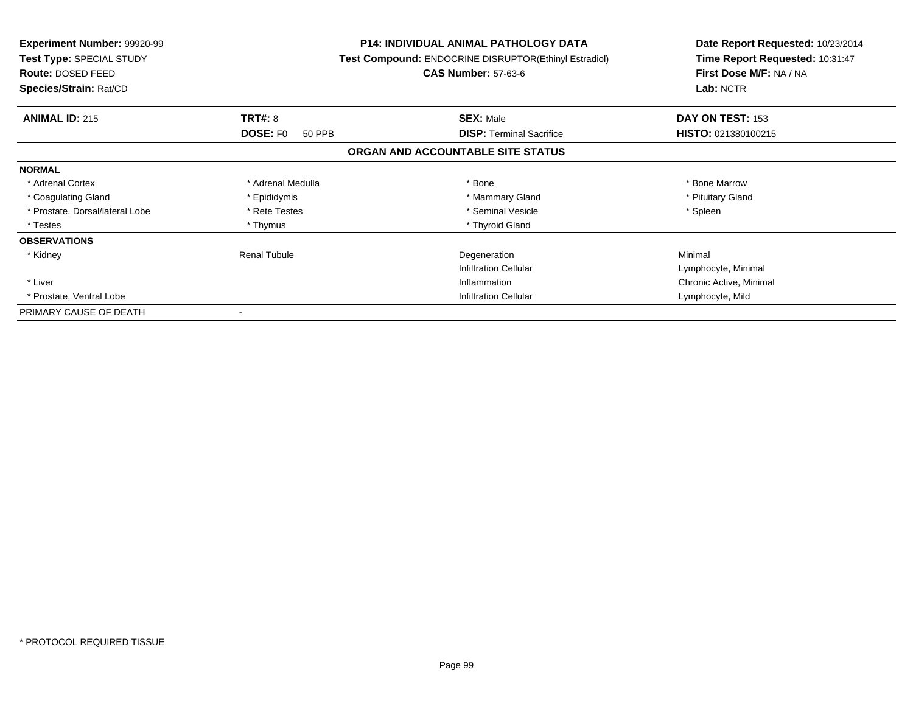| <b>Experiment Number: 99920-99</b><br>Test Type: SPECIAL STUDY<br>Route: DOSED FEED<br>Species/Strain: Rat/CD |                              | <b>P14: INDIVIDUAL ANIMAL PATHOLOGY DATA</b><br>Test Compound: ENDOCRINE DISRUPTOR(Ethinyl Estradiol)<br><b>CAS Number: 57-63-6</b> | Date Report Requested: 10/23/2014<br>Time Report Requested: 10:31:47<br>First Dose M/F: NA / NA<br>Lab: NCTR |
|---------------------------------------------------------------------------------------------------------------|------------------------------|-------------------------------------------------------------------------------------------------------------------------------------|--------------------------------------------------------------------------------------------------------------|
| <b>ANIMAL ID: 215</b>                                                                                         | TRT#: 8                      | <b>SEX: Male</b>                                                                                                                    | DAY ON TEST: 153                                                                                             |
|                                                                                                               | <b>DOSE: FO</b><br>50 PPB    | <b>DISP:</b> Terminal Sacrifice                                                                                                     | HISTO: 021380100215                                                                                          |
|                                                                                                               |                              | ORGAN AND ACCOUNTABLE SITE STATUS                                                                                                   |                                                                                                              |
| <b>NORMAL</b>                                                                                                 |                              |                                                                                                                                     |                                                                                                              |
| * Adrenal Cortex                                                                                              | * Adrenal Medulla            | * Bone                                                                                                                              | * Bone Marrow                                                                                                |
| * Coagulating Gland                                                                                           | * Epididymis                 | * Mammary Gland                                                                                                                     | * Pituitary Gland                                                                                            |
| * Prostate, Dorsal/lateral Lobe                                                                               | * Rete Testes                | * Seminal Vesicle                                                                                                                   | * Spleen                                                                                                     |
| * Testes                                                                                                      | * Thymus                     | * Thyroid Gland                                                                                                                     |                                                                                                              |
| <b>OBSERVATIONS</b>                                                                                           |                              |                                                                                                                                     |                                                                                                              |
| * Kidney                                                                                                      | <b>Renal Tubule</b>          | Degeneration                                                                                                                        | Minimal                                                                                                      |
|                                                                                                               |                              | <b>Infiltration Cellular</b>                                                                                                        | Lymphocyte, Minimal                                                                                          |
| * Liver                                                                                                       |                              | Inflammation                                                                                                                        | Chronic Active, Minimal                                                                                      |
| * Prostate, Ventral Lobe                                                                                      | <b>Infiltration Cellular</b> |                                                                                                                                     | Lymphocyte, Mild                                                                                             |
| PRIMARY CAUSE OF DEATH                                                                                        |                              |                                                                                                                                     |                                                                                                              |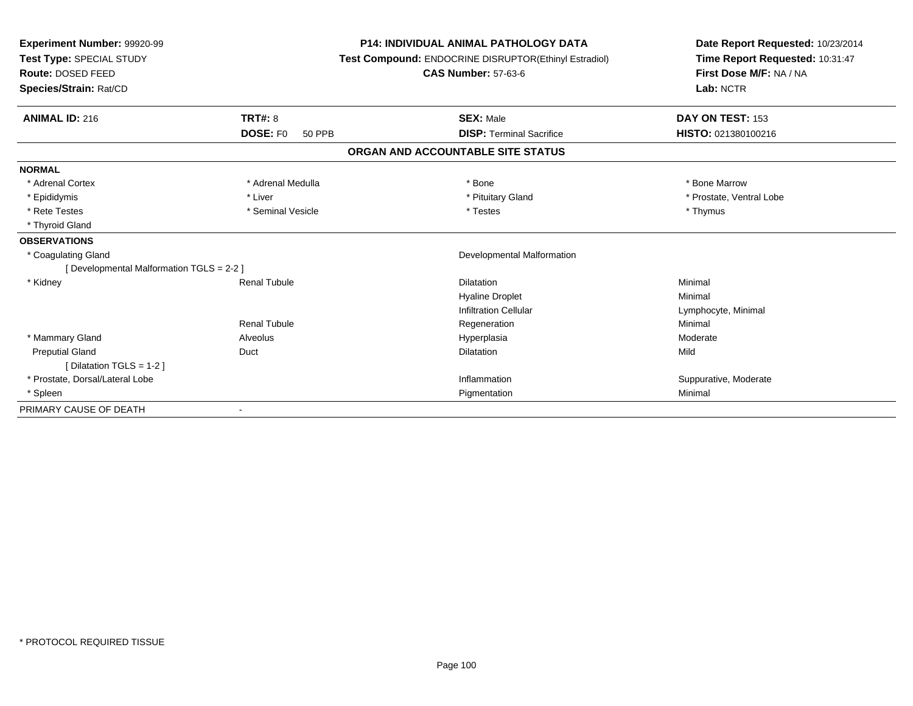| Experiment Number: 99920-99<br>Test Type: SPECIAL STUDY<br>Route: DOSED FEED<br>Species/Strain: Rat/CD |                           | <b>P14: INDIVIDUAL ANIMAL PATHOLOGY DATA</b><br>Test Compound: ENDOCRINE DISRUPTOR(Ethinyl Estradiol)<br><b>CAS Number: 57-63-6</b> | Date Report Requested: 10/23/2014<br>Time Report Requested: 10:31:47<br>First Dose M/F: NA / NA<br>Lab: NCTR |
|--------------------------------------------------------------------------------------------------------|---------------------------|-------------------------------------------------------------------------------------------------------------------------------------|--------------------------------------------------------------------------------------------------------------|
| <b>ANIMAL ID: 216</b>                                                                                  | <b>TRT#: 8</b>            | <b>SEX: Male</b>                                                                                                                    | DAY ON TEST: 153                                                                                             |
|                                                                                                        | <b>DOSE: FO</b><br>50 PPB | <b>DISP: Terminal Sacrifice</b>                                                                                                     | HISTO: 021380100216                                                                                          |
|                                                                                                        |                           | ORGAN AND ACCOUNTABLE SITE STATUS                                                                                                   |                                                                                                              |
| <b>NORMAL</b>                                                                                          |                           |                                                                                                                                     |                                                                                                              |
| * Adrenal Cortex                                                                                       | * Adrenal Medulla         | * Bone                                                                                                                              | * Bone Marrow                                                                                                |
| * Epididymis                                                                                           | * Liver                   | * Pituitary Gland                                                                                                                   | * Prostate, Ventral Lobe                                                                                     |
| * Rete Testes                                                                                          | * Seminal Vesicle         | * Testes                                                                                                                            | * Thymus                                                                                                     |
| * Thyroid Gland                                                                                        |                           |                                                                                                                                     |                                                                                                              |
| <b>OBSERVATIONS</b>                                                                                    |                           |                                                                                                                                     |                                                                                                              |
| * Coagulating Gland                                                                                    |                           | <b>Developmental Malformation</b>                                                                                                   |                                                                                                              |
| [ Developmental Malformation TGLS = 2-2 ]                                                              |                           |                                                                                                                                     |                                                                                                              |
| * Kidney                                                                                               | <b>Renal Tubule</b>       | Dilatation                                                                                                                          | Minimal                                                                                                      |
|                                                                                                        |                           | <b>Hyaline Droplet</b>                                                                                                              | Minimal                                                                                                      |
|                                                                                                        |                           | <b>Infiltration Cellular</b>                                                                                                        | Lymphocyte, Minimal                                                                                          |
|                                                                                                        | <b>Renal Tubule</b>       | Regeneration                                                                                                                        | Minimal                                                                                                      |
| * Mammary Gland                                                                                        | Alveolus                  | Hyperplasia                                                                                                                         | Moderate                                                                                                     |
| <b>Preputial Gland</b>                                                                                 | Duct                      | Dilatation                                                                                                                          | Mild                                                                                                         |
| [ Dilatation TGLS = 1-2 ]                                                                              |                           |                                                                                                                                     |                                                                                                              |
| * Prostate, Dorsal/Lateral Lobe                                                                        |                           | Inflammation                                                                                                                        | Suppurative, Moderate                                                                                        |
| * Spleen                                                                                               |                           | Pigmentation                                                                                                                        | Minimal                                                                                                      |
| PRIMARY CAUSE OF DEATH                                                                                 |                           |                                                                                                                                     |                                                                                                              |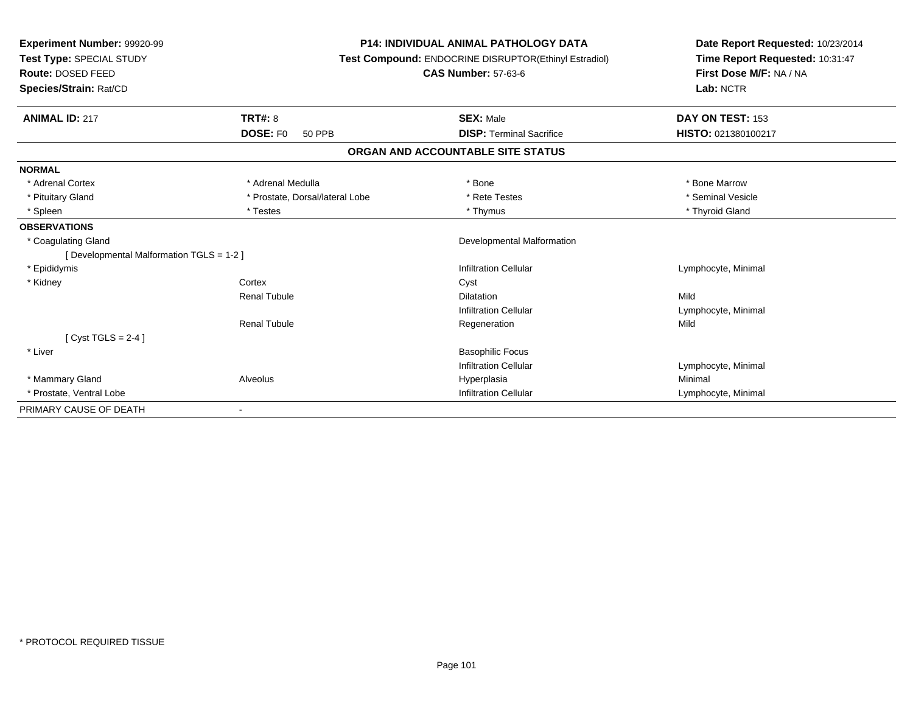| <b>Experiment Number: 99920-99</b><br>Test Type: SPECIAL STUDY<br>Route: DOSED FEED<br>Species/Strain: Rat/CD |                                 | <b>P14: INDIVIDUAL ANIMAL PATHOLOGY DATA</b><br><b>Test Compound: ENDOCRINE DISRUPTOR(Ethinyl Estradiol)</b><br><b>CAS Number: 57-63-6</b> | Date Report Requested: 10/23/2014<br>Time Report Requested: 10:31:47<br>First Dose M/F: NA / NA<br>Lab: NCTR |  |
|---------------------------------------------------------------------------------------------------------------|---------------------------------|--------------------------------------------------------------------------------------------------------------------------------------------|--------------------------------------------------------------------------------------------------------------|--|
| <b>ANIMAL ID: 217</b>                                                                                         | <b>TRT#: 8</b>                  | <b>SEX: Male</b>                                                                                                                           | DAY ON TEST: 153                                                                                             |  |
|                                                                                                               | DOSE: FO<br>50 PPB              | <b>DISP: Terminal Sacrifice</b>                                                                                                            | HISTO: 021380100217                                                                                          |  |
|                                                                                                               |                                 | ORGAN AND ACCOUNTABLE SITE STATUS                                                                                                          |                                                                                                              |  |
| <b>NORMAL</b>                                                                                                 |                                 |                                                                                                                                            |                                                                                                              |  |
| * Adrenal Cortex                                                                                              | * Adrenal Medulla               | * Bone                                                                                                                                     | * Bone Marrow                                                                                                |  |
| * Pituitary Gland                                                                                             | * Prostate, Dorsal/lateral Lobe | * Rete Testes                                                                                                                              | * Seminal Vesicle                                                                                            |  |
| * Spleen                                                                                                      | * Testes                        | * Thymus                                                                                                                                   | * Thyroid Gland                                                                                              |  |
| <b>OBSERVATIONS</b>                                                                                           |                                 |                                                                                                                                            |                                                                                                              |  |
| * Coagulating Gland                                                                                           |                                 | Developmental Malformation                                                                                                                 |                                                                                                              |  |
| [ Developmental Malformation TGLS = 1-2 ]                                                                     |                                 |                                                                                                                                            |                                                                                                              |  |
| * Epididymis                                                                                                  |                                 | <b>Infiltration Cellular</b>                                                                                                               | Lymphocyte, Minimal                                                                                          |  |
| * Kidney                                                                                                      | Cortex                          | Cyst                                                                                                                                       |                                                                                                              |  |
|                                                                                                               | <b>Renal Tubule</b>             | <b>Dilatation</b>                                                                                                                          | Mild                                                                                                         |  |
|                                                                                                               |                                 | <b>Infiltration Cellular</b>                                                                                                               | Lymphocyte, Minimal                                                                                          |  |
|                                                                                                               | <b>Renal Tubule</b>             | Regeneration                                                                                                                               | Mild                                                                                                         |  |
| $Cyst TGLS = 2-4$                                                                                             |                                 |                                                                                                                                            |                                                                                                              |  |
| * Liver                                                                                                       |                                 | <b>Basophilic Focus</b>                                                                                                                    |                                                                                                              |  |
|                                                                                                               |                                 | <b>Infiltration Cellular</b>                                                                                                               | Lymphocyte, Minimal                                                                                          |  |
| * Mammary Gland                                                                                               | Alveolus                        | Hyperplasia                                                                                                                                | Minimal                                                                                                      |  |
| * Prostate, Ventral Lobe                                                                                      |                                 | <b>Infiltration Cellular</b>                                                                                                               | Lymphocyte, Minimal                                                                                          |  |
| PRIMARY CAUSE OF DEATH                                                                                        |                                 |                                                                                                                                            |                                                                                                              |  |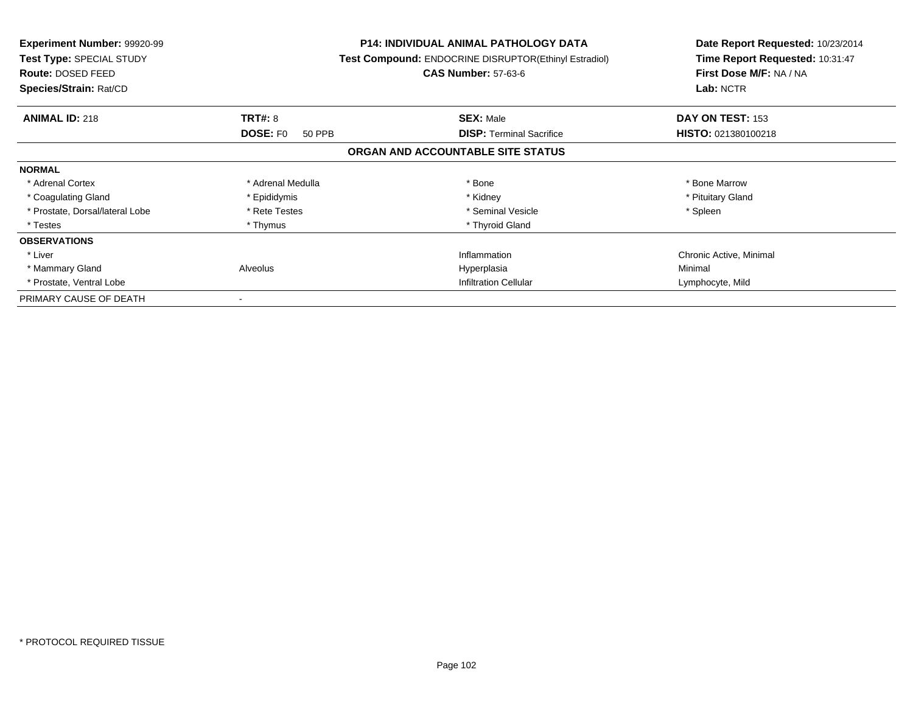| <b>Experiment Number: 99920-99</b><br>Test Type: SPECIAL STUDY<br>Route: DOSED FEED<br>Species/Strain: Rat/CD |                           | <b>P14: INDIVIDUAL ANIMAL PATHOLOGY DATA</b><br>Test Compound: ENDOCRINE DISRUPTOR(Ethinyl Estradiol)<br><b>CAS Number: 57-63-6</b> | Date Report Requested: 10/23/2014<br>Time Report Requested: 10:31:47<br>First Dose M/F: NA / NA<br>Lab: NCTR |
|---------------------------------------------------------------------------------------------------------------|---------------------------|-------------------------------------------------------------------------------------------------------------------------------------|--------------------------------------------------------------------------------------------------------------|
| <b>ANIMAL ID: 218</b>                                                                                         | <b>TRT#: 8</b>            | <b>SEX: Male</b>                                                                                                                    | DAY ON TEST: 153                                                                                             |
|                                                                                                               | <b>DOSE: FO</b><br>50 PPB | <b>DISP:</b> Terminal Sacrifice                                                                                                     | HISTO: 021380100218                                                                                          |
|                                                                                                               |                           | ORGAN AND ACCOUNTABLE SITE STATUS                                                                                                   |                                                                                                              |
| <b>NORMAL</b>                                                                                                 |                           |                                                                                                                                     |                                                                                                              |
| * Adrenal Cortex                                                                                              | * Adrenal Medulla         | * Bone                                                                                                                              | * Bone Marrow                                                                                                |
| * Coagulating Gland                                                                                           | * Epididymis              | * Kidney                                                                                                                            | * Pituitary Gland                                                                                            |
| * Prostate, Dorsal/lateral Lobe                                                                               | * Rete Testes             | * Seminal Vesicle                                                                                                                   | * Spleen                                                                                                     |
| * Testes                                                                                                      | * Thymus                  | * Thyroid Gland                                                                                                                     |                                                                                                              |
| <b>OBSERVATIONS</b>                                                                                           |                           |                                                                                                                                     |                                                                                                              |
| * Liver                                                                                                       |                           | Inflammation                                                                                                                        | Chronic Active, Minimal                                                                                      |
| * Mammary Gland                                                                                               | Alveolus                  | Hyperplasia                                                                                                                         | Minimal                                                                                                      |
| * Prostate, Ventral Lobe                                                                                      |                           | <b>Infiltration Cellular</b>                                                                                                        | Lymphocyte, Mild                                                                                             |
| PRIMARY CAUSE OF DEATH                                                                                        |                           |                                                                                                                                     |                                                                                                              |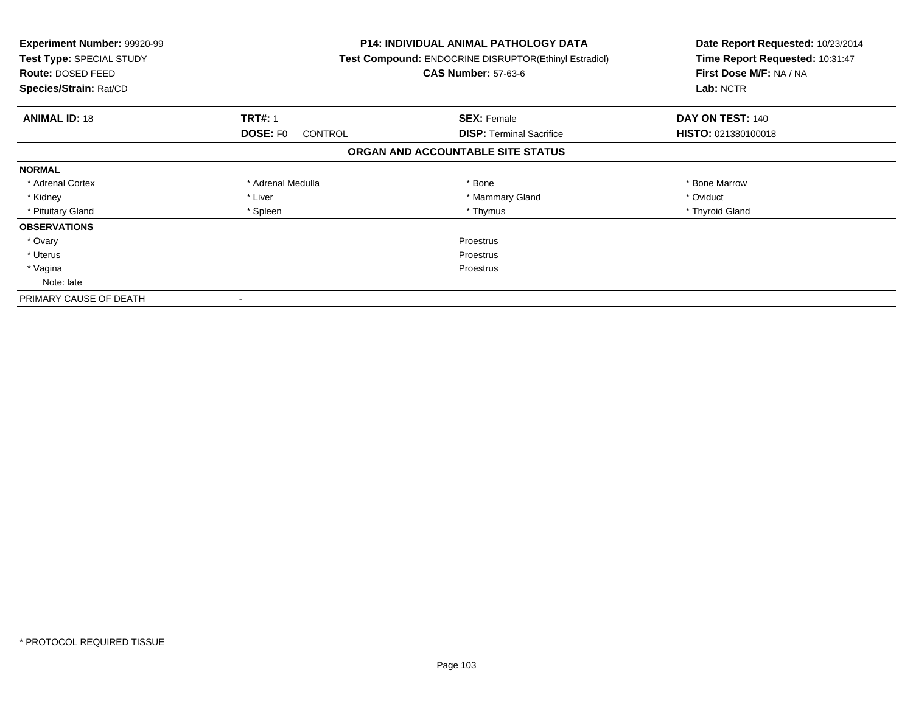| <b>Experiment Number: 99920-99</b><br>Test Type: SPECIAL STUDY<br>Route: DOSED FEED<br>Species/Strain: Rat/CD |                                   | <b>P14: INDIVIDUAL ANIMAL PATHOLOGY DATA</b><br>Test Compound: ENDOCRINE DISRUPTOR(Ethinyl Estradiol)<br><b>CAS Number: 57-63-6</b> | Date Report Requested: 10/23/2014<br>Time Report Requested: 10:31:47<br>First Dose M/F: NA / NA<br>Lab: NCTR |
|---------------------------------------------------------------------------------------------------------------|-----------------------------------|-------------------------------------------------------------------------------------------------------------------------------------|--------------------------------------------------------------------------------------------------------------|
| <b>ANIMAL ID: 18</b>                                                                                          | <b>TRT#: 1</b>                    | <b>SEX: Female</b>                                                                                                                  | DAY ON TEST: 140                                                                                             |
|                                                                                                               | <b>DOSE: FO</b><br><b>CONTROL</b> | <b>DISP:</b> Terminal Sacrifice                                                                                                     | HISTO: 021380100018                                                                                          |
|                                                                                                               |                                   | ORGAN AND ACCOUNTABLE SITE STATUS                                                                                                   |                                                                                                              |
| <b>NORMAL</b>                                                                                                 |                                   |                                                                                                                                     |                                                                                                              |
| * Adrenal Cortex                                                                                              | * Adrenal Medulla                 | * Bone                                                                                                                              | * Bone Marrow                                                                                                |
| * Kidney                                                                                                      | * Liver                           | * Mammary Gland                                                                                                                     | * Oviduct                                                                                                    |
| * Pituitary Gland                                                                                             | * Spleen                          | * Thymus                                                                                                                            | * Thyroid Gland                                                                                              |
| <b>OBSERVATIONS</b>                                                                                           |                                   |                                                                                                                                     |                                                                                                              |
| * Ovary                                                                                                       |                                   | Proestrus                                                                                                                           |                                                                                                              |
| * Uterus                                                                                                      | Proestrus                         |                                                                                                                                     |                                                                                                              |
| * Vagina                                                                                                      | Proestrus                         |                                                                                                                                     |                                                                                                              |
| Note: late                                                                                                    |                                   |                                                                                                                                     |                                                                                                              |
| PRIMARY CAUSE OF DEATH                                                                                        |                                   |                                                                                                                                     |                                                                                                              |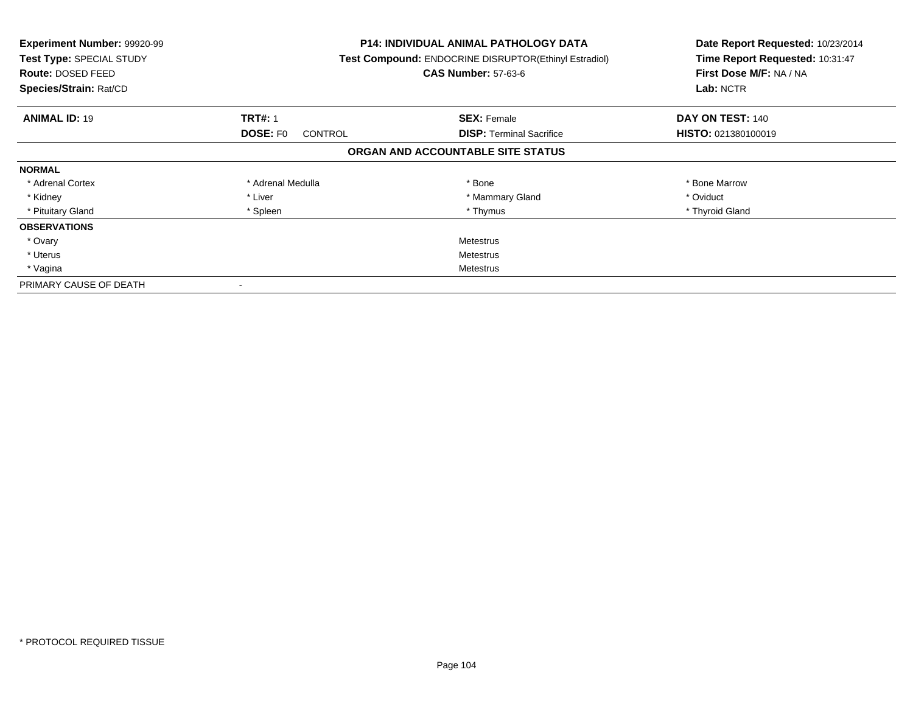| Experiment Number: 99920-99<br>Test Type: SPECIAL STUDY<br><b>Route: DOSED FEED</b><br>Species/Strain: Rat/CD |                            | <b>P14: INDIVIDUAL ANIMAL PATHOLOGY DATA</b><br>Test Compound: ENDOCRINE DISRUPTOR(Ethinyl Estradiol)<br><b>CAS Number: 57-63-6</b> | Date Report Requested: 10/23/2014<br>Time Report Requested: 10:31:47<br>First Dose M/F: NA / NA<br>Lab: NCTR |
|---------------------------------------------------------------------------------------------------------------|----------------------------|-------------------------------------------------------------------------------------------------------------------------------------|--------------------------------------------------------------------------------------------------------------|
| <b>ANIMAL ID: 19</b>                                                                                          | <b>TRT#: 1</b>             | <b>SEX: Female</b>                                                                                                                  | DAY ON TEST: 140                                                                                             |
|                                                                                                               | <b>DOSE: FO</b><br>CONTROL | <b>DISP:</b> Terminal Sacrifice                                                                                                     | HISTO: 021380100019                                                                                          |
|                                                                                                               |                            | ORGAN AND ACCOUNTABLE SITE STATUS                                                                                                   |                                                                                                              |
| <b>NORMAL</b>                                                                                                 |                            |                                                                                                                                     |                                                                                                              |
| * Adrenal Cortex                                                                                              | * Adrenal Medulla          | * Bone                                                                                                                              | * Bone Marrow                                                                                                |
| * Kidney                                                                                                      | * Liver                    | * Mammary Gland                                                                                                                     | * Oviduct                                                                                                    |
| * Pituitary Gland                                                                                             | * Spleen                   | * Thymus                                                                                                                            | * Thyroid Gland                                                                                              |
| <b>OBSERVATIONS</b>                                                                                           |                            |                                                                                                                                     |                                                                                                              |
| * Ovary                                                                                                       |                            | Metestrus                                                                                                                           |                                                                                                              |
| * Uterus                                                                                                      | Metestrus                  |                                                                                                                                     |                                                                                                              |
| * Vagina                                                                                                      | Metestrus                  |                                                                                                                                     |                                                                                                              |
| PRIMARY CAUSE OF DEATH                                                                                        |                            |                                                                                                                                     |                                                                                                              |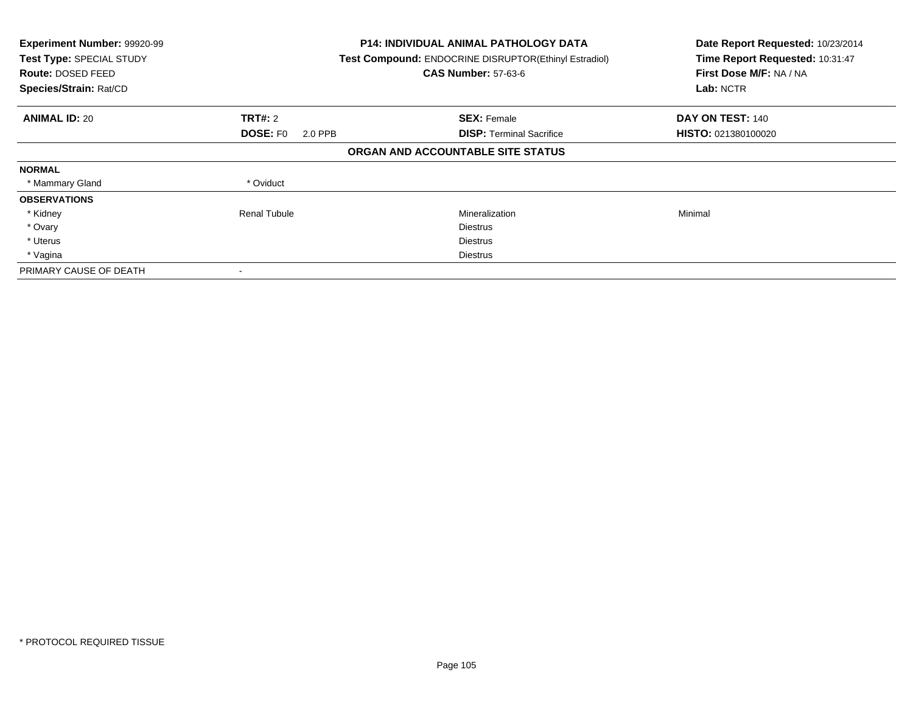| Experiment Number: 99920-99<br>Test Type: SPECIAL STUDY<br>Route: DOSED FEED<br>Species/Strain: Rat/CD |                            | <b>P14: INDIVIDUAL ANIMAL PATHOLOGY DATA</b><br>Test Compound: ENDOCRINE DISRUPTOR(Ethinyl Estradiol)<br><b>CAS Number: 57-63-6</b> | Date Report Requested: 10/23/2014<br>Time Report Requested: 10:31:47<br>First Dose M/F: NA / NA<br>Lab: NCTR |
|--------------------------------------------------------------------------------------------------------|----------------------------|-------------------------------------------------------------------------------------------------------------------------------------|--------------------------------------------------------------------------------------------------------------|
| <b>ANIMAL ID: 20</b>                                                                                   | <b>TRT#: 2</b>             | <b>SEX: Female</b>                                                                                                                  | DAY ON TEST: 140                                                                                             |
|                                                                                                        | <b>DOSE: FO</b><br>2.0 PPB | <b>DISP:</b> Terminal Sacrifice                                                                                                     | HISTO: 021380100020                                                                                          |
|                                                                                                        |                            | ORGAN AND ACCOUNTABLE SITE STATUS                                                                                                   |                                                                                                              |
| <b>NORMAL</b>                                                                                          |                            |                                                                                                                                     |                                                                                                              |
| * Mammary Gland                                                                                        | * Oviduct                  |                                                                                                                                     |                                                                                                              |
| <b>OBSERVATIONS</b>                                                                                    |                            |                                                                                                                                     |                                                                                                              |
| * Kidney                                                                                               | <b>Renal Tubule</b>        | Mineralization                                                                                                                      | Minimal                                                                                                      |
| * Ovary                                                                                                |                            | <b>Diestrus</b>                                                                                                                     |                                                                                                              |
| * Uterus                                                                                               |                            | <b>Diestrus</b>                                                                                                                     |                                                                                                              |
| * Vagina                                                                                               |                            | Diestrus                                                                                                                            |                                                                                                              |
| PRIMARY CAUSE OF DEATH                                                                                 |                            |                                                                                                                                     |                                                                                                              |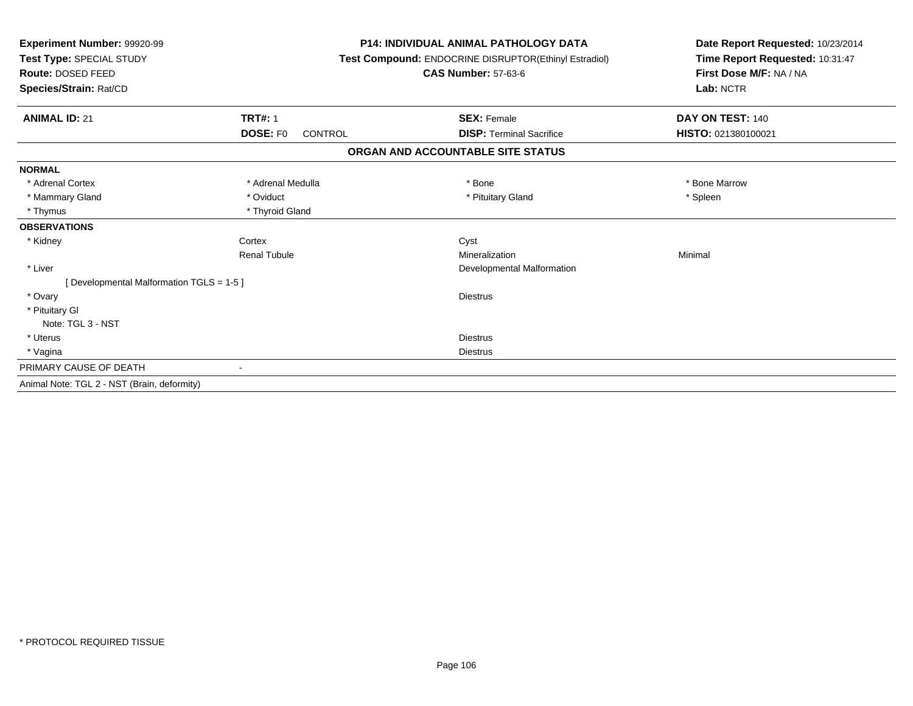| Experiment Number: 99920-99<br>Test Type: SPECIAL STUDY | <b>P14: INDIVIDUAL ANIMAL PATHOLOGY DATA</b><br>Test Compound: ENDOCRINE DISRUPTOR(Ethinyl Estradiol) |                                   | Date Report Requested: 10/23/2014<br>Time Report Requested: 10:31:47 |  |
|---------------------------------------------------------|-------------------------------------------------------------------------------------------------------|-----------------------------------|----------------------------------------------------------------------|--|
| Route: DOSED FEED                                       |                                                                                                       | <b>CAS Number: 57-63-6</b>        | First Dose M/F: NA / NA                                              |  |
| Species/Strain: Rat/CD                                  |                                                                                                       |                                   | Lab: NCTR                                                            |  |
| <b>ANIMAL ID: 21</b>                                    | <b>TRT#: 1</b>                                                                                        | <b>SEX: Female</b>                | DAY ON TEST: 140                                                     |  |
|                                                         | DOSE: F0<br><b>CONTROL</b>                                                                            | <b>DISP: Terminal Sacrifice</b>   | HISTO: 021380100021                                                  |  |
|                                                         |                                                                                                       | ORGAN AND ACCOUNTABLE SITE STATUS |                                                                      |  |
| <b>NORMAL</b>                                           |                                                                                                       |                                   |                                                                      |  |
| * Adrenal Cortex                                        | * Adrenal Medulla                                                                                     | * Bone                            | * Bone Marrow                                                        |  |
| * Mammary Gland                                         | * Oviduct                                                                                             | * Pituitary Gland                 | * Spleen                                                             |  |
| * Thymus                                                | * Thyroid Gland                                                                                       |                                   |                                                                      |  |
| <b>OBSERVATIONS</b>                                     |                                                                                                       |                                   |                                                                      |  |
| * Kidney                                                | Cortex                                                                                                | Cyst                              |                                                                      |  |
|                                                         | <b>Renal Tubule</b>                                                                                   | Mineralization                    | Minimal                                                              |  |
| * Liver                                                 |                                                                                                       | Developmental Malformation        |                                                                      |  |
| [Developmental Malformation TGLS = 1-5]                 |                                                                                                       |                                   |                                                                      |  |
| * Ovary                                                 |                                                                                                       | <b>Diestrus</b>                   |                                                                      |  |
| * Pituitary Gl                                          |                                                                                                       |                                   |                                                                      |  |
| Note: TGL 3 - NST                                       |                                                                                                       |                                   |                                                                      |  |
| * Uterus                                                |                                                                                                       | <b>Diestrus</b>                   |                                                                      |  |
| * Vagina                                                |                                                                                                       | <b>Diestrus</b>                   |                                                                      |  |
| PRIMARY CAUSE OF DEATH                                  | $\blacksquare$                                                                                        |                                   |                                                                      |  |
| Animal Note: TGL 2 - NST (Brain, deformity)             |                                                                                                       |                                   |                                                                      |  |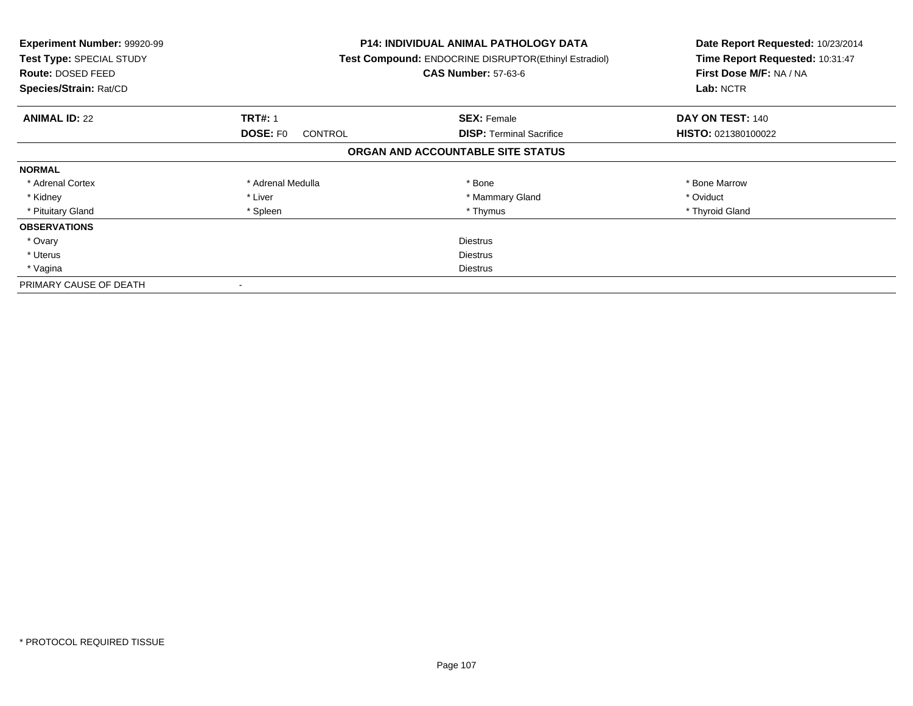| Experiment Number: 99920-99<br>Test Type: SPECIAL STUDY<br><b>Route: DOSED FEED</b><br>Species/Strain: Rat/CD |                                   | <b>P14: INDIVIDUAL ANIMAL PATHOLOGY DATA</b><br>Test Compound: ENDOCRINE DISRUPTOR(Ethinyl Estradiol)<br><b>CAS Number: 57-63-6</b> | Date Report Requested: 10/23/2014<br>Time Report Requested: 10:31:47<br>First Dose M/F: NA / NA<br>Lab: NCTR |
|---------------------------------------------------------------------------------------------------------------|-----------------------------------|-------------------------------------------------------------------------------------------------------------------------------------|--------------------------------------------------------------------------------------------------------------|
| <b>ANIMAL ID: 22</b>                                                                                          | <b>TRT#: 1</b>                    | <b>SEX: Female</b>                                                                                                                  | DAY ON TEST: 140                                                                                             |
|                                                                                                               | <b>DOSE: FO</b><br><b>CONTROL</b> | <b>DISP:</b> Terminal Sacrifice                                                                                                     | HISTO: 021380100022                                                                                          |
|                                                                                                               |                                   | ORGAN AND ACCOUNTABLE SITE STATUS                                                                                                   |                                                                                                              |
| <b>NORMAL</b>                                                                                                 |                                   |                                                                                                                                     |                                                                                                              |
| * Adrenal Cortex                                                                                              | * Adrenal Medulla                 | * Bone                                                                                                                              | * Bone Marrow                                                                                                |
| * Kidney                                                                                                      | * Liver                           | * Mammary Gland                                                                                                                     | * Oviduct                                                                                                    |
| * Pituitary Gland                                                                                             | * Spleen                          | * Thymus                                                                                                                            | * Thyroid Gland                                                                                              |
| <b>OBSERVATIONS</b>                                                                                           |                                   |                                                                                                                                     |                                                                                                              |
| * Ovary                                                                                                       |                                   | <b>Diestrus</b>                                                                                                                     |                                                                                                              |
| * Uterus                                                                                                      | <b>Diestrus</b>                   |                                                                                                                                     |                                                                                                              |
| * Vagina                                                                                                      | Diestrus                          |                                                                                                                                     |                                                                                                              |
| PRIMARY CAUSE OF DEATH                                                                                        |                                   |                                                                                                                                     |                                                                                                              |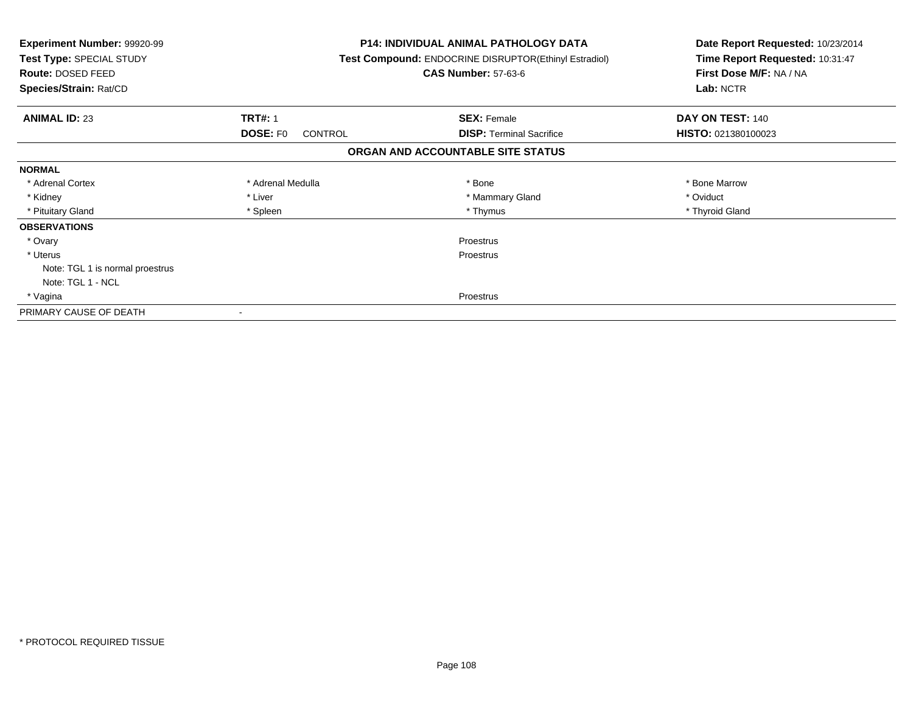| <b>Experiment Number: 99920-99</b><br>Test Type: SPECIAL STUDY<br>Route: DOSED FEED<br>Species/Strain: Rat/CD |                                   | <b>P14: INDIVIDUAL ANIMAL PATHOLOGY DATA</b><br>Test Compound: ENDOCRINE DISRUPTOR(Ethinyl Estradiol)<br><b>CAS Number: 57-63-6</b> | Date Report Requested: 10/23/2014<br>Time Report Requested: 10:31:47<br>First Dose M/F: NA / NA<br>Lab: NCTR |
|---------------------------------------------------------------------------------------------------------------|-----------------------------------|-------------------------------------------------------------------------------------------------------------------------------------|--------------------------------------------------------------------------------------------------------------|
| <b>ANIMAL ID: 23</b>                                                                                          | <b>TRT#: 1</b>                    | <b>SEX: Female</b>                                                                                                                  | DAY ON TEST: 140                                                                                             |
|                                                                                                               | <b>DOSE: FO</b><br><b>CONTROL</b> | <b>DISP:</b> Terminal Sacrifice                                                                                                     | HISTO: 021380100023                                                                                          |
|                                                                                                               |                                   | ORGAN AND ACCOUNTABLE SITE STATUS                                                                                                   |                                                                                                              |
| <b>NORMAL</b>                                                                                                 |                                   |                                                                                                                                     |                                                                                                              |
| * Adrenal Cortex                                                                                              | * Adrenal Medulla                 | * Bone                                                                                                                              | * Bone Marrow                                                                                                |
| * Kidney                                                                                                      | * Liver                           | * Mammary Gland                                                                                                                     | * Oviduct                                                                                                    |
| * Pituitary Gland                                                                                             | * Spleen                          | * Thymus                                                                                                                            | * Thyroid Gland                                                                                              |
| <b>OBSERVATIONS</b>                                                                                           |                                   |                                                                                                                                     |                                                                                                              |
| * Ovary                                                                                                       |                                   | Proestrus                                                                                                                           |                                                                                                              |
| * Uterus                                                                                                      |                                   | Proestrus                                                                                                                           |                                                                                                              |
| Note: TGL 1 is normal proestrus                                                                               |                                   |                                                                                                                                     |                                                                                                              |
| Note: TGL 1 - NCL                                                                                             |                                   |                                                                                                                                     |                                                                                                              |
| * Vagina                                                                                                      | Proestrus                         |                                                                                                                                     |                                                                                                              |
| PRIMARY CAUSE OF DEATH                                                                                        |                                   |                                                                                                                                     |                                                                                                              |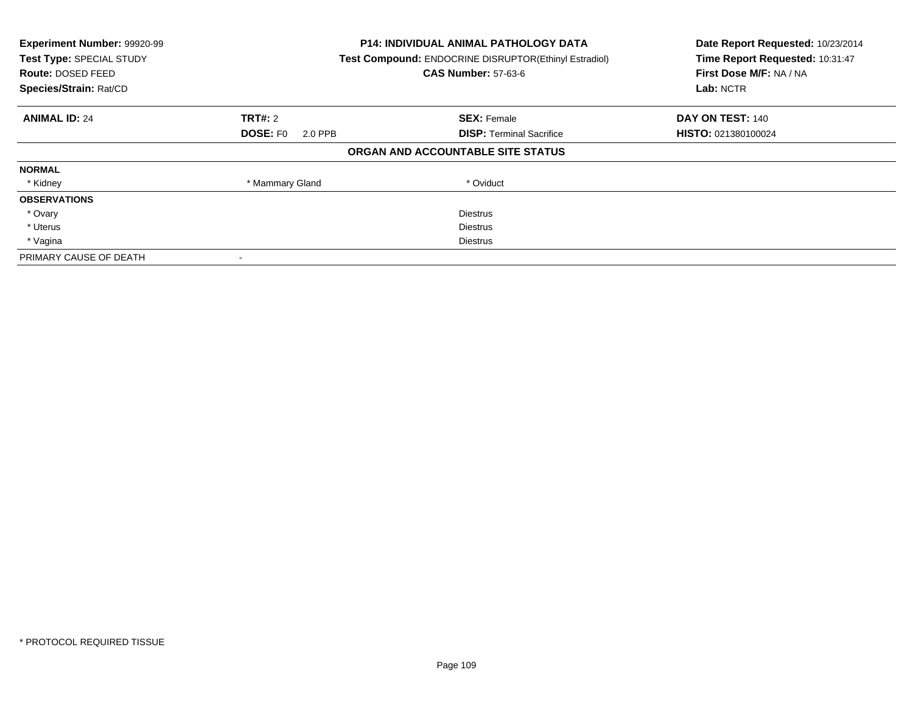| Experiment Number: 99920-99<br>Test Type: SPECIAL STUDY<br><b>Route: DOSED FEED</b><br>Species/Strain: Rat/CD |                            | <b>P14: INDIVIDUAL ANIMAL PATHOLOGY DATA</b><br><b>Test Compound: ENDOCRINE DISRUPTOR(Ethinyl Estradiol)</b><br><b>CAS Number: 57-63-6</b> | Date Report Requested: 10/23/2014<br>Time Report Requested: 10:31:47<br>First Dose M/F: NA / NA<br>Lab: NCTR |
|---------------------------------------------------------------------------------------------------------------|----------------------------|--------------------------------------------------------------------------------------------------------------------------------------------|--------------------------------------------------------------------------------------------------------------|
| <b>ANIMAL ID: 24</b>                                                                                          | <b>TRT#: 2</b>             | <b>SEX: Female</b>                                                                                                                         | DAY ON TEST: 140                                                                                             |
|                                                                                                               | <b>DOSE: FO</b><br>2.0 PPB | <b>DISP:</b> Terminal Sacrifice                                                                                                            | HISTO: 021380100024                                                                                          |
|                                                                                                               |                            | ORGAN AND ACCOUNTABLE SITE STATUS                                                                                                          |                                                                                                              |
| <b>NORMAL</b>                                                                                                 |                            |                                                                                                                                            |                                                                                                              |
| * Kidney                                                                                                      | * Mammary Gland            | * Oviduct                                                                                                                                  |                                                                                                              |
| <b>OBSERVATIONS</b>                                                                                           |                            |                                                                                                                                            |                                                                                                              |
| * Ovary                                                                                                       |                            | <b>Diestrus</b>                                                                                                                            |                                                                                                              |
| * Uterus                                                                                                      |                            | <b>Diestrus</b>                                                                                                                            |                                                                                                              |
| * Vagina                                                                                                      |                            | Diestrus                                                                                                                                   |                                                                                                              |
| PRIMARY CAUSE OF DEATH                                                                                        |                            |                                                                                                                                            |                                                                                                              |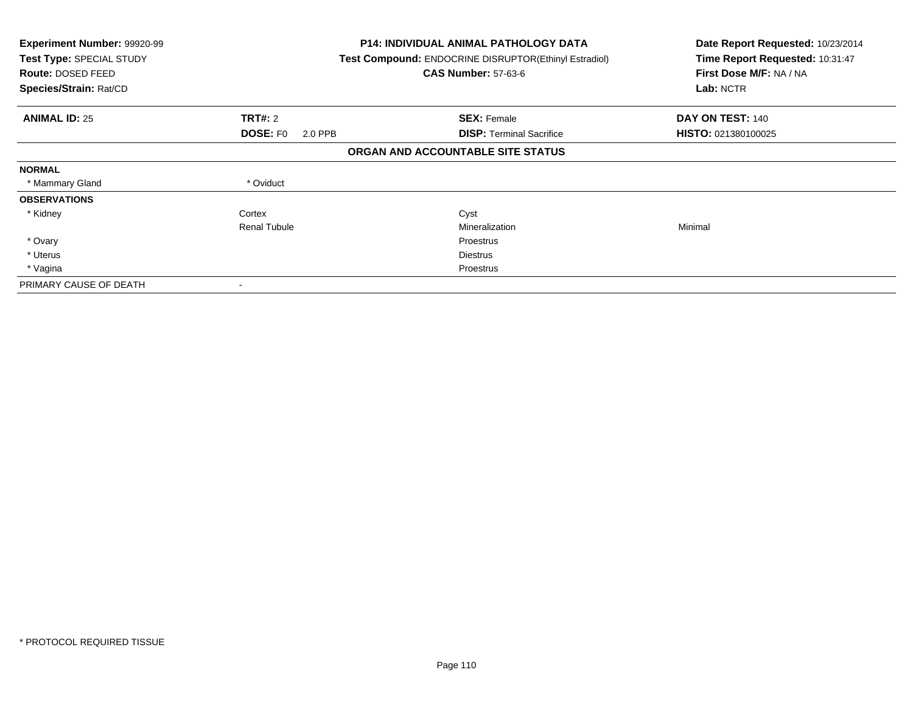| <b>Experiment Number: 99920-99</b><br>Test Type: SPECIAL STUDY<br>Route: DOSED FEED<br>Species/Strain: Rat/CD |                            | <b>P14: INDIVIDUAL ANIMAL PATHOLOGY DATA</b><br><b>Test Compound: ENDOCRINE DISRUPTOR(Ethinyl Estradiol)</b><br><b>CAS Number: 57-63-6</b> | Date Report Requested: 10/23/2014<br>Time Report Requested: 10:31:47<br>First Dose M/F: NA / NA<br>Lab: NCTR |
|---------------------------------------------------------------------------------------------------------------|----------------------------|--------------------------------------------------------------------------------------------------------------------------------------------|--------------------------------------------------------------------------------------------------------------|
| <b>ANIMAL ID: 25</b>                                                                                          | <b>TRT#: 2</b>             | <b>SEX: Female</b>                                                                                                                         | DAY ON TEST: 140                                                                                             |
|                                                                                                               | <b>DOSE: FO</b><br>2.0 PPB | <b>DISP:</b> Terminal Sacrifice                                                                                                            | HISTO: 021380100025                                                                                          |
|                                                                                                               |                            | ORGAN AND ACCOUNTABLE SITE STATUS                                                                                                          |                                                                                                              |
| <b>NORMAL</b>                                                                                                 |                            |                                                                                                                                            |                                                                                                              |
| * Mammary Gland                                                                                               | * Oviduct                  |                                                                                                                                            |                                                                                                              |
| <b>OBSERVATIONS</b>                                                                                           |                            |                                                                                                                                            |                                                                                                              |
| * Kidney                                                                                                      | Cortex                     | Cyst                                                                                                                                       |                                                                                                              |
|                                                                                                               | <b>Renal Tubule</b>        | Mineralization                                                                                                                             | Minimal                                                                                                      |
| * Ovary                                                                                                       |                            | <b>Proestrus</b>                                                                                                                           |                                                                                                              |
| * Uterus                                                                                                      |                            | Diestrus                                                                                                                                   |                                                                                                              |
| * Vagina                                                                                                      |                            | Proestrus                                                                                                                                  |                                                                                                              |
| PRIMARY CAUSE OF DEATH                                                                                        | $\overline{\phantom{a}}$   |                                                                                                                                            |                                                                                                              |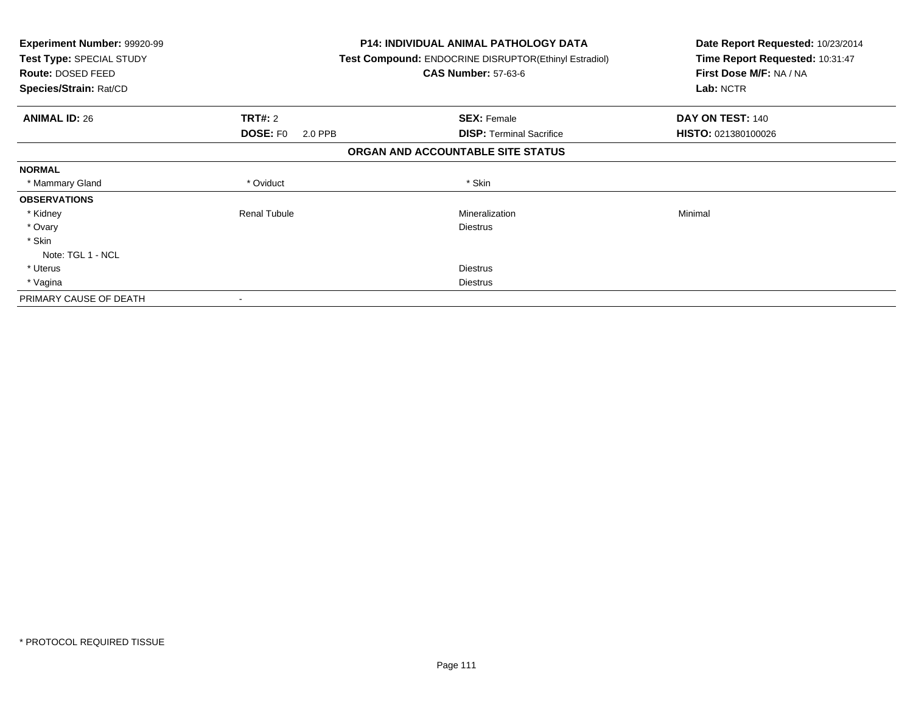| Experiment Number: 99920-99<br><b>Test Type: SPECIAL STUDY</b><br>Route: DOSED FEED<br>Species/Strain: Rat/CD |                            | <b>P14: INDIVIDUAL ANIMAL PATHOLOGY DATA</b><br><b>Test Compound: ENDOCRINE DISRUPTOR(Ethinyl Estradiol)</b><br><b>CAS Number: 57-63-6</b> | Date Report Requested: 10/23/2014<br>Time Report Requested: 10:31:47<br>First Dose M/F: NA / NA<br>Lab: NCTR |
|---------------------------------------------------------------------------------------------------------------|----------------------------|--------------------------------------------------------------------------------------------------------------------------------------------|--------------------------------------------------------------------------------------------------------------|
| <b>ANIMAL ID: 26</b>                                                                                          | <b>TRT#: 2</b>             | <b>SEX: Female</b>                                                                                                                         | DAY ON TEST: 140                                                                                             |
|                                                                                                               | <b>DOSE: FO</b><br>2.0 PPB | <b>DISP:</b> Terminal Sacrifice                                                                                                            | HISTO: 021380100026                                                                                          |
|                                                                                                               |                            | ORGAN AND ACCOUNTABLE SITE STATUS                                                                                                          |                                                                                                              |
| <b>NORMAL</b>                                                                                                 |                            |                                                                                                                                            |                                                                                                              |
| * Mammary Gland                                                                                               | * Oviduct                  | * Skin                                                                                                                                     |                                                                                                              |
| <b>OBSERVATIONS</b>                                                                                           |                            |                                                                                                                                            |                                                                                                              |
| * Kidney                                                                                                      | <b>Renal Tubule</b>        | Mineralization                                                                                                                             | Minimal                                                                                                      |
| * Ovary                                                                                                       |                            | Diestrus                                                                                                                                   |                                                                                                              |
| * Skin                                                                                                        |                            |                                                                                                                                            |                                                                                                              |
| Note: TGL 1 - NCL                                                                                             |                            |                                                                                                                                            |                                                                                                              |
| * Uterus                                                                                                      |                            | <b>Diestrus</b>                                                                                                                            |                                                                                                              |
| * Vagina                                                                                                      |                            | <b>Diestrus</b>                                                                                                                            |                                                                                                              |
| PRIMARY CAUSE OF DEATH                                                                                        |                            |                                                                                                                                            |                                                                                                              |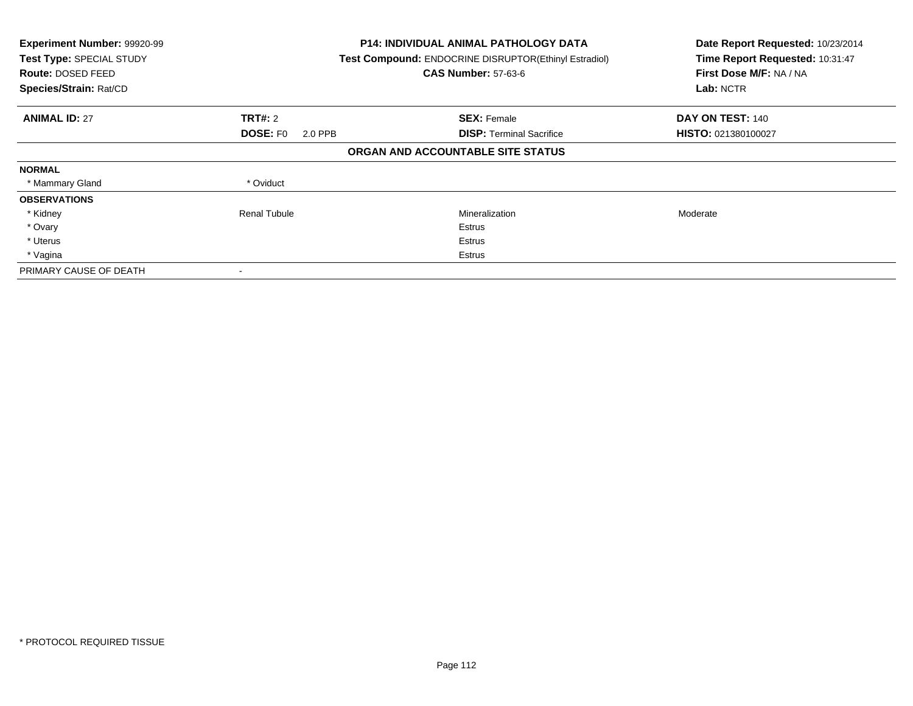| Experiment Number: 99920-99<br>Test Type: SPECIAL STUDY<br>Route: DOSED FEED<br>Species/Strain: Rat/CD | <b>P14: INDIVIDUAL ANIMAL PATHOLOGY DATA</b><br>Test Compound: ENDOCRINE DISRUPTOR(Ethinyl Estradiol)<br><b>CAS Number: 57-63-6</b> |                                   | Date Report Requested: 10/23/2014<br>Time Report Requested: 10:31:47<br>First Dose M/F: NA / NA<br>Lab: NCTR |
|--------------------------------------------------------------------------------------------------------|-------------------------------------------------------------------------------------------------------------------------------------|-----------------------------------|--------------------------------------------------------------------------------------------------------------|
| <b>ANIMAL ID: 27</b>                                                                                   | <b>TRT#: 2</b>                                                                                                                      | <b>SEX: Female</b>                | DAY ON TEST: 140                                                                                             |
|                                                                                                        | <b>DOSE: FO</b><br>2.0 PPB                                                                                                          | <b>DISP:</b> Terminal Sacrifice   | HISTO: 021380100027                                                                                          |
|                                                                                                        |                                                                                                                                     | ORGAN AND ACCOUNTABLE SITE STATUS |                                                                                                              |
| <b>NORMAL</b>                                                                                          |                                                                                                                                     |                                   |                                                                                                              |
| * Mammary Gland                                                                                        | * Oviduct                                                                                                                           |                                   |                                                                                                              |
| <b>OBSERVATIONS</b>                                                                                    |                                                                                                                                     |                                   |                                                                                                              |
| * Kidney                                                                                               | <b>Renal Tubule</b>                                                                                                                 | Mineralization                    | Moderate                                                                                                     |
| * Ovary                                                                                                |                                                                                                                                     | Estrus                            |                                                                                                              |
| * Uterus                                                                                               |                                                                                                                                     | Estrus                            |                                                                                                              |
| * Vagina                                                                                               |                                                                                                                                     | Estrus                            |                                                                                                              |
| PRIMARY CAUSE OF DEATH                                                                                 |                                                                                                                                     |                                   |                                                                                                              |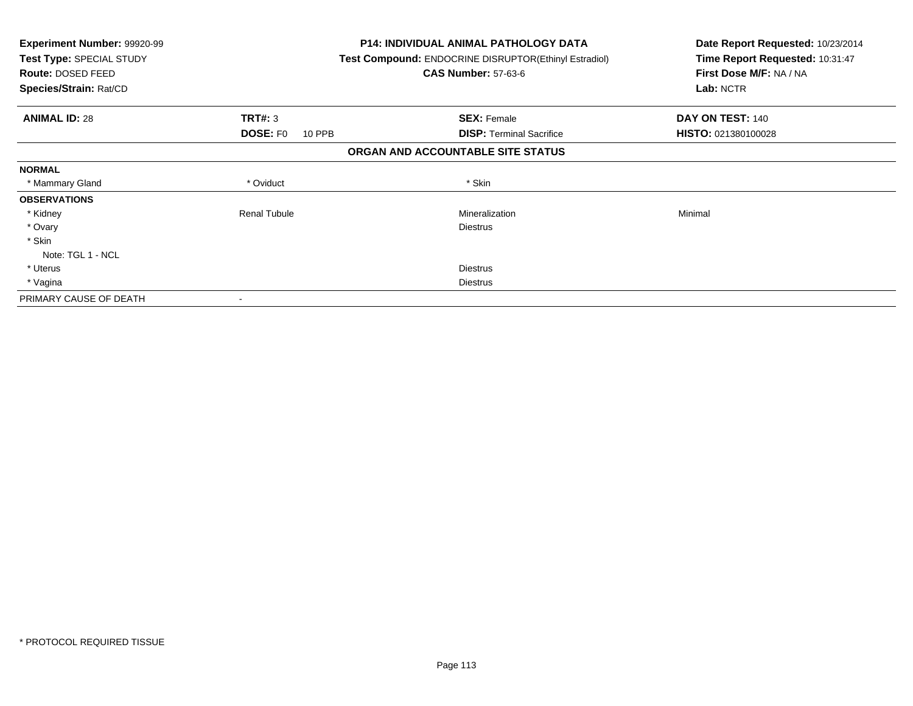| <b>Experiment Number: 99920-99</b><br>Test Type: SPECIAL STUDY<br>Route: DOSED FEED<br>Species/Strain: Rat/CD |                           | <b>P14: INDIVIDUAL ANIMAL PATHOLOGY DATA</b><br><b>Test Compound: ENDOCRINE DISRUPTOR(Ethinyl Estradiol)</b><br><b>CAS Number: 57-63-6</b> | Date Report Requested: 10/23/2014<br>Time Report Requested: 10:31:47<br>First Dose M/F: NA / NA<br>Lab: NCTR |
|---------------------------------------------------------------------------------------------------------------|---------------------------|--------------------------------------------------------------------------------------------------------------------------------------------|--------------------------------------------------------------------------------------------------------------|
| <b>ANIMAL ID: 28</b>                                                                                          | <b>TRT#: 3</b>            | <b>SEX: Female</b>                                                                                                                         | DAY ON TEST: 140                                                                                             |
|                                                                                                               | <b>DOSE: FO</b><br>10 PPB | <b>DISP:</b> Terminal Sacrifice                                                                                                            | HISTO: 021380100028                                                                                          |
|                                                                                                               |                           | ORGAN AND ACCOUNTABLE SITE STATUS                                                                                                          |                                                                                                              |
| <b>NORMAL</b>                                                                                                 |                           |                                                                                                                                            |                                                                                                              |
| * Mammary Gland                                                                                               | * Oviduct                 | * Skin                                                                                                                                     |                                                                                                              |
| <b>OBSERVATIONS</b>                                                                                           |                           |                                                                                                                                            |                                                                                                              |
| * Kidney                                                                                                      | <b>Renal Tubule</b>       | Mineralization                                                                                                                             | Minimal                                                                                                      |
| * Ovary                                                                                                       |                           | <b>Diestrus</b>                                                                                                                            |                                                                                                              |
| * Skin                                                                                                        |                           |                                                                                                                                            |                                                                                                              |
| Note: TGL 1 - NCL                                                                                             |                           |                                                                                                                                            |                                                                                                              |
| * Uterus                                                                                                      |                           | <b>Diestrus</b>                                                                                                                            |                                                                                                              |
| * Vagina                                                                                                      |                           | <b>Diestrus</b>                                                                                                                            |                                                                                                              |
| PRIMARY CAUSE OF DEATH                                                                                        | $\overline{\phantom{a}}$  |                                                                                                                                            |                                                                                                              |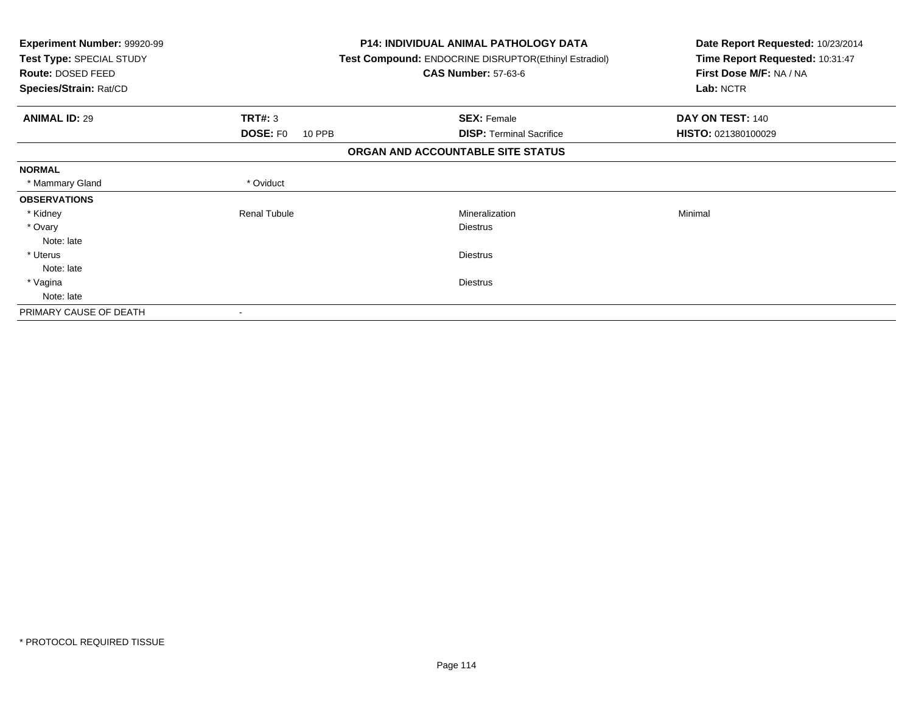| Experiment Number: 99920-99<br>Test Type: SPECIAL STUDY<br><b>Route: DOSED FEED</b><br>Species/Strain: Rat/CD |                           | <b>P14: INDIVIDUAL ANIMAL PATHOLOGY DATA</b><br>Test Compound: ENDOCRINE DISRUPTOR(Ethinyl Estradiol)<br><b>CAS Number: 57-63-6</b> | Date Report Requested: 10/23/2014<br>Time Report Requested: 10:31:47<br>First Dose M/F: NA / NA<br>Lab: NCTR |
|---------------------------------------------------------------------------------------------------------------|---------------------------|-------------------------------------------------------------------------------------------------------------------------------------|--------------------------------------------------------------------------------------------------------------|
| <b>ANIMAL ID: 29</b>                                                                                          | TRT#: 3                   | <b>SEX: Female</b>                                                                                                                  | DAY ON TEST: 140                                                                                             |
|                                                                                                               | <b>DOSE: FO</b><br>10 PPB | <b>DISP: Terminal Sacrifice</b>                                                                                                     | HISTO: 021380100029                                                                                          |
|                                                                                                               |                           | ORGAN AND ACCOUNTABLE SITE STATUS                                                                                                   |                                                                                                              |
| <b>NORMAL</b>                                                                                                 |                           |                                                                                                                                     |                                                                                                              |
| * Mammary Gland                                                                                               | * Oviduct                 |                                                                                                                                     |                                                                                                              |
| <b>OBSERVATIONS</b>                                                                                           |                           |                                                                                                                                     |                                                                                                              |
| * Kidney                                                                                                      | <b>Renal Tubule</b>       | Mineralization                                                                                                                      | Minimal                                                                                                      |
| * Ovary                                                                                                       |                           | <b>Diestrus</b>                                                                                                                     |                                                                                                              |
| Note: late                                                                                                    |                           |                                                                                                                                     |                                                                                                              |
| * Uterus                                                                                                      |                           | <b>Diestrus</b>                                                                                                                     |                                                                                                              |
| Note: late                                                                                                    |                           |                                                                                                                                     |                                                                                                              |
| * Vagina                                                                                                      |                           | <b>Diestrus</b>                                                                                                                     |                                                                                                              |
| Note: late                                                                                                    |                           |                                                                                                                                     |                                                                                                              |
| PRIMARY CAUSE OF DEATH                                                                                        |                           |                                                                                                                                     |                                                                                                              |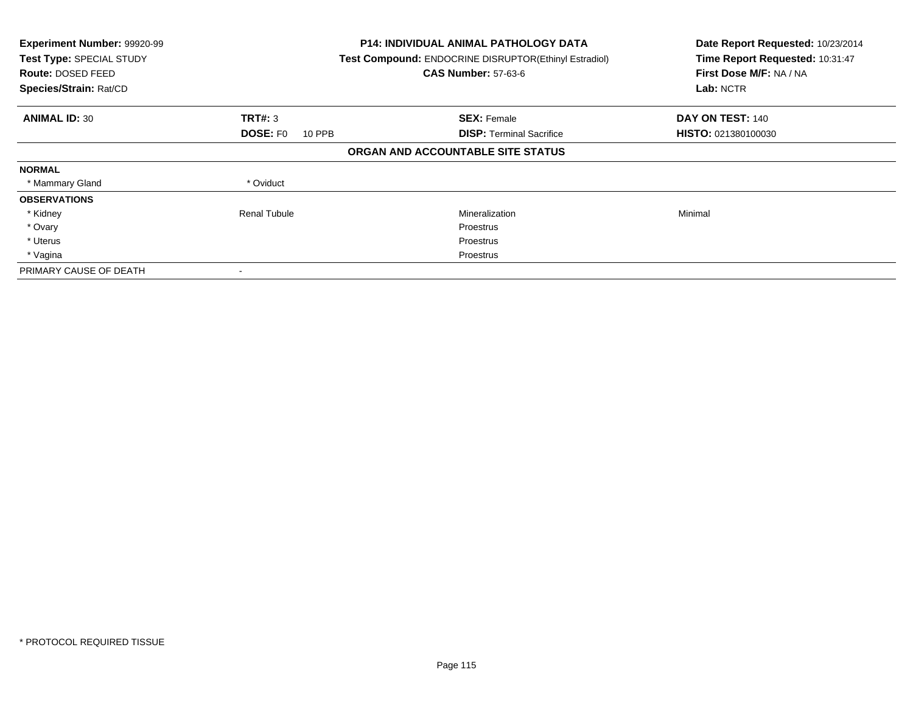| Experiment Number: 99920-99<br>Test Type: SPECIAL STUDY<br><b>Route: DOSED FEED</b><br>Species/Strain: Rat/CD |                           | <b>P14: INDIVIDUAL ANIMAL PATHOLOGY DATA</b><br>Test Compound: ENDOCRINE DISRUPTOR(Ethinyl Estradiol)<br><b>CAS Number: 57-63-6</b> | Date Report Requested: 10/23/2014<br>Time Report Requested: 10:31:47<br>First Dose M/F: NA / NA<br>Lab: NCTR |
|---------------------------------------------------------------------------------------------------------------|---------------------------|-------------------------------------------------------------------------------------------------------------------------------------|--------------------------------------------------------------------------------------------------------------|
| <b>ANIMAL ID: 30</b>                                                                                          | TRT#: 3                   | <b>SEX: Female</b>                                                                                                                  | DAY ON TEST: 140                                                                                             |
|                                                                                                               | <b>DOSE: FO</b><br>10 PPB | <b>DISP:</b> Terminal Sacrifice                                                                                                     | HISTO: 021380100030                                                                                          |
|                                                                                                               |                           | ORGAN AND ACCOUNTABLE SITE STATUS                                                                                                   |                                                                                                              |
| <b>NORMAL</b>                                                                                                 |                           |                                                                                                                                     |                                                                                                              |
| * Mammary Gland                                                                                               | * Oviduct                 |                                                                                                                                     |                                                                                                              |
| <b>OBSERVATIONS</b>                                                                                           |                           |                                                                                                                                     |                                                                                                              |
| * Kidney                                                                                                      | Renal Tubule              | Mineralization                                                                                                                      | Minimal                                                                                                      |
| * Ovary                                                                                                       |                           | Proestrus                                                                                                                           |                                                                                                              |
| * Uterus                                                                                                      |                           | Proestrus                                                                                                                           |                                                                                                              |
| * Vagina                                                                                                      |                           | Proestrus                                                                                                                           |                                                                                                              |
| PRIMARY CAUSE OF DEATH                                                                                        |                           |                                                                                                                                     |                                                                                                              |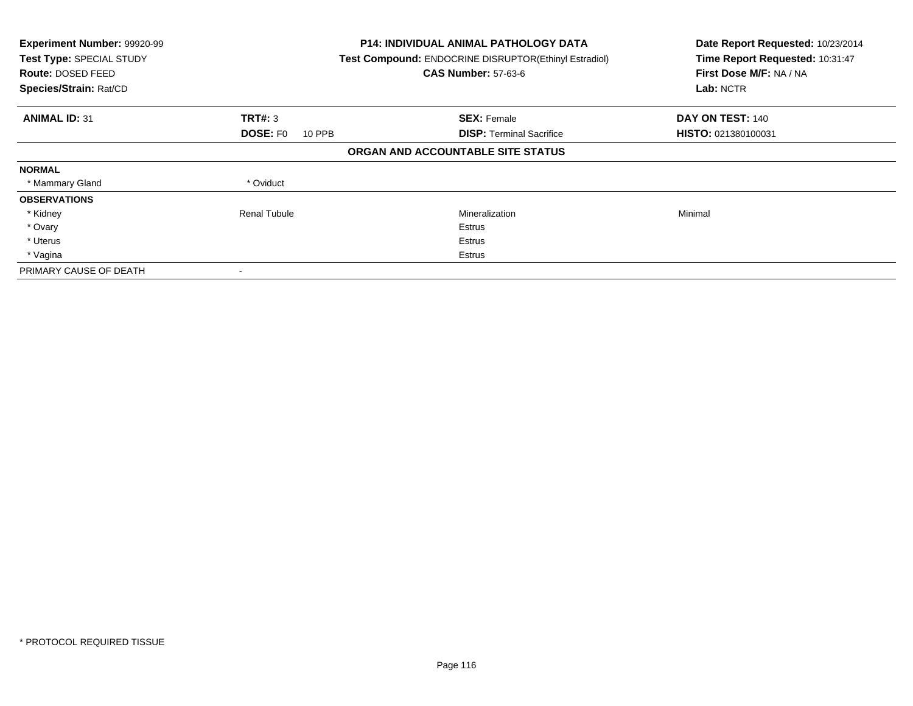| Experiment Number: 99920-99<br>Test Type: SPECIAL STUDY<br><b>Route: DOSED FEED</b><br>Species/Strain: Rat/CD |                           | <b>P14: INDIVIDUAL ANIMAL PATHOLOGY DATA</b><br>Test Compound: ENDOCRINE DISRUPTOR(Ethinyl Estradiol)<br><b>CAS Number: 57-63-6</b> | Date Report Requested: 10/23/2014<br>Time Report Requested: 10:31:47<br>First Dose M/F: NA / NA<br>Lab: NCTR |
|---------------------------------------------------------------------------------------------------------------|---------------------------|-------------------------------------------------------------------------------------------------------------------------------------|--------------------------------------------------------------------------------------------------------------|
| <b>ANIMAL ID: 31</b>                                                                                          | TRT#: 3                   | <b>SEX: Female</b>                                                                                                                  | DAY ON TEST: 140                                                                                             |
|                                                                                                               | <b>DOSE: FO</b><br>10 PPB | <b>DISP:</b> Terminal Sacrifice                                                                                                     | HISTO: 021380100031                                                                                          |
|                                                                                                               |                           | ORGAN AND ACCOUNTABLE SITE STATUS                                                                                                   |                                                                                                              |
| <b>NORMAL</b>                                                                                                 |                           |                                                                                                                                     |                                                                                                              |
| * Mammary Gland                                                                                               | * Oviduct                 |                                                                                                                                     |                                                                                                              |
| <b>OBSERVATIONS</b>                                                                                           |                           |                                                                                                                                     |                                                                                                              |
| * Kidney                                                                                                      | <b>Renal Tubule</b>       | Mineralization                                                                                                                      | Minimal                                                                                                      |
| * Ovary                                                                                                       |                           | Estrus                                                                                                                              |                                                                                                              |
| * Uterus                                                                                                      |                           | Estrus                                                                                                                              |                                                                                                              |
| * Vagina                                                                                                      |                           | Estrus                                                                                                                              |                                                                                                              |
| PRIMARY CAUSE OF DEATH                                                                                        |                           |                                                                                                                                     |                                                                                                              |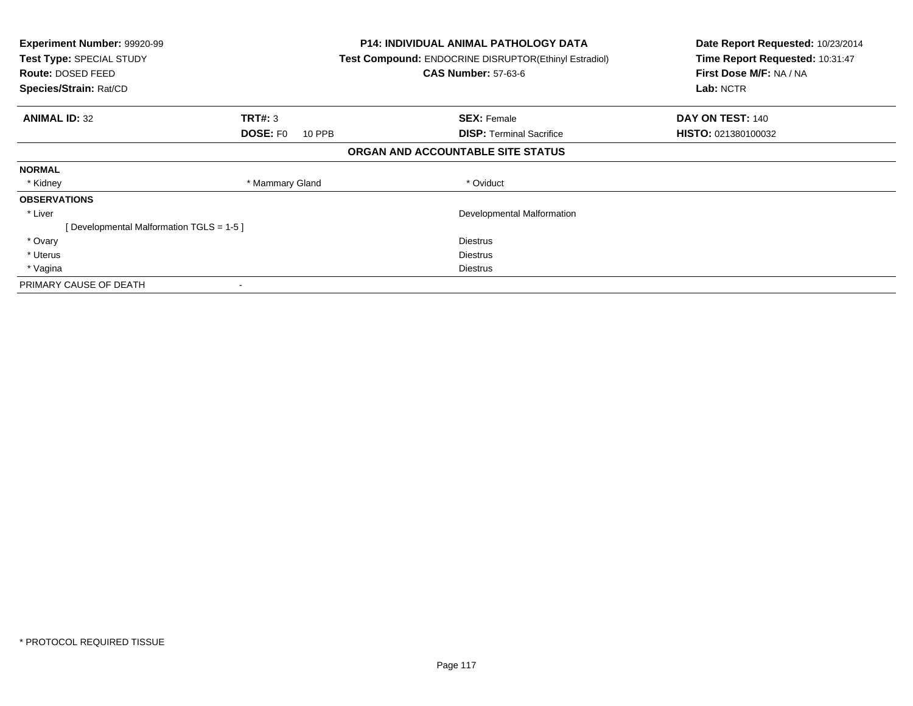| <b>Experiment Number: 99920-99</b><br>Test Type: SPECIAL STUDY<br><b>Route: DOSED FEED</b><br>Species/Strain: Rat/CD |                           | <b>P14: INDIVIDUAL ANIMAL PATHOLOGY DATA</b><br>Test Compound: ENDOCRINE DISRUPTOR(Ethinyl Estradiol)<br><b>CAS Number: 57-63-6</b> | Date Report Requested: 10/23/2014<br>Time Report Requested: 10:31:47<br>First Dose M/F: NA / NA<br>Lab: NCTR |
|----------------------------------------------------------------------------------------------------------------------|---------------------------|-------------------------------------------------------------------------------------------------------------------------------------|--------------------------------------------------------------------------------------------------------------|
| <b>ANIMAL ID: 32</b>                                                                                                 | TRT#: 3                   | <b>SEX: Female</b>                                                                                                                  | DAY ON TEST: 140                                                                                             |
|                                                                                                                      | <b>DOSE: FO</b><br>10 PPB | <b>DISP:</b> Terminal Sacrifice                                                                                                     | <b>HISTO: 021380100032</b>                                                                                   |
|                                                                                                                      |                           | ORGAN AND ACCOUNTABLE SITE STATUS                                                                                                   |                                                                                                              |
| <b>NORMAL</b>                                                                                                        |                           |                                                                                                                                     |                                                                                                              |
| * Kidney                                                                                                             | * Mammary Gland           | * Oviduct                                                                                                                           |                                                                                                              |
| <b>OBSERVATIONS</b>                                                                                                  |                           |                                                                                                                                     |                                                                                                              |
| * Liver                                                                                                              |                           | Developmental Malformation                                                                                                          |                                                                                                              |
| [Developmental Malformation TGLS = 1-5 ]                                                                             |                           |                                                                                                                                     |                                                                                                              |
| * Ovary                                                                                                              |                           | <b>Diestrus</b>                                                                                                                     |                                                                                                              |
| * Uterus                                                                                                             |                           | <b>Diestrus</b>                                                                                                                     |                                                                                                              |
| * Vagina                                                                                                             |                           | Diestrus                                                                                                                            |                                                                                                              |
| PRIMARY CAUSE OF DEATH                                                                                               |                           |                                                                                                                                     |                                                                                                              |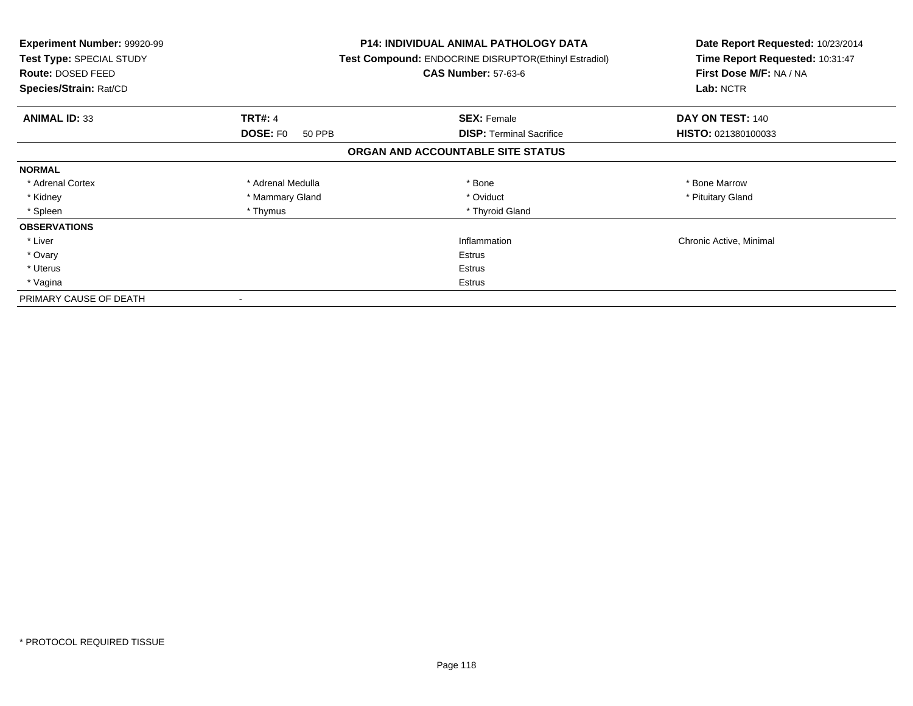| <b>Experiment Number: 99920-99</b><br>Test Type: SPECIAL STUDY<br><b>Route: DOSED FEED</b><br>Species/Strain: Rat/CD |                           | P14: INDIVIDUAL ANIMAL PATHOLOGY DATA<br>Test Compound: ENDOCRINE DISRUPTOR(Ethinyl Estradiol)<br><b>CAS Number: 57-63-6</b> | Date Report Requested: 10/23/2014<br>Time Report Requested: 10:31:47<br>First Dose M/F: NA / NA<br>Lab: NCTR |
|----------------------------------------------------------------------------------------------------------------------|---------------------------|------------------------------------------------------------------------------------------------------------------------------|--------------------------------------------------------------------------------------------------------------|
| <b>ANIMAL ID: 33</b>                                                                                                 | <b>TRT#: 4</b>            | <b>SEX: Female</b>                                                                                                           | DAY ON TEST: 140                                                                                             |
|                                                                                                                      | <b>DOSE: FO</b><br>50 PPB | <b>DISP:</b> Terminal Sacrifice                                                                                              | HISTO: 021380100033                                                                                          |
|                                                                                                                      |                           | ORGAN AND ACCOUNTABLE SITE STATUS                                                                                            |                                                                                                              |
| <b>NORMAL</b>                                                                                                        |                           |                                                                                                                              |                                                                                                              |
| * Adrenal Cortex                                                                                                     | * Adrenal Medulla         | * Bone                                                                                                                       | * Bone Marrow                                                                                                |
| * Kidney                                                                                                             | * Mammary Gland           | * Oviduct                                                                                                                    | * Pituitary Gland                                                                                            |
| * Spleen                                                                                                             | * Thymus                  | * Thyroid Gland                                                                                                              |                                                                                                              |
| <b>OBSERVATIONS</b>                                                                                                  |                           |                                                                                                                              |                                                                                                              |
| * Liver                                                                                                              |                           | Inflammation                                                                                                                 | Chronic Active, Minimal                                                                                      |
| * Ovary                                                                                                              |                           | Estrus                                                                                                                       |                                                                                                              |
| * Uterus                                                                                                             |                           | Estrus                                                                                                                       |                                                                                                              |
| * Vagina                                                                                                             |                           | Estrus                                                                                                                       |                                                                                                              |
| PRIMARY CAUSE OF DEATH                                                                                               |                           |                                                                                                                              |                                                                                                              |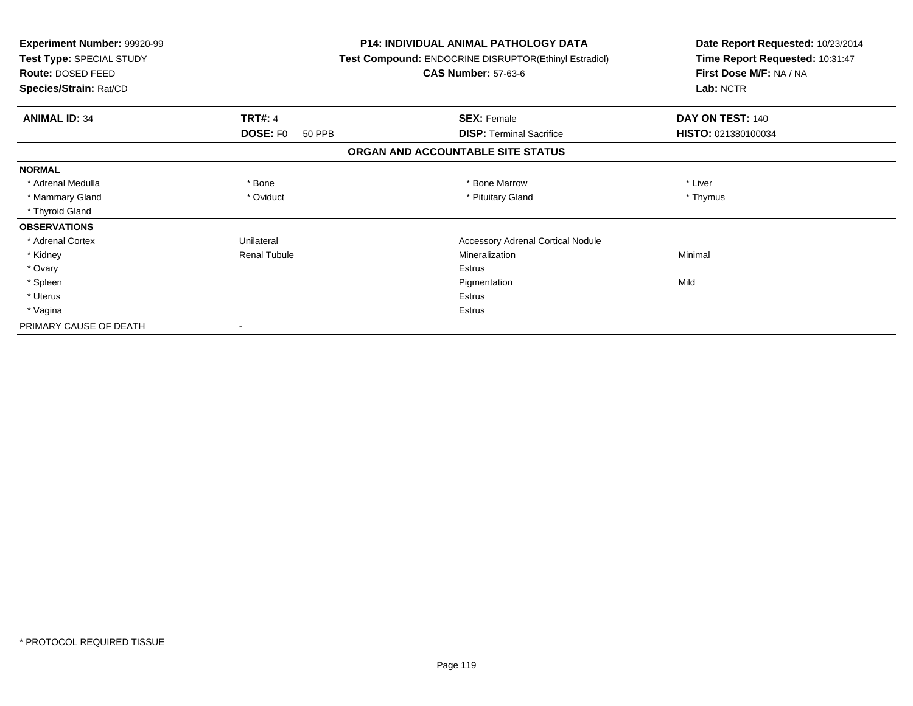| Experiment Number: 99920-99<br>Test Type: SPECIAL STUDY<br>Route: DOSED FEED |                                       | <b>P14: INDIVIDUAL ANIMAL PATHOLOGY DATA</b><br>Test Compound: ENDOCRINE DISRUPTOR(Ethinyl Estradiol)<br><b>CAS Number: 57-63-6</b> | Date Report Requested: 10/23/2014<br>Time Report Requested: 10:31:47<br>First Dose M/F: NA / NA |
|------------------------------------------------------------------------------|---------------------------------------|-------------------------------------------------------------------------------------------------------------------------------------|-------------------------------------------------------------------------------------------------|
| Species/Strain: Rat/CD                                                       |                                       |                                                                                                                                     | Lab: NCTR                                                                                       |
| <b>ANIMAL ID: 34</b>                                                         | <b>TRT#: 4</b>                        | <b>SEX: Female</b>                                                                                                                  | DAY ON TEST: 140                                                                                |
|                                                                              | DOSE: F <sub>0</sub><br><b>50 PPB</b> | <b>DISP: Terminal Sacrifice</b>                                                                                                     | HISTO: 021380100034                                                                             |
|                                                                              |                                       | ORGAN AND ACCOUNTABLE SITE STATUS                                                                                                   |                                                                                                 |
| <b>NORMAL</b>                                                                |                                       |                                                                                                                                     |                                                                                                 |
| * Adrenal Medulla                                                            | * Bone                                | * Bone Marrow                                                                                                                       | * Liver                                                                                         |
| * Mammary Gland                                                              | * Oviduct                             | * Pituitary Gland                                                                                                                   | * Thymus                                                                                        |
| * Thyroid Gland                                                              |                                       |                                                                                                                                     |                                                                                                 |
| <b>OBSERVATIONS</b>                                                          |                                       |                                                                                                                                     |                                                                                                 |
| * Adrenal Cortex                                                             | Unilateral                            | <b>Accessory Adrenal Cortical Nodule</b>                                                                                            |                                                                                                 |
| * Kidney                                                                     | <b>Renal Tubule</b>                   | Mineralization                                                                                                                      | Minimal                                                                                         |
| * Ovary                                                                      |                                       | Estrus                                                                                                                              |                                                                                                 |
| * Spleen                                                                     |                                       | Pigmentation                                                                                                                        | Mild                                                                                            |
| * Uterus                                                                     |                                       | Estrus                                                                                                                              |                                                                                                 |
| * Vagina                                                                     |                                       | <b>Estrus</b>                                                                                                                       |                                                                                                 |
| PRIMARY CAUSE OF DEATH                                                       |                                       |                                                                                                                                     |                                                                                                 |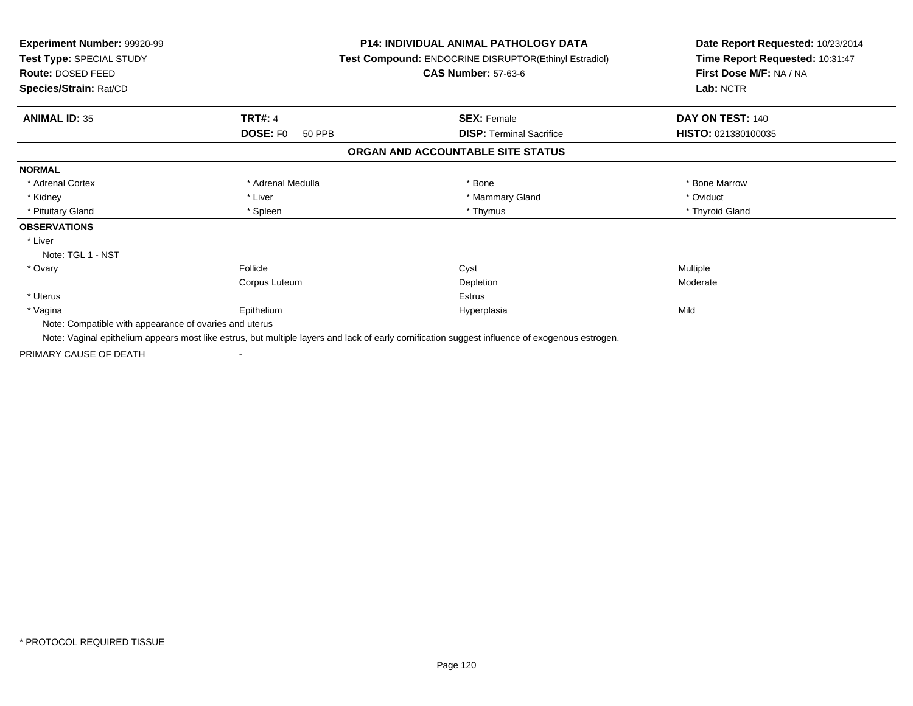| Experiment Number: 99920-99<br>Test Type: SPECIAL STUDY<br><b>Route: DOSED FEED</b><br>Species/Strain: Rat/CD |                                | <b>P14: INDIVIDUAL ANIMAL PATHOLOGY DATA</b><br><b>Test Compound: ENDOCRINE DISRUPTOR(Ethinyl Estradiol)</b><br><b>CAS Number: 57-63-6</b>      | Date Report Requested: 10/23/2014<br>Time Report Requested: 10:31:47<br>First Dose M/F: NA / NA<br>Lab: NCTR |
|---------------------------------------------------------------------------------------------------------------|--------------------------------|-------------------------------------------------------------------------------------------------------------------------------------------------|--------------------------------------------------------------------------------------------------------------|
| <b>ANIMAL ID: 35</b>                                                                                          | <b>TRT#: 4</b>                 | <b>SEX: Female</b>                                                                                                                              | DAY ON TEST: 140                                                                                             |
|                                                                                                               | DOSE: F <sub>0</sub><br>50 PPB | <b>DISP:</b> Terminal Sacrifice                                                                                                                 | HISTO: 021380100035                                                                                          |
|                                                                                                               |                                | ORGAN AND ACCOUNTABLE SITE STATUS                                                                                                               |                                                                                                              |
| <b>NORMAL</b>                                                                                                 |                                |                                                                                                                                                 |                                                                                                              |
| * Adrenal Cortex                                                                                              | * Adrenal Medulla              | * Bone                                                                                                                                          | * Bone Marrow                                                                                                |
| * Kidney                                                                                                      | * Liver                        | * Mammary Gland                                                                                                                                 | * Oviduct                                                                                                    |
| * Pituitary Gland                                                                                             | * Spleen                       | * Thymus                                                                                                                                        | * Thyroid Gland                                                                                              |
| <b>OBSERVATIONS</b>                                                                                           |                                |                                                                                                                                                 |                                                                                                              |
| * Liver                                                                                                       |                                |                                                                                                                                                 |                                                                                                              |
| Note: TGL 1 - NST                                                                                             |                                |                                                                                                                                                 |                                                                                                              |
| * Ovary                                                                                                       | Follicle                       | Cyst                                                                                                                                            | Multiple                                                                                                     |
|                                                                                                               | Corpus Luteum                  | Depletion                                                                                                                                       | Moderate                                                                                                     |
| * Uterus                                                                                                      |                                | Estrus                                                                                                                                          |                                                                                                              |
| * Vagina                                                                                                      | Epithelium                     | Hyperplasia                                                                                                                                     | Mild                                                                                                         |
| Note: Compatible with appearance of ovaries and uterus                                                        |                                |                                                                                                                                                 |                                                                                                              |
|                                                                                                               |                                | Note: Vaginal epithelium appears most like estrus, but multiple layers and lack of early cornification suggest influence of exogenous estrogen. |                                                                                                              |
| PRIMARY CAUSE OF DEATH                                                                                        |                                |                                                                                                                                                 |                                                                                                              |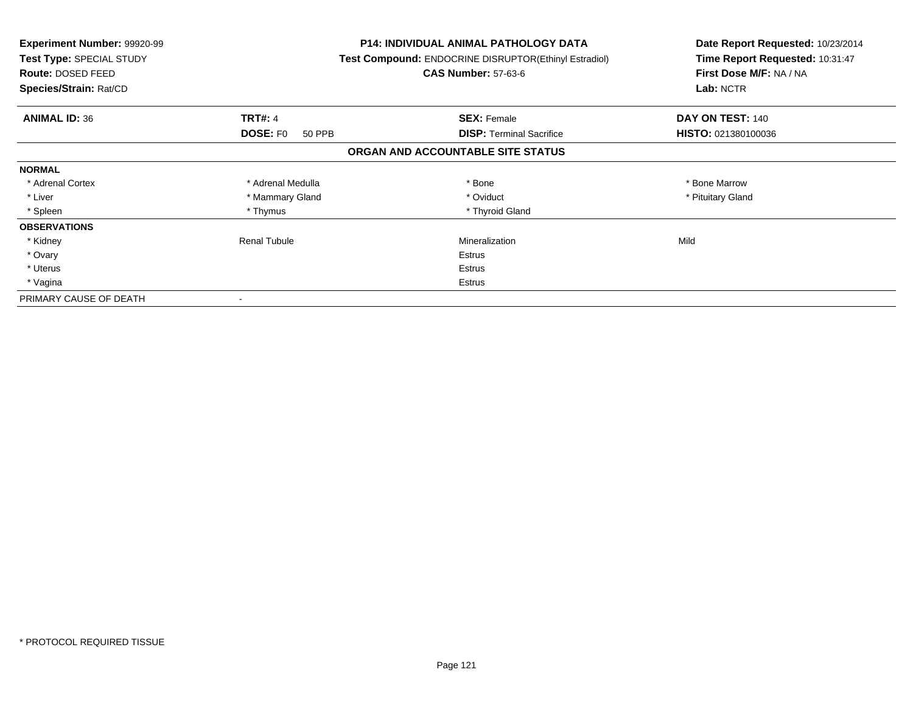| <b>Experiment Number: 99920-99</b><br>Test Type: SPECIAL STUDY<br>Route: DOSED FEED<br>Species/Strain: Rat/CD |                           | <b>P14: INDIVIDUAL ANIMAL PATHOLOGY DATA</b><br>Test Compound: ENDOCRINE DISRUPTOR(Ethinyl Estradiol)<br><b>CAS Number: 57-63-6</b> | Date Report Requested: 10/23/2014<br>Time Report Requested: 10:31:47<br>First Dose M/F: NA / NA<br>Lab: NCTR |
|---------------------------------------------------------------------------------------------------------------|---------------------------|-------------------------------------------------------------------------------------------------------------------------------------|--------------------------------------------------------------------------------------------------------------|
| <b>ANIMAL ID: 36</b>                                                                                          | <b>TRT#: 4</b>            | <b>SEX: Female</b>                                                                                                                  | DAY ON TEST: 140                                                                                             |
|                                                                                                               | <b>DOSE: FO</b><br>50 PPB | <b>DISP:</b> Terminal Sacrifice                                                                                                     | HISTO: 021380100036                                                                                          |
|                                                                                                               |                           | ORGAN AND ACCOUNTABLE SITE STATUS                                                                                                   |                                                                                                              |
| <b>NORMAL</b>                                                                                                 |                           |                                                                                                                                     |                                                                                                              |
| * Adrenal Cortex                                                                                              | * Adrenal Medulla         | * Bone                                                                                                                              | * Bone Marrow                                                                                                |
| * Liver                                                                                                       | * Mammary Gland           | * Oviduct                                                                                                                           | * Pituitary Gland                                                                                            |
| * Spleen                                                                                                      | * Thymus                  | * Thyroid Gland                                                                                                                     |                                                                                                              |
| <b>OBSERVATIONS</b>                                                                                           |                           |                                                                                                                                     |                                                                                                              |
| * Kidney                                                                                                      | Renal Tubule              | Mineralization                                                                                                                      | Mild                                                                                                         |
| * Ovary                                                                                                       |                           | Estrus                                                                                                                              |                                                                                                              |
| * Uterus                                                                                                      |                           | Estrus                                                                                                                              |                                                                                                              |
| * Vagina                                                                                                      |                           | Estrus                                                                                                                              |                                                                                                              |
| PRIMARY CAUSE OF DEATH                                                                                        |                           |                                                                                                                                     |                                                                                                              |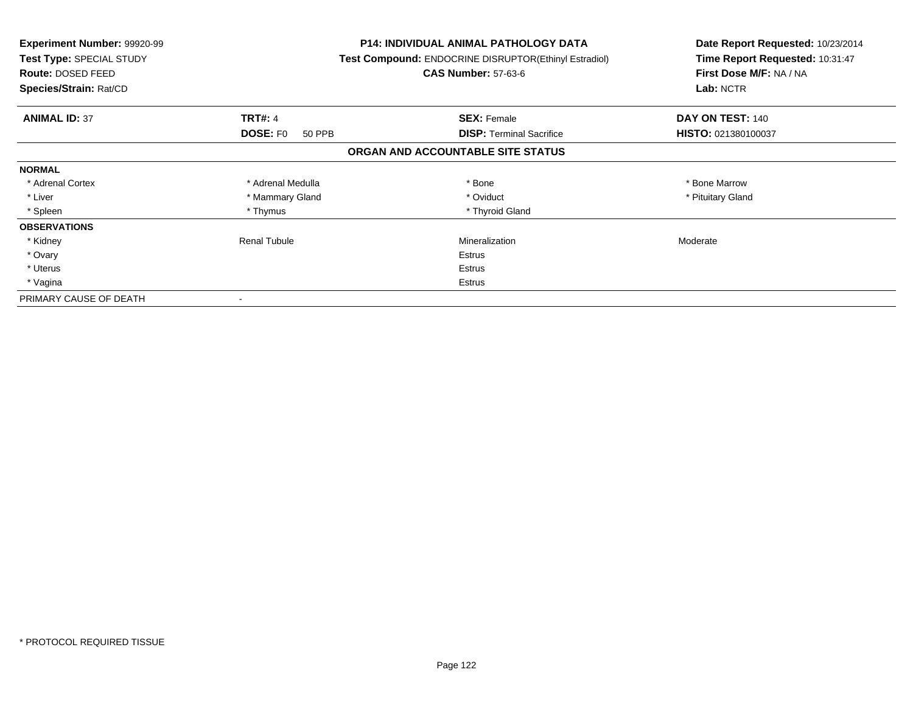| Experiment Number: 99920-99<br><b>Test Type: SPECIAL STUDY</b><br>Route: DOSED FEED<br>Species/Strain: Rat/CD |                           | <b>P14: INDIVIDUAL ANIMAL PATHOLOGY DATA</b><br>Test Compound: ENDOCRINE DISRUPTOR(Ethinyl Estradiol)<br><b>CAS Number: 57-63-6</b> | Date Report Requested: 10/23/2014<br>Time Report Requested: 10:31:47<br>First Dose M/F: NA / NA<br>Lab: NCTR |
|---------------------------------------------------------------------------------------------------------------|---------------------------|-------------------------------------------------------------------------------------------------------------------------------------|--------------------------------------------------------------------------------------------------------------|
| <b>ANIMAL ID: 37</b>                                                                                          | <b>TRT#: 4</b>            | <b>SEX: Female</b>                                                                                                                  | DAY ON TEST: 140                                                                                             |
|                                                                                                               | <b>DOSE: FO</b><br>50 PPB | <b>DISP: Terminal Sacrifice</b>                                                                                                     | HISTO: 021380100037                                                                                          |
|                                                                                                               |                           | ORGAN AND ACCOUNTABLE SITE STATUS                                                                                                   |                                                                                                              |
| <b>NORMAL</b>                                                                                                 |                           |                                                                                                                                     |                                                                                                              |
| * Adrenal Cortex                                                                                              | * Adrenal Medulla         | * Bone                                                                                                                              | * Bone Marrow                                                                                                |
| * Liver                                                                                                       | * Mammary Gland           | * Oviduct                                                                                                                           | * Pituitary Gland                                                                                            |
| * Spleen                                                                                                      | * Thymus                  | * Thyroid Gland                                                                                                                     |                                                                                                              |
| <b>OBSERVATIONS</b>                                                                                           |                           |                                                                                                                                     |                                                                                                              |
| * Kidney                                                                                                      | <b>Renal Tubule</b>       | Mineralization                                                                                                                      | Moderate                                                                                                     |
| * Ovary                                                                                                       |                           | <b>Estrus</b>                                                                                                                       |                                                                                                              |
| * Uterus                                                                                                      |                           | Estrus                                                                                                                              |                                                                                                              |
| * Vagina                                                                                                      |                           | Estrus                                                                                                                              |                                                                                                              |
| PRIMARY CAUSE OF DEATH                                                                                        |                           |                                                                                                                                     |                                                                                                              |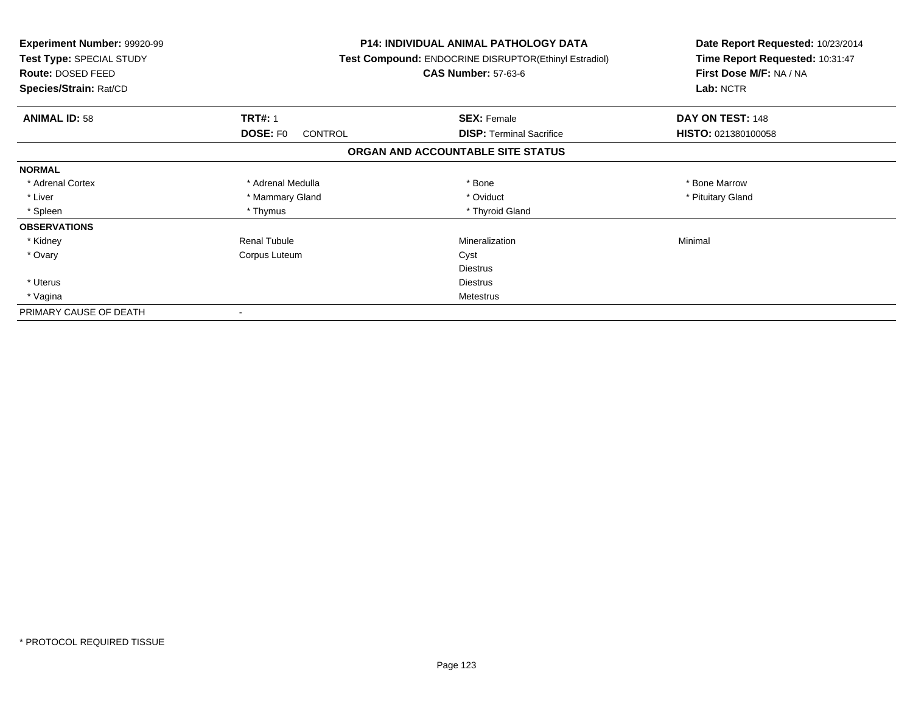| <b>Experiment Number: 99920-99</b><br>Test Type: SPECIAL STUDY<br>Route: DOSED FEED<br>Species/Strain: Rat/CD |                            | <b>P14: INDIVIDUAL ANIMAL PATHOLOGY DATA</b><br><b>Test Compound: ENDOCRINE DISRUPTOR(Ethinyl Estradiol)</b><br><b>CAS Number: 57-63-6</b> | Date Report Requested: 10/23/2014<br>Time Report Requested: 10:31:47<br>First Dose M/F: NA / NA<br>Lab: NCTR |
|---------------------------------------------------------------------------------------------------------------|----------------------------|--------------------------------------------------------------------------------------------------------------------------------------------|--------------------------------------------------------------------------------------------------------------|
| <b>ANIMAL ID: 58</b>                                                                                          | <b>TRT#: 1</b>             | <b>SEX: Female</b>                                                                                                                         | DAY ON TEST: 148                                                                                             |
|                                                                                                               | DOSE: F0<br><b>CONTROL</b> | <b>DISP:</b> Terminal Sacrifice                                                                                                            | HISTO: 021380100058                                                                                          |
|                                                                                                               |                            | ORGAN AND ACCOUNTABLE SITE STATUS                                                                                                          |                                                                                                              |
| <b>NORMAL</b>                                                                                                 |                            |                                                                                                                                            |                                                                                                              |
| * Adrenal Cortex                                                                                              | * Adrenal Medulla          | * Bone                                                                                                                                     | * Bone Marrow                                                                                                |
| * Liver                                                                                                       | * Mammary Gland            | * Oviduct                                                                                                                                  | * Pituitary Gland                                                                                            |
| * Spleen                                                                                                      | * Thymus                   | * Thyroid Gland                                                                                                                            |                                                                                                              |
| <b>OBSERVATIONS</b>                                                                                           |                            |                                                                                                                                            |                                                                                                              |
| * Kidney                                                                                                      | <b>Renal Tubule</b>        | Mineralization                                                                                                                             | Minimal                                                                                                      |
| * Ovary                                                                                                       | Corpus Luteum              | Cyst                                                                                                                                       |                                                                                                              |
|                                                                                                               |                            | <b>Diestrus</b>                                                                                                                            |                                                                                                              |
| * Uterus                                                                                                      |                            | Diestrus                                                                                                                                   |                                                                                                              |
| * Vagina                                                                                                      | Metestrus                  |                                                                                                                                            |                                                                                                              |
| PRIMARY CAUSE OF DEATH                                                                                        |                            |                                                                                                                                            |                                                                                                              |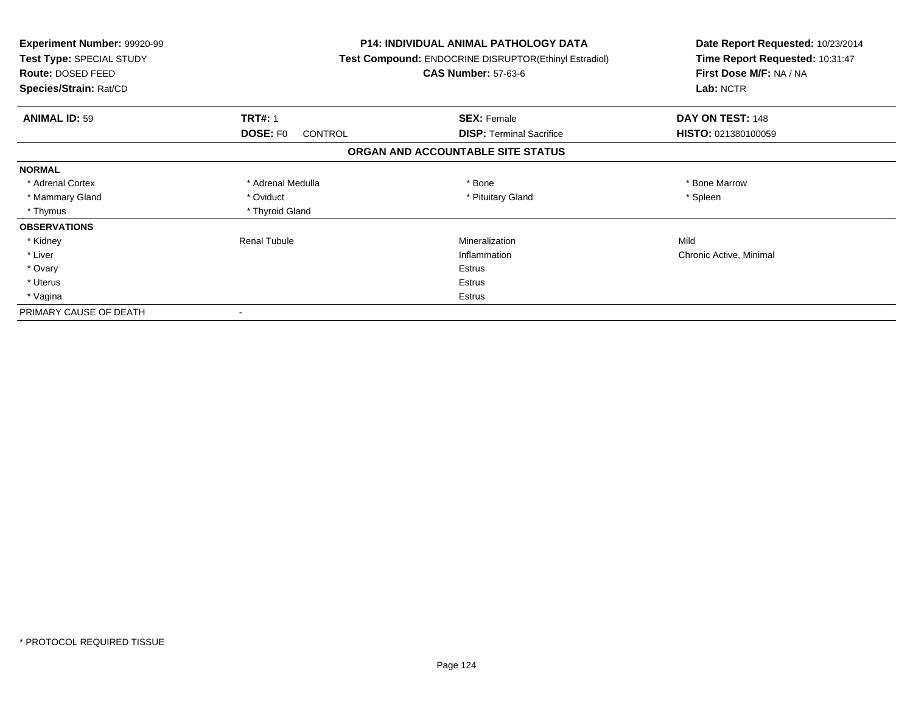| <b>Experiment Number: 99920-99</b><br>Test Type: SPECIAL STUDY<br>Route: DOSED FEED<br>Species/Strain: Rat/CD |                                   | <b>P14: INDIVIDUAL ANIMAL PATHOLOGY DATA</b><br>Test Compound: ENDOCRINE DISRUPTOR(Ethinyl Estradiol)<br><b>CAS Number: 57-63-6</b> | Date Report Requested: 10/23/2014<br>Time Report Requested: 10:31:47<br>First Dose M/F: NA / NA<br>Lab: NCTR |
|---------------------------------------------------------------------------------------------------------------|-----------------------------------|-------------------------------------------------------------------------------------------------------------------------------------|--------------------------------------------------------------------------------------------------------------|
| <b>ANIMAL ID: 59</b>                                                                                          | <b>TRT#: 1</b>                    | <b>SEX: Female</b>                                                                                                                  | DAY ON TEST: 148                                                                                             |
|                                                                                                               | <b>DOSE: FO</b><br><b>CONTROL</b> | <b>DISP:</b> Terminal Sacrifice                                                                                                     | <b>HISTO: 021380100059</b>                                                                                   |
|                                                                                                               |                                   | ORGAN AND ACCOUNTABLE SITE STATUS                                                                                                   |                                                                                                              |
| <b>NORMAL</b>                                                                                                 |                                   |                                                                                                                                     |                                                                                                              |
| * Adrenal Cortex                                                                                              | * Adrenal Medulla                 | * Bone                                                                                                                              | * Bone Marrow                                                                                                |
| * Mammary Gland                                                                                               | * Oviduct                         | * Pituitary Gland                                                                                                                   | * Spleen                                                                                                     |
| * Thymus                                                                                                      | * Thyroid Gland                   |                                                                                                                                     |                                                                                                              |
| <b>OBSERVATIONS</b>                                                                                           |                                   |                                                                                                                                     |                                                                                                              |
| * Kidney                                                                                                      | <b>Renal Tubule</b>               | Mineralization                                                                                                                      | Mild                                                                                                         |
| * Liver                                                                                                       |                                   | Inflammation                                                                                                                        | Chronic Active, Minimal                                                                                      |
| * Ovary                                                                                                       |                                   | <b>Estrus</b>                                                                                                                       |                                                                                                              |
| * Uterus                                                                                                      |                                   | <b>Estrus</b>                                                                                                                       |                                                                                                              |
| * Vagina                                                                                                      |                                   | Estrus                                                                                                                              |                                                                                                              |
| PRIMARY CAUSE OF DEATH                                                                                        |                                   |                                                                                                                                     |                                                                                                              |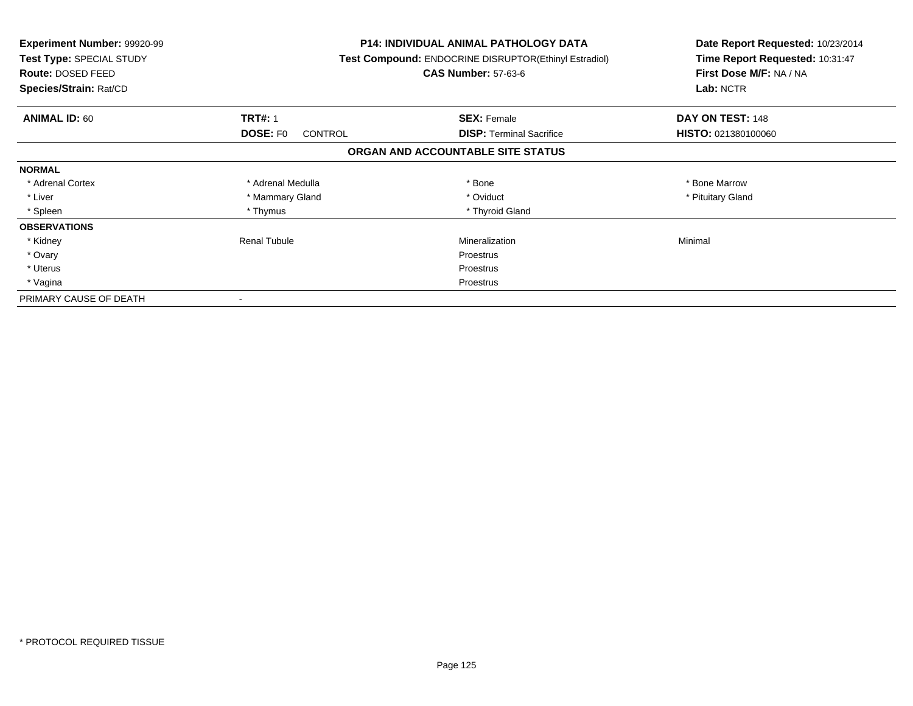| <b>Experiment Number: 99920-99</b><br>Test Type: SPECIAL STUDY<br><b>Route: DOSED FEED</b><br>Species/Strain: Rat/CD |                                   | P14: INDIVIDUAL ANIMAL PATHOLOGY DATA<br>Test Compound: ENDOCRINE DISRUPTOR(Ethinyl Estradiol)<br><b>CAS Number: 57-63-6</b> | Date Report Requested: 10/23/2014<br>Time Report Requested: 10:31:47<br>First Dose M/F: NA / NA<br>Lab: NCTR |
|----------------------------------------------------------------------------------------------------------------------|-----------------------------------|------------------------------------------------------------------------------------------------------------------------------|--------------------------------------------------------------------------------------------------------------|
| <b>ANIMAL ID: 60</b>                                                                                                 | <b>TRT#: 1</b>                    | <b>SEX: Female</b>                                                                                                           | DAY ON TEST: 148                                                                                             |
|                                                                                                                      | <b>DOSE: FO</b><br><b>CONTROL</b> | <b>DISP:</b> Terminal Sacrifice                                                                                              | HISTO: 021380100060                                                                                          |
|                                                                                                                      |                                   | ORGAN AND ACCOUNTABLE SITE STATUS                                                                                            |                                                                                                              |
| <b>NORMAL</b>                                                                                                        |                                   |                                                                                                                              |                                                                                                              |
| * Adrenal Cortex                                                                                                     | * Adrenal Medulla                 | * Bone                                                                                                                       | * Bone Marrow                                                                                                |
| * Liver                                                                                                              | * Mammary Gland                   | * Oviduct                                                                                                                    | * Pituitary Gland                                                                                            |
| * Spleen                                                                                                             | * Thymus                          | * Thyroid Gland                                                                                                              |                                                                                                              |
| <b>OBSERVATIONS</b>                                                                                                  |                                   |                                                                                                                              |                                                                                                              |
| * Kidney                                                                                                             | <b>Renal Tubule</b>               | Mineralization                                                                                                               | Minimal                                                                                                      |
| * Ovary                                                                                                              |                                   | Proestrus                                                                                                                    |                                                                                                              |
| * Uterus                                                                                                             |                                   | Proestrus                                                                                                                    |                                                                                                              |
| * Vagina                                                                                                             |                                   | Proestrus                                                                                                                    |                                                                                                              |
| PRIMARY CAUSE OF DEATH                                                                                               |                                   |                                                                                                                              |                                                                                                              |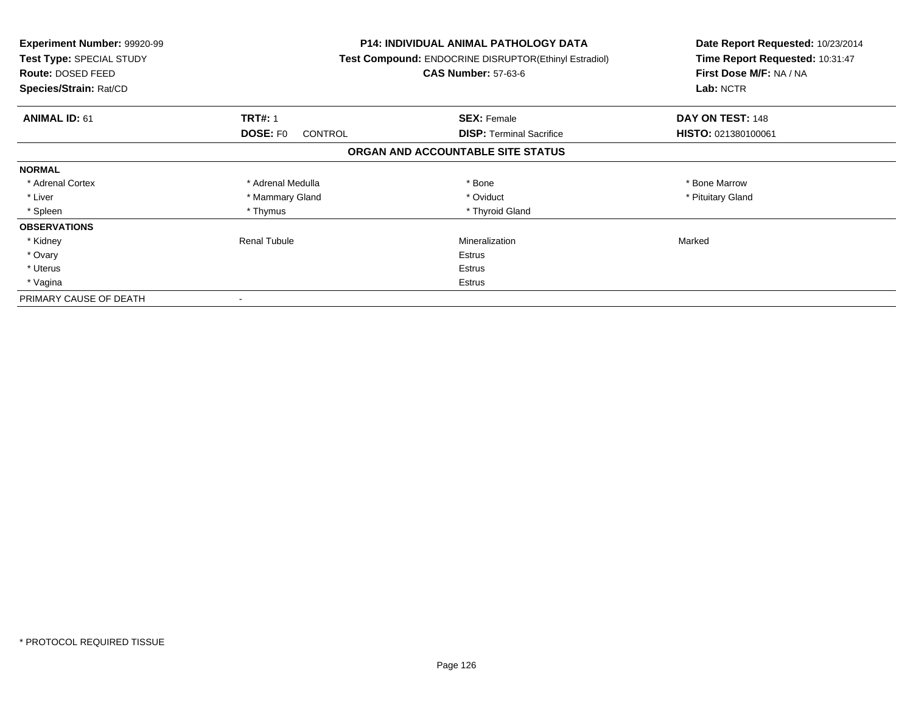| <b>Experiment Number: 99920-99</b><br>Test Type: SPECIAL STUDY<br>Route: DOSED FEED<br>Species/Strain: Rat/CD |                                   | P14: INDIVIDUAL ANIMAL PATHOLOGY DATA<br>Test Compound: ENDOCRINE DISRUPTOR(Ethinyl Estradiol)<br><b>CAS Number: 57-63-6</b> | Date Report Requested: 10/23/2014<br>Time Report Requested: 10:31:47<br>First Dose M/F: NA / NA<br>Lab: NCTR |
|---------------------------------------------------------------------------------------------------------------|-----------------------------------|------------------------------------------------------------------------------------------------------------------------------|--------------------------------------------------------------------------------------------------------------|
| <b>ANIMAL ID: 61</b>                                                                                          | <b>TRT#: 1</b>                    | <b>SEX: Female</b>                                                                                                           | DAY ON TEST: 148                                                                                             |
|                                                                                                               | <b>DOSE: FO</b><br><b>CONTROL</b> | <b>DISP:</b> Terminal Sacrifice                                                                                              | HISTO: 021380100061                                                                                          |
|                                                                                                               |                                   | ORGAN AND ACCOUNTABLE SITE STATUS                                                                                            |                                                                                                              |
| <b>NORMAL</b>                                                                                                 |                                   |                                                                                                                              |                                                                                                              |
| * Adrenal Cortex                                                                                              | * Adrenal Medulla                 | * Bone                                                                                                                       | * Bone Marrow                                                                                                |
| * Liver                                                                                                       | * Mammary Gland                   | * Oviduct                                                                                                                    | * Pituitary Gland                                                                                            |
| * Spleen                                                                                                      | * Thymus                          | * Thyroid Gland                                                                                                              |                                                                                                              |
| <b>OBSERVATIONS</b>                                                                                           |                                   |                                                                                                                              |                                                                                                              |
| * Kidney                                                                                                      | <b>Renal Tubule</b>               | Mineralization                                                                                                               | Marked                                                                                                       |
| * Ovary                                                                                                       |                                   | Estrus                                                                                                                       |                                                                                                              |
| * Uterus                                                                                                      |                                   | Estrus                                                                                                                       |                                                                                                              |
| * Vagina                                                                                                      |                                   | Estrus                                                                                                                       |                                                                                                              |
| PRIMARY CAUSE OF DEATH                                                                                        |                                   |                                                                                                                              |                                                                                                              |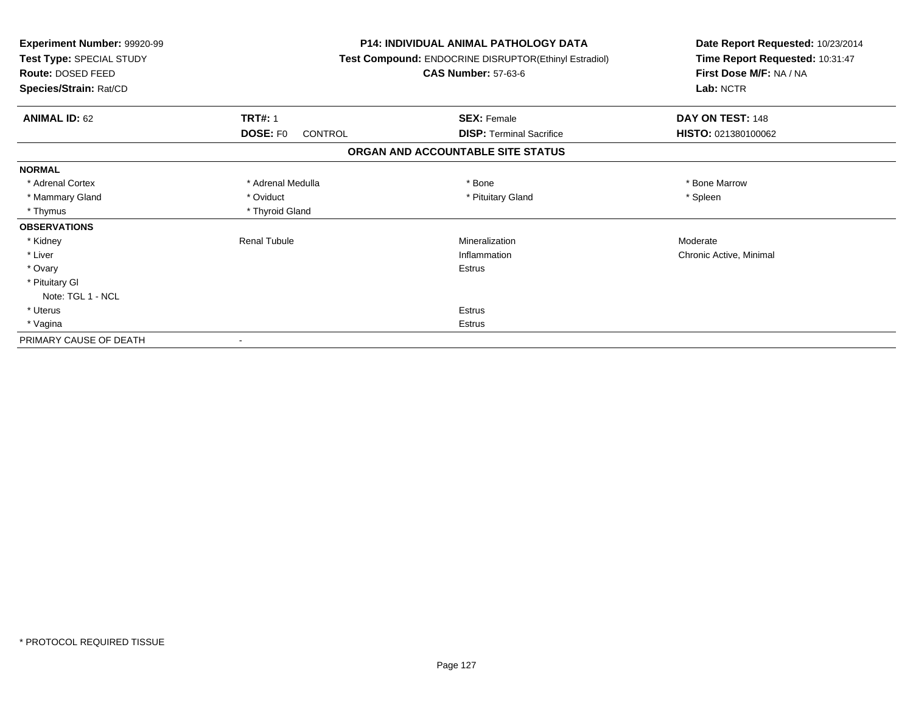| <b>Experiment Number: 99920-99</b><br>Test Type: SPECIAL STUDY<br><b>Route: DOSED FEED</b><br>Species/Strain: Rat/CD |                                   | P14: INDIVIDUAL ANIMAL PATHOLOGY DATA<br>Test Compound: ENDOCRINE DISRUPTOR(Ethinyl Estradiol)<br><b>CAS Number: 57-63-6</b> | Date Report Requested: 10/23/2014<br>Time Report Requested: 10:31:47<br>First Dose M/F: NA / NA<br>Lab: NCTR |
|----------------------------------------------------------------------------------------------------------------------|-----------------------------------|------------------------------------------------------------------------------------------------------------------------------|--------------------------------------------------------------------------------------------------------------|
| <b>ANIMAL ID: 62</b>                                                                                                 | <b>TRT#: 1</b>                    | <b>SEX: Female</b>                                                                                                           | DAY ON TEST: 148                                                                                             |
|                                                                                                                      | <b>DOSE: FO</b><br><b>CONTROL</b> | <b>DISP: Terminal Sacrifice</b>                                                                                              | HISTO: 021380100062                                                                                          |
|                                                                                                                      |                                   | ORGAN AND ACCOUNTABLE SITE STATUS                                                                                            |                                                                                                              |
| <b>NORMAL</b>                                                                                                        |                                   |                                                                                                                              |                                                                                                              |
| * Adrenal Cortex                                                                                                     | * Adrenal Medulla                 | * Bone                                                                                                                       | * Bone Marrow                                                                                                |
| * Mammary Gland                                                                                                      | * Oviduct                         | * Pituitary Gland                                                                                                            | * Spleen                                                                                                     |
| * Thymus                                                                                                             | * Thyroid Gland                   |                                                                                                                              |                                                                                                              |
| <b>OBSERVATIONS</b>                                                                                                  |                                   |                                                                                                                              |                                                                                                              |
| * Kidney                                                                                                             | <b>Renal Tubule</b>               | Mineralization                                                                                                               | Moderate                                                                                                     |
| * Liver                                                                                                              |                                   | Inflammation                                                                                                                 | Chronic Active, Minimal                                                                                      |
| * Ovary                                                                                                              |                                   | Estrus                                                                                                                       |                                                                                                              |
| * Pituitary Gl                                                                                                       |                                   |                                                                                                                              |                                                                                                              |
| Note: TGL 1 - NCL                                                                                                    |                                   |                                                                                                                              |                                                                                                              |
| * Uterus                                                                                                             |                                   | Estrus                                                                                                                       |                                                                                                              |
| * Vagina                                                                                                             |                                   | Estrus                                                                                                                       |                                                                                                              |
| PRIMARY CAUSE OF DEATH                                                                                               |                                   |                                                                                                                              |                                                                                                              |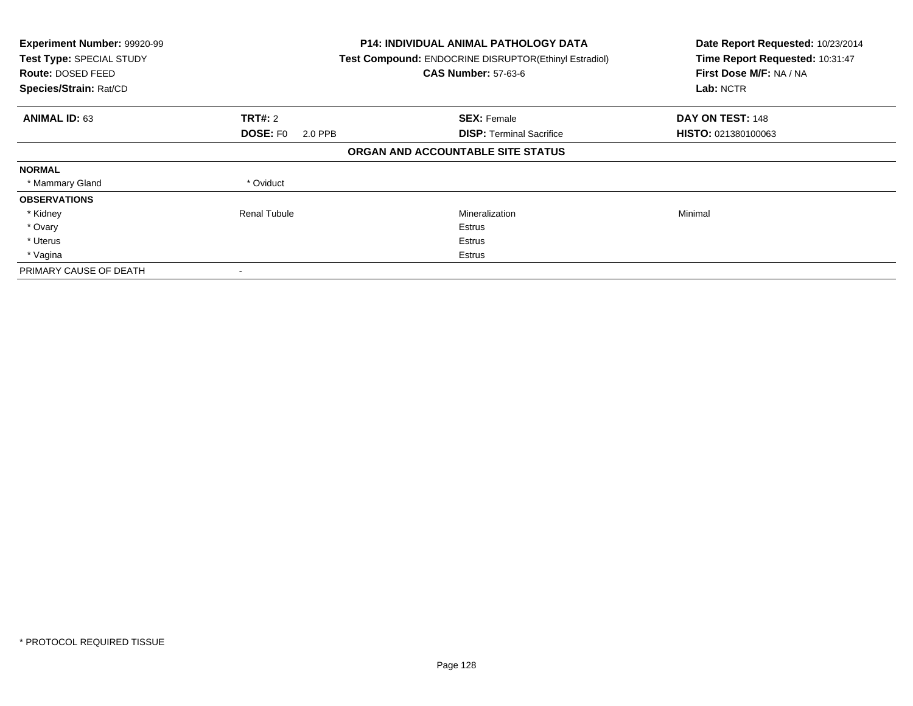| Experiment Number: 99920-99<br>Test Type: SPECIAL STUDY<br>Route: DOSED FEED<br>Species/Strain: Rat/CD |                            | <b>P14: INDIVIDUAL ANIMAL PATHOLOGY DATA</b><br>Test Compound: ENDOCRINE DISRUPTOR(Ethinyl Estradiol)<br><b>CAS Number: 57-63-6</b> | Date Report Requested: 10/23/2014<br>Time Report Requested: 10:31:47<br>First Dose M/F: NA / NA<br>Lab: NCTR |
|--------------------------------------------------------------------------------------------------------|----------------------------|-------------------------------------------------------------------------------------------------------------------------------------|--------------------------------------------------------------------------------------------------------------|
| <b>ANIMAL ID: 63</b>                                                                                   | <b>TRT#: 2</b>             | <b>SEX: Female</b>                                                                                                                  | DAY ON TEST: 148                                                                                             |
|                                                                                                        | <b>DOSE: FO</b><br>2.0 PPB | <b>DISP:</b> Terminal Sacrifice                                                                                                     | HISTO: 021380100063                                                                                          |
|                                                                                                        |                            | ORGAN AND ACCOUNTABLE SITE STATUS                                                                                                   |                                                                                                              |
| <b>NORMAL</b>                                                                                          |                            |                                                                                                                                     |                                                                                                              |
| * Mammary Gland                                                                                        | * Oviduct                  |                                                                                                                                     |                                                                                                              |
| <b>OBSERVATIONS</b>                                                                                    |                            |                                                                                                                                     |                                                                                                              |
| * Kidney                                                                                               | <b>Renal Tubule</b>        | Mineralization                                                                                                                      | Minimal                                                                                                      |
| * Ovary                                                                                                |                            | Estrus                                                                                                                              |                                                                                                              |
| * Uterus                                                                                               |                            | Estrus                                                                                                                              |                                                                                                              |
| * Vagina                                                                                               |                            | Estrus                                                                                                                              |                                                                                                              |
| PRIMARY CAUSE OF DEATH                                                                                 |                            |                                                                                                                                     |                                                                                                              |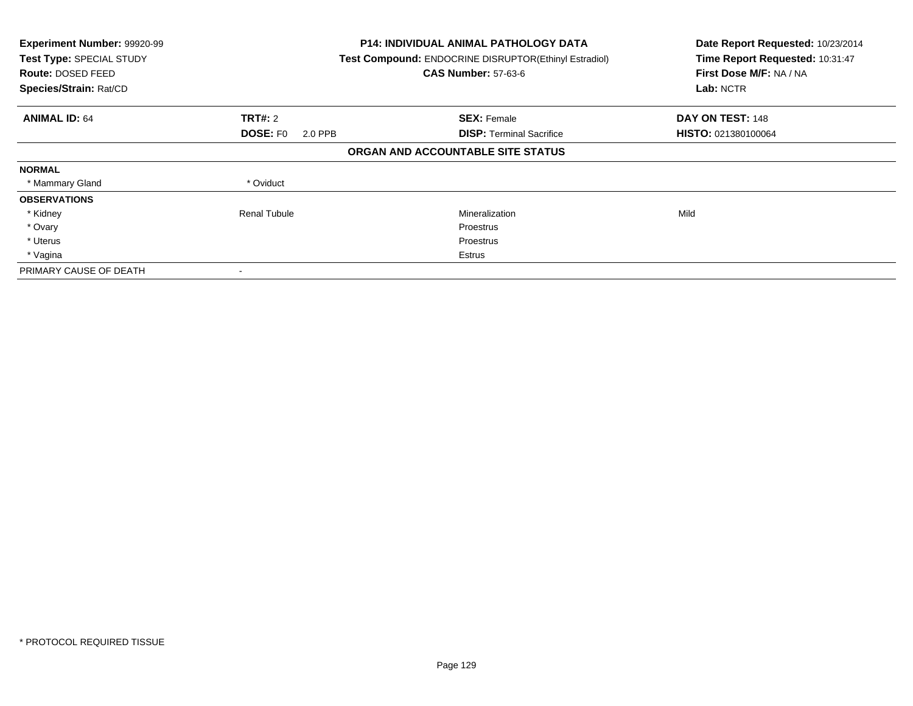| Experiment Number: 99920-99<br>Test Type: SPECIAL STUDY<br>Route: DOSED FEED<br>Species/Strain: Rat/CD |                            | <b>P14: INDIVIDUAL ANIMAL PATHOLOGY DATA</b><br>Test Compound: ENDOCRINE DISRUPTOR(Ethinyl Estradiol)<br><b>CAS Number: 57-63-6</b> | Date Report Requested: 10/23/2014<br>Time Report Requested: 10:31:47<br>First Dose M/F: NA / NA<br>Lab: NCTR |
|--------------------------------------------------------------------------------------------------------|----------------------------|-------------------------------------------------------------------------------------------------------------------------------------|--------------------------------------------------------------------------------------------------------------|
| <b>ANIMAL ID: 64</b>                                                                                   | <b>TRT#: 2</b>             | <b>SEX: Female</b>                                                                                                                  | DAY ON TEST: 148                                                                                             |
|                                                                                                        | <b>DOSE: FO</b><br>2.0 PPB | <b>DISP:</b> Terminal Sacrifice                                                                                                     | HISTO: 021380100064                                                                                          |
|                                                                                                        |                            | ORGAN AND ACCOUNTABLE SITE STATUS                                                                                                   |                                                                                                              |
| <b>NORMAL</b>                                                                                          |                            |                                                                                                                                     |                                                                                                              |
| * Mammary Gland                                                                                        | * Oviduct                  |                                                                                                                                     |                                                                                                              |
| <b>OBSERVATIONS</b>                                                                                    |                            |                                                                                                                                     |                                                                                                              |
| * Kidney                                                                                               | <b>Renal Tubule</b>        | Mineralization                                                                                                                      | Mild                                                                                                         |
| * Ovary                                                                                                |                            | Proestrus                                                                                                                           |                                                                                                              |
| * Uterus                                                                                               |                            | Proestrus                                                                                                                           |                                                                                                              |
| * Vagina                                                                                               |                            | Estrus                                                                                                                              |                                                                                                              |
| PRIMARY CAUSE OF DEATH                                                                                 |                            |                                                                                                                                     |                                                                                                              |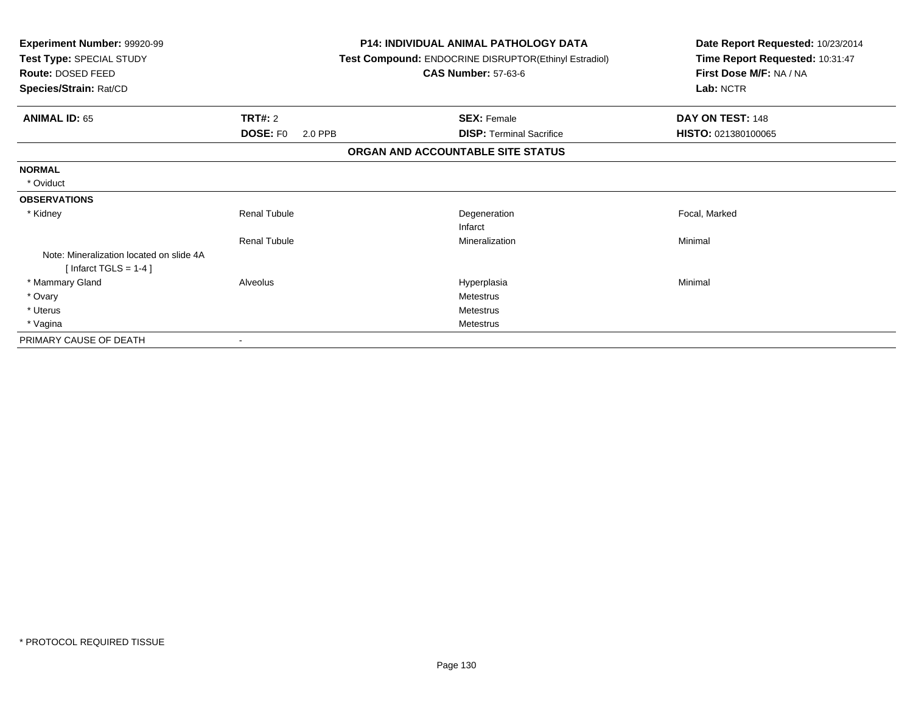| <b>Experiment Number: 99920-99</b><br>Test Type: SPECIAL STUDY<br>Route: DOSED FEED<br>Species/Strain: Rat/CD |                            | <b>P14: INDIVIDUAL ANIMAL PATHOLOGY DATA</b><br><b>Test Compound: ENDOCRINE DISRUPTOR(Ethinyl Estradiol)</b><br><b>CAS Number: 57-63-6</b> | Date Report Requested: 10/23/2014<br>Time Report Requested: 10:31:47<br>First Dose M/F: NA / NA<br>Lab: NCTR |
|---------------------------------------------------------------------------------------------------------------|----------------------------|--------------------------------------------------------------------------------------------------------------------------------------------|--------------------------------------------------------------------------------------------------------------|
| <b>ANIMAL ID: 65</b>                                                                                          | TRT#: 2                    | <b>SEX: Female</b>                                                                                                                         | DAY ON TEST: 148                                                                                             |
|                                                                                                               | <b>DOSE: FO</b><br>2.0 PPB | <b>DISP: Terminal Sacrifice</b>                                                                                                            | HISTO: 021380100065                                                                                          |
|                                                                                                               |                            | ORGAN AND ACCOUNTABLE SITE STATUS                                                                                                          |                                                                                                              |
| <b>NORMAL</b>                                                                                                 |                            |                                                                                                                                            |                                                                                                              |
| * Oviduct                                                                                                     |                            |                                                                                                                                            |                                                                                                              |
| <b>OBSERVATIONS</b>                                                                                           |                            |                                                                                                                                            |                                                                                                              |
| * Kidney                                                                                                      | <b>Renal Tubule</b>        | Degeneration                                                                                                                               | Focal, Marked                                                                                                |
|                                                                                                               |                            | Infarct                                                                                                                                    |                                                                                                              |
|                                                                                                               | <b>Renal Tubule</b>        | Mineralization                                                                                                                             | Minimal                                                                                                      |
| Note: Mineralization located on slide 4A                                                                      |                            |                                                                                                                                            |                                                                                                              |
| [Infarct TGLS = $1-4$ ]                                                                                       |                            |                                                                                                                                            |                                                                                                              |
| * Mammary Gland                                                                                               | Alveolus                   | Hyperplasia                                                                                                                                | Minimal                                                                                                      |
| * Ovary                                                                                                       |                            | <b>Metestrus</b>                                                                                                                           |                                                                                                              |
| * Uterus                                                                                                      |                            | <b>Metestrus</b>                                                                                                                           |                                                                                                              |
| * Vagina                                                                                                      |                            | <b>Metestrus</b>                                                                                                                           |                                                                                                              |
| PRIMARY CAUSE OF DEATH                                                                                        |                            |                                                                                                                                            |                                                                                                              |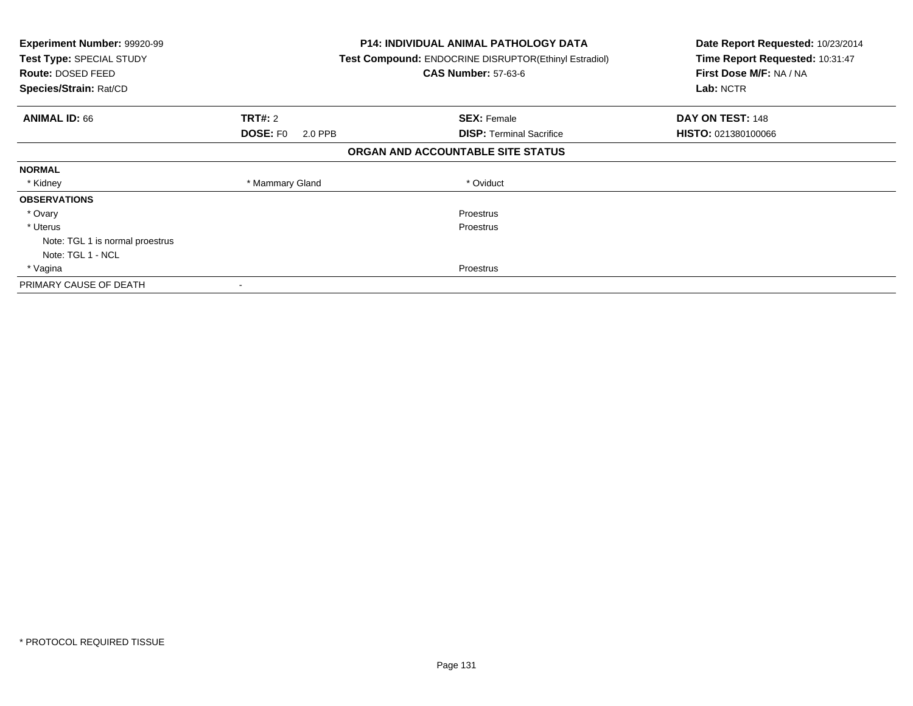| <b>Experiment Number: 99920-99</b><br>Test Type: SPECIAL STUDY<br>Route: DOSED FEED<br>Species/Strain: Rat/CD |                            | <b>P14: INDIVIDUAL ANIMAL PATHOLOGY DATA</b><br><b>Test Compound: ENDOCRINE DISRUPTOR(Ethinyl Estradiol)</b><br><b>CAS Number: 57-63-6</b> | Date Report Requested: 10/23/2014<br>Time Report Requested: 10:31:47<br>First Dose M/F: NA / NA<br>Lab: NCTR |
|---------------------------------------------------------------------------------------------------------------|----------------------------|--------------------------------------------------------------------------------------------------------------------------------------------|--------------------------------------------------------------------------------------------------------------|
| <b>ANIMAL ID: 66</b>                                                                                          | TRT#: 2                    | <b>SEX: Female</b>                                                                                                                         | DAY ON TEST: 148                                                                                             |
|                                                                                                               | <b>DOSE: FO</b><br>2.0 PPB | <b>DISP:</b> Terminal Sacrifice                                                                                                            | <b>HISTO: 021380100066</b>                                                                                   |
|                                                                                                               |                            | ORGAN AND ACCOUNTABLE SITE STATUS                                                                                                          |                                                                                                              |
| <b>NORMAL</b>                                                                                                 |                            |                                                                                                                                            |                                                                                                              |
| * Kidney                                                                                                      | * Mammary Gland            | * Oviduct                                                                                                                                  |                                                                                                              |
| <b>OBSERVATIONS</b>                                                                                           |                            |                                                                                                                                            |                                                                                                              |
| * Ovary                                                                                                       |                            | Proestrus                                                                                                                                  |                                                                                                              |
| * Uterus                                                                                                      |                            | Proestrus                                                                                                                                  |                                                                                                              |
| Note: TGL 1 is normal proestrus                                                                               |                            |                                                                                                                                            |                                                                                                              |
| Note: TGL 1 - NCL                                                                                             |                            |                                                                                                                                            |                                                                                                              |
| * Vagina                                                                                                      |                            | Proestrus                                                                                                                                  |                                                                                                              |
| PRIMARY CAUSE OF DEATH                                                                                        | $\,$                       |                                                                                                                                            |                                                                                                              |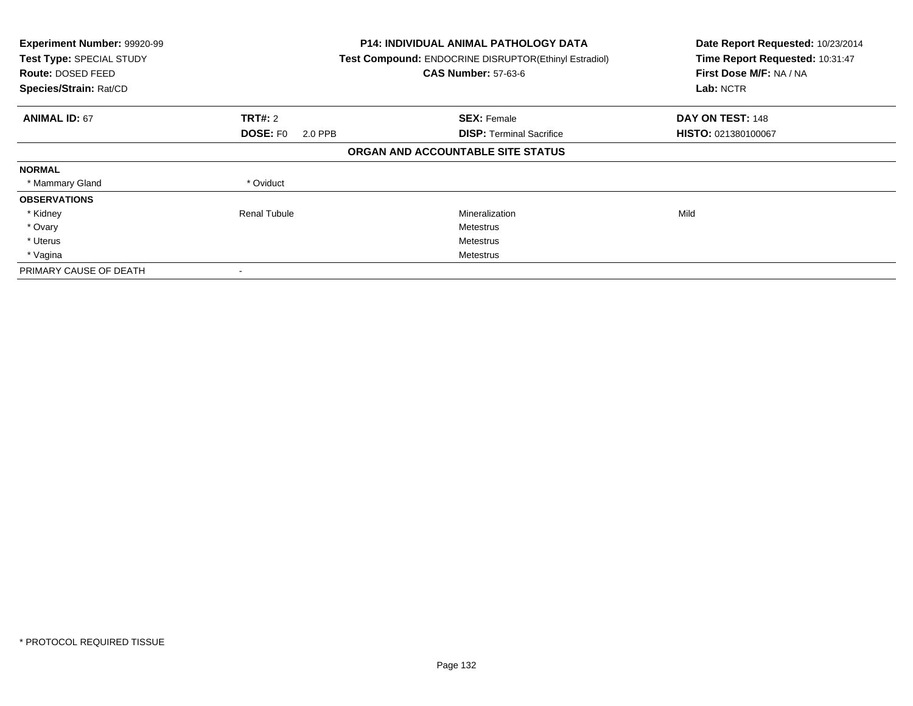| Experiment Number: 99920-99<br>Test Type: SPECIAL STUDY<br>Route: DOSED FEED<br>Species/Strain: Rat/CD |                            | <b>P14: INDIVIDUAL ANIMAL PATHOLOGY DATA</b><br>Test Compound: ENDOCRINE DISRUPTOR(Ethinyl Estradiol)<br><b>CAS Number: 57-63-6</b> | Date Report Requested: 10/23/2014<br>Time Report Requested: 10:31:47<br>First Dose M/F: NA / NA<br>Lab: NCTR |
|--------------------------------------------------------------------------------------------------------|----------------------------|-------------------------------------------------------------------------------------------------------------------------------------|--------------------------------------------------------------------------------------------------------------|
| <b>ANIMAL ID: 67</b>                                                                                   | <b>TRT#: 2</b>             | <b>SEX: Female</b>                                                                                                                  | DAY ON TEST: 148                                                                                             |
|                                                                                                        | <b>DOSE: FO</b><br>2.0 PPB | <b>DISP:</b> Terminal Sacrifice                                                                                                     | HISTO: 021380100067                                                                                          |
|                                                                                                        |                            | ORGAN AND ACCOUNTABLE SITE STATUS                                                                                                   |                                                                                                              |
| <b>NORMAL</b>                                                                                          |                            |                                                                                                                                     |                                                                                                              |
| * Mammary Gland                                                                                        | * Oviduct                  |                                                                                                                                     |                                                                                                              |
| <b>OBSERVATIONS</b>                                                                                    |                            |                                                                                                                                     |                                                                                                              |
| * Kidney                                                                                               | <b>Renal Tubule</b>        | Mineralization                                                                                                                      | Mild                                                                                                         |
| * Ovary                                                                                                |                            | Metestrus                                                                                                                           |                                                                                                              |
| * Uterus                                                                                               |                            | Metestrus                                                                                                                           |                                                                                                              |
| * Vagina                                                                                               |                            | Metestrus                                                                                                                           |                                                                                                              |
| PRIMARY CAUSE OF DEATH                                                                                 |                            |                                                                                                                                     |                                                                                                              |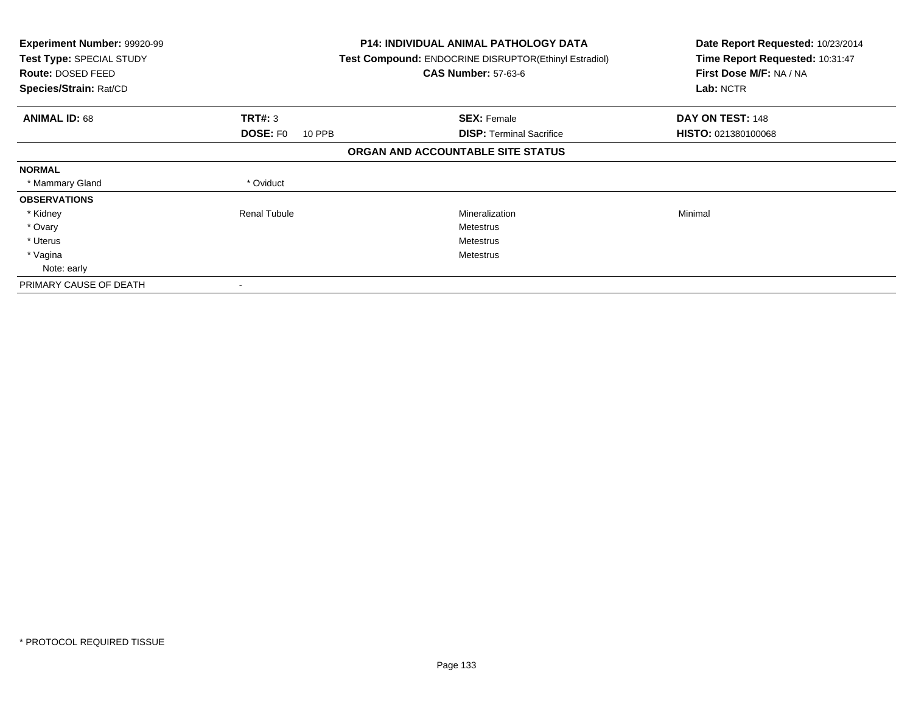| <b>Experiment Number: 99920-99</b><br>Test Type: SPECIAL STUDY<br>Route: DOSED FEED<br>Species/Strain: Rat/CD |                           | <b>P14: INDIVIDUAL ANIMAL PATHOLOGY DATA</b><br><b>Test Compound: ENDOCRINE DISRUPTOR (Ethinyl Estradiol)</b><br><b>CAS Number: 57-63-6</b> | Date Report Requested: 10/23/2014<br>Time Report Requested: 10:31:47<br>First Dose M/F: NA / NA<br>Lab: NCTR |
|---------------------------------------------------------------------------------------------------------------|---------------------------|---------------------------------------------------------------------------------------------------------------------------------------------|--------------------------------------------------------------------------------------------------------------|
| <b>ANIMAL ID: 68</b>                                                                                          | <b>TRT#: 3</b>            | <b>SEX: Female</b>                                                                                                                          | DAY ON TEST: 148                                                                                             |
|                                                                                                               | <b>DOSE: FO</b><br>10 PPB | <b>DISP:</b> Terminal Sacrifice                                                                                                             | <b>HISTO: 021380100068</b>                                                                                   |
|                                                                                                               |                           | ORGAN AND ACCOUNTABLE SITE STATUS                                                                                                           |                                                                                                              |
| <b>NORMAL</b>                                                                                                 |                           |                                                                                                                                             |                                                                                                              |
| * Mammary Gland                                                                                               | * Oviduct                 |                                                                                                                                             |                                                                                                              |
| <b>OBSERVATIONS</b>                                                                                           |                           |                                                                                                                                             |                                                                                                              |
| * Kidney                                                                                                      | <b>Renal Tubule</b>       | Mineralization                                                                                                                              | Minimal                                                                                                      |
| * Ovary                                                                                                       |                           | Metestrus                                                                                                                                   |                                                                                                              |
| * Uterus                                                                                                      |                           | Metestrus                                                                                                                                   |                                                                                                              |
| * Vagina                                                                                                      |                           | Metestrus                                                                                                                                   |                                                                                                              |
| Note: early                                                                                                   |                           |                                                                                                                                             |                                                                                                              |
| PRIMARY CAUSE OF DEATH                                                                                        | $\overline{\phantom{a}}$  |                                                                                                                                             |                                                                                                              |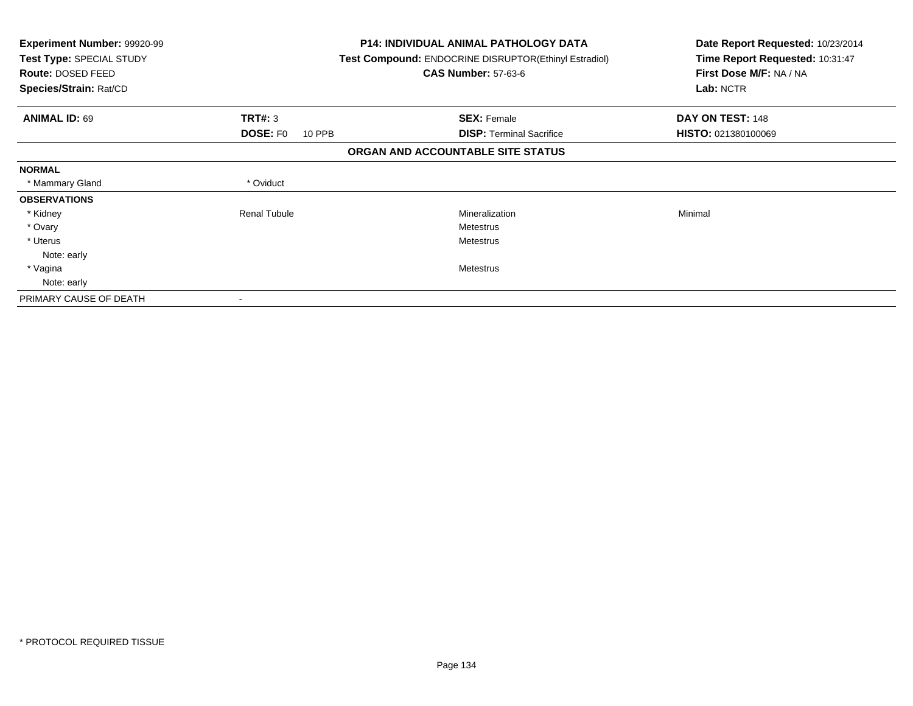| <b>Experiment Number: 99920-99</b><br>Test Type: SPECIAL STUDY<br>Route: DOSED FEED<br>Species/Strain: Rat/CD |                                  | <b>P14: INDIVIDUAL ANIMAL PATHOLOGY DATA</b><br><b>Test Compound: ENDOCRINE DISRUPTOR(Ethinyl Estradiol)</b><br><b>CAS Number: 57-63-6</b> | Date Report Requested: 10/23/2014<br>Time Report Requested: 10:31:47<br>First Dose M/F: NA / NA<br>Lab: NCTR |
|---------------------------------------------------------------------------------------------------------------|----------------------------------|--------------------------------------------------------------------------------------------------------------------------------------------|--------------------------------------------------------------------------------------------------------------|
| <b>ANIMAL ID: 69</b>                                                                                          | <b>TRT#: 3</b>                   | <b>SEX: Female</b>                                                                                                                         | DAY ON TEST: 148                                                                                             |
|                                                                                                               | <b>DOSE: FO</b><br><b>10 PPB</b> | <b>DISP:</b> Terminal Sacrifice                                                                                                            | <b>HISTO: 021380100069</b>                                                                                   |
|                                                                                                               |                                  | ORGAN AND ACCOUNTABLE SITE STATUS                                                                                                          |                                                                                                              |
| <b>NORMAL</b>                                                                                                 |                                  |                                                                                                                                            |                                                                                                              |
| * Mammary Gland                                                                                               | * Oviduct                        |                                                                                                                                            |                                                                                                              |
| <b>OBSERVATIONS</b>                                                                                           |                                  |                                                                                                                                            |                                                                                                              |
| * Kidney                                                                                                      | <b>Renal Tubule</b>              | Mineralization                                                                                                                             | Minimal                                                                                                      |
| * Ovary                                                                                                       |                                  | <b>Metestrus</b>                                                                                                                           |                                                                                                              |
| * Uterus                                                                                                      |                                  | <b>Metestrus</b>                                                                                                                           |                                                                                                              |
| Note: early                                                                                                   |                                  |                                                                                                                                            |                                                                                                              |
| * Vagina                                                                                                      |                                  | <b>Metestrus</b>                                                                                                                           |                                                                                                              |
| Note: early                                                                                                   |                                  |                                                                                                                                            |                                                                                                              |
| PRIMARY CAUSE OF DEATH                                                                                        |                                  |                                                                                                                                            |                                                                                                              |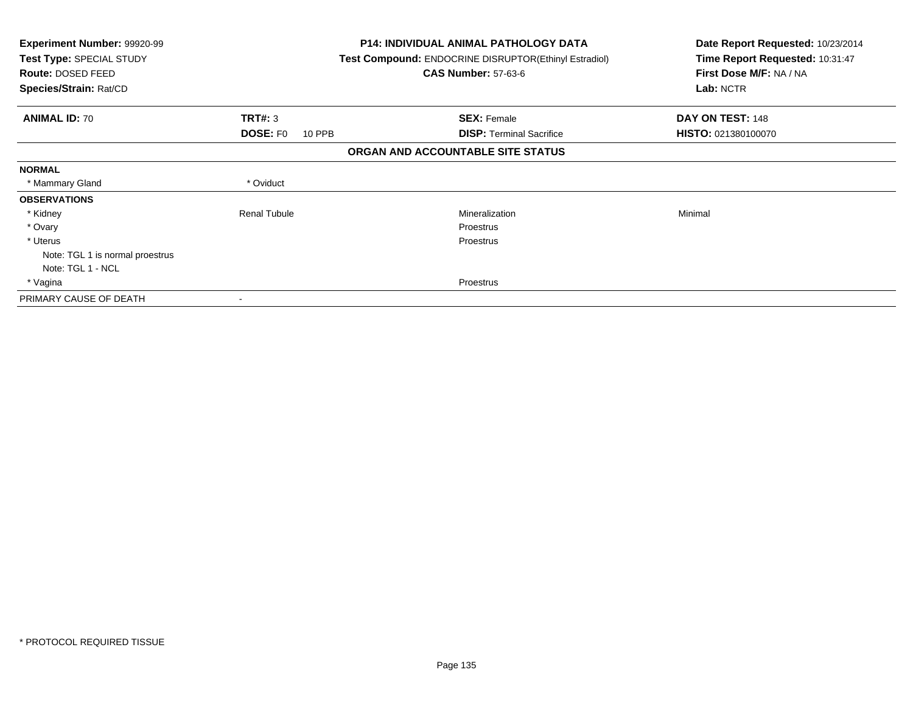| <b>Experiment Number: 99920-99</b><br>Test Type: SPECIAL STUDY<br>Route: DOSED FEED<br>Species/Strain: Rat/CD |                           | <b>P14: INDIVIDUAL ANIMAL PATHOLOGY DATA</b><br><b>Test Compound: ENDOCRINE DISRUPTOR(Ethinyl Estradiol)</b><br><b>CAS Number: 57-63-6</b> | Date Report Requested: 10/23/2014<br>Time Report Requested: 10:31:47<br>First Dose M/F: NA / NA<br>Lab: NCTR |
|---------------------------------------------------------------------------------------------------------------|---------------------------|--------------------------------------------------------------------------------------------------------------------------------------------|--------------------------------------------------------------------------------------------------------------|
| <b>ANIMAL ID: 70</b>                                                                                          | <b>TRT#: 3</b>            | <b>SEX: Female</b>                                                                                                                         | DAY ON TEST: 148                                                                                             |
|                                                                                                               | <b>DOSE: FO</b><br>10 PPB | <b>DISP:</b> Terminal Sacrifice                                                                                                            | <b>HISTO: 021380100070</b>                                                                                   |
|                                                                                                               |                           | ORGAN AND ACCOUNTABLE SITE STATUS                                                                                                          |                                                                                                              |
| <b>NORMAL</b>                                                                                                 |                           |                                                                                                                                            |                                                                                                              |
| * Mammary Gland                                                                                               | * Oviduct                 |                                                                                                                                            |                                                                                                              |
| <b>OBSERVATIONS</b>                                                                                           |                           |                                                                                                                                            |                                                                                                              |
| * Kidney                                                                                                      | <b>Renal Tubule</b>       | Mineralization                                                                                                                             | Minimal                                                                                                      |
| * Ovary                                                                                                       |                           | <b>Proestrus</b>                                                                                                                           |                                                                                                              |
| * Uterus                                                                                                      |                           | Proestrus                                                                                                                                  |                                                                                                              |
| Note: TGL 1 is normal proestrus                                                                               |                           |                                                                                                                                            |                                                                                                              |
| Note: TGL 1 - NCL                                                                                             |                           |                                                                                                                                            |                                                                                                              |
| * Vagina                                                                                                      |                           | Proestrus                                                                                                                                  |                                                                                                              |
| PRIMARY CAUSE OF DEATH                                                                                        |                           |                                                                                                                                            |                                                                                                              |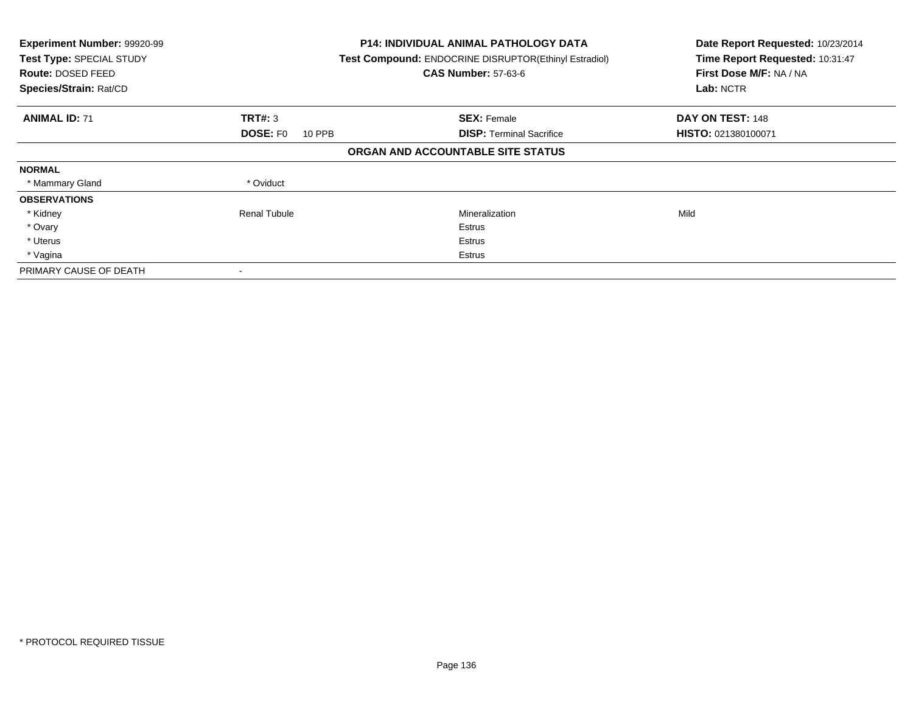| Experiment Number: 99920-99<br>Test Type: SPECIAL STUDY<br><b>Route: DOSED FEED</b><br>Species/Strain: Rat/CD |                           | <b>P14: INDIVIDUAL ANIMAL PATHOLOGY DATA</b><br>Test Compound: ENDOCRINE DISRUPTOR(Ethinyl Estradiol)<br><b>CAS Number: 57-63-6</b> | Date Report Requested: 10/23/2014<br>Time Report Requested: 10:31:47<br>First Dose M/F: NA / NA<br>Lab: NCTR |
|---------------------------------------------------------------------------------------------------------------|---------------------------|-------------------------------------------------------------------------------------------------------------------------------------|--------------------------------------------------------------------------------------------------------------|
| <b>ANIMAL ID: 71</b>                                                                                          | TRT#: 3                   | <b>SEX: Female</b>                                                                                                                  | DAY ON TEST: 148                                                                                             |
|                                                                                                               | <b>DOSE: FO</b><br>10 PPB | <b>DISP:</b> Terminal Sacrifice                                                                                                     | HISTO: 021380100071                                                                                          |
|                                                                                                               |                           | ORGAN AND ACCOUNTABLE SITE STATUS                                                                                                   |                                                                                                              |
| <b>NORMAL</b>                                                                                                 |                           |                                                                                                                                     |                                                                                                              |
| * Mammary Gland                                                                                               | * Oviduct                 |                                                                                                                                     |                                                                                                              |
| <b>OBSERVATIONS</b>                                                                                           |                           |                                                                                                                                     |                                                                                                              |
| * Kidney                                                                                                      | Renal Tubule              | Mineralization                                                                                                                      | Mild                                                                                                         |
| * Ovary                                                                                                       |                           | Estrus                                                                                                                              |                                                                                                              |
| * Uterus                                                                                                      |                           | Estrus                                                                                                                              |                                                                                                              |
| * Vagina                                                                                                      |                           | Estrus                                                                                                                              |                                                                                                              |
| PRIMARY CAUSE OF DEATH                                                                                        |                           |                                                                                                                                     |                                                                                                              |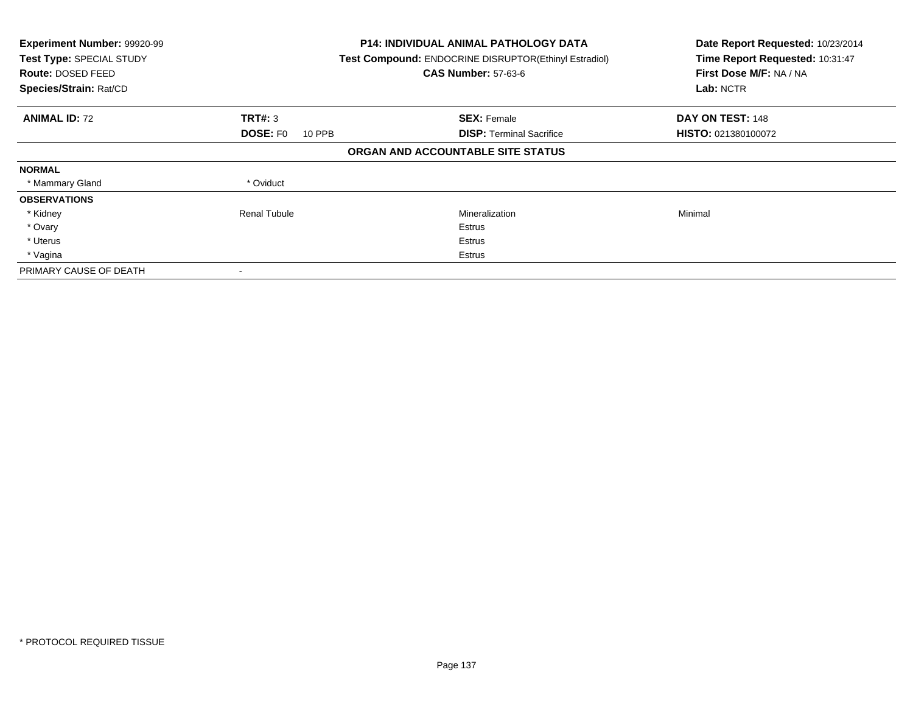| Experiment Number: 99920-99<br>Test Type: SPECIAL STUDY<br><b>Route: DOSED FEED</b><br>Species/Strain: Rat/CD |                           | <b>P14: INDIVIDUAL ANIMAL PATHOLOGY DATA</b><br>Test Compound: ENDOCRINE DISRUPTOR(Ethinyl Estradiol)<br><b>CAS Number: 57-63-6</b> | Date Report Requested: 10/23/2014<br>Time Report Requested: 10:31:47<br>First Dose M/F: NA / NA<br>Lab: NCTR |
|---------------------------------------------------------------------------------------------------------------|---------------------------|-------------------------------------------------------------------------------------------------------------------------------------|--------------------------------------------------------------------------------------------------------------|
| <b>ANIMAL ID: 72</b>                                                                                          | TRT#: 3                   | <b>SEX: Female</b>                                                                                                                  | DAY ON TEST: 148                                                                                             |
|                                                                                                               | <b>DOSE: FO</b><br>10 PPB | <b>DISP:</b> Terminal Sacrifice                                                                                                     | <b>HISTO: 021380100072</b>                                                                                   |
|                                                                                                               |                           | ORGAN AND ACCOUNTABLE SITE STATUS                                                                                                   |                                                                                                              |
| <b>NORMAL</b>                                                                                                 |                           |                                                                                                                                     |                                                                                                              |
| * Mammary Gland                                                                                               | * Oviduct                 |                                                                                                                                     |                                                                                                              |
| <b>OBSERVATIONS</b>                                                                                           |                           |                                                                                                                                     |                                                                                                              |
| * Kidney                                                                                                      | <b>Renal Tubule</b>       | Mineralization                                                                                                                      | Minimal                                                                                                      |
| * Ovary                                                                                                       |                           | Estrus                                                                                                                              |                                                                                                              |
| * Uterus                                                                                                      |                           | Estrus                                                                                                                              |                                                                                                              |
| * Vagina                                                                                                      |                           | Estrus                                                                                                                              |                                                                                                              |
| PRIMARY CAUSE OF DEATH                                                                                        |                           |                                                                                                                                     |                                                                                                              |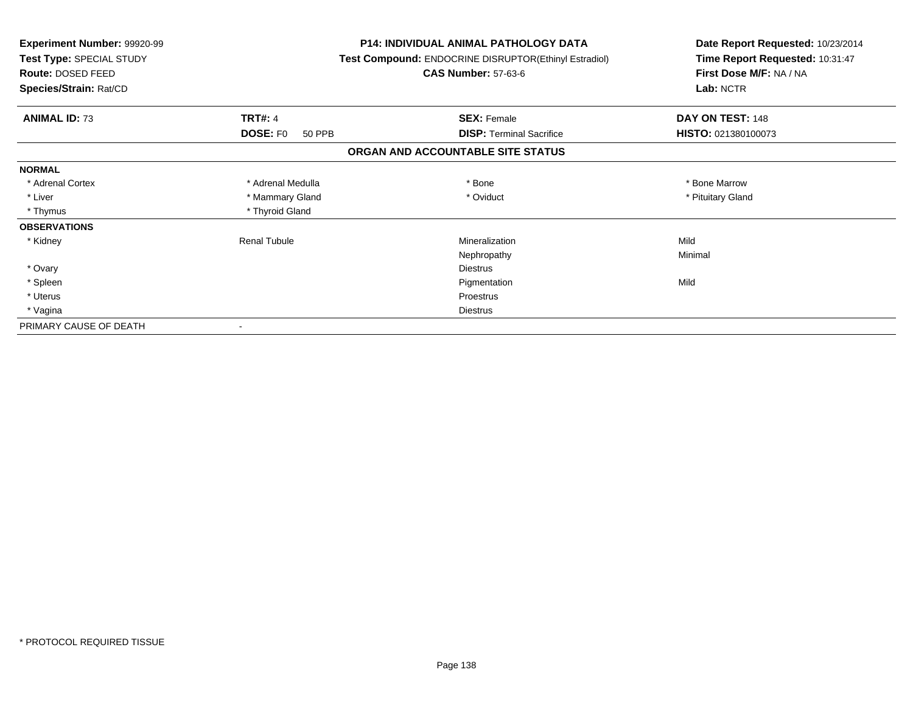| <b>Experiment Number: 99920-99</b><br>Test Type: SPECIAL STUDY<br>Route: DOSED FEED<br>Species/Strain: Rat/CD |                           | <b>P14: INDIVIDUAL ANIMAL PATHOLOGY DATA</b><br>Test Compound: ENDOCRINE DISRUPTOR(Ethinyl Estradiol)<br><b>CAS Number: 57-63-6</b> | Date Report Requested: 10/23/2014<br>Time Report Requested: 10:31:47<br>First Dose M/F: NA / NA<br>Lab: NCTR |
|---------------------------------------------------------------------------------------------------------------|---------------------------|-------------------------------------------------------------------------------------------------------------------------------------|--------------------------------------------------------------------------------------------------------------|
| <b>ANIMAL ID: 73</b>                                                                                          | <b>TRT#: 4</b>            | <b>SEX: Female</b>                                                                                                                  | DAY ON TEST: 148                                                                                             |
|                                                                                                               | <b>DOSE: FO</b><br>50 PPB | <b>DISP: Terminal Sacrifice</b>                                                                                                     | HISTO: 021380100073                                                                                          |
|                                                                                                               |                           | ORGAN AND ACCOUNTABLE SITE STATUS                                                                                                   |                                                                                                              |
| <b>NORMAL</b>                                                                                                 |                           |                                                                                                                                     |                                                                                                              |
| * Adrenal Cortex                                                                                              | * Adrenal Medulla         | * Bone                                                                                                                              | * Bone Marrow                                                                                                |
| * Liver                                                                                                       | * Mammary Gland           | * Oviduct                                                                                                                           | * Pituitary Gland                                                                                            |
| * Thymus                                                                                                      | * Thyroid Gland           |                                                                                                                                     |                                                                                                              |
| <b>OBSERVATIONS</b>                                                                                           |                           |                                                                                                                                     |                                                                                                              |
| * Kidney                                                                                                      | <b>Renal Tubule</b>       | Mineralization                                                                                                                      | Mild                                                                                                         |
|                                                                                                               |                           | Nephropathy                                                                                                                         | Minimal                                                                                                      |
| * Ovary                                                                                                       |                           | <b>Diestrus</b>                                                                                                                     |                                                                                                              |
| * Spleen                                                                                                      |                           | Pigmentation                                                                                                                        | Mild                                                                                                         |
| * Uterus                                                                                                      |                           | <b>Proestrus</b>                                                                                                                    |                                                                                                              |
| * Vagina                                                                                                      |                           | <b>Diestrus</b>                                                                                                                     |                                                                                                              |
| PRIMARY CAUSE OF DEATH                                                                                        |                           |                                                                                                                                     |                                                                                                              |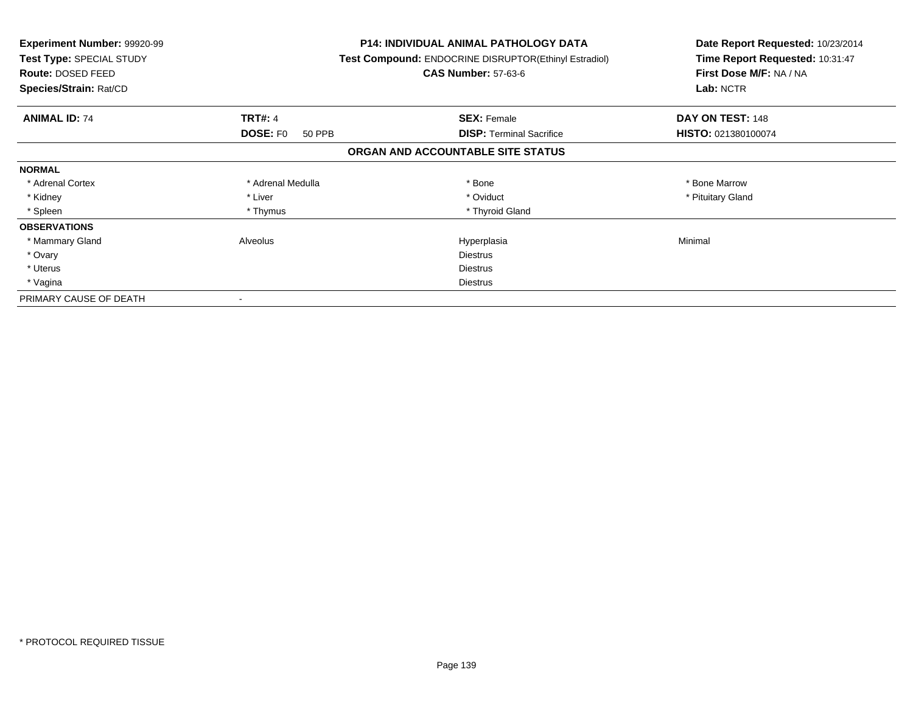| <b>Experiment Number: 99920-99</b><br>Test Type: SPECIAL STUDY<br>Route: DOSED FEED<br>Species/Strain: Rat/CD |                    | P14: INDIVIDUAL ANIMAL PATHOLOGY DATA<br>Test Compound: ENDOCRINE DISRUPTOR(Ethinyl Estradiol)<br><b>CAS Number: 57-63-6</b> | Date Report Requested: 10/23/2014<br>Time Report Requested: 10:31:47<br>First Dose M/F: NA / NA<br>Lab: NCTR |
|---------------------------------------------------------------------------------------------------------------|--------------------|------------------------------------------------------------------------------------------------------------------------------|--------------------------------------------------------------------------------------------------------------|
| <b>ANIMAL ID: 74</b>                                                                                          | <b>TRT#: 4</b>     | <b>SEX: Female</b>                                                                                                           | DAY ON TEST: 148                                                                                             |
|                                                                                                               | DOSE: F0<br>50 PPB | <b>DISP:</b> Terminal Sacrifice                                                                                              | HISTO: 021380100074                                                                                          |
|                                                                                                               |                    | ORGAN AND ACCOUNTABLE SITE STATUS                                                                                            |                                                                                                              |
| <b>NORMAL</b>                                                                                                 |                    |                                                                                                                              |                                                                                                              |
| * Adrenal Cortex                                                                                              | * Adrenal Medulla  | * Bone                                                                                                                       | * Bone Marrow                                                                                                |
| * Kidney                                                                                                      | * Liver            | * Oviduct                                                                                                                    | * Pituitary Gland                                                                                            |
| * Spleen                                                                                                      | * Thymus           | * Thyroid Gland                                                                                                              |                                                                                                              |
| <b>OBSERVATIONS</b>                                                                                           |                    |                                                                                                                              |                                                                                                              |
| * Mammary Gland                                                                                               | Alveolus           | Hyperplasia                                                                                                                  | Minimal                                                                                                      |
| * Ovary                                                                                                       |                    | <b>Diestrus</b>                                                                                                              |                                                                                                              |
| * Uterus                                                                                                      |                    | <b>Diestrus</b>                                                                                                              |                                                                                                              |
| * Vagina                                                                                                      |                    | <b>Diestrus</b>                                                                                                              |                                                                                                              |
| PRIMARY CAUSE OF DEATH                                                                                        |                    |                                                                                                                              |                                                                                                              |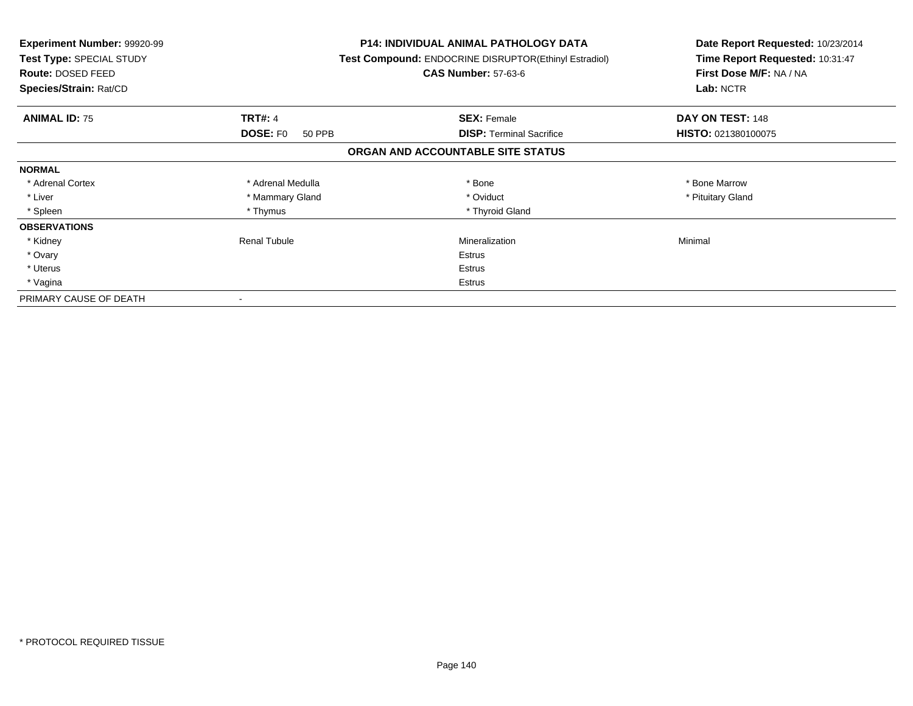| <b>Experiment Number: 99920-99</b><br>Test Type: SPECIAL STUDY<br>Route: DOSED FEED<br>Species/Strain: Rat/CD |                           | <b>P14: INDIVIDUAL ANIMAL PATHOLOGY DATA</b><br>Test Compound: ENDOCRINE DISRUPTOR(Ethinyl Estradiol)<br><b>CAS Number: 57-63-6</b> | Date Report Requested: 10/23/2014<br>Time Report Requested: 10:31:47<br>First Dose M/F: NA / NA<br>Lab: NCTR |
|---------------------------------------------------------------------------------------------------------------|---------------------------|-------------------------------------------------------------------------------------------------------------------------------------|--------------------------------------------------------------------------------------------------------------|
| <b>ANIMAL ID: 75</b>                                                                                          | <b>TRT#: 4</b>            | <b>SEX: Female</b>                                                                                                                  | DAY ON TEST: 148                                                                                             |
|                                                                                                               | <b>DOSE: FO</b><br>50 PPB | <b>DISP:</b> Terminal Sacrifice                                                                                                     | HISTO: 021380100075                                                                                          |
|                                                                                                               |                           | ORGAN AND ACCOUNTABLE SITE STATUS                                                                                                   |                                                                                                              |
| <b>NORMAL</b>                                                                                                 |                           |                                                                                                                                     |                                                                                                              |
| * Adrenal Cortex                                                                                              | * Adrenal Medulla         | * Bone                                                                                                                              | * Bone Marrow                                                                                                |
| * Liver                                                                                                       | * Mammary Gland           | * Oviduct                                                                                                                           | * Pituitary Gland                                                                                            |
| * Spleen                                                                                                      | * Thymus                  | * Thyroid Gland                                                                                                                     |                                                                                                              |
| <b>OBSERVATIONS</b>                                                                                           |                           |                                                                                                                                     |                                                                                                              |
| * Kidney                                                                                                      | Renal Tubule              | Mineralization                                                                                                                      | Minimal                                                                                                      |
| * Ovary                                                                                                       |                           | Estrus                                                                                                                              |                                                                                                              |
| * Uterus                                                                                                      |                           | Estrus                                                                                                                              |                                                                                                              |
| * Vagina                                                                                                      |                           | Estrus                                                                                                                              |                                                                                                              |
| PRIMARY CAUSE OF DEATH                                                                                        |                           |                                                                                                                                     |                                                                                                              |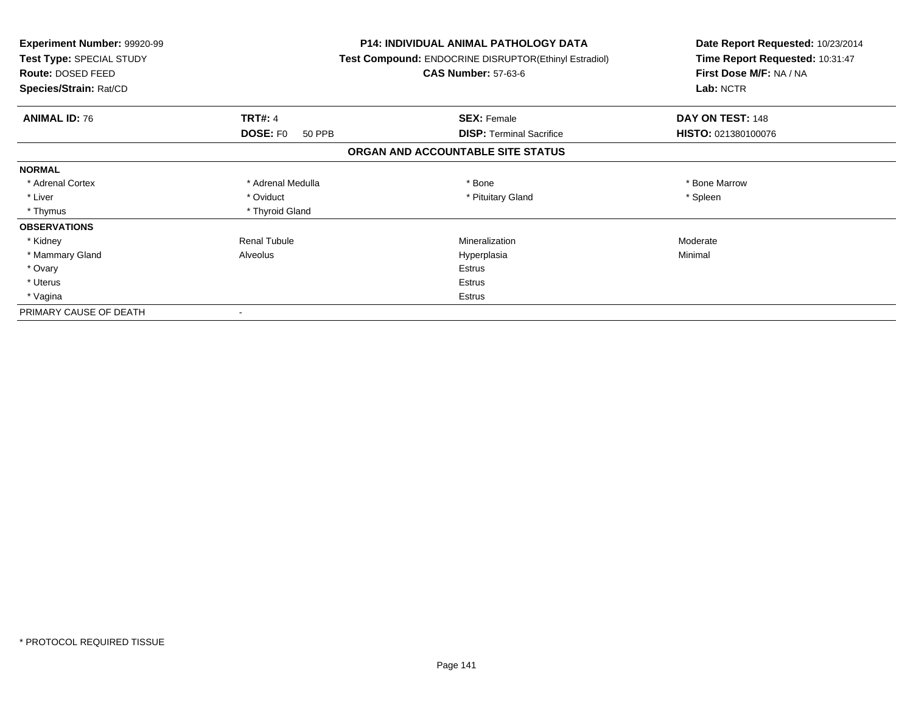| <b>Experiment Number: 99920-99</b><br>Test Type: SPECIAL STUDY<br>Route: DOSED FEED<br>Species/Strain: Rat/CD |                                             | <b>P14: INDIVIDUAL ANIMAL PATHOLOGY DATA</b><br>Test Compound: ENDOCRINE DISRUPTOR(Ethinyl Estradiol)<br><b>CAS Number: 57-63-6</b> | Date Report Requested: 10/23/2014<br>Time Report Requested: 10:31:47<br>First Dose M/F: NA / NA<br>Lab: NCTR |  |
|---------------------------------------------------------------------------------------------------------------|---------------------------------------------|-------------------------------------------------------------------------------------------------------------------------------------|--------------------------------------------------------------------------------------------------------------|--|
|                                                                                                               |                                             |                                                                                                                                     |                                                                                                              |  |
| <b>ANIMAL ID: 76</b>                                                                                          | <b>TRT#: 4</b><br><b>DOSE: FO</b><br>50 PPB | <b>SEX: Female</b><br><b>DISP: Terminal Sacrifice</b>                                                                               | DAY ON TEST: 148<br>HISTO: 021380100076                                                                      |  |
|                                                                                                               |                                             | ORGAN AND ACCOUNTABLE SITE STATUS                                                                                                   |                                                                                                              |  |
| <b>NORMAL</b>                                                                                                 |                                             |                                                                                                                                     |                                                                                                              |  |
| * Adrenal Cortex                                                                                              | * Adrenal Medulla                           | * Bone                                                                                                                              | * Bone Marrow                                                                                                |  |
| * Liver                                                                                                       | * Oviduct                                   | * Pituitary Gland                                                                                                                   | * Spleen                                                                                                     |  |
| * Thymus                                                                                                      | * Thyroid Gland                             |                                                                                                                                     |                                                                                                              |  |
| <b>OBSERVATIONS</b>                                                                                           |                                             |                                                                                                                                     |                                                                                                              |  |
| * Kidney                                                                                                      | <b>Renal Tubule</b>                         | Mineralization                                                                                                                      | Moderate                                                                                                     |  |
| * Mammary Gland                                                                                               | Alveolus                                    | Hyperplasia                                                                                                                         | Minimal                                                                                                      |  |
| * Ovary                                                                                                       |                                             | <b>Estrus</b>                                                                                                                       |                                                                                                              |  |
| * Uterus                                                                                                      |                                             | Estrus                                                                                                                              |                                                                                                              |  |
| * Vagina                                                                                                      |                                             | Estrus                                                                                                                              |                                                                                                              |  |
| PRIMARY CAUSE OF DEATH                                                                                        |                                             |                                                                                                                                     |                                                                                                              |  |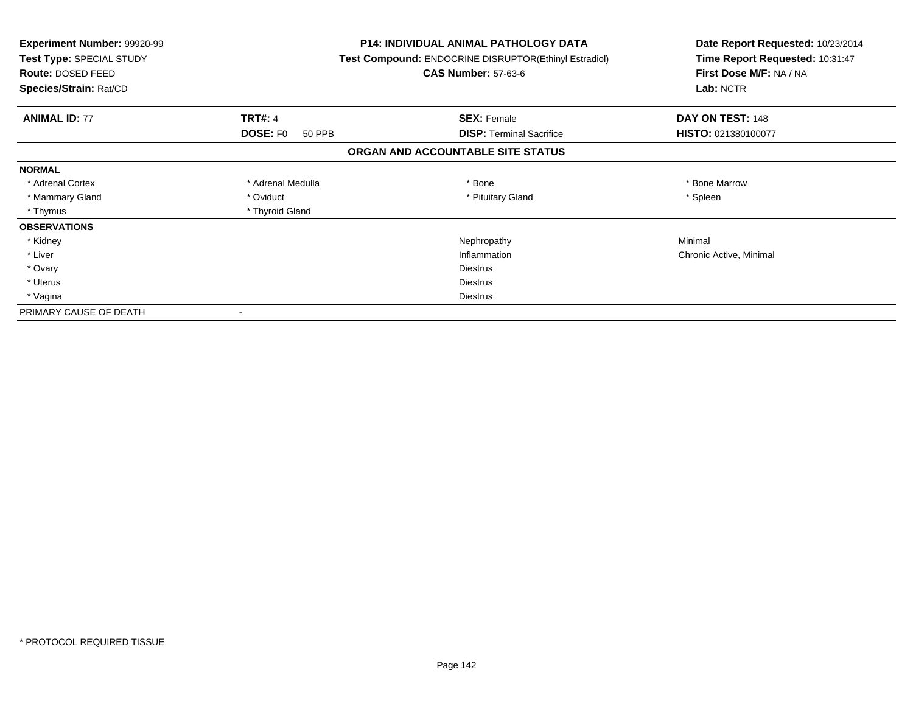| Experiment Number: 99920-99<br>Test Type: SPECIAL STUDY<br>Route: DOSED FEED<br>Species/Strain: Rat/CD |                           | <b>P14: INDIVIDUAL ANIMAL PATHOLOGY DATA</b><br><b>Test Compound: ENDOCRINE DISRUPTOR(Ethinyl Estradiol)</b><br><b>CAS Number: 57-63-6</b> | Date Report Requested: 10/23/2014<br>Time Report Requested: 10:31:47<br>First Dose M/F: NA / NA<br>Lab: NCTR |
|--------------------------------------------------------------------------------------------------------|---------------------------|--------------------------------------------------------------------------------------------------------------------------------------------|--------------------------------------------------------------------------------------------------------------|
| <b>ANIMAL ID: 77</b>                                                                                   | <b>TRT#: 4</b>            | <b>SEX: Female</b>                                                                                                                         | DAY ON TEST: 148                                                                                             |
|                                                                                                        | <b>DOSE: FO</b><br>50 PPB | <b>DISP:</b> Terminal Sacrifice                                                                                                            | HISTO: 021380100077                                                                                          |
|                                                                                                        |                           | ORGAN AND ACCOUNTABLE SITE STATUS                                                                                                          |                                                                                                              |
| <b>NORMAL</b>                                                                                          |                           |                                                                                                                                            |                                                                                                              |
| * Adrenal Cortex                                                                                       | * Adrenal Medulla         | * Bone                                                                                                                                     | * Bone Marrow                                                                                                |
| * Mammary Gland                                                                                        | * Oviduct                 | * Pituitary Gland                                                                                                                          | * Spleen                                                                                                     |
| * Thymus                                                                                               | * Thyroid Gland           |                                                                                                                                            |                                                                                                              |
| <b>OBSERVATIONS</b>                                                                                    |                           |                                                                                                                                            |                                                                                                              |
| * Kidney                                                                                               |                           | Nephropathy                                                                                                                                | Minimal                                                                                                      |
| * Liver                                                                                                |                           | Inflammation                                                                                                                               | Chronic Active, Minimal                                                                                      |
| * Ovary                                                                                                |                           | <b>Diestrus</b>                                                                                                                            |                                                                                                              |
| * Uterus                                                                                               |                           | <b>Diestrus</b>                                                                                                                            |                                                                                                              |
| * Vagina                                                                                               |                           | Diestrus                                                                                                                                   |                                                                                                              |
| PRIMARY CAUSE OF DEATH                                                                                 |                           |                                                                                                                                            |                                                                                                              |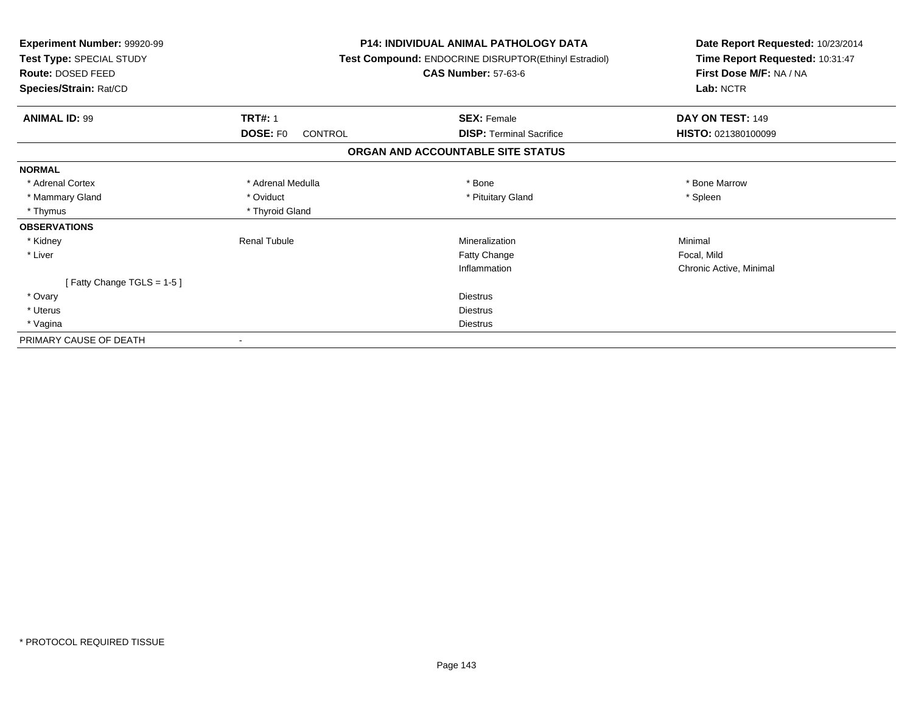| Experiment Number: 99920-99<br>Test Type: SPECIAL STUDY<br>Route: DOSED FEED |                                   | <b>P14: INDIVIDUAL ANIMAL PATHOLOGY DATA</b><br>Test Compound: ENDOCRINE DISRUPTOR(Ethinyl Estradiol)<br><b>CAS Number: 57-63-6</b> | Date Report Requested: 10/23/2014<br>Time Report Requested: 10:31:47<br>First Dose M/F: NA / NA<br>Lab: NCTR |
|------------------------------------------------------------------------------|-----------------------------------|-------------------------------------------------------------------------------------------------------------------------------------|--------------------------------------------------------------------------------------------------------------|
| Species/Strain: Rat/CD                                                       |                                   |                                                                                                                                     |                                                                                                              |
| <b>ANIMAL ID: 99</b>                                                         | <b>TRT#: 1</b>                    | <b>SEX: Female</b>                                                                                                                  | DAY ON TEST: 149                                                                                             |
|                                                                              | <b>DOSE: FO</b><br><b>CONTROL</b> | <b>DISP:</b> Terminal Sacrifice                                                                                                     | <b>HISTO: 021380100099</b>                                                                                   |
|                                                                              |                                   | ORGAN AND ACCOUNTABLE SITE STATUS                                                                                                   |                                                                                                              |
| <b>NORMAL</b>                                                                |                                   |                                                                                                                                     |                                                                                                              |
| * Adrenal Cortex                                                             | * Adrenal Medulla                 | * Bone                                                                                                                              | * Bone Marrow                                                                                                |
| * Mammary Gland                                                              | * Oviduct                         | * Pituitary Gland                                                                                                                   | * Spleen                                                                                                     |
| * Thymus                                                                     | * Thyroid Gland                   |                                                                                                                                     |                                                                                                              |
| <b>OBSERVATIONS</b>                                                          |                                   |                                                                                                                                     |                                                                                                              |
| * Kidney                                                                     | <b>Renal Tubule</b>               | Mineralization                                                                                                                      | Minimal                                                                                                      |
| * Liver                                                                      |                                   | Fatty Change                                                                                                                        | Focal, Mild                                                                                                  |
|                                                                              |                                   | Inflammation                                                                                                                        | Chronic Active, Minimal                                                                                      |
| [Fatty Change TGLS = $1-5$ ]                                                 |                                   |                                                                                                                                     |                                                                                                              |
| * Ovary                                                                      |                                   | <b>Diestrus</b>                                                                                                                     |                                                                                                              |
| * Uterus                                                                     |                                   | <b>Diestrus</b>                                                                                                                     |                                                                                                              |
| * Vagina                                                                     |                                   | <b>Diestrus</b>                                                                                                                     |                                                                                                              |
| PRIMARY CAUSE OF DEATH                                                       |                                   |                                                                                                                                     |                                                                                                              |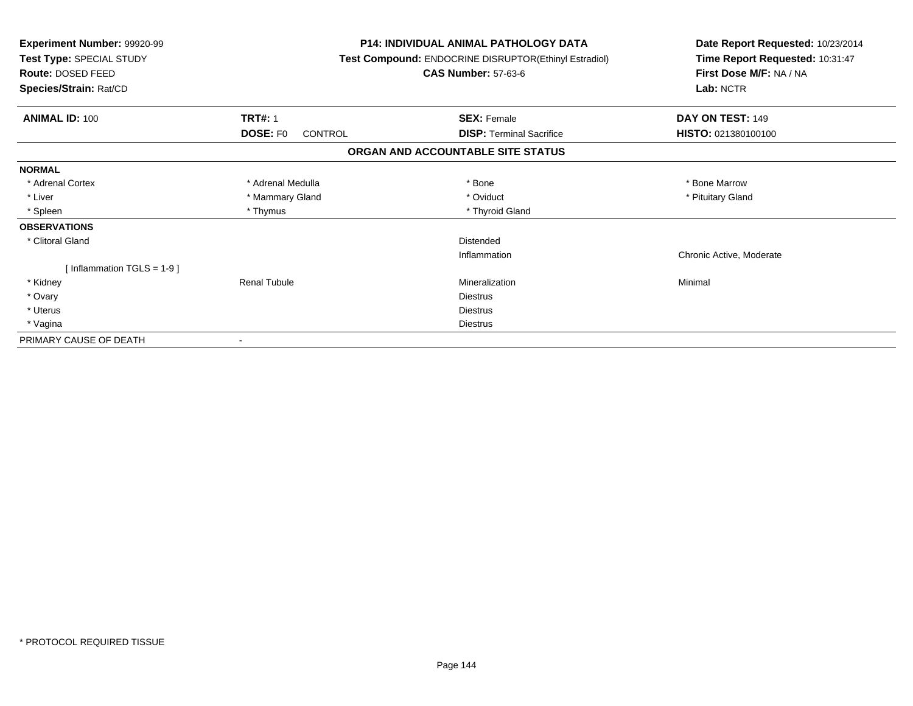| Experiment Number: 99920-99<br>Test Type: SPECIAL STUDY<br>Route: DOSED FEED<br>Species/Strain: Rat/CD |                     | <b>P14: INDIVIDUAL ANIMAL PATHOLOGY DATA</b><br>Test Compound: ENDOCRINE DISRUPTOR(Ethinyl Estradiol)<br><b>CAS Number: 57-63-6</b> | Date Report Requested: 10/23/2014<br>Time Report Requested: 10:31:47<br>First Dose M/F: NA / NA<br>Lab: NCTR |
|--------------------------------------------------------------------------------------------------------|---------------------|-------------------------------------------------------------------------------------------------------------------------------------|--------------------------------------------------------------------------------------------------------------|
| <b>ANIMAL ID: 100</b>                                                                                  | <b>TRT#: 1</b>      | <b>SEX: Female</b>                                                                                                                  | DAY ON TEST: 149                                                                                             |
|                                                                                                        | DOSE: FO<br>CONTROL | <b>DISP:</b> Terminal Sacrifice                                                                                                     | HISTO: 021380100100                                                                                          |
|                                                                                                        |                     | ORGAN AND ACCOUNTABLE SITE STATUS                                                                                                   |                                                                                                              |
| <b>NORMAL</b>                                                                                          |                     |                                                                                                                                     |                                                                                                              |
| * Adrenal Cortex                                                                                       | * Adrenal Medulla   | * Bone                                                                                                                              | * Bone Marrow                                                                                                |
| * Liver                                                                                                | * Mammary Gland     | * Oviduct                                                                                                                           | * Pituitary Gland                                                                                            |
| * Spleen                                                                                               | * Thymus            | * Thyroid Gland                                                                                                                     |                                                                                                              |
| <b>OBSERVATIONS</b>                                                                                    |                     |                                                                                                                                     |                                                                                                              |
| * Clitoral Gland                                                                                       |                     | <b>Distended</b>                                                                                                                    |                                                                                                              |
|                                                                                                        |                     | Inflammation                                                                                                                        | Chronic Active, Moderate                                                                                     |
| [Inflammation TGLS = $1-9$ ]                                                                           |                     |                                                                                                                                     |                                                                                                              |
| * Kidney                                                                                               | <b>Renal Tubule</b> | Mineralization                                                                                                                      | Minimal                                                                                                      |
| * Ovary                                                                                                |                     | <b>Diestrus</b>                                                                                                                     |                                                                                                              |
| * Uterus                                                                                               |                     | <b>Diestrus</b>                                                                                                                     |                                                                                                              |
| * Vagina                                                                                               |                     | <b>Diestrus</b>                                                                                                                     |                                                                                                              |
| PRIMARY CAUSE OF DEATH                                                                                 |                     |                                                                                                                                     |                                                                                                              |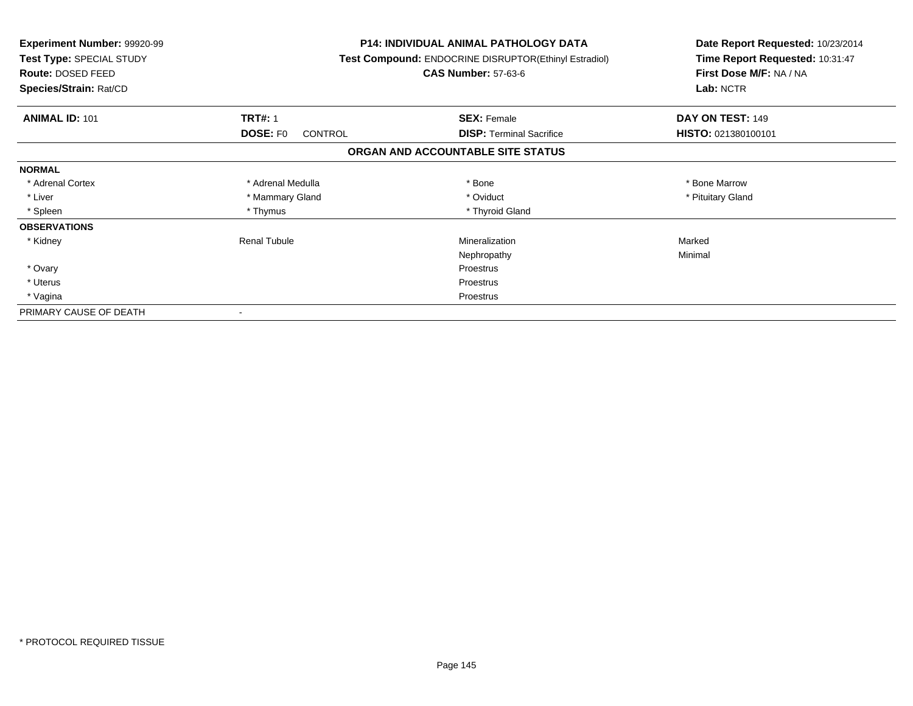| <b>Experiment Number: 99920-99</b><br>Test Type: SPECIAL STUDY<br>Route: DOSED FEED<br>Species/Strain: Rat/CD |                                   | <b>P14: INDIVIDUAL ANIMAL PATHOLOGY DATA</b><br>Test Compound: ENDOCRINE DISRUPTOR(Ethinyl Estradiol)<br><b>CAS Number: 57-63-6</b> | Date Report Requested: 10/23/2014<br>Time Report Requested: 10:31:47<br>First Dose M/F: NA / NA<br>Lab: NCTR |
|---------------------------------------------------------------------------------------------------------------|-----------------------------------|-------------------------------------------------------------------------------------------------------------------------------------|--------------------------------------------------------------------------------------------------------------|
| <b>ANIMAL ID: 101</b>                                                                                         | <b>TRT#: 1</b>                    | <b>SEX: Female</b>                                                                                                                  | DAY ON TEST: 149                                                                                             |
|                                                                                                               | <b>DOSE: FO</b><br><b>CONTROL</b> | <b>DISP:</b> Terminal Sacrifice                                                                                                     | HISTO: 021380100101                                                                                          |
|                                                                                                               |                                   | ORGAN AND ACCOUNTABLE SITE STATUS                                                                                                   |                                                                                                              |
| <b>NORMAL</b>                                                                                                 |                                   |                                                                                                                                     |                                                                                                              |
| * Adrenal Cortex                                                                                              | * Adrenal Medulla                 | * Bone                                                                                                                              | * Bone Marrow                                                                                                |
| * Liver                                                                                                       | * Mammary Gland                   | * Oviduct                                                                                                                           | * Pituitary Gland                                                                                            |
| * Spleen                                                                                                      | * Thymus                          | * Thyroid Gland                                                                                                                     |                                                                                                              |
| <b>OBSERVATIONS</b>                                                                                           |                                   |                                                                                                                                     |                                                                                                              |
| * Kidney                                                                                                      | <b>Renal Tubule</b>               | Mineralization                                                                                                                      | Marked                                                                                                       |
|                                                                                                               |                                   | Nephropathy                                                                                                                         | Minimal                                                                                                      |
| * Ovary                                                                                                       |                                   | Proestrus                                                                                                                           |                                                                                                              |
| * Uterus                                                                                                      |                                   | Proestrus                                                                                                                           |                                                                                                              |
| * Vagina                                                                                                      |                                   | Proestrus                                                                                                                           |                                                                                                              |
| PRIMARY CAUSE OF DEATH                                                                                        |                                   |                                                                                                                                     |                                                                                                              |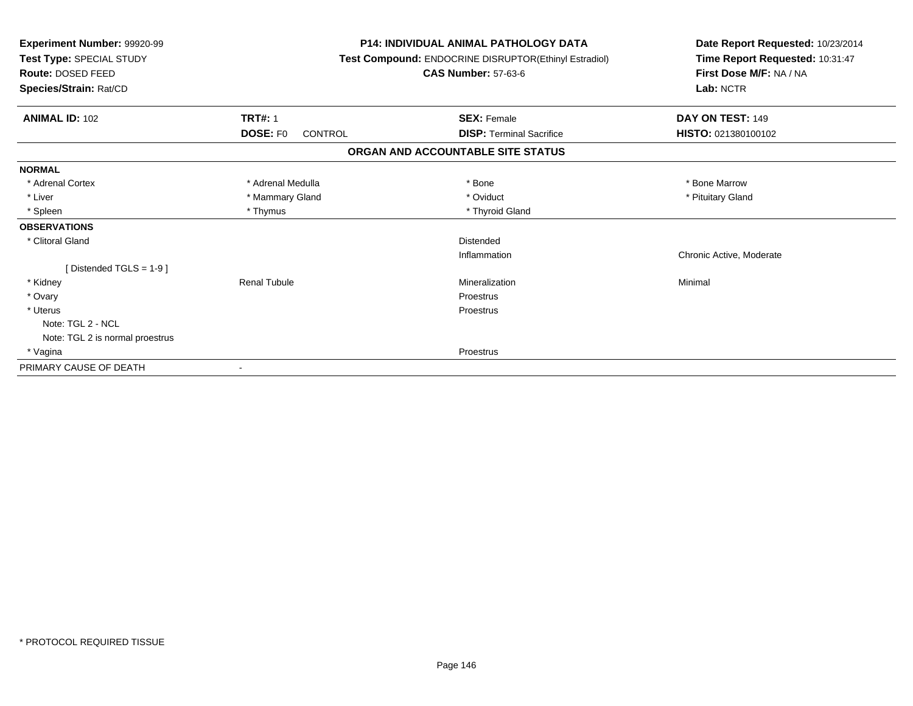| Experiment Number: 99920-99<br>Test Type: SPECIAL STUDY<br><b>Route: DOSED FEED</b><br>Species/Strain: Rat/CD |                            | <b>P14: INDIVIDUAL ANIMAL PATHOLOGY DATA</b><br>Test Compound: ENDOCRINE DISRUPTOR(Ethinyl Estradiol)<br><b>CAS Number: 57-63-6</b> | Date Report Requested: 10/23/2014<br>Time Report Requested: 10:31:47<br>First Dose M/F: NA / NA<br>Lab: NCTR |
|---------------------------------------------------------------------------------------------------------------|----------------------------|-------------------------------------------------------------------------------------------------------------------------------------|--------------------------------------------------------------------------------------------------------------|
| <b>ANIMAL ID: 102</b>                                                                                         | <b>TRT#: 1</b>             | <b>SEX: Female</b>                                                                                                                  | DAY ON TEST: 149                                                                                             |
|                                                                                                               | <b>DOSE: FO</b><br>CONTROL | <b>DISP: Terminal Sacrifice</b>                                                                                                     | HISTO: 021380100102                                                                                          |
|                                                                                                               |                            | ORGAN AND ACCOUNTABLE SITE STATUS                                                                                                   |                                                                                                              |
| <b>NORMAL</b>                                                                                                 |                            |                                                                                                                                     |                                                                                                              |
| * Adrenal Cortex                                                                                              | * Adrenal Medulla          | * Bone                                                                                                                              | * Bone Marrow                                                                                                |
| * Liver                                                                                                       | * Mammary Gland            | * Oviduct                                                                                                                           | * Pituitary Gland                                                                                            |
| * Spleen                                                                                                      | * Thymus                   | * Thyroid Gland                                                                                                                     |                                                                                                              |
| <b>OBSERVATIONS</b>                                                                                           |                            |                                                                                                                                     |                                                                                                              |
| * Clitoral Gland                                                                                              |                            | Distended                                                                                                                           |                                                                                                              |
|                                                                                                               |                            | Inflammation                                                                                                                        | Chronic Active, Moderate                                                                                     |
| [Distended TGLS = $1-9$ ]                                                                                     |                            |                                                                                                                                     |                                                                                                              |
| * Kidney                                                                                                      | <b>Renal Tubule</b>        | Mineralization                                                                                                                      | Minimal                                                                                                      |
| * Ovary                                                                                                       |                            | <b>Proestrus</b>                                                                                                                    |                                                                                                              |
| * Uterus                                                                                                      |                            | Proestrus                                                                                                                           |                                                                                                              |
| Note: TGL 2 - NCL                                                                                             |                            |                                                                                                                                     |                                                                                                              |
| Note: TGL 2 is normal proestrus                                                                               |                            |                                                                                                                                     |                                                                                                              |
| * Vagina                                                                                                      |                            | Proestrus                                                                                                                           |                                                                                                              |
| PRIMARY CAUSE OF DEATH                                                                                        |                            |                                                                                                                                     |                                                                                                              |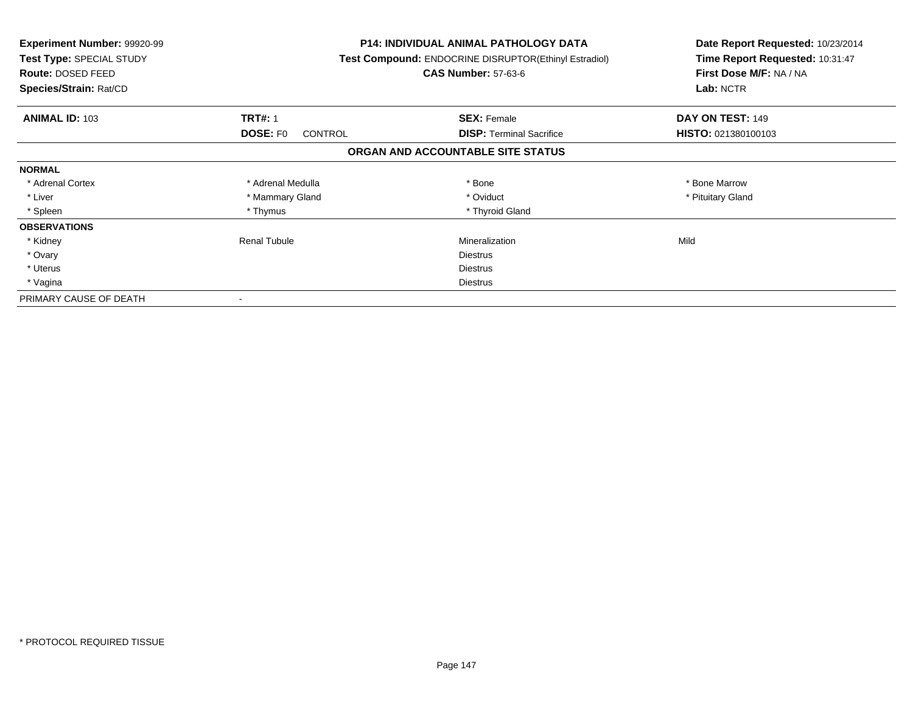| <b>Experiment Number: 99920-99</b><br>Test Type: SPECIAL STUDY<br><b>Route: DOSED FEED</b><br>Species/Strain: Rat/CD |                                   | P14: INDIVIDUAL ANIMAL PATHOLOGY DATA<br>Test Compound: ENDOCRINE DISRUPTOR(Ethinyl Estradiol)<br><b>CAS Number: 57-63-6</b> | Date Report Requested: 10/23/2014<br>Time Report Requested: 10:31:47<br>First Dose M/F: NA / NA<br>Lab: NCTR |
|----------------------------------------------------------------------------------------------------------------------|-----------------------------------|------------------------------------------------------------------------------------------------------------------------------|--------------------------------------------------------------------------------------------------------------|
| <b>ANIMAL ID: 103</b>                                                                                                | <b>TRT#: 1</b>                    | <b>SEX: Female</b>                                                                                                           | DAY ON TEST: 149                                                                                             |
|                                                                                                                      | <b>DOSE: FO</b><br><b>CONTROL</b> | <b>DISP:</b> Terminal Sacrifice                                                                                              | HISTO: 021380100103                                                                                          |
|                                                                                                                      |                                   | ORGAN AND ACCOUNTABLE SITE STATUS                                                                                            |                                                                                                              |
| <b>NORMAL</b>                                                                                                        |                                   |                                                                                                                              |                                                                                                              |
| * Adrenal Cortex                                                                                                     | * Adrenal Medulla                 | * Bone                                                                                                                       | * Bone Marrow                                                                                                |
| * Liver                                                                                                              | * Mammary Gland                   | * Oviduct                                                                                                                    | * Pituitary Gland                                                                                            |
| * Spleen                                                                                                             | * Thymus                          | * Thyroid Gland                                                                                                              |                                                                                                              |
| <b>OBSERVATIONS</b>                                                                                                  |                                   |                                                                                                                              |                                                                                                              |
| * Kidney                                                                                                             | <b>Renal Tubule</b>               | Mineralization                                                                                                               | Mild                                                                                                         |
| * Ovary                                                                                                              |                                   | <b>Diestrus</b>                                                                                                              |                                                                                                              |
| * Uterus                                                                                                             |                                   | <b>Diestrus</b>                                                                                                              |                                                                                                              |
| * Vagina                                                                                                             |                                   | Diestrus                                                                                                                     |                                                                                                              |
| PRIMARY CAUSE OF DEATH                                                                                               |                                   |                                                                                                                              |                                                                                                              |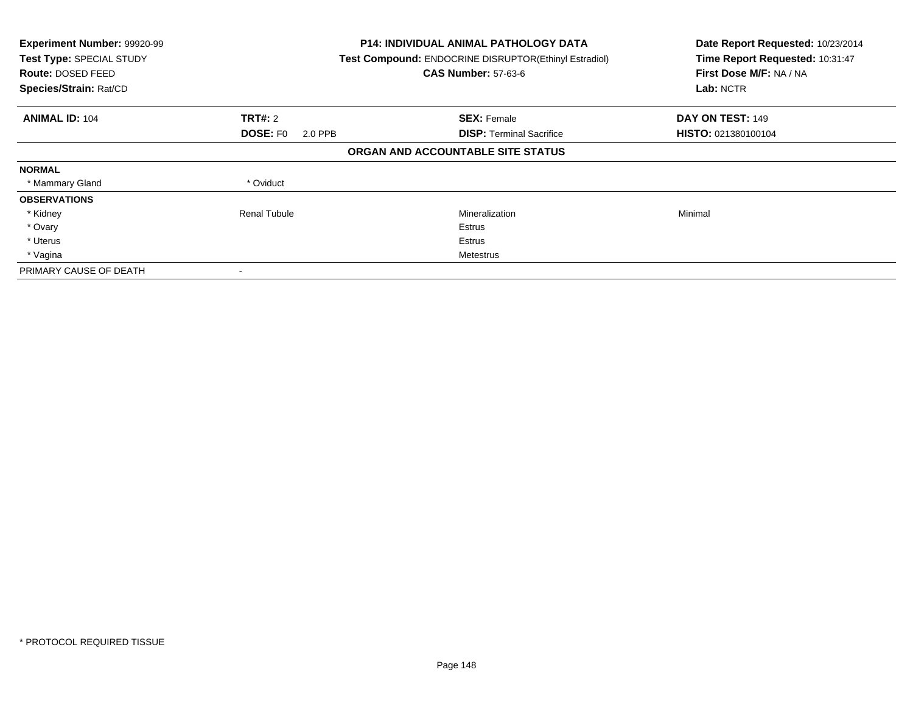| Experiment Number: 99920-99<br>Test Type: SPECIAL STUDY<br>Route: DOSED FEED<br>Species/Strain: Rat/CD |                            | <b>P14: INDIVIDUAL ANIMAL PATHOLOGY DATA</b><br>Test Compound: ENDOCRINE DISRUPTOR(Ethinyl Estradiol)<br><b>CAS Number: 57-63-6</b> | Date Report Requested: 10/23/2014<br>Time Report Requested: 10:31:47<br>First Dose M/F: NA / NA<br>Lab: NCTR |
|--------------------------------------------------------------------------------------------------------|----------------------------|-------------------------------------------------------------------------------------------------------------------------------------|--------------------------------------------------------------------------------------------------------------|
| <b>ANIMAL ID: 104</b>                                                                                  | <b>TRT#: 2</b>             | <b>SEX: Female</b>                                                                                                                  | DAY ON TEST: 149                                                                                             |
|                                                                                                        | <b>DOSE: FO</b><br>2.0 PPB | <b>DISP:</b> Terminal Sacrifice                                                                                                     | HISTO: 021380100104                                                                                          |
|                                                                                                        |                            | ORGAN AND ACCOUNTABLE SITE STATUS                                                                                                   |                                                                                                              |
| <b>NORMAL</b>                                                                                          |                            |                                                                                                                                     |                                                                                                              |
| * Mammary Gland                                                                                        | * Oviduct                  |                                                                                                                                     |                                                                                                              |
| <b>OBSERVATIONS</b>                                                                                    |                            |                                                                                                                                     |                                                                                                              |
| * Kidney                                                                                               | <b>Renal Tubule</b>        | Mineralization                                                                                                                      | Minimal                                                                                                      |
| * Ovary                                                                                                |                            | Estrus                                                                                                                              |                                                                                                              |
| * Uterus                                                                                               |                            | Estrus                                                                                                                              |                                                                                                              |
| * Vagina                                                                                               |                            | Metestrus                                                                                                                           |                                                                                                              |
| PRIMARY CAUSE OF DEATH                                                                                 |                            |                                                                                                                                     |                                                                                                              |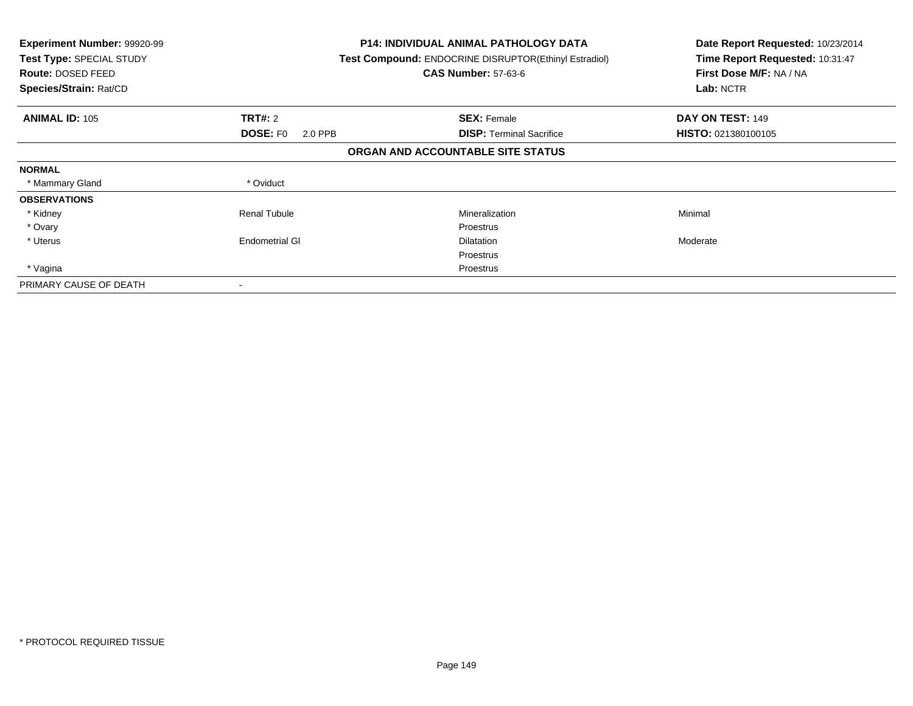| <b>Experiment Number: 99920-99</b><br>Test Type: SPECIAL STUDY<br><b>Route: DOSED FEED</b><br>Species/Strain: Rat/CD |                            | <b>P14: INDIVIDUAL ANIMAL PATHOLOGY DATA</b><br>Test Compound: ENDOCRINE DISRUPTOR(Ethinyl Estradiol)<br><b>CAS Number: 57-63-6</b> | Date Report Requested: 10/23/2014<br>Time Report Requested: 10:31:47<br>First Dose M/F: NA / NA<br>Lab: NCTR |
|----------------------------------------------------------------------------------------------------------------------|----------------------------|-------------------------------------------------------------------------------------------------------------------------------------|--------------------------------------------------------------------------------------------------------------|
| <b>ANIMAL ID: 105</b>                                                                                                | <b>TRT#: 2</b>             | <b>SEX: Female</b>                                                                                                                  | DAY ON TEST: 149                                                                                             |
|                                                                                                                      | <b>DOSE: FO</b><br>2.0 PPB | <b>DISP:</b> Terminal Sacrifice                                                                                                     | <b>HISTO: 021380100105</b>                                                                                   |
|                                                                                                                      |                            | ORGAN AND ACCOUNTABLE SITE STATUS                                                                                                   |                                                                                                              |
| <b>NORMAL</b>                                                                                                        |                            |                                                                                                                                     |                                                                                                              |
| * Mammary Gland                                                                                                      | * Oviduct                  |                                                                                                                                     |                                                                                                              |
| <b>OBSERVATIONS</b>                                                                                                  |                            |                                                                                                                                     |                                                                                                              |
| * Kidney                                                                                                             | <b>Renal Tubule</b>        | Mineralization                                                                                                                      | Minimal                                                                                                      |
| * Ovary                                                                                                              |                            | Proestrus                                                                                                                           |                                                                                                              |
| * Uterus                                                                                                             | <b>Endometrial GI</b>      | <b>Dilatation</b>                                                                                                                   | Moderate                                                                                                     |
|                                                                                                                      |                            | Proestrus                                                                                                                           |                                                                                                              |
| * Vagina                                                                                                             |                            | Proestrus                                                                                                                           |                                                                                                              |
| PRIMARY CAUSE OF DEATH                                                                                               | $\,$                       |                                                                                                                                     |                                                                                                              |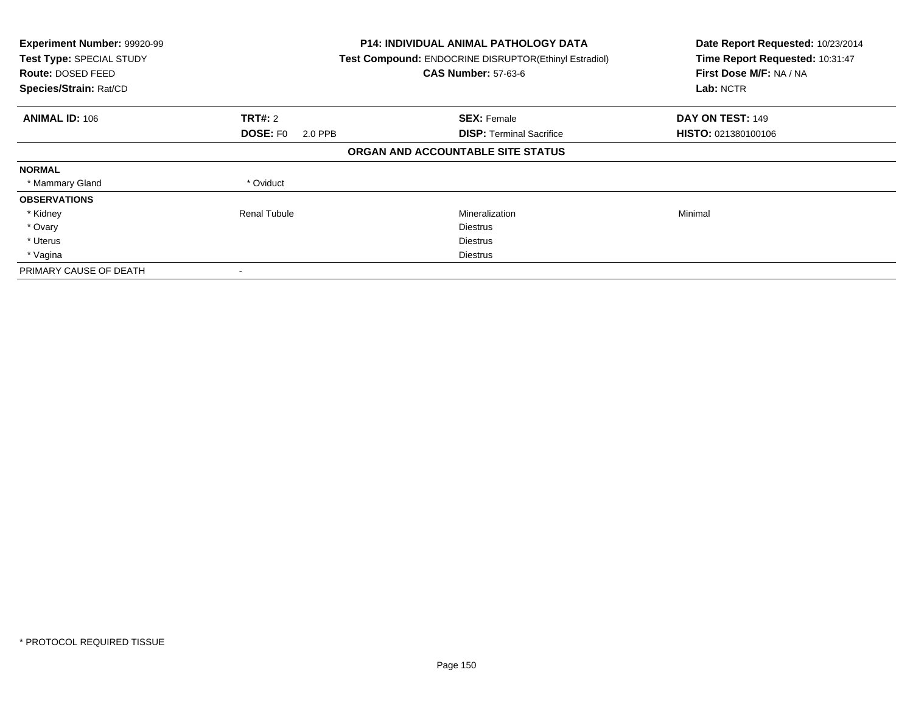| Experiment Number: 99920-99<br>Test Type: SPECIAL STUDY<br>Route: DOSED FEED<br>Species/Strain: Rat/CD |                            | <b>P14: INDIVIDUAL ANIMAL PATHOLOGY DATA</b><br>Test Compound: ENDOCRINE DISRUPTOR(Ethinyl Estradiol)<br><b>CAS Number: 57-63-6</b> | Date Report Requested: 10/23/2014<br>Time Report Requested: 10:31:47<br>First Dose M/F: NA / NA<br>Lab: NCTR |
|--------------------------------------------------------------------------------------------------------|----------------------------|-------------------------------------------------------------------------------------------------------------------------------------|--------------------------------------------------------------------------------------------------------------|
| <b>ANIMAL ID: 106</b>                                                                                  | <b>TRT#: 2</b>             | <b>SEX: Female</b>                                                                                                                  | DAY ON TEST: 149                                                                                             |
|                                                                                                        | <b>DOSE: FO</b><br>2.0 PPB | <b>DISP:</b> Terminal Sacrifice                                                                                                     | HISTO: 021380100106                                                                                          |
|                                                                                                        |                            | ORGAN AND ACCOUNTABLE SITE STATUS                                                                                                   |                                                                                                              |
| <b>NORMAL</b>                                                                                          |                            |                                                                                                                                     |                                                                                                              |
| * Mammary Gland                                                                                        | * Oviduct                  |                                                                                                                                     |                                                                                                              |
| <b>OBSERVATIONS</b>                                                                                    |                            |                                                                                                                                     |                                                                                                              |
| * Kidney                                                                                               | <b>Renal Tubule</b>        | Mineralization                                                                                                                      | Minimal                                                                                                      |
| * Ovary                                                                                                |                            | <b>Diestrus</b>                                                                                                                     |                                                                                                              |
| * Uterus                                                                                               |                            | <b>Diestrus</b>                                                                                                                     |                                                                                                              |
| * Vagina                                                                                               |                            | Diestrus                                                                                                                            |                                                                                                              |
| PRIMARY CAUSE OF DEATH                                                                                 |                            |                                                                                                                                     |                                                                                                              |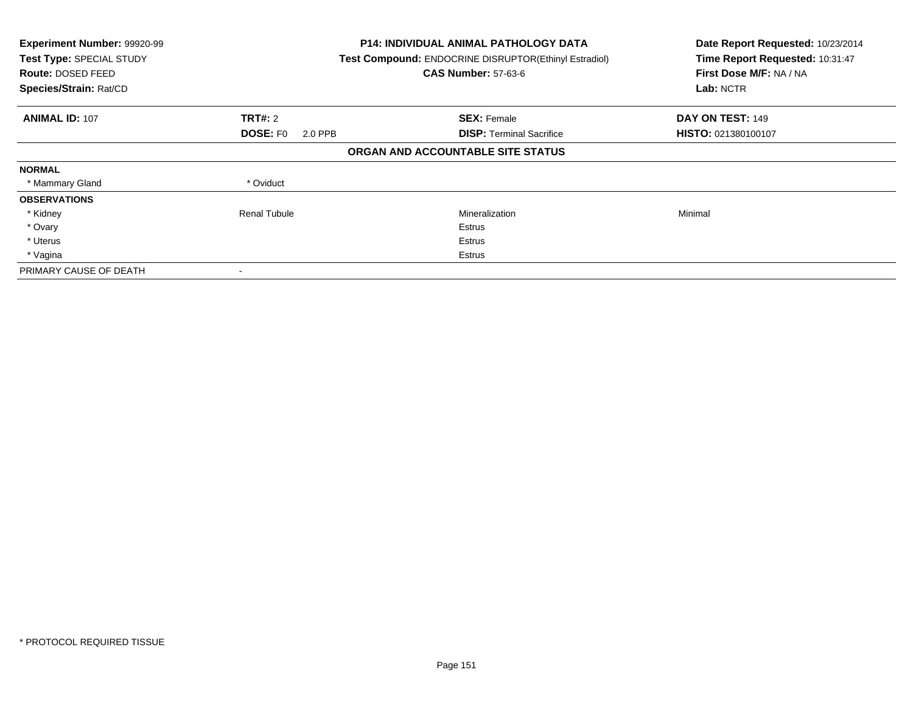| Experiment Number: 99920-99<br>Test Type: SPECIAL STUDY<br>Route: DOSED FEED<br>Species/Strain: Rat/CD |                            | <b>P14: INDIVIDUAL ANIMAL PATHOLOGY DATA</b><br>Test Compound: ENDOCRINE DISRUPTOR(Ethinyl Estradiol)<br><b>CAS Number: 57-63-6</b> | Date Report Requested: 10/23/2014<br>Time Report Requested: 10:31:47<br>First Dose M/F: NA / NA<br>Lab: NCTR |
|--------------------------------------------------------------------------------------------------------|----------------------------|-------------------------------------------------------------------------------------------------------------------------------------|--------------------------------------------------------------------------------------------------------------|
| <b>ANIMAL ID: 107</b>                                                                                  | <b>TRT#: 2</b>             | <b>SEX: Female</b>                                                                                                                  | DAY ON TEST: 149                                                                                             |
|                                                                                                        | <b>DOSE: FO</b><br>2.0 PPB | <b>DISP:</b> Terminal Sacrifice                                                                                                     | HISTO: 021380100107                                                                                          |
|                                                                                                        |                            | ORGAN AND ACCOUNTABLE SITE STATUS                                                                                                   |                                                                                                              |
| <b>NORMAL</b>                                                                                          |                            |                                                                                                                                     |                                                                                                              |
| * Mammary Gland                                                                                        | * Oviduct                  |                                                                                                                                     |                                                                                                              |
| <b>OBSERVATIONS</b>                                                                                    |                            |                                                                                                                                     |                                                                                                              |
| * Kidney                                                                                               | <b>Renal Tubule</b>        | Mineralization                                                                                                                      | Minimal                                                                                                      |
| * Ovary                                                                                                |                            | Estrus                                                                                                                              |                                                                                                              |
| * Uterus                                                                                               |                            | Estrus                                                                                                                              |                                                                                                              |
| * Vagina                                                                                               |                            | Estrus                                                                                                                              |                                                                                                              |
| PRIMARY CAUSE OF DEATH                                                                                 |                            |                                                                                                                                     |                                                                                                              |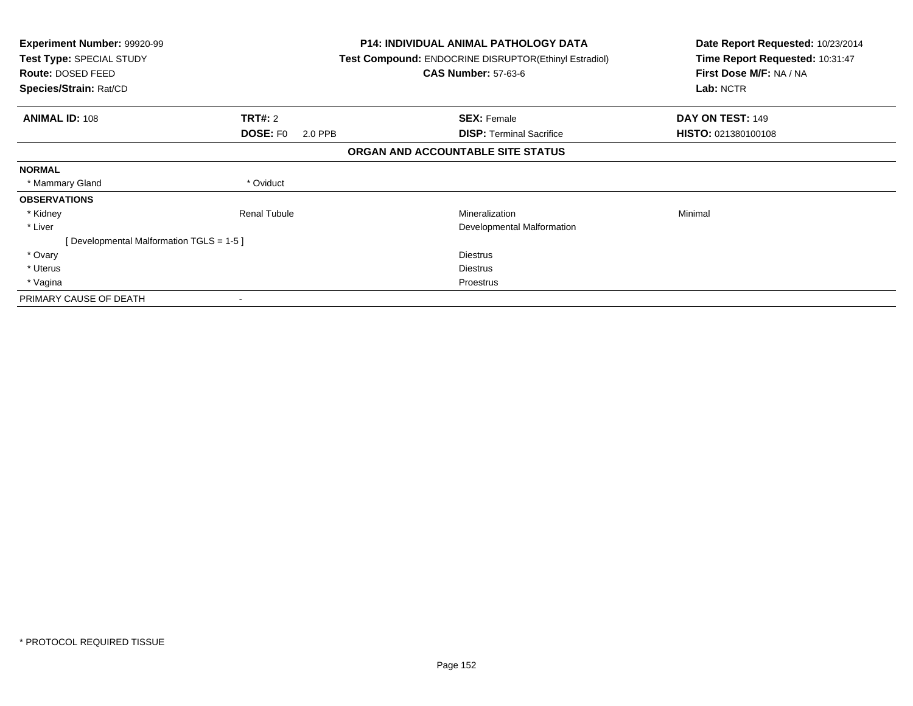| <b>Experiment Number: 99920-99</b><br>Test Type: SPECIAL STUDY<br><b>Route: DOSED FEED</b><br>Species/Strain: Rat/CD |                            | <b>P14: INDIVIDUAL ANIMAL PATHOLOGY DATA</b><br>Test Compound: ENDOCRINE DISRUPTOR(Ethinyl Estradiol)<br><b>CAS Number: 57-63-6</b> | Date Report Requested: 10/23/2014<br>Time Report Requested: 10:31:47<br>First Dose M/F: NA / NA<br>Lab: NCTR |
|----------------------------------------------------------------------------------------------------------------------|----------------------------|-------------------------------------------------------------------------------------------------------------------------------------|--------------------------------------------------------------------------------------------------------------|
| <b>ANIMAL ID: 108</b>                                                                                                | <b>TRT#:</b> 2             | <b>SEX: Female</b>                                                                                                                  | DAY ON TEST: 149                                                                                             |
|                                                                                                                      | <b>DOSE: FO</b><br>2.0 PPB | <b>DISP: Terminal Sacrifice</b>                                                                                                     | HISTO: 021380100108                                                                                          |
|                                                                                                                      |                            | ORGAN AND ACCOUNTABLE SITE STATUS                                                                                                   |                                                                                                              |
| <b>NORMAL</b>                                                                                                        |                            |                                                                                                                                     |                                                                                                              |
| * Mammary Gland                                                                                                      | * Oviduct                  |                                                                                                                                     |                                                                                                              |
| <b>OBSERVATIONS</b>                                                                                                  |                            |                                                                                                                                     |                                                                                                              |
| * Kidney                                                                                                             | <b>Renal Tubule</b>        | Mineralization                                                                                                                      | Minimal                                                                                                      |
| * Liver                                                                                                              |                            | Developmental Malformation                                                                                                          |                                                                                                              |
| [Developmental Malformation TGLS = 1-5]                                                                              |                            |                                                                                                                                     |                                                                                                              |
| * Ovary                                                                                                              |                            | <b>Diestrus</b>                                                                                                                     |                                                                                                              |
| * Uterus                                                                                                             |                            | <b>Diestrus</b>                                                                                                                     |                                                                                                              |
| * Vagina                                                                                                             |                            | Proestrus                                                                                                                           |                                                                                                              |
| PRIMARY CAUSE OF DEATH                                                                                               |                            |                                                                                                                                     |                                                                                                              |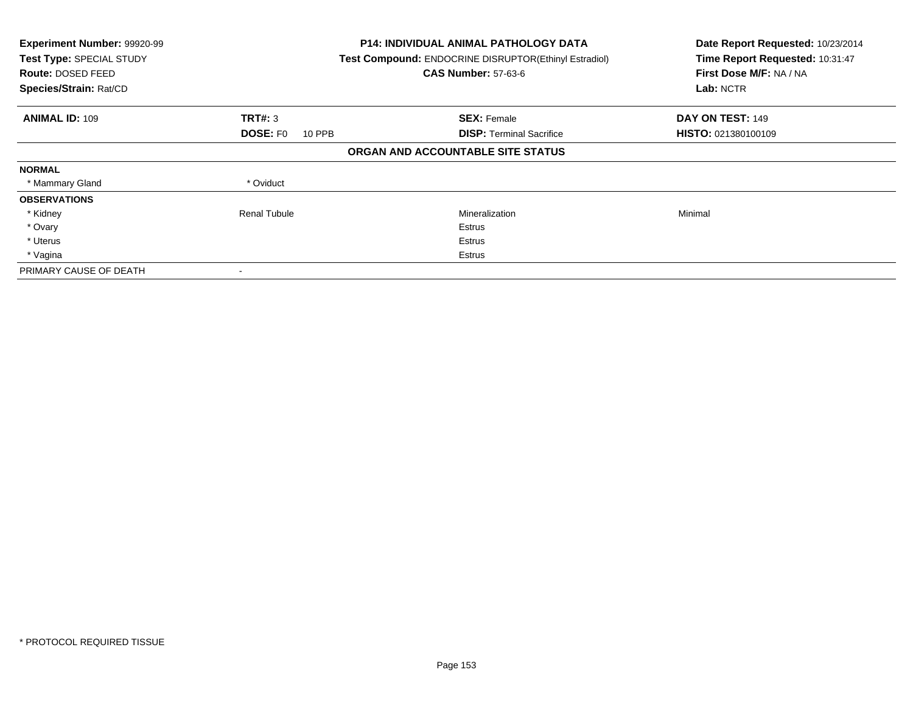| Experiment Number: 99920-99<br>Test Type: SPECIAL STUDY<br><b>Route: DOSED FEED</b><br>Species/Strain: Rat/CD |                           | <b>P14: INDIVIDUAL ANIMAL PATHOLOGY DATA</b><br>Test Compound: ENDOCRINE DISRUPTOR(Ethinyl Estradiol)<br><b>CAS Number: 57-63-6</b> | Date Report Requested: 10/23/2014<br>Time Report Requested: 10:31:47<br>First Dose M/F: NA / NA<br>Lab: NCTR |
|---------------------------------------------------------------------------------------------------------------|---------------------------|-------------------------------------------------------------------------------------------------------------------------------------|--------------------------------------------------------------------------------------------------------------|
| <b>ANIMAL ID: 109</b>                                                                                         | TRT#: 3                   | <b>SEX: Female</b>                                                                                                                  | DAY ON TEST: 149                                                                                             |
|                                                                                                               | <b>DOSE: FO</b><br>10 PPB | <b>DISP:</b> Terminal Sacrifice                                                                                                     | <b>HISTO: 021380100109</b>                                                                                   |
|                                                                                                               |                           | ORGAN AND ACCOUNTABLE SITE STATUS                                                                                                   |                                                                                                              |
| <b>NORMAL</b>                                                                                                 |                           |                                                                                                                                     |                                                                                                              |
| * Mammary Gland                                                                                               | * Oviduct                 |                                                                                                                                     |                                                                                                              |
| <b>OBSERVATIONS</b>                                                                                           |                           |                                                                                                                                     |                                                                                                              |
| * Kidney                                                                                                      | Renal Tubule              | Mineralization                                                                                                                      | Minimal                                                                                                      |
| * Ovary                                                                                                       |                           | Estrus                                                                                                                              |                                                                                                              |
| * Uterus                                                                                                      |                           | Estrus                                                                                                                              |                                                                                                              |
| * Vagina                                                                                                      |                           | Estrus                                                                                                                              |                                                                                                              |
| PRIMARY CAUSE OF DEATH                                                                                        |                           |                                                                                                                                     |                                                                                                              |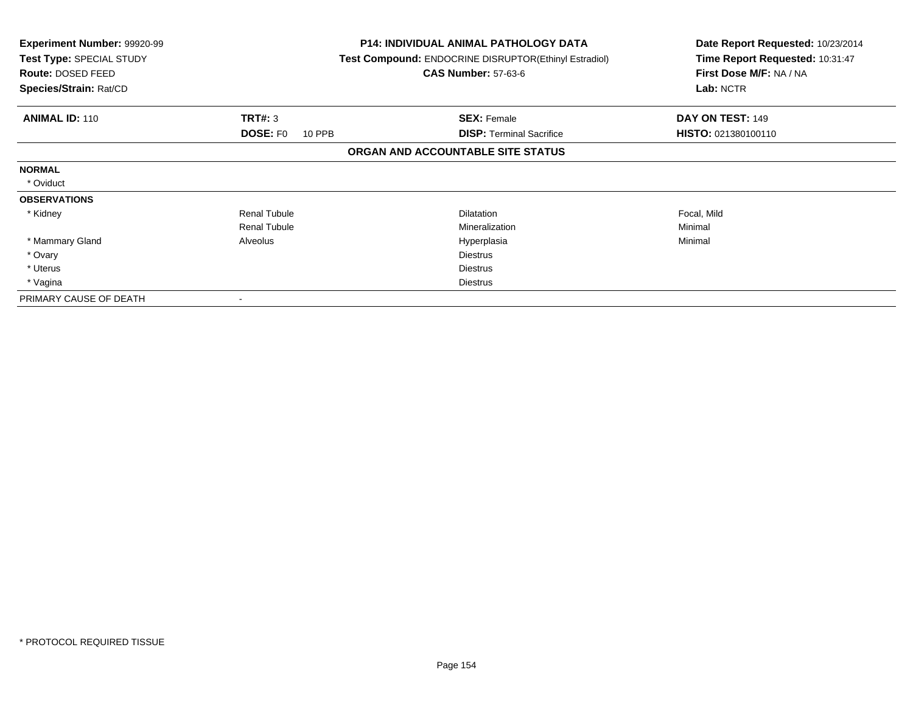| <b>Experiment Number: 99920-99</b><br>Test Type: SPECIAL STUDY<br>Route: DOSED FEED<br>Species/Strain: Rat/CD |                           | <b>P14: INDIVIDUAL ANIMAL PATHOLOGY DATA</b><br><b>Test Compound: ENDOCRINE DISRUPTOR(Ethinyl Estradiol)</b><br><b>CAS Number: 57-63-6</b> | Date Report Requested: 10/23/2014<br>Time Report Requested: 10:31:47<br>First Dose M/F: NA / NA<br>Lab: NCTR |
|---------------------------------------------------------------------------------------------------------------|---------------------------|--------------------------------------------------------------------------------------------------------------------------------------------|--------------------------------------------------------------------------------------------------------------|
| <b>ANIMAL ID: 110</b>                                                                                         | <b>TRT#: 3</b>            | <b>SEX: Female</b>                                                                                                                         | DAY ON TEST: 149                                                                                             |
|                                                                                                               | <b>DOSE: FO</b><br>10 PPB | <b>DISP:</b> Terminal Sacrifice                                                                                                            | HISTO: 021380100110                                                                                          |
|                                                                                                               |                           | ORGAN AND ACCOUNTABLE SITE STATUS                                                                                                          |                                                                                                              |
| <b>NORMAL</b>                                                                                                 |                           |                                                                                                                                            |                                                                                                              |
| * Oviduct                                                                                                     |                           |                                                                                                                                            |                                                                                                              |
| <b>OBSERVATIONS</b>                                                                                           |                           |                                                                                                                                            |                                                                                                              |
| * Kidney                                                                                                      | <b>Renal Tubule</b>       | <b>Dilatation</b>                                                                                                                          | Focal, Mild                                                                                                  |
|                                                                                                               | <b>Renal Tubule</b>       | Mineralization                                                                                                                             | Minimal                                                                                                      |
| * Mammary Gland                                                                                               | Alveolus                  | Hyperplasia                                                                                                                                | Minimal                                                                                                      |
| * Ovary                                                                                                       |                           | <b>Diestrus</b>                                                                                                                            |                                                                                                              |
| * Uterus                                                                                                      |                           | <b>Diestrus</b>                                                                                                                            |                                                                                                              |
| * Vagina                                                                                                      |                           | <b>Diestrus</b>                                                                                                                            |                                                                                                              |
| PRIMARY CAUSE OF DEATH                                                                                        |                           |                                                                                                                                            |                                                                                                              |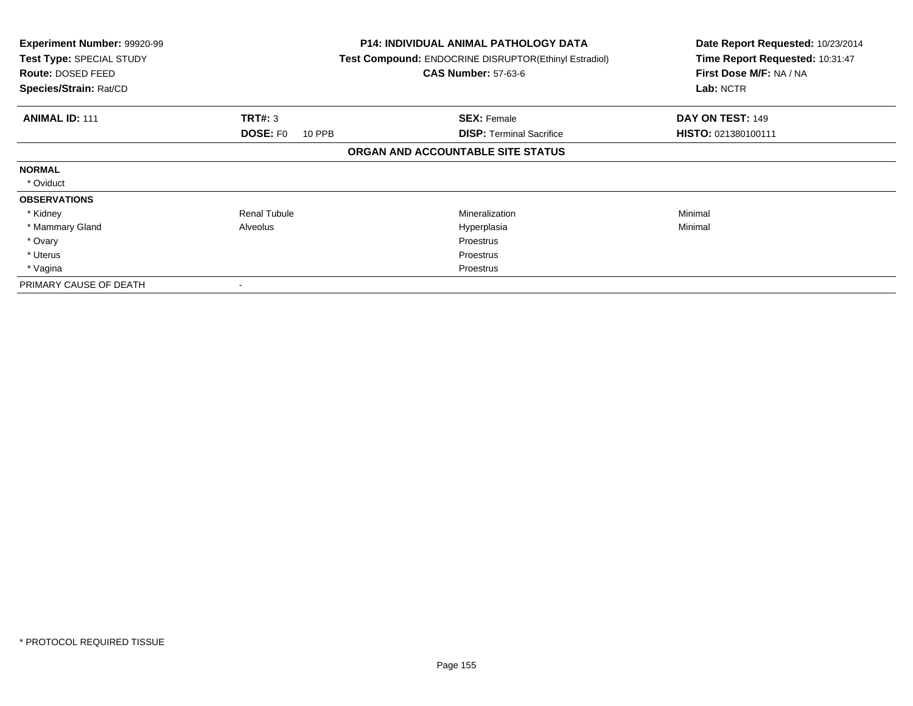| <b>Experiment Number: 99920-99</b><br>Test Type: SPECIAL STUDY<br><b>Route: DOSED FEED</b><br>Species/Strain: Rat/CD |                           | <b>P14: INDIVIDUAL ANIMAL PATHOLOGY DATA</b><br>Test Compound: ENDOCRINE DISRUPTOR(Ethinyl Estradiol)<br><b>CAS Number: 57-63-6</b> | Date Report Requested: 10/23/2014<br>Time Report Requested: 10:31:47<br>First Dose M/F: NA / NA<br>Lab: NCTR |
|----------------------------------------------------------------------------------------------------------------------|---------------------------|-------------------------------------------------------------------------------------------------------------------------------------|--------------------------------------------------------------------------------------------------------------|
| <b>ANIMAL ID: 111</b>                                                                                                | <b>TRT#: 3</b>            | <b>SEX: Female</b>                                                                                                                  | DAY ON TEST: 149                                                                                             |
|                                                                                                                      | <b>DOSE: FO</b><br>10 PPB | <b>DISP: Terminal Sacrifice</b>                                                                                                     | HISTO: 021380100111                                                                                          |
|                                                                                                                      |                           | ORGAN AND ACCOUNTABLE SITE STATUS                                                                                                   |                                                                                                              |
| <b>NORMAL</b>                                                                                                        |                           |                                                                                                                                     |                                                                                                              |
| * Oviduct                                                                                                            |                           |                                                                                                                                     |                                                                                                              |
| <b>OBSERVATIONS</b>                                                                                                  |                           |                                                                                                                                     |                                                                                                              |
| * Kidney                                                                                                             | <b>Renal Tubule</b>       | <b>Mineralization</b>                                                                                                               | Minimal                                                                                                      |
| * Mammary Gland                                                                                                      | Alveolus                  | Hyperplasia                                                                                                                         | Minimal                                                                                                      |
| * Ovary                                                                                                              |                           | Proestrus                                                                                                                           |                                                                                                              |
| * Uterus                                                                                                             |                           | Proestrus                                                                                                                           |                                                                                                              |
| * Vagina                                                                                                             |                           | Proestrus                                                                                                                           |                                                                                                              |
| PRIMARY CAUSE OF DEATH                                                                                               |                           |                                                                                                                                     |                                                                                                              |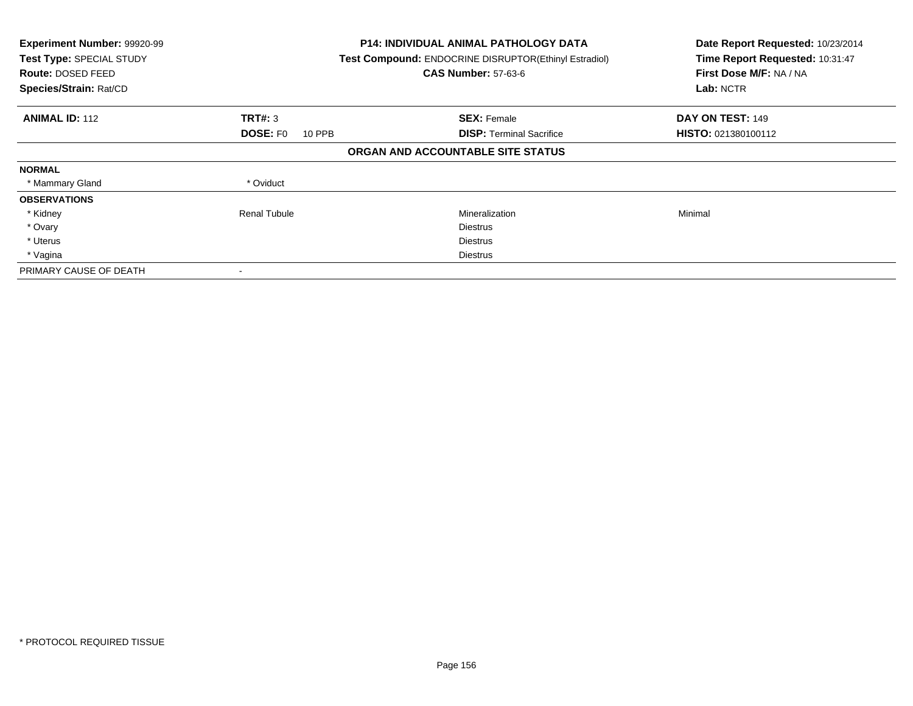| Experiment Number: 99920-99<br>Test Type: SPECIAL STUDY<br><b>Route: DOSED FEED</b><br>Species/Strain: Rat/CD |                           | <b>P14: INDIVIDUAL ANIMAL PATHOLOGY DATA</b><br>Test Compound: ENDOCRINE DISRUPTOR(Ethinyl Estradiol)<br><b>CAS Number: 57-63-6</b> | Date Report Requested: 10/23/2014<br>Time Report Requested: 10:31:47<br>First Dose M/F: NA / NA<br>Lab: NCTR |
|---------------------------------------------------------------------------------------------------------------|---------------------------|-------------------------------------------------------------------------------------------------------------------------------------|--------------------------------------------------------------------------------------------------------------|
| <b>ANIMAL ID: 112</b>                                                                                         | TRT#: 3                   | <b>SEX: Female</b>                                                                                                                  | DAY ON TEST: 149                                                                                             |
|                                                                                                               | <b>DOSE: FO</b><br>10 PPB | <b>DISP:</b> Terminal Sacrifice                                                                                                     | <b>HISTO: 021380100112</b>                                                                                   |
|                                                                                                               |                           | ORGAN AND ACCOUNTABLE SITE STATUS                                                                                                   |                                                                                                              |
| <b>NORMAL</b>                                                                                                 |                           |                                                                                                                                     |                                                                                                              |
| * Mammary Gland                                                                                               | * Oviduct                 |                                                                                                                                     |                                                                                                              |
| <b>OBSERVATIONS</b>                                                                                           |                           |                                                                                                                                     |                                                                                                              |
| * Kidney                                                                                                      | Renal Tubule              | Mineralization                                                                                                                      | Minimal                                                                                                      |
| * Ovary                                                                                                       |                           | <b>Diestrus</b>                                                                                                                     |                                                                                                              |
| * Uterus                                                                                                      |                           | <b>Diestrus</b>                                                                                                                     |                                                                                                              |
| * Vagina                                                                                                      |                           | Diestrus                                                                                                                            |                                                                                                              |
| PRIMARY CAUSE OF DEATH                                                                                        |                           |                                                                                                                                     |                                                                                                              |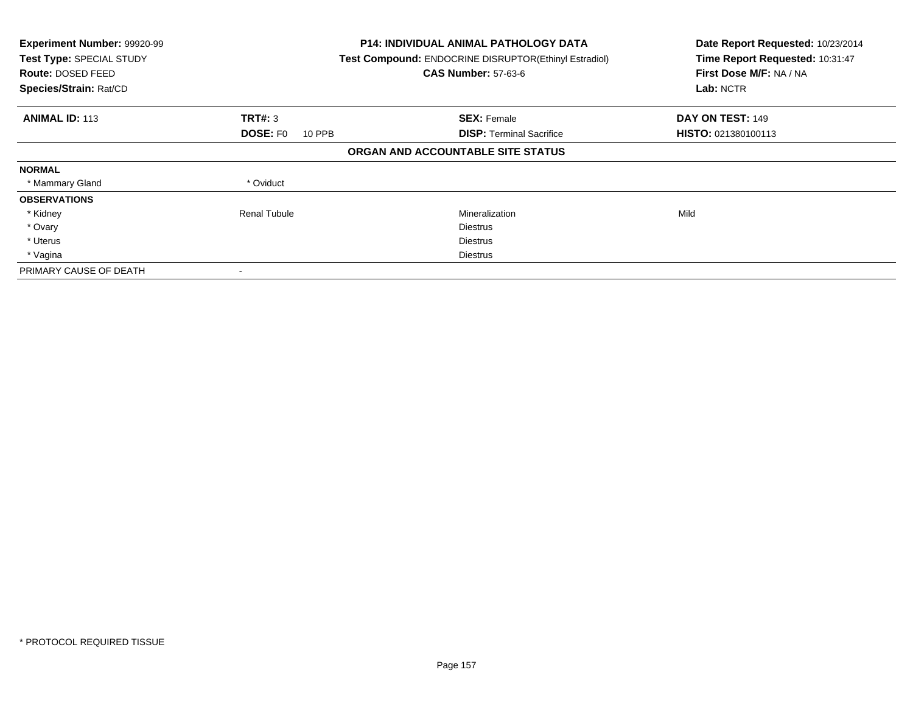| Experiment Number: 99920-99<br>Test Type: SPECIAL STUDY<br>Route: DOSED FEED<br>Species/Strain: Rat/CD |                                  | <b>P14: INDIVIDUAL ANIMAL PATHOLOGY DATA</b><br>Test Compound: ENDOCRINE DISRUPTOR(Ethinyl Estradiol)<br><b>CAS Number: 57-63-6</b> | Date Report Requested: 10/23/2014<br>Time Report Requested: 10:31:47<br>First Dose M/F: NA / NA<br>Lab: NCTR |
|--------------------------------------------------------------------------------------------------------|----------------------------------|-------------------------------------------------------------------------------------------------------------------------------------|--------------------------------------------------------------------------------------------------------------|
| <b>ANIMAL ID: 113</b>                                                                                  | TRT#: 3                          | <b>SEX: Female</b>                                                                                                                  | DAY ON TEST: 149                                                                                             |
|                                                                                                        | <b>DOSE: FO</b><br><b>10 PPB</b> | <b>DISP:</b> Terminal Sacrifice                                                                                                     | HISTO: 021380100113                                                                                          |
|                                                                                                        |                                  | ORGAN AND ACCOUNTABLE SITE STATUS                                                                                                   |                                                                                                              |
| <b>NORMAL</b>                                                                                          |                                  |                                                                                                                                     |                                                                                                              |
| * Mammary Gland                                                                                        | * Oviduct                        |                                                                                                                                     |                                                                                                              |
| <b>OBSERVATIONS</b>                                                                                    |                                  |                                                                                                                                     |                                                                                                              |
| * Kidney                                                                                               | <b>Renal Tubule</b>              | Mineralization                                                                                                                      | Mild                                                                                                         |
| * Ovary                                                                                                |                                  | <b>Diestrus</b>                                                                                                                     |                                                                                                              |
| * Uterus                                                                                               |                                  | <b>Diestrus</b>                                                                                                                     |                                                                                                              |
| * Vagina                                                                                               |                                  | Diestrus                                                                                                                            |                                                                                                              |
| PRIMARY CAUSE OF DEATH                                                                                 |                                  |                                                                                                                                     |                                                                                                              |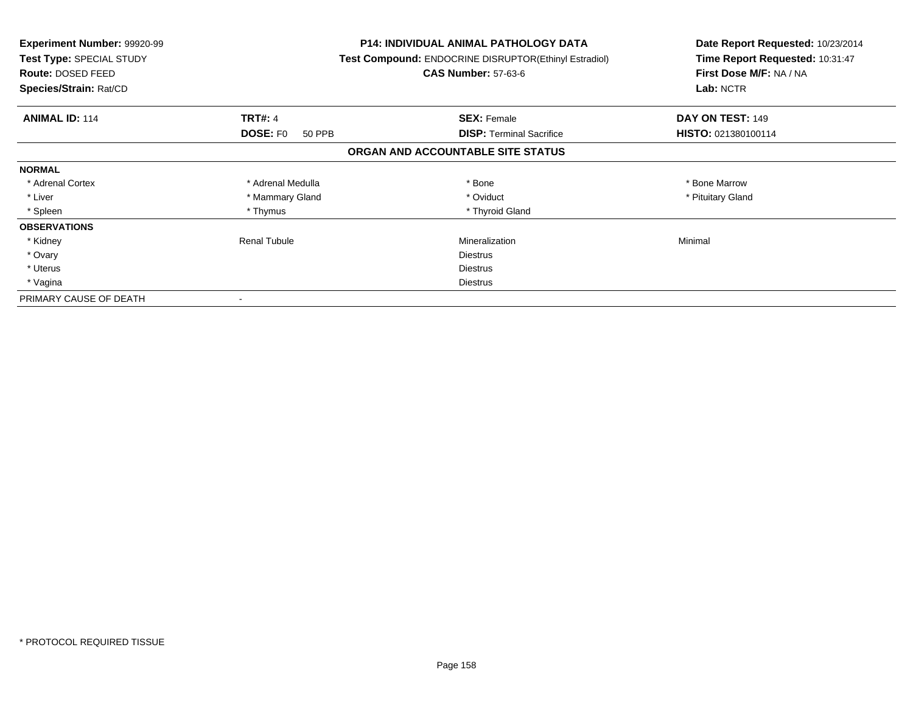| <b>Experiment Number: 99920-99</b><br>Test Type: SPECIAL STUDY<br><b>Route: DOSED FEED</b><br>Species/Strain: Rat/CD |                           | <b>P14: INDIVIDUAL ANIMAL PATHOLOGY DATA</b><br>Test Compound: ENDOCRINE DISRUPTOR(Ethinyl Estradiol)<br><b>CAS Number: 57-63-6</b> | Date Report Requested: 10/23/2014<br>Time Report Requested: 10:31:47<br>First Dose M/F: NA / NA<br>Lab: NCTR |
|----------------------------------------------------------------------------------------------------------------------|---------------------------|-------------------------------------------------------------------------------------------------------------------------------------|--------------------------------------------------------------------------------------------------------------|
| <b>ANIMAL ID: 114</b>                                                                                                | <b>TRT#: 4</b>            | <b>SEX: Female</b>                                                                                                                  | DAY ON TEST: 149                                                                                             |
|                                                                                                                      | <b>DOSE: FO</b><br>50 PPB | <b>DISP:</b> Terminal Sacrifice                                                                                                     | HISTO: 021380100114                                                                                          |
|                                                                                                                      |                           | ORGAN AND ACCOUNTABLE SITE STATUS                                                                                                   |                                                                                                              |
| <b>NORMAL</b>                                                                                                        |                           |                                                                                                                                     |                                                                                                              |
| * Adrenal Cortex                                                                                                     | * Adrenal Medulla         | * Bone                                                                                                                              | * Bone Marrow                                                                                                |
| * Liver                                                                                                              | * Mammary Gland           | * Oviduct                                                                                                                           | * Pituitary Gland                                                                                            |
| * Spleen                                                                                                             | * Thymus                  | * Thyroid Gland                                                                                                                     |                                                                                                              |
| <b>OBSERVATIONS</b>                                                                                                  |                           |                                                                                                                                     |                                                                                                              |
| * Kidney                                                                                                             | <b>Renal Tubule</b>       | Mineralization                                                                                                                      | Minimal                                                                                                      |
| * Ovary                                                                                                              |                           | Diestrus                                                                                                                            |                                                                                                              |
| * Uterus                                                                                                             |                           | Diestrus                                                                                                                            |                                                                                                              |
| * Vagina                                                                                                             |                           | Diestrus                                                                                                                            |                                                                                                              |
| PRIMARY CAUSE OF DEATH                                                                                               |                           |                                                                                                                                     |                                                                                                              |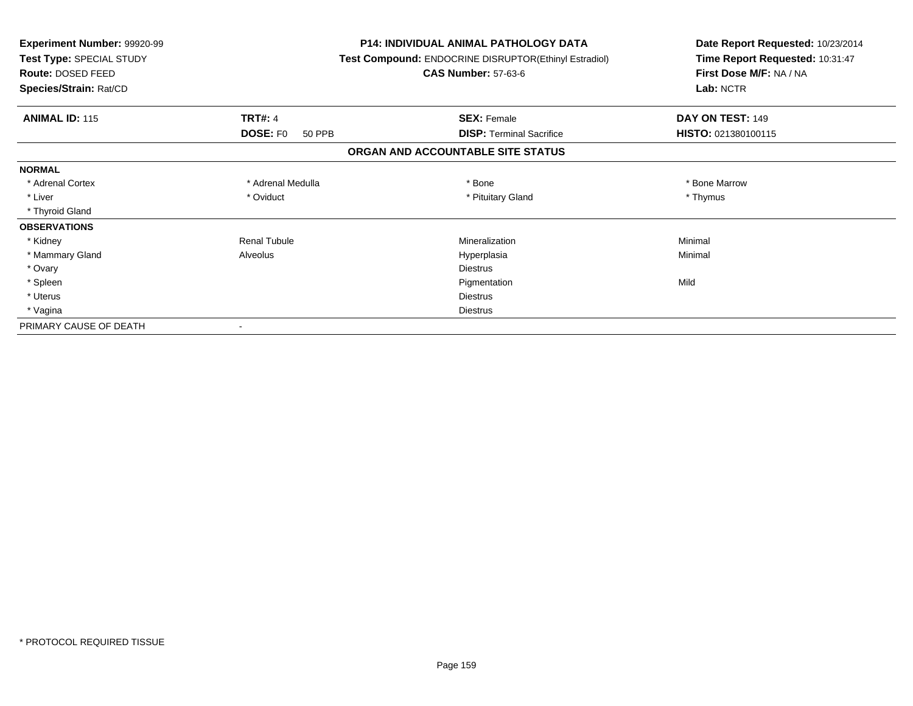| <b>Experiment Number: 99920-99</b><br>Test Type: SPECIAL STUDY<br><b>Route: DOSED FEED</b><br>Species/Strain: Rat/CD |                           | <b>P14: INDIVIDUAL ANIMAL PATHOLOGY DATA</b><br><b>Test Compound: ENDOCRINE DISRUPTOR(Ethinyl Estradiol)</b><br><b>CAS Number: 57-63-6</b> | Date Report Requested: 10/23/2014<br>Time Report Requested: 10:31:47<br>First Dose M/F: NA / NA<br>Lab: NCTR |
|----------------------------------------------------------------------------------------------------------------------|---------------------------|--------------------------------------------------------------------------------------------------------------------------------------------|--------------------------------------------------------------------------------------------------------------|
|                                                                                                                      |                           |                                                                                                                                            |                                                                                                              |
| <b>ANIMAL ID: 115</b>                                                                                                | <b>TRT#: 4</b>            | <b>SEX: Female</b>                                                                                                                         | DAY ON TEST: 149                                                                                             |
|                                                                                                                      | <b>DOSE: FO</b><br>50 PPB | <b>DISP: Terminal Sacrifice</b>                                                                                                            | HISTO: 021380100115                                                                                          |
|                                                                                                                      |                           | ORGAN AND ACCOUNTABLE SITE STATUS                                                                                                          |                                                                                                              |
| <b>NORMAL</b>                                                                                                        |                           |                                                                                                                                            |                                                                                                              |
| * Adrenal Cortex                                                                                                     | * Adrenal Medulla         | * Bone                                                                                                                                     | * Bone Marrow                                                                                                |
| * Liver                                                                                                              | * Oviduct                 | * Pituitary Gland                                                                                                                          | * Thymus                                                                                                     |
| * Thyroid Gland                                                                                                      |                           |                                                                                                                                            |                                                                                                              |
| <b>OBSERVATIONS</b>                                                                                                  |                           |                                                                                                                                            |                                                                                                              |
| * Kidney                                                                                                             | <b>Renal Tubule</b>       | Mineralization                                                                                                                             | Minimal                                                                                                      |
| * Mammary Gland                                                                                                      | Alveolus                  | Hyperplasia                                                                                                                                | Minimal                                                                                                      |
| * Ovary                                                                                                              |                           | <b>Diestrus</b>                                                                                                                            |                                                                                                              |
| * Spleen                                                                                                             |                           | Pigmentation                                                                                                                               | Mild                                                                                                         |
| * Uterus                                                                                                             |                           | Diestrus                                                                                                                                   |                                                                                                              |
| * Vagina                                                                                                             |                           | <b>Diestrus</b>                                                                                                                            |                                                                                                              |
| PRIMARY CAUSE OF DEATH                                                                                               |                           |                                                                                                                                            |                                                                                                              |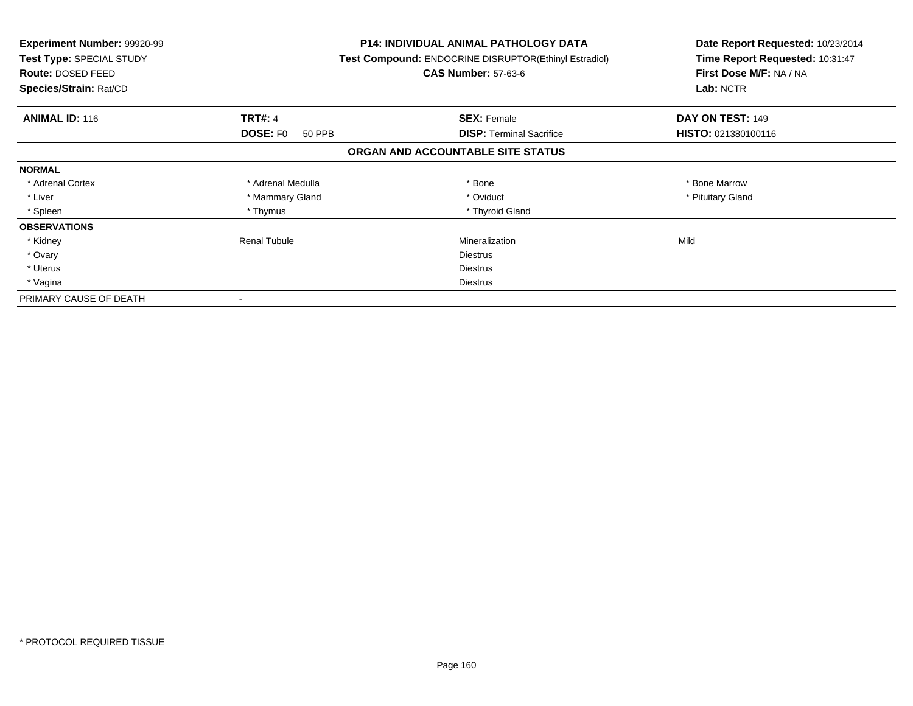| <b>Experiment Number: 99920-99</b><br>Test Type: SPECIAL STUDY<br>Route: DOSED FEED<br>Species/Strain: Rat/CD |                           | <b>P14: INDIVIDUAL ANIMAL PATHOLOGY DATA</b><br>Test Compound: ENDOCRINE DISRUPTOR(Ethinyl Estradiol)<br><b>CAS Number: 57-63-6</b> | Date Report Requested: 10/23/2014<br>Time Report Requested: 10:31:47<br>First Dose M/F: NA / NA<br>Lab: NCTR |
|---------------------------------------------------------------------------------------------------------------|---------------------------|-------------------------------------------------------------------------------------------------------------------------------------|--------------------------------------------------------------------------------------------------------------|
| <b>ANIMAL ID: 116</b>                                                                                         | <b>TRT#: 4</b>            | <b>SEX: Female</b>                                                                                                                  | DAY ON TEST: 149                                                                                             |
|                                                                                                               | <b>DOSE: FO</b><br>50 PPB | <b>DISP:</b> Terminal Sacrifice                                                                                                     | HISTO: 021380100116                                                                                          |
|                                                                                                               |                           | ORGAN AND ACCOUNTABLE SITE STATUS                                                                                                   |                                                                                                              |
| <b>NORMAL</b>                                                                                                 |                           |                                                                                                                                     |                                                                                                              |
| * Adrenal Cortex                                                                                              | * Adrenal Medulla         | * Bone                                                                                                                              | * Bone Marrow                                                                                                |
| * Liver                                                                                                       | * Mammary Gland           | * Oviduct                                                                                                                           | * Pituitary Gland                                                                                            |
| * Spleen                                                                                                      | * Thymus                  | * Thyroid Gland                                                                                                                     |                                                                                                              |
| <b>OBSERVATIONS</b>                                                                                           |                           |                                                                                                                                     |                                                                                                              |
| * Kidney                                                                                                      | Renal Tubule              | Mineralization                                                                                                                      | Mild                                                                                                         |
| * Ovary                                                                                                       |                           | <b>Diestrus</b>                                                                                                                     |                                                                                                              |
| * Uterus                                                                                                      |                           | Diestrus                                                                                                                            |                                                                                                              |
| * Vagina                                                                                                      |                           | Diestrus                                                                                                                            |                                                                                                              |
| PRIMARY CAUSE OF DEATH                                                                                        |                           |                                                                                                                                     |                                                                                                              |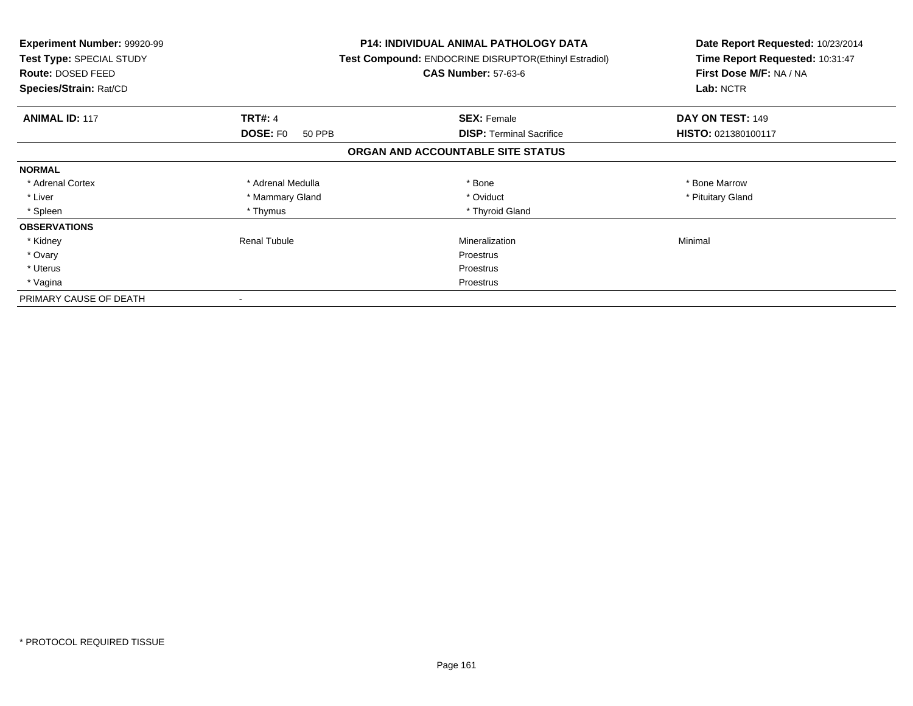| <b>Experiment Number: 99920-99</b><br>Test Type: SPECIAL STUDY<br>Route: DOSED FEED<br>Species/Strain: Rat/CD |                           | P14: INDIVIDUAL ANIMAL PATHOLOGY DATA<br>Test Compound: ENDOCRINE DISRUPTOR(Ethinyl Estradiol)<br><b>CAS Number: 57-63-6</b> | Date Report Requested: 10/23/2014<br>Time Report Requested: 10:31:47<br>First Dose M/F: NA / NA<br>Lab: NCTR |
|---------------------------------------------------------------------------------------------------------------|---------------------------|------------------------------------------------------------------------------------------------------------------------------|--------------------------------------------------------------------------------------------------------------|
| <b>ANIMAL ID: 117</b>                                                                                         | <b>TRT#: 4</b>            | <b>SEX: Female</b>                                                                                                           | DAY ON TEST: 149                                                                                             |
|                                                                                                               | <b>DOSE: FO</b><br>50 PPB | <b>DISP:</b> Terminal Sacrifice                                                                                              | HISTO: 021380100117                                                                                          |
|                                                                                                               |                           | ORGAN AND ACCOUNTABLE SITE STATUS                                                                                            |                                                                                                              |
| <b>NORMAL</b>                                                                                                 |                           |                                                                                                                              |                                                                                                              |
| * Adrenal Cortex                                                                                              | * Adrenal Medulla         | * Bone                                                                                                                       | * Bone Marrow                                                                                                |
| * Liver                                                                                                       | * Mammary Gland           | * Oviduct                                                                                                                    | * Pituitary Gland                                                                                            |
| * Spleen                                                                                                      | * Thymus                  | * Thyroid Gland                                                                                                              |                                                                                                              |
| <b>OBSERVATIONS</b>                                                                                           |                           |                                                                                                                              |                                                                                                              |
| * Kidney                                                                                                      | Renal Tubule              | Mineralization                                                                                                               | Minimal                                                                                                      |
| * Ovary                                                                                                       |                           | Proestrus                                                                                                                    |                                                                                                              |
| * Uterus                                                                                                      |                           | Proestrus                                                                                                                    |                                                                                                              |
| * Vagina                                                                                                      |                           | Proestrus                                                                                                                    |                                                                                                              |
| PRIMARY CAUSE OF DEATH                                                                                        |                           |                                                                                                                              |                                                                                                              |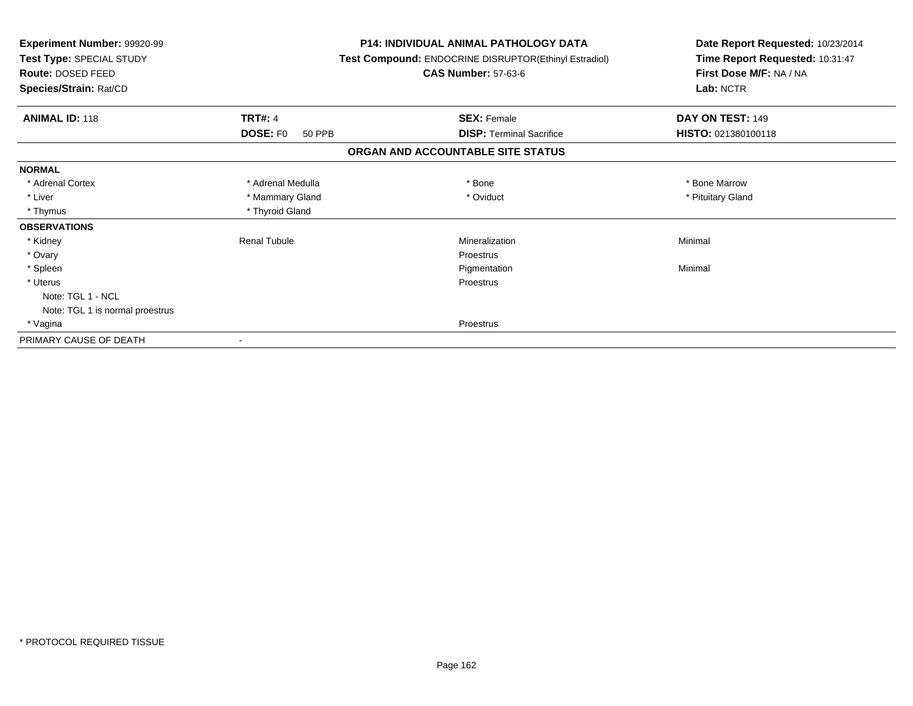| Experiment Number: 99920-99<br>Test Type: SPECIAL STUDY<br>Route: DOSED FEED<br>Species/Strain: Rat/CD | <b>P14: INDIVIDUAL ANIMAL PATHOLOGY DATA</b><br>Test Compound: ENDOCRINE DISRUPTOR(Ethinyl Estradiol)<br><b>CAS Number: 57-63-6</b> | Date Report Requested: 10/23/2014<br>Time Report Requested: 10:31:47<br>First Dose M/F: NA / NA<br>Lab: NCTR |  |
|--------------------------------------------------------------------------------------------------------|-------------------------------------------------------------------------------------------------------------------------------------|--------------------------------------------------------------------------------------------------------------|--|
|                                                                                                        |                                                                                                                                     |                                                                                                              |  |
| <b>ANIMAL ID: 118</b><br><b>TRT#: 4</b>                                                                | <b>SEX: Female</b>                                                                                                                  | DAY ON TEST: 149                                                                                             |  |
| <b>DOSE: FO</b><br>50 PPB                                                                              | <b>DISP:</b> Terminal Sacrifice                                                                                                     | HISTO: 021380100118                                                                                          |  |
|                                                                                                        | ORGAN AND ACCOUNTABLE SITE STATUS                                                                                                   |                                                                                                              |  |
| <b>NORMAL</b>                                                                                          |                                                                                                                                     |                                                                                                              |  |
| * Adrenal Cortex<br>* Adrenal Medulla                                                                  | * Bone                                                                                                                              | * Bone Marrow                                                                                                |  |
| * Liver<br>* Mammary Gland                                                                             | * Oviduct                                                                                                                           | * Pituitary Gland                                                                                            |  |
| * Thymus<br>* Thyroid Gland                                                                            |                                                                                                                                     |                                                                                                              |  |
| <b>OBSERVATIONS</b>                                                                                    |                                                                                                                                     |                                                                                                              |  |
| * Kidney<br><b>Renal Tubule</b>                                                                        | Mineralization                                                                                                                      | Minimal                                                                                                      |  |
| * Ovary                                                                                                | <b>Proestrus</b>                                                                                                                    |                                                                                                              |  |
| * Spleen                                                                                               | Pigmentation                                                                                                                        | Minimal                                                                                                      |  |
| * Uterus                                                                                               | Proestrus                                                                                                                           |                                                                                                              |  |
| Note: TGL 1 - NCL                                                                                      |                                                                                                                                     |                                                                                                              |  |
| Note: TGL 1 is normal proestrus                                                                        |                                                                                                                                     |                                                                                                              |  |
| * Vagina                                                                                               | <b>Proestrus</b>                                                                                                                    |                                                                                                              |  |
| PRIMARY CAUSE OF DEATH                                                                                 |                                                                                                                                     |                                                                                                              |  |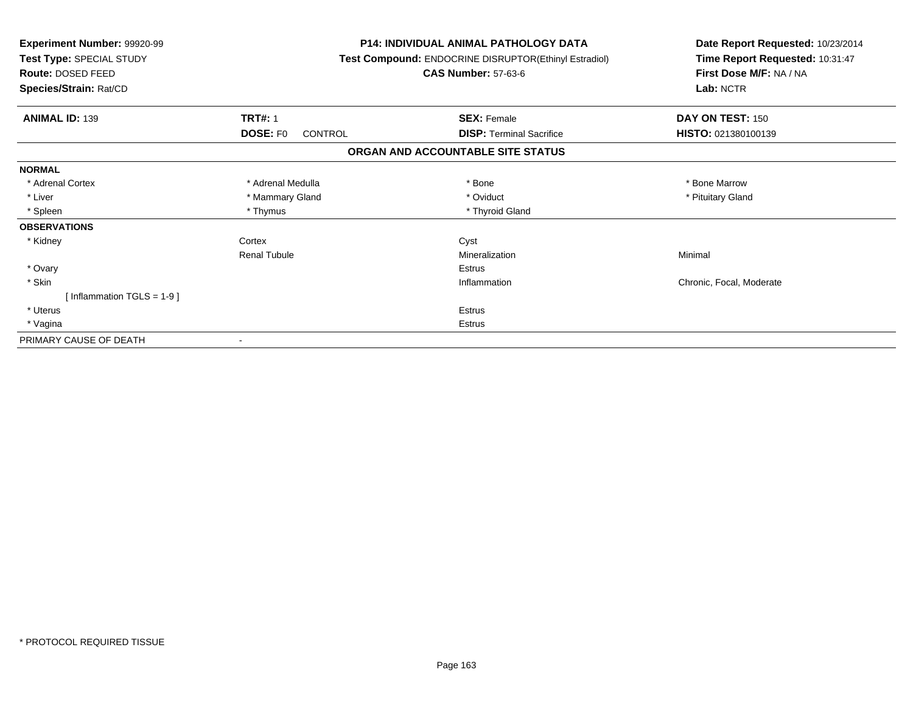| Experiment Number: 99920-99<br>Test Type: SPECIAL STUDY<br>Route: DOSED FEED<br>Species/Strain: Rat/CD |                            | <b>P14: INDIVIDUAL ANIMAL PATHOLOGY DATA</b><br>Test Compound: ENDOCRINE DISRUPTOR(Ethinyl Estradiol)<br><b>CAS Number: 57-63-6</b> | Date Report Requested: 10/23/2014<br>Time Report Requested: 10:31:47<br>First Dose M/F: NA / NA<br>Lab: NCTR |
|--------------------------------------------------------------------------------------------------------|----------------------------|-------------------------------------------------------------------------------------------------------------------------------------|--------------------------------------------------------------------------------------------------------------|
| <b>ANIMAL ID: 139</b>                                                                                  | <b>TRT#: 1</b>             | <b>SEX: Female</b>                                                                                                                  | DAY ON TEST: 150                                                                                             |
|                                                                                                        | <b>DOSE: FO</b><br>CONTROL | <b>DISP:</b> Terminal Sacrifice                                                                                                     | HISTO: 021380100139                                                                                          |
|                                                                                                        |                            | ORGAN AND ACCOUNTABLE SITE STATUS                                                                                                   |                                                                                                              |
| <b>NORMAL</b>                                                                                          |                            |                                                                                                                                     |                                                                                                              |
| * Adrenal Cortex                                                                                       | * Adrenal Medulla          | * Bone                                                                                                                              | * Bone Marrow                                                                                                |
| * Liver                                                                                                | * Mammary Gland            | * Oviduct                                                                                                                           | * Pituitary Gland                                                                                            |
| * Spleen                                                                                               | * Thymus                   | * Thyroid Gland                                                                                                                     |                                                                                                              |
| <b>OBSERVATIONS</b>                                                                                    |                            |                                                                                                                                     |                                                                                                              |
| * Kidney                                                                                               | Cortex                     | Cyst                                                                                                                                |                                                                                                              |
|                                                                                                        | <b>Renal Tubule</b>        | Mineralization                                                                                                                      | Minimal                                                                                                      |
| * Ovary                                                                                                |                            | <b>Estrus</b>                                                                                                                       |                                                                                                              |
| * Skin                                                                                                 |                            | Inflammation                                                                                                                        | Chronic, Focal, Moderate                                                                                     |
| [Inflammation TGLS = $1-9$ ]                                                                           |                            |                                                                                                                                     |                                                                                                              |
| * Uterus                                                                                               |                            | Estrus                                                                                                                              |                                                                                                              |
| * Vagina                                                                                               |                            | Estrus                                                                                                                              |                                                                                                              |
| PRIMARY CAUSE OF DEATH                                                                                 |                            |                                                                                                                                     |                                                                                                              |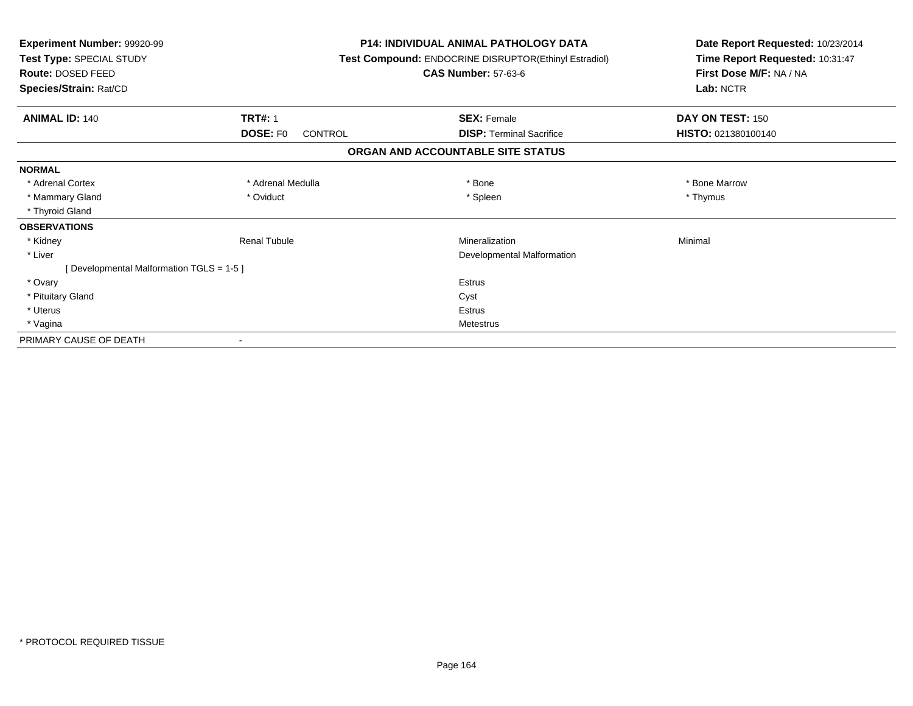| Experiment Number: 99920-99<br>Test Type: SPECIAL STUDY<br><b>Route: DOSED FEED</b><br>Species/Strain: Rat/CD |                                 | <b>P14: INDIVIDUAL ANIMAL PATHOLOGY DATA</b><br>Test Compound: ENDOCRINE DISRUPTOR(Ethinyl Estradiol)<br><b>CAS Number: 57-63-6</b> | Date Report Requested: 10/23/2014<br>Time Report Requested: 10:31:47<br>First Dose M/F: NA / NA<br>Lab: NCTR |
|---------------------------------------------------------------------------------------------------------------|---------------------------------|-------------------------------------------------------------------------------------------------------------------------------------|--------------------------------------------------------------------------------------------------------------|
| <b>ANIMAL ID: 140</b>                                                                                         | <b>TRT#: 1</b>                  | <b>SEX: Female</b>                                                                                                                  | DAY ON TEST: 150                                                                                             |
|                                                                                                               | DOSE: F <sub>0</sub><br>CONTROL | <b>DISP:</b> Terminal Sacrifice                                                                                                     | HISTO: 021380100140                                                                                          |
|                                                                                                               |                                 | ORGAN AND ACCOUNTABLE SITE STATUS                                                                                                   |                                                                                                              |
| <b>NORMAL</b>                                                                                                 |                                 |                                                                                                                                     |                                                                                                              |
| * Adrenal Cortex                                                                                              | * Adrenal Medulla               | * Bone                                                                                                                              | * Bone Marrow                                                                                                |
| * Mammary Gland                                                                                               | * Oviduct                       | * Spleen                                                                                                                            | * Thymus                                                                                                     |
| * Thyroid Gland                                                                                               |                                 |                                                                                                                                     |                                                                                                              |
| <b>OBSERVATIONS</b>                                                                                           |                                 |                                                                                                                                     |                                                                                                              |
| * Kidney                                                                                                      | <b>Renal Tubule</b>             | Mineralization                                                                                                                      | Minimal                                                                                                      |
| * Liver                                                                                                       |                                 | Developmental Malformation                                                                                                          |                                                                                                              |
| [Developmental Malformation TGLS = 1-5]                                                                       |                                 |                                                                                                                                     |                                                                                                              |
| * Ovary                                                                                                       |                                 | <b>Estrus</b>                                                                                                                       |                                                                                                              |
| * Pituitary Gland                                                                                             |                                 | Cyst                                                                                                                                |                                                                                                              |
| * Uterus                                                                                                      |                                 | <b>Estrus</b>                                                                                                                       |                                                                                                              |
| * Vagina                                                                                                      |                                 | Metestrus                                                                                                                           |                                                                                                              |
| PRIMARY CAUSE OF DEATH                                                                                        |                                 |                                                                                                                                     |                                                                                                              |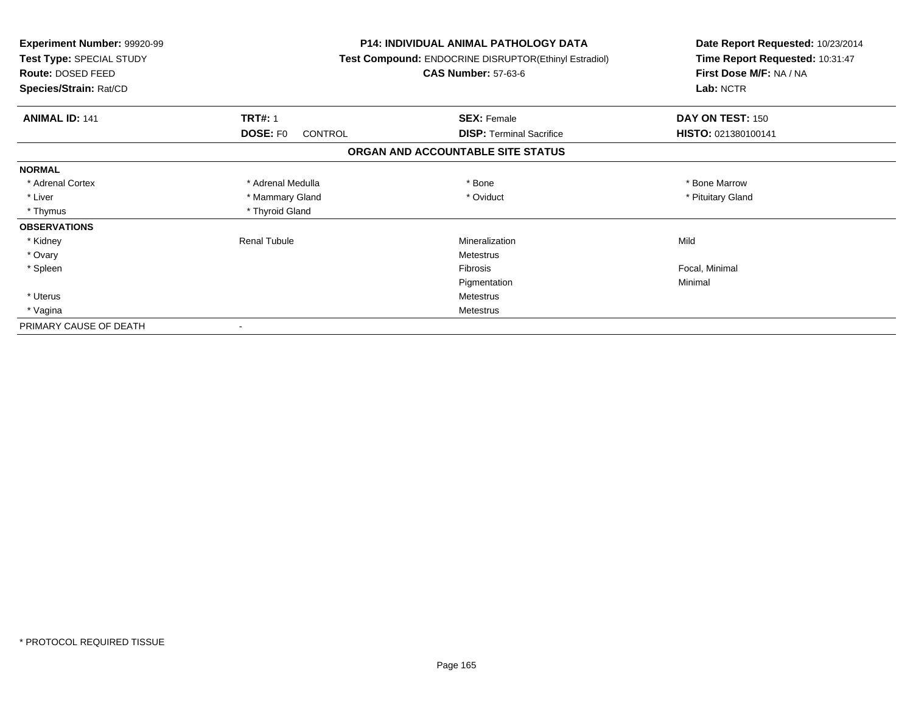| Experiment Number: 99920-99<br>Test Type: SPECIAL STUDY<br>Route: DOSED FEED<br>Species/Strain: Rat/CD |                            | <b>P14: INDIVIDUAL ANIMAL PATHOLOGY DATA</b><br>Test Compound: ENDOCRINE DISRUPTOR(Ethinyl Estradiol)<br><b>CAS Number: 57-63-6</b> | Date Report Requested: 10/23/2014<br>Time Report Requested: 10:31:47<br>First Dose M/F: NA / NA<br>Lab: NCTR |
|--------------------------------------------------------------------------------------------------------|----------------------------|-------------------------------------------------------------------------------------------------------------------------------------|--------------------------------------------------------------------------------------------------------------|
| <b>ANIMAL ID: 141</b>                                                                                  | <b>TRT#: 1</b>             | <b>SEX: Female</b>                                                                                                                  | DAY ON TEST: 150                                                                                             |
|                                                                                                        | <b>DOSE: FO</b><br>CONTROL | <b>DISP: Terminal Sacrifice</b>                                                                                                     | HISTO: 021380100141                                                                                          |
|                                                                                                        |                            | ORGAN AND ACCOUNTABLE SITE STATUS                                                                                                   |                                                                                                              |
| <b>NORMAL</b>                                                                                          |                            |                                                                                                                                     |                                                                                                              |
| * Adrenal Cortex                                                                                       | * Adrenal Medulla          | * Bone                                                                                                                              | * Bone Marrow                                                                                                |
| * Liver                                                                                                | * Mammary Gland            | * Oviduct                                                                                                                           | * Pituitary Gland                                                                                            |
| * Thymus                                                                                               | * Thyroid Gland            |                                                                                                                                     |                                                                                                              |
| <b>OBSERVATIONS</b>                                                                                    |                            |                                                                                                                                     |                                                                                                              |
| * Kidney                                                                                               | <b>Renal Tubule</b>        | Mineralization                                                                                                                      | Mild                                                                                                         |
| * Ovary                                                                                                |                            | <b>Metestrus</b>                                                                                                                    |                                                                                                              |
| * Spleen                                                                                               |                            | <b>Fibrosis</b>                                                                                                                     | Focal, Minimal                                                                                               |
|                                                                                                        |                            | Pigmentation                                                                                                                        | Minimal                                                                                                      |
| * Uterus                                                                                               |                            | <b>Metestrus</b>                                                                                                                    |                                                                                                              |
| * Vagina                                                                                               |                            | <b>Metestrus</b>                                                                                                                    |                                                                                                              |
| PRIMARY CAUSE OF DEATH                                                                                 |                            |                                                                                                                                     |                                                                                                              |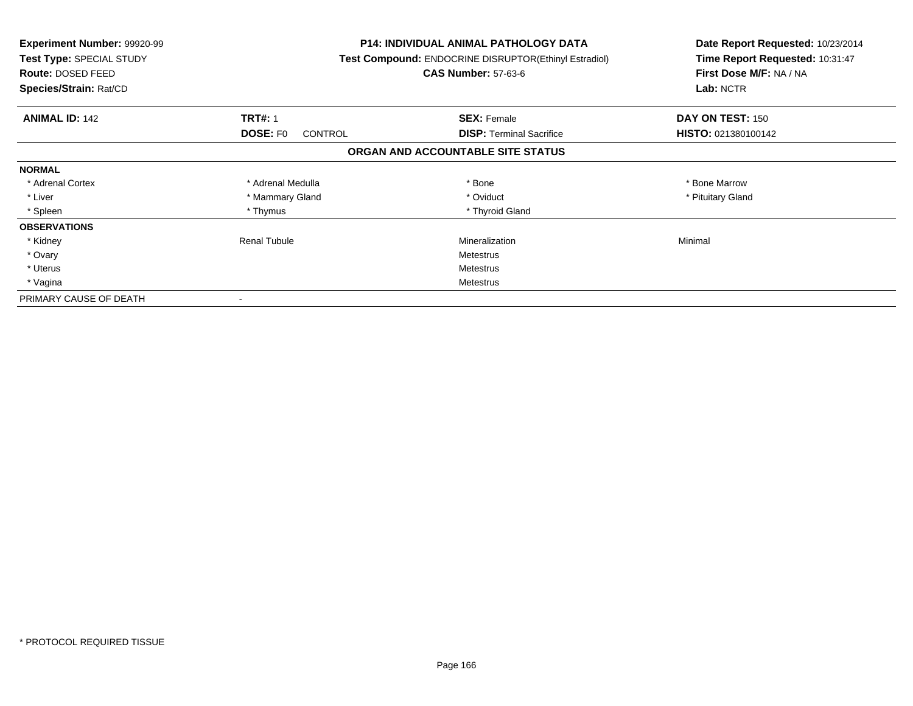| <b>Experiment Number: 99920-99</b><br>Test Type: SPECIAL STUDY<br><b>Route: DOSED FEED</b><br>Species/Strain: Rat/CD |                                   | <b>P14: INDIVIDUAL ANIMAL PATHOLOGY DATA</b><br>Test Compound: ENDOCRINE DISRUPTOR(Ethinyl Estradiol)<br><b>CAS Number: 57-63-6</b> | Date Report Requested: 10/23/2014<br>Time Report Requested: 10:31:47<br>First Dose M/F: NA / NA<br>Lab: NCTR |
|----------------------------------------------------------------------------------------------------------------------|-----------------------------------|-------------------------------------------------------------------------------------------------------------------------------------|--------------------------------------------------------------------------------------------------------------|
| <b>ANIMAL ID: 142</b>                                                                                                | <b>TRT#: 1</b>                    | <b>SEX: Female</b>                                                                                                                  | DAY ON TEST: 150                                                                                             |
|                                                                                                                      | <b>DOSE: FO</b><br><b>CONTROL</b> | <b>DISP:</b> Terminal Sacrifice                                                                                                     | HISTO: 021380100142                                                                                          |
|                                                                                                                      |                                   | ORGAN AND ACCOUNTABLE SITE STATUS                                                                                                   |                                                                                                              |
| <b>NORMAL</b>                                                                                                        |                                   |                                                                                                                                     |                                                                                                              |
| * Adrenal Cortex                                                                                                     | * Adrenal Medulla                 | * Bone                                                                                                                              | * Bone Marrow                                                                                                |
| * Liver                                                                                                              | * Mammary Gland                   | * Oviduct                                                                                                                           | * Pituitary Gland                                                                                            |
| * Spleen                                                                                                             | * Thymus                          | * Thyroid Gland                                                                                                                     |                                                                                                              |
| <b>OBSERVATIONS</b>                                                                                                  |                                   |                                                                                                                                     |                                                                                                              |
| * Kidney                                                                                                             | Renal Tubule                      | Mineralization                                                                                                                      | Minimal                                                                                                      |
| * Ovary                                                                                                              |                                   | Metestrus                                                                                                                           |                                                                                                              |
| * Uterus                                                                                                             |                                   | Metestrus                                                                                                                           |                                                                                                              |
| * Vagina                                                                                                             |                                   | Metestrus                                                                                                                           |                                                                                                              |
| PRIMARY CAUSE OF DEATH                                                                                               |                                   |                                                                                                                                     |                                                                                                              |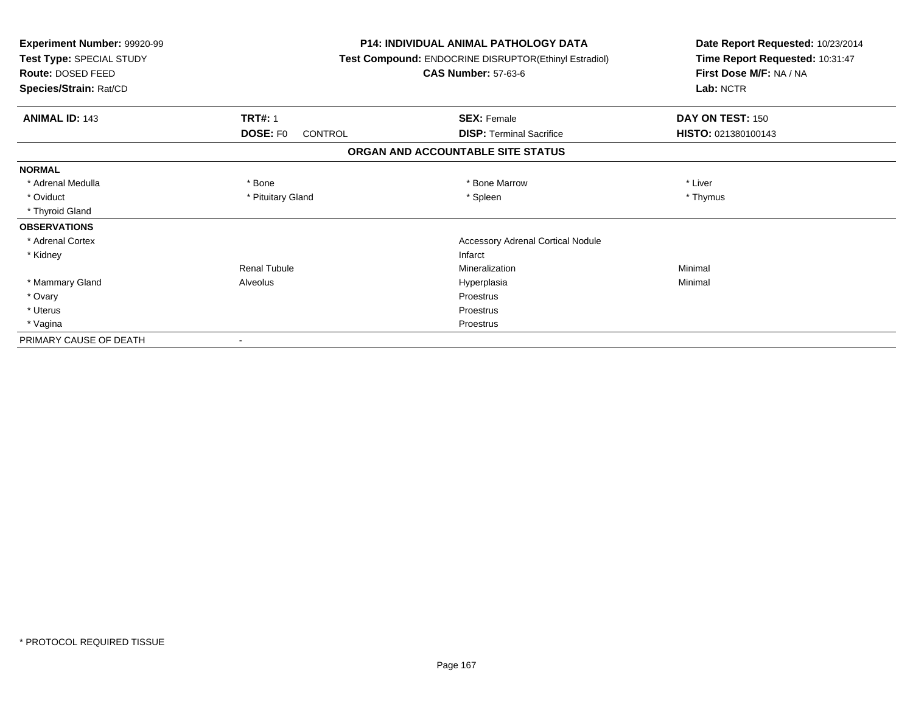| Experiment Number: 99920-99<br>Test Type: SPECIAL STUDY<br>Route: DOSED FEED |                            | <b>P14: INDIVIDUAL ANIMAL PATHOLOGY DATA</b><br>Test Compound: ENDOCRINE DISRUPTOR(Ethinyl Estradiol)<br><b>CAS Number: 57-63-6</b> |                     |
|------------------------------------------------------------------------------|----------------------------|-------------------------------------------------------------------------------------------------------------------------------------|---------------------|
| Species/Strain: Rat/CD                                                       |                            |                                                                                                                                     | Lab: NCTR           |
| <b>ANIMAL ID: 143</b>                                                        | <b>TRT#: 1</b>             | <b>SEX: Female</b>                                                                                                                  | DAY ON TEST: 150    |
|                                                                              | <b>DOSE: FO</b><br>CONTROL | <b>DISP: Terminal Sacrifice</b>                                                                                                     | HISTO: 021380100143 |
|                                                                              |                            | ORGAN AND ACCOUNTABLE SITE STATUS                                                                                                   |                     |
| <b>NORMAL</b>                                                                |                            |                                                                                                                                     |                     |
| * Adrenal Medulla                                                            | * Bone                     | * Bone Marrow                                                                                                                       | * Liver             |
| * Oviduct                                                                    | * Pituitary Gland          | * Spleen                                                                                                                            | * Thymus            |
| * Thyroid Gland                                                              |                            |                                                                                                                                     |                     |
| <b>OBSERVATIONS</b>                                                          |                            |                                                                                                                                     |                     |
| * Adrenal Cortex                                                             |                            | <b>Accessory Adrenal Cortical Nodule</b>                                                                                            |                     |
| * Kidney                                                                     |                            | Infarct                                                                                                                             |                     |
|                                                                              | <b>Renal Tubule</b>        | Mineralization                                                                                                                      | Minimal             |
| * Mammary Gland                                                              | Alveolus                   | Hyperplasia                                                                                                                         | Minimal             |
| * Ovary                                                                      |                            | Proestrus                                                                                                                           |                     |
| * Uterus                                                                     |                            | Proestrus                                                                                                                           |                     |
| * Vagina                                                                     |                            | Proestrus                                                                                                                           |                     |
| PRIMARY CAUSE OF DEATH                                                       |                            |                                                                                                                                     |                     |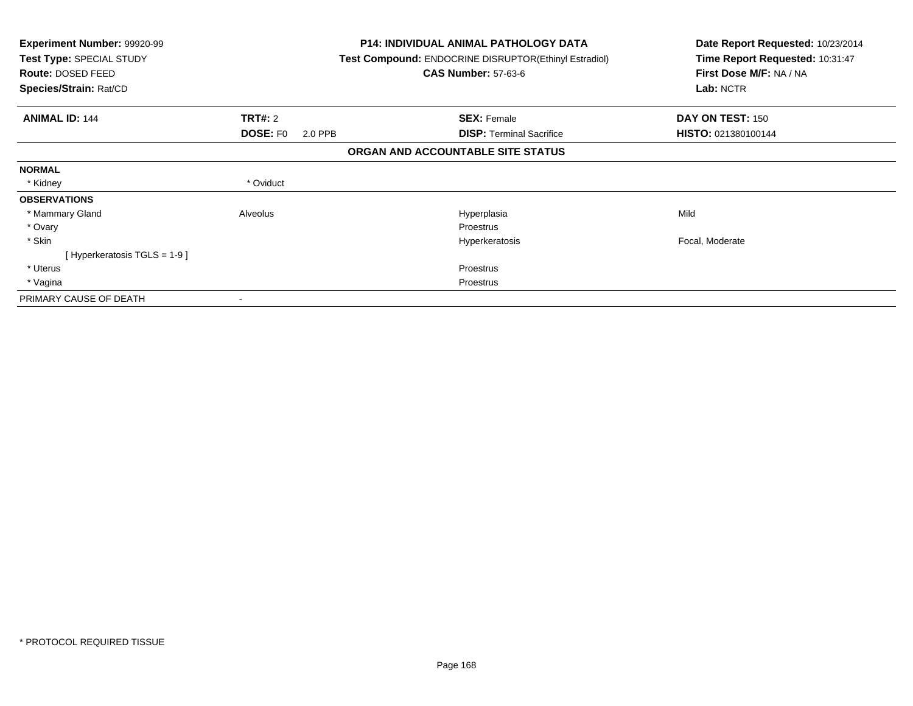| <b>Experiment Number: 99920-99</b><br>Test Type: SPECIAL STUDY<br>Route: DOSED FEED<br>Species/Strain: Rat/CD |                            | <b>P14: INDIVIDUAL ANIMAL PATHOLOGY DATA</b><br><b>Test Compound: ENDOCRINE DISRUPTOR (Ethinyl Estradiol)</b><br><b>CAS Number: 57-63-6</b> | Date Report Requested: 10/23/2014<br>Time Report Requested: 10:31:47<br>First Dose M/F: NA / NA<br>Lab: NCTR |
|---------------------------------------------------------------------------------------------------------------|----------------------------|---------------------------------------------------------------------------------------------------------------------------------------------|--------------------------------------------------------------------------------------------------------------|
| <b>ANIMAL ID: 144</b>                                                                                         | <b>TRT#: 2</b>             | <b>SEX: Female</b>                                                                                                                          | DAY ON TEST: 150                                                                                             |
|                                                                                                               | <b>DOSE: FO</b><br>2.0 PPB | <b>DISP:</b> Terminal Sacrifice                                                                                                             | HISTO: 021380100144                                                                                          |
|                                                                                                               |                            | ORGAN AND ACCOUNTABLE SITE STATUS                                                                                                           |                                                                                                              |
| <b>NORMAL</b>                                                                                                 |                            |                                                                                                                                             |                                                                                                              |
| * Kidney                                                                                                      | * Oviduct                  |                                                                                                                                             |                                                                                                              |
| <b>OBSERVATIONS</b>                                                                                           |                            |                                                                                                                                             |                                                                                                              |
| * Mammary Gland                                                                                               | Alveolus                   | Hyperplasia                                                                                                                                 | Mild                                                                                                         |
| * Ovary                                                                                                       |                            | Proestrus                                                                                                                                   |                                                                                                              |
| * Skin                                                                                                        |                            | Hyperkeratosis                                                                                                                              | Focal, Moderate                                                                                              |
| [ Hyperkeratosis TGLS = 1-9 ]                                                                                 |                            |                                                                                                                                             |                                                                                                              |
| * Uterus                                                                                                      |                            | Proestrus                                                                                                                                   |                                                                                                              |
| * Vagina                                                                                                      |                            | Proestrus                                                                                                                                   |                                                                                                              |
| PRIMARY CAUSE OF DEATH                                                                                        |                            |                                                                                                                                             |                                                                                                              |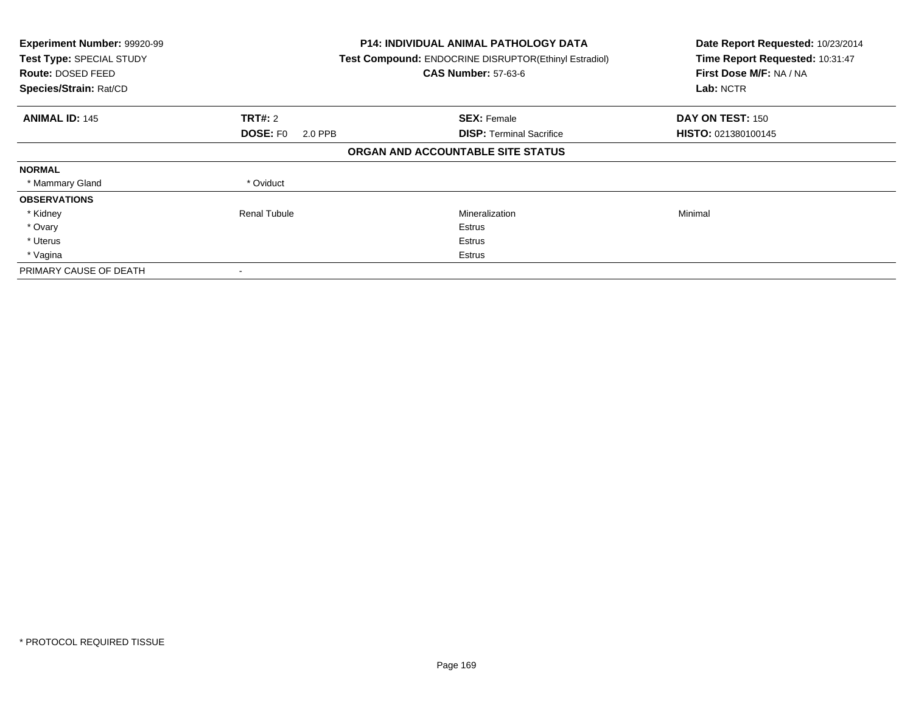| Experiment Number: 99920-99<br>Test Type: SPECIAL STUDY<br>Route: DOSED FEED<br>Species/Strain: Rat/CD |                            | <b>P14: INDIVIDUAL ANIMAL PATHOLOGY DATA</b><br>Test Compound: ENDOCRINE DISRUPTOR(Ethinyl Estradiol)<br><b>CAS Number: 57-63-6</b> | Date Report Requested: 10/23/2014<br>Time Report Requested: 10:31:47<br>First Dose M/F: NA / NA<br>Lab: NCTR |
|--------------------------------------------------------------------------------------------------------|----------------------------|-------------------------------------------------------------------------------------------------------------------------------------|--------------------------------------------------------------------------------------------------------------|
| <b>ANIMAL ID: 145</b>                                                                                  | <b>TRT#: 2</b>             | <b>SEX: Female</b>                                                                                                                  | DAY ON TEST: 150                                                                                             |
|                                                                                                        | <b>DOSE: FO</b><br>2.0 PPB | <b>DISP:</b> Terminal Sacrifice                                                                                                     | HISTO: 021380100145                                                                                          |
|                                                                                                        |                            | ORGAN AND ACCOUNTABLE SITE STATUS                                                                                                   |                                                                                                              |
| <b>NORMAL</b>                                                                                          |                            |                                                                                                                                     |                                                                                                              |
| * Mammary Gland                                                                                        | * Oviduct                  |                                                                                                                                     |                                                                                                              |
| <b>OBSERVATIONS</b>                                                                                    |                            |                                                                                                                                     |                                                                                                              |
| * Kidney                                                                                               | <b>Renal Tubule</b>        | Mineralization                                                                                                                      | Minimal                                                                                                      |
| * Ovary                                                                                                |                            | Estrus                                                                                                                              |                                                                                                              |
| * Uterus                                                                                               |                            | Estrus                                                                                                                              |                                                                                                              |
| * Vagina                                                                                               |                            | Estrus                                                                                                                              |                                                                                                              |
| PRIMARY CAUSE OF DEATH                                                                                 |                            |                                                                                                                                     |                                                                                                              |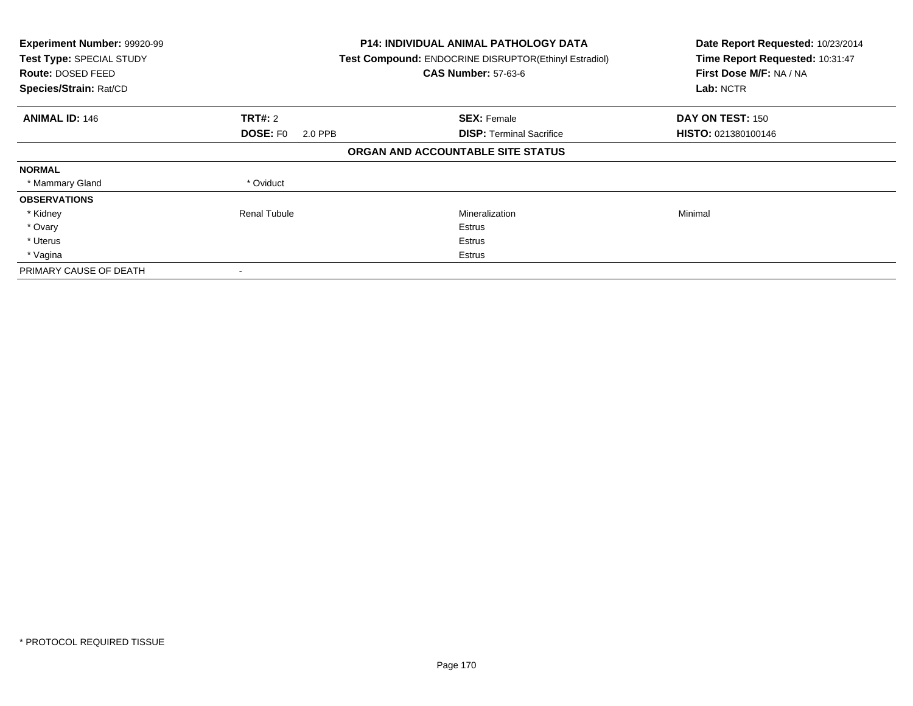| Experiment Number: 99920-99<br>Test Type: SPECIAL STUDY<br>Route: DOSED FEED<br>Species/Strain: Rat/CD |                            | <b>P14: INDIVIDUAL ANIMAL PATHOLOGY DATA</b><br>Test Compound: ENDOCRINE DISRUPTOR(Ethinyl Estradiol)<br><b>CAS Number: 57-63-6</b> | Date Report Requested: 10/23/2014<br>Time Report Requested: 10:31:47<br>First Dose M/F: NA / NA<br>Lab: NCTR |
|--------------------------------------------------------------------------------------------------------|----------------------------|-------------------------------------------------------------------------------------------------------------------------------------|--------------------------------------------------------------------------------------------------------------|
| <b>ANIMAL ID: 146</b>                                                                                  | <b>TRT#: 2</b>             | <b>SEX: Female</b>                                                                                                                  | DAY ON TEST: 150                                                                                             |
|                                                                                                        | <b>DOSE: FO</b><br>2.0 PPB | <b>DISP:</b> Terminal Sacrifice                                                                                                     | HISTO: 021380100146                                                                                          |
|                                                                                                        |                            | ORGAN AND ACCOUNTABLE SITE STATUS                                                                                                   |                                                                                                              |
| <b>NORMAL</b>                                                                                          |                            |                                                                                                                                     |                                                                                                              |
| * Mammary Gland                                                                                        | * Oviduct                  |                                                                                                                                     |                                                                                                              |
| <b>OBSERVATIONS</b>                                                                                    |                            |                                                                                                                                     |                                                                                                              |
| * Kidney                                                                                               | <b>Renal Tubule</b>        | Mineralization                                                                                                                      | Minimal                                                                                                      |
| * Ovary                                                                                                |                            | Estrus                                                                                                                              |                                                                                                              |
| * Uterus                                                                                               |                            | Estrus                                                                                                                              |                                                                                                              |
| * Vagina                                                                                               |                            | Estrus                                                                                                                              |                                                                                                              |
| PRIMARY CAUSE OF DEATH                                                                                 |                            |                                                                                                                                     |                                                                                                              |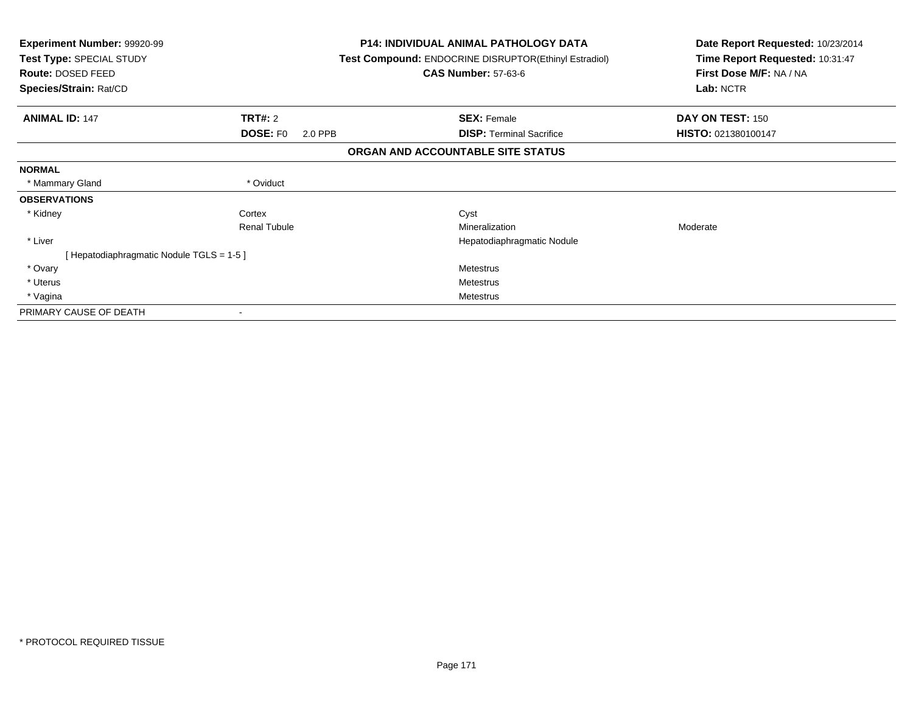| Experiment Number: 99920-99<br>Test Type: SPECIAL STUDY<br>Route: DOSED FEED<br>Species/Strain: Rat/CD |                            | <b>P14: INDIVIDUAL ANIMAL PATHOLOGY DATA</b><br><b>Test Compound: ENDOCRINE DISRUPTOR(Ethinyl Estradiol)</b><br><b>CAS Number: 57-63-6</b> | Date Report Requested: 10/23/2014<br>Time Report Requested: 10:31:47<br>First Dose M/F: NA / NA<br>Lab: NCTR |
|--------------------------------------------------------------------------------------------------------|----------------------------|--------------------------------------------------------------------------------------------------------------------------------------------|--------------------------------------------------------------------------------------------------------------|
| <b>ANIMAL ID: 147</b>                                                                                  | TRT#: 2                    | <b>SEX: Female</b>                                                                                                                         | DAY ON TEST: 150                                                                                             |
|                                                                                                        | <b>DOSE: FO</b><br>2.0 PPB | <b>DISP: Terminal Sacrifice</b>                                                                                                            | HISTO: 021380100147                                                                                          |
|                                                                                                        |                            | ORGAN AND ACCOUNTABLE SITE STATUS                                                                                                          |                                                                                                              |
| <b>NORMAL</b>                                                                                          |                            |                                                                                                                                            |                                                                                                              |
| * Mammary Gland                                                                                        | * Oviduct                  |                                                                                                                                            |                                                                                                              |
| <b>OBSERVATIONS</b>                                                                                    |                            |                                                                                                                                            |                                                                                                              |
| * Kidney                                                                                               | Cortex                     | Cyst                                                                                                                                       |                                                                                                              |
|                                                                                                        | <b>Renal Tubule</b>        | Mineralization                                                                                                                             | Moderate                                                                                                     |
| * Liver                                                                                                |                            | Hepatodiaphragmatic Nodule                                                                                                                 |                                                                                                              |
| [Hepatodiaphragmatic Nodule TGLS = 1-5]                                                                |                            |                                                                                                                                            |                                                                                                              |
| * Ovary                                                                                                |                            | <b>Metestrus</b>                                                                                                                           |                                                                                                              |
| * Uterus                                                                                               |                            | Metestrus                                                                                                                                  |                                                                                                              |
| * Vagina                                                                                               |                            | <b>Metestrus</b>                                                                                                                           |                                                                                                              |
| PRIMARY CAUSE OF DEATH                                                                                 |                            |                                                                                                                                            |                                                                                                              |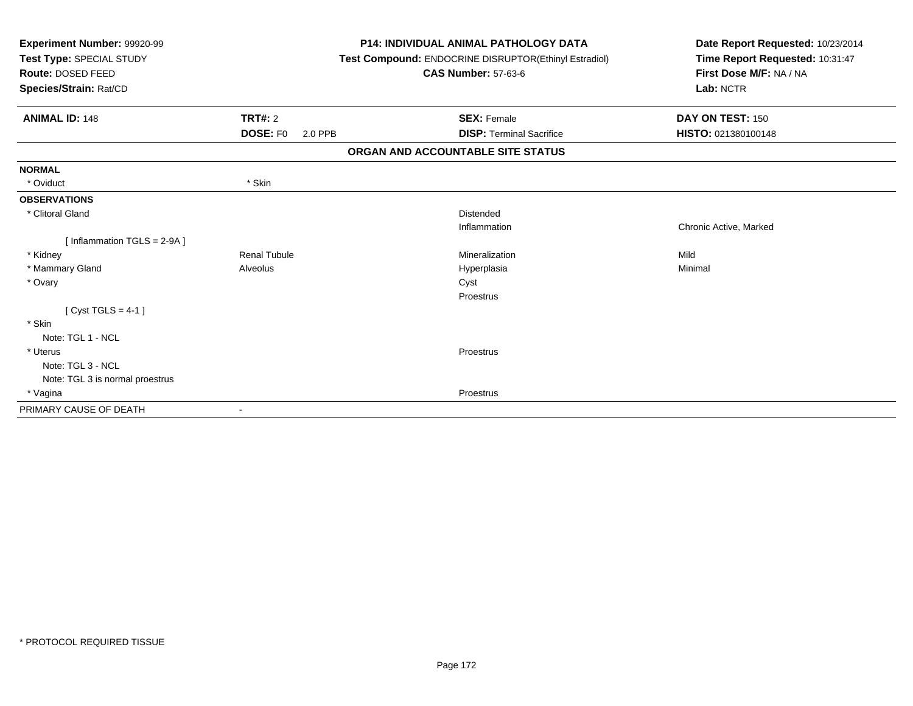| Experiment Number: 99920-99<br>Test Type: SPECIAL STUDY<br><b>Route: DOSED FEED</b><br>Species/Strain: Rat/CD |                            | <b>P14: INDIVIDUAL ANIMAL PATHOLOGY DATA</b><br>Test Compound: ENDOCRINE DISRUPTOR(Ethinyl Estradiol)<br><b>CAS Number: 57-63-6</b> | Date Report Requested: 10/23/2014<br>Time Report Requested: 10:31:47<br>First Dose M/F: NA / NA<br>Lab: NCTR |  |
|---------------------------------------------------------------------------------------------------------------|----------------------------|-------------------------------------------------------------------------------------------------------------------------------------|--------------------------------------------------------------------------------------------------------------|--|
| <b>ANIMAL ID: 148</b>                                                                                         | <b>TRT#: 2</b>             | <b>SEX: Female</b>                                                                                                                  | DAY ON TEST: 150                                                                                             |  |
|                                                                                                               | <b>DOSE: FO</b><br>2.0 PPB | <b>DISP: Terminal Sacrifice</b>                                                                                                     | HISTO: 021380100148                                                                                          |  |
|                                                                                                               |                            | ORGAN AND ACCOUNTABLE SITE STATUS                                                                                                   |                                                                                                              |  |
| <b>NORMAL</b>                                                                                                 |                            |                                                                                                                                     |                                                                                                              |  |
| * Oviduct                                                                                                     | * Skin                     |                                                                                                                                     |                                                                                                              |  |
| <b>OBSERVATIONS</b>                                                                                           |                            |                                                                                                                                     |                                                                                                              |  |
| * Clitoral Gland                                                                                              |                            | <b>Distended</b>                                                                                                                    |                                                                                                              |  |
|                                                                                                               |                            | Inflammation                                                                                                                        | Chronic Active, Marked                                                                                       |  |
| [Inflammation TGLS = 2-9A]                                                                                    |                            |                                                                                                                                     |                                                                                                              |  |
| * Kidney                                                                                                      | <b>Renal Tubule</b>        | Mineralization                                                                                                                      | Mild                                                                                                         |  |
| * Mammary Gland                                                                                               | Alveolus                   | Hyperplasia                                                                                                                         | Minimal                                                                                                      |  |
| * Ovary                                                                                                       |                            | Cyst                                                                                                                                |                                                                                                              |  |
|                                                                                                               |                            | Proestrus                                                                                                                           |                                                                                                              |  |
| [Cyst TGLS = $4-1$ ]                                                                                          |                            |                                                                                                                                     |                                                                                                              |  |
| * Skin                                                                                                        |                            |                                                                                                                                     |                                                                                                              |  |
| Note: TGL 1 - NCL                                                                                             |                            |                                                                                                                                     |                                                                                                              |  |
| * Uterus                                                                                                      |                            | Proestrus                                                                                                                           |                                                                                                              |  |
| Note: TGL 3 - NCL                                                                                             |                            |                                                                                                                                     |                                                                                                              |  |
| Note: TGL 3 is normal proestrus                                                                               |                            |                                                                                                                                     |                                                                                                              |  |
| * Vagina                                                                                                      |                            | Proestrus                                                                                                                           |                                                                                                              |  |
| PRIMARY CAUSE OF DEATH                                                                                        |                            |                                                                                                                                     |                                                                                                              |  |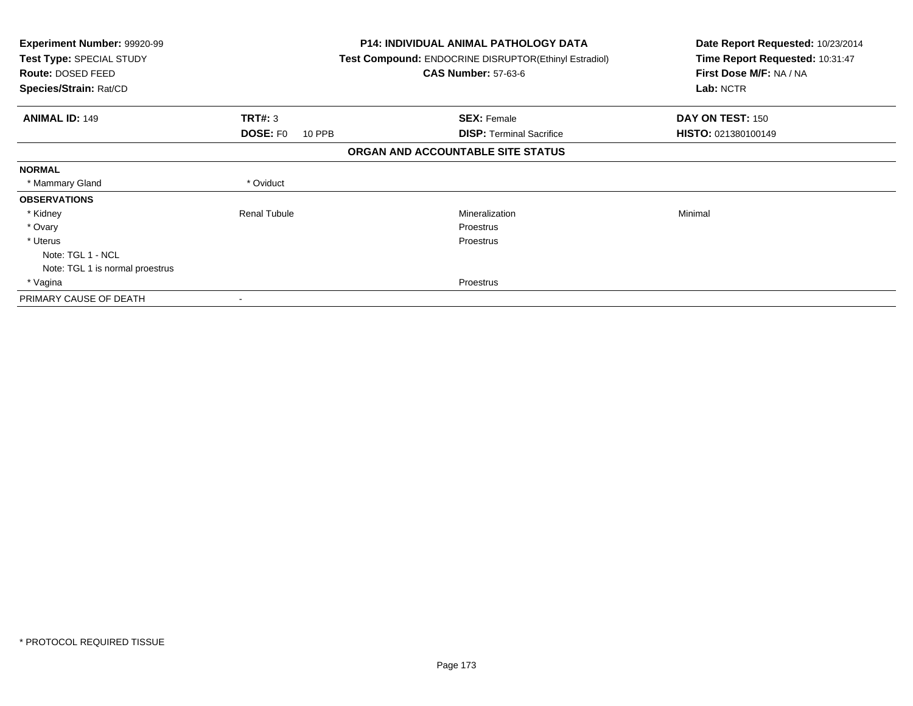| <b>Experiment Number: 99920-99</b><br>Test Type: SPECIAL STUDY<br>Route: DOSED FEED<br>Species/Strain: Rat/CD |                           | <b>P14: INDIVIDUAL ANIMAL PATHOLOGY DATA</b><br><b>Test Compound: ENDOCRINE DISRUPTOR(Ethinyl Estradiol)</b><br><b>CAS Number: 57-63-6</b> | Date Report Requested: 10/23/2014<br>Time Report Requested: 10:31:47<br>First Dose M/F: NA / NA<br>Lab: NCTR |
|---------------------------------------------------------------------------------------------------------------|---------------------------|--------------------------------------------------------------------------------------------------------------------------------------------|--------------------------------------------------------------------------------------------------------------|
| <b>ANIMAL ID: 149</b>                                                                                         | <b>TRT#: 3</b>            | <b>SEX: Female</b>                                                                                                                         | DAY ON TEST: 150                                                                                             |
|                                                                                                               | <b>DOSE: FO</b><br>10 PPB | <b>DISP:</b> Terminal Sacrifice                                                                                                            | HISTO: 021380100149                                                                                          |
|                                                                                                               |                           | ORGAN AND ACCOUNTABLE SITE STATUS                                                                                                          |                                                                                                              |
| <b>NORMAL</b>                                                                                                 |                           |                                                                                                                                            |                                                                                                              |
| * Mammary Gland                                                                                               | * Oviduct                 |                                                                                                                                            |                                                                                                              |
| <b>OBSERVATIONS</b>                                                                                           |                           |                                                                                                                                            |                                                                                                              |
| * Kidney                                                                                                      | <b>Renal Tubule</b>       | Mineralization                                                                                                                             | Minimal                                                                                                      |
| * Ovary                                                                                                       |                           | <b>Proestrus</b>                                                                                                                           |                                                                                                              |
| * Uterus                                                                                                      |                           | Proestrus                                                                                                                                  |                                                                                                              |
| Note: TGL 1 - NCL                                                                                             |                           |                                                                                                                                            |                                                                                                              |
| Note: TGL 1 is normal proestrus                                                                               |                           |                                                                                                                                            |                                                                                                              |
| * Vagina                                                                                                      |                           | Proestrus                                                                                                                                  |                                                                                                              |
| PRIMARY CAUSE OF DEATH                                                                                        |                           |                                                                                                                                            |                                                                                                              |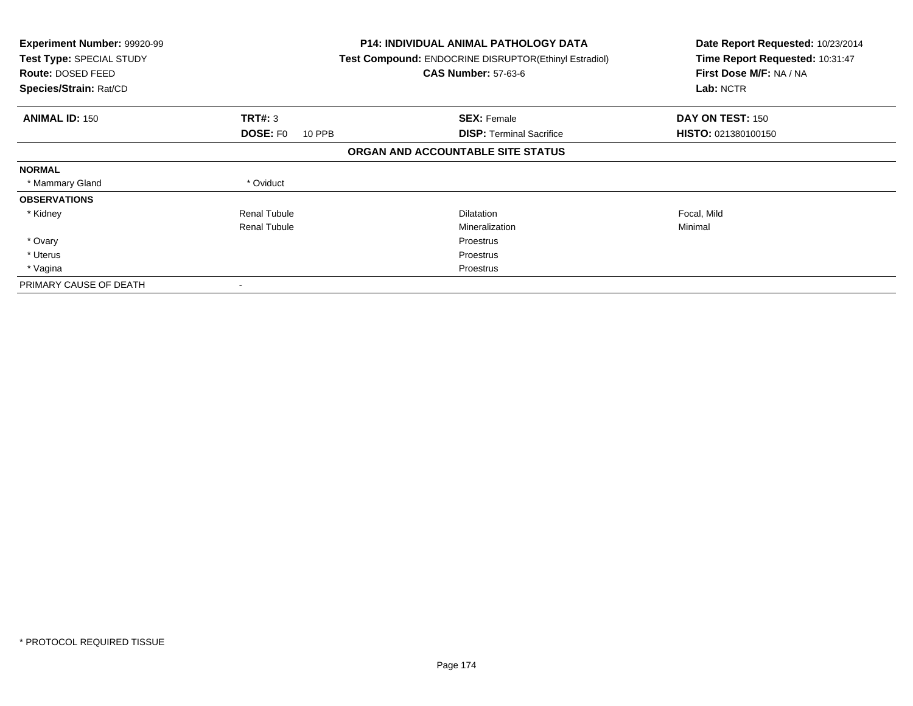| <b>Experiment Number: 99920-99</b><br>Test Type: SPECIAL STUDY<br><b>Route: DOSED FEED</b><br>Species/Strain: Rat/CD |                           | <b>P14: INDIVIDUAL ANIMAL PATHOLOGY DATA</b><br>Test Compound: ENDOCRINE DISRUPTOR(Ethinyl Estradiol)<br><b>CAS Number: 57-63-6</b> | Date Report Requested: 10/23/2014<br>Time Report Requested: 10:31:47<br>First Dose M/F: NA / NA<br>Lab: NCTR |
|----------------------------------------------------------------------------------------------------------------------|---------------------------|-------------------------------------------------------------------------------------------------------------------------------------|--------------------------------------------------------------------------------------------------------------|
| <b>ANIMAL ID: 150</b>                                                                                                | TRT#: 3                   | <b>SEX: Female</b>                                                                                                                  | DAY ON TEST: 150                                                                                             |
|                                                                                                                      | <b>DOSE: FO</b><br>10 PPB | <b>DISP:</b> Terminal Sacrifice                                                                                                     | <b>HISTO: 021380100150</b>                                                                                   |
|                                                                                                                      |                           | ORGAN AND ACCOUNTABLE SITE STATUS                                                                                                   |                                                                                                              |
| <b>NORMAL</b>                                                                                                        |                           |                                                                                                                                     |                                                                                                              |
| * Mammary Gland                                                                                                      | * Oviduct                 |                                                                                                                                     |                                                                                                              |
| <b>OBSERVATIONS</b>                                                                                                  |                           |                                                                                                                                     |                                                                                                              |
| * Kidney                                                                                                             | <b>Renal Tubule</b>       | Dilatation                                                                                                                          | Focal, Mild                                                                                                  |
|                                                                                                                      | <b>Renal Tubule</b>       | Mineralization                                                                                                                      | Minimal                                                                                                      |
| * Ovary                                                                                                              |                           | Proestrus                                                                                                                           |                                                                                                              |
| * Uterus                                                                                                             |                           | Proestrus                                                                                                                           |                                                                                                              |
| * Vagina                                                                                                             |                           | Proestrus                                                                                                                           |                                                                                                              |
| PRIMARY CAUSE OF DEATH                                                                                               |                           |                                                                                                                                     |                                                                                                              |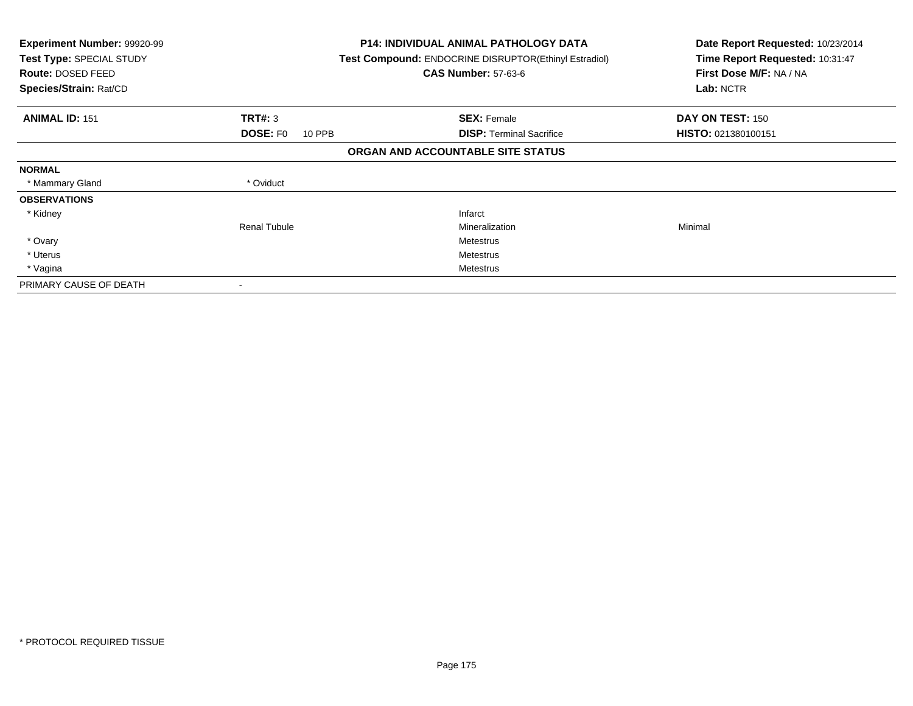| <b>Experiment Number: 99920-99</b><br>Test Type: SPECIAL STUDY<br>Route: DOSED FEED<br>Species/Strain: Rat/CD |                           | <b>P14: INDIVIDUAL ANIMAL PATHOLOGY DATA</b><br>Test Compound: ENDOCRINE DISRUPTOR(Ethinyl Estradiol)<br><b>CAS Number: 57-63-6</b> | Date Report Requested: 10/23/2014<br>Time Report Requested: 10:31:47<br>First Dose M/F: NA / NA<br>Lab: NCTR |
|---------------------------------------------------------------------------------------------------------------|---------------------------|-------------------------------------------------------------------------------------------------------------------------------------|--------------------------------------------------------------------------------------------------------------|
| <b>ANIMAL ID: 151</b>                                                                                         | TRT#: 3                   | <b>SEX: Female</b>                                                                                                                  | DAY ON TEST: 150                                                                                             |
|                                                                                                               | <b>DOSE: FO</b><br>10 PPB | <b>DISP: Terminal Sacrifice</b>                                                                                                     | HISTO: 021380100151                                                                                          |
|                                                                                                               |                           | ORGAN AND ACCOUNTABLE SITE STATUS                                                                                                   |                                                                                                              |
| <b>NORMAL</b>                                                                                                 |                           |                                                                                                                                     |                                                                                                              |
| * Mammary Gland                                                                                               | * Oviduct                 |                                                                                                                                     |                                                                                                              |
| <b>OBSERVATIONS</b>                                                                                           |                           |                                                                                                                                     |                                                                                                              |
| * Kidney                                                                                                      |                           | Infarct                                                                                                                             |                                                                                                              |
|                                                                                                               | <b>Renal Tubule</b>       | Mineralization                                                                                                                      | Minimal                                                                                                      |
| * Ovary                                                                                                       |                           | Metestrus                                                                                                                           |                                                                                                              |
| * Uterus                                                                                                      |                           | Metestrus                                                                                                                           |                                                                                                              |
| * Vagina                                                                                                      |                           | Metestrus                                                                                                                           |                                                                                                              |
| PRIMARY CAUSE OF DEATH                                                                                        |                           |                                                                                                                                     |                                                                                                              |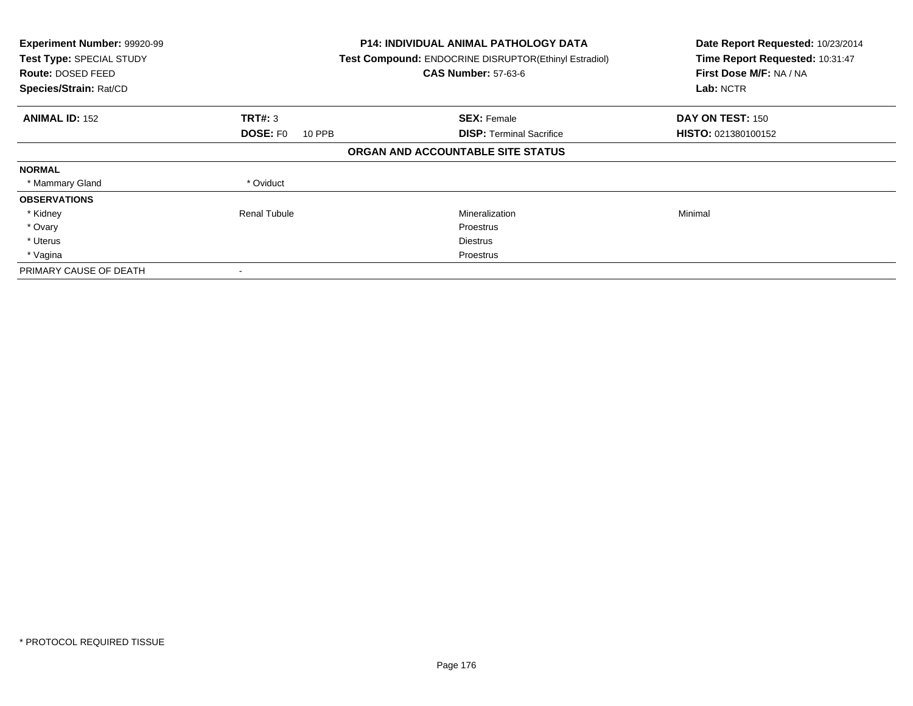| Experiment Number: 99920-99<br>Test Type: SPECIAL STUDY<br><b>Route: DOSED FEED</b><br>Species/Strain: Rat/CD |                           | <b>P14: INDIVIDUAL ANIMAL PATHOLOGY DATA</b><br>Test Compound: ENDOCRINE DISRUPTOR(Ethinyl Estradiol)<br><b>CAS Number: 57-63-6</b> | Date Report Requested: 10/23/2014<br>Time Report Requested: 10:31:47<br>First Dose M/F: NA / NA<br>Lab: NCTR |
|---------------------------------------------------------------------------------------------------------------|---------------------------|-------------------------------------------------------------------------------------------------------------------------------------|--------------------------------------------------------------------------------------------------------------|
| <b>ANIMAL ID: 152</b>                                                                                         | TRT#: 3                   | <b>SEX: Female</b>                                                                                                                  | DAY ON TEST: 150                                                                                             |
|                                                                                                               | <b>DOSE: FO</b><br>10 PPB | <b>DISP:</b> Terminal Sacrifice                                                                                                     | <b>HISTO: 021380100152</b>                                                                                   |
|                                                                                                               |                           | ORGAN AND ACCOUNTABLE SITE STATUS                                                                                                   |                                                                                                              |
| <b>NORMAL</b>                                                                                                 |                           |                                                                                                                                     |                                                                                                              |
| * Mammary Gland                                                                                               | * Oviduct                 |                                                                                                                                     |                                                                                                              |
| <b>OBSERVATIONS</b>                                                                                           |                           |                                                                                                                                     |                                                                                                              |
| * Kidney                                                                                                      | Renal Tubule              | Mineralization                                                                                                                      | Minimal                                                                                                      |
| * Ovary                                                                                                       |                           | Proestrus                                                                                                                           |                                                                                                              |
| * Uterus                                                                                                      |                           | <b>Diestrus</b>                                                                                                                     |                                                                                                              |
| * Vagina                                                                                                      |                           | Proestrus                                                                                                                           |                                                                                                              |
| PRIMARY CAUSE OF DEATH                                                                                        |                           |                                                                                                                                     |                                                                                                              |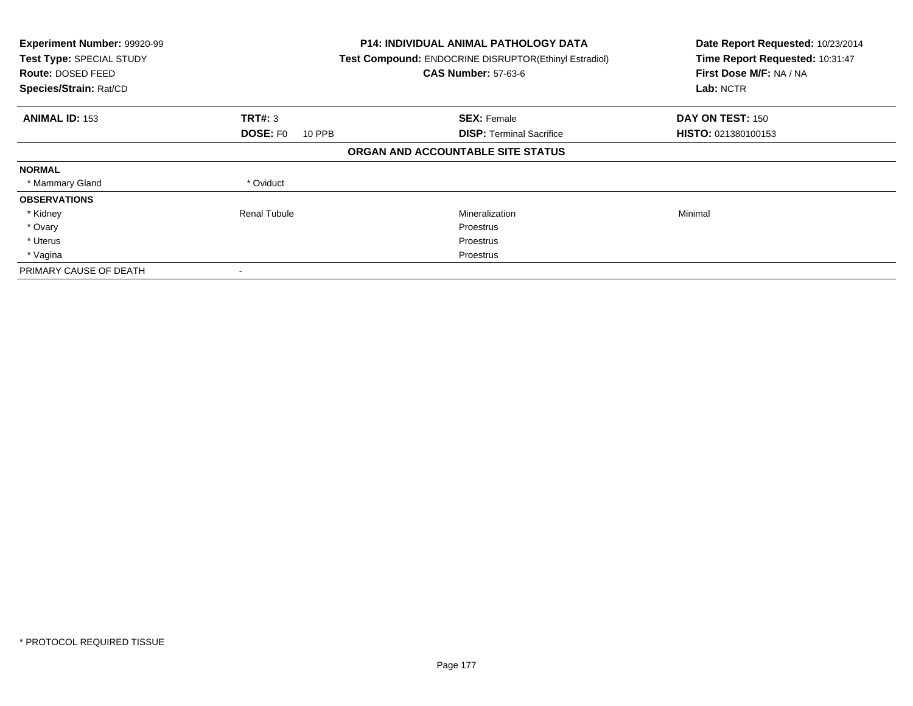| Experiment Number: 99920-99<br>Test Type: SPECIAL STUDY<br><b>Route: DOSED FEED</b><br>Species/Strain: Rat/CD |                           | <b>P14: INDIVIDUAL ANIMAL PATHOLOGY DATA</b><br>Test Compound: ENDOCRINE DISRUPTOR(Ethinyl Estradiol)<br><b>CAS Number: 57-63-6</b> | Date Report Requested: 10/23/2014<br>Time Report Requested: 10:31:47<br>First Dose M/F: NA / NA<br>Lab: NCTR |
|---------------------------------------------------------------------------------------------------------------|---------------------------|-------------------------------------------------------------------------------------------------------------------------------------|--------------------------------------------------------------------------------------------------------------|
| <b>ANIMAL ID: 153</b>                                                                                         | TRT#: 3                   | <b>SEX: Female</b>                                                                                                                  | DAY ON TEST: 150                                                                                             |
|                                                                                                               | <b>DOSE: FO</b><br>10 PPB | <b>DISP:</b> Terminal Sacrifice                                                                                                     | HISTO: 021380100153                                                                                          |
|                                                                                                               |                           | ORGAN AND ACCOUNTABLE SITE STATUS                                                                                                   |                                                                                                              |
| <b>NORMAL</b>                                                                                                 |                           |                                                                                                                                     |                                                                                                              |
| * Mammary Gland                                                                                               | * Oviduct                 |                                                                                                                                     |                                                                                                              |
| <b>OBSERVATIONS</b>                                                                                           |                           |                                                                                                                                     |                                                                                                              |
| * Kidney                                                                                                      | Renal Tubule              | Mineralization                                                                                                                      | Minimal                                                                                                      |
| * Ovary                                                                                                       |                           | Proestrus                                                                                                                           |                                                                                                              |
| * Uterus                                                                                                      |                           | Proestrus                                                                                                                           |                                                                                                              |
| * Vagina                                                                                                      |                           | Proestrus                                                                                                                           |                                                                                                              |
| PRIMARY CAUSE OF DEATH                                                                                        |                           |                                                                                                                                     |                                                                                                              |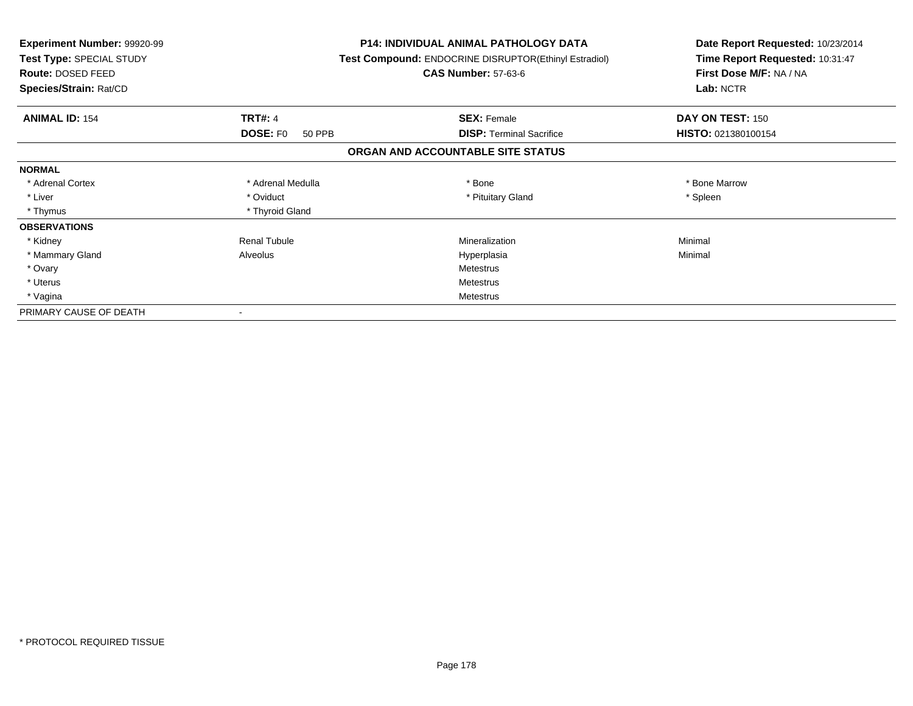| <b>Experiment Number: 99920-99</b><br>Test Type: SPECIAL STUDY<br>Route: DOSED FEED<br>Species/Strain: Rat/CD |                           | <b>P14: INDIVIDUAL ANIMAL PATHOLOGY DATA</b><br>Test Compound: ENDOCRINE DISRUPTOR(Ethinyl Estradiol)<br><b>CAS Number: 57-63-6</b> | Date Report Requested: 10/23/2014<br>Time Report Requested: 10:31:47<br>First Dose M/F: NA / NA<br>Lab: NCTR |
|---------------------------------------------------------------------------------------------------------------|---------------------------|-------------------------------------------------------------------------------------------------------------------------------------|--------------------------------------------------------------------------------------------------------------|
| <b>ANIMAL ID: 154</b>                                                                                         | <b>TRT#: 4</b>            | <b>SEX: Female</b>                                                                                                                  | DAY ON TEST: 150                                                                                             |
|                                                                                                               | <b>DOSE: FO</b><br>50 PPB | <b>DISP:</b> Terminal Sacrifice                                                                                                     | HISTO: 021380100154                                                                                          |
|                                                                                                               |                           | ORGAN AND ACCOUNTABLE SITE STATUS                                                                                                   |                                                                                                              |
| <b>NORMAL</b>                                                                                                 |                           |                                                                                                                                     |                                                                                                              |
| * Adrenal Cortex                                                                                              | * Adrenal Medulla         | * Bone                                                                                                                              | * Bone Marrow                                                                                                |
| * Liver                                                                                                       | * Oviduct                 | * Pituitary Gland                                                                                                                   | * Spleen                                                                                                     |
| * Thymus                                                                                                      | * Thyroid Gland           |                                                                                                                                     |                                                                                                              |
| <b>OBSERVATIONS</b>                                                                                           |                           |                                                                                                                                     |                                                                                                              |
| * Kidney                                                                                                      | <b>Renal Tubule</b>       | Mineralization                                                                                                                      | Minimal                                                                                                      |
| * Mammary Gland                                                                                               | Alveolus                  | Hyperplasia                                                                                                                         | Minimal                                                                                                      |
| * Ovary                                                                                                       |                           | Metestrus                                                                                                                           |                                                                                                              |
| * Uterus                                                                                                      |                           | Metestrus                                                                                                                           |                                                                                                              |
| * Vagina                                                                                                      |                           | Metestrus                                                                                                                           |                                                                                                              |
| PRIMARY CAUSE OF DEATH                                                                                        |                           |                                                                                                                                     |                                                                                                              |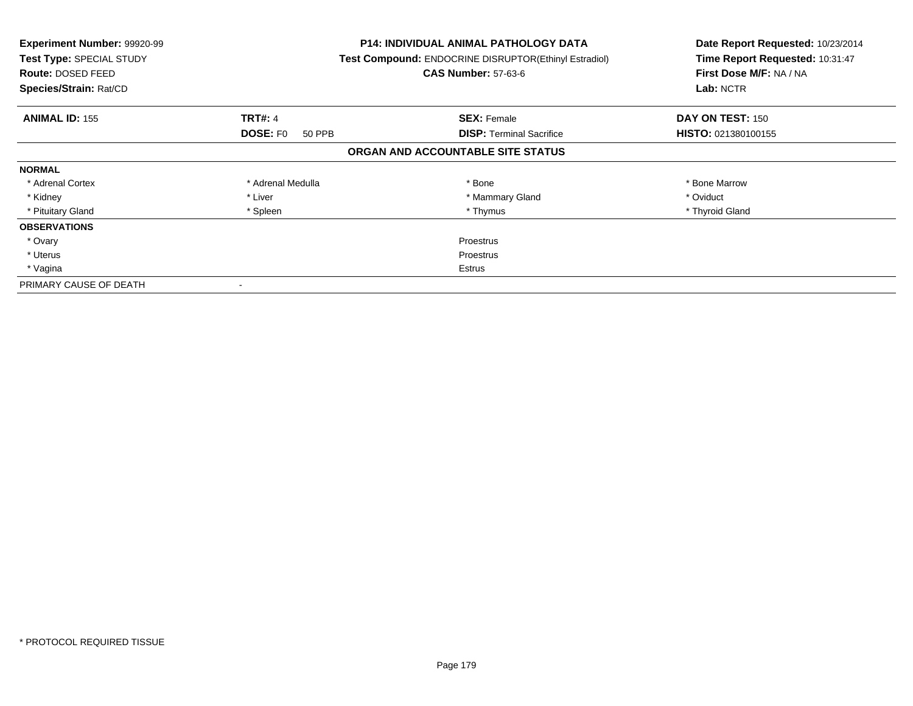| <b>Experiment Number: 99920-99</b><br>Test Type: SPECIAL STUDY<br>Route: DOSED FEED<br>Species/Strain: Rat/CD |                           | <b>P14: INDIVIDUAL ANIMAL PATHOLOGY DATA</b><br>Test Compound: ENDOCRINE DISRUPTOR(Ethinyl Estradiol)<br><b>CAS Number: 57-63-6</b> | Date Report Requested: 10/23/2014<br>Time Report Requested: 10:31:47<br>First Dose M/F: NA / NA<br>Lab: NCTR |
|---------------------------------------------------------------------------------------------------------------|---------------------------|-------------------------------------------------------------------------------------------------------------------------------------|--------------------------------------------------------------------------------------------------------------|
| <b>ANIMAL ID: 155</b>                                                                                         | <b>TRT#: 4</b>            | <b>SEX: Female</b>                                                                                                                  | DAY ON TEST: 150                                                                                             |
|                                                                                                               | <b>DOSE: FO</b><br>50 PPB | <b>DISP:</b> Terminal Sacrifice                                                                                                     | <b>HISTO: 021380100155</b>                                                                                   |
|                                                                                                               |                           | ORGAN AND ACCOUNTABLE SITE STATUS                                                                                                   |                                                                                                              |
| <b>NORMAL</b>                                                                                                 |                           |                                                                                                                                     |                                                                                                              |
| * Adrenal Cortex                                                                                              | * Adrenal Medulla         | * Bone                                                                                                                              | * Bone Marrow                                                                                                |
| * Kidney                                                                                                      | * Liver                   | * Mammary Gland                                                                                                                     | * Oviduct                                                                                                    |
| * Pituitary Gland                                                                                             | * Spleen                  | * Thymus                                                                                                                            | * Thyroid Gland                                                                                              |
| <b>OBSERVATIONS</b>                                                                                           |                           |                                                                                                                                     |                                                                                                              |
| * Ovary                                                                                                       |                           | Proestrus                                                                                                                           |                                                                                                              |
| * Uterus                                                                                                      | Proestrus                 |                                                                                                                                     |                                                                                                              |
| * Vagina                                                                                                      | Estrus                    |                                                                                                                                     |                                                                                                              |
| PRIMARY CAUSE OF DEATH                                                                                        |                           |                                                                                                                                     |                                                                                                              |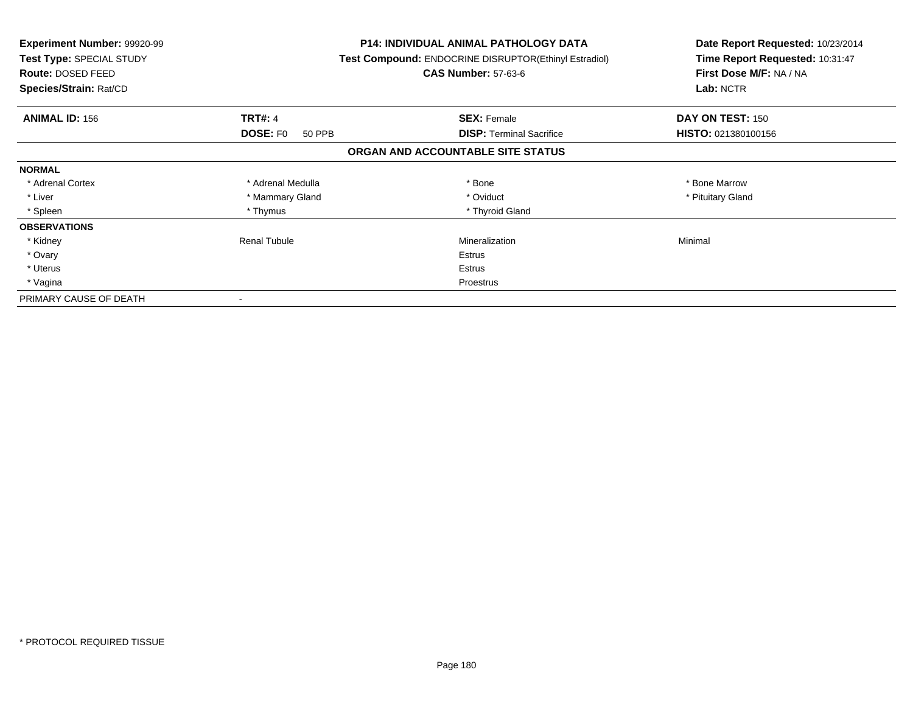| <b>Experiment Number: 99920-99</b><br>Test Type: SPECIAL STUDY<br><b>Route: DOSED FEED</b><br>Species/Strain: Rat/CD |                           | <b>P14: INDIVIDUAL ANIMAL PATHOLOGY DATA</b><br>Test Compound: ENDOCRINE DISRUPTOR(Ethinyl Estradiol)<br><b>CAS Number: 57-63-6</b> | Date Report Requested: 10/23/2014<br>Time Report Requested: 10:31:47<br>First Dose M/F: NA / NA<br>Lab: NCTR |
|----------------------------------------------------------------------------------------------------------------------|---------------------------|-------------------------------------------------------------------------------------------------------------------------------------|--------------------------------------------------------------------------------------------------------------|
| <b>ANIMAL ID: 156</b>                                                                                                | <b>TRT#: 4</b>            | <b>SEX: Female</b>                                                                                                                  | DAY ON TEST: 150                                                                                             |
|                                                                                                                      | <b>DOSE: FO</b><br>50 PPB | <b>DISP:</b> Terminal Sacrifice                                                                                                     | HISTO: 021380100156                                                                                          |
|                                                                                                                      |                           | ORGAN AND ACCOUNTABLE SITE STATUS                                                                                                   |                                                                                                              |
| <b>NORMAL</b>                                                                                                        |                           |                                                                                                                                     |                                                                                                              |
| * Adrenal Cortex                                                                                                     | * Adrenal Medulla         | * Bone                                                                                                                              | * Bone Marrow                                                                                                |
| * Liver                                                                                                              | * Mammary Gland           | * Oviduct                                                                                                                           | * Pituitary Gland                                                                                            |
| * Spleen                                                                                                             | * Thymus                  | * Thyroid Gland                                                                                                                     |                                                                                                              |
| <b>OBSERVATIONS</b>                                                                                                  |                           |                                                                                                                                     |                                                                                                              |
| * Kidney                                                                                                             | <b>Renal Tubule</b>       | Mineralization                                                                                                                      | Minimal                                                                                                      |
| * Ovary                                                                                                              |                           | Estrus                                                                                                                              |                                                                                                              |
| * Uterus                                                                                                             |                           | Estrus                                                                                                                              |                                                                                                              |
| * Vagina                                                                                                             |                           | Proestrus                                                                                                                           |                                                                                                              |
| PRIMARY CAUSE OF DEATH                                                                                               |                           |                                                                                                                                     |                                                                                                              |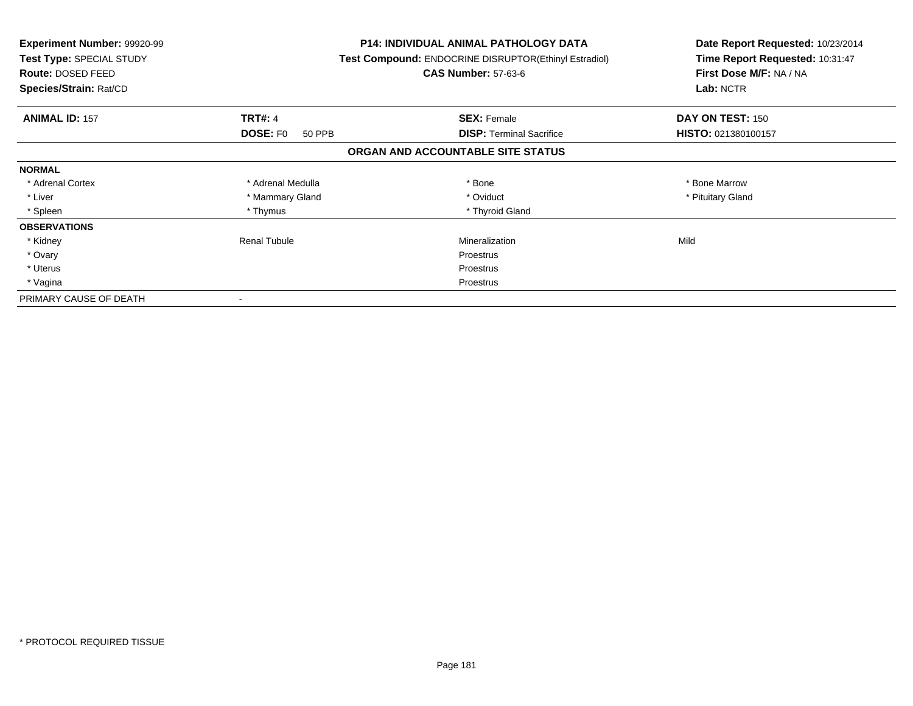| <b>Experiment Number: 99920-99</b><br>Test Type: SPECIAL STUDY<br>Route: DOSED FEED<br>Species/Strain: Rat/CD |                           | P14: INDIVIDUAL ANIMAL PATHOLOGY DATA<br>Test Compound: ENDOCRINE DISRUPTOR(Ethinyl Estradiol)<br><b>CAS Number: 57-63-6</b> | Date Report Requested: 10/23/2014<br>Time Report Requested: 10:31:47<br>First Dose M/F: NA / NA<br>Lab: NCTR |
|---------------------------------------------------------------------------------------------------------------|---------------------------|------------------------------------------------------------------------------------------------------------------------------|--------------------------------------------------------------------------------------------------------------|
| <b>ANIMAL ID: 157</b>                                                                                         | <b>TRT#: 4</b>            | <b>SEX: Female</b>                                                                                                           | DAY ON TEST: 150                                                                                             |
|                                                                                                               | <b>DOSE: FO</b><br>50 PPB | <b>DISP:</b> Terminal Sacrifice                                                                                              | HISTO: 021380100157                                                                                          |
|                                                                                                               |                           | ORGAN AND ACCOUNTABLE SITE STATUS                                                                                            |                                                                                                              |
| <b>NORMAL</b>                                                                                                 |                           |                                                                                                                              |                                                                                                              |
| * Adrenal Cortex                                                                                              | * Adrenal Medulla         | * Bone                                                                                                                       | * Bone Marrow                                                                                                |
| * Liver                                                                                                       | * Mammary Gland           | * Oviduct                                                                                                                    | * Pituitary Gland                                                                                            |
| * Spleen                                                                                                      | * Thymus                  | * Thyroid Gland                                                                                                              |                                                                                                              |
| <b>OBSERVATIONS</b>                                                                                           |                           |                                                                                                                              |                                                                                                              |
| * Kidney                                                                                                      | Renal Tubule              | Mineralization                                                                                                               | Mild                                                                                                         |
| * Ovary                                                                                                       |                           | Proestrus                                                                                                                    |                                                                                                              |
| * Uterus                                                                                                      |                           | Proestrus                                                                                                                    |                                                                                                              |
| * Vagina                                                                                                      |                           | Proestrus                                                                                                                    |                                                                                                              |
| PRIMARY CAUSE OF DEATH                                                                                        |                           |                                                                                                                              |                                                                                                              |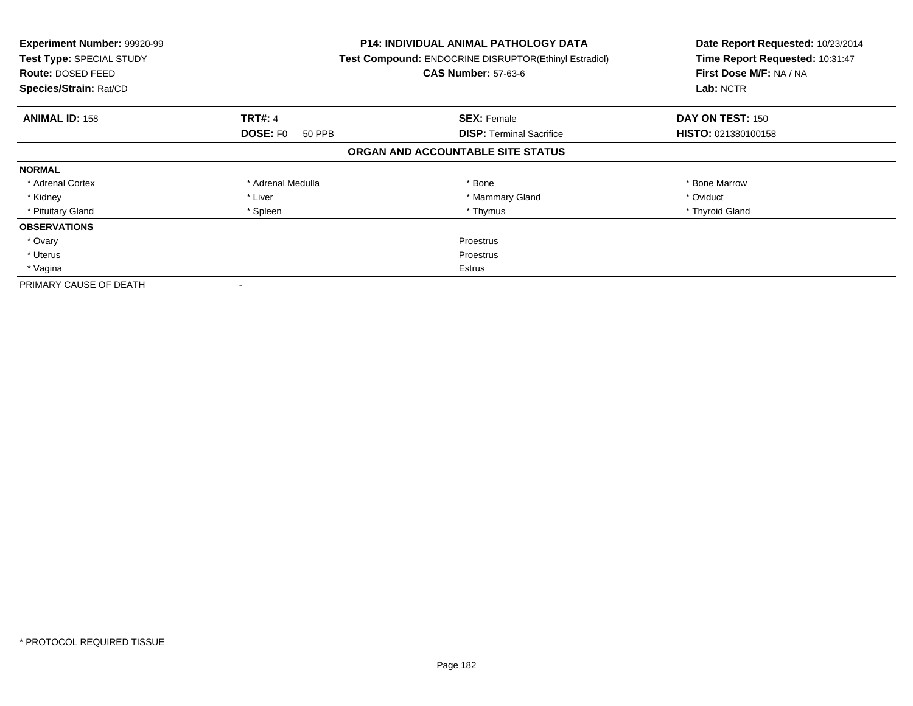| Experiment Number: 99920-99<br>Test Type: SPECIAL STUDY<br><b>Route: DOSED FEED</b><br>Species/Strain: Rat/CD |                           | <b>P14: INDIVIDUAL ANIMAL PATHOLOGY DATA</b><br>Test Compound: ENDOCRINE DISRUPTOR(Ethinyl Estradiol)<br><b>CAS Number: 57-63-6</b> | Date Report Requested: 10/23/2014<br>Time Report Requested: 10:31:47<br>First Dose M/F: NA / NA<br>Lab: NCTR |
|---------------------------------------------------------------------------------------------------------------|---------------------------|-------------------------------------------------------------------------------------------------------------------------------------|--------------------------------------------------------------------------------------------------------------|
| <b>ANIMAL ID: 158</b>                                                                                         | <b>TRT#: 4</b>            | <b>SEX: Female</b>                                                                                                                  | DAY ON TEST: 150                                                                                             |
|                                                                                                               | <b>DOSE: FO</b><br>50 PPB | <b>DISP:</b> Terminal Sacrifice                                                                                                     | HISTO: 021380100158                                                                                          |
|                                                                                                               |                           | ORGAN AND ACCOUNTABLE SITE STATUS                                                                                                   |                                                                                                              |
| <b>NORMAL</b>                                                                                                 |                           |                                                                                                                                     |                                                                                                              |
| * Adrenal Cortex                                                                                              | * Adrenal Medulla         | * Bone                                                                                                                              | * Bone Marrow                                                                                                |
| * Kidney                                                                                                      | * Liver                   | * Mammary Gland                                                                                                                     | * Oviduct                                                                                                    |
| * Pituitary Gland                                                                                             | * Spleen                  | * Thymus                                                                                                                            | * Thyroid Gland                                                                                              |
| <b>OBSERVATIONS</b>                                                                                           |                           |                                                                                                                                     |                                                                                                              |
| * Ovary                                                                                                       |                           | Proestrus                                                                                                                           |                                                                                                              |
| * Uterus                                                                                                      | Proestrus                 |                                                                                                                                     |                                                                                                              |
| * Vagina                                                                                                      | Estrus                    |                                                                                                                                     |                                                                                                              |
| PRIMARY CAUSE OF DEATH                                                                                        |                           |                                                                                                                                     |                                                                                                              |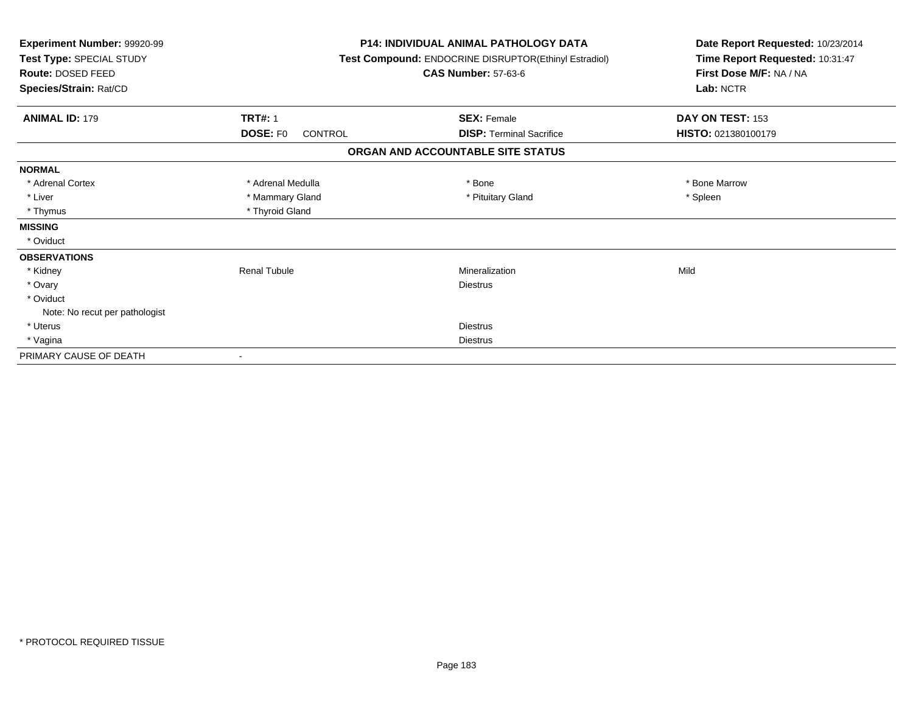| Experiment Number: 99920-99<br>Test Type: SPECIAL STUDY<br>Route: DOSED FEED<br>Species/Strain: Rat/CD |                                   | <b>P14: INDIVIDUAL ANIMAL PATHOLOGY DATA</b><br>Test Compound: ENDOCRINE DISRUPTOR(Ethinyl Estradiol)<br><b>CAS Number: 57-63-6</b> | Date Report Requested: 10/23/2014<br>Time Report Requested: 10:31:47<br>First Dose M/F: NA / NA<br>Lab: NCTR |
|--------------------------------------------------------------------------------------------------------|-----------------------------------|-------------------------------------------------------------------------------------------------------------------------------------|--------------------------------------------------------------------------------------------------------------|
| <b>ANIMAL ID: 179</b>                                                                                  | <b>TRT#: 1</b>                    | <b>SEX: Female</b>                                                                                                                  | DAY ON TEST: 153                                                                                             |
|                                                                                                        | <b>DOSE: FO</b><br><b>CONTROL</b> | <b>DISP: Terminal Sacrifice</b>                                                                                                     | HISTO: 021380100179                                                                                          |
|                                                                                                        |                                   | ORGAN AND ACCOUNTABLE SITE STATUS                                                                                                   |                                                                                                              |
| <b>NORMAL</b>                                                                                          |                                   |                                                                                                                                     |                                                                                                              |
| * Adrenal Cortex                                                                                       | * Adrenal Medulla                 | * Bone                                                                                                                              | * Bone Marrow                                                                                                |
| * Liver                                                                                                | * Mammary Gland                   | * Pituitary Gland                                                                                                                   | * Spleen                                                                                                     |
| * Thymus                                                                                               | * Thyroid Gland                   |                                                                                                                                     |                                                                                                              |
| <b>MISSING</b>                                                                                         |                                   |                                                                                                                                     |                                                                                                              |
| * Oviduct                                                                                              |                                   |                                                                                                                                     |                                                                                                              |
| <b>OBSERVATIONS</b>                                                                                    |                                   |                                                                                                                                     |                                                                                                              |
| * Kidney                                                                                               | <b>Renal Tubule</b>               | Mineralization                                                                                                                      | Mild                                                                                                         |
| * Ovary                                                                                                |                                   | <b>Diestrus</b>                                                                                                                     |                                                                                                              |
| * Oviduct                                                                                              |                                   |                                                                                                                                     |                                                                                                              |
| Note: No recut per pathologist                                                                         |                                   |                                                                                                                                     |                                                                                                              |
| * Uterus                                                                                               |                                   | <b>Diestrus</b>                                                                                                                     |                                                                                                              |
| * Vagina                                                                                               |                                   | <b>Diestrus</b>                                                                                                                     |                                                                                                              |
| PRIMARY CAUSE OF DEATH                                                                                 |                                   |                                                                                                                                     |                                                                                                              |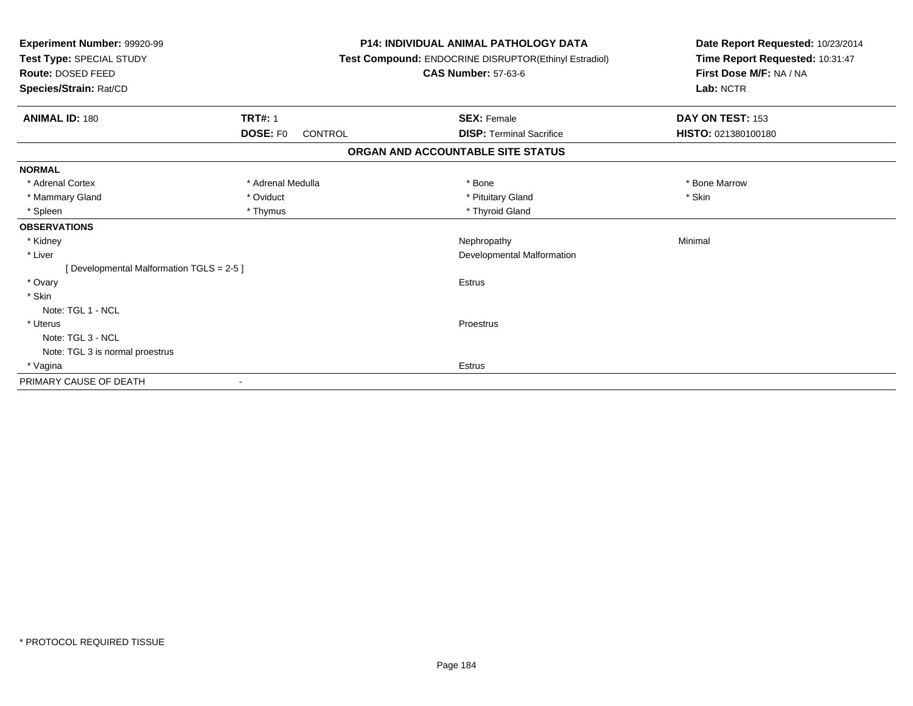| Experiment Number: 99920-99<br>Test Type: SPECIAL STUDY<br><b>Route: DOSED FEED</b><br>Species/Strain: Rat/CD |                     | <b>P14: INDIVIDUAL ANIMAL PATHOLOGY DATA</b><br>Test Compound: ENDOCRINE DISRUPTOR(Ethinyl Estradiol)<br><b>CAS Number: 57-63-6</b> | Date Report Requested: 10/23/2014<br>Time Report Requested: 10:31:47<br>First Dose M/F: NA / NA<br>Lab: NCTR |  |
|---------------------------------------------------------------------------------------------------------------|---------------------|-------------------------------------------------------------------------------------------------------------------------------------|--------------------------------------------------------------------------------------------------------------|--|
| <b>ANIMAL ID: 180</b>                                                                                         | <b>TRT#: 1</b>      | <b>SEX: Female</b>                                                                                                                  | DAY ON TEST: 153                                                                                             |  |
|                                                                                                               | DOSE: F0<br>CONTROL | <b>DISP: Terminal Sacrifice</b>                                                                                                     | HISTO: 021380100180                                                                                          |  |
|                                                                                                               |                     | ORGAN AND ACCOUNTABLE SITE STATUS                                                                                                   |                                                                                                              |  |
| <b>NORMAL</b>                                                                                                 |                     |                                                                                                                                     |                                                                                                              |  |
| * Adrenal Cortex                                                                                              | * Adrenal Medulla   | * Bone                                                                                                                              | * Bone Marrow                                                                                                |  |
| * Mammary Gland                                                                                               | * Oviduct           | * Pituitary Gland                                                                                                                   | * Skin                                                                                                       |  |
| * Spleen                                                                                                      | * Thymus            | * Thyroid Gland                                                                                                                     |                                                                                                              |  |
| <b>OBSERVATIONS</b>                                                                                           |                     |                                                                                                                                     |                                                                                                              |  |
| * Kidney                                                                                                      |                     | Nephropathy                                                                                                                         | Minimal                                                                                                      |  |
| * Liver                                                                                                       |                     | Developmental Malformation                                                                                                          |                                                                                                              |  |
| [Developmental Malformation TGLS = 2-5]                                                                       |                     |                                                                                                                                     |                                                                                                              |  |
| * Ovary                                                                                                       |                     | <b>Estrus</b>                                                                                                                       |                                                                                                              |  |
| * Skin                                                                                                        |                     |                                                                                                                                     |                                                                                                              |  |
| Note: TGL 1 - NCL                                                                                             |                     |                                                                                                                                     |                                                                                                              |  |
| * Uterus                                                                                                      |                     | Proestrus                                                                                                                           |                                                                                                              |  |
| Note: TGL 3 - NCL                                                                                             |                     |                                                                                                                                     |                                                                                                              |  |
| Note: TGL 3 is normal proestrus                                                                               |                     |                                                                                                                                     |                                                                                                              |  |
| * Vagina                                                                                                      |                     | <b>Estrus</b>                                                                                                                       |                                                                                                              |  |
| PRIMARY CAUSE OF DEATH                                                                                        |                     |                                                                                                                                     |                                                                                                              |  |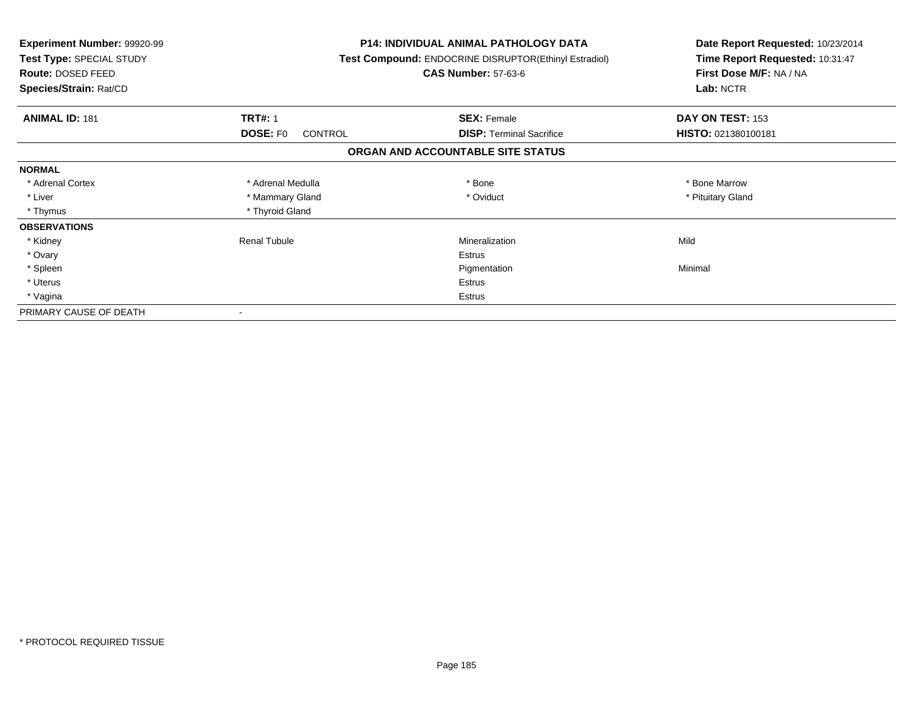| <b>Experiment Number: 99920-99</b><br>Test Type: SPECIAL STUDY<br>Route: DOSED FEED<br>Species/Strain: Rat/CD |                                   | <b>P14: INDIVIDUAL ANIMAL PATHOLOGY DATA</b><br>Test Compound: ENDOCRINE DISRUPTOR(Ethinyl Estradiol)<br><b>CAS Number: 57-63-6</b> | Date Report Requested: 10/23/2014<br>Time Report Requested: 10:31:47<br>First Dose M/F: NA / NA<br>Lab: NCTR |
|---------------------------------------------------------------------------------------------------------------|-----------------------------------|-------------------------------------------------------------------------------------------------------------------------------------|--------------------------------------------------------------------------------------------------------------|
| <b>ANIMAL ID: 181</b>                                                                                         | <b>TRT#: 1</b>                    | <b>SEX: Female</b>                                                                                                                  | DAY ON TEST: 153                                                                                             |
|                                                                                                               | <b>DOSE: FO</b><br><b>CONTROL</b> | <b>DISP:</b> Terminal Sacrifice                                                                                                     | HISTO: 021380100181                                                                                          |
|                                                                                                               |                                   | ORGAN AND ACCOUNTABLE SITE STATUS                                                                                                   |                                                                                                              |
| <b>NORMAL</b>                                                                                                 |                                   |                                                                                                                                     |                                                                                                              |
| * Adrenal Cortex                                                                                              | * Adrenal Medulla                 | * Bone                                                                                                                              | * Bone Marrow                                                                                                |
| * Liver                                                                                                       | * Mammary Gland                   | * Oviduct                                                                                                                           | * Pituitary Gland                                                                                            |
| * Thymus                                                                                                      | * Thyroid Gland                   |                                                                                                                                     |                                                                                                              |
| <b>OBSERVATIONS</b>                                                                                           |                                   |                                                                                                                                     |                                                                                                              |
| * Kidney                                                                                                      | <b>Renal Tubule</b>               | Mineralization                                                                                                                      | Mild                                                                                                         |
| * Ovary                                                                                                       |                                   | <b>Estrus</b>                                                                                                                       |                                                                                                              |
| * Spleen                                                                                                      |                                   | Pigmentation                                                                                                                        | Minimal                                                                                                      |
| * Uterus                                                                                                      |                                   | <b>Estrus</b>                                                                                                                       |                                                                                                              |
| * Vagina                                                                                                      |                                   | Estrus                                                                                                                              |                                                                                                              |
| PRIMARY CAUSE OF DEATH                                                                                        |                                   |                                                                                                                                     |                                                                                                              |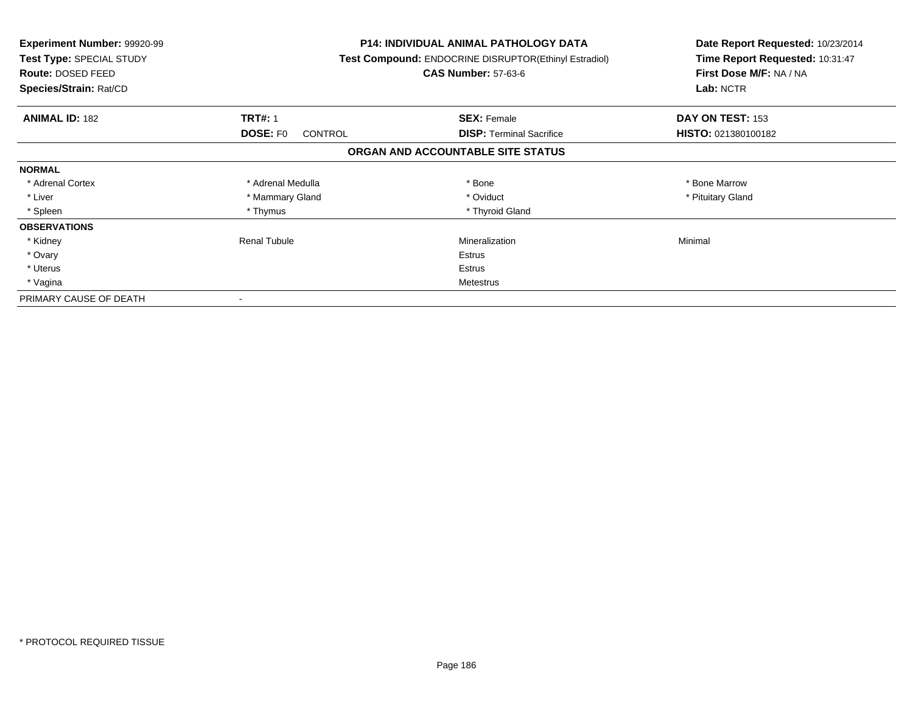| <b>Experiment Number: 99920-99</b><br>Test Type: SPECIAL STUDY<br><b>Route: DOSED FEED</b><br>Species/Strain: Rat/CD |                                   | P14: INDIVIDUAL ANIMAL PATHOLOGY DATA<br>Test Compound: ENDOCRINE DISRUPTOR(Ethinyl Estradiol)<br><b>CAS Number: 57-63-6</b> | Date Report Requested: 10/23/2014<br>Time Report Requested: 10:31:47<br>First Dose M/F: NA / NA<br>Lab: NCTR |
|----------------------------------------------------------------------------------------------------------------------|-----------------------------------|------------------------------------------------------------------------------------------------------------------------------|--------------------------------------------------------------------------------------------------------------|
| <b>ANIMAL ID: 182</b>                                                                                                | <b>TRT#: 1</b>                    | <b>SEX: Female</b>                                                                                                           | DAY ON TEST: 153                                                                                             |
|                                                                                                                      | <b>DOSE: FO</b><br><b>CONTROL</b> | <b>DISP:</b> Terminal Sacrifice                                                                                              | HISTO: 021380100182                                                                                          |
|                                                                                                                      |                                   | ORGAN AND ACCOUNTABLE SITE STATUS                                                                                            |                                                                                                              |
| <b>NORMAL</b>                                                                                                        |                                   |                                                                                                                              |                                                                                                              |
| * Adrenal Cortex                                                                                                     | * Adrenal Medulla                 | * Bone                                                                                                                       | * Bone Marrow                                                                                                |
| * Liver                                                                                                              | * Mammary Gland                   | * Oviduct                                                                                                                    | * Pituitary Gland                                                                                            |
| * Spleen                                                                                                             | * Thymus                          | * Thyroid Gland                                                                                                              |                                                                                                              |
| <b>OBSERVATIONS</b>                                                                                                  |                                   |                                                                                                                              |                                                                                                              |
| * Kidney                                                                                                             | <b>Renal Tubule</b>               | Mineralization                                                                                                               | Minimal                                                                                                      |
| * Ovary                                                                                                              |                                   | Estrus                                                                                                                       |                                                                                                              |
| * Uterus                                                                                                             |                                   | Estrus                                                                                                                       |                                                                                                              |
| * Vagina                                                                                                             |                                   | Metestrus                                                                                                                    |                                                                                                              |
| PRIMARY CAUSE OF DEATH                                                                                               |                                   |                                                                                                                              |                                                                                                              |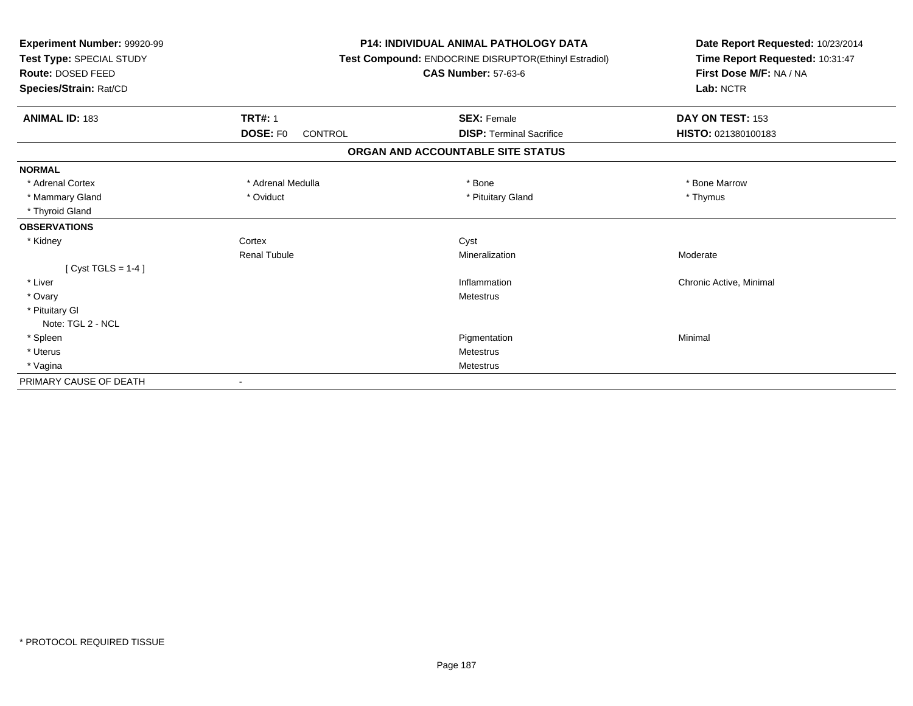| Experiment Number: 99920-99<br>Test Type: SPECIAL STUDY<br><b>Route: DOSED FEED</b><br>Species/Strain: Rat/CD |                            | <b>P14: INDIVIDUAL ANIMAL PATHOLOGY DATA</b><br>Test Compound: ENDOCRINE DISRUPTOR(Ethinyl Estradiol)<br><b>CAS Number: 57-63-6</b> | Date Report Requested: 10/23/2014<br>Time Report Requested: 10:31:47<br>First Dose M/F: NA / NA<br>Lab: NCTR |
|---------------------------------------------------------------------------------------------------------------|----------------------------|-------------------------------------------------------------------------------------------------------------------------------------|--------------------------------------------------------------------------------------------------------------|
| <b>ANIMAL ID: 183</b>                                                                                         | <b>TRT#: 1</b>             | <b>SEX: Female</b>                                                                                                                  | DAY ON TEST: 153                                                                                             |
|                                                                                                               | <b>DOSE: FO</b><br>CONTROL | <b>DISP: Terminal Sacrifice</b>                                                                                                     | HISTO: 021380100183                                                                                          |
|                                                                                                               |                            | ORGAN AND ACCOUNTABLE SITE STATUS                                                                                                   |                                                                                                              |
| <b>NORMAL</b>                                                                                                 |                            |                                                                                                                                     |                                                                                                              |
| * Adrenal Cortex                                                                                              | * Adrenal Medulla          | * Bone                                                                                                                              | * Bone Marrow                                                                                                |
| * Mammary Gland                                                                                               | * Oviduct                  | * Pituitary Gland                                                                                                                   | * Thymus                                                                                                     |
| * Thyroid Gland                                                                                               |                            |                                                                                                                                     |                                                                                                              |
| <b>OBSERVATIONS</b>                                                                                           |                            |                                                                                                                                     |                                                                                                              |
| * Kidney                                                                                                      | Cortex                     | Cyst                                                                                                                                |                                                                                                              |
|                                                                                                               | <b>Renal Tubule</b>        | Mineralization                                                                                                                      | Moderate                                                                                                     |
| [Cyst TGLS = $1-4$ ]                                                                                          |                            |                                                                                                                                     |                                                                                                              |
| * Liver                                                                                                       |                            | Inflammation                                                                                                                        | Chronic Active, Minimal                                                                                      |
| * Ovary                                                                                                       |                            | Metestrus                                                                                                                           |                                                                                                              |
| * Pituitary GI                                                                                                |                            |                                                                                                                                     |                                                                                                              |
| Note: TGL 2 - NCL                                                                                             |                            |                                                                                                                                     |                                                                                                              |
| * Spleen                                                                                                      |                            | Pigmentation                                                                                                                        | Minimal                                                                                                      |
| * Uterus                                                                                                      |                            | Metestrus                                                                                                                           |                                                                                                              |
| * Vagina                                                                                                      |                            | Metestrus                                                                                                                           |                                                                                                              |
| PRIMARY CAUSE OF DEATH                                                                                        |                            |                                                                                                                                     |                                                                                                              |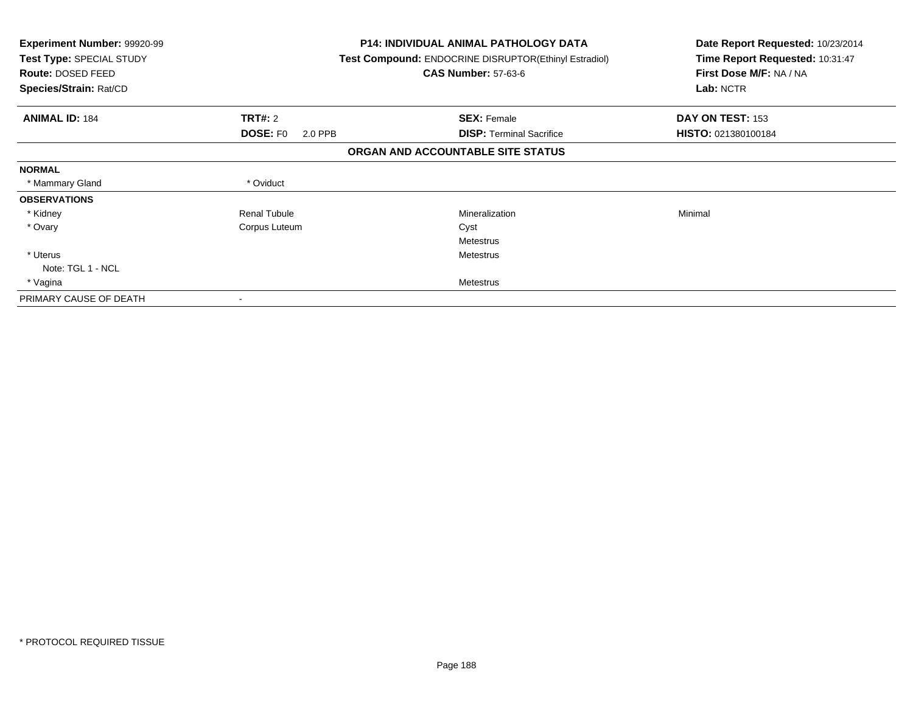| <b>Experiment Number: 99920-99</b><br>Test Type: SPECIAL STUDY<br>Route: DOSED FEED<br>Species/Strain: Rat/CD |                            | <b>P14: INDIVIDUAL ANIMAL PATHOLOGY DATA</b><br>Test Compound: ENDOCRINE DISRUPTOR(Ethinyl Estradiol)<br><b>CAS Number: 57-63-6</b> | Date Report Requested: 10/23/2014<br>Time Report Requested: 10:31:47<br>First Dose M/F: NA / NA<br>Lab: NCTR |
|---------------------------------------------------------------------------------------------------------------|----------------------------|-------------------------------------------------------------------------------------------------------------------------------------|--------------------------------------------------------------------------------------------------------------|
| <b>ANIMAL ID: 184</b>                                                                                         | TRT#: 2                    | <b>SEX: Female</b>                                                                                                                  | DAY ON TEST: 153                                                                                             |
|                                                                                                               | <b>DOSE: FO</b><br>2.0 PPB | <b>DISP: Terminal Sacrifice</b>                                                                                                     | HISTO: 021380100184                                                                                          |
|                                                                                                               |                            | ORGAN AND ACCOUNTABLE SITE STATUS                                                                                                   |                                                                                                              |
| <b>NORMAL</b>                                                                                                 |                            |                                                                                                                                     |                                                                                                              |
| * Mammary Gland                                                                                               | * Oviduct                  |                                                                                                                                     |                                                                                                              |
| <b>OBSERVATIONS</b>                                                                                           |                            |                                                                                                                                     |                                                                                                              |
| * Kidney                                                                                                      | <b>Renal Tubule</b>        | Mineralization                                                                                                                      | Minimal                                                                                                      |
| * Ovary                                                                                                       | Corpus Luteum              | Cyst                                                                                                                                |                                                                                                              |
|                                                                                                               |                            | <b>Metestrus</b>                                                                                                                    |                                                                                                              |
| * Uterus                                                                                                      |                            | <b>Metestrus</b>                                                                                                                    |                                                                                                              |
| Note: TGL 1 - NCL                                                                                             |                            |                                                                                                                                     |                                                                                                              |
| * Vagina                                                                                                      |                            | Metestrus                                                                                                                           |                                                                                                              |
| PRIMARY CAUSE OF DEATH                                                                                        |                            |                                                                                                                                     |                                                                                                              |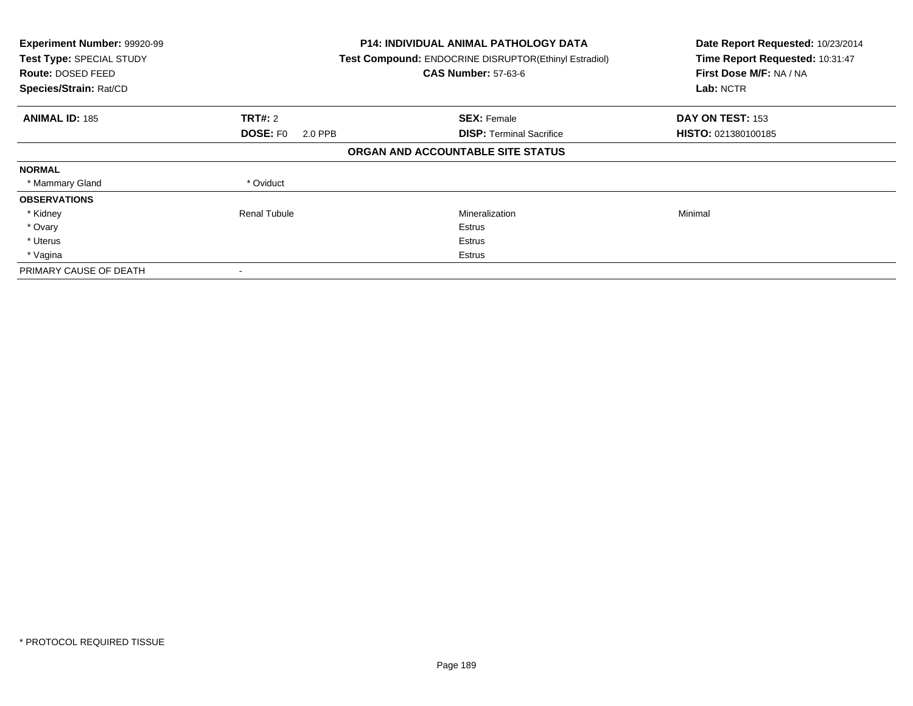| Experiment Number: 99920-99<br>Test Type: SPECIAL STUDY<br><b>Route: DOSED FEED</b><br>Species/Strain: Rat/CD |                            | <b>P14: INDIVIDUAL ANIMAL PATHOLOGY DATA</b><br>Test Compound: ENDOCRINE DISRUPTOR(Ethinyl Estradiol)<br><b>CAS Number: 57-63-6</b> | Date Report Requested: 10/23/2014<br>Time Report Requested: 10:31:47<br>First Dose M/F: NA / NA<br>Lab: NCTR |
|---------------------------------------------------------------------------------------------------------------|----------------------------|-------------------------------------------------------------------------------------------------------------------------------------|--------------------------------------------------------------------------------------------------------------|
| <b>ANIMAL ID: 185</b>                                                                                         | <b>TRT#: 2</b>             | <b>SEX: Female</b>                                                                                                                  | DAY ON TEST: 153                                                                                             |
|                                                                                                               | <b>DOSE: FO</b><br>2.0 PPB | <b>DISP:</b> Terminal Sacrifice                                                                                                     | <b>HISTO: 021380100185</b>                                                                                   |
|                                                                                                               |                            | ORGAN AND ACCOUNTABLE SITE STATUS                                                                                                   |                                                                                                              |
| <b>NORMAL</b>                                                                                                 |                            |                                                                                                                                     |                                                                                                              |
| * Mammary Gland                                                                                               | * Oviduct                  |                                                                                                                                     |                                                                                                              |
| <b>OBSERVATIONS</b>                                                                                           |                            |                                                                                                                                     |                                                                                                              |
| * Kidney                                                                                                      | Renal Tubule               | Mineralization                                                                                                                      | Minimal                                                                                                      |
| * Ovary                                                                                                       |                            | Estrus                                                                                                                              |                                                                                                              |
| * Uterus                                                                                                      |                            | Estrus                                                                                                                              |                                                                                                              |
| * Vagina                                                                                                      |                            | Estrus                                                                                                                              |                                                                                                              |
| PRIMARY CAUSE OF DEATH                                                                                        |                            |                                                                                                                                     |                                                                                                              |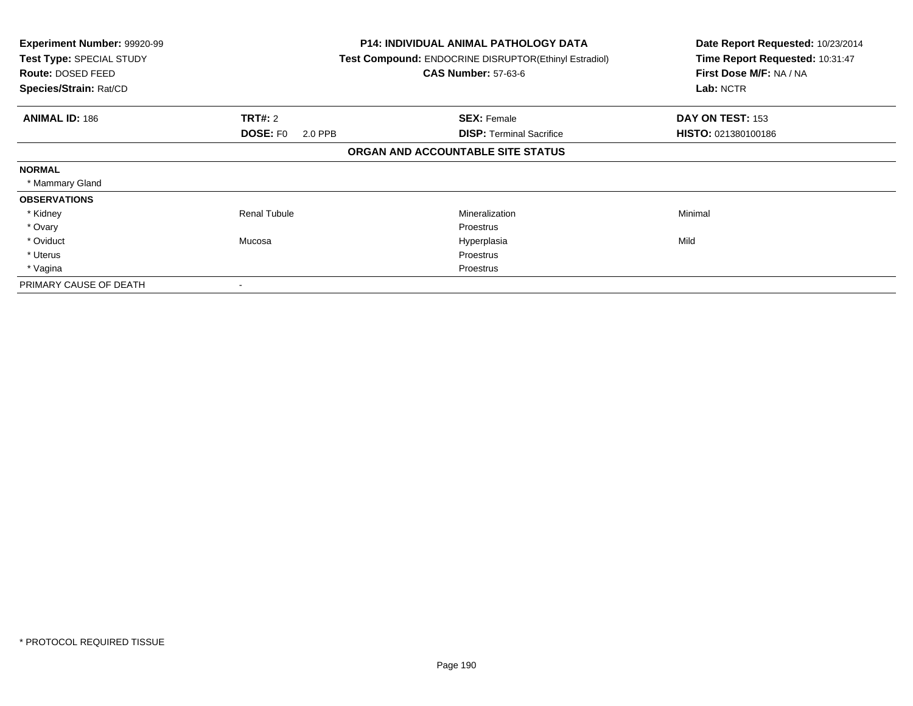| <b>Experiment Number: 99920-99</b><br>Test Type: SPECIAL STUDY<br>Route: DOSED FEED<br>Species/Strain: Rat/CD |                            | <b>P14: INDIVIDUAL ANIMAL PATHOLOGY DATA</b><br><b>Test Compound: ENDOCRINE DISRUPTOR(Ethinyl Estradiol)</b><br><b>CAS Number: 57-63-6</b> | Date Report Requested: 10/23/2014<br>Time Report Requested: 10:31:47<br>First Dose M/F: NA / NA<br>Lab: NCTR |
|---------------------------------------------------------------------------------------------------------------|----------------------------|--------------------------------------------------------------------------------------------------------------------------------------------|--------------------------------------------------------------------------------------------------------------|
| <b>ANIMAL ID: 186</b>                                                                                         | TRT#: 2                    | <b>SEX: Female</b>                                                                                                                         | DAY ON TEST: 153                                                                                             |
|                                                                                                               | <b>DOSE: FO</b><br>2.0 PPB | <b>DISP: Terminal Sacrifice</b>                                                                                                            | HISTO: 021380100186                                                                                          |
|                                                                                                               |                            | ORGAN AND ACCOUNTABLE SITE STATUS                                                                                                          |                                                                                                              |
| <b>NORMAL</b>                                                                                                 |                            |                                                                                                                                            |                                                                                                              |
| * Mammary Gland                                                                                               |                            |                                                                                                                                            |                                                                                                              |
| <b>OBSERVATIONS</b>                                                                                           |                            |                                                                                                                                            |                                                                                                              |
| * Kidney                                                                                                      | <b>Renal Tubule</b>        | Mineralization                                                                                                                             | Minimal                                                                                                      |
| * Ovary                                                                                                       |                            | Proestrus                                                                                                                                  |                                                                                                              |
| * Oviduct                                                                                                     | Mucosa                     | Hyperplasia                                                                                                                                | Mild                                                                                                         |
| * Uterus                                                                                                      |                            | Proestrus                                                                                                                                  |                                                                                                              |
| * Vagina                                                                                                      |                            | Proestrus                                                                                                                                  |                                                                                                              |
| PRIMARY CAUSE OF DEATH                                                                                        | $\overline{\phantom{a}}$   |                                                                                                                                            |                                                                                                              |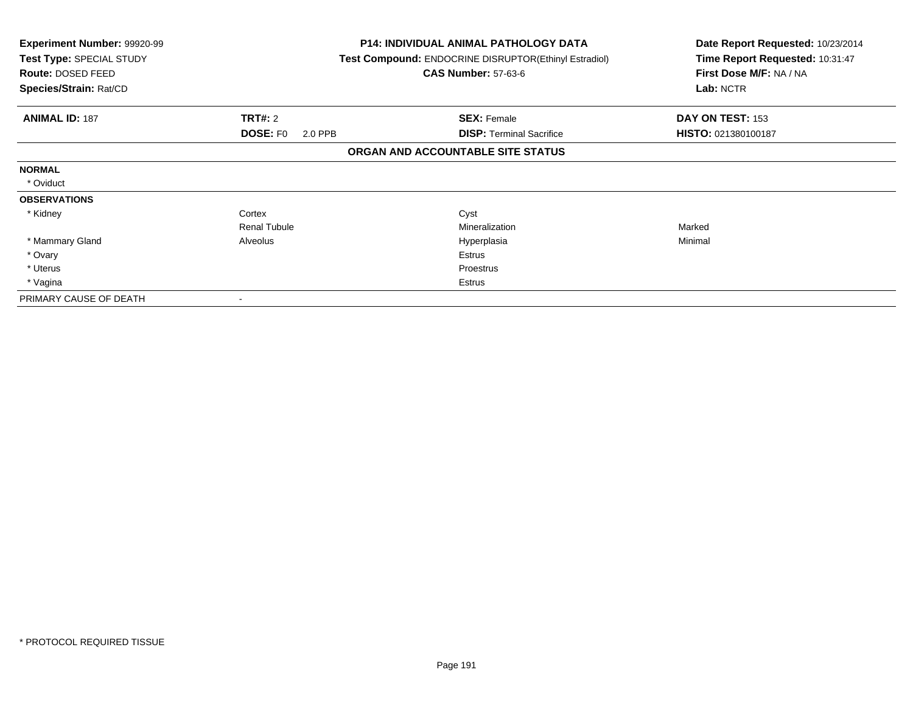| <b>Experiment Number: 99920-99</b><br>Test Type: SPECIAL STUDY<br>Route: DOSED FEED<br>Species/Strain: Rat/CD |                     | <b>P14: INDIVIDUAL ANIMAL PATHOLOGY DATA</b><br>Test Compound: ENDOCRINE DISRUPTOR(Ethinyl Estradiol)<br><b>CAS Number: 57-63-6</b> | Date Report Requested: 10/23/2014<br>Time Report Requested: 10:31:47<br>First Dose M/F: NA / NA<br>Lab: NCTR |
|---------------------------------------------------------------------------------------------------------------|---------------------|-------------------------------------------------------------------------------------------------------------------------------------|--------------------------------------------------------------------------------------------------------------|
| <b>ANIMAL ID: 187</b>                                                                                         | <b>TRT#:</b> 2      | <b>SEX: Female</b>                                                                                                                  | DAY ON TEST: 153                                                                                             |
|                                                                                                               | DOSE: FO<br>2.0 PPB | <b>DISP:</b> Terminal Sacrifice                                                                                                     | HISTO: 021380100187                                                                                          |
|                                                                                                               |                     | ORGAN AND ACCOUNTABLE SITE STATUS                                                                                                   |                                                                                                              |
| <b>NORMAL</b>                                                                                                 |                     |                                                                                                                                     |                                                                                                              |
| * Oviduct                                                                                                     |                     |                                                                                                                                     |                                                                                                              |
| <b>OBSERVATIONS</b>                                                                                           |                     |                                                                                                                                     |                                                                                                              |
| * Kidney                                                                                                      | Cortex              | Cyst                                                                                                                                |                                                                                                              |
|                                                                                                               | <b>Renal Tubule</b> | Mineralization                                                                                                                      | Marked                                                                                                       |
| * Mammary Gland                                                                                               | Alveolus            | Hyperplasia                                                                                                                         | Minimal                                                                                                      |
| * Ovary                                                                                                       |                     | Estrus                                                                                                                              |                                                                                                              |
| * Uterus                                                                                                      |                     | Proestrus                                                                                                                           |                                                                                                              |
| * Vagina                                                                                                      |                     | Estrus                                                                                                                              |                                                                                                              |
| PRIMARY CAUSE OF DEATH                                                                                        |                     |                                                                                                                                     |                                                                                                              |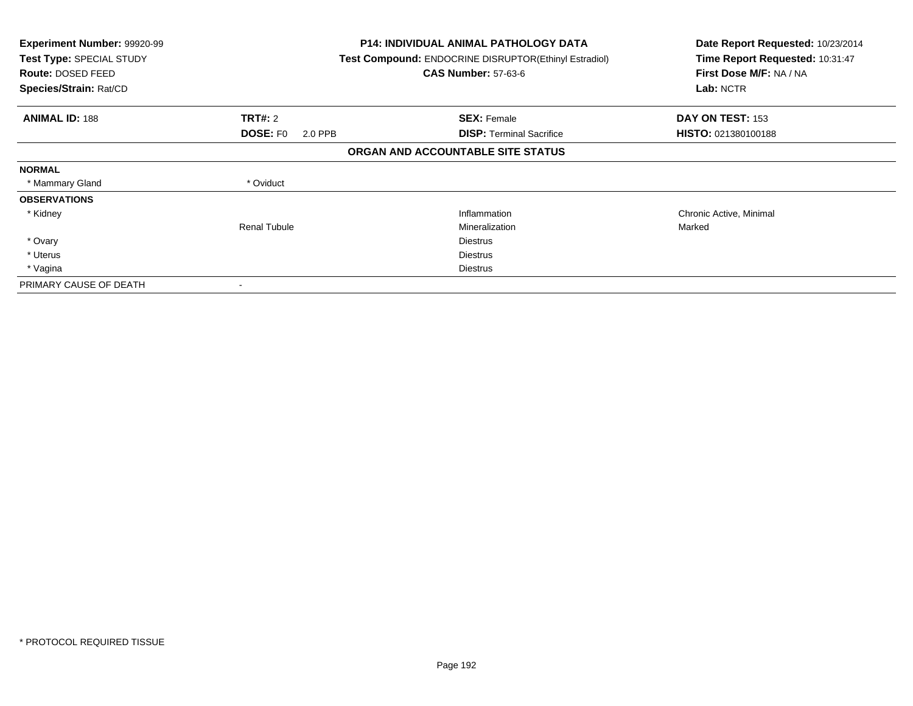| <b>Experiment Number: 99920-99</b><br>Test Type: SPECIAL STUDY<br>Route: DOSED FEED<br>Species/Strain: Rat/CD |                            | <b>P14: INDIVIDUAL ANIMAL PATHOLOGY DATA</b><br><b>Test Compound: ENDOCRINE DISRUPTOR (Ethinyl Estradiol)</b><br><b>CAS Number: 57-63-6</b> | Date Report Requested: 10/23/2014<br>Time Report Requested: 10:31:47<br>First Dose M/F: NA / NA<br>Lab: NCTR |
|---------------------------------------------------------------------------------------------------------------|----------------------------|---------------------------------------------------------------------------------------------------------------------------------------------|--------------------------------------------------------------------------------------------------------------|
| <b>ANIMAL ID: 188</b>                                                                                         | <b>TRT#: 2</b>             | <b>SEX: Female</b>                                                                                                                          | DAY ON TEST: 153                                                                                             |
|                                                                                                               | <b>DOSE: FO</b><br>2.0 PPB | <b>DISP:</b> Terminal Sacrifice                                                                                                             | <b>HISTO: 021380100188</b>                                                                                   |
|                                                                                                               |                            | ORGAN AND ACCOUNTABLE SITE STATUS                                                                                                           |                                                                                                              |
| <b>NORMAL</b>                                                                                                 |                            |                                                                                                                                             |                                                                                                              |
| * Mammary Gland                                                                                               | * Oviduct                  |                                                                                                                                             |                                                                                                              |
| <b>OBSERVATIONS</b>                                                                                           |                            |                                                                                                                                             |                                                                                                              |
| * Kidney                                                                                                      |                            | Inflammation                                                                                                                                | Chronic Active, Minimal                                                                                      |
|                                                                                                               | <b>Renal Tubule</b>        | Mineralization                                                                                                                              | Marked                                                                                                       |
| * Ovary                                                                                                       |                            | <b>Diestrus</b>                                                                                                                             |                                                                                                              |
| * Uterus                                                                                                      |                            | <b>Diestrus</b>                                                                                                                             |                                                                                                              |
| * Vagina                                                                                                      |                            | Diestrus                                                                                                                                    |                                                                                                              |
| PRIMARY CAUSE OF DEATH                                                                                        | $\,$                       |                                                                                                                                             |                                                                                                              |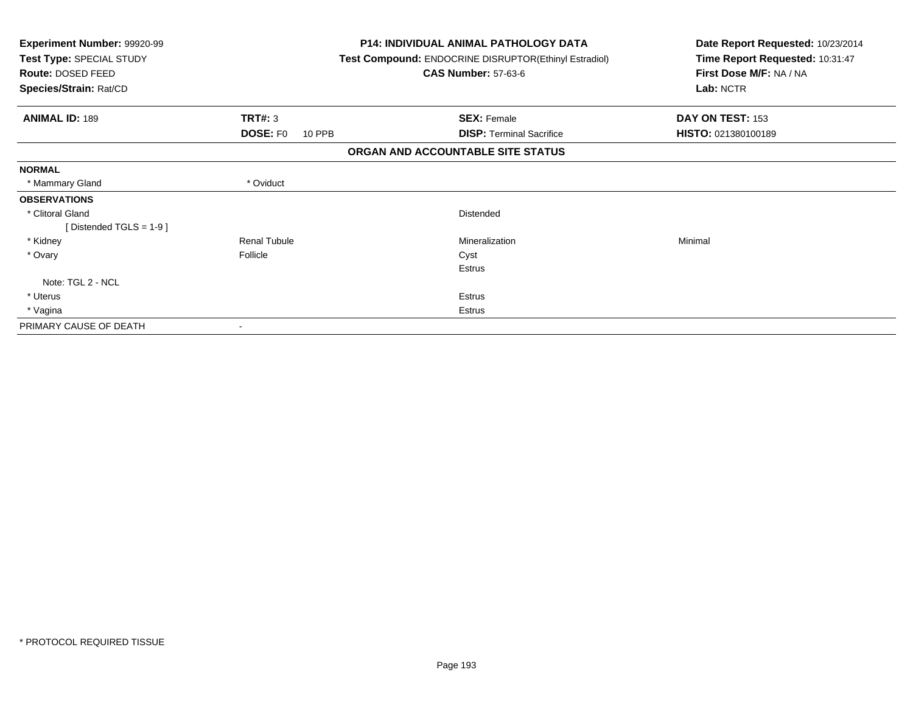| Experiment Number: 99920-99<br>Test Type: SPECIAL STUDY<br>Route: DOSED FEED |                     | <b>P14: INDIVIDUAL ANIMAL PATHOLOGY DATA</b><br>Test Compound: ENDOCRINE DISRUPTOR(Ethinyl Estradiol)<br><b>CAS Number: 57-63-6</b> | Date Report Requested: 10/23/2014<br>Time Report Requested: 10:31:47<br>First Dose M/F: NA / NA |
|------------------------------------------------------------------------------|---------------------|-------------------------------------------------------------------------------------------------------------------------------------|-------------------------------------------------------------------------------------------------|
| Species/Strain: Rat/CD                                                       |                     |                                                                                                                                     | Lab: NCTR                                                                                       |
| <b>ANIMAL ID: 189</b>                                                        | <b>TRT#: 3</b>      | <b>SEX: Female</b>                                                                                                                  | DAY ON TEST: 153                                                                                |
|                                                                              | DOSE: FO<br>10 PPB  | <b>DISP: Terminal Sacrifice</b>                                                                                                     | HISTO: 021380100189                                                                             |
|                                                                              |                     | ORGAN AND ACCOUNTABLE SITE STATUS                                                                                                   |                                                                                                 |
| <b>NORMAL</b>                                                                |                     |                                                                                                                                     |                                                                                                 |
| * Mammary Gland                                                              | * Oviduct           |                                                                                                                                     |                                                                                                 |
| <b>OBSERVATIONS</b>                                                          |                     |                                                                                                                                     |                                                                                                 |
| * Clitoral Gland                                                             |                     | Distended                                                                                                                           |                                                                                                 |
| [Distended TGLS = $1-9$ ]                                                    |                     |                                                                                                                                     |                                                                                                 |
| * Kidney                                                                     | <b>Renal Tubule</b> | Mineralization                                                                                                                      | Minimal                                                                                         |
| * Ovary                                                                      | Follicle            | Cyst                                                                                                                                |                                                                                                 |
|                                                                              |                     | Estrus                                                                                                                              |                                                                                                 |
| Note: TGL 2 - NCL                                                            |                     |                                                                                                                                     |                                                                                                 |
| * Uterus                                                                     |                     | Estrus                                                                                                                              |                                                                                                 |
| * Vagina                                                                     |                     | Estrus                                                                                                                              |                                                                                                 |
| PRIMARY CAUSE OF DEATH                                                       |                     |                                                                                                                                     |                                                                                                 |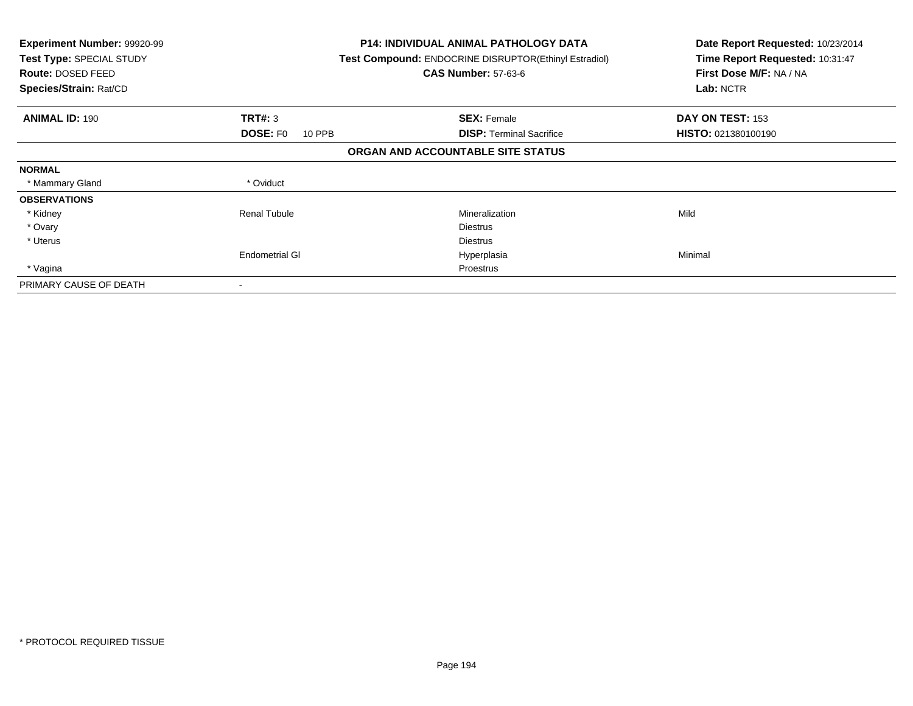| <b>Experiment Number: 99920-99</b><br>Test Type: SPECIAL STUDY<br><b>Route: DOSED FEED</b><br>Species/Strain: Rat/CD |                           | <b>P14: INDIVIDUAL ANIMAL PATHOLOGY DATA</b><br>Test Compound: ENDOCRINE DISRUPTOR(Ethinyl Estradiol)<br><b>CAS Number: 57-63-6</b> | Date Report Requested: 10/23/2014<br>Time Report Requested: 10:31:47<br>First Dose M/F: NA / NA<br>Lab: NCTR |
|----------------------------------------------------------------------------------------------------------------------|---------------------------|-------------------------------------------------------------------------------------------------------------------------------------|--------------------------------------------------------------------------------------------------------------|
| <b>ANIMAL ID: 190</b>                                                                                                | TRT#: 3                   | <b>SEX: Female</b>                                                                                                                  | DAY ON TEST: 153                                                                                             |
|                                                                                                                      | <b>DOSE: FO</b><br>10 PPB | <b>DISP:</b> Terminal Sacrifice                                                                                                     | HISTO: 021380100190                                                                                          |
|                                                                                                                      |                           | ORGAN AND ACCOUNTABLE SITE STATUS                                                                                                   |                                                                                                              |
| <b>NORMAL</b>                                                                                                        |                           |                                                                                                                                     |                                                                                                              |
| * Mammary Gland                                                                                                      | * Oviduct                 |                                                                                                                                     |                                                                                                              |
| <b>OBSERVATIONS</b>                                                                                                  |                           |                                                                                                                                     |                                                                                                              |
| * Kidney                                                                                                             | <b>Renal Tubule</b>       | Mineralization                                                                                                                      | Mild                                                                                                         |
| * Ovary                                                                                                              |                           | <b>Diestrus</b>                                                                                                                     |                                                                                                              |
| * Uterus                                                                                                             |                           | <b>Diestrus</b>                                                                                                                     |                                                                                                              |
|                                                                                                                      | <b>Endometrial GI</b>     | Hyperplasia                                                                                                                         | Minimal                                                                                                      |
| * Vagina                                                                                                             |                           | Proestrus                                                                                                                           |                                                                                                              |
| PRIMARY CAUSE OF DEATH                                                                                               |                           |                                                                                                                                     |                                                                                                              |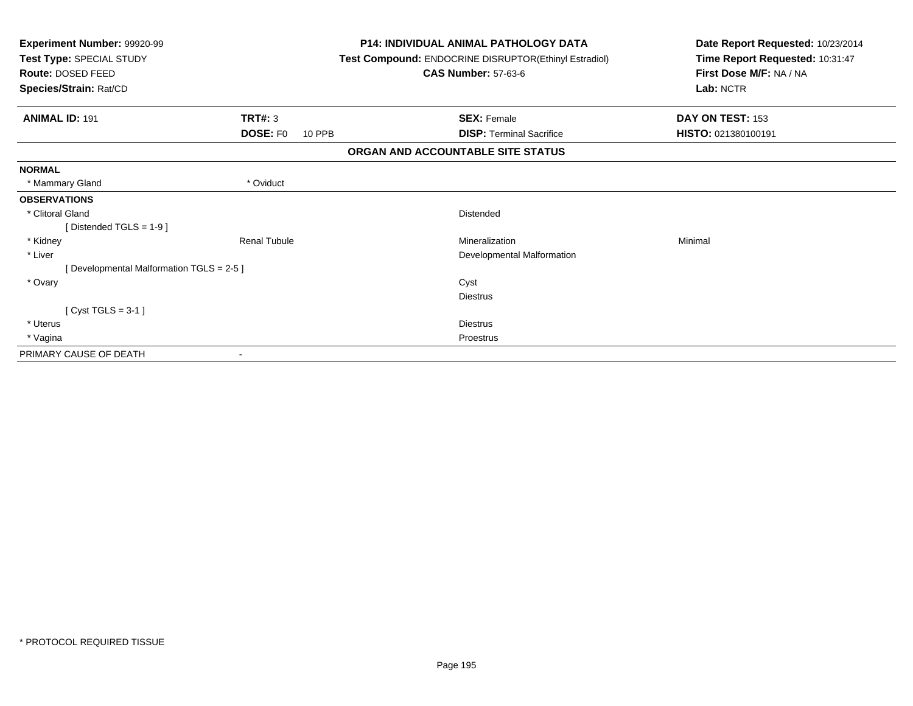| Experiment Number: 99920-99<br>Test Type: SPECIAL STUDY<br>Route: DOSED FEED<br>Species/Strain: Rat/CD |                           | <b>P14: INDIVIDUAL ANIMAL PATHOLOGY DATA</b><br>Test Compound: ENDOCRINE DISRUPTOR(Ethinyl Estradiol)<br><b>CAS Number: 57-63-6</b> | Date Report Requested: 10/23/2014<br>Time Report Requested: 10:31:47<br>First Dose M/F: NA / NA<br>Lab: NCTR |  |
|--------------------------------------------------------------------------------------------------------|---------------------------|-------------------------------------------------------------------------------------------------------------------------------------|--------------------------------------------------------------------------------------------------------------|--|
| <b>ANIMAL ID: 191</b>                                                                                  | <b>TRT#: 3</b>            | <b>SEX: Female</b>                                                                                                                  | DAY ON TEST: 153                                                                                             |  |
|                                                                                                        | <b>DOSE: FO</b><br>10 PPB | <b>DISP: Terminal Sacrifice</b>                                                                                                     | HISTO: 021380100191                                                                                          |  |
|                                                                                                        |                           | ORGAN AND ACCOUNTABLE SITE STATUS                                                                                                   |                                                                                                              |  |
| <b>NORMAL</b>                                                                                          |                           |                                                                                                                                     |                                                                                                              |  |
| * Mammary Gland                                                                                        | * Oviduct                 |                                                                                                                                     |                                                                                                              |  |
| <b>OBSERVATIONS</b>                                                                                    |                           |                                                                                                                                     |                                                                                                              |  |
| * Clitoral Gland                                                                                       |                           | Distended                                                                                                                           |                                                                                                              |  |
| [Distended TGLS = 1-9]                                                                                 |                           |                                                                                                                                     |                                                                                                              |  |
| * Kidney                                                                                               | <b>Renal Tubule</b>       | Mineralization                                                                                                                      | Minimal                                                                                                      |  |
| * Liver                                                                                                |                           | Developmental Malformation                                                                                                          |                                                                                                              |  |
| [Developmental Malformation TGLS = 2-5]                                                                |                           |                                                                                                                                     |                                                                                                              |  |
| * Ovary                                                                                                |                           | Cyst                                                                                                                                |                                                                                                              |  |
|                                                                                                        |                           | <b>Diestrus</b>                                                                                                                     |                                                                                                              |  |
| [Cyst TGLS = $3-1$ ]                                                                                   |                           |                                                                                                                                     |                                                                                                              |  |
| * Uterus                                                                                               |                           | <b>Diestrus</b>                                                                                                                     |                                                                                                              |  |
| * Vagina                                                                                               |                           | Proestrus                                                                                                                           |                                                                                                              |  |
| PRIMARY CAUSE OF DEATH                                                                                 |                           |                                                                                                                                     |                                                                                                              |  |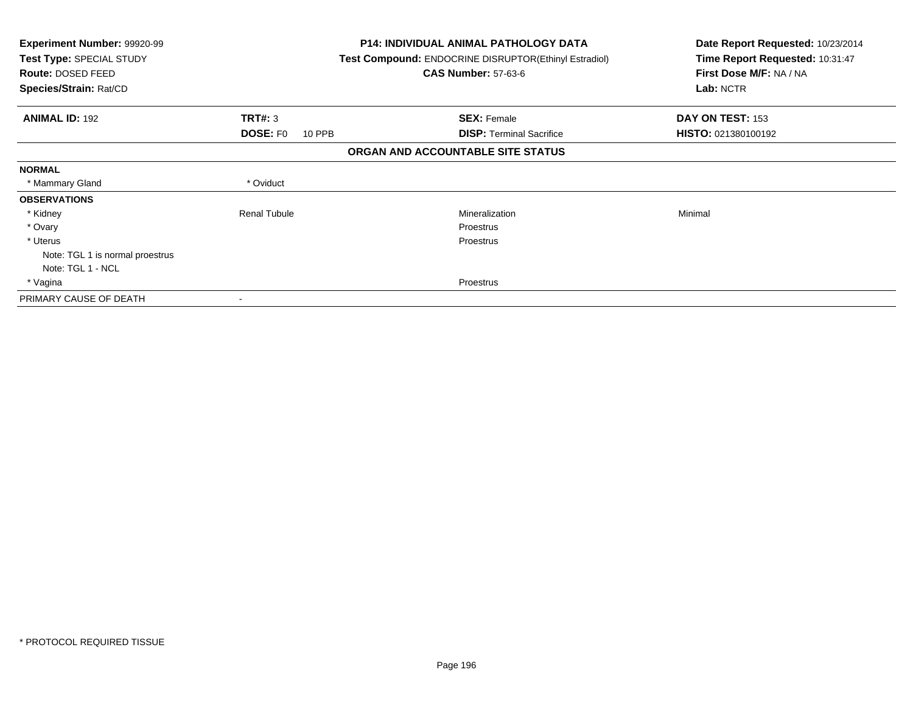| <b>Experiment Number: 99920-99</b><br>Test Type: SPECIAL STUDY<br>Route: DOSED FEED<br>Species/Strain: Rat/CD |                           | <b>P14: INDIVIDUAL ANIMAL PATHOLOGY DATA</b><br><b>Test Compound: ENDOCRINE DISRUPTOR(Ethinyl Estradiol)</b><br><b>CAS Number: 57-63-6</b> | Date Report Requested: 10/23/2014<br>Time Report Requested: 10:31:47<br>First Dose M/F: NA / NA<br>Lab: NCTR |
|---------------------------------------------------------------------------------------------------------------|---------------------------|--------------------------------------------------------------------------------------------------------------------------------------------|--------------------------------------------------------------------------------------------------------------|
| <b>ANIMAL ID: 192</b>                                                                                         | TRT#: 3                   | <b>SEX: Female</b>                                                                                                                         | DAY ON TEST: 153                                                                                             |
|                                                                                                               | <b>DOSE: FO</b><br>10 PPB | <b>DISP:</b> Terminal Sacrifice                                                                                                            | HISTO: 021380100192                                                                                          |
|                                                                                                               |                           | ORGAN AND ACCOUNTABLE SITE STATUS                                                                                                          |                                                                                                              |
| <b>NORMAL</b>                                                                                                 |                           |                                                                                                                                            |                                                                                                              |
| * Mammary Gland                                                                                               | * Oviduct                 |                                                                                                                                            |                                                                                                              |
| <b>OBSERVATIONS</b>                                                                                           |                           |                                                                                                                                            |                                                                                                              |
| * Kidney                                                                                                      | <b>Renal Tubule</b>       | <b>Mineralization</b>                                                                                                                      | Minimal                                                                                                      |
| * Ovary                                                                                                       |                           | Proestrus                                                                                                                                  |                                                                                                              |
| * Uterus                                                                                                      |                           | <b>Proestrus</b>                                                                                                                           |                                                                                                              |
| Note: TGL 1 is normal proestrus                                                                               |                           |                                                                                                                                            |                                                                                                              |
| Note: TGL 1 - NCL                                                                                             |                           |                                                                                                                                            |                                                                                                              |
| * Vagina                                                                                                      |                           | <b>Proestrus</b>                                                                                                                           |                                                                                                              |
| PRIMARY CAUSE OF DEATH                                                                                        |                           |                                                                                                                                            |                                                                                                              |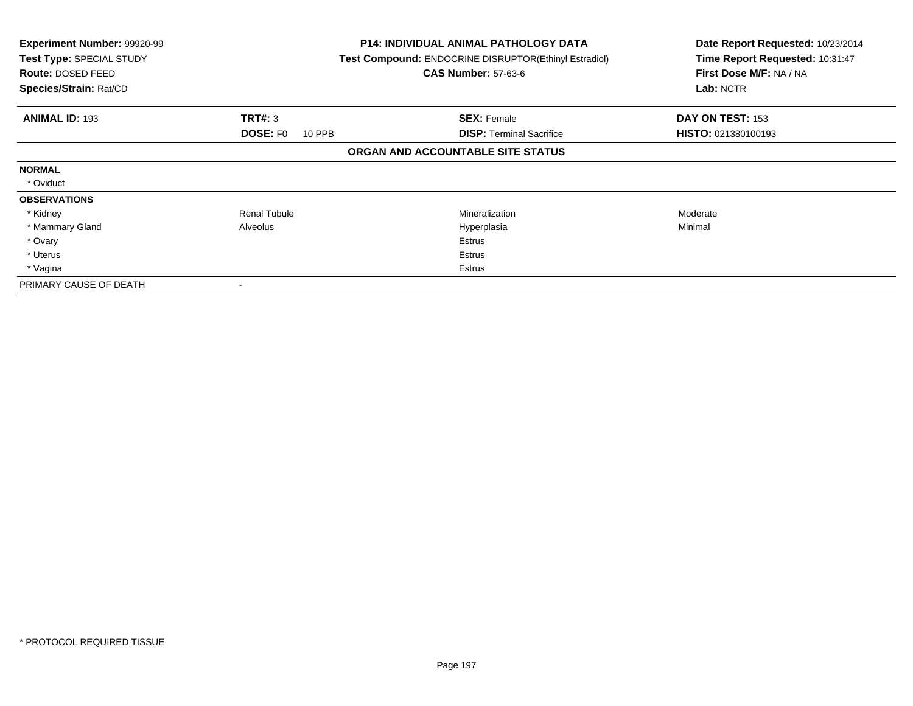| <b>Experiment Number: 99920-99</b><br>Test Type: SPECIAL STUDY<br>Route: DOSED FEED<br>Species/Strain: Rat/CD |                           | <b>P14: INDIVIDUAL ANIMAL PATHOLOGY DATA</b><br>Test Compound: ENDOCRINE DISRUPTOR(Ethinyl Estradiol)<br><b>CAS Number: 57-63-6</b> | Date Report Requested: 10/23/2014<br>Time Report Requested: 10:31:47<br>First Dose M/F: NA / NA<br>Lab: NCTR |
|---------------------------------------------------------------------------------------------------------------|---------------------------|-------------------------------------------------------------------------------------------------------------------------------------|--------------------------------------------------------------------------------------------------------------|
| <b>ANIMAL ID: 193</b>                                                                                         | <b>TRT#: 3</b>            | <b>SEX: Female</b>                                                                                                                  | DAY ON TEST: 153                                                                                             |
|                                                                                                               | <b>DOSE: FO</b><br>10 PPB | <b>DISP: Terminal Sacrifice</b>                                                                                                     | <b>HISTO: 021380100193</b>                                                                                   |
|                                                                                                               |                           | ORGAN AND ACCOUNTABLE SITE STATUS                                                                                                   |                                                                                                              |
| <b>NORMAL</b>                                                                                                 |                           |                                                                                                                                     |                                                                                                              |
| * Oviduct                                                                                                     |                           |                                                                                                                                     |                                                                                                              |
| <b>OBSERVATIONS</b>                                                                                           |                           |                                                                                                                                     |                                                                                                              |
| * Kidney                                                                                                      | <b>Renal Tubule</b>       | Mineralization                                                                                                                      | Moderate                                                                                                     |
| * Mammary Gland                                                                                               | Alveolus                  | Hyperplasia                                                                                                                         | Minimal                                                                                                      |
| * Ovary                                                                                                       |                           | Estrus                                                                                                                              |                                                                                                              |
| * Uterus                                                                                                      |                           | Estrus                                                                                                                              |                                                                                                              |
| * Vagina                                                                                                      |                           | Estrus                                                                                                                              |                                                                                                              |
| PRIMARY CAUSE OF DEATH                                                                                        |                           |                                                                                                                                     |                                                                                                              |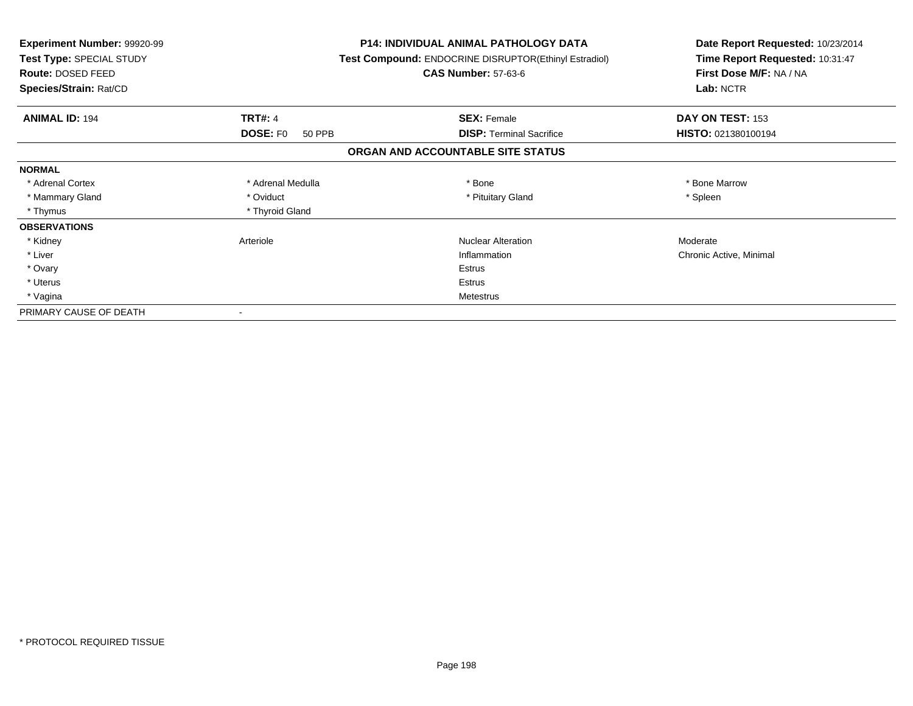| <b>Experiment Number: 99920-99</b><br>Test Type: SPECIAL STUDY<br>Route: DOSED FEED<br>Species/Strain: Rat/CD |                                  | <b>P14: INDIVIDUAL ANIMAL PATHOLOGY DATA</b><br>Test Compound: ENDOCRINE DISRUPTOR(Ethinyl Estradiol)<br><b>CAS Number: 57-63-6</b> | Date Report Requested: 10/23/2014<br>Time Report Requested: 10:31:47<br>First Dose M/F: NA / NA<br>Lab: NCTR |
|---------------------------------------------------------------------------------------------------------------|----------------------------------|-------------------------------------------------------------------------------------------------------------------------------------|--------------------------------------------------------------------------------------------------------------|
| <b>ANIMAL ID: 194</b>                                                                                         | <b>TRT#: 4</b>                   | <b>SEX: Female</b>                                                                                                                  | DAY ON TEST: 153                                                                                             |
|                                                                                                               | <b>DOSE: FO</b><br><b>50 PPB</b> | <b>DISP:</b> Terminal Sacrifice                                                                                                     | HISTO: 021380100194                                                                                          |
|                                                                                                               |                                  | ORGAN AND ACCOUNTABLE SITE STATUS                                                                                                   |                                                                                                              |
| <b>NORMAL</b>                                                                                                 |                                  |                                                                                                                                     |                                                                                                              |
| * Adrenal Cortex                                                                                              | * Adrenal Medulla                | * Bone                                                                                                                              | * Bone Marrow                                                                                                |
| * Mammary Gland                                                                                               | * Oviduct                        | * Pituitary Gland                                                                                                                   | * Spleen                                                                                                     |
| * Thymus                                                                                                      | * Thyroid Gland                  |                                                                                                                                     |                                                                                                              |
| <b>OBSERVATIONS</b>                                                                                           |                                  |                                                                                                                                     |                                                                                                              |
| * Kidney                                                                                                      | Arteriole                        | <b>Nuclear Alteration</b>                                                                                                           | Moderate                                                                                                     |
| * Liver                                                                                                       |                                  | Inflammation                                                                                                                        | Chronic Active, Minimal                                                                                      |
| * Ovary                                                                                                       |                                  | Estrus                                                                                                                              |                                                                                                              |
| * Uterus                                                                                                      |                                  | Estrus                                                                                                                              |                                                                                                              |
| * Vagina                                                                                                      |                                  | Metestrus                                                                                                                           |                                                                                                              |
| PRIMARY CAUSE OF DEATH                                                                                        |                                  |                                                                                                                                     |                                                                                                              |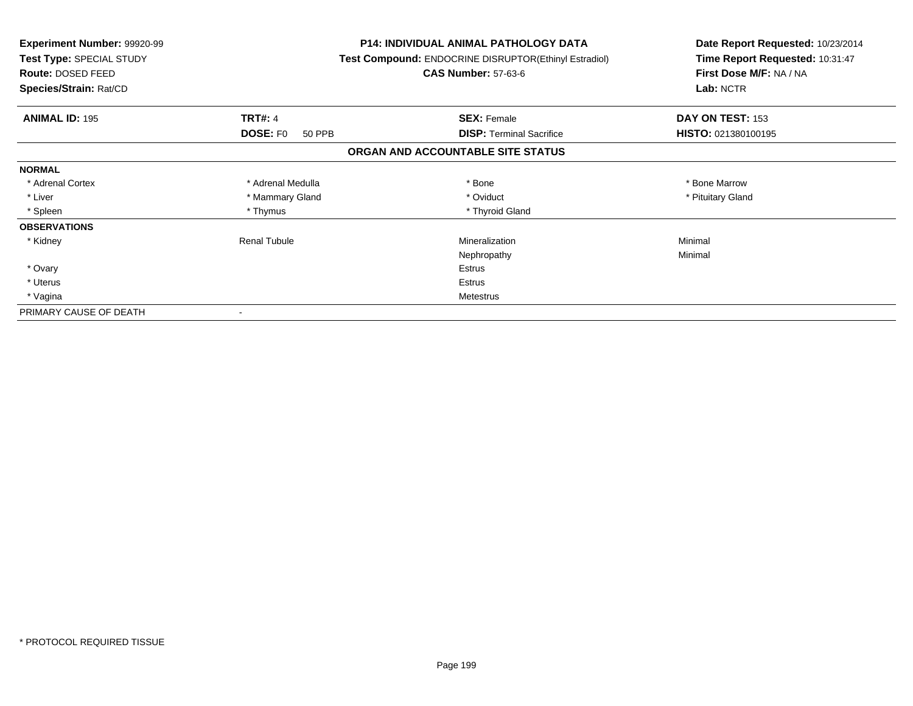| <b>Experiment Number: 99920-99</b><br>Test Type: SPECIAL STUDY<br>Route: DOSED FEED<br>Species/Strain: Rat/CD |                                             | <b>P14: INDIVIDUAL ANIMAL PATHOLOGY DATA</b><br>Test Compound: ENDOCRINE DISRUPTOR(Ethinyl Estradiol)<br><b>CAS Number: 57-63-6</b> | Date Report Requested: 10/23/2014<br>Time Report Requested: 10:31:47<br>First Dose M/F: NA / NA<br>Lab: NCTR |  |
|---------------------------------------------------------------------------------------------------------------|---------------------------------------------|-------------------------------------------------------------------------------------------------------------------------------------|--------------------------------------------------------------------------------------------------------------|--|
|                                                                                                               |                                             |                                                                                                                                     |                                                                                                              |  |
| <b>ANIMAL ID: 195</b>                                                                                         | <b>TRT#: 4</b><br><b>DOSE: FO</b><br>50 PPB | <b>SEX: Female</b><br><b>DISP:</b> Terminal Sacrifice                                                                               | DAY ON TEST: 153<br>HISTO: 021380100195                                                                      |  |
|                                                                                                               |                                             | ORGAN AND ACCOUNTABLE SITE STATUS                                                                                                   |                                                                                                              |  |
| <b>NORMAL</b>                                                                                                 |                                             |                                                                                                                                     |                                                                                                              |  |
| * Adrenal Cortex                                                                                              | * Adrenal Medulla                           | * Bone                                                                                                                              | * Bone Marrow                                                                                                |  |
| * Liver                                                                                                       | * Mammary Gland                             | * Oviduct                                                                                                                           | * Pituitary Gland                                                                                            |  |
| * Spleen                                                                                                      | * Thymus                                    | * Thyroid Gland                                                                                                                     |                                                                                                              |  |
| <b>OBSERVATIONS</b>                                                                                           |                                             |                                                                                                                                     |                                                                                                              |  |
| * Kidney                                                                                                      | <b>Renal Tubule</b>                         | Mineralization                                                                                                                      | Minimal                                                                                                      |  |
|                                                                                                               |                                             | Nephropathy                                                                                                                         | Minimal                                                                                                      |  |
| * Ovary                                                                                                       |                                             | Estrus                                                                                                                              |                                                                                                              |  |
| * Uterus                                                                                                      |                                             | Estrus                                                                                                                              |                                                                                                              |  |
| * Vagina                                                                                                      |                                             | <b>Metestrus</b>                                                                                                                    |                                                                                                              |  |
| PRIMARY CAUSE OF DEATH                                                                                        |                                             |                                                                                                                                     |                                                                                                              |  |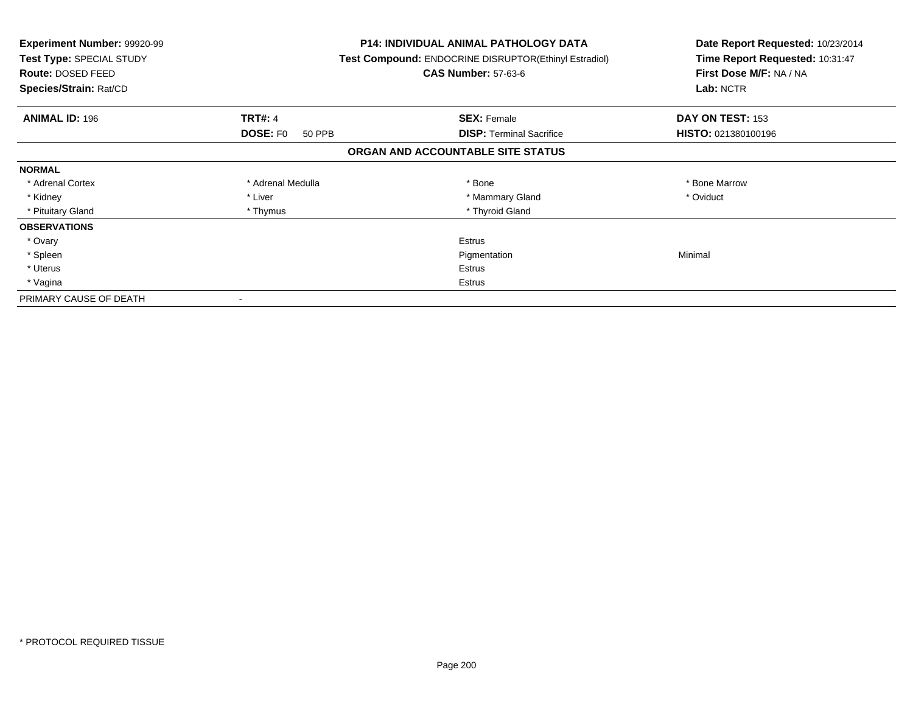| Experiment Number: 99920-99<br>Test Type: SPECIAL STUDY<br>Route: DOSED FEED<br>Species/Strain: Rat/CD |                           | <b>P14: INDIVIDUAL ANIMAL PATHOLOGY DATA</b><br>Test Compound: ENDOCRINE DISRUPTOR(Ethinyl Estradiol)<br><b>CAS Number: 57-63-6</b> | Date Report Requested: 10/23/2014<br>Time Report Requested: 10:31:47<br>First Dose M/F: NA / NA<br>Lab: NCTR |
|--------------------------------------------------------------------------------------------------------|---------------------------|-------------------------------------------------------------------------------------------------------------------------------------|--------------------------------------------------------------------------------------------------------------|
| <b>ANIMAL ID: 196</b>                                                                                  | <b>TRT#: 4</b>            | <b>SEX: Female</b>                                                                                                                  | DAY ON TEST: 153                                                                                             |
|                                                                                                        | <b>DOSE: FO</b><br>50 PPB | <b>DISP: Terminal Sacrifice</b>                                                                                                     | HISTO: 021380100196                                                                                          |
|                                                                                                        |                           | ORGAN AND ACCOUNTABLE SITE STATUS                                                                                                   |                                                                                                              |
| <b>NORMAL</b>                                                                                          |                           |                                                                                                                                     |                                                                                                              |
| * Adrenal Cortex                                                                                       | * Adrenal Medulla         | * Bone                                                                                                                              | * Bone Marrow                                                                                                |
| * Kidney                                                                                               | * Liver                   | * Mammary Gland                                                                                                                     | * Oviduct                                                                                                    |
| * Pituitary Gland                                                                                      | * Thymus                  | * Thyroid Gland                                                                                                                     |                                                                                                              |
| <b>OBSERVATIONS</b>                                                                                    |                           |                                                                                                                                     |                                                                                                              |
| * Ovary                                                                                                |                           | <b>Estrus</b>                                                                                                                       |                                                                                                              |
| * Spleen                                                                                               |                           | Pigmentation                                                                                                                        | Minimal                                                                                                      |
| * Uterus                                                                                               |                           | Estrus                                                                                                                              |                                                                                                              |
| * Vagina                                                                                               | Estrus                    |                                                                                                                                     |                                                                                                              |
| PRIMARY CAUSE OF DEATH                                                                                 |                           |                                                                                                                                     |                                                                                                              |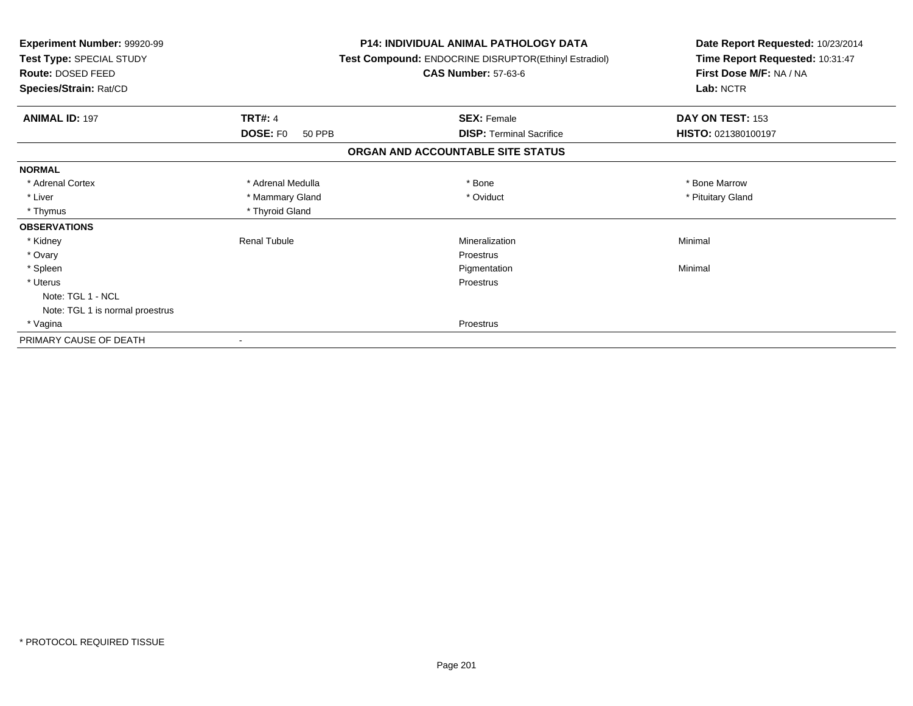| Experiment Number: 99920-99<br>Test Type: SPECIAL STUDY<br>Route: DOSED FEED<br>Species/Strain: Rat/CD | <b>P14: INDIVIDUAL ANIMAL PATHOLOGY DATA</b><br>Test Compound: ENDOCRINE DISRUPTOR(Ethinyl Estradiol)<br><b>CAS Number: 57-63-6</b> | Date Report Requested: 10/23/2014<br>Time Report Requested: 10:31:47<br>First Dose M/F: NA / NA<br>Lab: NCTR |
|--------------------------------------------------------------------------------------------------------|-------------------------------------------------------------------------------------------------------------------------------------|--------------------------------------------------------------------------------------------------------------|
|                                                                                                        |                                                                                                                                     |                                                                                                              |
| <b>TRT#: 4</b><br><b>ANIMAL ID: 197</b>                                                                | <b>SEX: Female</b>                                                                                                                  | DAY ON TEST: 153                                                                                             |
| <b>DOSE: FO</b>                                                                                        | <b>DISP:</b> Terminal Sacrifice<br>50 PPB                                                                                           | HISTO: 021380100197                                                                                          |
|                                                                                                        | ORGAN AND ACCOUNTABLE SITE STATUS                                                                                                   |                                                                                                              |
| <b>NORMAL</b>                                                                                          |                                                                                                                                     |                                                                                                              |
| * Adrenal Cortex<br>* Adrenal Medulla                                                                  | * Bone                                                                                                                              | * Bone Marrow                                                                                                |
| * Liver<br>* Mammary Gland                                                                             | * Oviduct                                                                                                                           | * Pituitary Gland                                                                                            |
| * Thymus<br>* Thyroid Gland                                                                            |                                                                                                                                     |                                                                                                              |
| <b>OBSERVATIONS</b>                                                                                    |                                                                                                                                     |                                                                                                              |
| <b>Renal Tubule</b><br>* Kidney                                                                        | Mineralization                                                                                                                      | Minimal                                                                                                      |
| * Ovary                                                                                                | Proestrus                                                                                                                           |                                                                                                              |
| * Spleen                                                                                               | Pigmentation                                                                                                                        | Minimal                                                                                                      |
| * Uterus                                                                                               | Proestrus                                                                                                                           |                                                                                                              |
| Note: TGL 1 - NCL                                                                                      |                                                                                                                                     |                                                                                                              |
| Note: TGL 1 is normal proestrus                                                                        |                                                                                                                                     |                                                                                                              |
| * Vagina                                                                                               | <b>Proestrus</b>                                                                                                                    |                                                                                                              |
| PRIMARY CAUSE OF DEATH                                                                                 |                                                                                                                                     |                                                                                                              |